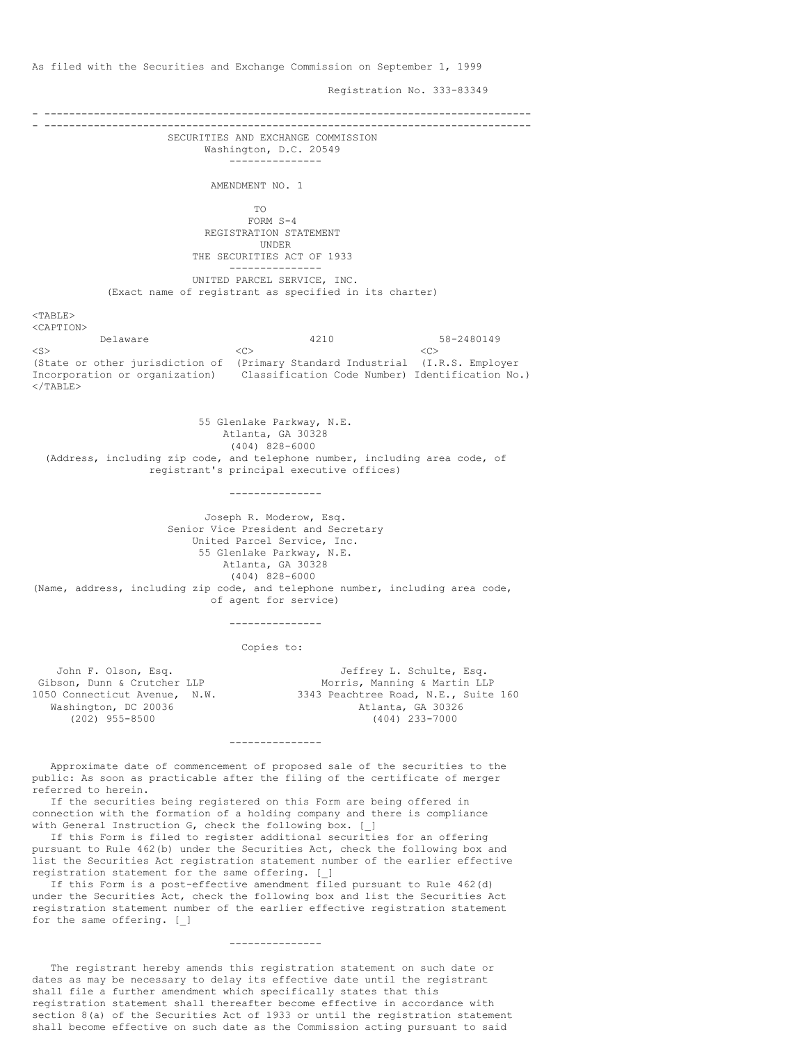As filed with the Securities and Exchange Commission on September 1, 1999

Registration No. 333-83349

- ------------------------------------------------------------------------------- - ------------------------------------------------------------------------------- SECURITIES AND EXCHANGE COMMISSION Washington, D.C. 20549 --------------- AMENDMENT NO. 1 TO FORM S-4 REGISTRATION STATEMENT UNDER THE SECURITIES ACT OF 1933 --------------- UNITED PARCEL SERVICE, INC. (Exact name of registrant as specified in its charter)  $<$ TABLE> <CAPTION> Delaware 4210 58-2480149<br>  $\langle C \rangle$  4210 <S><C><C><C><C><C> (State or other jurisdiction of (Primary Standard Industrial (I.R.S. Employer Incorporation or organization) Classification Code Number) Identification No.)  $<$ /TABLE $>$ 55 Glenlake Parkway, N.E. Atlanta, GA 30328 (404) 828-6000 (Address, including zip code, and telephone number, including area code, of registrant's principal executive offices) --------------- Joseph R. Moderow, Esq. Senior Vice President and Secretary United Parcel Service, Inc. 55 Glenlake Parkway, N.E. Atlanta, GA 30328 (404) 828-6000 (Name, address, including zip code, and telephone number, including area code, of agent for service) --------------- Copies to: John F. Olson, Esq.  $J$ ohn F. Olson, Esq.  $J$ effrey L. Schulte, Esq. Gibson, Dunn & Crutcher LLP Morris, Manning & Martin LLP 1050 Connecticut Avenue, N.W. 3343 Peachtree Road, N.E., Suite 10 Connecticut Avenue, N.W. 3343 Peachtree Road, N.E., Suite 160<br>Washington, DC 20036 1tlanta, GA 30326 Atlanta, GA 30326 (202) 955-8500 (404) 233-7000 --------------- Approximate date of commencement of proposed sale of the securities to the public: As soon as practicable after the filing of the certificate of merger referred to herein.

If the securities being registered on this Form are being offered in connection with the formation of a holding company and there is compliance with General Instruction G, check the following box. [ ]

If this Form is filed to register additional securities for an offering pursuant to Rule 462(b) under the Securities Act, check the following box and list the Securities Act registration statement number of the earlier effective registration statement for the same offering. [\_]

If this Form is a post-effective amendment filed pursuant to Rule 462(d) under the Securities Act, check the following box and list the Securities Act registration statement number of the earlier effective registration statement for the same offering. [\_]

---------------

The registrant hereby amends this registration statement on such date or dates as may be necessary to delay its effective date until the registrant shall file a further amendment which specifically states that this registration statement shall thereafter become effective in accordance with section 8(a) of the Securities Act of 1933 or until the registration statement shall become effective on such date as the Commission acting pursuant to said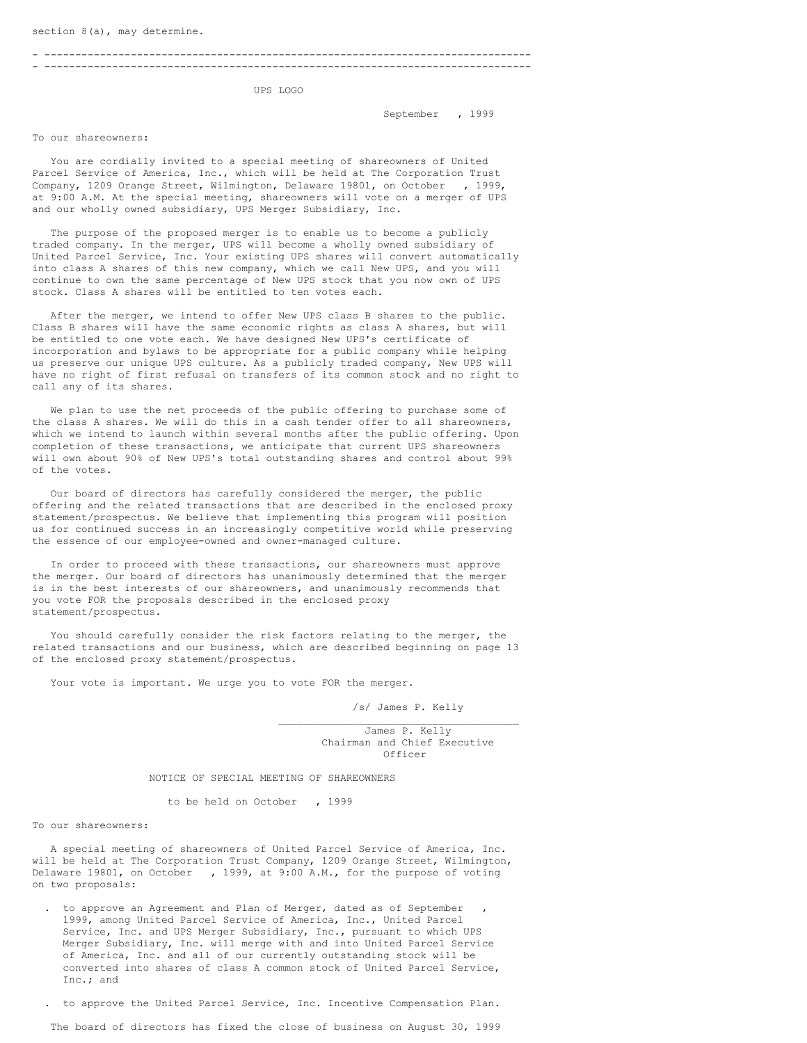- -------------------------------------------------------------------------------

- -------------------------------------------------------------------------------

UPS LOGO

September , 1999

#### To our shareowners:

You are cordially invited to a special meeting of shareowners of United Parcel Service of America, Inc., which will be held at The Corporation Trust Company, 1209 Orange Street, Wilmington, Delaware 19801, on October , 1999, at 9:00 A.M. At the special meeting, shareowners will vote on a merger of UPS and our wholly owned subsidiary, UPS Merger Subsidiary, Inc.

The purpose of the proposed merger is to enable us to become a publicly traded company. In the merger, UPS will become a wholly owned subsidiary of United Parcel Service, Inc. Your existing UPS shares will convert automatically into class A shares of this new company, which we call New UPS, and you will continue to own the same percentage of New UPS stock that you now own of UPS stock. Class A shares will be entitled to ten votes each.

After the merger, we intend to offer New UPS class B shares to the public. Class B shares will have the same economic rights as class A shares, but will be entitled to one vote each. We have designed New UPS's certificate of incorporation and bylaws to be appropriate for a public company while helping us preserve our unique UPS culture. As a publicly traded company, New UPS will have no right of first refusal on transfers of its common stock and no right to call any of its shares.

We plan to use the net proceeds of the public offering to purchase some of the class A shares. We will do this in a cash tender offer to all shareowners, which we intend to launch within several months after the public offering. Upon completion of these transactions, we anticipate that current UPS shareowners will own about 90% of New UPS's total outstanding shares and control about 99% of the votes.

Our board of directors has carefully considered the merger, the public offering and the related transactions that are described in the enclosed proxy statement/prospectus. We believe that implementing this program will position us for continued success in an increasingly competitive world while preserving the essence of our employee-owned and owner-managed culture.

In order to proceed with these transactions, our shareowners must approve the merger. Our board of directors has unanimously determined that the merger is in the best interests of our shareowners, and unanimously recommends that you vote FOR the proposals described in the enclosed proxy statement/prospectus.

You should carefully consider the risk factors relating to the merger, the related transactions and our business, which are described beginning on page 13 of the enclosed proxy statement/prospectus.

Your vote is important. We urge you to vote FOR the merger.

#### /s/ James P. Kelly

\_\_\_\_\_\_\_\_\_\_\_\_\_\_\_\_\_\_\_\_\_\_\_\_\_\_\_\_\_\_\_\_\_\_\_\_\_\_\_ James P. Kelly Chairman and Chief Executive Officer

#### NOTICE OF SPECIAL MEETING OF SHAREOWNERS

to be held on October , 1999

To our shareowners:

A special meeting of shareowners of United Parcel Service of America, Inc. will be held at The Corporation Trust Company, 1209 Orange Street, Wilmington, Delaware 19801, on October , 1999, at 9:00 A.M., for the purpose of voting on two proposals:

to approve an Agreement and Plan of Merger, dated as of September 1999, among United Parcel Service of America, Inc., United Parcel Service, Inc. and UPS Merger Subsidiary, Inc., pursuant to which UPS Merger Subsidiary, Inc. will merge with and into United Parcel Service of America, Inc. and all of our currently outstanding stock will be converted into shares of class A common stock of United Parcel Service, Inc.; and

. to approve the United Parcel Service, Inc. Incentive Compensation Plan.

The board of directors has fixed the close of business on August 30, 1999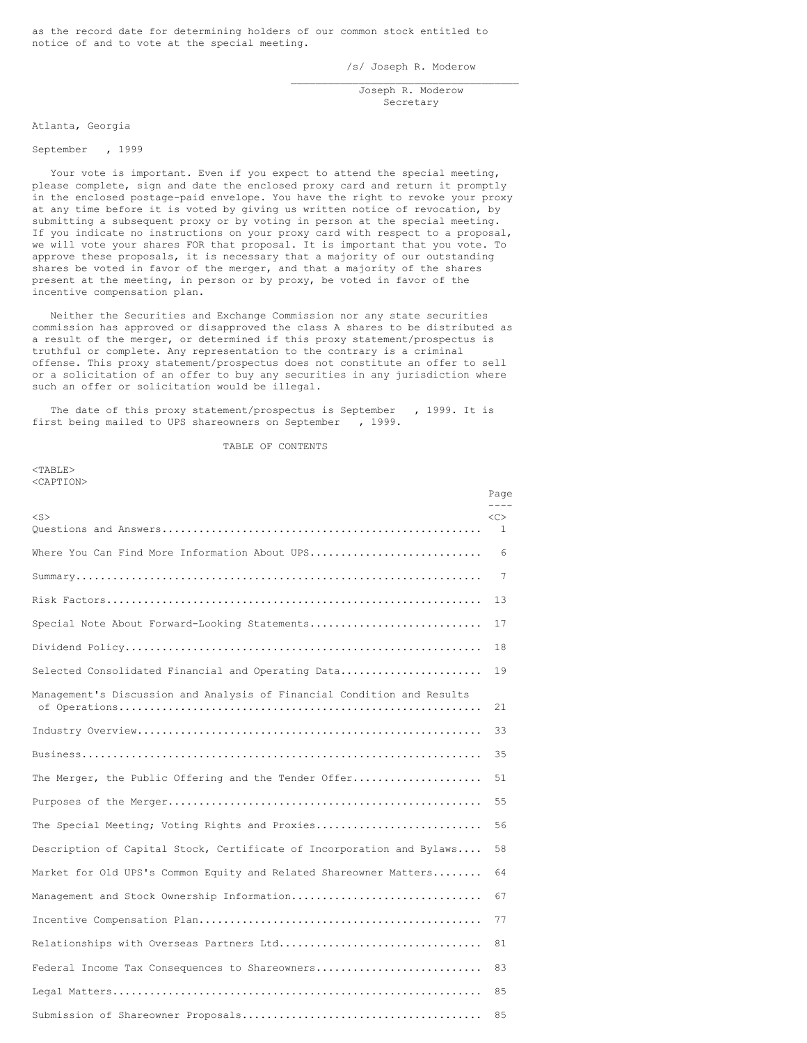as the record date for determining holders of our common stock entitled to notice of and to vote at the special meeting.

> /s/ Joseph R. Moderow \_\_\_\_\_\_\_\_\_\_\_\_\_\_\_\_\_\_\_\_\_\_\_\_\_\_\_\_\_\_\_\_\_\_\_\_\_

Joseph R. Moderow Secretary

Atlanta, Georgia

September , 1999

Your vote is important. Even if you expect to attend the special meeting, please complete, sign and date the enclosed proxy card and return it promptly in the enclosed postage-paid envelope. You have the right to revoke your proxy at any time before it is voted by giving us written notice of revocation, by submitting a subsequent proxy or by voting in person at the special meeting. If you indicate no instructions on your proxy card with respect to a proposal, we will vote your shares FOR that proposal. It is important that you vote. To approve these proposals, it is necessary that a majority of our outstanding shares be voted in favor of the merger, and that a majority of the shares present at the meeting, in person or by proxy, be voted in favor of the incentive compensation plan.

Neither the Securities and Exchange Commission nor any state securities commission has approved or disapproved the class A shares to be distributed as a result of the merger, or determined if this proxy statement/prospectus is truthful or complete. Any representation to the contrary is a criminal offense. This proxy statement/prospectus does not constitute an offer to sell or a solicitation of an offer to buy any securities in any jurisdiction where such an offer or solicitation would be illegal.

The date of this proxy statement/prospectus is September , 1999. It is first being mailed to UPS shareowners on September , 1999.

### TABLE OF CONTENTS

<TABLE> <CAPTION>

|                                                                         | Page                  |
|-------------------------------------------------------------------------|-----------------------|
| $<$ S>                                                                  | < <sub><br/>- 1</sub> |
| Where You Can Find More Information About UPS                           | 6                     |
|                                                                         | 7                     |
|                                                                         | 13                    |
| Special Note About Forward-Looking Statements                           | 17                    |
|                                                                         | 18                    |
| Selected Consolidated Financial and Operating Data                      | 19                    |
| Management's Discussion and Analysis of Financial Condition and Results | 21                    |
|                                                                         | 33                    |
|                                                                         | 35                    |
| The Merger, the Public Offering and the Tender Offer                    | 51                    |
|                                                                         | 55                    |
| The Special Meeting; Voting Rights and Proxies                          | 56                    |
| Description of Capital Stock, Certificate of Incorporation and Bylaws   | 58                    |
| Market for Old UPS's Common Equity and Related Shareowner Matters       | 64                    |
| Management and Stock Ownership Information                              | 67                    |
|                                                                         | 77                    |
| Relationships with Overseas Partners Ltd                                | 81                    |
| Federal Income Tax Consequences to Shareowners                          | 83                    |
|                                                                         | 85                    |
|                                                                         | 85                    |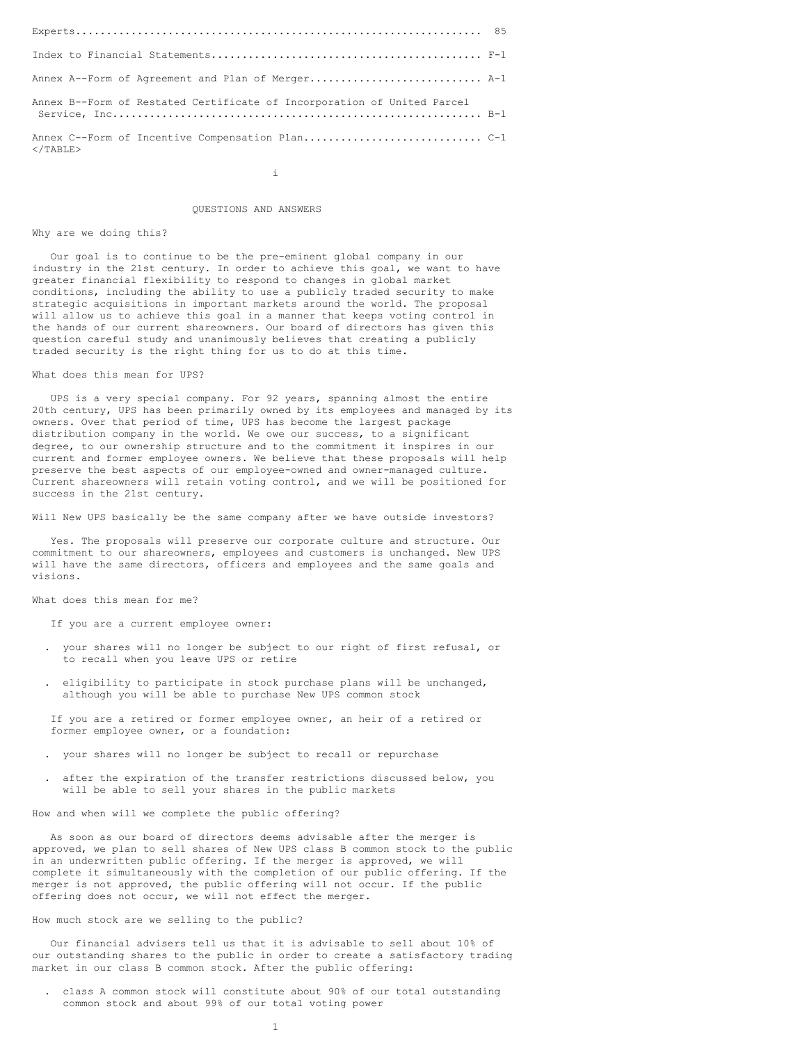| Annex A--Form of Agreement and Plan of Merger A-1                       |  |
|-------------------------------------------------------------------------|--|
| Annex B--Form of Restated Certificate of Incorporation of United Parcel |  |
| $\langle$ /TARI.E>                                                      |  |

i

#### QUESTIONS AND ANSWERS

# Why are we doing this?

Our goal is to continue to be the pre-eminent global company in our industry in the 21st century. In order to achieve this goal, we want to have greater financial flexibility to respond to changes in global market conditions, including the ability to use a publicly traded security to make strategic acquisitions in important markets around the world. The proposal will allow us to achieve this goal in a manner that keeps voting control in the hands of our current shareowners. Our board of directors has given this question careful study and unanimously believes that creating a publicly traded security is the right thing for us to do at this time.

### What does this mean for UPS?

UPS is a very special company. For 92 years, spanning almost the entire 20th century, UPS has been primarily owned by its employees and managed by its owners. Over that period of time, UPS has become the largest package distribution company in the world. We owe our success, to a significant degree, to our ownership structure and to the commitment it inspires in our current and former employee owners. We believe that these proposals will help preserve the best aspects of our employee-owned and owner-managed culture. Current shareowners will retain voting control, and we will be positioned for success in the 21st century.

Will New UPS basically be the same company after we have outside investors?

Yes. The proposals will preserve our corporate culture and structure. Our commitment to our shareowners, employees and customers is unchanged. New UPS will have the same directors, officers and employees and the same goals and visions.

What does this mean for me?

If you are a current employee owner:

- . your shares will no longer be subject to our right of first refusal, or to recall when you leave UPS or retire
- . eligibility to participate in stock purchase plans will be unchanged, although you will be able to purchase New UPS common stock

If you are a retired or former employee owner, an heir of a retired or former employee owner, or a foundation:

- . your shares will no longer be subject to recall or repurchase
- . after the expiration of the transfer restrictions discussed below, you will be able to sell your shares in the public markets

How and when will we complete the public offering?

As soon as our board of directors deems advisable after the merger is approved, we plan to sell shares of New UPS class B common stock to the public in an underwritten public offering. If the merger is approved, we will complete it simultaneously with the completion of our public offering. If the merger is not approved, the public offering will not occur. If the public offering does not occur, we will not effect the merger.

### How much stock are we selling to the public?

Our financial advisers tell us that it is advisable to sell about 10% of our outstanding shares to the public in order to create a satisfactory trading market in our class B common stock. After the public offering:

. class A common stock will constitute about 90% of our total outstanding common stock and about 99% of our total voting power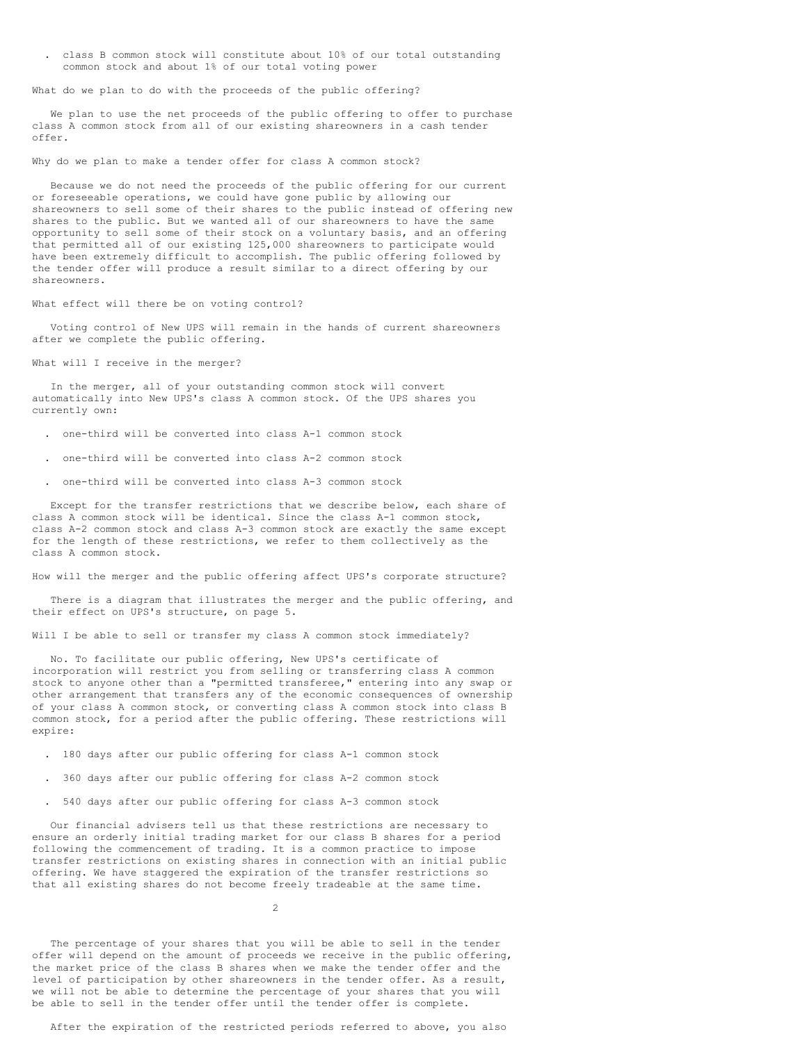. class B common stock will constitute about 10% of our total outstanding common stock and about 1% of our total voting power

What do we plan to do with the proceeds of the public offering?

We plan to use the net proceeds of the public offering to offer to purchase class A common stock from all of our existing shareowners in a cash tender offer.

Why do we plan to make a tender offer for class A common stock?

Because we do not need the proceeds of the public offering for our current or foreseeable operations, we could have gone public by allowing our shareowners to sell some of their shares to the public instead of offering new shares to the public. But we wanted all of our shareowners to have the same opportunity to sell some of their stock on a voluntary basis, and an offering that permitted all of our existing 125,000 shareowners to participate would have been extremely difficult to accomplish. The public offering followed by the tender offer will produce a result similar to a direct offering by our shareowners.

What effect will there be on voting control?

Voting control of New UPS will remain in the hands of current shareowners after we complete the public offering.

What will I receive in the merger?

In the merger, all of your outstanding common stock will convert automatically into New UPS's class A common stock. Of the UPS shares you currently own:

- . one-third will be converted into class A-1 common stock
- . one-third will be converted into class A-2 common stock
- . one-third will be converted into class A-3 common stock

Except for the transfer restrictions that we describe below, each share of class A common stock will be identical. Since the class A-1 common stock, class A-2 common stock and class A-3 common stock are exactly the same except for the length of these restrictions, we refer to them collectively as the class A common stock.

How will the merger and the public offering affect UPS's corporate structure?

There is a diagram that illustrates the merger and the public offering, and their effect on UPS's structure, on page 5.

Will I be able to sell or transfer my class A common stock immediately?

No. To facilitate our public offering, New UPS's certificate of incorporation will restrict you from selling or transferring class A common stock to anyone other than a "permitted transferee," entering into any swap or other arrangement that transfers any of the economic consequences of ownership of your class A common stock, or converting class A common stock into class B common stock, for a period after the public offering. These restrictions will expire:

- . 180 days after our public offering for class A-1 common stock
- . 360 days after our public offering for class A-2 common stock
- . 540 days after our public offering for class A-3 common stock

Our financial advisers tell us that these restrictions are necessary to ensure an orderly initial trading market for our class B shares for a period following the commencement of trading. It is a common practice to impose transfer restrictions on existing shares in connection with an initial public offering. We have staggered the expiration of the transfer restrictions so that all existing shares do not become freely tradeable at the same time.

 $\mathfrak{D}$ 

The percentage of your shares that you will be able to sell in the tender offer will depend on the amount of proceeds we receive in the public offering, the market price of the class B shares when we make the tender offer and the level of participation by other shareowners in the tender offer. As a result, we will not be able to determine the percentage of your shares that you will be able to sell in the tender offer until the tender offer is complete.

After the expiration of the restricted periods referred to above, you also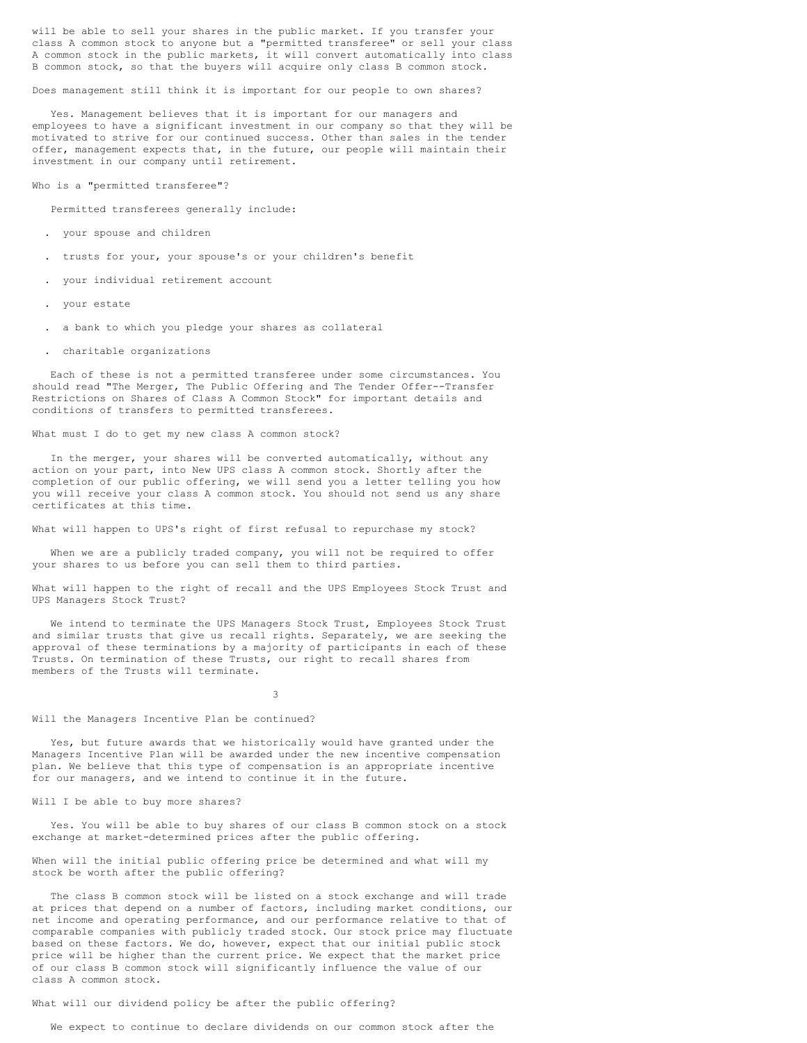will be able to sell your shares in the public market. If you transfer your class A common stock to anyone but a "permitted transferee" or sell your class A common stock in the public markets, it will convert automatically into class B common stock, so that the buyers will acquire only class B common stock.

Does management still think it is important for our people to own shares?

Yes. Management believes that it is important for our managers and employees to have a significant investment in our company so that they will be motivated to strive for our continued success. Other than sales in the tender offer, management expects that, in the future, our people will maintain their investment in our company until retirement.

Who is a "permitted transferee"?

Permitted transferees generally include:

- . your spouse and children
- . trusts for your, your spouse's or your children's benefit
- . your individual retirement account
- . your estate
- . a bank to which you pledge your shares as collateral
- . charitable organizations

Each of these is not a permitted transferee under some circumstances. You should read "The Merger, The Public Offering and The Tender Offer--Transfer Restrictions on Shares of Class A Common Stock" for important details and conditions of transfers to permitted transferees.

What must I do to get my new class A common stock?

In the merger, your shares will be converted automatically, without any action on your part, into New UPS class A common stock. Shortly after the completion of our public offering, we will send you a letter telling you how you will receive your class A common stock. You should not send us any share certificates at this time.

What will happen to UPS's right of first refusal to repurchase my stock?

When we are a publicly traded company, you will not be required to offer your shares to us before you can sell them to third parties.

What will happen to the right of recall and the UPS Employees Stock Trust and UPS Managers Stock Trust?

We intend to terminate the UPS Managers Stock Trust, Employees Stock Trust and similar trusts that give us recall rights. Separately, we are seeking the approval of these terminations by a majority of participants in each of these Trusts. On termination of these Trusts, our right to recall shares from members of the Trusts will terminate.

3

Will the Managers Incentive Plan be continued?

Yes, but future awards that we historically would have granted under the Managers Incentive Plan will be awarded under the new incentive compensation plan. We believe that this type of compensation is an appropriate incentive for our managers, and we intend to continue it in the future.

Will I be able to buy more shares?

Yes. You will be able to buy shares of our class B common stock on a stock exchange at market-determined prices after the public offering.

When will the initial public offering price be determined and what will my stock be worth after the public offering?

The class B common stock will be listed on a stock exchange and will trade at prices that depend on a number of factors, including market conditions, our net income and operating performance, and our performance relative to that of comparable companies with publicly traded stock. Our stock price may fluctuate based on these factors. We do, however, expect that our initial public stock price will be higher than the current price. We expect that the market price of our class B common stock will significantly influence the value of our class A common stock.

What will our dividend policy be after the public offering?

We expect to continue to declare dividends on our common stock after the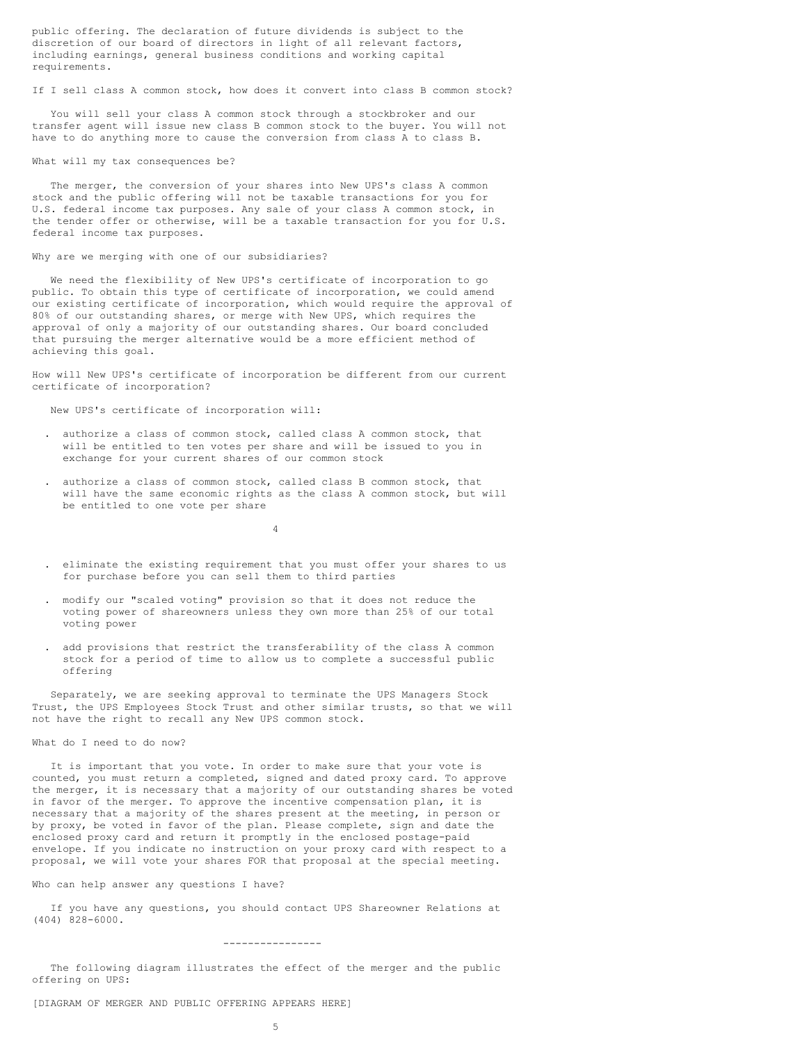public offering. The declaration of future dividends is subject to the discretion of our board of directors in light of all relevant factors, including earnings, general business conditions and working capital requirements.

If I sell class A common stock, how does it convert into class B common stock?

You will sell your class A common stock through a stockbroker and our transfer agent will issue new class B common stock to the buyer. You will not have to do anything more to cause the conversion from class A to class B.

#### What will my tax consequences be?

The merger, the conversion of your shares into New UPS's class A common stock and the public offering will not be taxable transactions for you for U.S. federal income tax purposes. Any sale of your class A common stock, in the tender offer or otherwise, will be a taxable transaction for you for U.S. federal income tax purposes.

#### Why are we merging with one of our subsidiaries?

We need the flexibility of New UPS's certificate of incorporation to go public. To obtain this type of certificate of incorporation, we could amend our existing certificate of incorporation, which would require the approval of 80% of our outstanding shares, or merge with New UPS, which requires the approval of only a majority of our outstanding shares. Our board concluded that pursuing the merger alternative would be a more efficient method of achieving this goal.

How will New UPS's certificate of incorporation be different from our current certificate of incorporation?

New UPS's certificate of incorporation will:

- . authorize a class of common stock, called class A common stock, that will be entitled to ten votes per share and will be issued to you in exchange for your current shares of our common stock
- . authorize a class of common stock, called class B common stock, that will have the same economic rights as the class A common stock, but will be entitled to one vote per share
	- 4
- . eliminate the existing requirement that you must offer your shares to us for purchase before you can sell them to third parties
- . modify our "scaled voting" provision so that it does not reduce the voting power of shareowners unless they own more than 25% of our total voting power
- . add provisions that restrict the transferability of the class A common stock for a period of time to allow us to complete a successful public offering

Separately, we are seeking approval to terminate the UPS Managers Stock Trust, the UPS Employees Stock Trust and other similar trusts, so that we will not have the right to recall any New UPS common stock.

#### What do I need to do now?

It is important that you vote. In order to make sure that your vote is counted, you must return a completed, signed and dated proxy card. To approve the merger, it is necessary that a majority of our outstanding shares be voted in favor of the merger. To approve the incentive compensation plan, it is necessary that a majority of the shares present at the meeting, in person or by proxy, be voted in favor of the plan. Please complete, sign and date the enclosed proxy card and return it promptly in the enclosed postage-paid envelope. If you indicate no instruction on your proxy card with respect to a proposal, we will vote your shares FOR that proposal at the special meeting.

#### Who can help answer any questions I have?

If you have any questions, you should contact UPS Shareowner Relations at (404) 828-6000.

----------------

The following diagram illustrates the effect of the merger and the public offering on UPS:

[DIAGRAM OF MERGER AND PUBLIC OFFERING APPEARS HERE]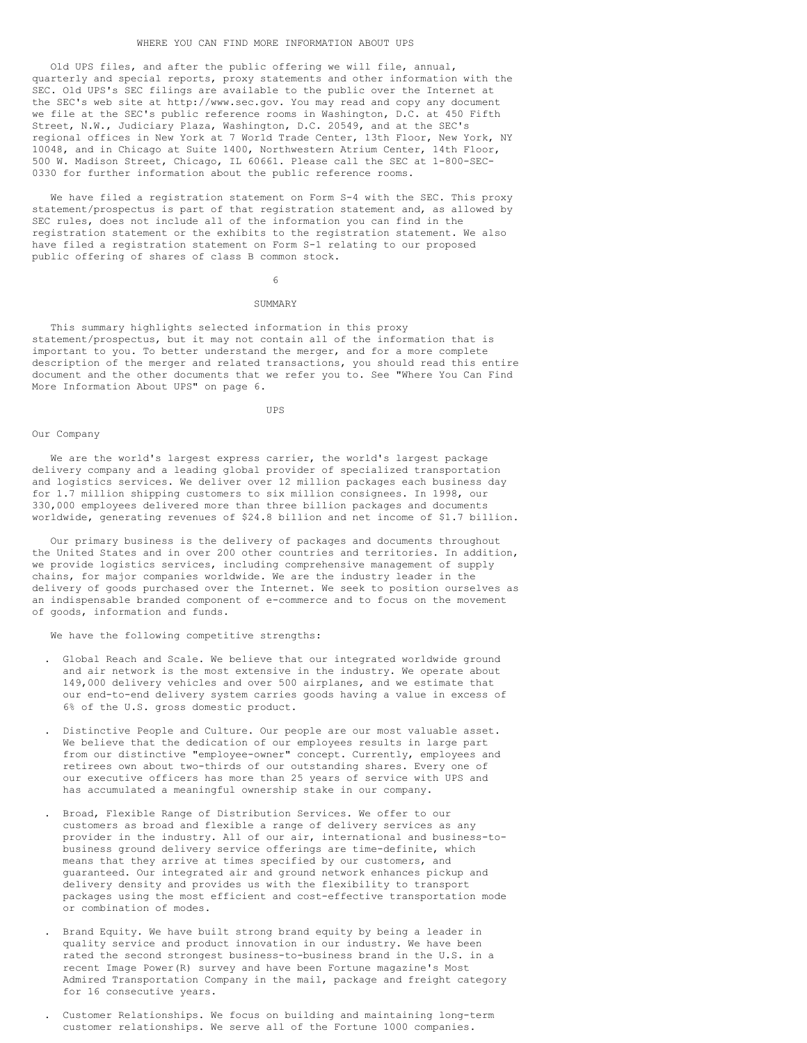Old UPS files, and after the public offering we will file, annual, quarterly and special reports, proxy statements and other information with the SEC. Old UPS's SEC filings are available to the public over the Internet at the SEC's web site at http://www.sec.gov. You may read and copy any document we file at the SEC's public reference rooms in Washington, D.C. at 450 Fifth Street, N.W., Judiciary Plaza, Washington, D.C. 20549, and at the SEC's regional offices in New York at 7 World Trade Center, 13th Floor, New York, NY 10048, and in Chicago at Suite 1400, Northwestern Atrium Center, 14th Floor, 500 W. Madison Street, Chicago, IL 60661. Please call the SEC at 1-800-SEC-0330 for further information about the public reference rooms.

We have filed a registration statement on Form S-4 with the SEC. This proxy statement/prospectus is part of that registration statement and, as allowed by SEC rules, does not include all of the information you can find in the registration statement or the exhibits to the registration statement. We also have filed a registration statement on Form S-1 relating to our proposed public offering of shares of class B common stock.

### 6

# SUMMARY

This summary highlights selected information in this proxy statement/prospectus, but it may not contain all of the information that is important to you. To better understand the merger, and for a more complete description of the merger and related transactions, you should read this entire document and the other documents that we refer you to. See "Where You Can Find More Information About UPS" on page 6.

UPS

# Our Company

We are the world's largest express carrier, the world's largest package delivery company and a leading global provider of specialized transportation and logistics services. We deliver over 12 million packages each business day for 1.7 million shipping customers to six million consignees. In 1998, our 330,000 employees delivered more than three billion packages and documents worldwide, generating revenues of \$24.8 billion and net income of \$1.7 billion.

Our primary business is the delivery of packages and documents throughout the United States and in over 200 other countries and territories. In addition, we provide logistics services, including comprehensive management of supply chains, for major companies worldwide. We are the industry leader in the delivery of goods purchased over the Internet. We seek to position ourselves as an indispensable branded component of e-commerce and to focus on the movement of goods, information and funds.

We have the following competitive strengths:

- . Global Reach and Scale. We believe that our integrated worldwide ground and air network is the most extensive in the industry. We operate about 149,000 delivery vehicles and over 500 airplanes, and we estimate that our end-to-end delivery system carries goods having a value in excess of 6% of the U.S. gross domestic product.
- . Distinctive People and Culture. Our people are our most valuable asset. We believe that the dedication of our employees results in large part from our distinctive "employee-owner" concept. Currently, employees and retirees own about two-thirds of our outstanding shares. Every one of our executive officers has more than 25 years of service with UPS and has accumulated a meaningful ownership stake in our company.
- . Broad, Flexible Range of Distribution Services. We offer to our customers as broad and flexible a range of delivery services as any provider in the industry. All of our air, international and business-tobusiness ground delivery service offerings are time-definite, which means that they arrive at times specified by our customers, and guaranteed. Our integrated air and ground network enhances pickup and delivery density and provides us with the flexibility to transport packages using the most efficient and cost-effective transportation mode or combination of modes.
- . Brand Equity. We have built strong brand equity by being a leader in quality service and product innovation in our industry. We have been rated the second strongest business-to-business brand in the U.S. in a recent Image Power(R) survey and have been Fortune magazine's Most Admired Transportation Company in the mail, package and freight category for 16 consecutive years.
	- . Customer Relationships. We focus on building and maintaining long-term customer relationships. We serve all of the Fortune 1000 companies.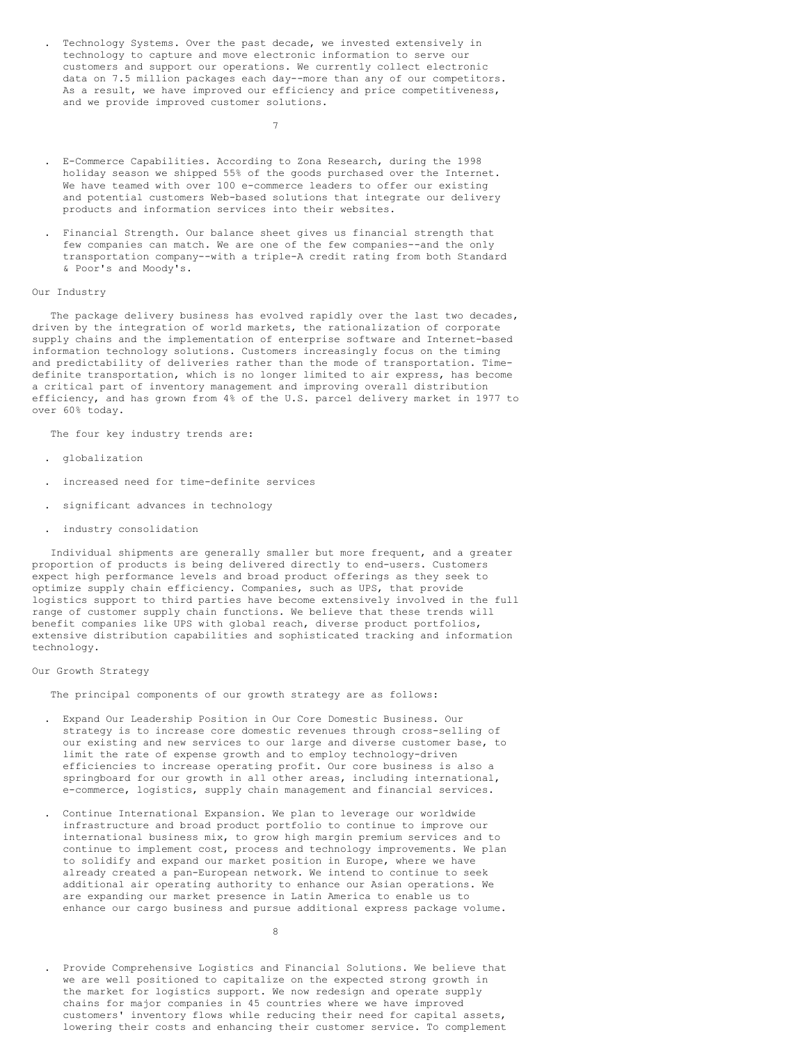. Technology Systems. Over the past decade, we invested extensively in technology to capture and move electronic information to serve our customers and support our operations. We currently collect electronic data on 7.5 million packages each day--more than any of our competitors. As a result, we have improved our efficiency and price competitiveness, and we provide improved customer solutions.

7

- . E-Commerce Capabilities. According to Zona Research, during the 1998 holiday season we shipped 55% of the goods purchased over the Internet. We have teamed with over 100 e-commerce leaders to offer our existing and potential customers Web-based solutions that integrate our delivery products and information services into their websites.
- . Financial Strength. Our balance sheet gives us financial strength that few companies can match. We are one of the few companies--and the only transportation company--with a triple-A credit rating from both Standard & Poor's and Moody's.

### Our Industry

The package delivery business has evolved rapidly over the last two decades, driven by the integration of world markets, the rationalization of corporate supply chains and the implementation of enterprise software and Internet-based information technology solutions. Customers increasingly focus on the timing and predictability of deliveries rather than the mode of transportation. Timedefinite transportation, which is no longer limited to air express, has become a critical part of inventory management and improving overall distribution efficiency, and has grown from 4% of the U.S. parcel delivery market in 1977 to over 60% today.

The four key industry trends are:

- . globalization
- . increased need for time-definite services
- . significant advances in technology
- . industry consolidation

Individual shipments are generally smaller but more frequent, and a greater proportion of products is being delivered directly to end-users. Customers expect high performance levels and broad product offerings as they seek to optimize supply chain efficiency. Companies, such as UPS, that provide logistics support to third parties have become extensively involved in the full range of customer supply chain functions. We believe that these trends will benefit companies like UPS with global reach, diverse product portfolios, extensive distribution capabilities and sophisticated tracking and information technology.

# Our Growth Strategy

The principal components of our growth strategy are as follows:

- . Expand Our Leadership Position in Our Core Domestic Business. Our strategy is to increase core domestic revenues through cross-selling of our existing and new services to our large and diverse customer base, to limit the rate of expense growth and to employ technology-driven efficiencies to increase operating profit. Our core business is also a springboard for our growth in all other areas, including international, e-commerce, logistics, supply chain management and financial services.
- . Continue International Expansion. We plan to leverage our worldwide infrastructure and broad product portfolio to continue to improve our international business mix, to grow high margin premium services and to continue to implement cost, process and technology improvements. We plan to solidify and expand our market position in Europe, where we have already created a pan-European network. We intend to continue to seek additional air operating authority to enhance our Asian operations. We are expanding our market presence in Latin America to enable us to enhance our cargo business and pursue additional express package volume.

. Provide Comprehensive Logistics and Financial Solutions. We believe that we are well positioned to capitalize on the expected strong growth in the market for logistics support. We now redesign and operate supply chains for major companies in 45 countries where we have improved customers' inventory flows while reducing their need for capital assets, lowering their costs and enhancing their customer service. To complement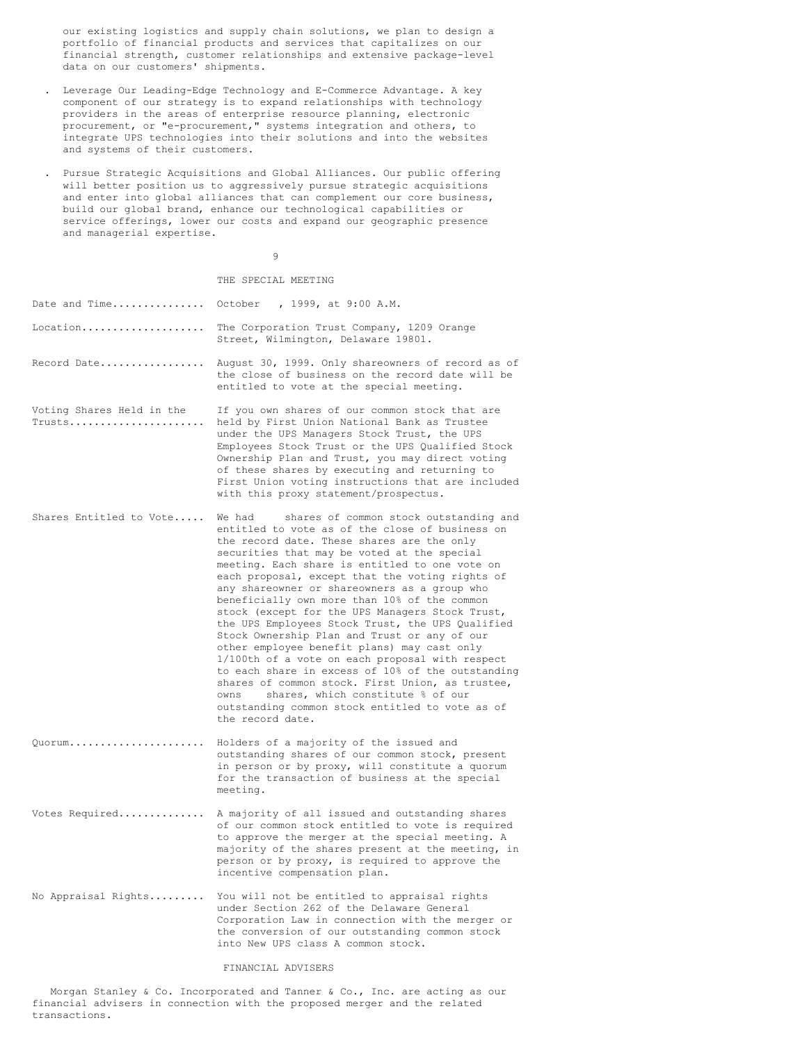our existing logistics and supply chain solutions, we plan to design a portfolio of financial products and services that capitalizes on our financial strength, customer relationships and extensive package-level data on our customers' shipments.

- . Leverage Our Leading-Edge Technology and E-Commerce Advantage. A key component of our strategy is to expand relationships with technology providers in the areas of enterprise resource planning, electronic procurement, or "e-procurement," systems integration and others, to integrate UPS technologies into their solutions and into the websites and systems of their customers.
- . Pursue Strategic Acquisitions and Global Alliances. Our public offering will better position us to aggressively pursue strategic acquisitions and enter into global alliances that can complement our core business, build our global brand, enhance our technological capabilities or service offerings, lower our costs and expand our geographic presence and managerial expertise.

# 9

# THE SPECIAL MEETING

| Date and Time                       | , 1999, at 9:00 A.M.<br>October                                                                                                                                                                                                                                                                                                                                                                                                                                                                                                                                                                                                                                                                                                                                                                                                                                                             |
|-------------------------------------|---------------------------------------------------------------------------------------------------------------------------------------------------------------------------------------------------------------------------------------------------------------------------------------------------------------------------------------------------------------------------------------------------------------------------------------------------------------------------------------------------------------------------------------------------------------------------------------------------------------------------------------------------------------------------------------------------------------------------------------------------------------------------------------------------------------------------------------------------------------------------------------------|
| Location                            | The Corporation Trust Company, 1209 Orange<br>Street, Wilmington, Delaware 19801.                                                                                                                                                                                                                                                                                                                                                                                                                                                                                                                                                                                                                                                                                                                                                                                                           |
| Record Date                         | August 30, 1999. Only shareowners of record as of<br>the close of business on the record date will be<br>entitled to vote at the special meeting.                                                                                                                                                                                                                                                                                                                                                                                                                                                                                                                                                                                                                                                                                                                                           |
| Voting Shares Held in the<br>Trusts | If you own shares of our common stock that are<br>held by First Union National Bank as Trustee<br>under the UPS Managers Stock Trust, the UPS<br>Employees Stock Trust or the UPS Qualified Stock<br>Ownership Plan and Trust, you may direct voting<br>of these shares by executing and returning to<br>First Union voting instructions that are included<br>with this proxy statement/prospectus.                                                                                                                                                                                                                                                                                                                                                                                                                                                                                         |
| Shares Entitled to Vote             | shares of common stock outstanding and<br>We had<br>entitled to vote as of the close of business on<br>the record date. These shares are the only<br>securities that may be voted at the special<br>meeting. Each share is entitled to one vote on<br>each proposal, except that the voting rights of<br>any shareowner or shareowners as a group who<br>beneficially own more than 10% of the common<br>stock (except for the UPS Managers Stock Trust,<br>the UPS Employees Stock Trust, the UPS Qualified<br>Stock Ownership Plan and Trust or any of our<br>other employee benefit plans) may cast only<br>1/100th of a vote on each proposal with respect<br>to each share in excess of 10% of the outstanding<br>shares of common stock. First Union, as trustee,<br>shares, which constitute % of our<br>owns<br>outstanding common stock entitled to vote as of<br>the record date. |
| Quorum                              | Holders of a majority of the issued and<br>outstanding shares of our common stock, present<br>in person or by proxy, will constitute a quorum<br>for the transaction of business at the special<br>meeting.                                                                                                                                                                                                                                                                                                                                                                                                                                                                                                                                                                                                                                                                                 |
| Votes Required                      | A majority of all issued and outstanding shares<br>of our common stock entitled to vote is required<br>to approve the merger at the special meeting. A<br>majority of the shares present at the meeting, in<br>person or by proxy, is required to approve the<br>incentive compensation plan.                                                                                                                                                                                                                                                                                                                                                                                                                                                                                                                                                                                               |
| No Appraisal Rights                 | You will not be entitled to appraisal rights<br>under Section 262 of the Delaware General<br>Corporation Law in connection with the merger or<br>the conversion of our outstanding common stock                                                                                                                                                                                                                                                                                                                                                                                                                                                                                                                                                                                                                                                                                             |

### FINANCIAL ADVISERS

into New UPS class A common stock.

Morgan Stanley & Co. Incorporated and Tanner & Co., Inc. are acting as our financial advisers in connection with the proposed merger and the related transactions.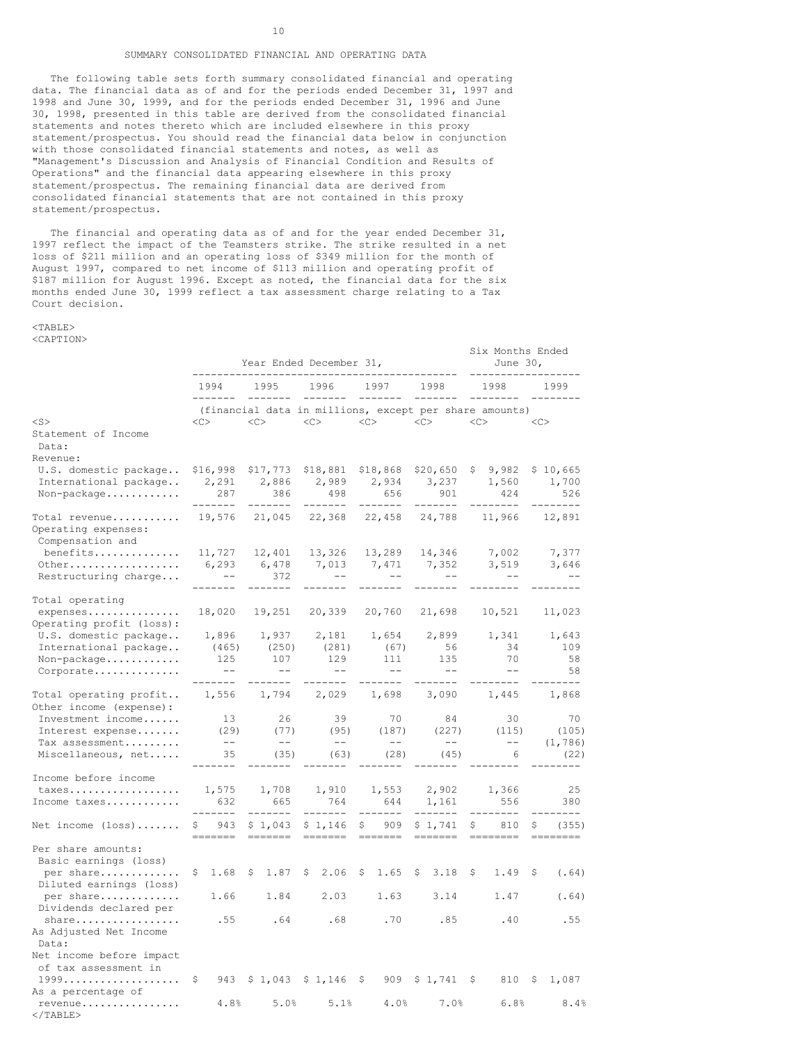#### SUMMARY CONSOLIDATED FINANCIAL AND OPERATING DATA

The following table sets forth summary consolidated financial and operating data. The financial data as of and for the periods ended December 31, 1997 and 1998 and June 30, 1999, and for the periods ended December 31, 1996 and June 30, 1998, presented in this table are derived from the consolidated financial statements and notes thereto which are included elsewhere in this proxy statement/prospectus. You should read the financial data below in conjunction with those consolidated financial statements and notes, as well as "Management's Discussion and Analysis of Financial Condition and Results of Operations" and the financial data appearing elsewhere in this proxy statement/prospectus. The remaining financial data are derived from consolidated financial statements that are not contained in this proxy statement/prospectus.

The financial and operating data as of and for the year ended December 31, 1997 reflect the impact of the Teamsters strike. The strike resulted in a net loss of \$211 million and an operating loss of \$349 million for the month of August 1997, compared to net income of \$113 million and operating profit of \$187 million for August 1996. Except as noted, the financial data for the six months ended June 30, 1999 reflect a tax assessment charge relating to a Tax Court decision.

#### <TABLE> <CAPTION>

|                                                                                                                                    |                                               | Year Ended December 31,                                                                                                                                                                                                                                                                                                                                                                                                                                                      | ---------------------------------               | Six Months Ended<br>June $30l$<br>--------------- |                                       |                                                        |                                          |
|------------------------------------------------------------------------------------------------------------------------------------|-----------------------------------------------|------------------------------------------------------------------------------------------------------------------------------------------------------------------------------------------------------------------------------------------------------------------------------------------------------------------------------------------------------------------------------------------------------------------------------------------------------------------------------|-------------------------------------------------|---------------------------------------------------|---------------------------------------|--------------------------------------------------------|------------------------------------------|
|                                                                                                                                    | 1994                                          | 1995                                                                                                                                                                                                                                                                                                                                                                                                                                                                         | 1996                                            | 1997<br>$- - - - - - -$                           | 1998<br>-------                       | 1998<br>$- - - - - - - -$                              | 1999                                     |
|                                                                                                                                    |                                               |                                                                                                                                                                                                                                                                                                                                                                                                                                                                              |                                                 |                                                   |                                       | (financial data in millions, except per share amounts) |                                          |
| $<$ S $>$<br>Statement of Income<br>Data:                                                                                          | <<>                                           | <<                                                                                                                                                                                                                                                                                                                                                                                                                                                                           | <<                                              | <<                                                | <<                                    | <<                                                     | <<                                       |
| Revenue:<br>U.S. domestic package<br>International package<br>Non-package                                                          | \$16,998<br>2,291<br>287<br>--------          | \$17,773<br>2,886<br>386<br>-------                                                                                                                                                                                                                                                                                                                                                                                                                                          | \$18,881<br>2,989<br>498<br>--------            | \$18,868<br>2,934<br>656<br>--------              | \$20,650<br>3,237<br>901<br>-------   | \$9,982<br>1,560<br>424<br>--------                    | \$10,665<br>1,700<br>526<br>--------     |
| Total revenue<br>Operating expenses:<br>Compensation and                                                                           | 19,576                                        | 21,045                                                                                                                                                                                                                                                                                                                                                                                                                                                                       | 22,368                                          | 22,458                                            | 24,788                                | 11,966                                                 | 12,891                                   |
| benefits<br>Other<br>Restructuring charge                                                                                          | 11,727<br>6,293<br>$- -$                      | 12,401<br>6,478<br>372<br>-------                                                                                                                                                                                                                                                                                                                                                                                                                                            | 13,326<br>7,013<br>$- -$                        | 13,289<br>7,471<br>$- -$<br>------                | 14,346<br>7,352<br>$- -$              | 7,002<br>3,519<br>$ -$                                 | 7,377<br>3,646                           |
| Total operating<br>expenses<br>Operating profit (loss):                                                                            | 18,020                                        | 19,251                                                                                                                                                                                                                                                                                                                                                                                                                                                                       | 20,339                                          | 20,760                                            | 21,698                                | 10,521                                                 | 11,023                                   |
| U.S. domestic package<br>International package<br>Non-package<br>Corporate                                                         | 1,896<br>(465)<br>125<br>$- -$<br>-------     | 1,937<br>(250)<br>107<br>$ -$<br>-----                                                                                                                                                                                                                                                                                                                                                                                                                                       | 2,181<br>(281)<br>129<br>$--$<br>------         | 1,654<br>(67)<br>111<br>$--$<br>-------           | 2,899<br>56<br>135<br>$ -$<br>------  | 1,341<br>34<br>70<br>$-\,-$<br>$- - - - -$             | 1,643<br>109<br>58<br>58<br>-----        |
| Total operating profit<br>Other income (expense):<br>Investment income<br>Interest expense<br>Tax assessment<br>Miscellaneous, net | 1,556<br>13<br>(29)<br>$- -$<br>35<br>------- | 1,794<br>26<br>(77)<br>$--$<br>(35)                                                                                                                                                                                                                                                                                                                                                                                                                                          | 2,029<br>39<br>(95)<br>$--$<br>(63)             | 1,698<br>70<br>(187)<br>$---$<br>(28)             | 3,090<br>84<br>(227)<br>$- -$<br>(45) | 1,445<br>30<br>(115)<br>$- -$<br>6                     | 1,868<br>70<br>(105)<br>(1, 786)<br>(22) |
| Income before income<br>taxes<br>Income taxes                                                                                      | 1,575<br>632<br>-------                       | 1,708<br>665<br>-----                                                                                                                                                                                                                                                                                                                                                                                                                                                        | 1,910<br>764<br>--------                        | 1,553<br>644<br>--------                          | 2,902<br>1,161<br>-------             | 1,366<br>556<br>-----                                  | 25<br>380<br>$--- - - -$                 |
| Net income $(\text{loss}) \dots \dots$                                                                                             | 943<br>\$<br>=======                          | \$1,043<br>$\begin{tabular}{lllllllllll} \toprule & $\mathcal{P}_1$ & $\mathcal{P}_2$ & $\mathcal{P}_3$ & $\mathcal{P}_4$ & $\mathcal{P}_5$ & $\mathcal{P}_6$ & $\mathcal{P}_7$ & $\mathcal{P}_7$ & $\mathcal{P}_8$ & $\mathcal{P}_9$ & $\mathcal{P}_9$ & $\mathcal{P}_9$ & $\mathcal{P}_9$ & $\mathcal{P}_9$ & $\mathcal{P}_9$ & $\mathcal{P}_9$ & $\mathcal{P}_9$ & $\mathcal{P}_9$ & $\mathcal{P}_9$ & $\mathcal{P}_9$ & $\mathcal{P}_9$ & $\mathcal{P}_9$ & $\mathcal{P$ | \$1,146<br>$=$ $=$ $=$ $=$ $=$ $=$              | \$<br>909<br>$=$ $=$ $=$ $=$ $=$ $=$              | \$1,741<br>-------                    | \$<br>810                                              | (355)<br>\$.                             |
| Per share amounts:<br>Basic earnings (loss)                                                                                        |                                               |                                                                                                                                                                                                                                                                                                                                                                                                                                                                              | 2.06                                            |                                                   |                                       |                                                        | S                                        |
| per share<br>Diluted earnings (loss)<br>per share                                                                                  | 1.68<br>Ş.<br>1.66                            | \$<br>1.87<br>1.84                                                                                                                                                                                                                                                                                                                                                                                                                                                           | \$<br>2.03                                      | \$<br>1.65<br>1.63                                | \$<br>3.18<br>3.14                    | \$<br>1.49<br>1.47                                     | (.64)<br>(.64)                           |
| Dividends declared per<br>share<br>As Adjusted Net Income<br>Data:<br>Net income before impact                                     | .55                                           | .64                                                                                                                                                                                                                                                                                                                                                                                                                                                                          | .68                                             | .70                                               | .85                                   | .40                                                    | .55                                      |
| of tax assessment in<br>$1999$ \$<br>As a percentage of<br>revenue<br>$\langle$ /TABLE>                                            | 4.8%                                          | 5.0%                                                                                                                                                                                                                                                                                                                                                                                                                                                                         | $943 \quad $1,043 \quad $1,146 \quad $$<br>5.1% | 4.0%                                              | $909 \div 1,741 \div$<br>7.0%         | 810S<br>6.8%                                           | 1,087<br>8.4%                            |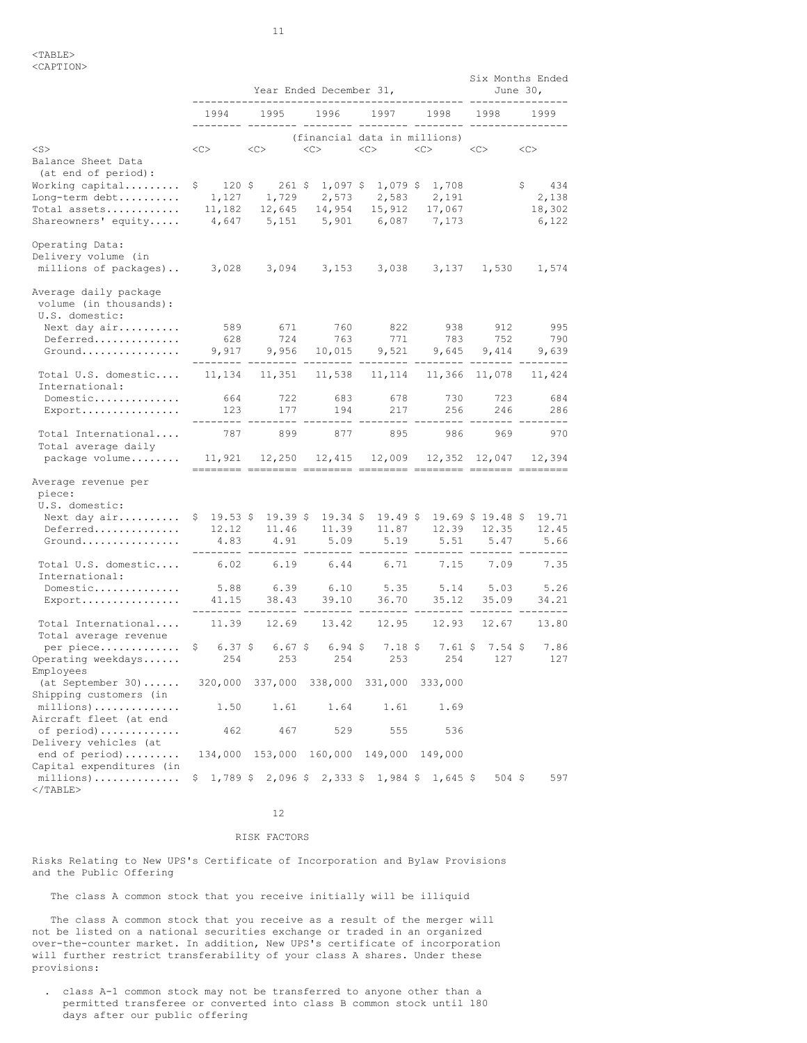11

|                                                                                                 |                                                      |                          | Six Months Ended<br>June $30r$ |                                                            |                          |                     |                                       |
|-------------------------------------------------------------------------------------------------|------------------------------------------------------|--------------------------|--------------------------------|------------------------------------------------------------|--------------------------|---------------------|---------------------------------------|
|                                                                                                 | 1994                                                 | 1995                     | 1996                           | 1997                                                       | 1998                     | 1998                | 1999                                  |
| $<$ S $>$<br>Balance Sheet Data                                                                 | <<                                                   | <<                       | <<                             | (financial data in millions)<br><<                         | $<$ C>                   | <<                  | < <sub></sub>                         |
| (at end of period):<br>Working capital<br>Long-term debt<br>Total assets<br>Shareowners' equity | $\mathsf{S}$<br>$120$ \$<br>1,127<br>11,182<br>4,647 | 1,729<br>12,645<br>5,151 | 2,573<br>14,954<br>5,901       | 261 \$ 1,097 \$ 1,079 \$ 1,708<br>2,583<br>15,912<br>6,087 | 2,191<br>17,067<br>7,173 |                     | \$<br>434<br>2,138<br>18,302<br>6,122 |
| Operating Data:<br>Delivery volume (in<br>millions of packages)                                 | 3,028                                                | 3,094                    | 3,153                          | 3,038                                                      | 3,137                    | 1,530               | 1,574                                 |
| Average daily package<br>volume (in thousands):<br>U.S. domestic:<br>Next day air               | 589                                                  | 671                      | 760                            | 822                                                        | 938                      | 912                 | 995                                   |
| Deferred<br>Ground                                                                              | 628<br>9,917                                         | 724<br>9,956             | 763<br>10,015                  | 771<br>9,521                                               | 783<br>9,645             | 752<br>9,414        | 790<br>9,639                          |
| Total U.S. domestic<br>International:                                                           | 11,134                                               | 11,351                   | 11,538                         | 11, 114                                                    | 11,366                   | 11,078              | 11,424                                |
| Domestic<br>Export                                                                              | 664<br>123                                           | 722<br>177               | 683<br>194                     | 678<br>217                                                 | 730<br>256               | 723<br>246          | 684<br>286                            |
| Total International<br>Total average daily                                                      | 787                                                  | 899                      | 877                            | 895                                                        | 986                      | 969                 | 970                                   |
| package volume                                                                                  |                                                      | 11,921 12,250            | 12,415                         |                                                            | 12,009 12,352 12,047     |                     | 12,394                                |
| Average revenue per<br>piece:<br>U.S. domestic:                                                 |                                                      |                          |                                |                                                            |                          |                     |                                       |
| Next day air                                                                                    | \$19.53\$                                            | 19.39S                   | $19.34$ \$                     | $19.49$ \$                                                 |                          | $19.69$ \$ 19.48 \$ | 19.71                                 |
| Deferred                                                                                        | 12.12                                                | 11.46                    | 11.39                          | 11.87                                                      | 12.39                    | 12.35               | 12.45                                 |
| Ground                                                                                          | 4.83                                                 | 4.91                     | 5.09                           | 5.19                                                       | 5.51                     | 5.47                | 5.66                                  |
| Total U.S. domestic<br>International:                                                           | 6.02                                                 | 6.19                     | 6.44                           | 6.71                                                       | 7.15                     | 7.09                | 7.35                                  |
| Domestic                                                                                        | 5.88                                                 | 6.39                     | 6.10                           | 5.35                                                       | 5.14                     | 5.03                | 5.26                                  |
| Export                                                                                          | 41.15                                                | 38.43                    | 39.10                          | 36.70                                                      | 35.12                    | 35.09               | 34.21                                 |
| Total International<br>Total average revenue                                                    | 11.39                                                | 12.69                    | 13.42                          | 12.95                                                      | 12.93                    | 12.67               | 13.80                                 |
| per piece<br>Operating weekdays<br>Employees                                                    | $6.37$ \$<br>\$<br>254                               | $6.67$ \$<br>253         | $6.94$ \$<br>254               | $7.18$ \$<br>253                                           | $7.61$ \$<br>254         | $7.54$ \$<br>127    | 7.86<br>127                           |
| $(at$ September 30)<br>Shipping customers (in                                                   |                                                      | 320,000 337,000 338,000  |                                | 331,000                                                    | 333,000                  |                     |                                       |
| millions)<br>Aircraft fleet (at end<br>of period)                                               | 1.50<br>462                                          | 1.61<br>467              | 1.64<br>529                    | 1.61<br>555                                                | 1.69<br>536              |                     |                                       |
| Delivery vehicles (at                                                                           |                                                      |                          |                                |                                                            |                          |                     |                                       |
| end of period)<br>Capital expenditures (in                                                      | 134,000                                              | 153,000                  | 160,000                        | 149,000                                                    | 149,000                  |                     |                                       |
| $millions)$<br>$\langle$ /TABLE>                                                                |                                                      |                          |                                | $$1,789$ \$ 2,096 \$ 2,333 \$ 1,984 \$ 1,645 \$            |                          | $504$ \$            | 597                                   |

12

# RISK FACTORS

Risks Relating to New UPS's Certificate of Incorporation and Bylaw Provisions and the Public Offering

The class A common stock that you receive initially will be illiquid

The class A common stock that you receive as a result of the merger will not be listed on a national securities exchange or traded in an organized over-the-counter market. In addition, New UPS's certificate of incorporation will further restrict transferability of your class A shares. Under these provisions:

. class A-1 common stock may not be transferred to anyone other than a permitted transferee or converted into class B common stock until 180 days after our public offering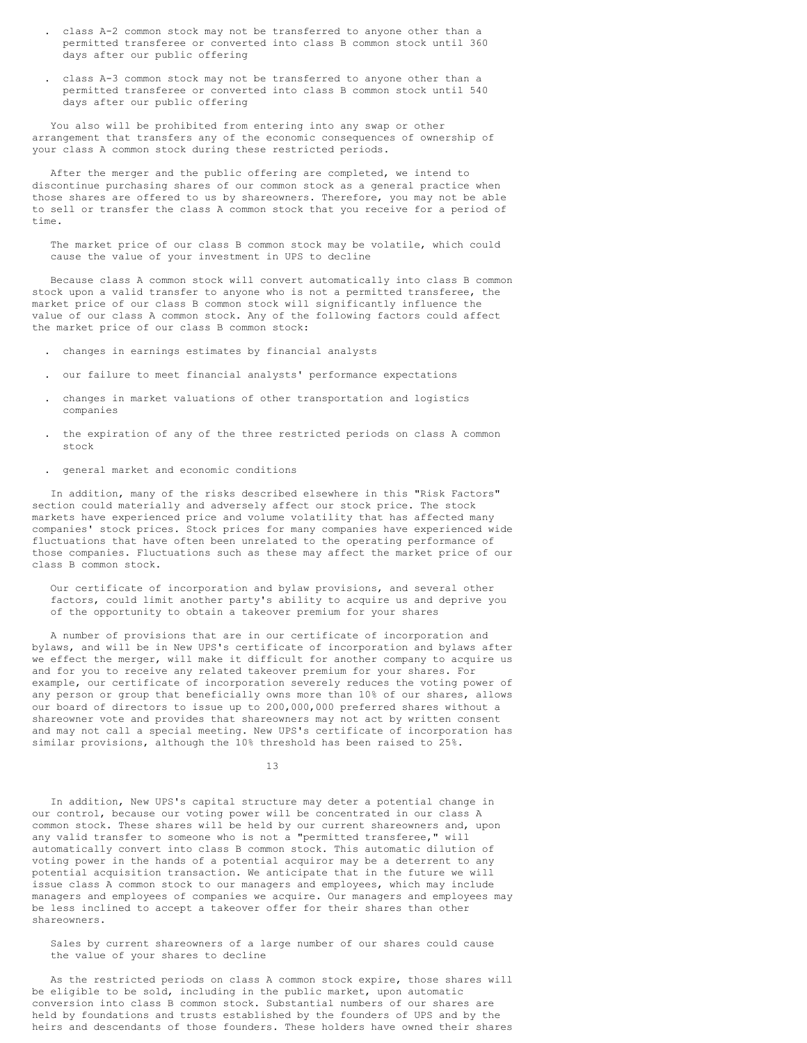- . class A-2 common stock may not be transferred to anyone other than a permitted transferee or converted into class B common stock until 360 days after our public offering
- . class A-3 common stock may not be transferred to anyone other than a permitted transferee or converted into class B common stock until 540 days after our public offering

You also will be prohibited from entering into any swap or other arrangement that transfers any of the economic consequences of ownership of your class A common stock during these restricted periods.

After the merger and the public offering are completed, we intend to discontinue purchasing shares of our common stock as a general practice when those shares are offered to us by shareowners. Therefore, you may not be able to sell or transfer the class A common stock that you receive for a period of time.

The market price of our class B common stock may be volatile, which could cause the value of your investment in UPS to decline

Because class A common stock will convert automatically into class B common stock upon a valid transfer to anyone who is not a permitted transferee, the market price of our class B common stock will significantly influence the value of our class A common stock. Any of the following factors could affect the market price of our class B common stock:

- . changes in earnings estimates by financial analysts
- . our failure to meet financial analysts' performance expectations
- . changes in market valuations of other transportation and logistics companies
- . the expiration of any of the three restricted periods on class A common stock
- . general market and economic conditions

In addition, many of the risks described elsewhere in this "Risk Factors" section could materially and adversely affect our stock price. The stock markets have experienced price and volume volatility that has affected many companies' stock prices. Stock prices for many companies have experienced wide fluctuations that have often been unrelated to the operating performance of those companies. Fluctuations such as these may affect the market price of our class B common stock.

Our certificate of incorporation and bylaw provisions, and several other factors, could limit another party's ability to acquire us and deprive you of the opportunity to obtain a takeover premium for your shares

A number of provisions that are in our certificate of incorporation and bylaws, and will be in New UPS's certificate of incorporation and bylaws after we effect the merger, will make it difficult for another company to acquire us and for you to receive any related takeover premium for your shares. For example, our certificate of incorporation severely reduces the voting power of any person or group that beneficially owns more than 10% of our shares, allows our board of directors to issue up to 200,000,000 preferred shares without a shareowner vote and provides that shareowners may not act by written consent and may not call a special meeting. New UPS's certificate of incorporation has similar provisions, although the 10% threshold has been raised to 25%.

13

In addition, New UPS's capital structure may deter a potential change in our control, because our voting power will be concentrated in our class A common stock. These shares will be held by our current shareowners and, upon any valid transfer to someone who is not a "permitted transferee," will automatically convert into class B common stock. This automatic dilution of voting power in the hands of a potential acquiror may be a deterrent to any potential acquisition transaction. We anticipate that in the future we will issue class A common stock to our managers and employees, which may include managers and employees of companies we acquire. Our managers and employees may be less inclined to accept a takeover offer for their shares than other shareowners.

Sales by current shareowners of a large number of our shares could cause the value of your shares to decline

As the restricted periods on class A common stock expire, those shares will be eligible to be sold, including in the public market, upon automatic conversion into class B common stock. Substantial numbers of our shares are held by foundations and trusts established by the founders of UPS and by the heirs and descendants of those founders. These holders have owned their shares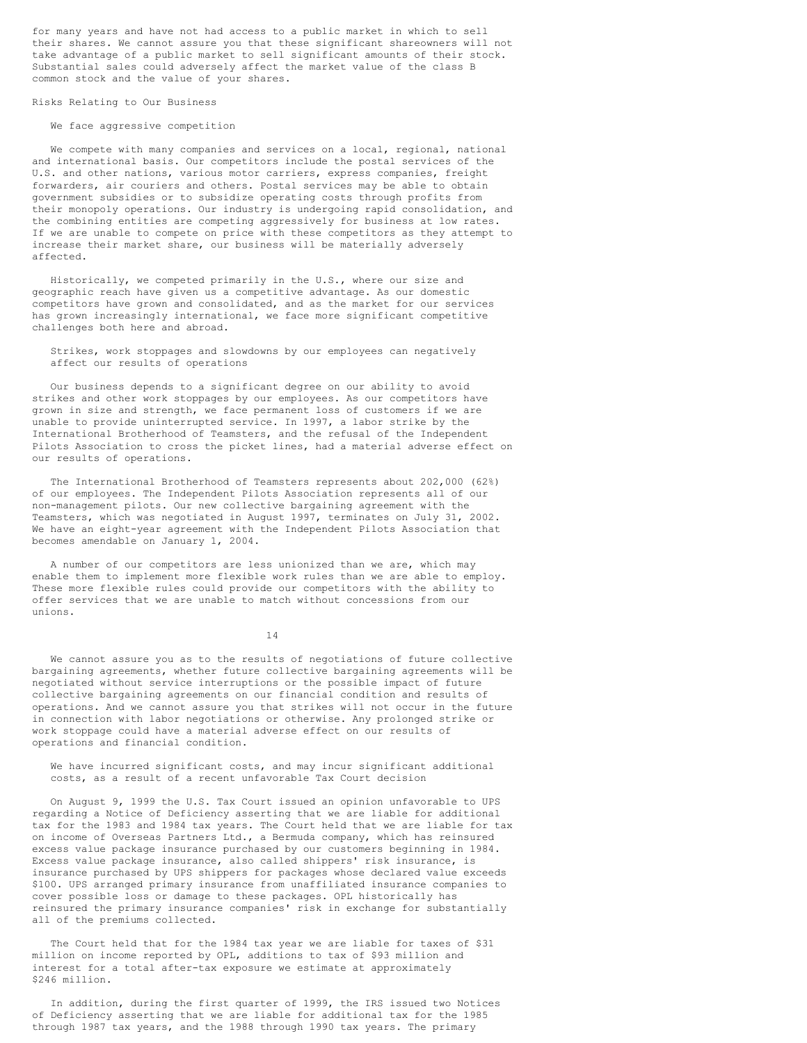for many years and have not had access to a public market in which to sell their shares. We cannot assure you that these significant shareowners will not take advantage of a public market to sell significant amounts of their stock. Substantial sales could adversely affect the market value of the class B common stock and the value of your shares.

Risks Relating to Our Business

#### We face aggressive competition

We compete with many companies and services on a local, regional, national and international basis. Our competitors include the postal services of the U.S. and other nations, various motor carriers, express companies, freight forwarders, air couriers and others. Postal services may be able to obtain government subsidies or to subsidize operating costs through profits from their monopoly operations. Our industry is undergoing rapid consolidation, and the combining entities are competing aggressively for business at low rates. If we are unable to compete on price with these competitors as they attempt to increase their market share, our business will be materially adversely affected.

Historically, we competed primarily in the U.S., where our size and geographic reach have given us a competitive advantage. As our domestic competitors have grown and consolidated, and as the market for our services has grown increasingly international, we face more significant competitive challenges both here and abroad.

Strikes, work stoppages and slowdowns by our employees can negatively affect our results of operations

Our business depends to a significant degree on our ability to avoid strikes and other work stoppages by our employees. As our competitors have grown in size and strength, we face permanent loss of customers if we are unable to provide uninterrupted service. In 1997, a labor strike by the International Brotherhood of Teamsters, and the refusal of the Independent Pilots Association to cross the picket lines, had a material adverse effect on our results of operations.

The International Brotherhood of Teamsters represents about 202,000 (62%) of our employees. The Independent Pilots Association represents all of our non-management pilots. Our new collective bargaining agreement with the Teamsters, which was negotiated in August 1997, terminates on July 31, 2002. We have an eight-year agreement with the Independent Pilots Association that becomes amendable on January 1, 2004.

A number of our competitors are less unionized than we are, which may enable them to implement more flexible work rules than we are able to employ. These more flexible rules could provide our competitors with the ability to offer services that we are unable to match without concessions from our unions.

14

We cannot assure you as to the results of negotiations of future collective bargaining agreements, whether future collective bargaining agreements will be negotiated without service interruptions or the possible impact of future collective bargaining agreements on our financial condition and results of operations. And we cannot assure you that strikes will not occur in the future in connection with labor negotiations or otherwise. Any prolonged strike or work stoppage could have a material adverse effect on our results of operations and financial condition.

We have incurred significant costs, and may incur significant additional costs, as a result of a recent unfavorable Tax Court decision

On August 9, 1999 the U.S. Tax Court issued an opinion unfavorable to UPS regarding a Notice of Deficiency asserting that we are liable for additional tax for the 1983 and 1984 tax years. The Court held that we are liable for tax on income of Overseas Partners Ltd., a Bermuda company, which has reinsured excess value package insurance purchased by our customers beginning in 1984. Excess value package insurance, also called shippers' risk insurance, is insurance purchased by UPS shippers for packages whose declared value exceeds \$100. UPS arranged primary insurance from unaffiliated insurance companies to cover possible loss or damage to these packages. OPL historically has reinsured the primary insurance companies' risk in exchange for substantially all of the premiums collected.

The Court held that for the 1984 tax year we are liable for taxes of \$31 million on income reported by OPL, additions to tax of \$93 million and interest for a total after-tax exposure we estimate at approximately \$246 million.

In addition, during the first quarter of 1999, the IRS issued two Notices of Deficiency asserting that we are liable for additional tax for the 1985 through 1987 tax years, and the 1988 through 1990 tax years. The primary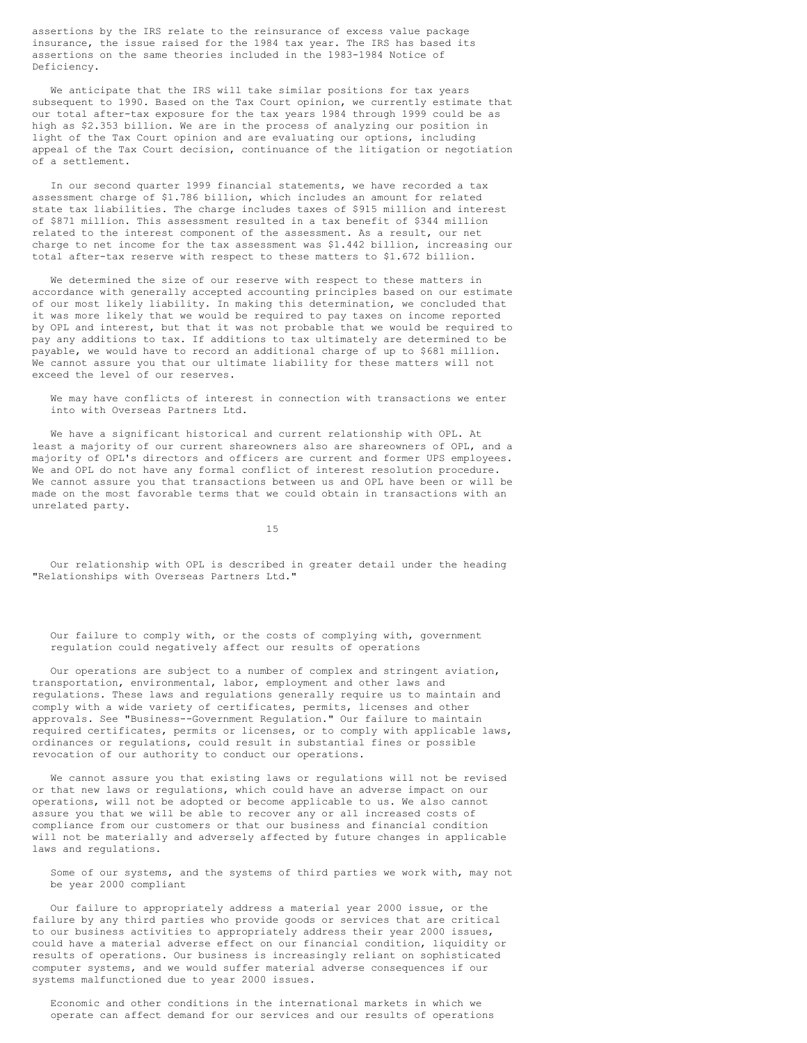assertions by the IRS relate to the reinsurance of excess value package insurance, the issue raised for the 1984 tax year. The IRS has based its assertions on the same theories included in the 1983-1984 Notice of Deficiency.

We anticipate that the IRS will take similar positions for tax years subsequent to 1990. Based on the Tax Court opinion, we currently estimate that our total after-tax exposure for the tax years 1984 through 1999 could be as high as \$2.353 billion. We are in the process of analyzing our position in light of the Tax Court opinion and are evaluating our options, including appeal of the Tax Court decision, continuance of the litigation or negotiation of a settlement.

In our second quarter 1999 financial statements, we have recorded a tax assessment charge of \$1.786 billion, which includes an amount for related state tax liabilities. The charge includes taxes of \$915 million and interest of \$871 million. This assessment resulted in a tax benefit of \$344 million related to the interest component of the assessment. As a result, our net charge to net income for the tax assessment was \$1.442 billion, increasing our total after-tax reserve with respect to these matters to \$1.672 billion.

We determined the size of our reserve with respect to these matters in accordance with generally accepted accounting principles based on our estimate of our most likely liability. In making this determination, we concluded that it was more likely that we would be required to pay taxes on income reported by OPL and interest, but that it was not probable that we would be required to pay any additions to tax. If additions to tax ultimately are determined to be payable, we would have to record an additional charge of up to \$681 million. We cannot assure you that our ultimate liability for these matters will not exceed the level of our reserves.

We may have conflicts of interest in connection with transactions we enter into with Overseas Partners Ltd.

We have a significant historical and current relationship with OPL. At least a majority of our current shareowners also are shareowners of OPL, and a majority of OPL's directors and officers are current and former UPS employees. We and OPL do not have any formal conflict of interest resolution procedure. We cannot assure you that transactions between us and OPL have been or will be made on the most favorable terms that we could obtain in transactions with an unrelated party.

15

Our relationship with OPL is described in greater detail under the heading "Relationships with Overseas Partners Ltd."

Our failure to comply with, or the costs of complying with, government regulation could negatively affect our results of operations

Our operations are subject to a number of complex and stringent aviation, transportation, environmental, labor, employment and other laws and regulations. These laws and regulations generally require us to maintain and comply with a wide variety of certificates, permits, licenses and other approvals. See "Business--Government Regulation." Our failure to maintain required certificates, permits or licenses, or to comply with applicable laws, ordinances or regulations, could result in substantial fines or possible revocation of our authority to conduct our operations.

We cannot assure you that existing laws or regulations will not be revised or that new laws or regulations, which could have an adverse impact on our operations, will not be adopted or become applicable to us. We also cannot assure you that we will be able to recover any or all increased costs of compliance from our customers or that our business and financial condition will not be materially and adversely affected by future changes in applicable laws and regulations.

Some of our systems, and the systems of third parties we work with, may not be year 2000 compliant

Our failure to appropriately address a material year 2000 issue, or the failure by any third parties who provide goods or services that are critical to our business activities to appropriately address their year 2000 issues, could have a material adverse effect on our financial condition, liquidity or results of operations. Our business is increasingly reliant on sophisticated computer systems, and we would suffer material adverse consequences if our systems malfunctioned due to year 2000 issues.

Economic and other conditions in the international markets in which we operate can affect demand for our services and our results of operations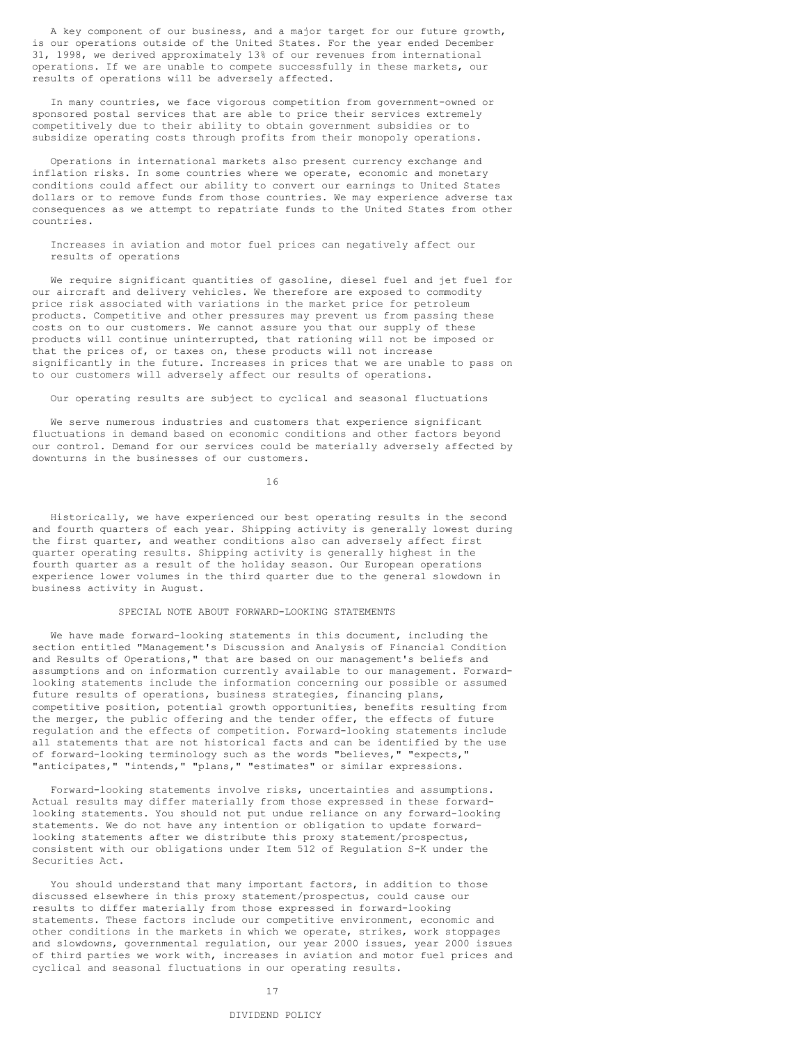A key component of our business, and a major target for our future growth, is our operations outside of the United States. For the year ended December 31, 1998, we derived approximately 13% of our revenues from international operations. If we are unable to compete successfully in these markets, our results of operations will be adversely affected.

In many countries, we face vigorous competition from government-owned or sponsored postal services that are able to price their services extremely competitively due to their ability to obtain government subsidies or to subsidize operating costs through profits from their monopoly operations.

Operations in international markets also present currency exchange and inflation risks. In some countries where we operate, economic and monetary conditions could affect our ability to convert our earnings to United States dollars or to remove funds from those countries. We may experience adverse tax consequences as we attempt to repatriate funds to the United States from other countries.

Increases in aviation and motor fuel prices can negatively affect our results of operations

We require significant quantities of gasoline, diesel fuel and jet fuel for our aircraft and delivery vehicles. We therefore are exposed to commodity price risk associated with variations in the market price for petroleum products. Competitive and other pressures may prevent us from passing these costs on to our customers. We cannot assure you that our supply of these products will continue uninterrupted, that rationing will not be imposed or that the prices of, or taxes on, these products will not increase significantly in the future. Increases in prices that we are unable to pass on to our customers will adversely affect our results of operations.

Our operating results are subject to cyclical and seasonal fluctuations

We serve numerous industries and customers that experience significant fluctuations in demand based on economic conditions and other factors beyond our control. Demand for our services could be materially adversely affected by downturns in the businesses of our customers.

16

Historically, we have experienced our best operating results in the second and fourth quarters of each year. Shipping activity is generally lowest during the first quarter, and weather conditions also can adversely affect first quarter operating results. Shipping activity is generally highest in the fourth quarter as a result of the holiday season. Our European operations experience lower volumes in the third quarter due to the general slowdown in business activity in August.

# SPECIAL NOTE ABOUT FORWARD-LOOKING STATEMENTS

We have made forward-looking statements in this document, including the section entitled "Management's Discussion and Analysis of Financial Condition and Results of Operations," that are based on our management's beliefs and assumptions and on information currently available to our management. Forwardlooking statements include the information concerning our possible or assumed future results of operations, business strategies, financing plans, competitive position, potential growth opportunities, benefits resulting from the merger, the public offering and the tender offer, the effects of future regulation and the effects of competition. Forward-looking statements include all statements that are not historical facts and can be identified by the use of forward-looking terminology such as the words "believes," "expects," "anticipates," "intends," "plans," "estimates" or similar expressions.

Forward-looking statements involve risks, uncertainties and assumptions. Actual results may differ materially from those expressed in these forwardlooking statements. You should not put undue reliance on any forward-looking statements. We do not have any intention or obligation to update forwardlooking statements after we distribute this proxy statement/prospectus, consistent with our obligations under Item 512 of Regulation S-K under the Securities Act.

You should understand that many important factors, in addition to those discussed elsewhere in this proxy statement/prospectus, could cause our results to differ materially from those expressed in forward-looking statements. These factors include our competitive environment, economic and other conditions in the markets in which we operate, strikes, work stoppages and slowdowns, governmental regulation, our year 2000 issues, year 2000 issues of third parties we work with, increases in aviation and motor fuel prices and cyclical and seasonal fluctuations in our operating results.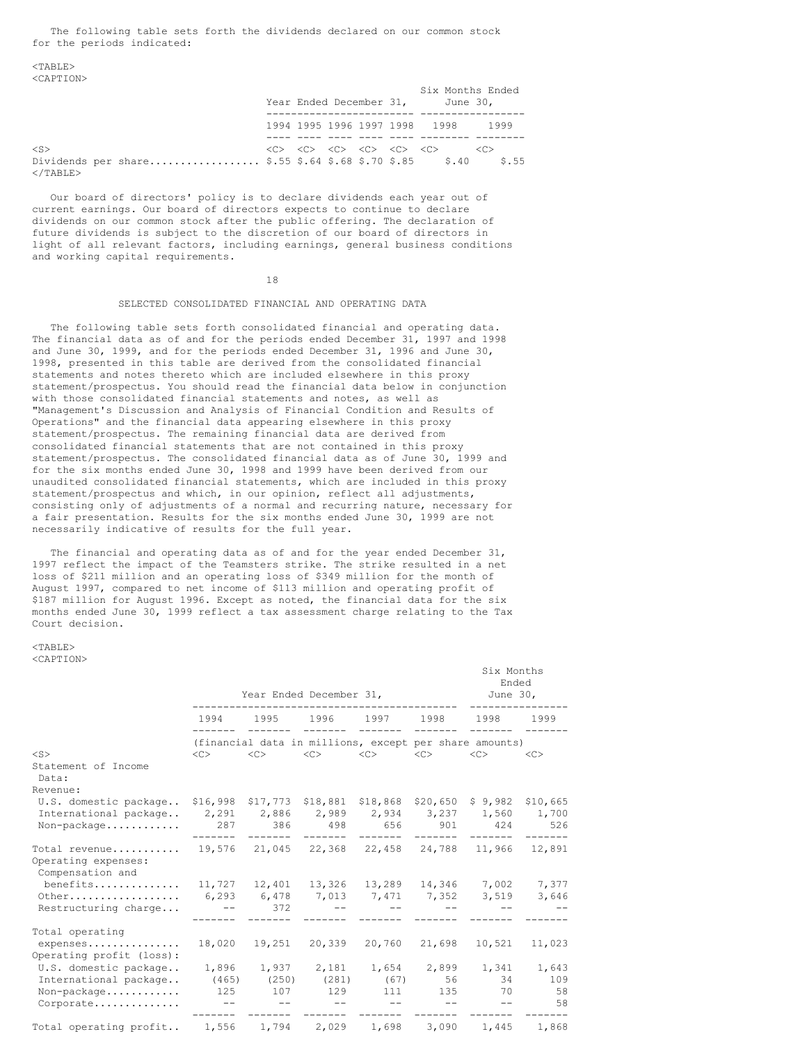The following table sets forth the dividends declared on our common stock for the periods indicated:

<TABLE> <CAPTION>

|                                                                                  |                                                                                                                                                                     |  |  | Six Months Ended<br>Year Ended December 31, June 30, |           |      |
|----------------------------------------------------------------------------------|---------------------------------------------------------------------------------------------------------------------------------------------------------------------|--|--|------------------------------------------------------|-----------|------|
|                                                                                  | 1994 1995 1996 1997 1998 1998                                                                                                                                       |  |  |                                                      |           | 1999 |
| $<$ S><br>Dividends per share \$.55 \$.64 \$.68 \$.70 \$.85 \$.40<br>$<$ /TABLE> | $\langle C \rangle \quad \langle C \rangle \quad \langle C \rangle \quad \langle C \rangle \quad \langle C \rangle \quad \langle C \rangle \quad \langle C \rangle$ |  |  |                                                      | < <c></c> | S.55 |

Our board of directors' policy is to declare dividends each year out of current earnings. Our board of directors expects to continue to declare dividends on our common stock after the public offering. The declaration of future dividends is subject to the discretion of our board of directors in light of all relevant factors, including earnings, general business conditions and working capital requirements.

### 18

# SELECTED CONSOLIDATED FINANCIAL AND OPERATING DATA

The following table sets forth consolidated financial and operating data. The financial data as of and for the periods ended December 31, 1997 and 1998 and June 30, 1999, and for the periods ended December 31, 1996 and June 30, 1998, presented in this table are derived from the consolidated financial statements and notes thereto which are included elsewhere in this proxy statement/prospectus. You should read the financial data below in conjunction with those consolidated financial statements and notes, as well as "Management's Discussion and Analysis of Financial Condition and Results of Operations" and the financial data appearing elsewhere in this proxy statement/prospectus. The remaining financial data are derived from consolidated financial statements that are not contained in this proxy statement/prospectus. The consolidated financial data as of June 30, 1999 and for the six months ended June 30, 1998 and 1999 have been derived from our unaudited consolidated financial statements, which are included in this proxy statement/prospectus and which, in our opinion, reflect all adjustments, consisting only of adjustments of a normal and recurring nature, necessary for a fair presentation. Results for the six months ended June 30, 1999 are not necessarily indicative of results for the full year.

The financial and operating data as of and for the year ended December 31, 1997 reflect the impact of the Teamsters strike. The strike resulted in a net loss of \$211 million and an operating loss of \$349 million for the month of August 1997, compared to net income of \$113 million and operating profit of \$187 million for August 1996. Except as noted, the financial data for the six months ended June 30, 1999 reflect a tax assessment charge relating to the Tax Court decision.

#### <TABLE> <CAPTION>

|                                                                                                                     | Six Months<br>Ended<br>June 30, |                                              |                                                                                                |                                                             |                                             |               |          |
|---------------------------------------------------------------------------------------------------------------------|---------------------------------|----------------------------------------------|------------------------------------------------------------------------------------------------|-------------------------------------------------------------|---------------------------------------------|---------------|----------|
|                                                                                                                     |                                 |                                              | 1994 1995 1996 1997 1998 1998 1999                                                             |                                                             |                                             |               |          |
|                                                                                                                     |                                 |                                              | (financial data in millions, except per share amounts)                                         |                                                             |                                             |               |          |
| $<$ S $>$<br>Statement of Income<br>Data:                                                                           | $<\infty$                       | $\langle$ C> $\rangle$                       |                                                                                                | $\langle C \rangle$ $\langle C \rangle$ $\langle C \rangle$ |                                             | <<            | <<>      |
| Revenue:<br>U.S. domestic package<br>International package 2,291 2,886 2,989 2,934 3,237 1,560 1,700<br>Non-package |                                 |                                              | $$16,998$ $$17,773$ $$18,881$ $$18,868$ $$20,650$ \$ 9,982 \$10,665<br>287 386 498 656 901 424 | -------                                                     | --------                                    | --------      | 526      |
| Total revenue 19,576 21,045 22,368 22,458 24,788 11,966 12,891<br>Operating expenses:<br>Compensation and           |                                 |                                              |                                                                                                |                                                             |                                             |               |          |
| benefits 11,727 12,401 13,326 13,289 14,346 7,002 7,377<br>Other<br>Restructuring charge                            | $- -$                           | 372                                          | 6,293 6,478 7,013 7,471 7,352 3,519<br>$ -$                                                    |                                                             |                                             |               | 3,646    |
| Total operating                                                                                                     |                                 | --------                                     |                                                                                                |                                                             |                                             |               |          |
| $expenses \ldots \ldots \ldots$<br>Operating profit (loss):                                                         |                                 |                                              | 18,020 19,251 20,339                                                                           |                                                             | 20,760 21,698                               | 10,521 11,023 |          |
| U.S. domestic package<br>International package<br>Non-package<br>Corporate                                          |                                 | 125 107<br>the company of the company of the | $1,896$ 1,937 2,181 1,654 2,899 1,341 1,643<br>(465) (250) (281) (67) 56 34 109                |                                                             | 129 111 135<br>우리 사람들은 아이들은 사람들의 사람들을 만들었다. | 70<br>$- -$   | 58<br>58 |
| Total operating profit 1,556 1,794 2,029 1,698 3,090 1,445 1,868                                                    |                                 |                                              |                                                                                                |                                                             |                                             |               |          |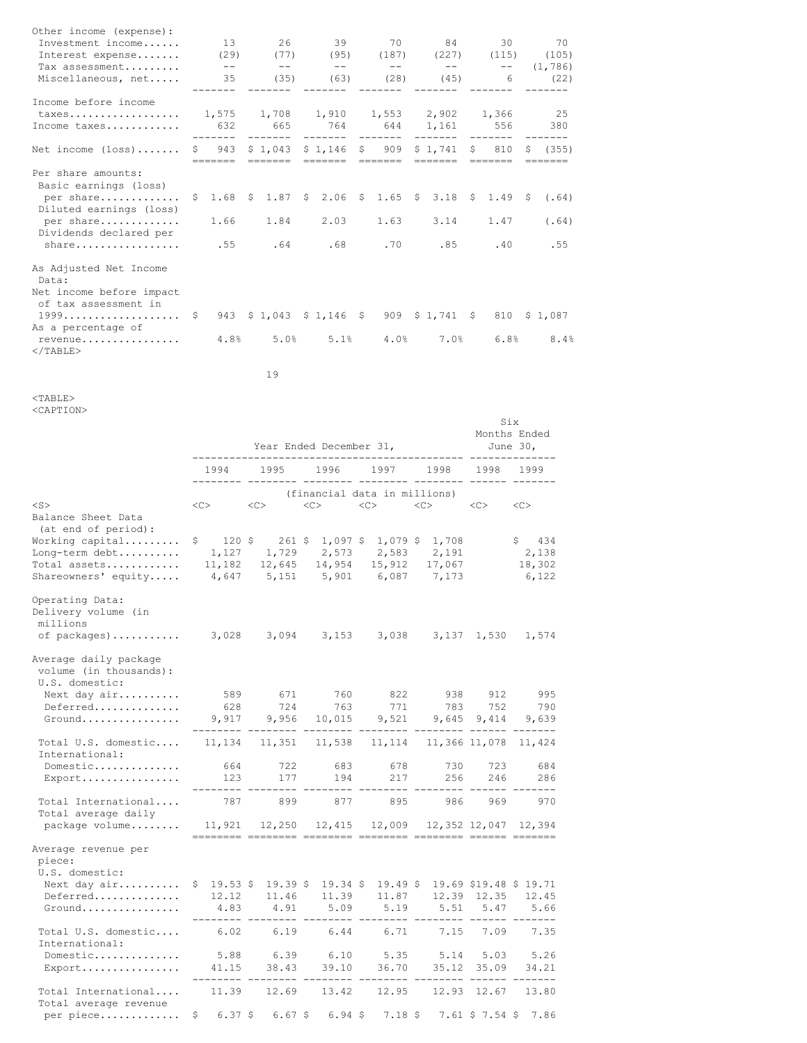| Other income (expense):<br>Investment income<br>Interest expense<br>Tax assessment<br>Miscellaneous, net                                                                                                                             | (29)<br>$- -$     | $- -$               | $- -$ | 13 26 39 70 84 30 70<br>$(77)$ $(95)$ $(187)$ $(227)$ $(115)$ $(105)$<br>$ -$<br>35 (35) (63) (28) (45) 6                   |                          |      | $- -(-)$ $(1, 786)$<br>(22)  |
|--------------------------------------------------------------------------------------------------------------------------------------------------------------------------------------------------------------------------------------|-------------------|---------------------|-------|-----------------------------------------------------------------------------------------------------------------------------|--------------------------|------|------------------------------|
| Income before income<br>taxes 1,575 1,708 1,910 1,553 2,902 1,366 25<br>Income taxes                                                                                                                                                 |                   |                     |       | -----<br>632 665 764 644 1,161 556                                                                                          | -----<br>------- ------- |      | 380                          |
| Net income $(\text{loss}) \dots \dots$                                                                                                                                                                                               | \$943<br>-------- | --------<br>======= |       | $$1,043$ $$1,146$ $$909$ $$1,741$ $$810$                                                                                    | $=$ $=$ $=$ $=$ $=$ $=$  |      | (355)<br>S.                  |
| Per share amounts:<br>Basic earnings (loss)<br>per share<br>Diluted earnings (loss)<br>per share<br>Dividends declared per<br>share                                                                                                  |                   |                     |       | $$1.68$ $$1.87$ $$2.06$ $$1.65$ $$3.18$ $$1.49$ $$5$<br>$1.66$ $1.84$ $2.03$ $1.63$ $3.14$<br>$.55$ $.64$ $.68$ $.70$ $.85$ |                          | 1.47 | (.64)<br>(.64)<br>$.40$ . 55 |
| As Adjusted Net Income<br>Data:<br>Net income before impact<br>of tax assessment in<br>$1999$ $$ $$ $$ $\begin{cases} 943 & 51043 & 51146 & 5909 & 51741 & 5810 & 51087 \end{cases}$<br>As a percentage of<br>revenue<br>$<$ /TABLE> |                   |                     |       | $4.8\%$ 5.0% 5.1% $4.0\%$ 7.0%                                                                                              |                          |      | $6.8$ $8.4$                  |

19

 $<$ TABLE $>$ 

<CAPTION>

|                                                                                        |                     |       |                         | Year Ended December 31,<br>__________________________________                               |           |                            | Six<br>Months Ended<br>June 30, |
|----------------------------------------------------------------------------------------|---------------------|-------|-------------------------|---------------------------------------------------------------------------------------------|-----------|----------------------------|---------------------------------|
|                                                                                        | 1994                | 1995  | 1996                    |                                                                                             | 1997 1998 | 1998                       | --------------<br>1999          |
| $<$ S>                                                                                 | $\langle C \rangle$ | <<    |                         | (financial data in millions)<br>$\langle C \rangle$ $\langle C \rangle$ $\langle C \rangle$ |           | $<<$ $>$                   | <<                              |
| Balance Sheet Data<br>(at end of period):                                              |                     |       |                         |                                                                                             |           |                            |                                 |
| Working capital                                                                        |                     |       |                         | $$120 \t$ 261 \t$ 1,097 \t$ 1,079 \t$ 1,708$                                                |           |                            | \$ 434                          |
| Long-term debt                                                                         |                     |       |                         | $1,127$ $1,729$ $2,573$ $2,583$ $2,191$                                                     |           |                            | 2,138                           |
| Total assets<br>Shareowners' equity                                                    |                     |       |                         | 11, 182  12, 645  14, 954  15, 912  17, 067<br>4,647 5,151 5,901 6,087 7,173                |           |                            | 18,302<br>6,122                 |
| Operating Data:<br>Delivery volume (in<br>millions                                     |                     |       |                         |                                                                                             |           |                            |                                 |
| of packages) 3,028 3,094 3,153 3,038 3,137 1,530                                       |                     |       |                         |                                                                                             |           |                            | 1,574                           |
| Average daily package<br>volume (in thousands):<br>U.S. domestic:                      |                     |       |                         |                                                                                             |           |                            |                                 |
| Next day air                                                                           | 589                 | 671   | 760                     | 822                                                                                         |           | 938 912                    | 995                             |
| Deferred<br>Ground                                                                     | 628<br>9,917        |       | 724 763<br>9,956 10,015 | 771<br>9,521                                                                                |           | 783 752<br>$9,645$ $9,414$ | 790<br>9,639                    |
|                                                                                        |                     |       |                         |                                                                                             |           |                            |                                 |
| Total U.S. domestic 11,134 11,351 11,538 11,114 11,366 11,078 11,424<br>International: |                     |       |                         |                                                                                             |           |                            |                                 |
| Domestic                                                                               | 664                 | 722   | 683                     | 678                                                                                         | 730       | 723                        | 684                             |
| Export                                                                                 | 123<br>-----        | 177   | 194                     | 217<br>------ -------- -                                                                    | 256       | 246<br>------ ------       | 286<br>$- - - - - -$            |
| Total International<br>Total average daily                                             | 787                 | 899   | 877                     | 895                                                                                         | 986       | 969                        | 970                             |
| package volume 11,921 12,250 12,415 12,009 12,352 12,047 12,394                        |                     |       |                         |                                                                                             |           |                            |                                 |
| Average revenue per<br>piece:<br>U.S. domestic:                                        |                     |       |                         |                                                                                             |           |                            |                                 |
| Next day air                                                                           |                     |       |                         | $$19.53 \t$ 19.39 \t$ 19.34 \t$ 19.49 \t$ 19.69 \t$19.48 \t$ 19.71$                         |           |                            |                                 |
| Deferred                                                                               |                     |       |                         | $12.12$ $11.46$ $11.39$ $11.87$ $12.39$ $12.35$ $12.45$                                     |           |                            |                                 |
| Ground                                                                                 |                     |       |                         | 4.83 4.91 5.09 5.19 5.51 5.47 5.66                                                          |           |                            |                                 |
| Total U.S. domestic<br>International:                                                  | 6.02                | 6.19  | 6.44                    | 6.71                                                                                        | 7.15      | 7.09                       | 7.35                            |
| Domestic                                                                               |                     |       |                         | 5.88 6.39 6.10 5.35                                                                         | 5.14      | 5.03                       | 5.26                            |
| Export                                                                                 | 41.15               | 38.43 | 39.10                   | 36.70                                                                                       |           | 35.12 35.09                | 34.21                           |
| Total International 11.39 12.69 13.42 12.95 12.93 12.67<br>Total average revenue       |                     |       |                         |                                                                                             |           |                            | 13.80                           |
| per piece                                                                              | $6.37\;$ \$<br>\$   |       | $6.67$ \$ 6.94 \$       | $7.18$ \$                                                                                   |           |                            | 7.61 \$ 7.54 \$ 7.86            |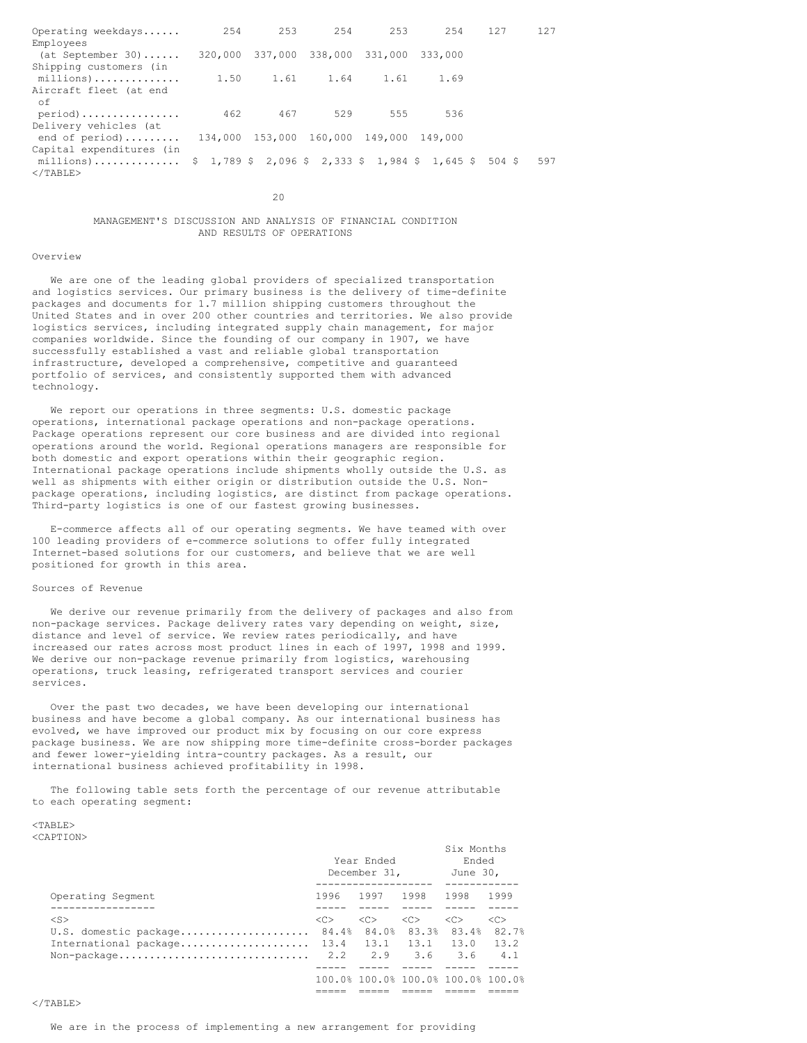| Operating weekdays       | 2.54 | 253 | 2.54    | 2.53                                    | 2.54                                                   | 127 | 127 |
|--------------------------|------|-----|---------|-----------------------------------------|--------------------------------------------------------|-----|-----|
| Employees                |      |     |         |                                         |                                                        |     |     |
| $(at$ September 30)      |      |     |         | 320,000 337,000 338,000 331,000 333,000 |                                                        |     |     |
| Shipping customers (in   |      |     |         |                                         |                                                        |     |     |
| millions)                |      |     |         | 1.50 1.61 1.64 1.61                     | 1.69                                                   |     |     |
| Aircraft fleet (at end   |      |     |         |                                         |                                                        |     |     |
| of                       |      |     |         |                                         |                                                        |     |     |
| period)                  | 462  |     | 467 529 | 555                                     | 536                                                    |     |     |
| Delivery vehicles (at    |      |     |         |                                         |                                                        |     |     |
| end of period)           |      |     |         | 134,000 153,000 160,000 149,000 149,000 |                                                        |     |     |
| Capital expenditures (in |      |     |         |                                         |                                                        |     |     |
| millions)                |      |     |         |                                         | $$1,789$ \$ 2,096 \$ 2,333 \$ 1,984 \$ 1,645 \$ 504 \$ |     | 597 |
| $<$ /TABLE>              |      |     |         |                                         |                                                        |     |     |
|                          |      |     |         |                                         |                                                        |     |     |

 $20$ 

#### MANAGEMENT'S DISCUSSION AND ANALYSIS OF FINANCIAL CONDITION AND RESULTS OF OPERATIONS

### Overview

We are one of the leading global providers of specialized transportation and logistics services. Our primary business is the delivery of time-definite packages and documents for 1.7 million shipping customers throughout the United States and in over 200 other countries and territories. We also provide logistics services, including integrated supply chain management, for major companies worldwide. Since the founding of our company in 1907, we have successfully established a vast and reliable global transportation infrastructure, developed a comprehensive, competitive and guaranteed portfolio of services, and consistently supported them with advanced technology.

We report our operations in three segments: U.S. domestic package operations, international package operations and non-package operations. Package operations represent our core business and are divided into regional operations around the world. Regional operations managers are responsible for both domestic and export operations within their geographic region. International package operations include shipments wholly outside the U.S. as well as shipments with either origin or distribution outside the U.S. Nonpackage operations, including logistics, are distinct from package operations. Third-party logistics is one of our fastest growing businesses.

E-commerce affects all of our operating segments. We have teamed with over 100 leading providers of e-commerce solutions to offer fully integrated Internet-based solutions for our customers, and believe that we are well positioned for growth in this area.

# Sources of Revenue

We derive our revenue primarily from the delivery of packages and also from non-package services. Package delivery rates vary depending on weight, size, distance and level of service. We review rates periodically, and have increased our rates across most product lines in each of 1997, 1998 and 1999. We derive our non-package revenue primarily from logistics, warehousing operations, truck leasing, refrigerated transport services and courier services.

Over the past two decades, we have been developing our international business and have become a global company. As our international business has evolved, we have improved our product mix by focusing on our core express package business. We are now shipping more time-definite cross-border packages and fewer lower-yielding intra-country packages. As a result, our international business achieved profitability in 1998.

The following table sets forth the percentage of our revenue attributable to each operating segment:

#### $<$ TABLE> <CAPTION>

|                                                     | Year Ended<br>December 31,<br>----------- |               |               | SIX MONTUS<br>Ended<br>June 30.    |               |
|-----------------------------------------------------|-------------------------------------------|---------------|---------------|------------------------------------|---------------|
| Operating Segment                                   | 1996                                      | 1997 1998     |               | 1998                               | 1999          |
| ---------------                                     |                                           |               |               |                                    |               |
| $<$ S>                                              | $<<$ $C$ $>$                              | < <sub></sub> | < <sub></sub> | < <sub></sub>                      | < <sub></sub> |
| U.S. domestic package 84.4% 84.0% 83.3% 83.4% 82.7% |                                           |               |               |                                    |               |
| International package $13.4$ 13.1 13.1 13.0         |                                           |               |               |                                    | 13.2          |
|                                                     |                                           |               | 3.6           | 3.6                                | 4.1           |
|                                                     |                                           |               |               |                                    |               |
|                                                     |                                           |               |               | 100.0% 100.0% 100.0% 100.0% 100.0% |               |
|                                                     |                                           |               |               |                                    |               |

Six Months

#### $\langle$ /TABLE>

We are in the process of implementing a new arrangement for providing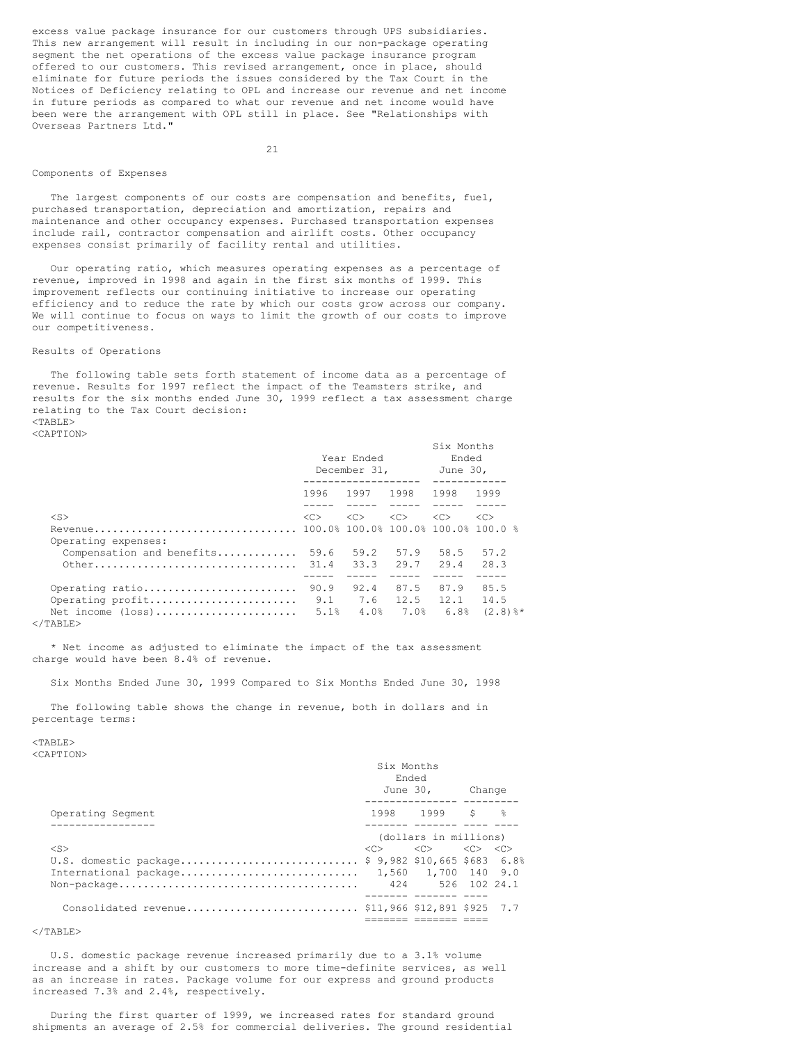excess value package insurance for our customers through UPS subsidiaries. This new arrangement will result in including in our non-package operating segment the net operations of the excess value package insurance program offered to our customers. This revised arrangement, once in place, should eliminate for future periods the issues considered by the Tax Court in the Notices of Deficiency relating to OPL and increase our revenue and net income in future periods as compared to what our revenue and net income would have been were the arrangement with OPL still in place. See "Relationships with Overseas Partners Ltd."

21

# Components of Expenses

The largest components of our costs are compensation and benefits, fuel, purchased transportation, depreciation and amortization, repairs and maintenance and other occupancy expenses. Purchased transportation expenses include rail, contractor compensation and airlift costs. Other occupancy expenses consist primarily of facility rental and utilities.

Our operating ratio, which measures operating expenses as a percentage of revenue, improved in 1998 and again in the first six months of 1999. This improvement reflects our continuing initiative to increase our operating efficiency and to reduce the rate by which our costs grow across our company. We will continue to focus on ways to limit the growth of our costs to improve our competitiveness.

#### Results of Operations

The following table sets forth statement of income data as a percentage of revenue. Results for 1997 reflect the impact of the Teamsters strike, and results for the six months ended June 30, 1999 reflect a tax assessment charge relating to the Tax Court decision:  $<$ TABLE $>$ 

<CAPTION>

|                                                                               |              | Year Ended<br>December 31, | Six Months<br>Ended<br>June 30, |                                               |                             |
|-------------------------------------------------------------------------------|--------------|----------------------------|---------------------------------|-----------------------------------------------|-----------------------------|
|                                                                               |              | 1996 1997                  | 1998                            | 1998                                          | 1999                        |
| $<$ S $>$                                                                     | <<           | $<<$ $>$                   | $<<$ $>$                        | < <sub></sub>                                 | <<                          |
| Operating expenses:                                                           |              |                            |                                 |                                               |                             |
| Compensation and benefits                                                     | 59.6         |                            |                                 | 59.2 57.9 58.5                                | 57.2                        |
|                                                                               |              |                            | $33.3$ $29.7$ $29.4$            |                                               | 28.3                        |
| Operating ratio<br>Operating profit<br>Net income (loss)<br>$\langle$ /TABLE> | 90.9<br>5.1% |                            | 92.4 87.5                       | 87.9<br>$9.1$ 7.6 12.5 12.1<br>4.0% 7.0% 6.8% | 85.5<br>14.5<br>$(2.8)$ $*$ |

\* Net income as adjusted to eliminate the impact of the tax assessment charge would have been 8.4% of revenue.

Six Months Ended June 30, 1999 Compared to Six Months Ended June 30, 1998

The following table shows the change in revenue, both in dollars and in percentage terms:

 $<$ TABLE> <CAPTION>

|                                                                                              | Six Months | Ended<br>June 30, Change                                                        |  |  |
|----------------------------------------------------------------------------------------------|------------|---------------------------------------------------------------------------------|--|--|
| Operating Segment                                                                            |            | 1998 1999 \$ %                                                                  |  |  |
|                                                                                              |            | (dollars in millions)                                                           |  |  |
| $<$ S>                                                                                       |            | $\langle C \rangle$ $\langle C \rangle$ $\langle C \rangle$ $\langle C \rangle$ |  |  |
| U.S. domestic package \$ 9,982 \$10,665 \$683 6.8%                                           |            |                                                                                 |  |  |
| International package 1,560 1,700 140 9.0                                                    |            |                                                                                 |  |  |
| $\text{Non-package} \dots \dots \dots \dots \dots \dots \dots \dots \dots \dots \dots \dots$ |            | 424 526 102 24.1                                                                |  |  |
|                                                                                              |            |                                                                                 |  |  |
|                                                                                              |            |                                                                                 |  |  |
|                                                                                              |            |                                                                                 |  |  |

#### $\langle$ /TABLE>

U.S. domestic package revenue increased primarily due to a 3.1% volume increase and a shift by our customers to more time-definite services, as well as an increase in rates. Package volume for our express and ground products increased 7.3% and 2.4%, respectively.

During the first quarter of 1999, we increased rates for standard ground shipments an average of 2.5% for commercial deliveries. The ground residential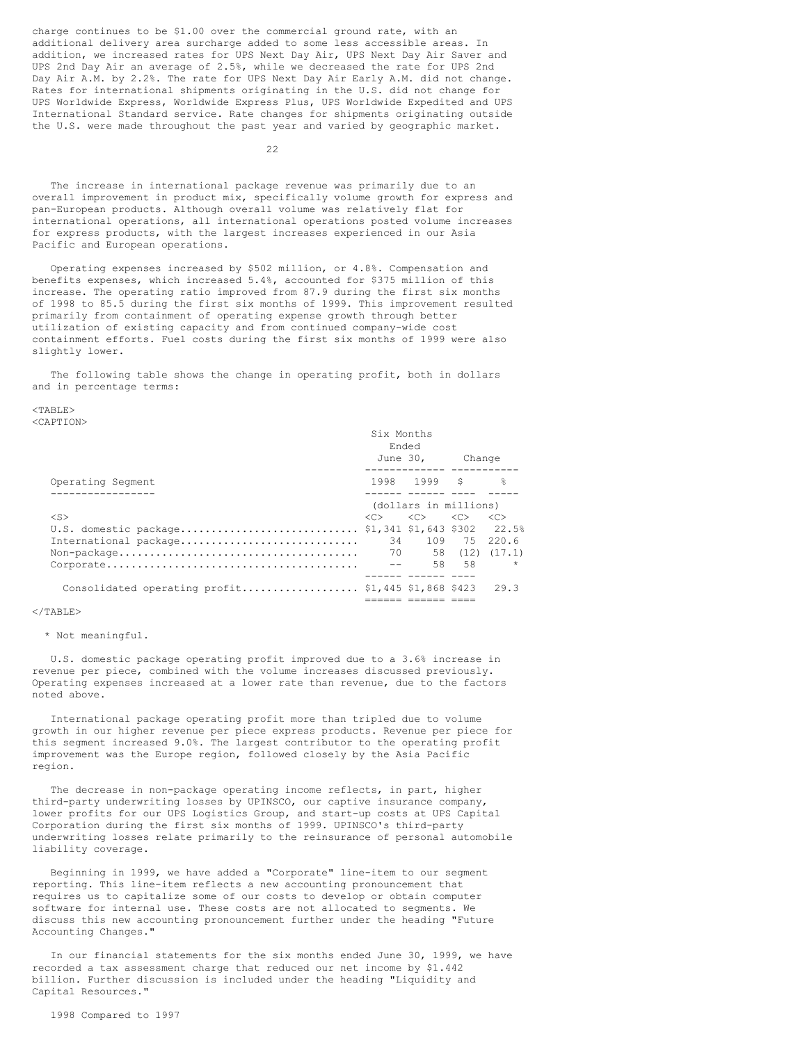charge continues to be \$1.00 over the commercial ground rate, with an additional delivery area surcharge added to some less accessible areas. In addition, we increased rates for UPS Next Day Air, UPS Next Day Air Saver and UPS 2nd Day Air an average of 2.5%, while we decreased the rate for UPS 2nd Day Air A.M. by 2.2%. The rate for UPS Next Day Air Early A.M. did not change. Rates for international shipments originating in the U.S. did not change for UPS Worldwide Express, Worldwide Express Plus, UPS Worldwide Expedited and UPS International Standard service. Rate changes for shipments originating outside the U.S. were made throughout the past year and varied by geographic market.

22

The increase in international package revenue was primarily due to an overall improvement in product mix, specifically volume growth for express and pan-European products. Although overall volume was relatively flat for international operations, all international operations posted volume increases for express products, with the largest increases experienced in our Asia Pacific and European operations.

Operating expenses increased by \$502 million, or 4.8%. Compensation and benefits expenses, which increased 5.4%, accounted for \$375 million of this increase. The operating ratio improved from 87.9 during the first six months of 1998 to 85.5 during the first six months of 1999. This improvement resulted primarily from containment of operating expense growth through better utilization of existing capacity and from continued company-wide cost containment efforts. Fuel costs during the first six months of 1999 were also slightly lower.

The following table shows the change in operating profit, both in dollars and in percentage terms:

 $<$ TABLE> <CAPTION>

|                                                                                     | Six Months            | Ended<br>June 30,                       | Change |                |
|-------------------------------------------------------------------------------------|-----------------------|-----------------------------------------|--------|----------------|
| Operating Segment                                                                   |                       | 1998 1999 \$                            |        | 욲              |
|                                                                                     | (dollars in millions) |                                         |        |                |
| $<$ S>                                                                              | $<<$ $>$              | $\langle C \rangle$ $\langle C \rangle$ |        | < <sub></sub>  |
| U.S. domestic package                                                               |                       | $$1,341$ $$1,643$ $$302$ 22.5%          |        |                |
| International package                                                               |                       | 34                                      |        | 109 75 220.6   |
| $Non-package \ldots \ldots \ldots \ldots \ldots \ldots \ldots \ldots \ldots \ldots$ |                       | 70 —                                    |        | 58 (12) (17.1) |
|                                                                                     | $ -$                  |                                         | 58 58  | $\star$        |
|                                                                                     |                       |                                         |        |                |
| Consolidated operating profit \$1,445 \$1,868 \$423 29.3                            |                       |                                         |        |                |
|                                                                                     |                       |                                         |        |                |

 $<$ /TABLE>

\* Not meaningful.

U.S. domestic package operating profit improved due to a 3.6% increase in revenue per piece, combined with the volume increases discussed previously. Operating expenses increased at a lower rate than revenue, due to the factors noted above.

International package operating profit more than tripled due to volume growth in our higher revenue per piece express products. Revenue per piece for this segment increased 9.0%. The largest contributor to the operating profit improvement was the Europe region, followed closely by the Asia Pacific region.

The decrease in non-package operating income reflects, in part, higher third-party underwriting losses by UPINSCO, our captive insurance company, lower profits for our UPS Logistics Group, and start-up costs at UPS Capital Corporation during the first six months of 1999. UPINSCO's third-party underwriting losses relate primarily to the reinsurance of personal automobile liability coverage.

Beginning in 1999, we have added a "Corporate" line-item to our segment reporting. This line-item reflects a new accounting pronouncement that requires us to capitalize some of our costs to develop or obtain computer software for internal use. These costs are not allocated to segments. We discuss this new accounting pronouncement further under the heading "Future Accounting Changes."

In our financial statements for the six months ended June 30, 1999, we have recorded a tax assessment charge that reduced our net income by \$1.442 billion. Further discussion is included under the heading "Liquidity and Capital Resources."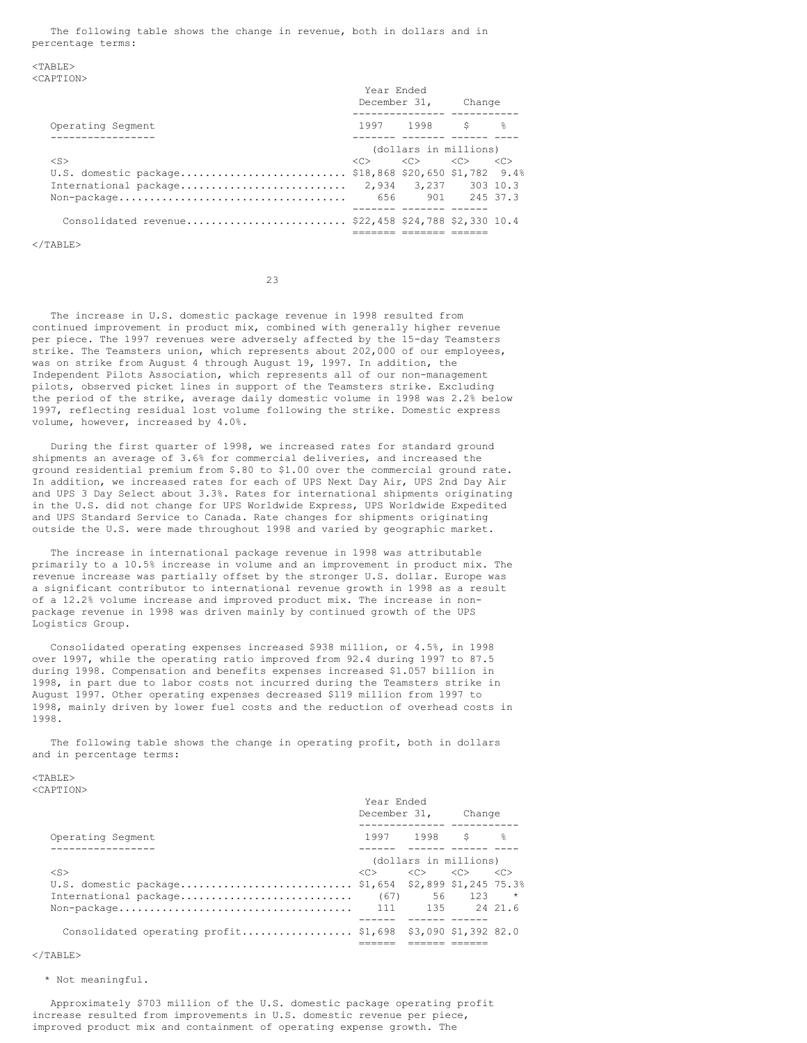The following table shows the change in revenue, both in dollars and in percentage terms:

<TABLE> <CAPTION>

|                                                      | Year Ended<br>December 31, Change<br>------------- -------- |                                         |  |                     |
|------------------------------------------------------|-------------------------------------------------------------|-----------------------------------------|--|---------------------|
| Operating Segment                                    |                                                             | 1997 1998 \$ %                          |  |                     |
|                                                      |                                                             | (dollars in millions)                   |  |                     |
| $<$ S>                                               | $\langle C \rangle$ . The set of $\langle C \rangle$        | $\langle C \rangle$ $\langle C \rangle$ |  | $\langle C \rangle$ |
| U.S. domestic package \$18,868 \$20,650 \$1,782 9.4% |                                                             |                                         |  |                     |
|                                                      |                                                             |                                         |  |                     |
|                                                      |                                                             | 656 901 245 37.3                        |  |                     |
|                                                      |                                                             |                                         |  |                     |
| Consolidated revenue \$22,458 \$24,788 \$2,330 10.4  |                                                             |                                         |  |                     |
|                                                      |                                                             |                                         |  |                     |

 $\langle$ /TABLE>

23

The increase in U.S. domestic package revenue in 1998 resulted from continued improvement in product mix, combined with generally higher revenue per piece. The 1997 revenues were adversely affected by the 15-day Teamsters strike. The Teamsters union, which represents about 202,000 of our employees, was on strike from August 4 through August 19, 1997. In addition, the Independent Pilots Association, which represents all of our non-management pilots, observed picket lines in support of the Teamsters strike. Excluding the period of the strike, average daily domestic volume in 1998 was 2.2% below 1997, reflecting residual lost volume following the strike. Domestic express volume, however, increased by 4.0%.

During the first quarter of 1998, we increased rates for standard ground shipments an average of 3.6% for commercial deliveries, and increased the ground residential premium from \$.80 to \$1.00 over the commercial ground rate. In addition, we increased rates for each of UPS Next Day Air, UPS 2nd Day Air and UPS 3 Day Select about 3.3%. Rates for international shipments originating in the U.S. did not change for UPS Worldwide Express, UPS Worldwide Expedited and UPS Standard Service to Canada. Rate changes for shipments originating outside the U.S. were made throughout 1998 and varied by geographic market.

The increase in international package revenue in 1998 was attributable primarily to a 10.5% increase in volume and an improvement in product mix. The revenue increase was partially offset by the stronger U.S. dollar. Europe was a significant contributor to international revenue growth in 1998 as a result of a 12.2% volume increase and improved product mix. The increase in nonpackage revenue in 1998 was driven mainly by continued growth of the UPS Logistics Group.

Consolidated operating expenses increased \$938 million, or 4.5%, in 1998 over 1997, while the operating ratio improved from 92.4 during 1997 to 87.5 during 1998. Compensation and benefits expenses increased \$1.057 billion in 1998, in part due to labor costs not incurred during the Teamsters strike in August 1997. Other operating expenses decreased \$119 million from 1997 to 1998, mainly driven by lower fuel costs and the reduction of overhead costs in 1998.

The following table shows the change in operating profit, both in dollars and in percentage terms:

# $<$ TABLE>

<CAPTION>

|                                                            | Year Ended<br>December 31,                                                                     |                       | Change |         |
|------------------------------------------------------------|------------------------------------------------------------------------------------------------|-----------------------|--------|---------|
| Operating Segment                                          |                                                                                                | 1997 1998 \$ %        |        |         |
|                                                            |                                                                                                | (dollars in millions) |        |         |
| $<$ S>                                                     | $\langle C \rangle \qquad \langle C \rangle \qquad \langle C \rangle \qquad \langle C \rangle$ |                       |        |         |
| U.S. domestic package \$1,654 \$2,899 \$1,245 75.3%        |                                                                                                |                       |        |         |
| International package                                      |                                                                                                | $(67)$ 56 123         |        | $\star$ |
|                                                            |                                                                                                |                       |        |         |
|                                                            |                                                                                                |                       |        |         |
| Consolidated operating profit \$1,698 \$3,090 \$1,392 82.0 |                                                                                                |                       |        |         |
|                                                            |                                                                                                |                       |        |         |

 $<$ /TABLE>

\* Not meaningful.

Approximately \$703 million of the U.S. domestic package operating profit increase resulted from improvements in U.S. domestic revenue per piece, improved product mix and containment of operating expense growth. The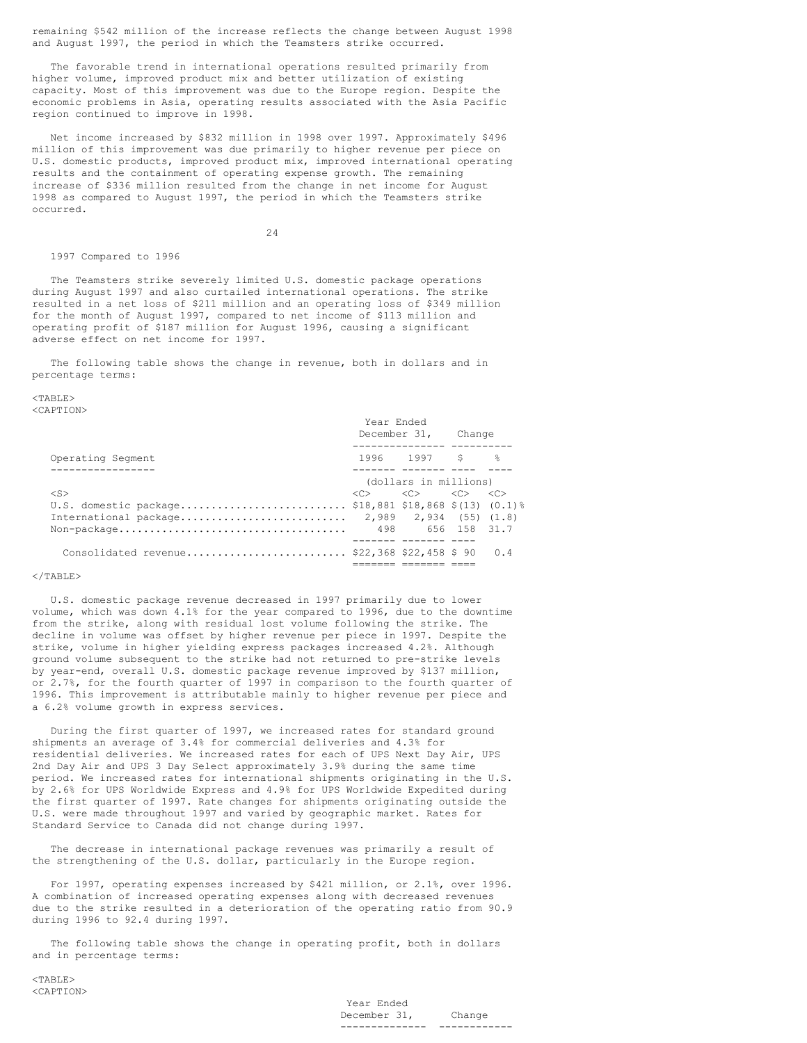remaining \$542 million of the increase reflects the change between August 1998 and August 1997, the period in which the Teamsters strike occurred.

The favorable trend in international operations resulted primarily from higher volume, improved product mix and better utilization of existing capacity. Most of this improvement was due to the Europe region. Despite the economic problems in Asia, operating results associated with the Asia Pacific region continued to improve in 1998.

Net income increased by \$832 million in 1998 over 1997. Approximately \$496 million of this improvement was due primarily to higher revenue per piece on U.S. domestic products, improved product mix, improved international operating results and the containment of operating expense growth. The remaining increase of \$336 million resulted from the change in net income for August 1998 as compared to August 1997, the period in which the Teamsters strike occurred.

24

# 1997 Compared to 1996

The Teamsters strike severely limited U.S. domestic package operations during August 1997 and also curtailed international operations. The strike resulted in a net loss of \$211 million and an operating loss of \$349 million for the month of August 1997, compared to net income of \$113 million and operating profit of \$187 million for August 1996, causing a significant adverse effect on net income for 1997.

The following table shows the change in revenue, both in dollars and in percentage terms:

# <TABLE>

<CAPTION>

|                                              | Year Ended            | December 31,                                                                                   | Change |     |
|----------------------------------------------|-----------------------|------------------------------------------------------------------------------------------------|--------|-----|
| Operating Segment                            |                       | 1996 1997 \$ %                                                                                 |        |     |
|                                              |                       |                                                                                                |        |     |
|                                              | (dollars in millions) |                                                                                                |        |     |
| $<$ S>                                       |                       | $\langle C \rangle \qquad \langle C \rangle \qquad \langle C \rangle \qquad \langle C \rangle$ |        |     |
| U.S. domestic package                        |                       | $$18,881$ \$18,868 \$(13) (0.1) %                                                              |        |     |
|                                              |                       |                                                                                                |        |     |
|                                              |                       | 498 656 158 31.7                                                                               |        |     |
|                                              |                       |                                                                                                |        |     |
| Consolidated revenue \$22,368 \$22,458 \$ 90 |                       |                                                                                                |        | 0.4 |
|                                              |                       |                                                                                                |        |     |

### $\langle$ /TABLE>

U.S. domestic package revenue decreased in 1997 primarily due to lower volume, which was down 4.1% for the year compared to 1996, due to the downtime from the strike, along with residual lost volume following the strike. The decline in volume was offset by higher revenue per piece in 1997. Despite the strike, volume in higher yielding express packages increased 4.2%. Although ground volume subsequent to the strike had not returned to pre-strike levels by year-end, overall U.S. domestic package revenue improved by \$137 million, or 2.7%, for the fourth quarter of 1997 in comparison to the fourth quarter of 1996. This improvement is attributable mainly to higher revenue per piece and a 6.2% volume growth in express services.

During the first quarter of 1997, we increased rates for standard ground shipments an average of 3.4% for commercial deliveries and 4.3% for residential deliveries. We increased rates for each of UPS Next Day Air, UPS 2nd Day Air and UPS 3 Day Select approximately 3.9% during the same time period. We increased rates for international shipments originating in the U.S. by 2.6% for UPS Worldwide Express and 4.9% for UPS Worldwide Expedited during the first quarter of 1997. Rate changes for shipments originating outside the U.S. were made throughout 1997 and varied by geographic market. Rates for Standard Service to Canada did not change during 1997.

The decrease in international package revenues was primarily a result of the strengthening of the U.S. dollar, particularly in the Europe region.

For 1997, operating expenses increased by \$421 million, or 2.1%, over 1996. A combination of increased operating expenses along with decreased revenues due to the strike resulted in a deterioration of the operating ratio from 90.9 during 1996 to 92.4 during 1997.

The following table shows the change in operating profit, both in dollars and in percentage terms:

<TABLE> <CAPTION>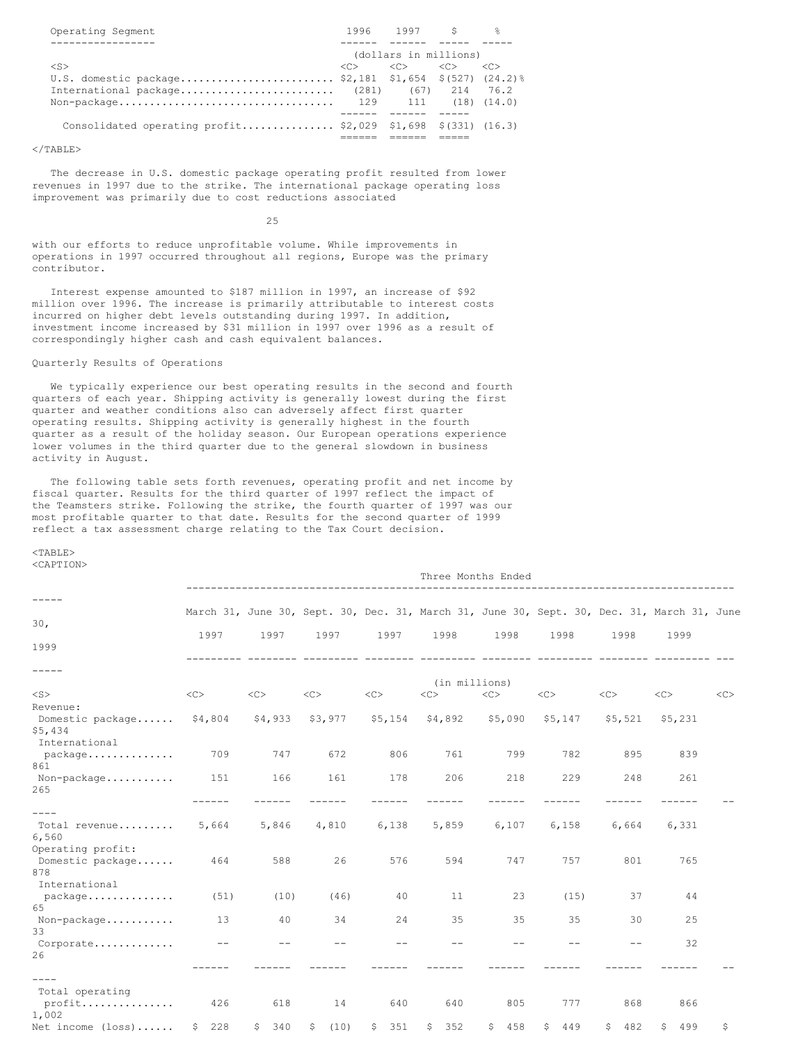| Operating Segment                                            |                       | 1996 1997 \$                                                |  | 욲         |  |  |
|--------------------------------------------------------------|-----------------------|-------------------------------------------------------------|--|-----------|--|--|
|                                                              |                       |                                                             |  |           |  |  |
|                                                              | (dollars in millions) |                                                             |  |           |  |  |
| $\langle S \rangle$                                          |                       | $\langle C \rangle$ $\langle C \rangle$ $\langle C \rangle$ |  | < <c></c> |  |  |
| U.S. domestic package \$2,181 \$1,654 \$(527) (24.2) %       |                       |                                                             |  |           |  |  |
| International package (281) (67) 214 76.2                    |                       |                                                             |  |           |  |  |
|                                                              |                       |                                                             |  |           |  |  |
|                                                              |                       |                                                             |  |           |  |  |
| Consolidated operating profit \$2,029 \$1,698 \$(331) (16.3) |                       |                                                             |  |           |  |  |
|                                                              |                       |                                                             |  |           |  |  |

 $<$ /TABLE>

The decrease in U.S. domestic package operating profit resulted from lower revenues in 1997 due to the strike. The international package operating loss improvement was primarily due to cost reductions associated

25

with our efforts to reduce unprofitable volume. While improvements in operations in 1997 occurred throughout all regions, Europe was the primary contributor.

Interest expense amounted to \$187 million in 1997, an increase of \$92 million over 1996. The increase is primarily attributable to interest costs incurred on higher debt levels outstanding during 1997. In addition, investment income increased by \$31 million in 1997 over 1996 as a result of correspondingly higher cash and cash equivalent balances.

### Quarterly Results of Operations

We typically experience our best operating results in the second and fourth quarters of each year. Shipping activity is generally lowest during the first quarter and weather conditions also can adversely affect first quarter operating results. Shipping activity is generally highest in the fourth quarter as a result of the holiday season. Our European operations experience lower volumes in the third quarter due to the general slowdown in business activity in August.

The following table sets forth revenues, operating profit and net income by fiscal quarter. Results for the third quarter of 1997 reflect the impact of the Teamsters strike. Following the strike, the fourth quarter of 1997 was our most profitable quarter to that date. Results for the second quarter of 1999 reflect a tax assessment charge relating to the Tax Court decision.

<TABLE> <CAPTION>

| March 31, June 30, Sept. 30, Dec. 31, March 31, June 30, Sept. 30, Dec. 31, March 31, June<br>1999<br><<<br>\$5,231 |
|---------------------------------------------------------------------------------------------------------------------|
|                                                                                                                     |
|                                                                                                                     |
|                                                                                                                     |
|                                                                                                                     |
|                                                                                                                     |
|                                                                                                                     |
| 839                                                                                                                 |
| 261                                                                                                                 |
|                                                                                                                     |
| 6,331                                                                                                               |
| 765                                                                                                                 |
| 44                                                                                                                  |
| 25                                                                                                                  |
| 32                                                                                                                  |
|                                                                                                                     |
| 866                                                                                                                 |
|                                                                                                                     |
|                                                                                                                     |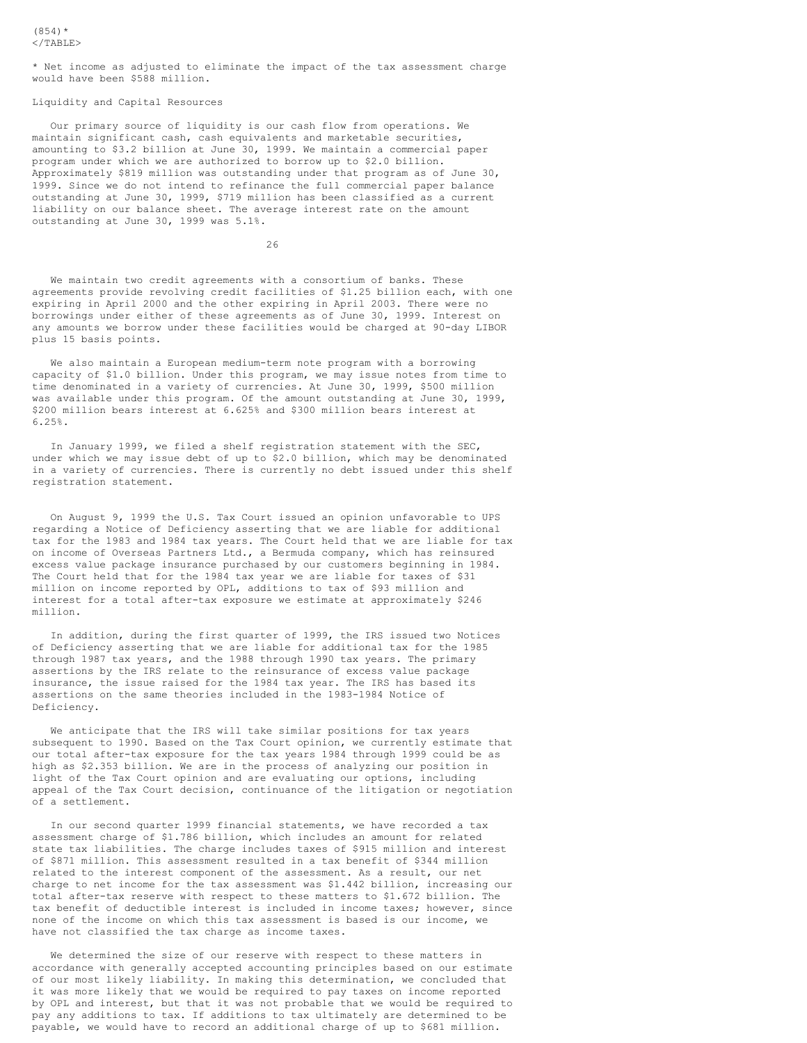$(854)*$  $\langle$ /TABLE>

\* Net income as adjusted to eliminate the impact of the tax assessment charge would have been \$588 million.

# Liquidity and Capital Resources

Our primary source of liquidity is our cash flow from operations. We maintain significant cash, cash equivalents and marketable securities, amounting to \$3.2 billion at June 30, 1999. We maintain a commercial paper program under which we are authorized to borrow up to \$2.0 billion. Approximately \$819 million was outstanding under that program as of June 30, 1999. Since we do not intend to refinance the full commercial paper balance outstanding at June 30, 1999, \$719 million has been classified as a current liability on our balance sheet. The average interest rate on the amount outstanding at June 30, 1999 was 5.1%.

 $26$ 

We maintain two credit agreements with a consortium of banks. These agreements provide revolving credit facilities of \$1.25 billion each, with one expiring in April 2000 and the other expiring in April 2003. There were no borrowings under either of these agreements as of June 30, 1999. Interest on any amounts we borrow under these facilities would be charged at 90-day LIBOR plus 15 basis points.

We also maintain a European medium-term note program with a borrowing capacity of \$1.0 billion. Under this program, we may issue notes from time to time denominated in a variety of currencies. At June 30, 1999, \$500 million was available under this program. Of the amount outstanding at June 30, 1999, \$200 million bears interest at 6.625% and \$300 million bears interest at 6.25%.

In January 1999, we filed a shelf registration statement with the SEC, under which we may issue debt of up to \$2.0 billion, which may be denominated in a variety of currencies. There is currently no debt issued under this shelf registration statement.

On August 9, 1999 the U.S. Tax Court issued an opinion unfavorable to UPS regarding a Notice of Deficiency asserting that we are liable for additional tax for the 1983 and 1984 tax years. The Court held that we are liable for tax on income of Overseas Partners Ltd., a Bermuda company, which has reinsured excess value package insurance purchased by our customers beginning in 1984. The Court held that for the 1984 tax year we are liable for taxes of \$31 million on income reported by OPL, additions to tax of \$93 million and interest for a total after-tax exposure we estimate at approximately \$246 million.

In addition, during the first quarter of 1999, the IRS issued two Notices of Deficiency asserting that we are liable for additional tax for the 1985 through 1987 tax years, and the 1988 through 1990 tax years. The primary assertions by the IRS relate to the reinsurance of excess value package insurance, the issue raised for the 1984 tax year. The IRS has based its assertions on the same theories included in the 1983-1984 Notice of Deficiency.

We anticipate that the IRS will take similar positions for tax years subsequent to 1990. Based on the Tax Court opinion, we currently estimate that our total after-tax exposure for the tax years 1984 through 1999 could be as high as \$2.353 billion. We are in the process of analyzing our position in light of the Tax Court opinion and are evaluating our options, including appeal of the Tax Court decision, continuance of the litigation or negotiation of a settlement.

In our second quarter 1999 financial statements, we have recorded a tax assessment charge of \$1.786 billion, which includes an amount for related state tax liabilities. The charge includes taxes of \$915 million and interest of \$871 million. This assessment resulted in a tax benefit of \$344 million related to the interest component of the assessment. As a result, our net charge to net income for the tax assessment was \$1.442 billion, increasing our total after-tax reserve with respect to these matters to \$1.672 billion. The tax benefit of deductible interest is included in income taxes; however, since none of the income on which this tax assessment is based is our income, we have not classified the tax charge as income taxes.

We determined the size of our reserve with respect to these matters in accordance with generally accepted accounting principles based on our estimate of our most likely liability. In making this determination, we concluded that it was more likely that we would be required to pay taxes on income reported by OPL and interest, but that it was not probable that we would be required to pay any additions to tax. If additions to tax ultimately are determined to be payable, we would have to record an additional charge of up to \$681 million.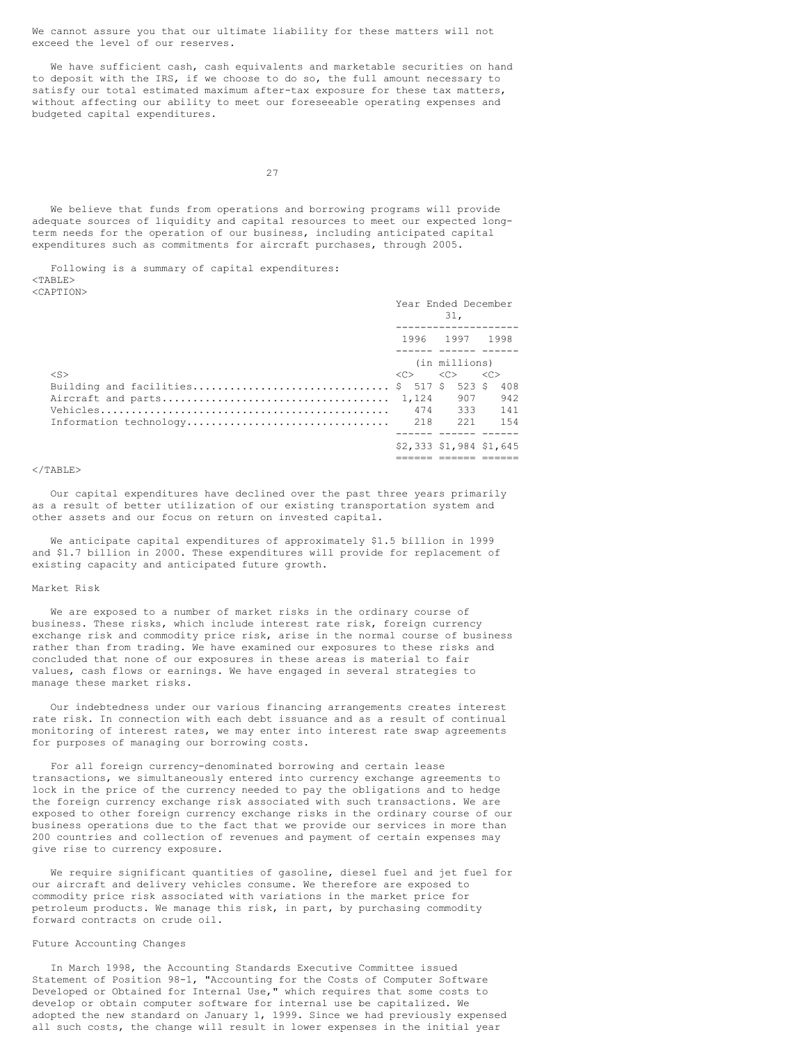We cannot assure you that our ultimate liability for these matters will not exceed the level of our reserves.

We have sufficient cash, cash equivalents and marketable securities on hand to deposit with the IRS, if we choose to do so, the full amount necessary to satisfy our total estimated maximum after-tax exposure for these tax matters, without affecting our ability to meet our foreseeable operating expenses and budgeted capital expenditures.

27

We believe that funds from operations and borrowing programs will provide adequate sources of liquidity and capital resources to meet our expected longterm needs for the operation of our business, including anticipated capital expenditures such as commitments for aircraft purchases, through 2005.

Following is a summary of capital expenditures:  $<$ TABLE $>$ <CAPTION>

|                                          | Year Ended December<br>31. |                                      |               |
|------------------------------------------|----------------------------|--------------------------------------|---------------|
|                                          |                            | 1996 1997 1998                       |               |
| $<$ S>                                   | $<<$ $>$                   | (in millions)<br>$\langle C \rangle$ | < <sub></sub> |
| Building and facilities \$ 517 \$ 523 \$ | 1,124                      | 907                                  | 408<br>942    |
| Information technology                   | 2.18                       | 474 333 141<br>221                   | 1.54          |
|                                          |                            | \$2,333 \$1,984 \$1,645              |               |
|                                          |                            |                                      |               |

# $\langle$ /TABLE>

Our capital expenditures have declined over the past three years primarily as a result of better utilization of our existing transportation system and other assets and our focus on return on invested capital.

We anticipate capital expenditures of approximately \$1.5 billion in 1999 and \$1.7 billion in 2000. These expenditures will provide for replacement of existing capacity and anticipated future growth.

# Market Risk

We are exposed to a number of market risks in the ordinary course of business. These risks, which include interest rate risk, foreign currency exchange risk and commodity price risk, arise in the normal course of business rather than from trading. We have examined our exposures to these risks and concluded that none of our exposures in these areas is material to fair values, cash flows or earnings. We have engaged in several strategies to manage these market risks.

Our indebtedness under our various financing arrangements creates interest rate risk. In connection with each debt issuance and as a result of continual monitoring of interest rates, we may enter into interest rate swap agreements for purposes of managing our borrowing costs.

For all foreign currency-denominated borrowing and certain lease transactions, we simultaneously entered into currency exchange agreements to lock in the price of the currency needed to pay the obligations and to hedge the foreign currency exchange risk associated with such transactions. We are exposed to other foreign currency exchange risks in the ordinary course of our business operations due to the fact that we provide our services in more than 200 countries and collection of revenues and payment of certain expenses may give rise to currency exposure.

We require significant quantities of gasoline, diesel fuel and jet fuel for our aircraft and delivery vehicles consume. We therefore are exposed to commodity price risk associated with variations in the market price for petroleum products. We manage this risk, in part, by purchasing commodity forward contracts on crude oil.

#### Future Accounting Changes

In March 1998, the Accounting Standards Executive Committee issued Statement of Position 98-1, "Accounting for the Costs of Computer Software Developed or Obtained for Internal Use," which requires that some costs to develop or obtain computer software for internal use be capitalized. We adopted the new standard on January 1, 1999. Since we had previously expensed all such costs, the change will result in lower expenses in the initial year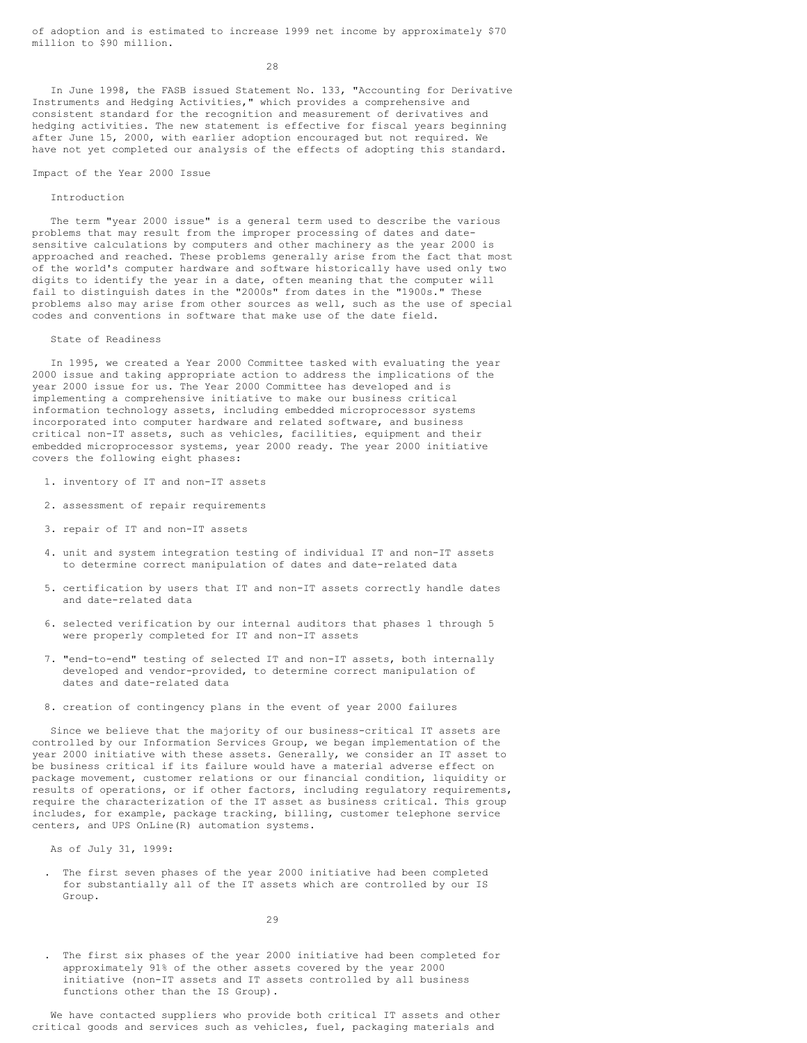of adoption and is estimated to increase 1999 net income by approximately \$70 million to \$90 million.

28

In June 1998, the FASB issued Statement No. 133, "Accounting for Derivative Instruments and Hedging Activities," which provides a comprehensive and consistent standard for the recognition and measurement of derivatives and hedging activities. The new statement is effective for fiscal years beginning after June 15, 2000, with earlier adoption encouraged but not required. We have not yet completed our analysis of the effects of adopting this standard.

# Impact of the Year 2000 Issue

#### Introduction

The term "year 2000 issue" is a general term used to describe the various problems that may result from the improper processing of dates and datesensitive calculations by computers and other machinery as the year 2000 is approached and reached. These problems generally arise from the fact that most of the world's computer hardware and software historically have used only two digits to identify the year in a date, often meaning that the computer will fail to distinguish dates in the "2000s" from dates in the "1900s." These problems also may arise from other sources as well, such as the use of special codes and conventions in software that make use of the date field.

#### State of Readiness

In 1995, we created a Year 2000 Committee tasked with evaluating the year 2000 issue and taking appropriate action to address the implications of the year 2000 issue for us. The Year 2000 Committee has developed and is implementing a comprehensive initiative to make our business critical information technology assets, including embedded microprocessor systems incorporated into computer hardware and related software, and business critical non-IT assets, such as vehicles, facilities, equipment and their embedded microprocessor systems, year 2000 ready. The year 2000 initiative covers the following eight phases:

- 1. inventory of IT and non-IT assets
- 2. assessment of repair requirements
- 3. repair of IT and non-IT assets
- 4. unit and system integration testing of individual IT and non-IT assets to determine correct manipulation of dates and date-related data
- 5. certification by users that IT and non-IT assets correctly handle dates and date-related data
- 6. selected verification by our internal auditors that phases 1 through 5 were properly completed for IT and non-IT assets
- 7. "end-to-end" testing of selected IT and non-IT assets, both internally developed and vendor-provided, to determine correct manipulation of dates and date-related data
- 8. creation of contingency plans in the event of year 2000 failures

Since we believe that the majority of our business-critical IT assets are controlled by our Information Services Group, we began implementation of the year 2000 initiative with these assets. Generally, we consider an IT asset to be business critical if its failure would have a material adverse effect on package movement, customer relations or our financial condition, liquidity or results of operations, or if other factors, including regulatory requirements, require the characterization of the IT asset as business critical. This group includes, for example, package tracking, billing, customer telephone service centers, and UPS OnLine(R) automation systems.

As of July 31, 1999:

. The first seven phases of the year 2000 initiative had been completed for substantially all of the IT assets which are controlled by our IS Group.

29

. The first six phases of the year 2000 initiative had been completed for approximately 91% of the other assets covered by the year 2000 initiative (non-IT assets and IT assets controlled by all business functions other than the IS Group).

We have contacted suppliers who provide both critical IT assets and other critical goods and services such as vehicles, fuel, packaging materials and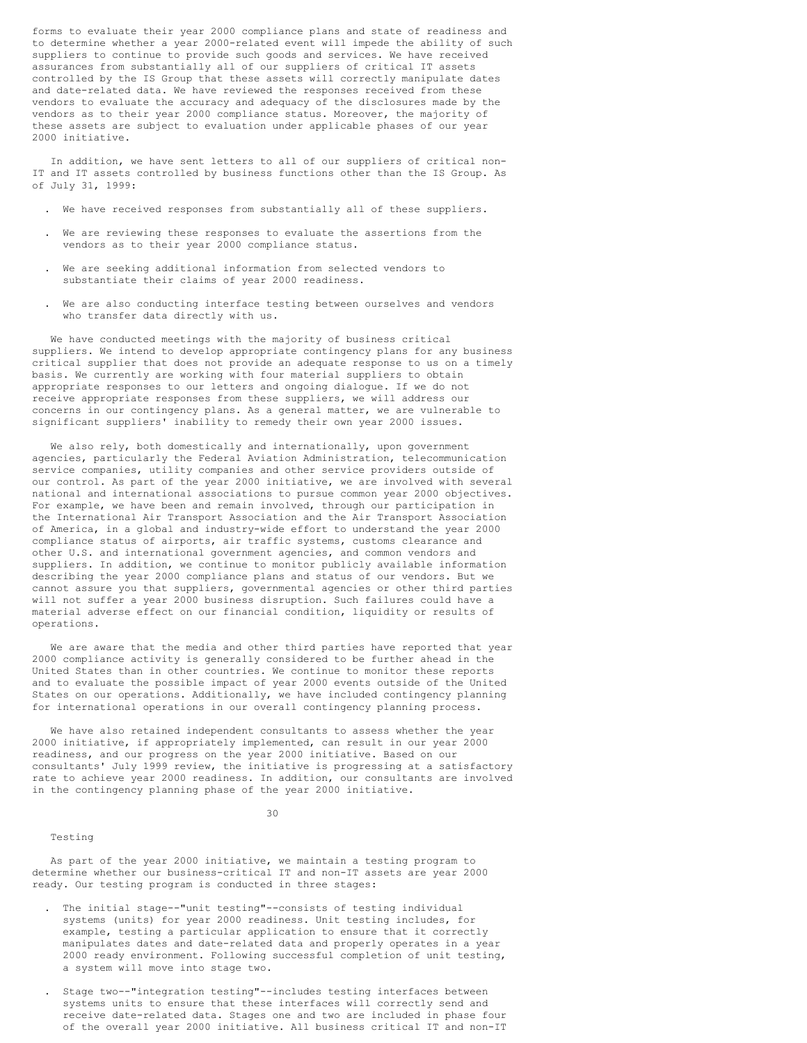forms to evaluate their year 2000 compliance plans and state of readiness and to determine whether a year 2000-related event will impede the ability of such suppliers to continue to provide such goods and services. We have received assurances from substantially all of our suppliers of critical IT assets controlled by the IS Group that these assets will correctly manipulate dates and date-related data. We have reviewed the responses received from these vendors to evaluate the accuracy and adequacy of the disclosures made by the vendors as to their year 2000 compliance status. Moreover, the majority of these assets are subject to evaluation under applicable phases of our year 2000 initiative.

In addition, we have sent letters to all of our suppliers of critical non-IT and IT assets controlled by business functions other than the IS Group. As of July 31, 1999:

- . We have received responses from substantially all of these suppliers.
- . We are reviewing these responses to evaluate the assertions from the vendors as to their year 2000 compliance status.
- . We are seeking additional information from selected vendors to substantiate their claims of year 2000 readiness.
- . We are also conducting interface testing between ourselves and vendors who transfer data directly with us.

We have conducted meetings with the majority of business critical suppliers. We intend to develop appropriate contingency plans for any business critical supplier that does not provide an adequate response to us on a timely basis. We currently are working with four material suppliers to obtain appropriate responses to our letters and ongoing dialogue. If we do not receive appropriate responses from these suppliers, we will address our concerns in our contingency plans. As a general matter, we are vulnerable to significant suppliers' inability to remedy their own year 2000 issues.

We also rely, both domestically and internationally, upon government agencies, particularly the Federal Aviation Administration, telecommunication service companies, utility companies and other service providers outside of our control. As part of the year 2000 initiative, we are involved with several national and international associations to pursue common year 2000 objectives. For example, we have been and remain involved, through our participation in the International Air Transport Association and the Air Transport Association of America, in a global and industry-wide effort to understand the year 2000 compliance status of airports, air traffic systems, customs clearance and other U.S. and international government agencies, and common vendors and suppliers. In addition, we continue to monitor publicly available information describing the year 2000 compliance plans and status of our vendors. But we cannot assure you that suppliers, governmental agencies or other third parties will not suffer a year 2000 business disruption. Such failures could have a material adverse effect on our financial condition, liquidity or results of operations.

We are aware that the media and other third parties have reported that year 2000 compliance activity is generally considered to be further ahead in the United States than in other countries. We continue to monitor these reports and to evaluate the possible impact of year 2000 events outside of the United States on our operations. Additionally, we have included contingency planning for international operations in our overall contingency planning process.

We have also retained independent consultants to assess whether the year 2000 initiative, if appropriately implemented, can result in our year 2000 readiness, and our progress on the year 2000 initiative. Based on our consultants' July 1999 review, the initiative is progressing at a satisfactory rate to achieve year 2000 readiness. In addition, our consultants are involved in the contingency planning phase of the year 2000 initiative.

### 30

### Testing

As part of the year 2000 initiative, we maintain a testing program to determine whether our business-critical IT and non-IT assets are year 2000 ready. Our testing program is conducted in three stages:

- . The initial stage--"unit testing"--consists of testing individual systems (units) for year 2000 readiness. Unit testing includes, for example, testing a particular application to ensure that it correctly manipulates dates and date-related data and properly operates in a year 2000 ready environment. Following successful completion of unit testing, a system will move into stage two.
- . Stage two--"integration testing"--includes testing interfaces between systems units to ensure that these interfaces will correctly send and receive date-related data. Stages one and two are included in phase four of the overall year 2000 initiative. All business critical IT and non-IT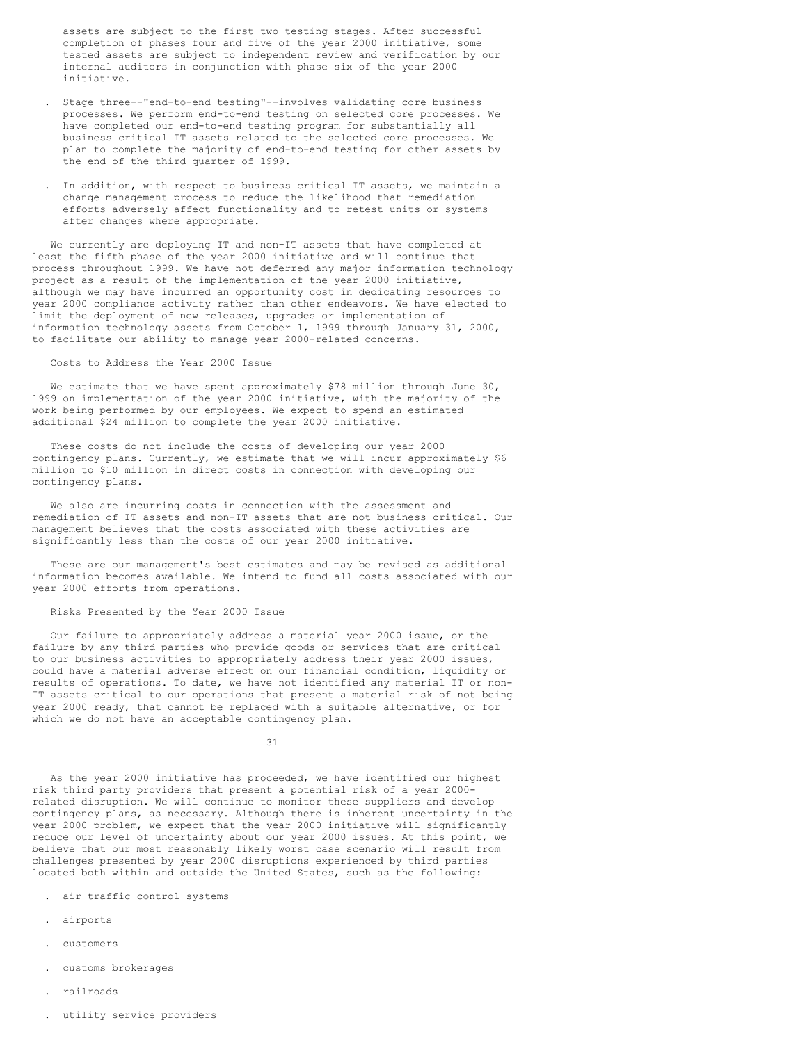assets are subject to the first two testing stages. After successful completion of phases four and five of the year 2000 initiative, some tested assets are subject to independent review and verification by our internal auditors in conjunction with phase six of the year 2000 initiative.

- . Stage three--"end-to-end testing"--involves validating core business processes. We perform end-to-end testing on selected core processes. We have completed our end-to-end testing program for substantially all business critical IT assets related to the selected core processes. We plan to complete the majority of end-to-end testing for other assets by the end of the third quarter of 1999.
- . In addition, with respect to business critical IT assets, we maintain a change management process to reduce the likelihood that remediation efforts adversely affect functionality and to retest units or systems after changes where appropriate.

We currently are deploying IT and non-IT assets that have completed at least the fifth phase of the year 2000 initiative and will continue that process throughout 1999. We have not deferred any major information technology project as a result of the implementation of the year 2000 initiative, although we may have incurred an opportunity cost in dedicating resources to year 2000 compliance activity rather than other endeavors. We have elected to limit the deployment of new releases, upgrades or implementation of information technology assets from October 1, 1999 through January 31, 2000, to facilitate our ability to manage year 2000-related concerns.

Costs to Address the Year 2000 Issue

We estimate that we have spent approximately \$78 million through June 30, 1999 on implementation of the year 2000 initiative, with the majority of the work being performed by our employees. We expect to spend an estimated additional \$24 million to complete the year 2000 initiative.

These costs do not include the costs of developing our year 2000 contingency plans. Currently, we estimate that we will incur approximately \$6 million to \$10 million in direct costs in connection with developing our contingency plans.

We also are incurring costs in connection with the assessment and remediation of IT assets and non-IT assets that are not business critical. Our management believes that the costs associated with these activities are significantly less than the costs of our year 2000 initiative.

These are our management's best estimates and may be revised as additional information becomes available. We intend to fund all costs associated with our year 2000 efforts from operations.

#### Risks Presented by the Year 2000 Issue

Our failure to appropriately address a material year 2000 issue, or the failure by any third parties who provide goods or services that are critical to our business activities to appropriately address their year 2000 issues, could have a material adverse effect on our financial condition, liquidity or results of operations. To date, we have not identified any material IT or non-IT assets critical to our operations that present a material risk of not being year 2000 ready, that cannot be replaced with a suitable alternative, or for which we do not have an acceptable contingency plan.

31

As the year 2000 initiative has proceeded, we have identified our highest risk third party providers that present a potential risk of a year 2000 related disruption. We will continue to monitor these suppliers and develop contingency plans, as necessary. Although there is inherent uncertainty in the year 2000 problem, we expect that the year 2000 initiative will significantly reduce our level of uncertainty about our year 2000 issues. At this point, we believe that our most reasonably likely worst case scenario will result from challenges presented by year 2000 disruptions experienced by third parties located both within and outside the United States, such as the following:

- . air traffic control systems
- . airports
- . customers
- . customs brokerages
- . railroads
- . utility service providers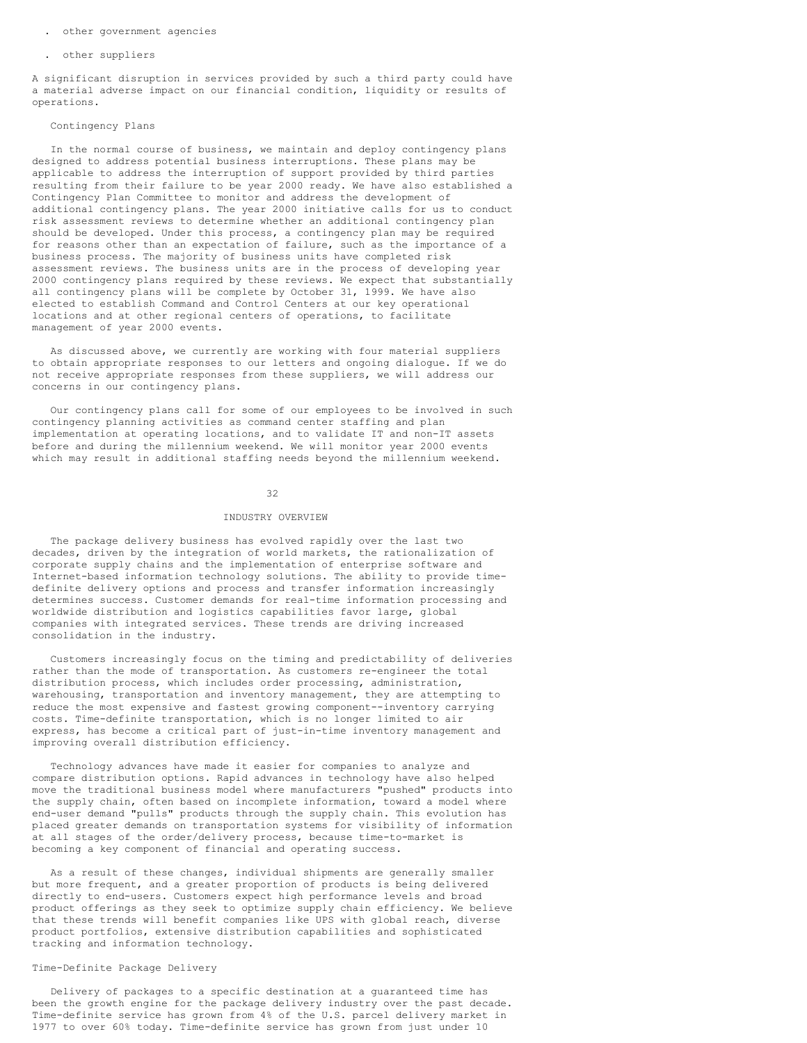- . other government agencies
- . other suppliers

A significant disruption in services provided by such a third party could have a material adverse impact on our financial condition, liquidity or results of operations.

### Contingency Plans

In the normal course of business, we maintain and deploy contingency plans designed to address potential business interruptions. These plans may be applicable to address the interruption of support provided by third parties resulting from their failure to be year 2000 ready. We have also established a Contingency Plan Committee to monitor and address the development of additional contingency plans. The year 2000 initiative calls for us to conduct risk assessment reviews to determine whether an additional contingency plan should be developed. Under this process, a contingency plan may be required for reasons other than an expectation of failure, such as the importance of a business process. The majority of business units have completed risk assessment reviews. The business units are in the process of developing year 2000 contingency plans required by these reviews. We expect that substantially all contingency plans will be complete by October 31, 1999. We have also elected to establish Command and Control Centers at our key operational locations and at other regional centers of operations, to facilitate management of year 2000 events.

As discussed above, we currently are working with four material suppliers to obtain appropriate responses to our letters and ongoing dialogue. If we do not receive appropriate responses from these suppliers, we will address our concerns in our contingency plans.

Our contingency plans call for some of our employees to be involved in such contingency planning activities as command center staffing and plan implementation at operating locations, and to validate IT and non-IT assets before and during the millennium weekend. We will monitor year 2000 events which may result in additional staffing needs beyond the millennium weekend.

### 32

#### INDUSTRY OVERVIEW

The package delivery business has evolved rapidly over the last two decades, driven by the integration of world markets, the rationalization of corporate supply chains and the implementation of enterprise software and Internet-based information technology solutions. The ability to provide timedefinite delivery options and process and transfer information increasingly determines success. Customer demands for real-time information processing and worldwide distribution and logistics capabilities favor large, global companies with integrated services. These trends are driving increased consolidation in the industry.

Customers increasingly focus on the timing and predictability of deliveries rather than the mode of transportation. As customers re-engineer the total distribution process, which includes order processing, administration, warehousing, transportation and inventory management, they are attempting to reduce the most expensive and fastest growing component--inventory carrying costs. Time-definite transportation, which is no longer limited to air express, has become a critical part of just-in-time inventory management and improving overall distribution efficiency.

Technology advances have made it easier for companies to analyze and compare distribution options. Rapid advances in technology have also helped move the traditional business model where manufacturers "pushed" products into the supply chain, often based on incomplete information, toward a model where end-user demand "pulls" products through the supply chain. This evolution has placed greater demands on transportation systems for visibility of information at all stages of the order/delivery process, because time-to-market is becoming a key component of financial and operating success.

As a result of these changes, individual shipments are generally smaller but more frequent, and a greater proportion of products is being delivered directly to end-users. Customers expect high performance levels and broad product offerings as they seek to optimize supply chain efficiency. We believe that these trends will benefit companies like UPS with global reach, diverse product portfolios, extensive distribution capabilities and sophisticated tracking and information technology.

# Time-Definite Package Delivery

Delivery of packages to a specific destination at a guaranteed time has been the growth engine for the package delivery industry over the past decade. Time-definite service has grown from 4% of the U.S. parcel delivery market in 1977 to over 60% today. Time-definite service has grown from just under 10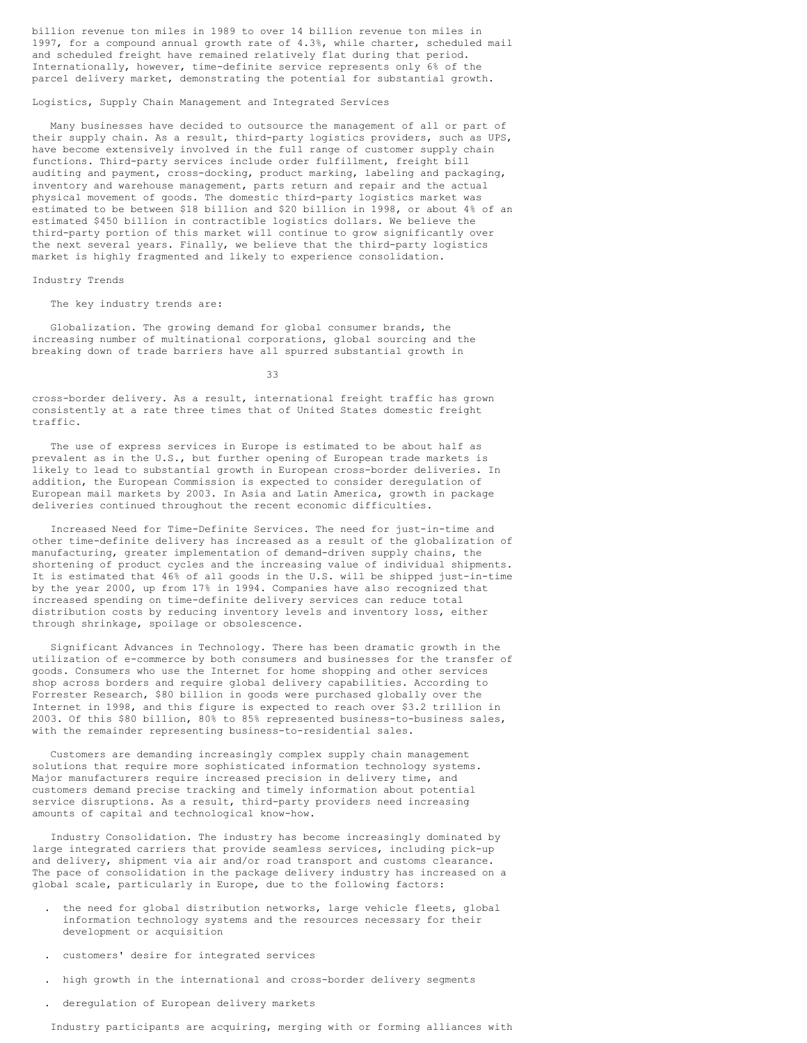billion revenue ton miles in 1989 to over 14 billion revenue ton miles in 1997, for a compound annual growth rate of 4.3%, while charter, scheduled mail and scheduled freight have remained relatively flat during that period. Internationally, however, time-definite service represents only 6% of the parcel delivery market, demonstrating the potential for substantial growth.

#### Logistics, Supply Chain Management and Integrated Services

Many businesses have decided to outsource the management of all or part of their supply chain. As a result, third-party logistics providers, such as UPS, have become extensively involved in the full range of customer supply chain functions. Third-party services include order fulfillment, freight bill auditing and payment, cross-docking, product marking, labeling and packaging, inventory and warehouse management, parts return and repair and the actual physical movement of goods. The domestic third-party logistics market was estimated to be between \$18 billion and \$20 billion in 1998, or about 4% of an estimated \$450 billion in contractible logistics dollars. We believe the third-party portion of this market will continue to grow significantly over the next several years. Finally, we believe that the third-party logistics market is highly fragmented and likely to experience consolidation.

#### Industry Trends

### The key industry trends are:

Globalization. The growing demand for global consumer brands, the increasing number of multinational corporations, global sourcing and the breaking down of trade barriers have all spurred substantial growth in

33

cross-border delivery. As a result, international freight traffic has grown consistently at a rate three times that of United States domestic freight traffic.

The use of express services in Europe is estimated to be about half as prevalent as in the U.S., but further opening of European trade markets is likely to lead to substantial growth in European cross-border deliveries. In addition, the European Commission is expected to consider deregulation of European mail markets by 2003. In Asia and Latin America, growth in package deliveries continued throughout the recent economic difficulties.

Increased Need for Time-Definite Services. The need for just-in-time and other time-definite delivery has increased as a result of the globalization of manufacturing, greater implementation of demand-driven supply chains, the shortening of product cycles and the increasing value of individual shipments. It is estimated that 46% of all goods in the U.S. will be shipped just-in-time by the year 2000, up from 17% in 1994. Companies have also recognized that increased spending on time-definite delivery services can reduce total distribution costs by reducing inventory levels and inventory loss, either through shrinkage, spoilage or obsolescence.

Significant Advances in Technology. There has been dramatic growth in the utilization of e-commerce by both consumers and businesses for the transfer of goods. Consumers who use the Internet for home shopping and other services shop across borders and require global delivery capabilities. According to Forrester Research, \$80 billion in goods were purchased globally over the Internet in 1998, and this figure is expected to reach over \$3.2 trillion in 2003. Of this \$80 billion, 80% to 85% represented business-to-business sales, with the remainder representing business-to-residential sales.

Customers are demanding increasingly complex supply chain management solutions that require more sophisticated information technology systems. Major manufacturers require increased precision in delivery time, and customers demand precise tracking and timely information about potential service disruptions. As a result, third-party providers need increasing amounts of capital and technological know-how.

Industry Consolidation. The industry has become increasingly dominated by large integrated carriers that provide seamless services, including pick-up and delivery, shipment via air and/or road transport and customs clearance. The pace of consolidation in the package delivery industry has increased on a global scale, particularly in Europe, due to the following factors:

- . the need for global distribution networks, large vehicle fleets, global information technology systems and the resources necessary for their development or acquisition
- . customers' desire for integrated services
- . high growth in the international and cross-border delivery segments
- . deregulation of European delivery markets

Industry participants are acquiring, merging with or forming alliances with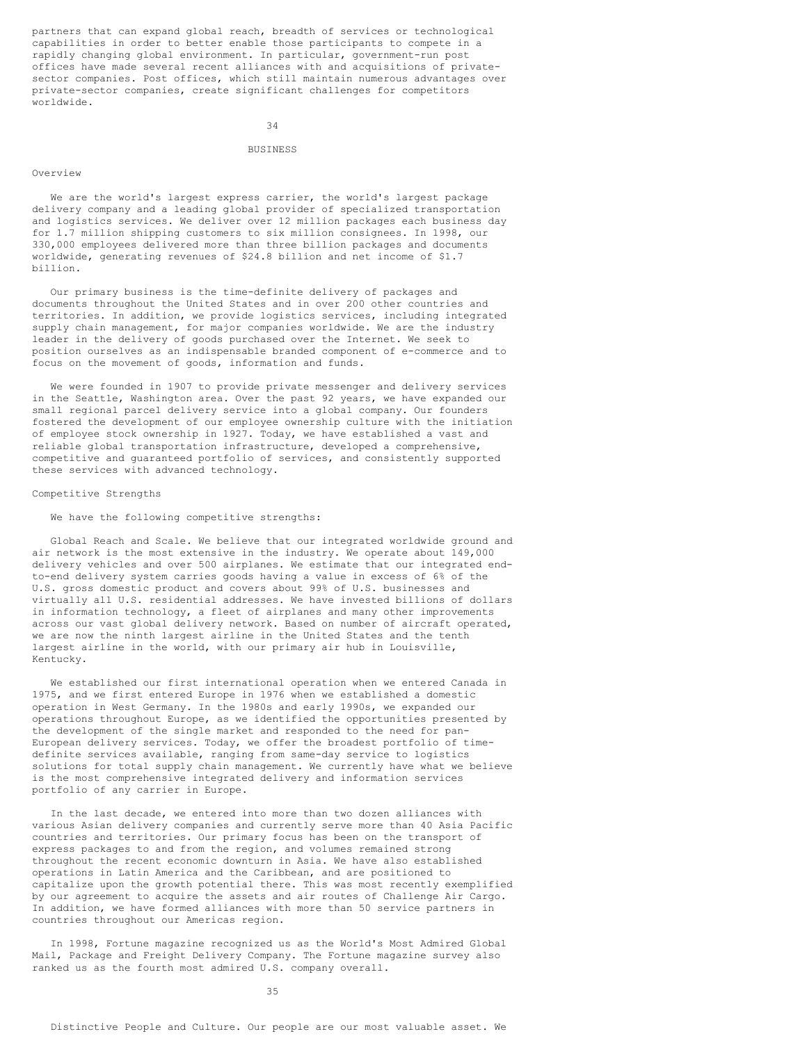partners that can expand global reach, breadth of services or technological capabilities in order to better enable those participants to compete in a rapidly changing global environment. In particular, government-run post offices have made several recent alliances with and acquisitions of privatesector companies. Post offices, which still maintain numerous advantages over private-sector companies, create significant challenges for competitors worldwide.

34

### **BUSINESS**

#### Overview

We are the world's largest express carrier, the world's largest package delivery company and a leading global provider of specialized transportation and logistics services. We deliver over 12 million packages each business day for 1.7 million shipping customers to six million consignees. In 1998, our 330,000 employees delivered more than three billion packages and documents worldwide, generating revenues of \$24.8 billion and net income of \$1.7 billion.

Our primary business is the time-definite delivery of packages and documents throughout the United States and in over 200 other countries and territories. In addition, we provide logistics services, including integrated supply chain management, for major companies worldwide. We are the industry leader in the delivery of goods purchased over the Internet. We seek to position ourselves as an indispensable branded component of e-commerce and to focus on the movement of goods, information and funds.

We were founded in 1907 to provide private messenger and delivery services in the Seattle, Washington area. Over the past 92 years, we have expanded our small regional parcel delivery service into a global company. Our founders fostered the development of our employee ownership culture with the initiation of employee stock ownership in 1927. Today, we have established a vast and reliable global transportation infrastructure, developed a comprehensive, competitive and guaranteed portfolio of services, and consistently supported these services with advanced technology.

### Competitive Strengths

We have the following competitive strengths:

Global Reach and Scale. We believe that our integrated worldwide ground and air network is the most extensive in the industry. We operate about 149,000 delivery vehicles and over 500 airplanes. We estimate that our integrated endto-end delivery system carries goods having a value in excess of 6% of the U.S. gross domestic product and covers about 99% of U.S. businesses and virtually all U.S. residential addresses. We have invested billions of dollars in information technology, a fleet of airplanes and many other improvements across our vast global delivery network. Based on number of aircraft operated, we are now the ninth largest airline in the United States and the tenth largest airline in the world, with our primary air hub in Louisville, Kentucky.

We established our first international operation when we entered Canada in 1975, and we first entered Europe in 1976 when we established a domestic operation in West Germany. In the 1980s and early 1990s, we expanded our operations throughout Europe, as we identified the opportunities presented by the development of the single market and responded to the need for pan-European delivery services. Today, we offer the broadest portfolio of timedefinite services available, ranging from same-day service to logistics solutions for total supply chain management. We currently have what we believe is the most comprehensive integrated delivery and information services portfolio of any carrier in Europe.

In the last decade, we entered into more than two dozen alliances with various Asian delivery companies and currently serve more than 40 Asia Pacific countries and territories. Our primary focus has been on the transport of express packages to and from the region, and volumes remained strong throughout the recent economic downturn in Asia. We have also established operations in Latin America and the Caribbean, and are positioned to capitalize upon the growth potential there. This was most recently exemplified by our agreement to acquire the assets and air routes of Challenge Air Cargo. In addition, we have formed alliances with more than 50 service partners in countries throughout our Americas region.

In 1998, Fortune magazine recognized us as the World's Most Admired Global Mail, Package and Freight Delivery Company. The Fortune magazine survey also ranked us as the fourth most admired U.S. company overall.

35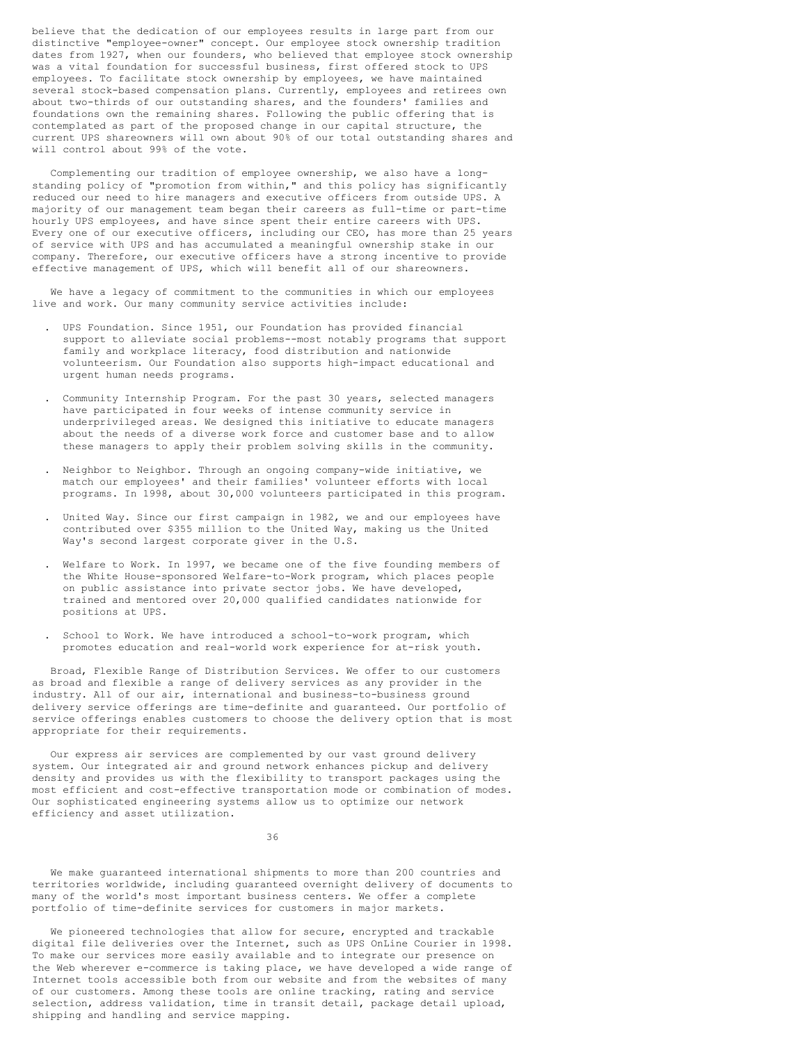believe that the dedication of our employees results in large part from our distinctive "employee-owner" concept. Our employee stock ownership tradition dates from 1927, when our founders, who believed that employee stock ownership was a vital foundation for successful business, first offered stock to UPS employees. To facilitate stock ownership by employees, we have maintained several stock-based compensation plans. Currently, employees and retirees own about two-thirds of our outstanding shares, and the founders' families and foundations own the remaining shares. Following the public offering that is contemplated as part of the proposed change in our capital structure, the current UPS shareowners will own about 90% of our total outstanding shares and will control about 99% of the vote.

Complementing our tradition of employee ownership, we also have a longstanding policy of "promotion from within," and this policy has significantly reduced our need to hire managers and executive officers from outside UPS. A majority of our management team began their careers as full-time or part-time hourly UPS employees, and have since spent their entire careers with UPS. Every one of our executive officers, including our CEO, has more than 25 years of service with UPS and has accumulated a meaningful ownership stake in our company. Therefore, our executive officers have a strong incentive to provide effective management of UPS, which will benefit all of our shareowners.

We have a legacy of commitment to the communities in which our employees live and work. Our many community service activities include:

- . UPS Foundation. Since 1951, our Foundation has provided financial support to alleviate social problems--most notably programs that support family and workplace literacy, food distribution and nationwide volunteerism. Our Foundation also supports high-impact educational and urgent human needs programs.
- . Community Internship Program. For the past 30 years, selected managers have participated in four weeks of intense community service in underprivileged areas. We designed this initiative to educate managers about the needs of a diverse work force and customer base and to allow these managers to apply their problem solving skills in the community.
- . Neighbor to Neighbor. Through an ongoing company-wide initiative, we match our employees' and their families' volunteer efforts with local programs. In 1998, about 30,000 volunteers participated in this program.
- . United Way. Since our first campaign in 1982, we and our employees have contributed over \$355 million to the United Way, making us the United Way's second largest corporate giver in the U.S.
- Welfare to Work. In 1997, we became one of the five founding members of the White House-sponsored Welfare-to-Work program, which places people on public assistance into private sector jobs. We have developed, trained and mentored over 20,000 qualified candidates nationwide for positions at UPS.
- . School to Work. We have introduced a school-to-work program, which promotes education and real-world work experience for at-risk youth.

Broad, Flexible Range of Distribution Services. We offer to our customers as broad and flexible a range of delivery services as any provider in the industry. All of our air, international and business-to-business ground delivery service offerings are time-definite and guaranteed. Our portfolio of service offerings enables customers to choose the delivery option that is most appropriate for their requirements.

Our express air services are complemented by our vast ground delivery system. Our integrated air and ground network enhances pickup and delivery density and provides us with the flexibility to transport packages using the most efficient and cost-effective transportation mode or combination of modes. Our sophisticated engineering systems allow us to optimize our network efficiency and asset utilization.

36

We make guaranteed international shipments to more than 200 countries and territories worldwide, including guaranteed overnight delivery of documents to many of the world's most important business centers. We offer a complete portfolio of time-definite services for customers in major markets.

We pioneered technologies that allow for secure, encrypted and trackable digital file deliveries over the Internet, such as UPS OnLine Courier in 1998. To make our services more easily available and to integrate our presence on the Web wherever e-commerce is taking place, we have developed a wide range of Internet tools accessible both from our website and from the websites of many of our customers. Among these tools are online tracking, rating and service selection, address validation, time in transit detail, package detail upload, shipping and handling and service mapping.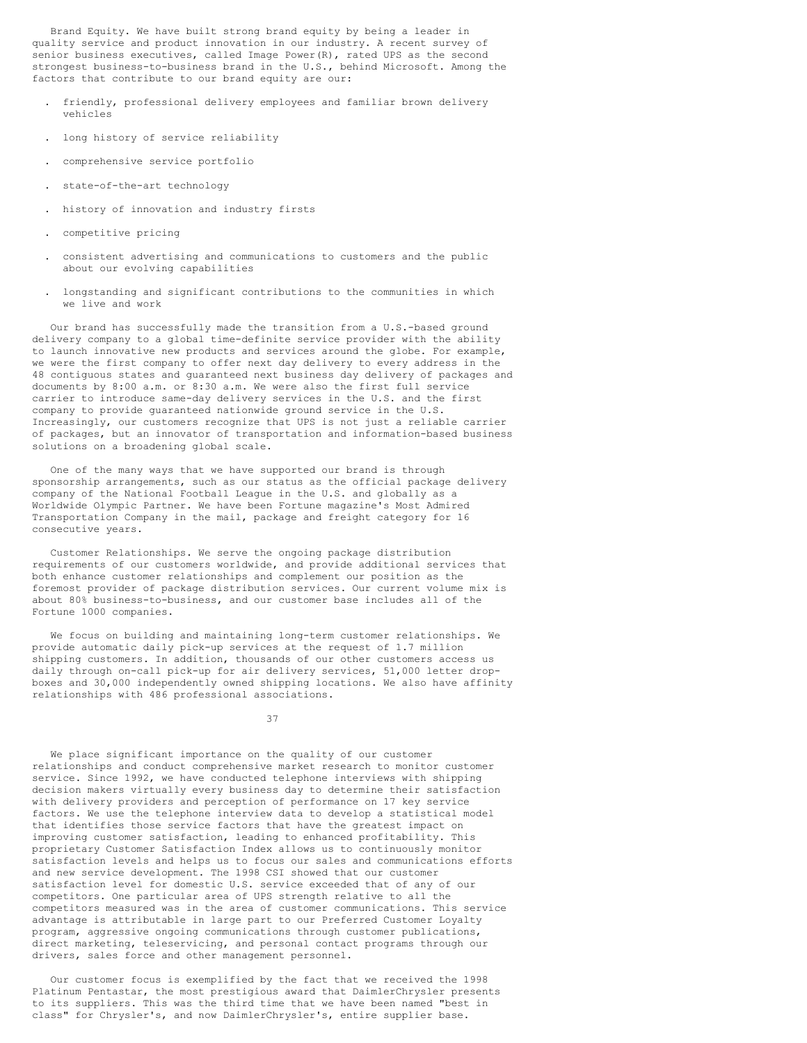Brand Equity. We have built strong brand equity by being a leader in quality service and product innovation in our industry. A recent survey of senior business executives, called Image Power(R), rated UPS as the second strongest business-to-business brand in the U.S., behind Microsoft. Among the factors that contribute to our brand equity are our:

- . friendly, professional delivery employees and familiar brown delivery vehicles
- . long history of service reliability
- . comprehensive service portfolio
- . state-of-the-art technology
- . history of innovation and industry firsts
- . competitive pricing
- . consistent advertising and communications to customers and the public about our evolving capabilities
- . longstanding and significant contributions to the communities in which we live and work

Our brand has successfully made the transition from a U.S.-based ground delivery company to a global time-definite service provider with the ability to launch innovative new products and services around the globe. For example, we were the first company to offer next day delivery to every address in the 48 contiguous states and guaranteed next business day delivery of packages and documents by 8:00 a.m. or 8:30 a.m. We were also the first full service carrier to introduce same-day delivery services in the U.S. and the first company to provide guaranteed nationwide ground service in the U.S. Increasingly, our customers recognize that UPS is not just a reliable carrier of packages, but an innovator of transportation and information-based business solutions on a broadening global scale.

One of the many ways that we have supported our brand is through sponsorship arrangements, such as our status as the official package delivery company of the National Football League in the U.S. and globally as a Worldwide Olympic Partner. We have been Fortune magazine's Most Admired Transportation Company in the mail, package and freight category for 16 consecutive years.

Customer Relationships. We serve the ongoing package distribution requirements of our customers worldwide, and provide additional services that both enhance customer relationships and complement our position as the foremost provider of package distribution services. Our current volume mix is about 80% business-to-business, and our customer base includes all of the Fortune 1000 companies.

We focus on building and maintaining long-term customer relationships. We provide automatic daily pick-up services at the request of 1.7 million shipping customers. In addition, thousands of our other customers access us daily through on-call pick-up for air delivery services, 51,000 letter dropboxes and 30,000 independently owned shipping locations. We also have affinity relationships with 486 professional associations.

37

We place significant importance on the quality of our customer relationships and conduct comprehensive market research to monitor customer service. Since 1992, we have conducted telephone interviews with shipping decision makers virtually every business day to determine their satisfaction with delivery providers and perception of performance on 17 key service factors. We use the telephone interview data to develop a statistical model that identifies those service factors that have the greatest impact on improving customer satisfaction, leading to enhanced profitability. This proprietary Customer Satisfaction Index allows us to continuously monitor satisfaction levels and helps us to focus our sales and communications efforts and new service development. The 1998 CSI showed that our customer satisfaction level for domestic U.S. service exceeded that of any of our competitors. One particular area of UPS strength relative to all the competitors measured was in the area of customer communications. This service advantage is attributable in large part to our Preferred Customer Loyalty program, aggressive ongoing communications through customer publications, direct marketing, teleservicing, and personal contact programs through our drivers, sales force and other management personnel.

Our customer focus is exemplified by the fact that we received the 1998 Platinum Pentastar, the most prestigious award that DaimlerChrysler presents to its suppliers. This was the third time that we have been named "best in class" for Chrysler's, and now DaimlerChrysler's, entire supplier base.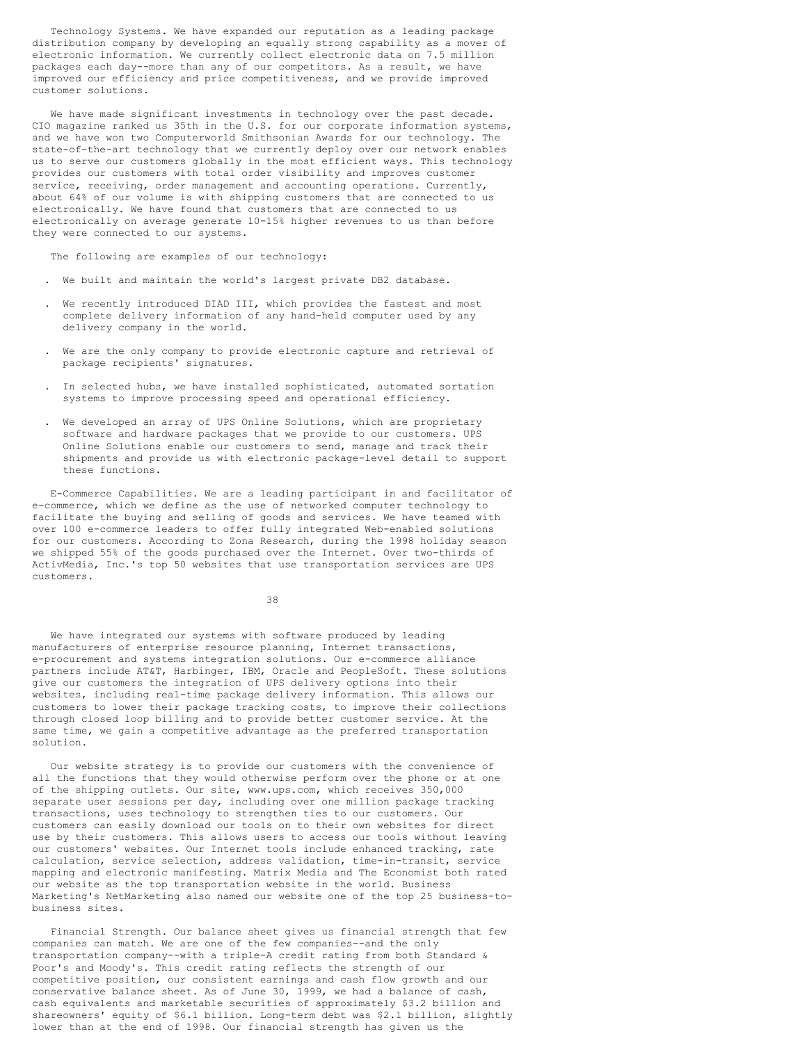Technology Systems. We have expanded our reputation as a leading package distribution company by developing an equally strong capability as a mover of electronic information. We currently collect electronic data on 7.5 million packages each day--more than any of our competitors. As a result, we have improved our efficiency and price competitiveness, and we provide improved customer solutions.

We have made significant investments in technology over the past decade. CIO magazine ranked us 35th in the U.S. for our corporate information systems, and we have won two Computerworld Smithsonian Awards for our technology. The state-of-the-art technology that we currently deploy over our network enables us to serve our customers globally in the most efficient ways. This technology provides our customers with total order visibility and improves customer service, receiving, order management and accounting operations. Currently, about 64% of our volume is with shipping customers that are connected to us electronically. We have found that customers that are connected to us electronically on average generate 10-15% higher revenues to us than before they were connected to our systems.

The following are examples of our technology:

- . We built and maintain the world's largest private DB2 database.
- We recently introduced DIAD III, which provides the fastest and most complete delivery information of any hand-held computer used by any delivery company in the world.
- . We are the only company to provide electronic capture and retrieval of package recipients' signatures.
- . In selected hubs, we have installed sophisticated, automated sortation systems to improve processing speed and operational efficiency.
- . We developed an array of UPS Online Solutions, which are proprietary software and hardware packages that we provide to our customers. UPS Online Solutions enable our customers to send, manage and track their shipments and provide us with electronic package-level detail to support these functions.

E-Commerce Capabilities. We are a leading participant in and facilitator of e-commerce, which we define as the use of networked computer technology to facilitate the buying and selling of goods and services. We have teamed with over 100 e-commerce leaders to offer fully integrated Web-enabled solutions for our customers. According to Zona Research, during the 1998 holiday season we shipped 55% of the goods purchased over the Internet. Over two-thirds of ActivMedia, Inc.'s top 50 websites that use transportation services are UPS customers.

38

We have integrated our systems with software produced by leading manufacturers of enterprise resource planning, Internet transactions, e-procurement and systems integration solutions. Our e-commerce alliance partners include AT&T, Harbinger, IBM, Oracle and PeopleSoft. These solutions give our customers the integration of UPS delivery options into their websites, including real-time package delivery information. This allows our customers to lower their package tracking costs, to improve their collections through closed loop billing and to provide better customer service. At the same time, we gain a competitive advantage as the preferred transportation solution.

Our website strategy is to provide our customers with the convenience of all the functions that they would otherwise perform over the phone or at one of the shipping outlets. Our site, www.ups.com, which receives 350,000 separate user sessions per day, including over one million package tracking transactions, uses technology to strengthen ties to our customers. Our customers can easily download our tools on to their own websites for direct use by their customers. This allows users to access our tools without leaving our customers' websites. Our Internet tools include enhanced tracking, rate calculation, service selection, address validation, time-in-transit, service mapping and electronic manifesting. Matrix Media and The Economist both rated our website as the top transportation website in the world. Business Marketing's NetMarketing also named our website one of the top 25 business-tobusiness sites.

Financial Strength. Our balance sheet gives us financial strength that few companies can match. We are one of the few companies--and the only transportation company--with a triple-A credit rating from both Standard & Poor's and Moody's. This credit rating reflects the strength of our competitive position, our consistent earnings and cash flow growth and our conservative balance sheet. As of June 30, 1999, we had a balance of cash, cash equivalents and marketable securities of approximately \$3.2 billion and shareowners' equity of \$6.1 billion. Long-term debt was \$2.1 billion, slightly lower than at the end of 1998. Our financial strength has given us the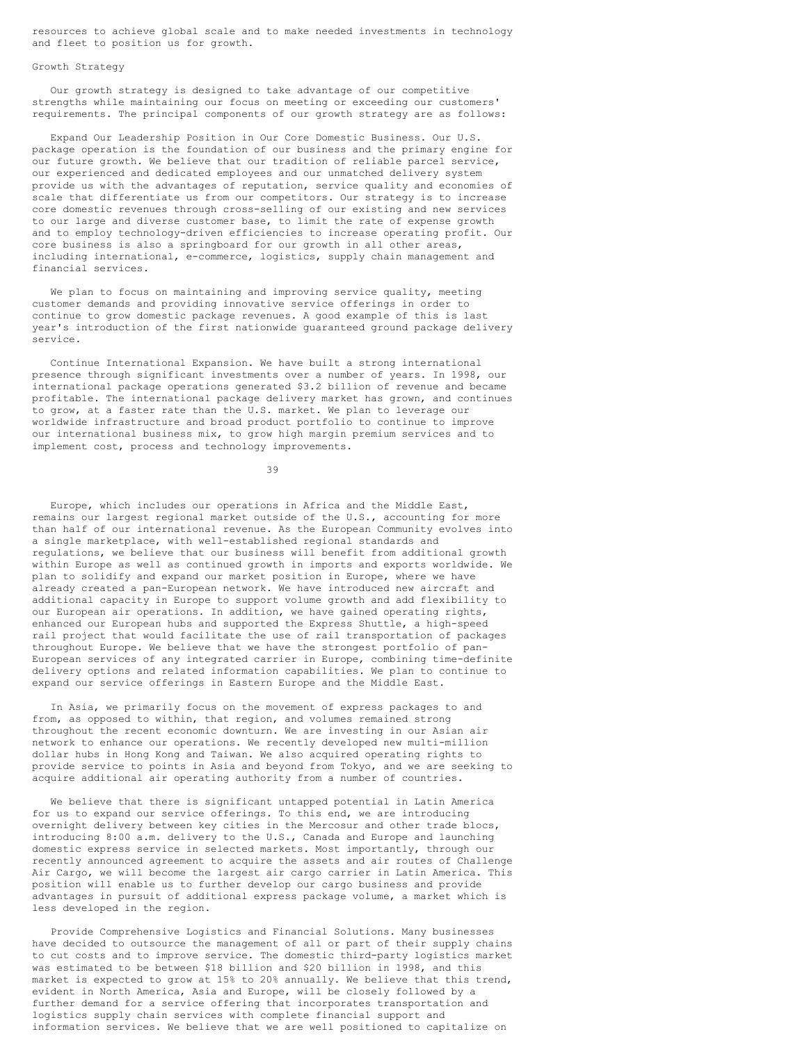resources to achieve global scale and to make needed investments in technology and fleet to position us for growth.

### Growth Strategy

Our growth strategy is designed to take advantage of our competitive strengths while maintaining our focus on meeting or exceeding our customers' requirements. The principal components of our growth strategy are as follows:

Expand Our Leadership Position in Our Core Domestic Business. Our U.S. package operation is the foundation of our business and the primary engine for our future growth. We believe that our tradition of reliable parcel service, our experienced and dedicated employees and our unmatched delivery system provide us with the advantages of reputation, service quality and economies of scale that differentiate us from our competitors. Our strategy is to increase core domestic revenues through cross-selling of our existing and new services to our large and diverse customer base, to limit the rate of expense growth and to employ technology-driven efficiencies to increase operating profit. Our core business is also a springboard for our growth in all other areas, including international, e-commerce, logistics, supply chain management and financial services.

We plan to focus on maintaining and improving service quality, meeting customer demands and providing innovative service offerings in order to continue to grow domestic package revenues. A good example of this is last year's introduction of the first nationwide guaranteed ground package delivery service.

Continue International Expansion. We have built a strong international presence through significant investments over a number of years. In 1998, our international package operations generated \$3.2 billion of revenue and became profitable. The international package delivery market has grown, and continues to grow, at a faster rate than the U.S. market. We plan to leverage our worldwide infrastructure and broad product portfolio to continue to improve our international business mix, to grow high margin premium services and to implement cost, process and technology improvements.

39

Europe, which includes our operations in Africa and the Middle East, remains our largest regional market outside of the U.S., accounting for more than half of our international revenue. As the European Community evolves into a single marketplace, with well-established regional standards and regulations, we believe that our business will benefit from additional growth within Europe as well as continued growth in imports and exports worldwide. We plan to solidify and expand our market position in Europe, where we have already created a pan-European network. We have introduced new aircraft and additional capacity in Europe to support volume growth and add flexibility to our European air operations. In addition, we have gained operating rights, enhanced our European hubs and supported the Express Shuttle, a high-speed rail project that would facilitate the use of rail transportation of packages throughout Europe. We believe that we have the strongest portfolio of pan-European services of any integrated carrier in Europe, combining time-definite delivery options and related information capabilities. We plan to continue to expand our service offerings in Eastern Europe and the Middle East.

In Asia, we primarily focus on the movement of express packages to and from, as opposed to within, that region, and volumes remained strong throughout the recent economic downturn. We are investing in our Asian air network to enhance our operations. We recently developed new multi-million dollar hubs in Hong Kong and Taiwan. We also acquired operating rights to provide service to points in Asia and beyond from Tokyo, and we are seeking to acquire additional air operating authority from a number of countries.

We believe that there is significant untapped potential in Latin America for us to expand our service offerings. To this end, we are introducing overnight delivery between key cities in the Mercosur and other trade blocs, introducing 8:00 a.m. delivery to the U.S., Canada and Europe and launching domestic express service in selected markets. Most importantly, through our recently announced agreement to acquire the assets and air routes of Challenge Air Cargo, we will become the largest air cargo carrier in Latin America. This position will enable us to further develop our cargo business and provide advantages in pursuit of additional express package volume, a market which is less developed in the region.

Provide Comprehensive Logistics and Financial Solutions. Many businesses have decided to outsource the management of all or part of their supply chains to cut costs and to improve service. The domestic third-party logistics market was estimated to be between \$18 billion and \$20 billion in 1998, and this market is expected to grow at 15% to 20% annually. We believe that this trend, evident in North America, Asia and Europe, will be closely followed by a further demand for a service offering that incorporates transportation and logistics supply chain services with complete financial support and information services. We believe that we are well positioned to capitalize on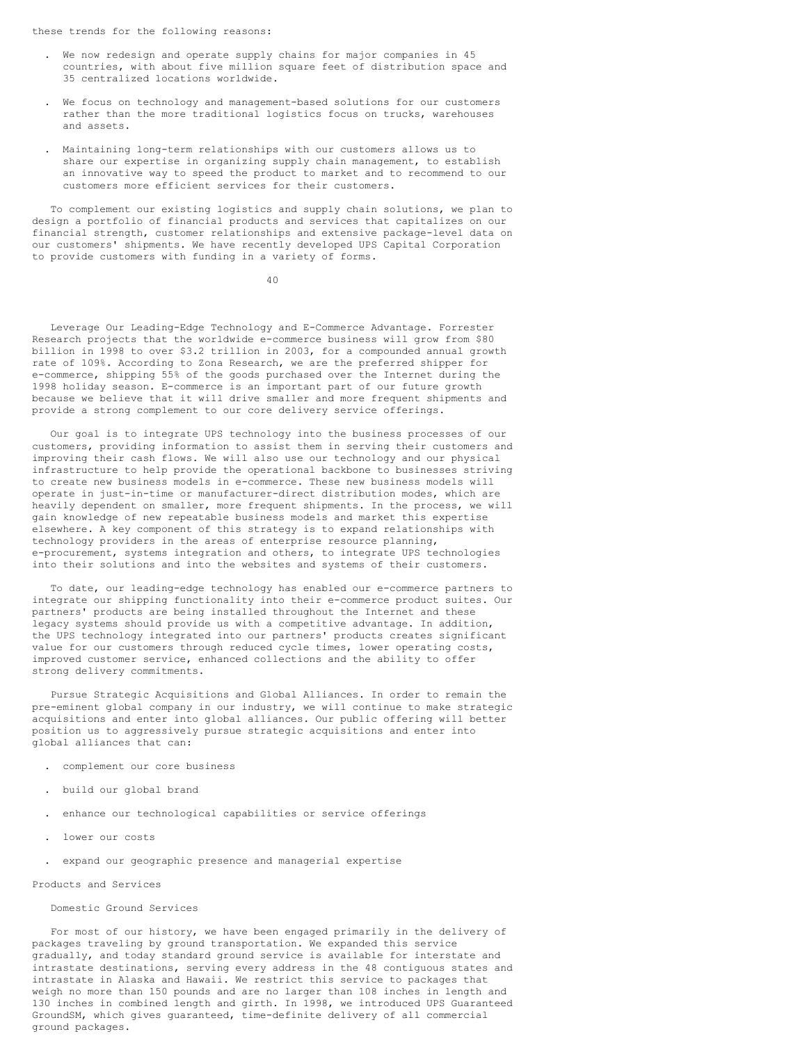these trends for the following reasons:

- We now redesign and operate supply chains for major companies in 45 countries, with about five million square feet of distribution space and 35 centralized locations worldwide.
- . We focus on technology and management-based solutions for our customers rather than the more traditional logistics focus on trucks, warehouses and assets.
- . Maintaining long-term relationships with our customers allows us to share our expertise in organizing supply chain management, to establish an innovative way to speed the product to market and to recommend to our customers more efficient services for their customers.

To complement our existing logistics and supply chain solutions, we plan to design a portfolio of financial products and services that capitalizes on our financial strength, customer relationships and extensive package-level data on our customers' shipments. We have recently developed UPS Capital Corporation to provide customers with funding in a variety of forms.

40

Leverage Our Leading-Edge Technology and E-Commerce Advantage. Forrester Research projects that the worldwide e-commerce business will grow from \$80 billion in 1998 to over \$3.2 trillion in 2003, for a compounded annual growth rate of 109%. According to Zona Research, we are the preferred shipper for e-commerce, shipping 55% of the goods purchased over the Internet during the 1998 holiday season. E-commerce is an important part of our future growth because we believe that it will drive smaller and more frequent shipments and provide a strong complement to our core delivery service offerings.

Our goal is to integrate UPS technology into the business processes of our customers, providing information to assist them in serving their customers and improving their cash flows. We will also use our technology and our physical infrastructure to help provide the operational backbone to businesses striving to create new business models in e-commerce. These new business models will operate in just-in-time or manufacturer-direct distribution modes, which are heavily dependent on smaller, more frequent shipments. In the process, we will gain knowledge of new repeatable business models and market this expertise elsewhere. A key component of this strategy is to expand relationships with technology providers in the areas of enterprise resource planning, e-procurement, systems integration and others, to integrate UPS technologies into their solutions and into the websites and systems of their customers.

To date, our leading-edge technology has enabled our e-commerce partners to integrate our shipping functionality into their e-commerce product suites. Our partners' products are being installed throughout the Internet and these legacy systems should provide us with a competitive advantage. In addition, the UPS technology integrated into our partners' products creates significant value for our customers through reduced cycle times, lower operating costs, improved customer service, enhanced collections and the ability to offer strong delivery commitments.

Pursue Strategic Acquisitions and Global Alliances. In order to remain the pre-eminent global company in our industry, we will continue to make strategic acquisitions and enter into global alliances. Our public offering will better position us to aggressively pursue strategic acquisitions and enter into global alliances that can:

- . complement our core business
- . build our global brand
- . enhance our technological capabilities or service offerings
- . lower our costs
- . expand our geographic presence and managerial expertise

#### Products and Services

#### Domestic Ground Services

For most of our history, we have been engaged primarily in the delivery of packages traveling by ground transportation. We expanded this service gradually, and today standard ground service is available for interstate and intrastate destinations, serving every address in the 48 contiguous states and intrastate in Alaska and Hawaii. We restrict this service to packages that weigh no more than 150 pounds and are no larger than 108 inches in length and 130 inches in combined length and girth. In 1998, we introduced UPS Guaranteed GroundSM, which gives guaranteed, time-definite delivery of all commercial ground packages.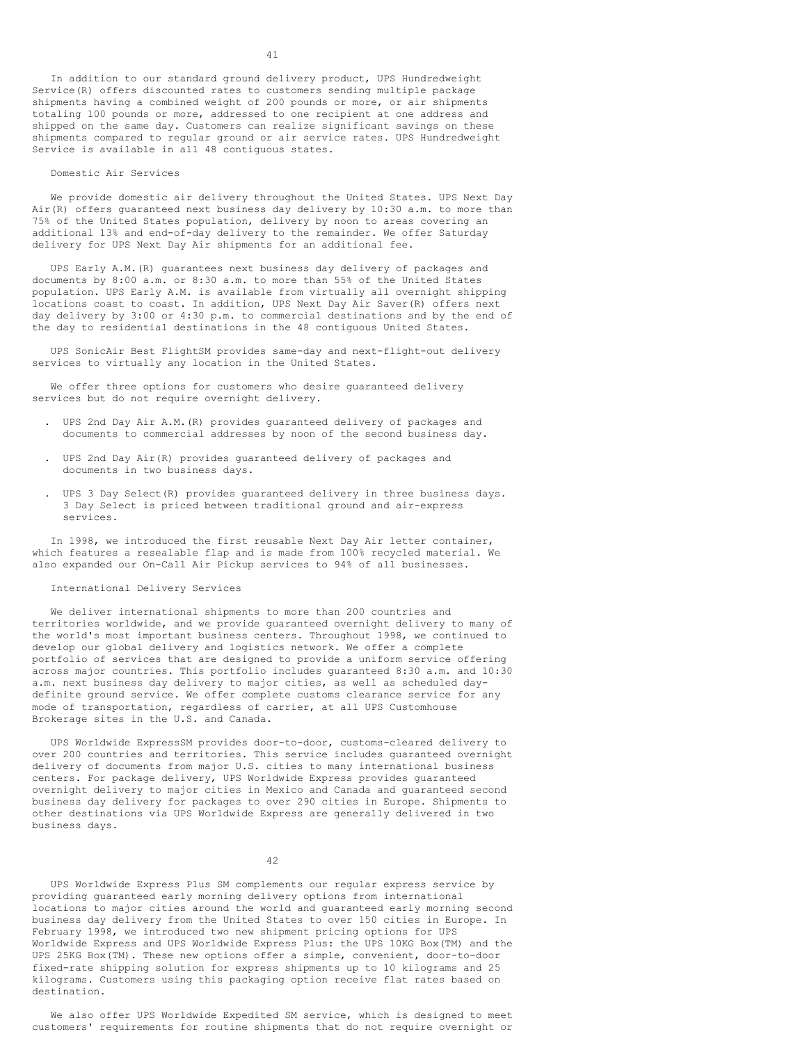In addition to our standard ground delivery product, UPS Hundredweight Service(R) offers discounted rates to customers sending multiple package shipments having a combined weight of 200 pounds or more, or air shipments totaling 100 pounds or more, addressed to one recipient at one address and shipped on the same day. Customers can realize significant savings on these shipments compared to regular ground or air service rates. UPS Hundredweight Service is available in all 48 contiguous states.

# Domestic Air Services

We provide domestic air delivery throughout the United States. UPS Next Day Air(R) offers guaranteed next business day delivery by 10:30 a.m. to more than 75% of the United States population, delivery by noon to areas covering an additional 13% and end-of-day delivery to the remainder. We offer Saturday delivery for UPS Next Day Air shipments for an additional fee.

UPS Early A.M.(R) guarantees next business day delivery of packages and documents by 8:00 a.m. or 8:30 a.m. to more than 55% of the United States population. UPS Early A.M. is available from virtually all overnight shipping locations coast to coast. In addition, UPS Next Day Air Saver(R) offers next day delivery by 3:00 or 4:30 p.m. to commercial destinations and by the end of the day to residential destinations in the 48 contiguous United States.

UPS SonicAir Best FlightSM provides same-day and next-flight-out delivery services to virtually any location in the United States.

We offer three options for customers who desire guaranteed delivery services but do not require overnight delivery.

- . UPS 2nd Day Air A.M.(R) provides guaranteed delivery of packages and documents to commercial addresses by noon of the second business day.
- . UPS 2nd Day Air(R) provides guaranteed delivery of packages and documents in two business days.
- . UPS 3 Day Select(R) provides guaranteed delivery in three business days. 3 Day Select is priced between traditional ground and air-express services.

In 1998, we introduced the first reusable Next Day Air letter container, which features a resealable flap and is made from 100% recycled material. We also expanded our On-Call Air Pickup services to 94% of all businesses.

# International Delivery Services

We deliver international shipments to more than 200 countries and territories worldwide, and we provide guaranteed overnight delivery to many of the world's most important business centers. Throughout 1998, we continued to develop our global delivery and logistics network. We offer a complete portfolio of services that are designed to provide a uniform service offering across major countries. This portfolio includes guaranteed 8:30 a.m. and 10:30 a.m. next business day delivery to major cities, as well as scheduled daydefinite ground service. We offer complete customs clearance service for any mode of transportation, regardless of carrier, at all UPS Customhouse Brokerage sites in the U.S. and Canada.

UPS Worldwide ExpressSM provides door-to-door, customs-cleared delivery to over 200 countries and territories. This service includes guaranteed overnight delivery of documents from major U.S. cities to many international business centers. For package delivery, UPS Worldwide Express provides guaranteed overnight delivery to major cities in Mexico and Canada and guaranteed second business day delivery for packages to over 290 cities in Europe. Shipments to other destinations via UPS Worldwide Express are generally delivered in two business days.

42

UPS Worldwide Express Plus SM complements our regular express service by providing guaranteed early morning delivery options from international locations to major cities around the world and guaranteed early morning second business day delivery from the United States to over 150 cities in Europe. In February 1998, we introduced two new shipment pricing options for UPS Worldwide Express and UPS Worldwide Express Plus: the UPS 10KG Box(TM) and the UPS 25KG Box(TM). These new options offer a simple, convenient, door-to-door fixed-rate shipping solution for express shipments up to 10 kilograms and 25 kilograms. Customers using this packaging option receive flat rates based on destination.

We also offer UPS Worldwide Expedited SM service, which is designed to meet customers' requirements for routine shipments that do not require overnight or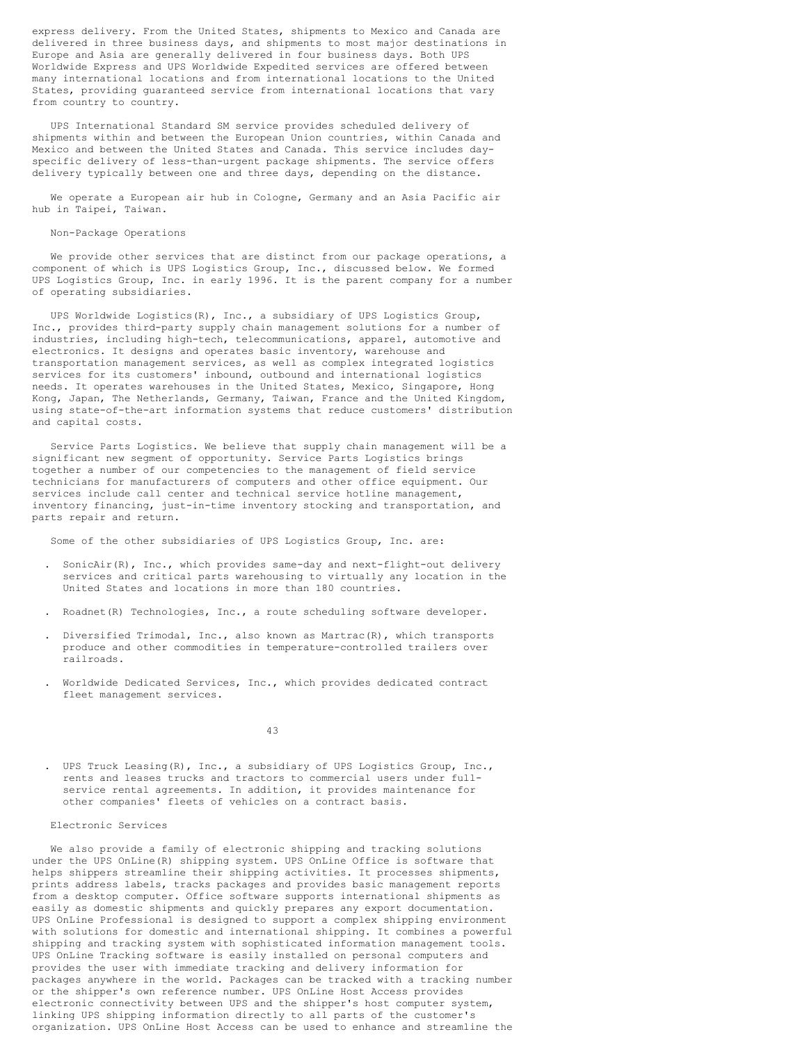express delivery. From the United States, shipments to Mexico and Canada are delivered in three business days, and shipments to most major destinations in Europe and Asia are generally delivered in four business days. Both UPS Worldwide Express and UPS Worldwide Expedited services are offered between many international locations and from international locations to the United States, providing guaranteed service from international locations that vary from country to country.

UPS International Standard SM service provides scheduled delivery of shipments within and between the European Union countries, within Canada and Mexico and between the United States and Canada. This service includes dayspecific delivery of less-than-urgent package shipments. The service offers delivery typically between one and three days, depending on the distance.

We operate a European air hub in Cologne, Germany and an Asia Pacific air hub in Taipei, Taiwan.

### Non-Package Operations

We provide other services that are distinct from our package operations, a component of which is UPS Logistics Group, Inc., discussed below. We formed UPS Logistics Group, Inc. in early 1996. It is the parent company for a number of operating subsidiaries.

UPS Worldwide Logistics(R), Inc., a subsidiary of UPS Logistics Group, Inc., provides third-party supply chain management solutions for a number of industries, including high-tech, telecommunications, apparel, automotive and electronics. It designs and operates basic inventory, warehouse and transportation management services, as well as complex integrated logistics services for its customers' inbound, outbound and international logistics needs. It operates warehouses in the United States, Mexico, Singapore, Hong Kong, Japan, The Netherlands, Germany, Taiwan, France and the United Kingdom, using state-of-the-art information systems that reduce customers' distribution and capital costs.

Service Parts Logistics. We believe that supply chain management will be a significant new segment of opportunity. Service Parts Logistics brings together a number of our competencies to the management of field service technicians for manufacturers of computers and other office equipment. Our services include call center and technical service hotline management, inventory financing, just-in-time inventory stocking and transportation, and parts repair and return.

Some of the other subsidiaries of UPS Logistics Group, Inc. are:

- . SonicAir(R), Inc., which provides same-day and next-flight-out delivery services and critical parts warehousing to virtually any location in the United States and locations in more than 180 countries.
- . Roadnet(R) Technologies, Inc., a route scheduling software developer.
- . Diversified Trimodal, Inc., also known as Martrac(R), which transports produce and other commodities in temperature-controlled trailers over railroads.
- . Worldwide Dedicated Services, Inc., which provides dedicated contract fleet management services.

43

. UPS Truck Leasing(R), Inc., a subsidiary of UPS Logistics Group, Inc., rents and leases trucks and tractors to commercial users under fullservice rental agreements. In addition, it provides maintenance for other companies' fleets of vehicles on a contract basis.

# Electronic Services

We also provide a family of electronic shipping and tracking solutions under the UPS OnLine(R) shipping system. UPS OnLine Office is software that helps shippers streamline their shipping activities. It processes shipments, prints address labels, tracks packages and provides basic management reports from a desktop computer. Office software supports international shipments as easily as domestic shipments and quickly prepares any export documentation. UPS OnLine Professional is designed to support a complex shipping environment with solutions for domestic and international shipping. It combines a powerful shipping and tracking system with sophisticated information management tools. UPS OnLine Tracking software is easily installed on personal computers and provides the user with immediate tracking and delivery information for packages anywhere in the world. Packages can be tracked with a tracking number or the shipper's own reference number. UPS OnLine Host Access provides electronic connectivity between UPS and the shipper's host computer system, linking UPS shipping information directly to all parts of the customer's organization. UPS OnLine Host Access can be used to enhance and streamline the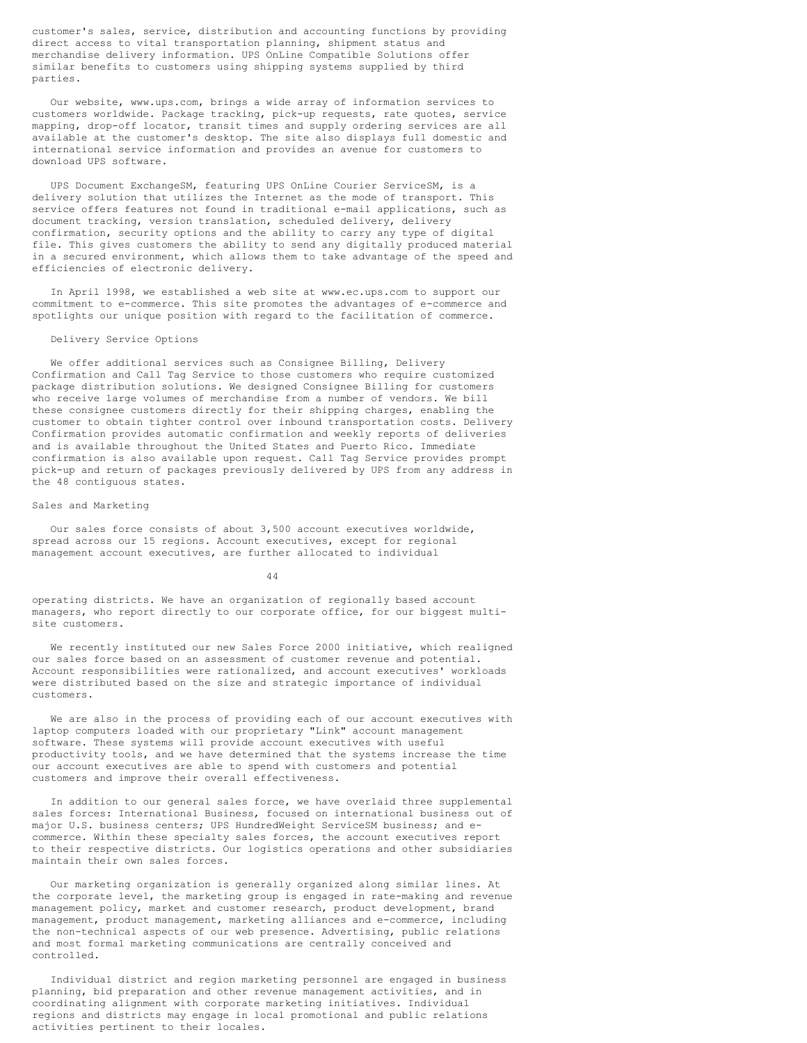customer's sales, service, distribution and accounting functions by providing direct access to vital transportation planning, shipment status and merchandise delivery information. UPS OnLine Compatible Solutions offer similar benefits to customers using shipping systems supplied by third parties.

Our website, www.ups.com, brings a wide array of information services to customers worldwide. Package tracking, pick-up requests, rate quotes, service mapping, drop-off locator, transit times and supply ordering services are all available at the customer's desktop. The site also displays full domestic and international service information and provides an avenue for customers to download UPS software.

UPS Document ExchangeSM, featuring UPS OnLine Courier ServiceSM, is a delivery solution that utilizes the Internet as the mode of transport. This service offers features not found in traditional e-mail applications, such as document tracking, version translation, scheduled delivery, delivery confirmation, security options and the ability to carry any type of digital file. This gives customers the ability to send any digitally produced material in a secured environment, which allows them to take advantage of the speed and efficiencies of electronic delivery.

In April 1998, we established a web site at www.ec.ups.com to support our commitment to e-commerce. This site promotes the advantages of e-commerce and spotlights our unique position with regard to the facilitation of commerce.

## Delivery Service Options

We offer additional services such as Consignee Billing, Delivery Confirmation and Call Tag Service to those customers who require customized package distribution solutions. We designed Consignee Billing for customers who receive large volumes of merchandise from a number of vendors. We bill these consignee customers directly for their shipping charges, enabling the customer to obtain tighter control over inbound transportation costs. Delivery Confirmation provides automatic confirmation and weekly reports of deliveries and is available throughout the United States and Puerto Rico. Immediate confirmation is also available upon request. Call Tag Service provides prompt pick-up and return of packages previously delivered by UPS from any address in the 48 contiguous states.

### Sales and Marketing

Our sales force consists of about 3,500 account executives worldwide, spread across our 15 regions. Account executives, except for regional management account executives, are further allocated to individual

44

operating districts. We have an organization of regionally based account managers, who report directly to our corporate office, for our biggest multisite customers.

We recently instituted our new Sales Force 2000 initiative, which realigned our sales force based on an assessment of customer revenue and potential. Account responsibilities were rationalized, and account executives' workloads were distributed based on the size and strategic importance of individual customers.

We are also in the process of providing each of our account executives with laptop computers loaded with our proprietary "Link" account management software. These systems will provide account executives with useful productivity tools, and we have determined that the systems increase the time our account executives are able to spend with customers and potential customers and improve their overall effectiveness.

In addition to our general sales force, we have overlaid three supplemental sales forces: International Business, focused on international business out of major U.S. business centers; UPS HundredWeight ServiceSM business; and ecommerce. Within these specialty sales forces, the account executives report to their respective districts. Our logistics operations and other subsidiaries maintain their own sales forces.

Our marketing organization is generally organized along similar lines. At the corporate level, the marketing group is engaged in rate-making and revenue management policy, market and customer research, product development, brand management, product management, marketing alliances and e-commerce, including the non-technical aspects of our web presence. Advertising, public relations and most formal marketing communications are centrally conceived and controlled.

Individual district and region marketing personnel are engaged in business planning, bid preparation and other revenue management activities, and in coordinating alignment with corporate marketing initiatives. Individual regions and districts may engage in local promotional and public relations activities pertinent to their locales.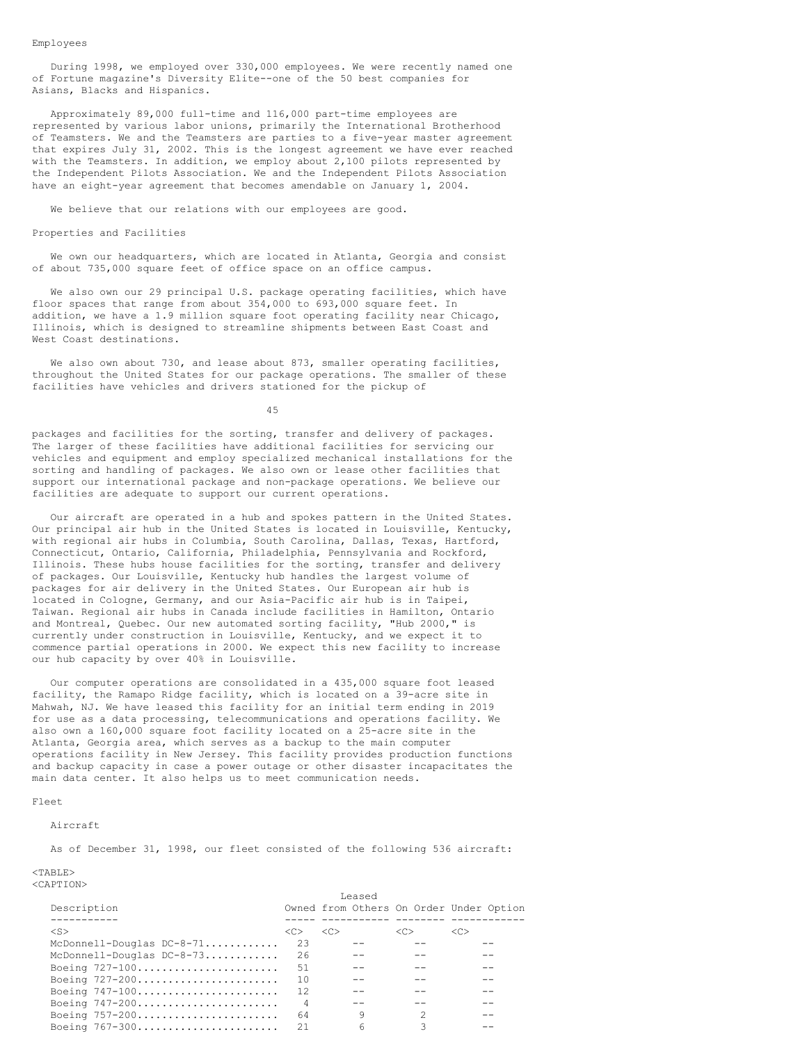#### Employees

During 1998, we employed over 330,000 employees. We were recently named one of Fortune magazine's Diversity Elite--one of the 50 best companies for Asians, Blacks and Hispanics.

Approximately 89,000 full-time and 116,000 part-time employees are represented by various labor unions, primarily the International Brotherhood of Teamsters. We and the Teamsters are parties to a five-year master agreement that expires July 31, 2002. This is the longest agreement we have ever reached with the Teamsters. In addition, we employ about 2,100 pilots represented by the Independent Pilots Association. We and the Independent Pilots Association have an eight-year agreement that becomes amendable on January 1, 2004.

We believe that our relations with our employees are good.

### Properties and Facilities

We own our headquarters, which are located in Atlanta, Georgia and consist of about 735,000 square feet of office space on an office campus.

We also own our 29 principal U.S. package operating facilities, which have floor spaces that range from about 354,000 to 693,000 square feet. In addition, we have a 1.9 million square foot operating facility near Chicago, Illinois, which is designed to streamline shipments between East Coast and West Coast destinations.

We also own about 730, and lease about 873, smaller operating facilities, throughout the United States for our package operations. The smaller of these facilities have vehicles and drivers stationed for the pickup of

45

packages and facilities for the sorting, transfer and delivery of packages. The larger of these facilities have additional facilities for servicing our vehicles and equipment and employ specialized mechanical installations for the sorting and handling of packages. We also own or lease other facilities that support our international package and non-package operations. We believe our facilities are adequate to support our current operations.

Our aircraft are operated in a hub and spokes pattern in the United States. Our principal air hub in the United States is located in Louisville, Kentucky, with regional air hubs in Columbia, South Carolina, Dallas, Texas, Hartford, Connecticut, Ontario, California, Philadelphia, Pennsylvania and Rockford, Illinois. These hubs house facilities for the sorting, transfer and delivery of packages. Our Louisville, Kentucky hub handles the largest volume of packages for air delivery in the United States. Our European air hub is located in Cologne, Germany, and our Asia-Pacific air hub is in Taipei, Taiwan. Regional air hubs in Canada include facilities in Hamilton, Ontario and Montreal, Quebec. Our new automated sorting facility, "Hub 2000," is currently under construction in Louisville, Kentucky, and we expect it to commence partial operations in 2000. We expect this new facility to increase our hub capacity by over 40% in Louisville.

Our computer operations are consolidated in a 435,000 square foot leased facility, the Ramapo Ridge facility, which is located on a 39-acre site in Mahwah, NJ. We have leased this facility for an initial term ending in 2019 for use as a data processing, telecommunications and operations facility. We also own a 160,000 square foot facility located on a 25-acre site in the Atlanta, Georgia area, which serves as a backup to the main computer operations facility in New Jersey. This facility provides production functions and backup capacity in case a power outage or other disaster incapacitates the main data center. It also helps us to meet communication needs.

#### Fleet

#### Aircraft

As of December 31, 1998, our fleet consisted of the following 536 aircraft:

# <TABLE>

<CAPTION>

|                             |                     | Leased        |   |                                         |
|-----------------------------|---------------------|---------------|---|-----------------------------------------|
| Description                 |                     |               |   | Owned from Others On Order Under Option |
|                             |                     |               |   |                                         |
| $<$ S>                      | $\langle C \rangle$ | < <sub></sub> |   | < <sub></sub>                           |
| McDonnell-Douglas $DC-8-71$ | 23                  |               |   |                                         |
| McDonnell-Douglas $DC-8-73$ | 26                  |               |   |                                         |
| Boeing $727-100$            | 51                  |               |   |                                         |
| Boeing $727-200$            | 10                  |               |   |                                         |
| Boeing $747-100$            | 12                  |               |   |                                         |
| Boeing 747-200              | 4                   |               |   |                                         |
| Boeing 757-200              | 64                  | 9             | 2 |                                         |
| Boeing $767-300$            | 21                  | 6             |   |                                         |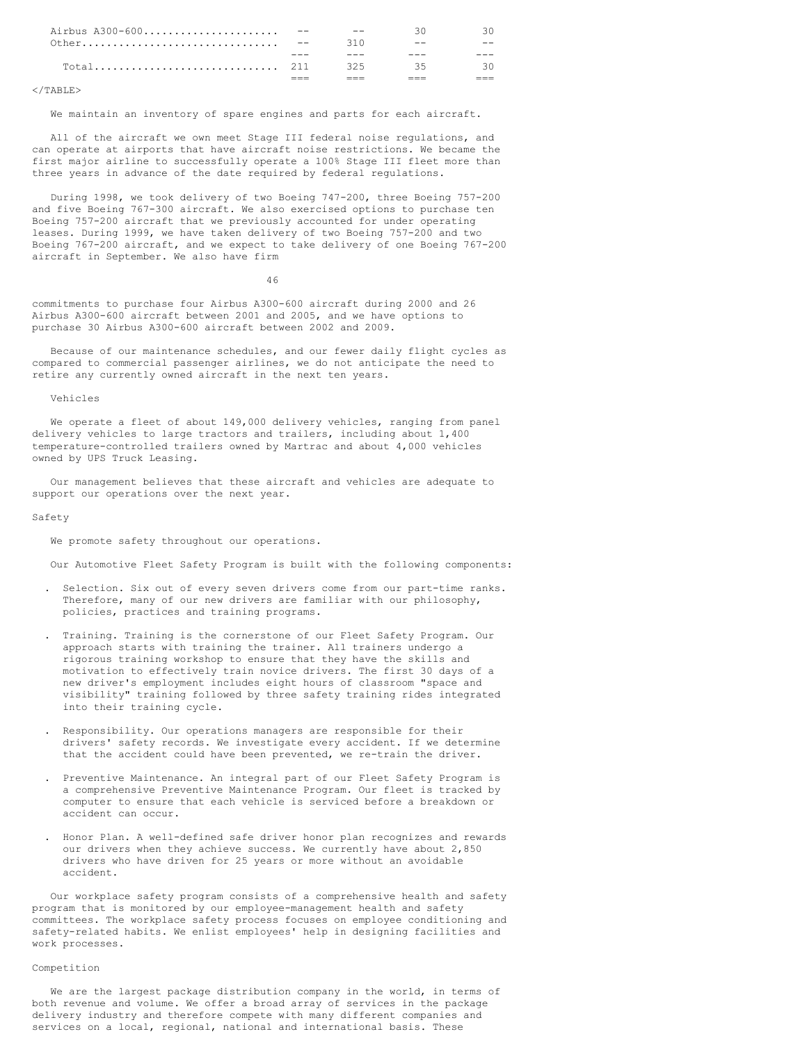|                                                                 |       |      | -30  | 3 U E |
|-----------------------------------------------------------------|-------|------|------|-------|
| $Other \ldots \ldots \ldots \ldots \ldots \ldots \ldots \ldots$ | $- -$ | 31 O | --   |       |
|                                                                 |       |      |      |       |
|                                                                 |       | 325  | - 35 | 3 U E |
|                                                                 |       |      |      |       |

</TABLE>

We maintain an inventory of spare engines and parts for each aircraft.

All of the aircraft we own meet Stage III federal noise regulations, and can operate at airports that have aircraft noise restrictions. We became the first major airline to successfully operate a 100% Stage III fleet more than three years in advance of the date required by federal regulations.

During 1998, we took delivery of two Boeing 747-200, three Boeing 757-200 and five Boeing 767-300 aircraft. We also exercised options to purchase ten Boeing 757-200 aircraft that we previously accounted for under operating leases. During 1999, we have taken delivery of two Boeing 757-200 and two Boeing 767-200 aircraft, and we expect to take delivery of one Boeing 767-200 aircraft in September. We also have firm

46

commitments to purchase four Airbus A300-600 aircraft during 2000 and 26 Airbus A300-600 aircraft between 2001 and 2005, and we have options to purchase 30 Airbus A300-600 aircraft between 2002 and 2009.

Because of our maintenance schedules, and our fewer daily flight cycles as compared to commercial passenger airlines, we do not anticipate the need to retire any currently owned aircraft in the next ten years.

#### Vehicles

We operate a fleet of about 149,000 delivery vehicles, ranging from panel delivery vehicles to large tractors and trailers, including about 1,400 temperature-controlled trailers owned by Martrac and about 4,000 vehicles owned by UPS Truck Leasing.

Our management believes that these aircraft and vehicles are adequate to support our operations over the next year.

#### Safety

We promote safety throughout our operations.

Our Automotive Fleet Safety Program is built with the following components:

- . Selection. Six out of every seven drivers come from our part-time ranks. Therefore, many of our new drivers are familiar with our philosophy, policies, practices and training programs.
- . Training. Training is the cornerstone of our Fleet Safety Program. Our approach starts with training the trainer. All trainers undergo a rigorous training workshop to ensure that they have the skills and motivation to effectively train novice drivers. The first 30 days of a new driver's employment includes eight hours of classroom "space and visibility" training followed by three safety training rides integrated into their training cycle.
- . Responsibility. Our operations managers are responsible for their drivers' safety records. We investigate every accident. If we determine that the accident could have been prevented, we re-train the driver.
- . Preventive Maintenance. An integral part of our Fleet Safety Program is a comprehensive Preventive Maintenance Program. Our fleet is tracked by computer to ensure that each vehicle is serviced before a breakdown or accident can occur.
- . Honor Plan. A well-defined safe driver honor plan recognizes and rewards our drivers when they achieve success. We currently have about 2,850 drivers who have driven for 25 years or more without an avoidable accident.

Our workplace safety program consists of a comprehensive health and safety program that is monitored by our employee-management health and safety committees. The workplace safety process focuses on employee conditioning and safety-related habits. We enlist employees' help in designing facilities and work processes.

#### Competition

We are the largest package distribution company in the world, in terms of both revenue and volume. We offer a broad array of services in the package delivery industry and therefore compete with many different companies and services on a local, regional, national and international basis. These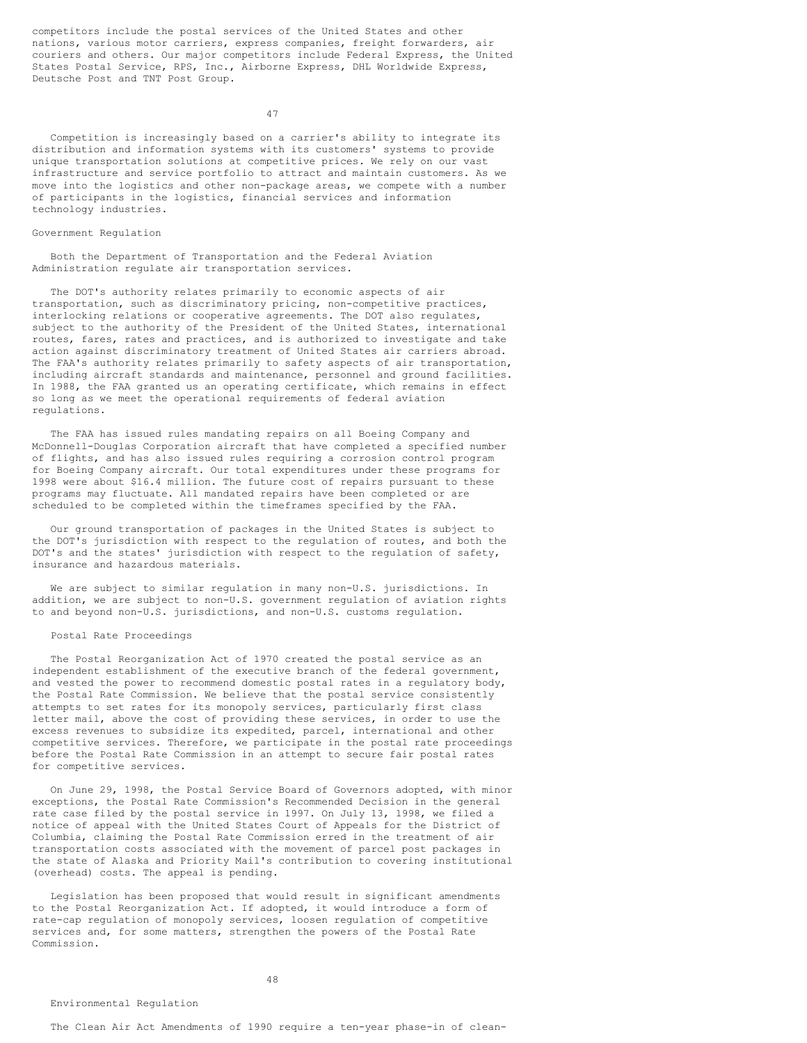competitors include the postal services of the United States and other nations, various motor carriers, express companies, freight forwarders, air couriers and others. Our major competitors include Federal Express, the United States Postal Service, RPS, Inc., Airborne Express, DHL Worldwide Express, Deutsche Post and TNT Post Group.

47

Competition is increasingly based on a carrier's ability to integrate its distribution and information systems with its customers' systems to provide unique transportation solutions at competitive prices. We rely on our vast infrastructure and service portfolio to attract and maintain customers. As we move into the logistics and other non-package areas, we compete with a number of participants in the logistics, financial services and information technology industries.

# Government Regulation

Both the Department of Transportation and the Federal Aviation Administration regulate air transportation services.

The DOT's authority relates primarily to economic aspects of air transportation, such as discriminatory pricing, non-competitive practices, interlocking relations or cooperative agreements. The DOT also regulates, subject to the authority of the President of the United States, international routes, fares, rates and practices, and is authorized to investigate and take action against discriminatory treatment of United States air carriers abroad. The FAA's authority relates primarily to safety aspects of air transportation, including aircraft standards and maintenance, personnel and ground facilities. In 1988, the FAA granted us an operating certificate, which remains in effect so long as we meet the operational requirements of federal aviation regulations.

The FAA has issued rules mandating repairs on all Boeing Company and McDonnell-Douglas Corporation aircraft that have completed a specified number of flights, and has also issued rules requiring a corrosion control program for Boeing Company aircraft. Our total expenditures under these programs for 1998 were about \$16.4 million. The future cost of repairs pursuant to these programs may fluctuate. All mandated repairs have been completed or are scheduled to be completed within the timeframes specified by the FAA.

Our ground transportation of packages in the United States is subject to the DOT's jurisdiction with respect to the regulation of routes, and both the DOT's and the states' jurisdiction with respect to the regulation of safety, insurance and hazardous materials.

We are subject to similar regulation in many non-U.S. jurisdictions. In addition, we are subject to non-U.S. government regulation of aviation rights to and beyond non-U.S. jurisdictions, and non-U.S. customs regulation.

# Postal Rate Proceedings

The Postal Reorganization Act of 1970 created the postal service as an independent establishment of the executive branch of the federal government, and vested the power to recommend domestic postal rates in a regulatory body, the Postal Rate Commission. We believe that the postal service consistently attempts to set rates for its monopoly services, particularly first class letter mail, above the cost of providing these services, in order to use the excess revenues to subsidize its expedited, parcel, international and other competitive services. Therefore, we participate in the postal rate proceedings before the Postal Rate Commission in an attempt to secure fair postal rates for competitive services.

On June 29, 1998, the Postal Service Board of Governors adopted, with minor exceptions, the Postal Rate Commission's Recommended Decision in the general rate case filed by the postal service in 1997. On July 13, 1998, we filed a notice of appeal with the United States Court of Appeals for the District of Columbia, claiming the Postal Rate Commission erred in the treatment of air transportation costs associated with the movement of parcel post packages in the state of Alaska and Priority Mail's contribution to covering institutional (overhead) costs. The appeal is pending.

Legislation has been proposed that would result in significant amendments to the Postal Reorganization Act. If adopted, it would introduce a form of rate-cap regulation of monopoly services, loosen regulation of competitive services and, for some matters, strengthen the powers of the Postal Rate Commission.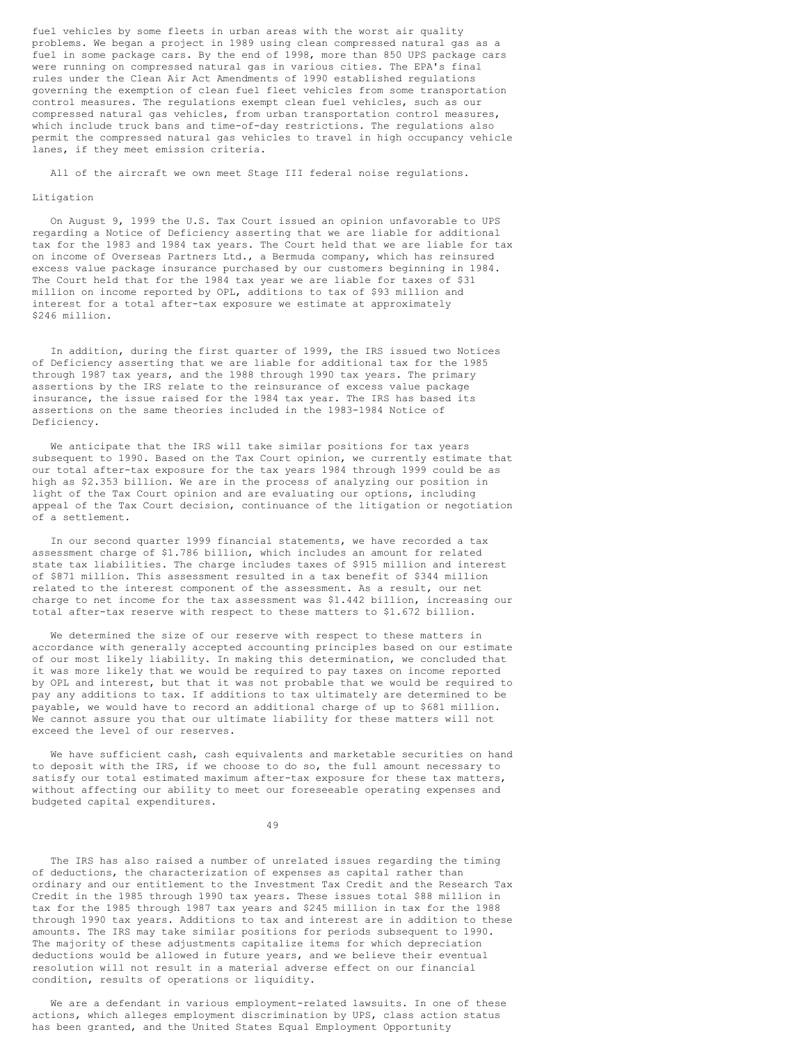fuel vehicles by some fleets in urban areas with the worst air quality problems. We began a project in 1989 using clean compressed natural gas as a fuel in some package cars. By the end of 1998, more than 850 UPS package cars were running on compressed natural gas in various cities. The EPA's final rules under the Clean Air Act Amendments of 1990 established regulations governing the exemption of clean fuel fleet vehicles from some transportation control measures. The regulations exempt clean fuel vehicles, such as our compressed natural gas vehicles, from urban transportation control measures, which include truck bans and time-of-day restrictions. The regulations also permit the compressed natural gas vehicles to travel in high occupancy vehicle lanes, if they meet emission criteria.

All of the aircraft we own meet Stage III federal noise regulations.

# Litigation

On August 9, 1999 the U.S. Tax Court issued an opinion unfavorable to UPS regarding a Notice of Deficiency asserting that we are liable for additional tax for the 1983 and 1984 tax years. The Court held that we are liable for tax on income of Overseas Partners Ltd., a Bermuda company, which has reinsured excess value package insurance purchased by our customers beginning in 1984. The Court held that for the 1984 tax year we are liable for taxes of \$31 million on income reported by OPL, additions to tax of \$93 million and interest for a total after-tax exposure we estimate at approximately \$246 million.

In addition, during the first quarter of 1999, the IRS issued two Notices of Deficiency asserting that we are liable for additional tax for the 1985 through 1987 tax years, and the 1988 through 1990 tax years. The primary assertions by the IRS relate to the reinsurance of excess value package insurance, the issue raised for the 1984 tax year. The IRS has based its assertions on the same theories included in the 1983-1984 Notice of Deficiency.

We anticipate that the IRS will take similar positions for tax years subsequent to 1990. Based on the Tax Court opinion, we currently estimate that our total after-tax exposure for the tax years 1984 through 1999 could be as high as \$2.353 billion. We are in the process of analyzing our position in light of the Tax Court opinion and are evaluating our options, including appeal of the Tax Court decision, continuance of the litigation or negotiation of a settlement.

In our second quarter 1999 financial statements, we have recorded a tax assessment charge of \$1.786 billion, which includes an amount for related state tax liabilities. The charge includes taxes of \$915 million and interest of \$871 million. This assessment resulted in a tax benefit of \$344 million related to the interest component of the assessment. As a result, our net charge to net income for the tax assessment was \$1.442 billion, increasing our total after-tax reserve with respect to these matters to \$1.672 billion.

We determined the size of our reserve with respect to these matters in accordance with generally accepted accounting principles based on our estimate of our most likely liability. In making this determination, we concluded that it was more likely that we would be required to pay taxes on income reported by OPL and interest, but that it was not probable that we would be required to pay any additions to tax. If additions to tax ultimately are determined to be payable, we would have to record an additional charge of up to \$681 million. We cannot assure you that our ultimate liability for these matters will not exceed the level of our reserves.

We have sufficient cash, cash equivalents and marketable securities on hand to deposit with the IRS, if we choose to do so, the full amount necessary to satisfy our total estimated maximum after-tax exposure for these tax matters, without affecting our ability to meet our foreseeable operating expenses and budgeted capital expenditures.

49

The IRS has also raised a number of unrelated issues regarding the timing of deductions, the characterization of expenses as capital rather than ordinary and our entitlement to the Investment Tax Credit and the Research Tax Credit in the 1985 through 1990 tax years. These issues total \$88 million in tax for the 1985 through 1987 tax years and \$245 million in tax for the 1988 through 1990 tax years. Additions to tax and interest are in addition to these amounts. The IRS may take similar positions for periods subsequent to 1990. The majority of these adjustments capitalize items for which depreciation deductions would be allowed in future years, and we believe their eventual resolution will not result in a material adverse effect on our financial condition, results of operations or liquidity.

We are a defendant in various employment-related lawsuits. In one of these actions, which alleges employment discrimination by UPS, class action status has been granted, and the United States Equal Employment Opportunity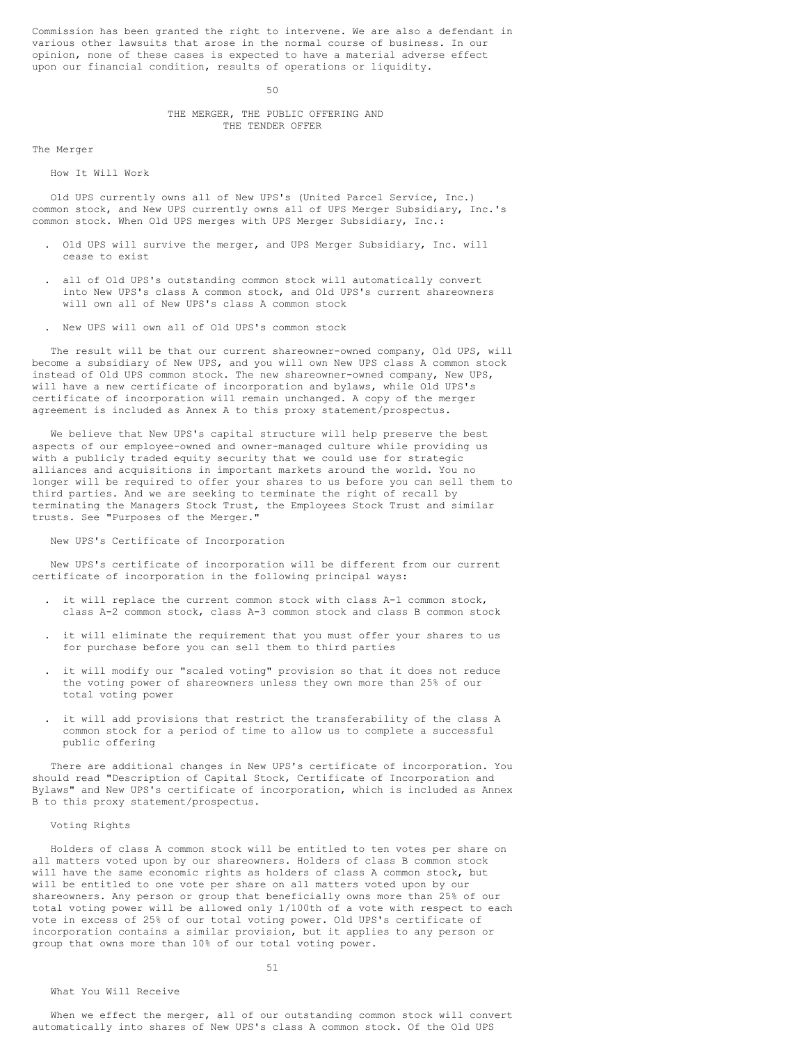Commission has been granted the right to intervene. We are also a defendant in various other lawsuits that arose in the normal course of business. In our opinion, none of these cases is expected to have a material adverse effect upon our financial condition, results of operations or liquidity.

50

# THE MERGER, THE PUBLIC OFFERING AND THE TENDER OFFER

## The Merger

How It Will Work

Old UPS currently owns all of New UPS's (United Parcel Service, Inc.) common stock, and New UPS currently owns all of UPS Merger Subsidiary, Inc.'s common stock. When Old UPS merges with UPS Merger Subsidiary, Inc.:

- . Old UPS will survive the merger, and UPS Merger Subsidiary, Inc. will cease to exist
- . all of Old UPS's outstanding common stock will automatically convert into New UPS's class A common stock, and Old UPS's current shareowners will own all of New UPS's class A common stock
- . New UPS will own all of Old UPS's common stock

The result will be that our current shareowner-owned company, Old UPS, will become a subsidiary of New UPS, and you will own New UPS class A common stock instead of Old UPS common stock. The new shareowner-owned company, New UPS, will have a new certificate of incorporation and bylaws, while Old UPS's certificate of incorporation will remain unchanged. A copy of the merger agreement is included as Annex A to this proxy statement/prospectus.

We believe that New UPS's capital structure will help preserve the best aspects of our employee-owned and owner-managed culture while providing us with a publicly traded equity security that we could use for strategic alliances and acquisitions in important markets around the world. You no longer will be required to offer your shares to us before you can sell them to third parties. And we are seeking to terminate the right of recall by terminating the Managers Stock Trust, the Employees Stock Trust and similar trusts. See "Purposes of the Merger."

New UPS's Certificate of Incorporation

New UPS's certificate of incorporation will be different from our current certificate of incorporation in the following principal ways:

- . it will replace the current common stock with class A-1 common stock, class A-2 common stock, class A-3 common stock and class B common stock
- . it will eliminate the requirement that you must offer your shares to us for purchase before you can sell them to third parties
- . it will modify our "scaled voting" provision so that it does not reduce the voting power of shareowners unless they own more than 25% of our total voting power
- . it will add provisions that restrict the transferability of the class A common stock for a period of time to allow us to complete a successful public offering

There are additional changes in New UPS's certificate of incorporation. You should read "Description of Capital Stock, Certificate of Incorporation and Bylaws" and New UPS's certificate of incorporation, which is included as Annex B to this proxy statement/prospectus.

# Voting Rights

Holders of class A common stock will be entitled to ten votes per share on all matters voted upon by our shareowners. Holders of class B common stock will have the same economic rights as holders of class A common stock, but will be entitled to one vote per share on all matters voted upon by our shareowners. Any person or group that beneficially owns more than 25% of our total voting power will be allowed only 1/100th of a vote with respect to each vote in excess of 25% of our total voting power. Old UPS's certificate of incorporation contains a similar provision, but it applies to any person or group that owns more than 10% of our total voting power.

51

What You Will Receive

When we effect the merger, all of our outstanding common stock will convert automatically into shares of New UPS's class A common stock. Of the Old UPS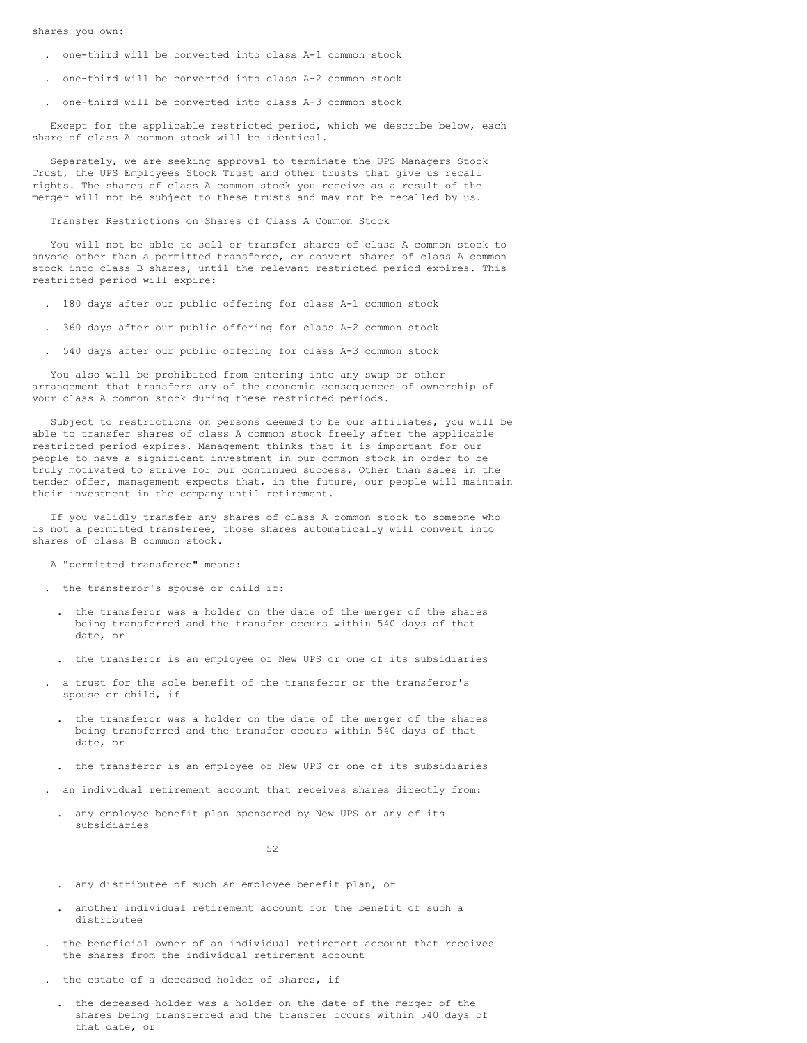shares you own:

- . one-third will be converted into class A-1 common stock
- . one-third will be converted into class A-2 common stock
- . one-third will be converted into class A-3 common stock

Except for the applicable restricted period, which we describe below, each share of class A common stock will be identical.

Separately, we are seeking approval to terminate the UPS Managers Stock Trust, the UPS Employees Stock Trust and other trusts that give us recall rights. The shares of class A common stock you receive as a result of the merger will not be subject to these trusts and may not be recalled by us.

Transfer Restrictions on Shares of Class A Common Stock

You will not be able to sell or transfer shares of class A common stock to anyone other than a permitted transferee, or convert shares of class A common stock into class B shares, until the relevant restricted period expires. This restricted period will expire:

- . 180 days after our public offering for class A-1 common stock
- . 360 days after our public offering for class A-2 common stock
- . 540 days after our public offering for class A-3 common stock

You also will be prohibited from entering into any swap or other arrangement that transfers any of the economic consequences of ownership of your class A common stock during these restricted periods.

Subject to restrictions on persons deemed to be our affiliates, you will be able to transfer shares of class A common stock freely after the applicable restricted period expires. Management thinks that it is important for our people to have a significant investment in our common stock in order to be truly motivated to strive for our continued success. Other than sales in the tender offer, management expects that, in the future, our people will maintain their investment in the company until retirement.

If you validly transfer any shares of class A common stock to someone who is not a permitted transferee, those shares automatically will convert into shares of class B common stock.

A "permitted transferee" means:

- . the transferor's spouse or child if:
	- . the transferor was a holder on the date of the merger of the shares being transferred and the transfer occurs within 540 days of that date, or
	- . the transferor is an employee of New UPS or one of its subsidiaries
- . a trust for the sole benefit of the transferor or the transferor's spouse or child, if
	- . the transferor was a holder on the date of the merger of the shares being transferred and the transfer occurs within 540 days of that date, or
	- . the transferor is an employee of New UPS or one of its subsidiaries
- an individual retirement account that receives shares directly from:
	- . any employee benefit plan sponsored by New UPS or any of its subsidiaries

52

- . any distributee of such an employee benefit plan, or
- . another individual retirement account for the benefit of such a distributee
- . the beneficial owner of an individual retirement account that receives the shares from the individual retirement account

the estate of a deceased holder of shares, if

. the deceased holder was a holder on the date of the merger of the shares being transferred and the transfer occurs within 540 days of that date, or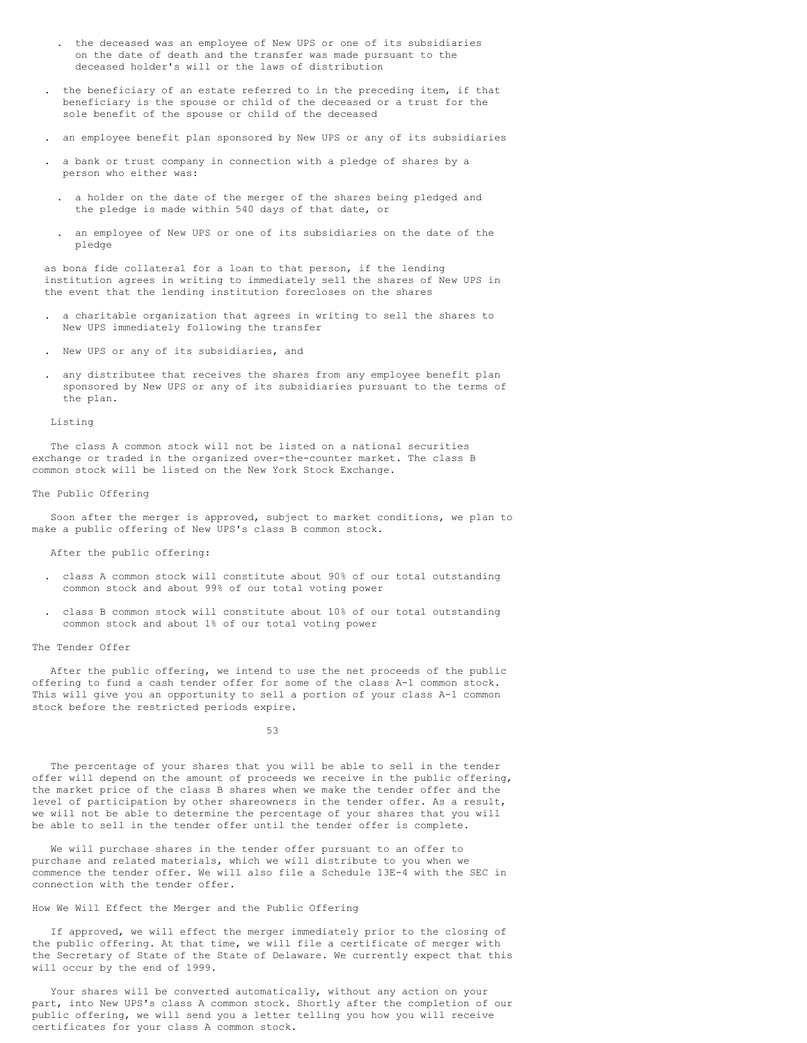- . the deceased was an employee of New UPS or one of its subsidiaries on the date of death and the transfer was made pursuant to the deceased holder's will or the laws of distribution
- . the beneficiary of an estate referred to in the preceding item, if that beneficiary is the spouse or child of the deceased or a trust for the sole benefit of the spouse or child of the deceased
- . an employee benefit plan sponsored by New UPS or any of its subsidiaries
- . a bank or trust company in connection with a pledge of shares by a person who either was:
	- . a holder on the date of the merger of the shares being pledged and the pledge is made within 540 days of that date, or
	- . an employee of New UPS or one of its subsidiaries on the date of the pledge

as bona fide collateral for a loan to that person, if the lending institution agrees in writing to immediately sell the shares of New UPS in the event that the lending institution forecloses on the shares

- . a charitable organization that agrees in writing to sell the shares to New UPS immediately following the transfer
- . New UPS or any of its subsidiaries, and
- . any distributee that receives the shares from any employee benefit plan sponsored by New UPS or any of its subsidiaries pursuant to the terms of the plan.

#### Listing

The class A common stock will not be listed on a national securities exchange or traded in the organized over-the-counter market. The class B common stock will be listed on the New York Stock Exchange.

# The Public Offering

Soon after the merger is approved, subject to market conditions, we plan to make a public offering of New UPS's class B common stock.

After the public offering:

- . class A common stock will constitute about 90% of our total outstanding common stock and about 99% of our total voting power
- . class B common stock will constitute about 10% of our total outstanding common stock and about 1% of our total voting power

### The Tender Offer

After the public offering, we intend to use the net proceeds of the public offering to fund a cash tender offer for some of the class A-1 common stock. This will give you an opportunity to sell a portion of your class A-1 common stock before the restricted periods expire.

### 53

The percentage of your shares that you will be able to sell in the tender offer will depend on the amount of proceeds we receive in the public offering, the market price of the class B shares when we make the tender offer and the level of participation by other shareowners in the tender offer. As a result, we will not be able to determine the percentage of your shares that you will be able to sell in the tender offer until the tender offer is complete.

We will purchase shares in the tender offer pursuant to an offer to purchase and related materials, which we will distribute to you when we commence the tender offer. We will also file a Schedule 13E-4 with the SEC in connection with the tender offer.

# How We Will Effect the Merger and the Public Offering

If approved, we will effect the merger immediately prior to the closing of the public offering. At that time, we will file a certificate of merger with the Secretary of State of the State of Delaware. We currently expect that this will occur by the end of 1999.

Your shares will be converted automatically, without any action on your part, into New UPS's class A common stock. Shortly after the completion of our public offering, we will send you a letter telling you how you will receive certificates for your class A common stock.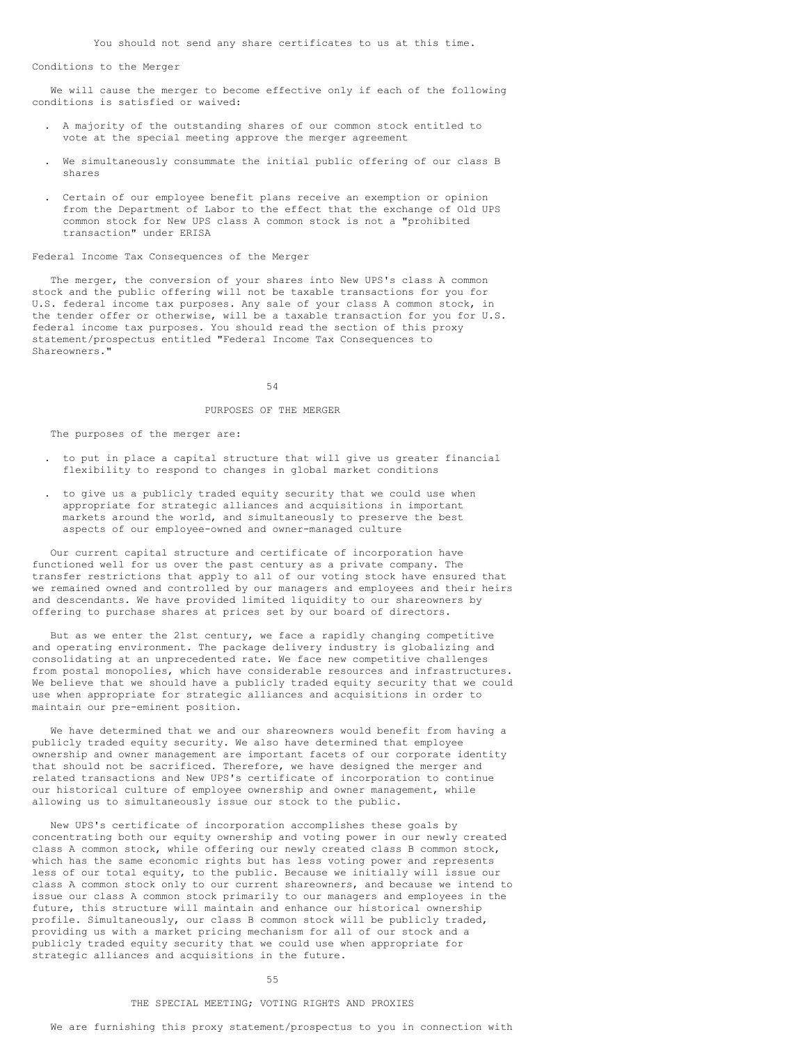You should not send any share certificates to us at this time.

Conditions to the Merger

We will cause the merger to become effective only if each of the following conditions is satisfied or waived:

- . A majority of the outstanding shares of our common stock entitled to vote at the special meeting approve the merger agreement
- . We simultaneously consummate the initial public offering of our class B shares
- . Certain of our employee benefit plans receive an exemption or opinion from the Department of Labor to the effect that the exchange of Old UPS common stock for New UPS class A common stock is not a "prohibited transaction" under ERISA

## Federal Income Tax Consequences of the Merger

The merger, the conversion of your shares into New UPS's class A common stock and the public offering will not be taxable transactions for you for U.S. federal income tax purposes. Any sale of your class A common stock, in the tender offer or otherwise, will be a taxable transaction for you for U.S. federal income tax purposes. You should read the section of this proxy statement/prospectus entitled "Federal Income Tax Consequences to Shareowners."

#### 54

# PURPOSES OF THE MERGER

The purposes of the merger are:

- . to put in place a capital structure that will give us greater financial flexibility to respond to changes in global market conditions
- . to give us a publicly traded equity security that we could use when appropriate for strategic alliances and acquisitions in important markets around the world, and simultaneously to preserve the best aspects of our employee-owned and owner-managed culture

Our current capital structure and certificate of incorporation have functioned well for us over the past century as a private company. The transfer restrictions that apply to all of our voting stock have ensured that we remained owned and controlled by our managers and employees and their heirs and descendants. We have provided limited liquidity to our shareowners by offering to purchase shares at prices set by our board of directors.

But as we enter the 21st century, we face a rapidly changing competitive and operating environment. The package delivery industry is globalizing and consolidating at an unprecedented rate. We face new competitive challenges from postal monopolies, which have considerable resources and infrastructures. We believe that we should have a publicly traded equity security that we could use when appropriate for strategic alliances and acquisitions in order to maintain our pre-eminent position.

We have determined that we and our shareowners would benefit from having a publicly traded equity security. We also have determined that employee ownership and owner management are important facets of our corporate identity that should not be sacrificed. Therefore, we have designed the merger and related transactions and New UPS's certificate of incorporation to continue our historical culture of employee ownership and owner management, while allowing us to simultaneously issue our stock to the public.

New UPS's certificate of incorporation accomplishes these goals by concentrating both our equity ownership and voting power in our newly created class A common stock, while offering our newly created class B common stock, which has the same economic rights but has less voting power and represents less of our total equity, to the public. Because we initially will issue our class A common stock only to our current shareowners, and because we intend to issue our class A common stock primarily to our managers and employees in the future, this structure will maintain and enhance our historical ownership profile. Simultaneously, our class B common stock will be publicly traded, providing us with a market pricing mechanism for all of our stock and a publicly traded equity security that we could use when appropriate for strategic alliances and acquisitions in the future.

55

We are furnishing this proxy statement/prospectus to you in connection with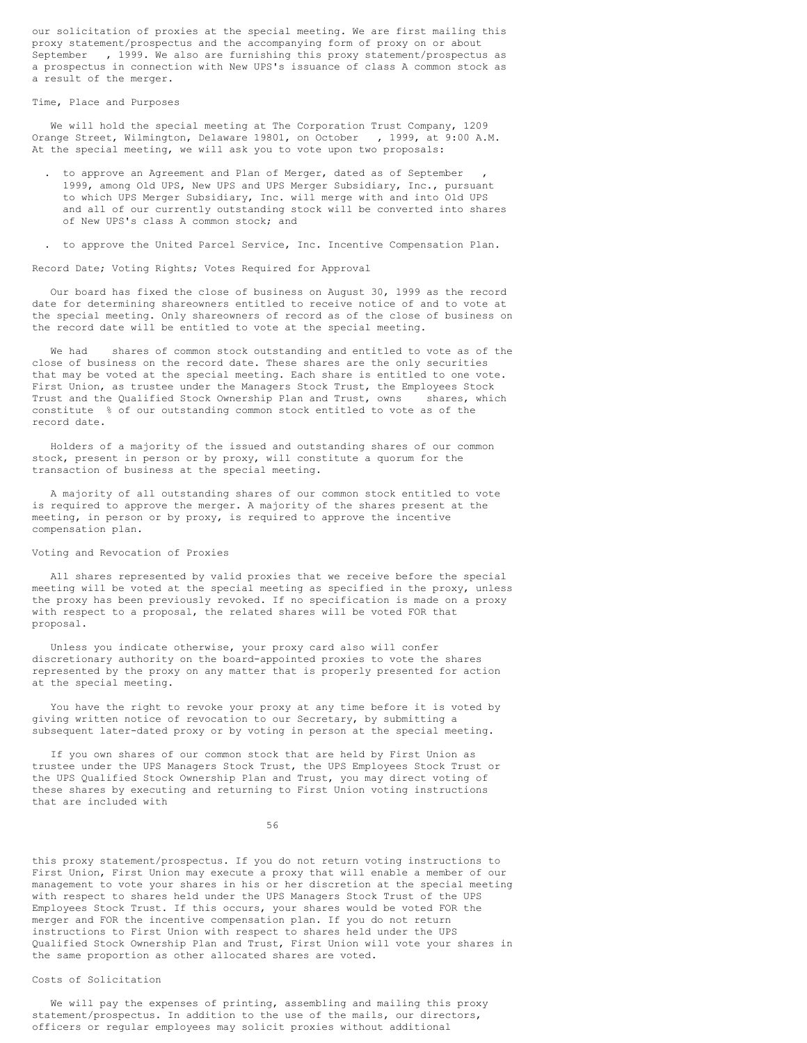our solicitation of proxies at the special meeting. We are first mailing this proxy statement/prospectus and the accompanying form of proxy on or about September , 1999. We also are furnishing this proxy statement/prospectus as a prospectus in connection with New UPS's issuance of class A common stock as a result of the merger.

## Time, Place and Purposes

We will hold the special meeting at The Corporation Trust Company, 1209 Orange Street, Wilmington, Delaware 19801, on October , 1999, at 9:00 A.M. At the special meeting, we will ask you to vote upon two proposals:

- to approve an Agreement and Plan of Merger, dated as of September 1999, among Old UPS, New UPS and UPS Merger Subsidiary, Inc., pursuant to which UPS Merger Subsidiary, Inc. will merge with and into Old UPS and all of our currently outstanding stock will be converted into shares of New UPS's class A common stock; and
- . to approve the United Parcel Service, Inc. Incentive Compensation Plan.

Record Date; Voting Rights; Votes Required for Approval

Our board has fixed the close of business on August 30, 1999 as the record date for determining shareowners entitled to receive notice of and to vote at the special meeting. Only shareowners of record as of the close of business on the record date will be entitled to vote at the special meeting.

We had shares of common stock outstanding and entitled to vote as of the close of business on the record date. These shares are the only securities that may be voted at the special meeting. Each share is entitled to one vote. First Union, as trustee under the Managers Stock Trust, the Employees Stock Trust and the Qualified Stock Ownership Plan and Trust, owns shares, which constitute % of our outstanding common stock entitled to vote as of the record date.

Holders of a majority of the issued and outstanding shares of our common stock, present in person or by proxy, will constitute a quorum for the transaction of business at the special meeting.

A majority of all outstanding shares of our common stock entitled to vote is required to approve the merger. A majority of the shares present at the meeting, in person or by proxy, is required to approve the incentive compensation plan.

# Voting and Revocation of Proxies

All shares represented by valid proxies that we receive before the special meeting will be voted at the special meeting as specified in the proxy, unless the proxy has been previously revoked. If no specification is made on a proxy with respect to a proposal, the related shares will be voted FOR that proposal.

Unless you indicate otherwise, your proxy card also will confer discretionary authority on the board-appointed proxies to vote the shares represented by the proxy on any matter that is properly presented for action at the special meeting.

You have the right to revoke your proxy at any time before it is voted by giving written notice of revocation to our Secretary, by submitting a subsequent later-dated proxy or by voting in person at the special meeting.

If you own shares of our common stock that are held by First Union as trustee under the UPS Managers Stock Trust, the UPS Employees Stock Trust or the UPS Qualified Stock Ownership Plan and Trust, you may direct voting of these shares by executing and returning to First Union voting instructions that are included with

56

this proxy statement/prospectus. If you do not return voting instructions to First Union, First Union may execute a proxy that will enable a member of our management to vote your shares in his or her discretion at the special meeting with respect to shares held under the UPS Managers Stock Trust of the UPS Employees Stock Trust. If this occurs, your shares would be voted FOR the merger and FOR the incentive compensation plan. If you do not return instructions to First Union with respect to shares held under the UPS Qualified Stock Ownership Plan and Trust, First Union will vote your shares in the same proportion as other allocated shares are voted.

# Costs of Solicitation

We will pay the expenses of printing, assembling and mailing this proxy statement/prospectus. In addition to the use of the mails, our directors, officers or regular employees may solicit proxies without additional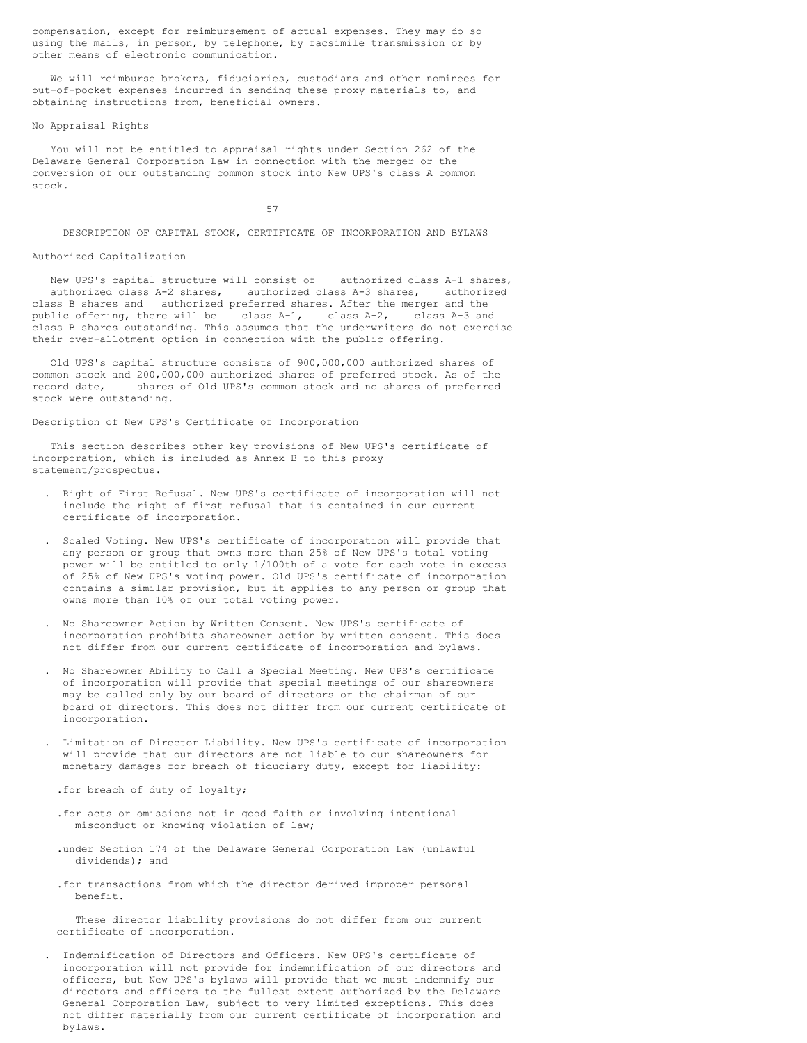compensation, except for reimbursement of actual expenses. They may do so using the mails, in person, by telephone, by facsimile transmission or by other means of electronic communication.

We will reimburse brokers, fiduciaries, custodians and other nominees for out-of-pocket expenses incurred in sending these proxy materials to, and obtaining instructions from, beneficial owners.

# No Appraisal Rights

You will not be entitled to appraisal rights under Section 262 of the Delaware General Corporation Law in connection with the merger or the conversion of our outstanding common stock into New UPS's class A common stock.

57

DESCRIPTION OF CAPITAL STOCK, CERTIFICATE OF INCORPORATION AND BYLAWS

# Authorized Capitalization

New UPS's capital structure will consist of authorized class A-1 shares, authorized class A-2 shares, authorized class A-3 shares, authorized class B shares and authorized preferred shares. After the merger and the public offering, there will be class A-1, class A-2, class A-3 and class B shares outstanding. This assumes that the underwriters do not exercise their over-allotment option in connection with the public offering.

Old UPS's capital structure consists of 900,000,000 authorized shares of common stock and 200,000,000 authorized shares of preferred stock. As of the record date, shares of Old UPS's common stock and no shares of preferred stock were outstanding.

Description of New UPS's Certificate of Incorporation

This section describes other key provisions of New UPS's certificate of incorporation, which is included as Annex B to this proxy statement/prospectus.

- . Right of First Refusal. New UPS's certificate of incorporation will not include the right of first refusal that is contained in our current certificate of incorporation.
- . Scaled Voting. New UPS's certificate of incorporation will provide that any person or group that owns more than 25% of New UPS's total voting power will be entitled to only 1/100th of a vote for each vote in excess of 25% of New UPS's voting power. Old UPS's certificate of incorporation contains a similar provision, but it applies to any person or group that owns more than 10% of our total voting power.
- . No Shareowner Action by Written Consent. New UPS's certificate of incorporation prohibits shareowner action by written consent. This does not differ from our current certificate of incorporation and bylaws.
- . No Shareowner Ability to Call a Special Meeting. New UPS's certificate of incorporation will provide that special meetings of our shareowners may be called only by our board of directors or the chairman of our board of directors. This does not differ from our current certificate of incorporation.
- . Limitation of Director Liability. New UPS's certificate of incorporation will provide that our directors are not liable to our shareowners for monetary damages for breach of fiduciary duty, except for liability:
	- .for breach of duty of loyalty;
	- .for acts or omissions not in good faith or involving intentional misconduct or knowing violation of law;
	- .under Section 174 of the Delaware General Corporation Law (unlawful dividends); and
	- .for transactions from which the director derived improper personal benefit.

These director liability provisions do not differ from our current certificate of incorporation.

. Indemnification of Directors and Officers. New UPS's certificate of incorporation will not provide for indemnification of our directors and officers, but New UPS's bylaws will provide that we must indemnify our directors and officers to the fullest extent authorized by the Delaware General Corporation Law, subject to very limited exceptions. This does not differ materially from our current certificate of incorporation and bylaws.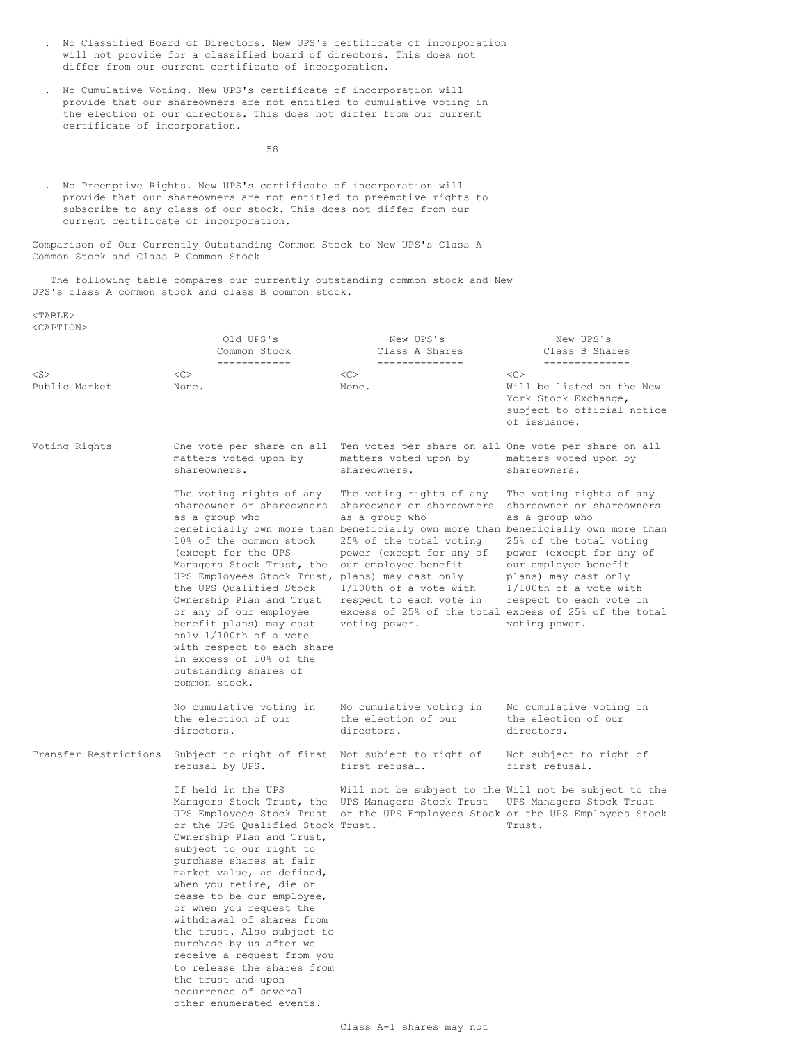- . No Classified Board of Directors. New UPS's certificate of incorporation will not provide for a classified board of directors. This does not differ from our current certificate of incorporation.
- . No Cumulative Voting. New UPS's certificate of incorporation will provide that our shareowners are not entitled to cumulative voting in the election of our directors. This does not differ from our current certificate of incorporation.

58

. No Preemptive Rights. New UPS's certificate of incorporation will provide that our shareowners are not entitled to preemptive rights to subscribe to any class of our stock. This does not differ from our current certificate of incorporation.

Comparison of Our Currently Outstanding Common Stock to New UPS's Class A Common Stock and Class B Common Stock

The following table compares our currently outstanding common stock and New UPS's class A common stock and class B common stock.

### <TABLE> <CAPTION>

|                            | Old UPS's                                                                                                                                                                                                                                                                                                                                                                                                                                                                               | New UPS's                                                                                                                                                                                               | New UPS's                                                                                                                                                                                                                                                                                                                                                                                         |
|----------------------------|-----------------------------------------------------------------------------------------------------------------------------------------------------------------------------------------------------------------------------------------------------------------------------------------------------------------------------------------------------------------------------------------------------------------------------------------------------------------------------------------|---------------------------------------------------------------------------------------------------------------------------------------------------------------------------------------------------------|---------------------------------------------------------------------------------------------------------------------------------------------------------------------------------------------------------------------------------------------------------------------------------------------------------------------------------------------------------------------------------------------------|
|                            | Common Stock<br>------------                                                                                                                                                                                                                                                                                                                                                                                                                                                            | Class A Shares<br>--------------                                                                                                                                                                        | Class B Shares<br>--------------                                                                                                                                                                                                                                                                                                                                                                  |
| $<$ S $>$<br>Public Market | <<<br>None.                                                                                                                                                                                                                                                                                                                                                                                                                                                                             | <<<br>None.                                                                                                                                                                                             | $<\infty$<br>Will be listed on the New<br>York Stock Exchange,<br>subject to official notice<br>of issuance.                                                                                                                                                                                                                                                                                      |
| Voting Rights              | matters voted upon by<br>shareowners.                                                                                                                                                                                                                                                                                                                                                                                                                                                   | One vote per share on all Ten votes per share on all One vote per share on all<br>matters voted upon by<br>shareowners.                                                                                 | matters voted upon by<br>shareowners.                                                                                                                                                                                                                                                                                                                                                             |
|                            | The voting rights of any<br>shareowner or shareowners<br>as a group who<br>10% of the common stock<br>(except for the UPS<br>Managers Stock Trust, the our employee benefit<br>UPS Employees Stock Trust, plans) may cast only<br>the UPS Qualified Stock<br>Ownership Plan and Trust<br>or any of our employee<br>benefit plans) may cast<br>only 1/100th of a vote<br>with respect to each share<br>in excess of 10% of the<br>outstanding shares of<br>common stock.                 | The voting rights of any<br>shareowner or shareowners<br>as a group who<br>25% of the total voting<br>power (except for any of<br>$1/100$ th of a vote with<br>respect to each vote in<br>voting power. | The voting rights of any<br>shareowner or shareowners<br>as a group who<br>beneficially own more than beneficially own more than beneficially own more than<br>25% of the total voting<br>power (except for any of<br>our employee benefit<br>plans) may cast only<br>1/100th of a vote with<br>respect to each vote in<br>excess of 25% of the total excess of 25% of the total<br>voting power. |
|                            | No cumulative voting in<br>the election of our<br>directors.                                                                                                                                                                                                                                                                                                                                                                                                                            | No cumulative voting in<br>the election of our<br>directors.                                                                                                                                            | No cumulative voting in<br>the election of our<br>directors.                                                                                                                                                                                                                                                                                                                                      |
|                            | Transfer Restrictions Subject to right of first Not subject to right of<br>refusal by UPS.                                                                                                                                                                                                                                                                                                                                                                                              | first refusal.                                                                                                                                                                                          | Not subject to right of<br>first refusal.                                                                                                                                                                                                                                                                                                                                                         |
|                            | If held in the UPS<br>or the UPS Qualified Stock Trust.<br>Ownership Plan and Trust,<br>subject to our right to<br>purchase shares at fair<br>market value, as defined,<br>when you retire, die or<br>cease to be our employee,<br>or when you request the<br>withdrawal of shares from<br>the trust. Also subject to<br>purchase by us after we<br>receive a request from you<br>to release the shares from<br>the trust and upon<br>occurrence of several<br>other enumerated events. | Managers Stock Trust, the UPS Managers Stock Trust                                                                                                                                                      | Will not be subject to the Will not be subject to the<br>UPS Managers Stock Trust<br>UPS Employees Stock Trust or the UPS Employees Stock or the UPS Employees Stock<br>Trust.                                                                                                                                                                                                                    |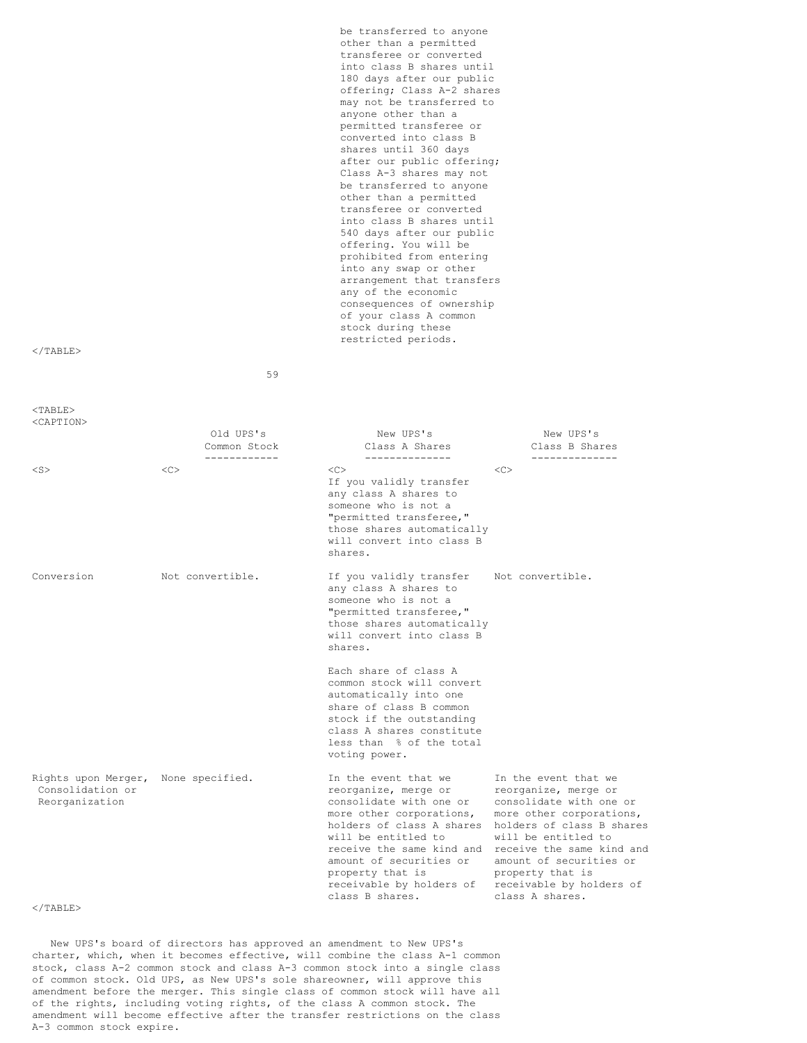be transferred to anyone other than a permitted transferee or converted into class B shares until 180 days after our public offering; Class A-2 shares may not be transferred to anyone other than a permitted transferee or converted into class B shares until 360 days after our public offering; Class A-3 shares may not be transferred to anyone other than a permitted transferee or converted into class B shares until 540 days after our public offering. You will be prohibited from entering into any swap or other arrangement that transfers any of the economic consequences of ownership of your class A common stock during these restricted periods.

 $<$ /TABLE>

59

<TABLE> <CAPTION>

| <b>SUBLIONS</b>                                                                                | Old UPS's<br>Common Stock<br>------------ | New UPS's<br>Class A Shares<br>--------------                                                                                                                                                                                                                                      | New UPS's<br>Class B Shares<br>--------------                                                                                                                                                                                                                                      |
|------------------------------------------------------------------------------------------------|-------------------------------------------|------------------------------------------------------------------------------------------------------------------------------------------------------------------------------------------------------------------------------------------------------------------------------------|------------------------------------------------------------------------------------------------------------------------------------------------------------------------------------------------------------------------------------------------------------------------------------|
| $<$ S $>$                                                                                      | <<                                        | < <sub><br/>If you validly transfer<br/>any class A shares to<br/>someone who is not a<br/>"permitted transferee,"<br/>those shares automatically<br/>will convert into class B<br/>shares.</sub>                                                                                  | < <sub></sub>                                                                                                                                                                                                                                                                      |
| Conversion                                                                                     | Not convertible.                          | If you validly transfer<br>any class A shares to<br>someone who is not a<br>"permitted transferee,"<br>those shares automatically<br>will convert into class B<br>shares.                                                                                                          | Not convertible.                                                                                                                                                                                                                                                                   |
|                                                                                                |                                           | Each share of class A<br>common stock will convert<br>automatically into one<br>share of class B common<br>stock if the outstanding<br>class A shares constitute<br>less than % of the total<br>voting power.                                                                      |                                                                                                                                                                                                                                                                                    |
| Rights upon Merger, None specified.<br>Consolidation or<br>Reorganization<br>$\langle$ /TABLE> |                                           | In the event that we<br>reorganize, merge or<br>consolidate with one or<br>more other corporations,<br>holders of class A shares<br>will be entitled to<br>receive the same kind and<br>amount of securities or<br>property that is<br>receivable by holders of<br>class B shares. | In the event that we<br>reorganize, merge or<br>consolidate with one or<br>more other corporations,<br>holders of class B shares<br>will be entitled to<br>receive the same kind and<br>amount of securities or<br>property that is<br>receivable by holders of<br>class A shares. |

New UPS's board of directors has approved an amendment to New UPS's charter, which, when it becomes effective, will combine the class A-1 common stock, class A-2 common stock and class A-3 common stock into a single class of common stock. Old UPS, as New UPS's sole shareowner, will approve this amendment before the merger. This single class of common stock will have all of the rights, including voting rights, of the class A common stock. The amendment will become effective after the transfer restrictions on the class A-3 common stock expire.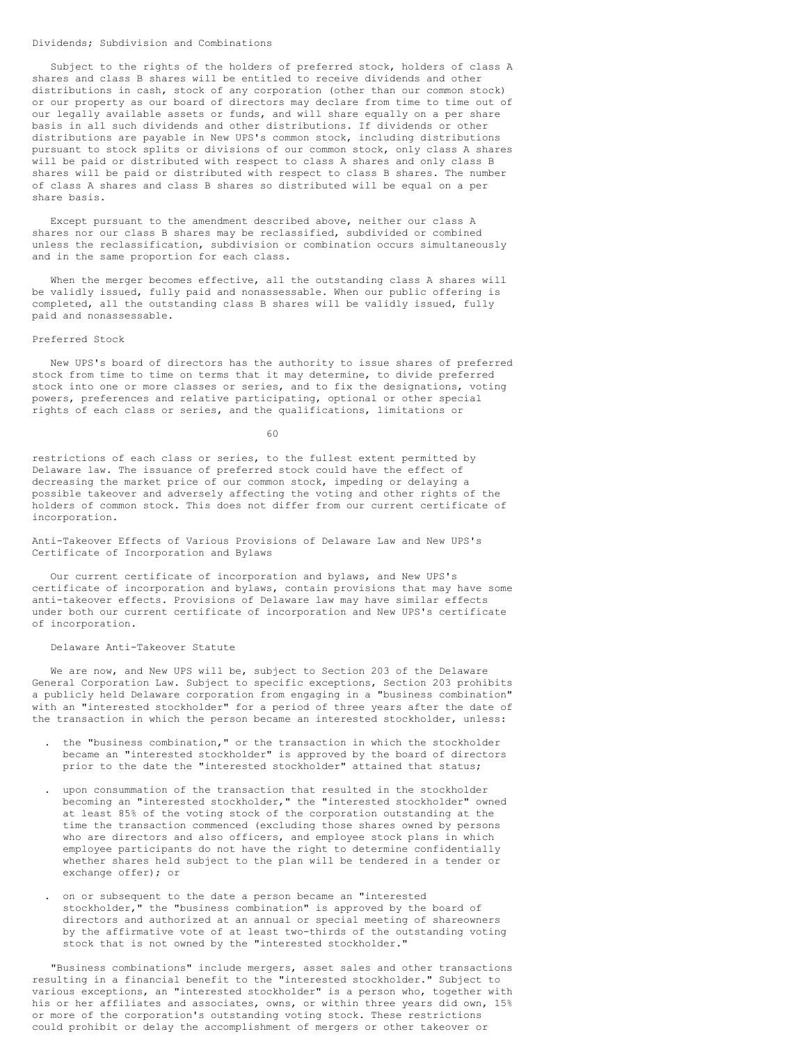### Dividends; Subdivision and Combinations

Subject to the rights of the holders of preferred stock, holders of class A shares and class B shares will be entitled to receive dividends and other distributions in cash, stock of any corporation (other than our common stock) or our property as our board of directors may declare from time to time out of our legally available assets or funds, and will share equally on a per share basis in all such dividends and other distributions. If dividends or other distributions are payable in New UPS's common stock, including distributions pursuant to stock splits or divisions of our common stock, only class A shares will be paid or distributed with respect to class A shares and only class B shares will be paid or distributed with respect to class B shares. The number of class A shares and class B shares so distributed will be equal on a per share basis.

Except pursuant to the amendment described above, neither our class A shares nor our class B shares may be reclassified, subdivided or combined unless the reclassification, subdivision or combination occurs simultaneously and in the same proportion for each class.

When the merger becomes effective, all the outstanding class A shares will be validly issued, fully paid and nonassessable. When our public offering is completed, all the outstanding class B shares will be validly issued, fully paid and nonassessable.

#### Preferred Stock

New UPS's board of directors has the authority to issue shares of preferred stock from time to time on terms that it may determine, to divide preferred stock into one or more classes or series, and to fix the designations, voting powers, preferences and relative participating, optional or other special rights of each class or series, and the qualifications, limitations or

60

restrictions of each class or series, to the fullest extent permitted by Delaware law. The issuance of preferred stock could have the effect of decreasing the market price of our common stock, impeding or delaying a possible takeover and adversely affecting the voting and other rights of the holders of common stock. This does not differ from our current certificate of incorporation.

Anti-Takeover Effects of Various Provisions of Delaware Law and New UPS's Certificate of Incorporation and Bylaws

Our current certificate of incorporation and bylaws, and New UPS's certificate of incorporation and bylaws, contain provisions that may have some anti-takeover effects. Provisions of Delaware law may have similar effects under both our current certificate of incorporation and New UPS's certificate of incorporation.

# Delaware Anti-Takeover Statute

We are now, and New UPS will be, subject to Section 203 of the Delaware General Corporation Law. Subject to specific exceptions, Section 203 prohibits a publicly held Delaware corporation from engaging in a "business combination" with an "interested stockholder" for a period of three years after the date of the transaction in which the person became an interested stockholder, unless:

- . the "business combination," or the transaction in which the stockholder became an "interested stockholder" is approved by the board of directors prior to the date the "interested stockholder" attained that status;
- . upon consummation of the transaction that resulted in the stockholder becoming an "interested stockholder," the "interested stockholder" owned at least 85% of the voting stock of the corporation outstanding at the time the transaction commenced (excluding those shares owned by persons who are directors and also officers, and employee stock plans in which employee participants do not have the right to determine confidentially whether shares held subject to the plan will be tendered in a tender or exchange offer); or
- . on or subsequent to the date a person became an "interested stockholder," the "business combination" is approved by the board of directors and authorized at an annual or special meeting of shareowners by the affirmative vote of at least two-thirds of the outstanding voting stock that is not owned by the "interested stockholder."

"Business combinations" include mergers, asset sales and other transactions resulting in a financial benefit to the "interested stockholder." Subject to various exceptions, an "interested stockholder" is a person who, together with his or her affiliates and associates, owns, or within three years did own, 15% or more of the corporation's outstanding voting stock. These restrictions could prohibit or delay the accomplishment of mergers or other takeover or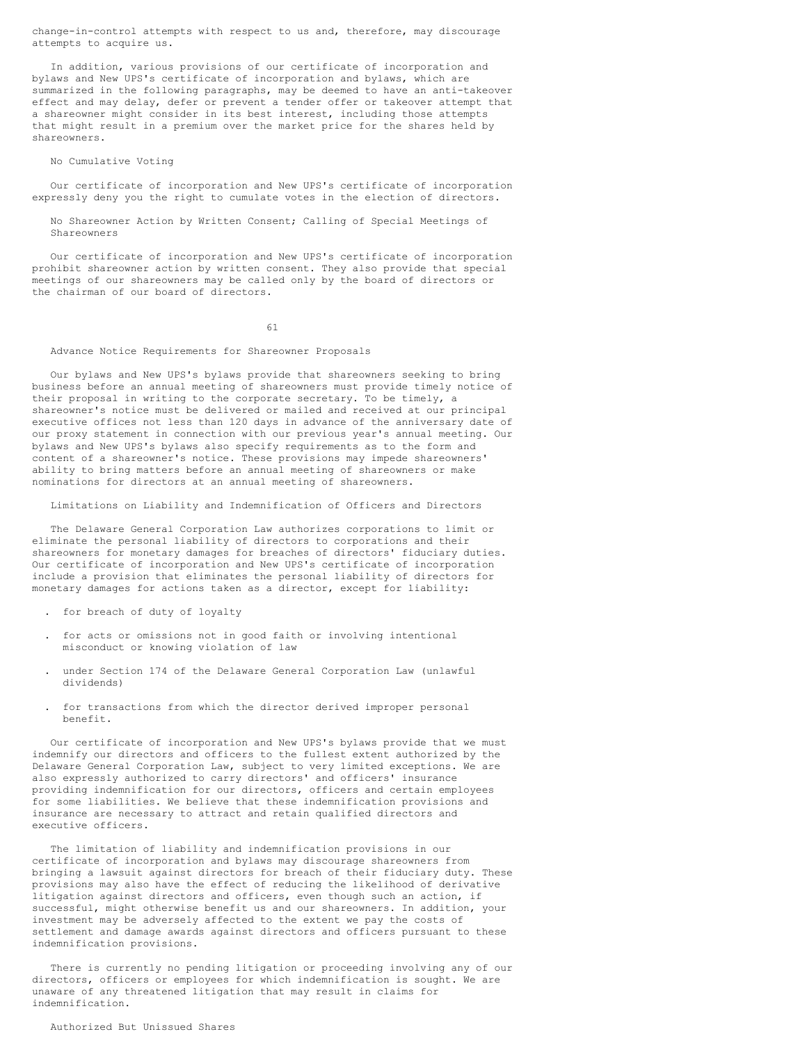change-in-control attempts with respect to us and, therefore, may discourage attempts to acquire us.

In addition, various provisions of our certificate of incorporation and bylaws and New UPS's certificate of incorporation and bylaws, which are summarized in the following paragraphs, may be deemed to have an anti-takeover effect and may delay, defer or prevent a tender offer or takeover attempt that a shareowner might consider in its best interest, including those attempts that might result in a premium over the market price for the shares held by shareowners.

#### No Cumulative Voting

Our certificate of incorporation and New UPS's certificate of incorporation expressly deny you the right to cumulate votes in the election of directors.

No Shareowner Action by Written Consent; Calling of Special Meetings of Shareowners

Our certificate of incorporation and New UPS's certificate of incorporation prohibit shareowner action by written consent. They also provide that special meetings of our shareowners may be called only by the board of directors or the chairman of our board of directors.

61

Advance Notice Requirements for Shareowner Proposals

Our bylaws and New UPS's bylaws provide that shareowners seeking to bring business before an annual meeting of shareowners must provide timely notice of their proposal in writing to the corporate secretary. To be timely, a shareowner's notice must be delivered or mailed and received at our principal executive offices not less than 120 days in advance of the anniversary date of our proxy statement in connection with our previous year's annual meeting. Our bylaws and New UPS's bylaws also specify requirements as to the form and content of a shareowner's notice. These provisions may impede shareowners' ability to bring matters before an annual meeting of shareowners or make nominations for directors at an annual meeting of shareowners.

Limitations on Liability and Indemnification of Officers and Directors

The Delaware General Corporation Law authorizes corporations to limit or eliminate the personal liability of directors to corporations and their shareowners for monetary damages for breaches of directors' fiduciary duties. Our certificate of incorporation and New UPS's certificate of incorporation include a provision that eliminates the personal liability of directors for monetary damages for actions taken as a director, except for liability:

- . for breach of duty of loyalty
- . for acts or omissions not in good faith or involving intentional misconduct or knowing violation of law
- . under Section 174 of the Delaware General Corporation Law (unlawful dividends)
- . for transactions from which the director derived improper personal benefit.

Our certificate of incorporation and New UPS's bylaws provide that we must indemnify our directors and officers to the fullest extent authorized by the Delaware General Corporation Law, subject to very limited exceptions. We are also expressly authorized to carry directors' and officers' insurance providing indemnification for our directors, officers and certain employees for some liabilities. We believe that these indemnification provisions and insurance are necessary to attract and retain qualified directors and executive officers.

The limitation of liability and indemnification provisions in our certificate of incorporation and bylaws may discourage shareowners from bringing a lawsuit against directors for breach of their fiduciary duty. These provisions may also have the effect of reducing the likelihood of derivative litigation against directors and officers, even though such an action, if successful, might otherwise benefit us and our shareowners. In addition, your investment may be adversely affected to the extent we pay the costs of settlement and damage awards against directors and officers pursuant to these indemnification provisions.

There is currently no pending litigation or proceeding involving any of our directors, officers or employees for which indemnification is sought. We are unaware of any threatened litigation that may result in claims for indemnification.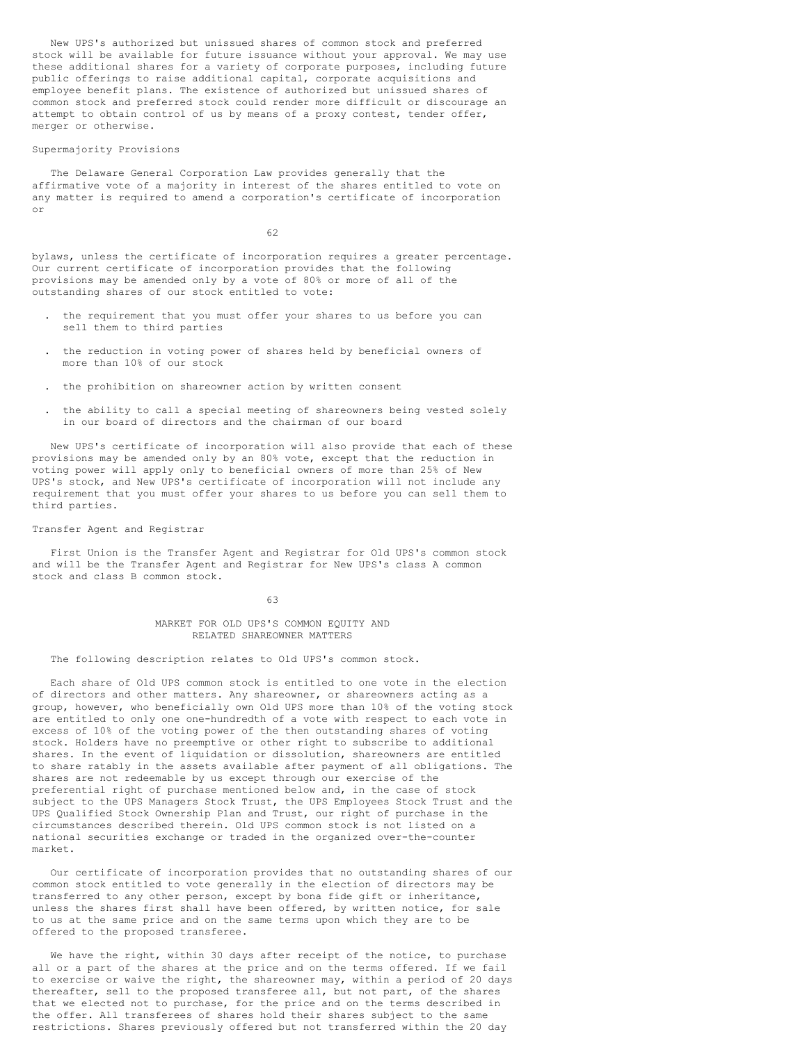New UPS's authorized but unissued shares of common stock and preferred stock will be available for future issuance without your approval. We may use these additional shares for a variety of corporate purposes, including future public offerings to raise additional capital, corporate acquisitions and employee benefit plans. The existence of authorized but unissued shares of common stock and preferred stock could render more difficult or discourage an attempt to obtain control of us by means of a proxy contest, tender offer, merger or otherwise.

# Supermajority Provisions

The Delaware General Corporation Law provides generally that the affirmative vote of a majority in interest of the shares entitled to vote on any matter is required to amend a corporation's certificate of incorporation or

62

bylaws, unless the certificate of incorporation requires a greater percentage. Our current certificate of incorporation provides that the following provisions may be amended only by a vote of 80% or more of all of the outstanding shares of our stock entitled to vote:

- . the requirement that you must offer your shares to us before you can sell them to third parties
- . the reduction in voting power of shares held by beneficial owners of more than 10% of our stock
- . the prohibition on shareowner action by written consent
- . the ability to call a special meeting of shareowners being vested solely in our board of directors and the chairman of our board

New UPS's certificate of incorporation will also provide that each of these provisions may be amended only by an 80% vote, except that the reduction in voting power will apply only to beneficial owners of more than 25% of New UPS's stock, and New UPS's certificate of incorporation will not include any requirement that you must offer your shares to us before you can sell them to third parties.

## Transfer Agent and Registrar

First Union is the Transfer Agent and Registrar for Old UPS's common stock and will be the Transfer Agent and Registrar for New UPS's class A common stock and class B common stock.

#### 63

# MARKET FOR OLD UPS'S COMMON EQUITY AND RELATED SHAREOWNER MATTERS

The following description relates to Old UPS's common stock.

Each share of Old UPS common stock is entitled to one vote in the election of directors and other matters. Any shareowner, or shareowners acting as a group, however, who beneficially own Old UPS more than 10% of the voting stock are entitled to only one one-hundredth of a vote with respect to each vote in excess of 10% of the voting power of the then outstanding shares of voting stock. Holders have no preemptive or other right to subscribe to additional shares. In the event of liquidation or dissolution, shareowners are entitled to share ratably in the assets available after payment of all obligations. The shares are not redeemable by us except through our exercise of the preferential right of purchase mentioned below and, in the case of stock subject to the UPS Managers Stock Trust, the UPS Employees Stock Trust and the UPS Qualified Stock Ownership Plan and Trust, our right of purchase in the circumstances described therein. Old UPS common stock is not listed on a national securities exchange or traded in the organized over-the-counter market.

Our certificate of incorporation provides that no outstanding shares of our common stock entitled to vote generally in the election of directors may be transferred to any other person, except by bona fide gift or inheritance, unless the shares first shall have been offered, by written notice, for sale to us at the same price and on the same terms upon which they are to be offered to the proposed transferee.

We have the right, within 30 days after receipt of the notice, to purchase all or a part of the shares at the price and on the terms offered. If we fail to exercise or waive the right, the shareowner may, within a period of 20 days thereafter, sell to the proposed transferee all, but not part, of the shares that we elected not to purchase, for the price and on the terms described in the offer. All transferees of shares hold their shares subject to the same restrictions. Shares previously offered but not transferred within the 20 day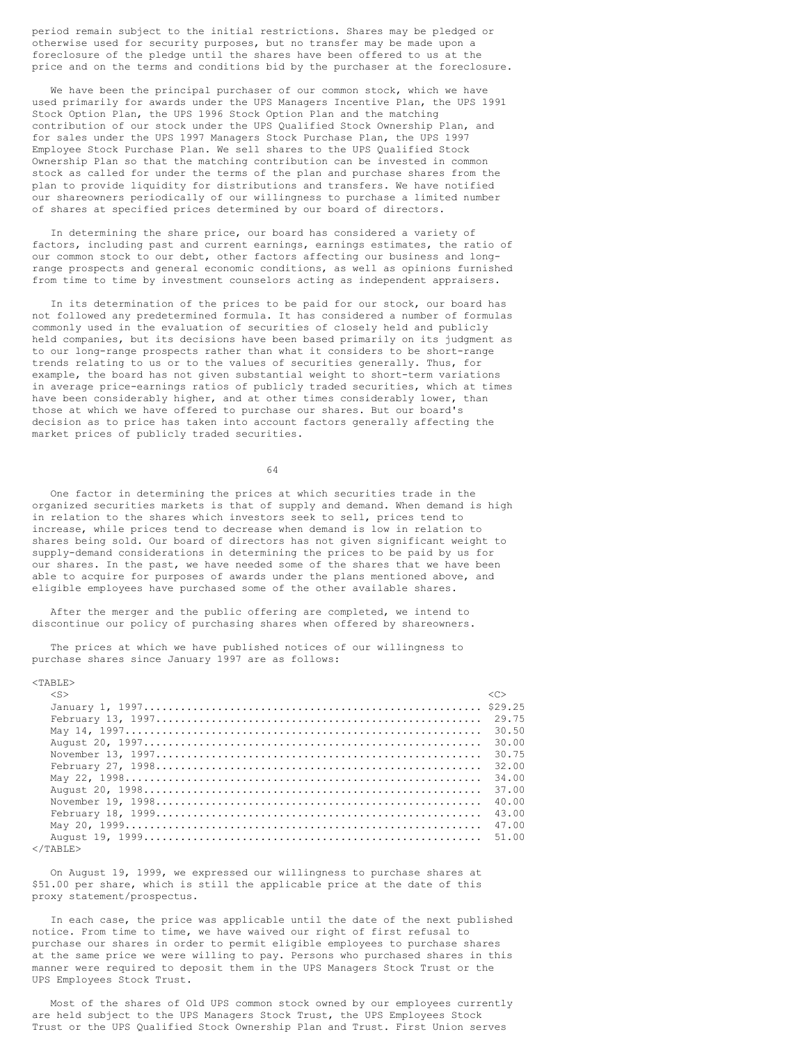period remain subject to the initial restrictions. Shares may be pledged or otherwise used for security purposes, but no transfer may be made upon a foreclosure of the pledge until the shares have been offered to us at the price and on the terms and conditions bid by the purchaser at the foreclosure.

We have been the principal purchaser of our common stock, which we have used primarily for awards under the UPS Managers Incentive Plan, the UPS 1991 Stock Option Plan, the UPS 1996 Stock Option Plan and the matching contribution of our stock under the UPS Qualified Stock Ownership Plan, and for sales under the UPS 1997 Managers Stock Purchase Plan, the UPS 1997 Employee Stock Purchase Plan. We sell shares to the UPS Qualified Stock Ownership Plan so that the matching contribution can be invested in common stock as called for under the terms of the plan and purchase shares from the plan to provide liquidity for distributions and transfers. We have notified our shareowners periodically of our willingness to purchase a limited number of shares at specified prices determined by our board of directors.

In determining the share price, our board has considered a variety of factors, including past and current earnings, earnings estimates, the ratio of our common stock to our debt, other factors affecting our business and longrange prospects and general economic conditions, as well as opinions furnished from time to time by investment counselors acting as independent appraisers.

In its determination of the prices to be paid for our stock, our board has not followed any predetermined formula. It has considered a number of formulas commonly used in the evaluation of securities of closely held and publicly held companies, but its decisions have been based primarily on its judgment as to our long-range prospects rather than what it considers to be short-range trends relating to us or to the values of securities generally. Thus, for example, the board has not given substantial weight to short-term variations in average price-earnings ratios of publicly traded securities, which at times have been considerably higher, and at other times considerably lower, than those at which we have offered to purchase our shares. But our board's decision as to price has taken into account factors generally affecting the market prices of publicly traded securities.

64

One factor in determining the prices at which securities trade in the organized securities markets is that of supply and demand. When demand is high in relation to the shares which investors seek to sell, prices tend to increase, while prices tend to decrease when demand is low in relation to shares being sold. Our board of directors has not given significant weight to supply-demand considerations in determining the prices to be paid by us for our shares. In the past, we have needed some of the shares that we have been able to acquire for purposes of awards under the plans mentioned above, and eligible employees have purchased some of the other available shares.

After the merger and the public offering are completed, we intend to discontinue our policy of purchasing shares when offered by shareowners.

The prices at which we have published notices of our willingness to purchase shares since January 1997 are as follows:

 $m \cdot n \cdot n$ 

| 1. <i>. .</i>     |               |
|-------------------|---------------|
| $<$ S>            | < <sub></sub> |
|                   |               |
|                   | 29.75         |
|                   | 30.50         |
|                   | 30.00         |
|                   | 30.75         |
|                   | 32.00         |
|                   | 34.00         |
|                   | 37.00         |
|                   | 40.00         |
|                   | 43.00         |
|                   | 47.00         |
|                   |               |
| $\langle$ /TABLE> |               |

On August 19, 1999, we expressed our willingness to purchase shares at \$51.00 per share, which is still the applicable price at the date of this proxy statement/prospectus.

In each case, the price was applicable until the date of the next published notice. From time to time, we have waived our right of first refusal to purchase our shares in order to permit eligible employees to purchase shares at the same price we were willing to pay. Persons who purchased shares in this manner were required to deposit them in the UPS Managers Stock Trust or the UPS Employees Stock Trust.

Most of the shares of Old UPS common stock owned by our employees currently are held subject to the UPS Managers Stock Trust, the UPS Employees Stock Trust or the UPS Qualified Stock Ownership Plan and Trust. First Union serves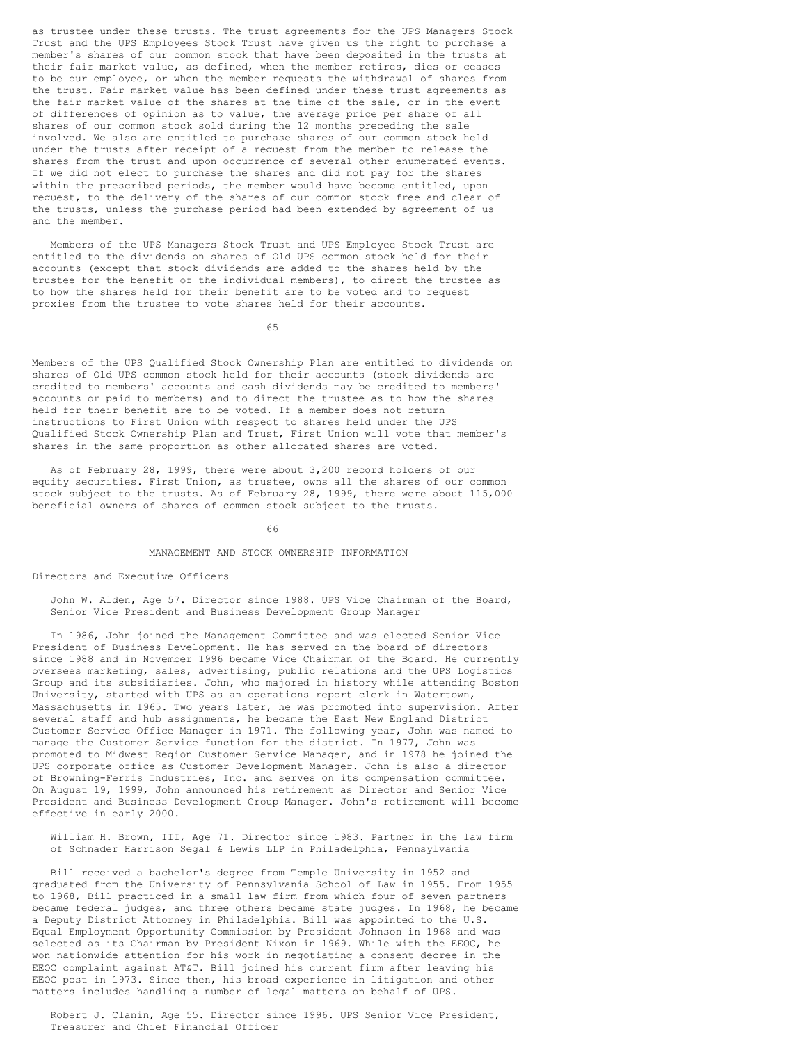as trustee under these trusts. The trust agreements for the UPS Managers Stock Trust and the UPS Employees Stock Trust have given us the right to purchase a member's shares of our common stock that have been deposited in the trusts at their fair market value, as defined, when the member retires, dies or ceases to be our employee, or when the member requests the withdrawal of shares from the trust. Fair market value has been defined under these trust agreements as the fair market value of the shares at the time of the sale, or in the event of differences of opinion as to value, the average price per share of all shares of our common stock sold during the 12 months preceding the sale involved. We also are entitled to purchase shares of our common stock held under the trusts after receipt of a request from the member to release the shares from the trust and upon occurrence of several other enumerated events. If we did not elect to purchase the shares and did not pay for the shares within the prescribed periods, the member would have become entitled, upon request, to the delivery of the shares of our common stock free and clear of the trusts, unless the purchase period had been extended by agreement of us and the member.

Members of the UPS Managers Stock Trust and UPS Employee Stock Trust are entitled to the dividends on shares of Old UPS common stock held for their accounts (except that stock dividends are added to the shares held by the trustee for the benefit of the individual members), to direct the trustee as to how the shares held for their benefit are to be voted and to request proxies from the trustee to vote shares held for their accounts.

65

Members of the UPS Qualified Stock Ownership Plan are entitled to dividends on shares of Old UPS common stock held for their accounts (stock dividends are credited to members' accounts and cash dividends may be credited to members' accounts or paid to members) and to direct the trustee as to how the shares held for their benefit are to be voted. If a member does not return instructions to First Union with respect to shares held under the UPS Qualified Stock Ownership Plan and Trust, First Union will vote that member's shares in the same proportion as other allocated shares are voted.

As of February 28, 1999, there were about 3,200 record holders of our equity securities. First Union, as trustee, owns all the shares of our common stock subject to the trusts. As of February 28, 1999, there were about 115,000 beneficial owners of shares of common stock subject to the trusts.

66

### MANAGEMENT AND STOCK OWNERSHIP INFORMATION

Directors and Executive Officers

John W. Alden, Age 57. Director since 1988. UPS Vice Chairman of the Board, Senior Vice President and Business Development Group Manager

In 1986, John joined the Management Committee and was elected Senior Vice President of Business Development. He has served on the board of directors since 1988 and in November 1996 became Vice Chairman of the Board. He currently oversees marketing, sales, advertising, public relations and the UPS Logistics Group and its subsidiaries. John, who majored in history while attending Boston University, started with UPS as an operations report clerk in Watertown, Massachusetts in 1965. Two years later, he was promoted into supervision. After several staff and hub assignments, he became the East New England District Customer Service Office Manager in 1971. The following year, John was named to manage the Customer Service function for the district. In 1977, John was promoted to Midwest Region Customer Service Manager, and in 1978 he joined the UPS corporate office as Customer Development Manager. John is also a director of Browning-Ferris Industries, Inc. and serves on its compensation committee. On August 19, 1999, John announced his retirement as Director and Senior Vice President and Business Development Group Manager. John's retirement will become effective in early 2000.

William H. Brown, III, Age 71. Director since 1983. Partner in the law firm of Schnader Harrison Segal & Lewis LLP in Philadelphia, Pennsylvania

Bill received a bachelor's degree from Temple University in 1952 and graduated from the University of Pennsylvania School of Law in 1955. From 1955 to 1968, Bill practiced in a small law firm from which four of seven partners became federal judges, and three others became state judges. In 1968, he became a Deputy District Attorney in Philadelphia. Bill was appointed to the U.S. Equal Employment Opportunity Commission by President Johnson in 1968 and was selected as its Chairman by President Nixon in 1969. While with the EEOC, he won nationwide attention for his work in negotiating a consent decree in the EEOC complaint against AT&T. Bill joined his current firm after leaving his EEOC post in 1973. Since then, his broad experience in litigation and other matters includes handling a number of legal matters on behalf of UPS.

Robert J. Clanin, Age 55. Director since 1996. UPS Senior Vice President, Treasurer and Chief Financial Officer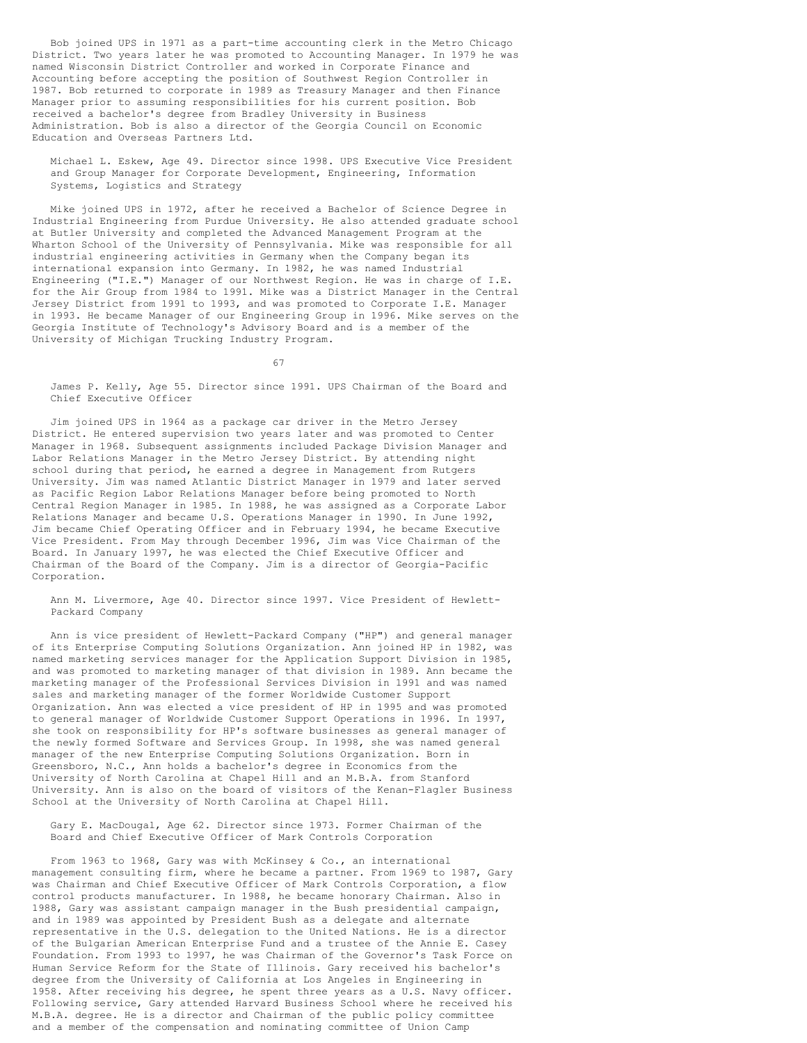Bob joined UPS in 1971 as a part-time accounting clerk in the Metro Chicago District. Two years later he was promoted to Accounting Manager. In 1979 he was named Wisconsin District Controller and worked in Corporate Finance and Accounting before accepting the position of Southwest Region Controller in 1987. Bob returned to corporate in 1989 as Treasury Manager and then Finance Manager prior to assuming responsibilities for his current position. Bob received a bachelor's degree from Bradley University in Business Administration. Bob is also a director of the Georgia Council on Economic Education and Overseas Partners Ltd.

Michael L. Eskew, Age 49. Director since 1998. UPS Executive Vice President and Group Manager for Corporate Development, Engineering, Information Systems, Logistics and Strategy

Mike joined UPS in 1972, after he received a Bachelor of Science Degree in Industrial Engineering from Purdue University. He also attended graduate school at Butler University and completed the Advanced Management Program at the Wharton School of the University of Pennsylvania. Mike was responsible for all industrial engineering activities in Germany when the Company began its international expansion into Germany. In 1982, he was named Industrial Engineering ("I.E.") Manager of our Northwest Region. He was in charge of I.E. for the Air Group from 1984 to 1991. Mike was a District Manager in the Central Jersey District from 1991 to 1993, and was promoted to Corporate I.E. Manager in 1993. He became Manager of our Engineering Group in 1996. Mike serves on the Georgia Institute of Technology's Advisory Board and is a member of the University of Michigan Trucking Industry Program.

67

James P. Kelly, Age 55. Director since 1991. UPS Chairman of the Board and Chief Executive Officer

Jim joined UPS in 1964 as a package car driver in the Metro Jersey District. He entered supervision two years later and was promoted to Center Manager in 1968. Subsequent assignments included Package Division Manager and Labor Relations Manager in the Metro Jersey District. By attending night school during that period, he earned a degree in Management from Rutgers University. Jim was named Atlantic District Manager in 1979 and later served as Pacific Region Labor Relations Manager before being promoted to North Central Region Manager in 1985. In 1988, he was assigned as a Corporate Labor Relations Manager and became U.S. Operations Manager in 1990. In June 1992, Jim became Chief Operating Officer and in February 1994, he became Executive Vice President. From May through December 1996, Jim was Vice Chairman of the Board. In January 1997, he was elected the Chief Executive Officer and Chairman of the Board of the Company. Jim is a director of Georgia-Pacific Corporation.

Ann M. Livermore, Age 40. Director since 1997. Vice President of Hewlett-Packard Company

Ann is vice president of Hewlett-Packard Company ("HP") and general manager of its Enterprise Computing Solutions Organization. Ann joined HP in 1982, was named marketing services manager for the Application Support Division in 1985, and was promoted to marketing manager of that division in 1989. Ann became the marketing manager of the Professional Services Division in 1991 and was named sales and marketing manager of the former Worldwide Customer Support Organization. Ann was elected a vice president of HP in 1995 and was promoted to general manager of Worldwide Customer Support Operations in 1996. In 1997, she took on responsibility for HP's software businesses as general manager of the newly formed Software and Services Group. In 1998, she was named general manager of the new Enterprise Computing Solutions Organization. Born in Greensboro, N.C., Ann holds a bachelor's degree in Economics from the University of North Carolina at Chapel Hill and an M.B.A. from Stanford University. Ann is also on the board of visitors of the Kenan-Flagler Business School at the University of North Carolina at Chapel Hill.

Gary E. MacDougal, Age 62. Director since 1973. Former Chairman of the Board and Chief Executive Officer of Mark Controls Corporation

From 1963 to 1968, Gary was with McKinsey & Co., an international management consulting firm, where he became a partner. From 1969 to 1987, Gary was Chairman and Chief Executive Officer of Mark Controls Corporation, a flow control products manufacturer. In 1988, he became honorary Chairman. Also in 1988, Gary was assistant campaign manager in the Bush presidential campaign, and in 1989 was appointed by President Bush as a delegate and alternate representative in the U.S. delegation to the United Nations. He is a director of the Bulgarian American Enterprise Fund and a trustee of the Annie E. Casey Foundation. From 1993 to 1997, he was Chairman of the Governor's Task Force on Human Service Reform for the State of Illinois. Gary received his bachelor's degree from the University of California at Los Angeles in Engineering in 1958. After receiving his degree, he spent three years as a U.S. Navy officer. Following service, Gary attended Harvard Business School where he received his M.B.A. degree. He is a director and Chairman of the public policy committee and a member of the compensation and nominating committee of Union Camp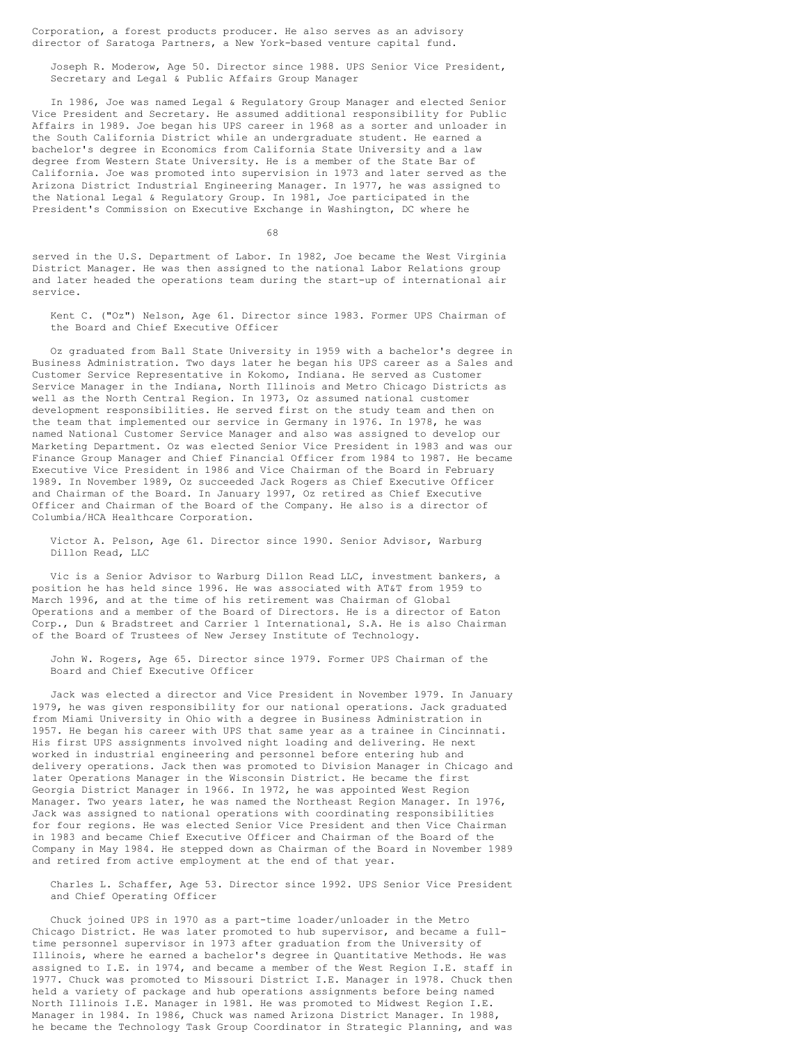Corporation, a forest products producer. He also serves as an advisory director of Saratoga Partners, a New York-based venture capital fund.

Joseph R. Moderow, Age 50. Director since 1988. UPS Senior Vice President, Secretary and Legal & Public Affairs Group Manager

In 1986, Joe was named Legal & Regulatory Group Manager and elected Senior Vice President and Secretary. He assumed additional responsibility for Public Affairs in 1989. Joe began his UPS career in 1968 as a sorter and unloader in the South California District while an undergraduate student. He earned a bachelor's degree in Economics from California State University and a law degree from Western State University. He is a member of the State Bar of California. Joe was promoted into supervision in 1973 and later served as the Arizona District Industrial Engineering Manager. In 1977, he was assigned to the National Legal & Regulatory Group. In 1981, Joe participated in the President's Commission on Executive Exchange in Washington, DC where he

68

served in the U.S. Department of Labor. In 1982, Joe became the West Virginia District Manager. He was then assigned to the national Labor Relations group and later headed the operations team during the start-up of international air service.

Kent C. ("Oz") Nelson, Age 61. Director since 1983. Former UPS Chairman of the Board and Chief Executive Officer

Oz graduated from Ball State University in 1959 with a bachelor's degree in Business Administration. Two days later he began his UPS career as a Sales and Customer Service Representative in Kokomo, Indiana. He served as Customer Service Manager in the Indiana, North Illinois and Metro Chicago Districts as well as the North Central Region. In 1973, Oz assumed national customer development responsibilities. He served first on the study team and then on the team that implemented our service in Germany in 1976. In 1978, he was named National Customer Service Manager and also was assigned to develop our Marketing Department. Oz was elected Senior Vice President in 1983 and was our Finance Group Manager and Chief Financial Officer from 1984 to 1987. He became Executive Vice President in 1986 and Vice Chairman of the Board in February 1989. In November 1989, Oz succeeded Jack Rogers as Chief Executive Officer and Chairman of the Board. In January 1997, Oz retired as Chief Executive Officer and Chairman of the Board of the Company. He also is a director of Columbia/HCA Healthcare Corporation.

Victor A. Pelson, Age 61. Director since 1990. Senior Advisor, Warburg Dillon Read, LLC

Vic is a Senior Advisor to Warburg Dillon Read LLC, investment bankers, a position he has held since 1996. He was associated with AT&T from 1959 to March 1996, and at the time of his retirement was Chairman of Global Operations and a member of the Board of Directors. He is a director of Eaton Corp., Dun & Bradstreet and Carrier 1 International, S.A. He is also Chairman of the Board of Trustees of New Jersey Institute of Technology.

John W. Rogers, Age 65. Director since 1979. Former UPS Chairman of the Board and Chief Executive Officer

Jack was elected a director and Vice President in November 1979. In January 1979, he was given responsibility for our national operations. Jack graduated from Miami University in Ohio with a degree in Business Administration in 1957. He began his career with UPS that same year as a trainee in Cincinnati. His first UPS assignments involved night loading and delivering. He next worked in industrial engineering and personnel before entering hub and delivery operations. Jack then was promoted to Division Manager in Chicago and later Operations Manager in the Wisconsin District. He became the first Georgia District Manager in 1966. In 1972, he was appointed West Region Manager. Two years later, he was named the Northeast Region Manager. In 1976, Jack was assigned to national operations with coordinating responsibilities for four regions. He was elected Senior Vice President and then Vice Chairman in 1983 and became Chief Executive Officer and Chairman of the Board of the Company in May 1984. He stepped down as Chairman of the Board in November 1989 and retired from active employment at the end of that year.

Charles L. Schaffer, Age 53. Director since 1992. UPS Senior Vice President and Chief Operating Officer

Chuck joined UPS in 1970 as a part-time loader/unloader in the Metro Chicago District. He was later promoted to hub supervisor, and became a fulltime personnel supervisor in 1973 after graduation from the University of Illinois, where he earned a bachelor's degree in Quantitative Methods. He was assigned to I.E. in 1974, and became a member of the West Region I.E. staff in 1977. Chuck was promoted to Missouri District I.E. Manager in 1978. Chuck then held a variety of package and hub operations assignments before being named North Illinois I.E. Manager in 1981. He was promoted to Midwest Region I.E. Manager in 1984. In 1986, Chuck was named Arizona District Manager. In 1988, he became the Technology Task Group Coordinator in Strategic Planning, and was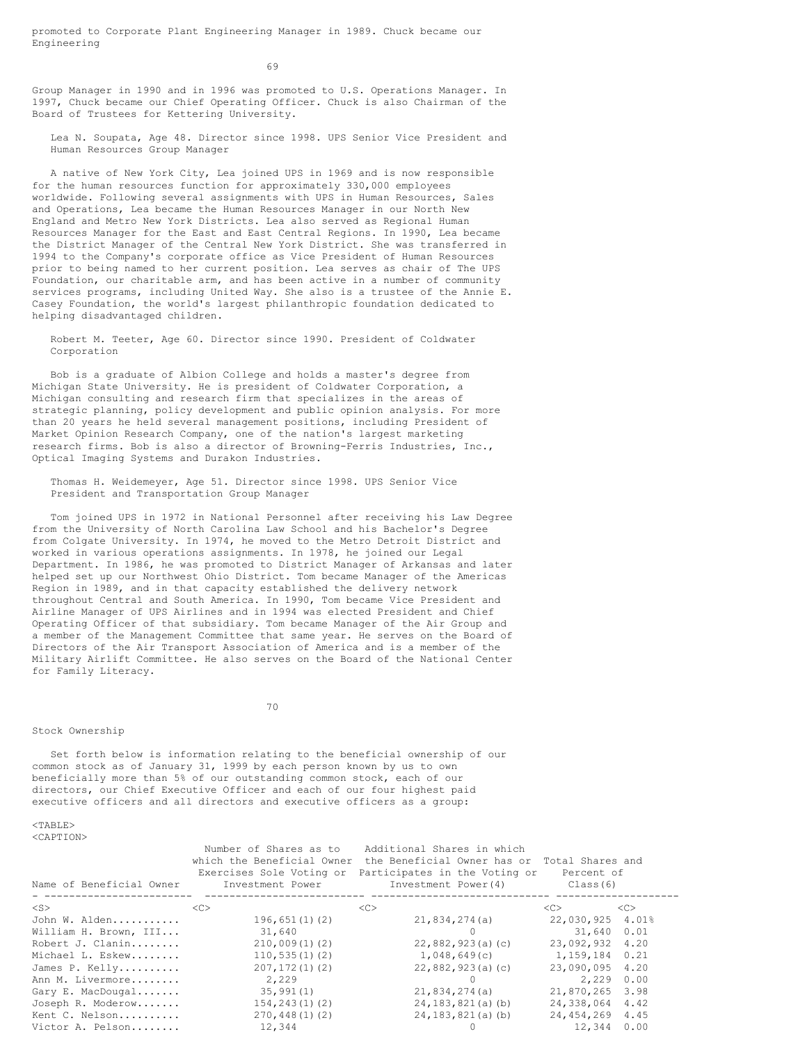promoted to Corporate Plant Engineering Manager in 1989. Chuck became our Engineering

69

Group Manager in 1990 and in 1996 was promoted to U.S. Operations Manager. In 1997, Chuck became our Chief Operating Officer. Chuck is also Chairman of the Board of Trustees for Kettering University.

Lea N. Soupata, Age 48. Director since 1998. UPS Senior Vice President and Human Resources Group Manager

A native of New York City, Lea joined UPS in 1969 and is now responsible for the human resources function for approximately 330,000 employees worldwide. Following several assignments with UPS in Human Resources, Sales and Operations, Lea became the Human Resources Manager in our North New England and Metro New York Districts. Lea also served as Regional Human Resources Manager for the East and East Central Regions. In 1990, Lea became the District Manager of the Central New York District. She was transferred in 1994 to the Company's corporate office as Vice President of Human Resources prior to being named to her current position. Lea serves as chair of The UPS Foundation, our charitable arm, and has been active in a number of community services programs, including United Way. She also is a trustee of the Annie E. Casey Foundation, the world's largest philanthropic foundation dedicated to helping disadvantaged children.

Robert M. Teeter, Age 60. Director since 1990. President of Coldwater Corporation

Bob is a graduate of Albion College and holds a master's degree from Michigan State University. He is president of Coldwater Corporation, a Michigan consulting and research firm that specializes in the areas of strategic planning, policy development and public opinion analysis. For more than 20 years he held several management positions, including President of Market Opinion Research Company, one of the nation's largest marketing research firms. Bob is also a director of Browning-Ferris Industries, Inc., Optical Imaging Systems and Durakon Industries.

Thomas H. Weidemeyer, Age 51. Director since 1998. UPS Senior Vice President and Transportation Group Manager

Tom joined UPS in 1972 in National Personnel after receiving his Law Degree from the University of North Carolina Law School and his Bachelor's Degree from Colgate University. In 1974, he moved to the Metro Detroit District and worked in various operations assignments. In 1978, he joined our Legal Department. In 1986, he was promoted to District Manager of Arkansas and later helped set up our Northwest Ohio District. Tom became Manager of the Americas Region in 1989, and in that capacity established the delivery network throughout Central and South America. In 1990, Tom became Vice President and Airline Manager of UPS Airlines and in 1994 was elected President and Chief Operating Officer of that subsidiary. Tom became Manager of the Air Group and a member of the Management Committee that same year. He serves on the Board of Directors of the Air Transport Association of America and is a member of the Military Airlift Committee. He also serves on the Board of the National Center for Family Literacy.

# 70

# Stock Ownership

Set forth below is information relating to the beneficial ownership of our common stock as of January 31, 1999 by each person known by us to own beneficially more than 5% of our outstanding common stock, each of our directors, our Chief Executive Officer and each of our four highest paid executive officers and all directors and executive officers as a group:

# $<$ TABLE>

|                          | Number of Shares as to   | Additional Shares in which                                              |                   |      |
|--------------------------|--------------------------|-------------------------------------------------------------------------|-------------------|------|
|                          |                          | which the Beneficial Owner the Beneficial Owner has or Total Shares and |                   |      |
|                          | Exercises Sole Voting or | Participates in the Voting or                                           | Percent of        |      |
| Name of Beneficial Owner | Investment Power         | Investment Power(4)                                                     | Class (6)         |      |
| $<$ S $>$                | < <sub></sub>            | <<                                                                      | < <sub></sub>     | <<>  |
| John W. Alden            | 196,651(1)(2)            | 21,834,274(a)                                                           | 22,030,925 4.01%  |      |
| William H. Brown, III    | 31,640                   | $\Omega$                                                                | 31,640 0.01       |      |
| Robert J. Clanin         | 210,009(1)(2)            | $22,882,923(a)$ (c)                                                     | 23,092,932        | 4.20 |
| Michael L. Eskew         | 110, 535(1)(2)           | 1,048,649(c)                                                            | 1,159,184 0.21    |      |
| James P. Kelly           | $207, 172(1)$ (2)        | $22,882,923(a)$ (c)                                                     | 23,090,095        | 4.20 |
| Ann M. Livermore         | 2,229                    | $\Omega$                                                                | 2,229             | 0.00 |
| Gary E. MacDougal        | 35,991(1)                | 21,834,274(a)                                                           | 21,870,265 3.98   |      |
| Joseph R. Moderow        | 154, 243(1)(2)           | $24, 183, 821(a)$ (b)                                                   | 24,338,064        | 4.42 |
| Kent C. Nelson           | 270,448(1)(2)            | $24, 183, 821(a)$ (b)                                                   | 24, 454, 269 4.45 |      |
| Victor A. Pelson         | 12,344                   |                                                                         | $12,344$ 0.00     |      |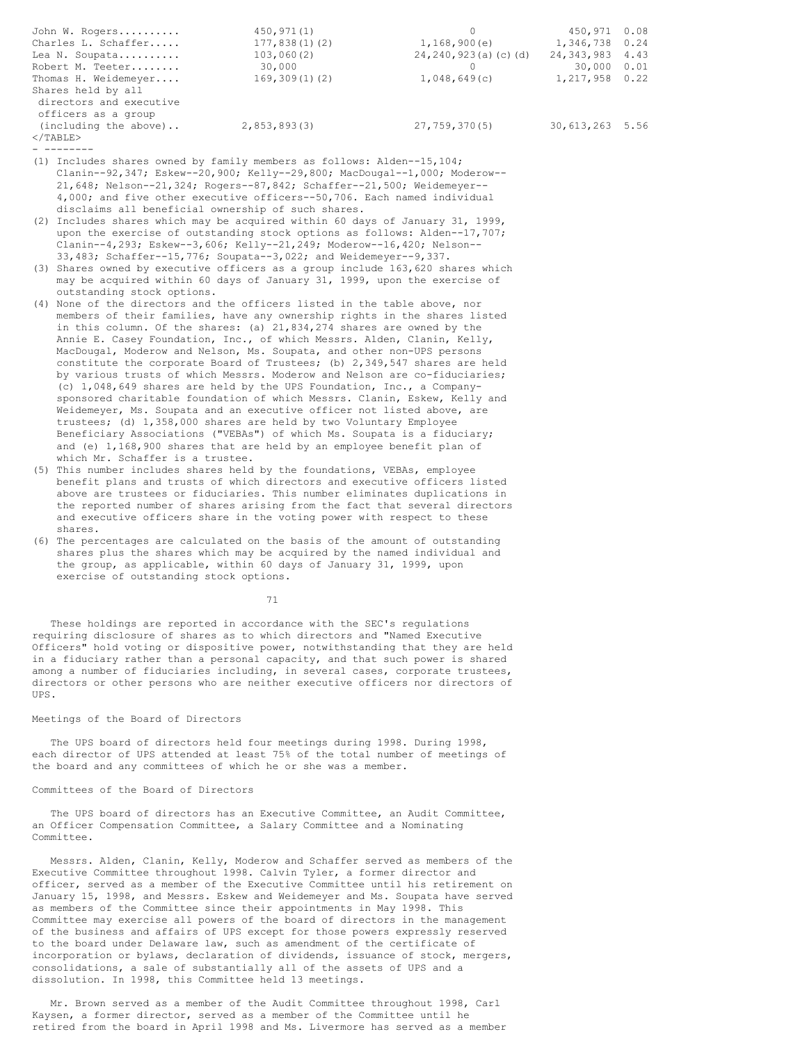| John W. Rogers<br>Charles L. Schaffer<br>Lea N. Soupata<br>Robert M. Teeter<br>Thomas H. Weidemeyer          | 450, 971(1)<br>177,838(1)(2)<br>103,060(2)<br>30,000<br>$169, 309(1)$ (2) | 1,168,900(e)<br>$24, 240, 923$ (a) (c) (d)<br>1,048,649(c) | 450,971<br>1,346,738<br>24, 343, 983 4.43<br>30,000<br>$1,217,958$ 0.22 | 0.08<br>0.24<br>0.01 |
|--------------------------------------------------------------------------------------------------------------|---------------------------------------------------------------------------|------------------------------------------------------------|-------------------------------------------------------------------------|----------------------|
| Shares held by all<br>directors and executive<br>officers as a group<br>(including the above)<br>$<$ /TABLE> | 2,853,893(3)                                                              | 27,759,370(5)                                              | 30,613,263 5.56                                                         |                      |

<sup>-</sup> --------

- (1) Includes shares owned by family members as follows: Alden--15,104; Clanin--92,347; Eskew--20,900; Kelly--29,800; MacDougal--1,000; Moderow-- 21,648; Nelson--21,324; Rogers--87,842; Schaffer--21,500; Weidemeyer-- 4,000; and five other executive officers--50,706. Each named individual disclaims all beneficial ownership of such shares.
- (2) Includes shares which may be acquired within 60 days of January 31, 1999, upon the exercise of outstanding stock options as follows: Alden--17,707; Clanin--4,293; Eskew--3,606; Kelly--21,249; Moderow--16,420; Nelson-- 33,483; Schaffer--15,776; Soupata--3,022; and Weidemeyer--9,337.
- (3) Shares owned by executive officers as a group include 163,620 shares which may be acquired within 60 days of January 31, 1999, upon the exercise of outstanding stock options.
- (4) None of the directors and the officers listed in the table above, nor members of their families, have any ownership rights in the shares listed in this column. Of the shares: (a) 21,834,274 shares are owned by the Annie E. Casey Foundation, Inc., of which Messrs. Alden, Clanin, Kelly, MacDougal, Moderow and Nelson, Ms. Soupata, and other non-UPS persons constitute the corporate Board of Trustees; (b) 2,349,547 shares are held by various trusts of which Messrs. Moderow and Nelson are co-fiduciaries; (c) 1,048,649 shares are held by the UPS Foundation, Inc., a Companysponsored charitable foundation of which Messrs. Clanin, Eskew, Kelly and Weidemeyer, Ms. Soupata and an executive officer not listed above, are trustees; (d) 1,358,000 shares are held by two Voluntary Employee Beneficiary Associations ("VEBAs") of which Ms. Soupata is a fiduciary; and (e) 1,168,900 shares that are held by an employee benefit plan of which Mr. Schaffer is a trustee.
- (5) This number includes shares held by the foundations, VEBAs, employee benefit plans and trusts of which directors and executive officers listed above are trustees or fiduciaries. This number eliminates duplications in the reported number of shares arising from the fact that several directors and executive officers share in the voting power with respect to these shares.
- (6) The percentages are calculated on the basis of the amount of outstanding shares plus the shares which may be acquired by the named individual and the group, as applicable, within 60 days of January 31, 1999, upon exercise of outstanding stock options.

71

These holdings are reported in accordance with the SEC's regulations requiring disclosure of shares as to which directors and "Named Executive Officers" hold voting or dispositive power, notwithstanding that they are held in a fiduciary rather than a personal capacity, and that such power is shared among a number of fiduciaries including, in several cases, corporate trustees, directors or other persons who are neither executive officers nor directors of UPS.

### Meetings of the Board of Directors

The UPS board of directors held four meetings during 1998. During 1998, each director of UPS attended at least 75% of the total number of meetings of the board and any committees of which he or she was a member.

# Committees of the Board of Directors

The UPS board of directors has an Executive Committee, an Audit Committee, an Officer Compensation Committee, a Salary Committee and a Nominating Committee.

Messrs. Alden, Clanin, Kelly, Moderow and Schaffer served as members of the Executive Committee throughout 1998. Calvin Tyler, a former director and officer, served as a member of the Executive Committee until his retirement on January 15, 1998, and Messrs. Eskew and Weidemeyer and Ms. Soupata have served as members of the Committee since their appointments in May 1998. This Committee may exercise all powers of the board of directors in the management of the business and affairs of UPS except for those powers expressly reserved to the board under Delaware law, such as amendment of the certificate of incorporation or bylaws, declaration of dividends, issuance of stock, mergers, consolidations, a sale of substantially all of the assets of UPS and a dissolution. In 1998, this Committee held 13 meetings.

Mr. Brown served as a member of the Audit Committee throughout 1998, Carl Kaysen, a former director, served as a member of the Committee until he retired from the board in April 1998 and Ms. Livermore has served as a member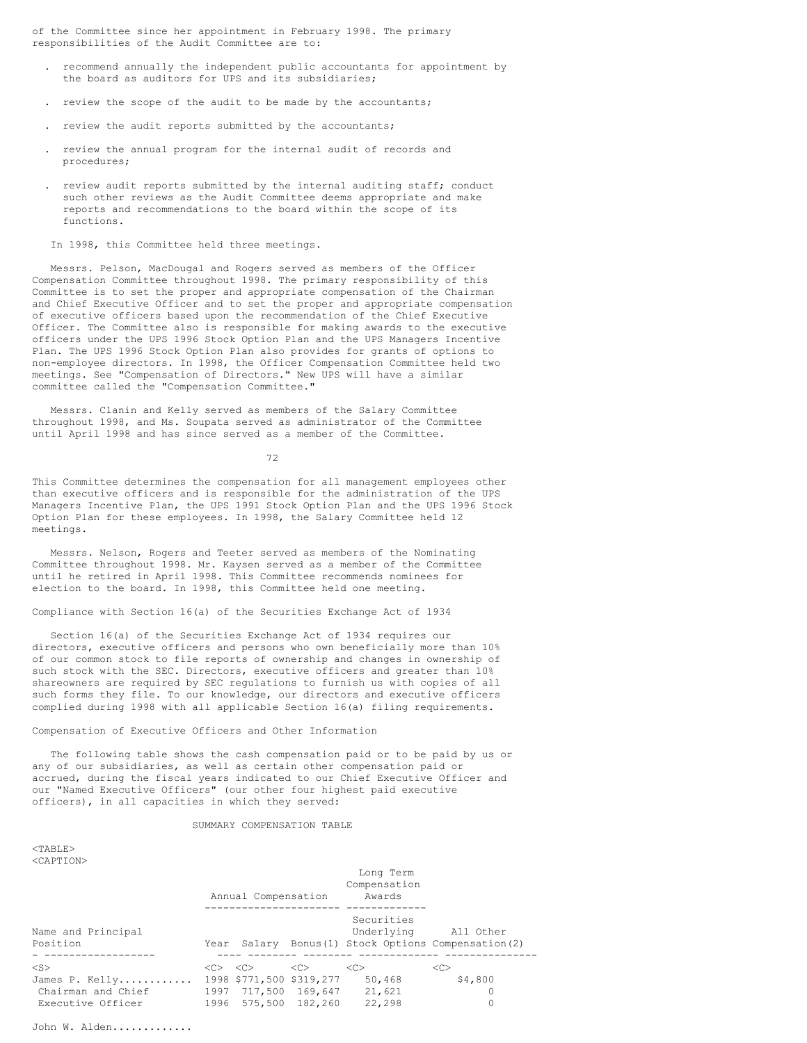of the Committee since her appointment in February 1998. The primary responsibilities of the Audit Committee are to:

- . recommend annually the independent public accountants for appointment by the board as auditors for UPS and its subsidiaries;
- . review the scope of the audit to be made by the accountants;
- . review the audit reports submitted by the accountants;
- . review the annual program for the internal audit of records and procedures;
- . review audit reports submitted by the internal auditing staff; conduct such other reviews as the Audit Committee deems appropriate and make reports and recommendations to the board within the scope of its functions.

In 1998, this Committee held three meetings.

Messrs. Pelson, MacDougal and Rogers served as members of the Officer Compensation Committee throughout 1998. The primary responsibility of this Committee is to set the proper and appropriate compensation of the Chairman and Chief Executive Officer and to set the proper and appropriate compensation of executive officers based upon the recommendation of the Chief Executive Officer. The Committee also is responsible for making awards to the executive officers under the UPS 1996 Stock Option Plan and the UPS Managers Incentive Plan. The UPS 1996 Stock Option Plan also provides for grants of options to non-employee directors. In 1998, the Officer Compensation Committee held two meetings. See "Compensation of Directors." New UPS will have a similar committee called the "Compensation Committee."

Messrs. Clanin and Kelly served as members of the Salary Committee throughout 1998, and Ms. Soupata served as administrator of the Committee until April 1998 and has since served as a member of the Committee.

72

This Committee determines the compensation for all management employees other than executive officers and is responsible for the administration of the UPS Managers Incentive Plan, the UPS 1991 Stock Option Plan and the UPS 1996 Stock Option Plan for these employees. In 1998, the Salary Committee held 12 meetings.

Messrs. Nelson, Rogers and Teeter served as members of the Nominating Committee throughout 1998. Mr. Kaysen served as a member of the Committee until he retired in April 1998. This Committee recommends nominees for election to the board. In 1998, this Committee held one meeting.

Compliance with Section 16(a) of the Securities Exchange Act of 1934

Section 16(a) of the Securities Exchange Act of 1934 requires our directors, executive officers and persons who own beneficially more than 10% of our common stock to file reports of ownership and changes in ownership of such stock with the SEC. Directors, executive officers and greater than 10% shareowners are required by SEC regulations to furnish us with copies of all such forms they file. To our knowledge, our directors and executive officers complied during 1998 with all applicable Section 16(a) filing requirements.

# Compensation of Executive Officers and Other Information

The following table shows the cash compensation paid or to be paid by us or any of our subsidiaries, as well as certain other compensation paid or accrued, during the fiscal years indicated to our Chief Executive Officer and our "Named Executive Officers" (our other four highest paid executive officers), in all capacities in which they served:

# SUMMARY COMPENSATION TABLE

<TABLE> <CAPTION>

|                                |               | Annual Compensation      |                      | Long Term<br>Compensation<br>Awards |                                                                              |
|--------------------------------|---------------|--------------------------|----------------------|-------------------------------------|------------------------------------------------------------------------------|
| Name and Principal<br>Position |               |                          |                      | Securities                          | Underlying All Other<br>Year Salary Bonus (1) Stock Options Compensation (2) |
| $<$ S $>$                      | < <sub></sub> | < <sub></sub>            | < <sub></sub>        | < <sub></sub>                       | < <sub></sub>                                                                |
| James P. Kelly                 |               | 1998 \$771,500 \$319,277 |                      | 50,468                              | \$4,800                                                                      |
| Chairman and Chief             |               |                          | 1997 717,500 169,647 | 21,621                              |                                                                              |
| Executive Officer              |               | 1996 575,500 182,260     |                      | 22,298                              |                                                                              |

John W. Alden.............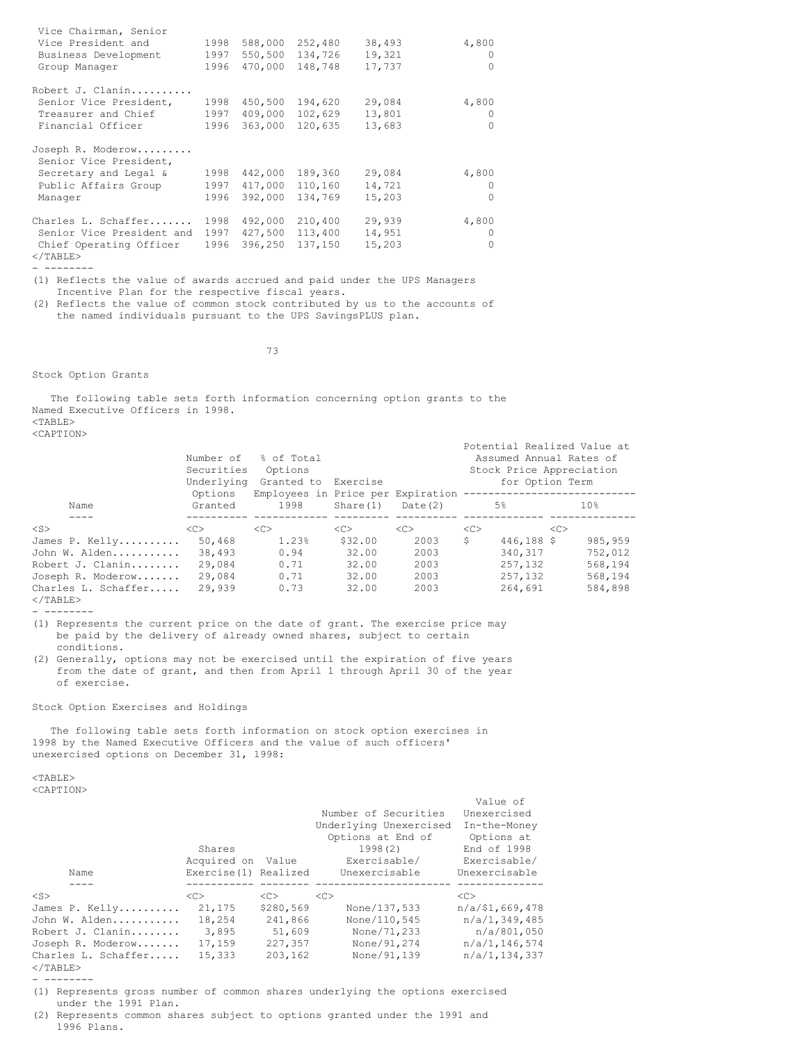| Vice Chairman, Senior<br>Vice President and<br>Business Development<br>Group Manager                    | 1998<br>1997<br>1996 | 588,000<br>550,500<br>470,000 | 252,480<br>134,726<br>148,748 | 38,493<br>19,321<br>17,737 | 4,800<br><sup>0</sup><br>$\bigcap$ |
|---------------------------------------------------------------------------------------------------------|----------------------|-------------------------------|-------------------------------|----------------------------|------------------------------------|
| Robert J. Clanin<br>Senior Vice President,<br>Treasurer and Chief<br>Financial Officer                  | 1998<br>1997<br>1996 | 450,500<br>409,000<br>363,000 | 194,620<br>102,629<br>120,635 | 29,084<br>13,801<br>13,683 | 4,800<br>$\Omega$<br>$\Omega$      |
| Joseph R. Moderow<br>Senior Vice President,<br>Secretary and Legal &<br>Public Affairs Group<br>Manager | 1998<br>1997<br>1996 | 442,000<br>417,000<br>392,000 | 189,360<br>110,160<br>134,769 | 29,084<br>14,721<br>15,203 | 4,800<br>$\Omega$<br>$\Omega$      |
| Charles L. Schaffer<br>Senior Vice President and<br>Chief Operating Officer<br>$\langle$ /TABLE>        | 1998<br>1997<br>1996 | 492,000<br>427,500<br>396,250 | 210,400<br>113,400<br>137,150 | 29,939<br>14,951<br>15,203 | 4,800<br>$\Omega$<br>$\Omega$      |

- --------

(1) Reflects the value of awards accrued and paid under the UPS Managers Incentive Plan for the respective fiscal years.

(2) Reflects the value of common stock contributed by us to the accounts of the named individuals pursuant to the UPS SavingsPLUS plan.

73

Stock Option Grants

The following table sets forth information concerning option grants to the Named Executive Officers in 1998.  $<$ TABLE $>$ <CAPTION>

|                                    | Number of<br>Securities<br>Underlying | % of Total<br>Options<br>Granted to                      | Exercise      |         |    | Potential Realized Value at<br>Assumed Annual Rates of<br>Stock Price Appreciation<br>for Option Term |          |
|------------------------------------|---------------------------------------|----------------------------------------------------------|---------------|---------|----|-------------------------------------------------------------------------------------------------------|----------|
| Name                               | Options<br>Granted                    | Employees in Price per Expiration --------------<br>1998 | Share(1)      | Date(2) |    | .5%                                                                                                   | 10%      |
| $<$ S $>$                          | < <sub></sub>                         | <<                                                       | < <sub></sub> | <<      | << | < <sub></sub>                                                                                         |          |
| James P. Kelly                     | 50,468                                | 1.23%                                                    | \$32.00       | 2003    | \$ | 446,188 \$                                                                                            | 985, 959 |
| John W. Alden                      | 38,493                                | 0.94                                                     | 32.00         | 2003    |    | 340, 317                                                                                              | 752,012  |
| Robert J. Clanin                   | 29,084                                | 0.71                                                     | 32.00         | 2003    |    | 257, 132                                                                                              | 568,194  |
| Joseph R. Moderow                  | 29,084                                | 0.71                                                     | 32.00         | 2003    |    | 257, 132                                                                                              | 568,194  |
| Charles L. Schaffer<br>$<$ /TABLE> | 29,939                                | 0.73                                                     | 32.00         | 2003    |    | 264,691                                                                                               | 584,898  |

- --------

(1) Represents the current price on the date of grant. The exercise price may be paid by the delivery of already owned shares, subject to certain conditions.

(2) Generally, options may not be exercised until the expiration of five years from the date of grant, and then from April 1 through April 30 of the year of exercise.

Stock Option Exercises and Holdings

The following table sets forth information on stock option exercises in 1998 by the Named Executive Officers and the value of such officers' unexercised options on December 31, 1998:

<TABLE>

<CAPTION>

|                     | Shares<br>Acquired on | Value     | Number of Securities<br>Underlying Unexercised<br>Options at End of<br>1998(2)<br>Exercisable/ | Value of<br>Unexercised<br>In-the-Money<br>Options at<br>End of 1998<br>Exercisable/ |
|---------------------|-----------------------|-----------|------------------------------------------------------------------------------------------------|--------------------------------------------------------------------------------------|
| Name                | Exercise(1) Realized  |           | Unexercisable                                                                                  | Unexercisable                                                                        |
|                     |                       |           |                                                                                                |                                                                                      |
| $<$ S>              | <<                    | <<        | <<                                                                                             | < <sub></sub>                                                                        |
| James P. Kelly      | 21,175                | \$280,569 | None/137,533                                                                                   | $n/a$ /\$1,669,478                                                                   |
| John W. Alden       | 18,254                | 241,866   | None/110,545                                                                                   | n/a/1,349,485                                                                        |
| Robert J. Clanin    | 3,895                 | 51,609    | None/71,233                                                                                    | n/a/801,050                                                                          |
| Joseph R. Moderow   | 17,159                | 227,357   | None/91,274                                                                                    | n/a/1,146,574                                                                        |
| Charles L. Schaffer | 15,333                | 203,162   | None/91,139                                                                                    | n/a/1, 134, 337                                                                      |
| $\langle$ /TABLE>   |                       |           |                                                                                                |                                                                                      |

- --------

- (1) Represents gross number of common shares underlying the options exercised under the 1991 Plan.
- (2) Represents common shares subject to options granted under the 1991 and 1996 Plans.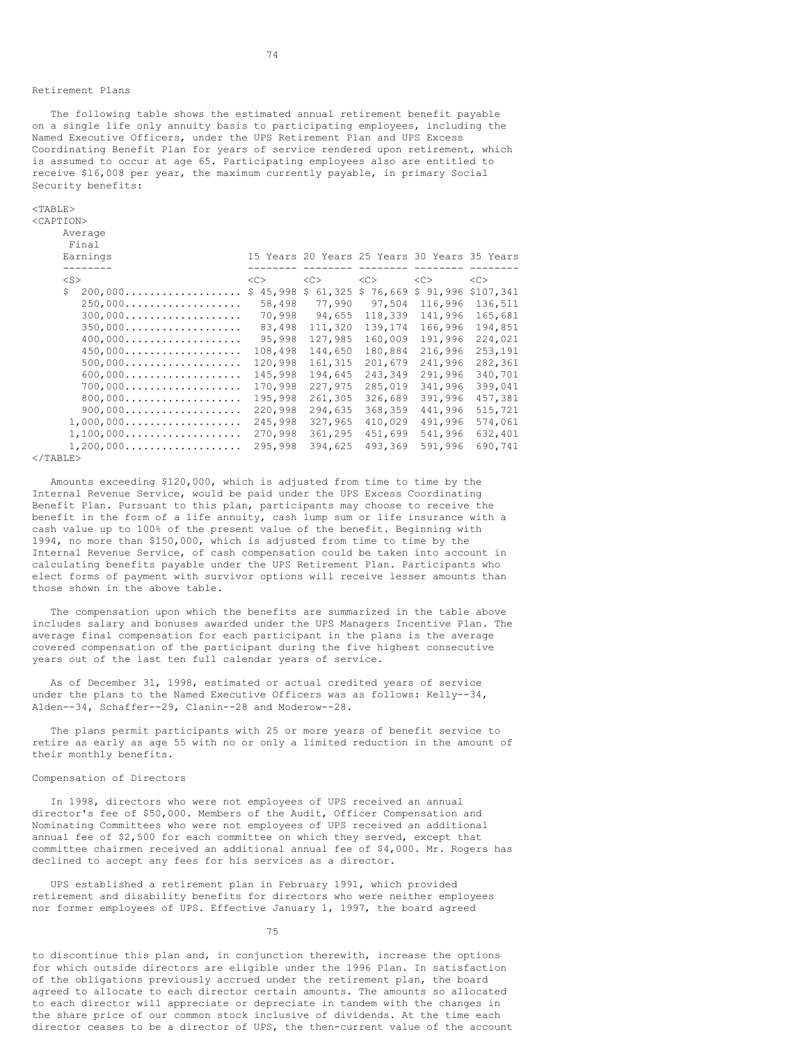### Retirement Plans

The following table shows the estimated annual retirement benefit payable on a single life only annuity basis to participating employees, including the Named Executive Officers, under the UPS Retirement Plan and UPS Excess Coordinating Benefit Plan for years of service rendered upon retirement, which is assumed to occur at age 65. Participating employees also are entitled to receive \$16,008 per year, the maximum currently payable, in primary Social Security benefits:

 $<$ TABLE>

| <caption></caption> |           |                                                         |          |                                              |         |                     |           |
|---------------------|-----------|---------------------------------------------------------|----------|----------------------------------------------|---------|---------------------|-----------|
|                     |           | Average<br>Final                                        |          |                                              |         |                     |           |
|                     |           | Earnings<br>--------                                    |          | 15 Years 20 Years 25 Years 30 Years 35 Years | ------- |                     |           |
|                     | $<$ S $>$ |                                                         | <<>      | <<                                           | <<>     | <<>                 | <<        |
|                     | Š.        | $200,000$                                               | \$45,998 | \$61,325                                     |         | $$76,669$ $$91,996$ | \$107,341 |
|                     |           | $250,000\ldots\ldots\ldots\ldots\ldots\ldots\ldots$     | 58,498   | 77,990                                       | 97,504  | 116,996             | 136,511   |
|                     |           | $300,000$                                               | 70,998   | 94,655                                       | 118,339 | 141,996             | 165,681   |
|                     |           | $350,000$                                               | 83,498   | 111,320                                      | 139,174 | 166,996             | 194,851   |
|                     |           | $400,000$                                               | 95,998   | 127,985                                      | 160,009 | 191,996             | 224,021   |
|                     |           | $450,000$                                               | 108,498  | 144,650                                      | 180,884 | 216,996             | 253,191   |
|                     |           | $500,000$                                               | 120,998  | 161,315                                      | 201,679 | 241,996             | 282,361   |
|                     |           | $600,000$                                               | 145,998  | 194.645                                      | 243,349 | 291,996             | 340,701   |
|                     |           | $700,000$                                               | 170,998  | 227,975                                      | 285,019 | 341,996             | 399,041   |
|                     |           | 800,000                                                 | 195,998  | 261,305                                      | 326,689 | 391,996             | 457,381   |
|                     |           | $900,000$                                               | 220,998  | 294,635                                      | 368,359 | 441,996             | 515,721   |
|                     |           | $1,000,000 \ldots \ldots \ldots \ldots \ldots \ldots$   | 245,998  | 327,965                                      | 410,029 | 491,996             | 574,061   |
|                     |           | $1, 100, 000 \ldots \ldots \ldots \ldots \ldots \ldots$ | 270,998  | 361,295                                      | 451,699 | 541,996             | 632,401   |
|                     |           | $1, 200, 000 \ldots \ldots \ldots \ldots \ldots \ldots$ | 295,998  | 394,625                                      | 493,369 | 591,996             | 690,741   |
| $\langle$ /TABLE>   |           |                                                         |          |                                              |         |                     |           |

Amounts exceeding \$120,000, which is adjusted from time to time by the Internal Revenue Service, would be paid under the UPS Excess Coordinating Benefit Plan. Pursuant to this plan, participants may choose to receive the benefit in the form of a life annuity, cash lump sum or life insurance with a cash value up to 100% of the present value of the benefit. Beginning with 1994, no more than \$150,000, which is adjusted from time to time by the Internal Revenue Service, of cash compensation could be taken into account in calculating benefits payable under the UPS Retirement Plan. Participants who elect forms of payment with survivor options will receive lesser amounts than those shown in the above table.

The compensation upon which the benefits are summarized in the table above includes salary and bonuses awarded under the UPS Managers Incentive Plan. The average final compensation for each participant in the plans is the average covered compensation of the participant during the five highest consecutive years out of the last ten full calendar years of service.

As of December 31, 1998, estimated or actual credited years of service under the plans to the Named Executive Officers was as follows: Kelly--34, Alden--34, Schaffer--29, Clanin--28 and Moderow--28.

The plans permit participants with 25 or more years of benefit service to retire as early as age 55 with no or only a limited reduction in the amount of their monthly benefits.

# Compensation of Directors

In 1998, directors who were not employees of UPS received an annual director's fee of \$50,000. Members of the Audit, Officer Compensation and Nominating Committees who were not employees of UPS received an additional annual fee of \$2,500 for each committee on which they served, except that committee chairmen received an additional annual fee of \$4,000. Mr. Rogers has declined to accept any fees for his services as a director.

UPS established a retirement plan in February 1991, which provided retirement and disability benefits for directors who were neither employees nor former employees of UPS. Effective January 1, 1997, the board agreed

75

to discontinue this plan and, in conjunction therewith, increase the options for which outside directors are eligible under the 1996 Plan. In satisfaction of the obligations previously accrued under the retirement plan, the board agreed to allocate to each director certain amounts. The amounts so allocated to each director will appreciate or depreciate in tandem with the changes in the share price of our common stock inclusive of dividends. At the time each director ceases to be a director of UPS, the then-current value of the account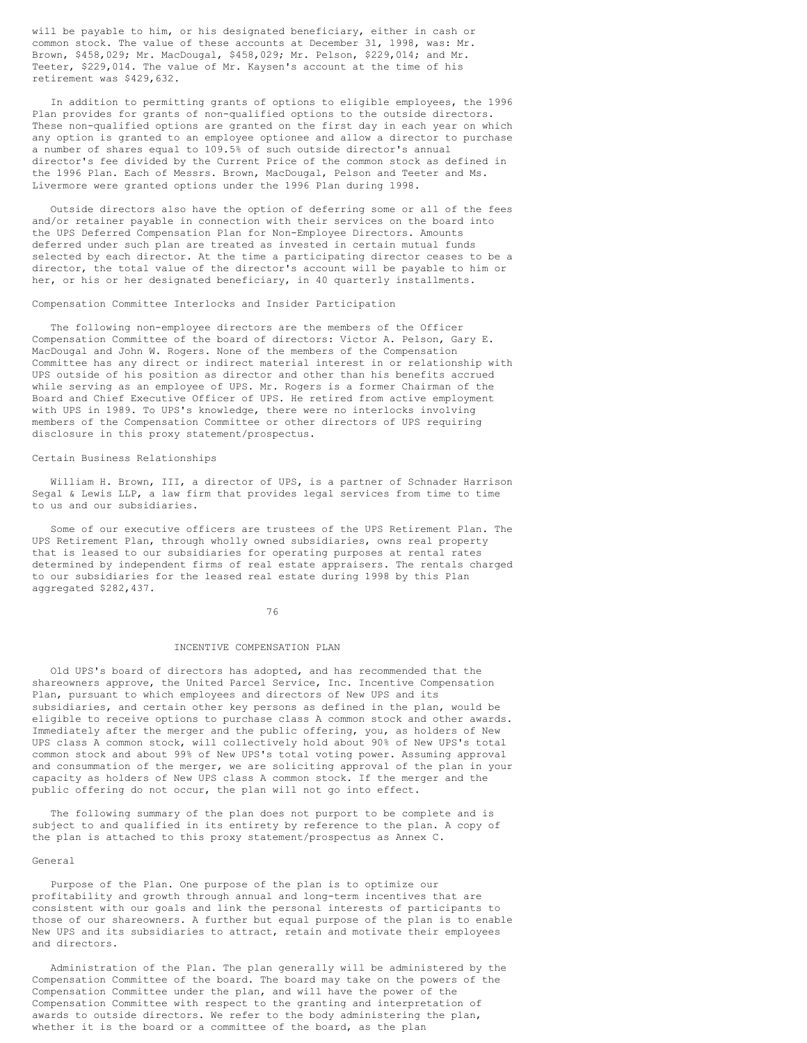will be payable to him, or his designated beneficiary, either in cash or common stock. The value of these accounts at December 31, 1998, was: Mr. Brown, \$458,029; Mr. MacDougal, \$458,029; Mr. Pelson, \$229,014; and Mr. Teeter, \$229,014. The value of Mr. Kaysen's account at the time of his retirement was \$429,632.

In addition to permitting grants of options to eligible employees, the 1996 Plan provides for grants of non-qualified options to the outside directors. These non-qualified options are granted on the first day in each year on which any option is granted to an employee optionee and allow a director to purchase a number of shares equal to 109.5% of such outside director's annual director's fee divided by the Current Price of the common stock as defined in the 1996 Plan. Each of Messrs. Brown, MacDougal, Pelson and Teeter and Ms. Livermore were granted options under the 1996 Plan during 1998.

Outside directors also have the option of deferring some or all of the fees and/or retainer payable in connection with their services on the board into the UPS Deferred Compensation Plan for Non-Employee Directors. Amounts deferred under such plan are treated as invested in certain mutual funds selected by each director. At the time a participating director ceases to be a director, the total value of the director's account will be payable to him or her, or his or her designated beneficiary, in 40 quarterly installments.

### Compensation Committee Interlocks and Insider Participation

The following non-employee directors are the members of the Officer Compensation Committee of the board of directors: Victor A. Pelson, Gary E. MacDougal and John W. Rogers. None of the members of the Compensation Committee has any direct or indirect material interest in or relationship with UPS outside of his position as director and other than his benefits accrued while serving as an employee of UPS. Mr. Rogers is a former Chairman of the Board and Chief Executive Officer of UPS. He retired from active employment with UPS in 1989. To UPS's knowledge, there were no interlocks involving members of the Compensation Committee or other directors of UPS requiring disclosure in this proxy statement/prospectus.

### Certain Business Relationships

William H. Brown, III, a director of UPS, is a partner of Schnader Harrison Segal & Lewis LLP, a law firm that provides legal services from time to time to us and our subsidiaries.

Some of our executive officers are trustees of the UPS Retirement Plan. The UPS Retirement Plan, through wholly owned subsidiaries, owns real property that is leased to our subsidiaries for operating purposes at rental rates determined by independent firms of real estate appraisers. The rentals charged to our subsidiaries for the leased real estate during 1998 by this Plan aggregated \$282,437.

#### 76

#### INCENTIVE COMPENSATION PLAN

Old UPS's board of directors has adopted, and has recommended that the shareowners approve, the United Parcel Service, Inc. Incentive Compensation Plan, pursuant to which employees and directors of New UPS and its subsidiaries, and certain other key persons as defined in the plan, would be eligible to receive options to purchase class A common stock and other awards. Immediately after the merger and the public offering, you, as holders of New UPS class A common stock, will collectively hold about 90% of New UPS's total common stock and about 99% of New UPS's total voting power. Assuming approval and consummation of the merger, we are soliciting approval of the plan in your capacity as holders of New UPS class A common stock. If the merger and the public offering do not occur, the plan will not go into effect.

The following summary of the plan does not purport to be complete and is subject to and qualified in its entirety by reference to the plan. A copy of the plan is attached to this proxy statement/prospectus as Annex C.

#### General

Purpose of the Plan. One purpose of the plan is to optimize our profitability and growth through annual and long-term incentives that are consistent with our goals and link the personal interests of participants to those of our shareowners. A further but equal purpose of the plan is to enable New UPS and its subsidiaries to attract, retain and motivate their employees and directors.

Administration of the Plan. The plan generally will be administered by the Compensation Committee of the board. The board may take on the powers of the Compensation Committee under the plan, and will have the power of the Compensation Committee with respect to the granting and interpretation of awards to outside directors. We refer to the body administering the plan, whether it is the board or a committee of the board, as the plan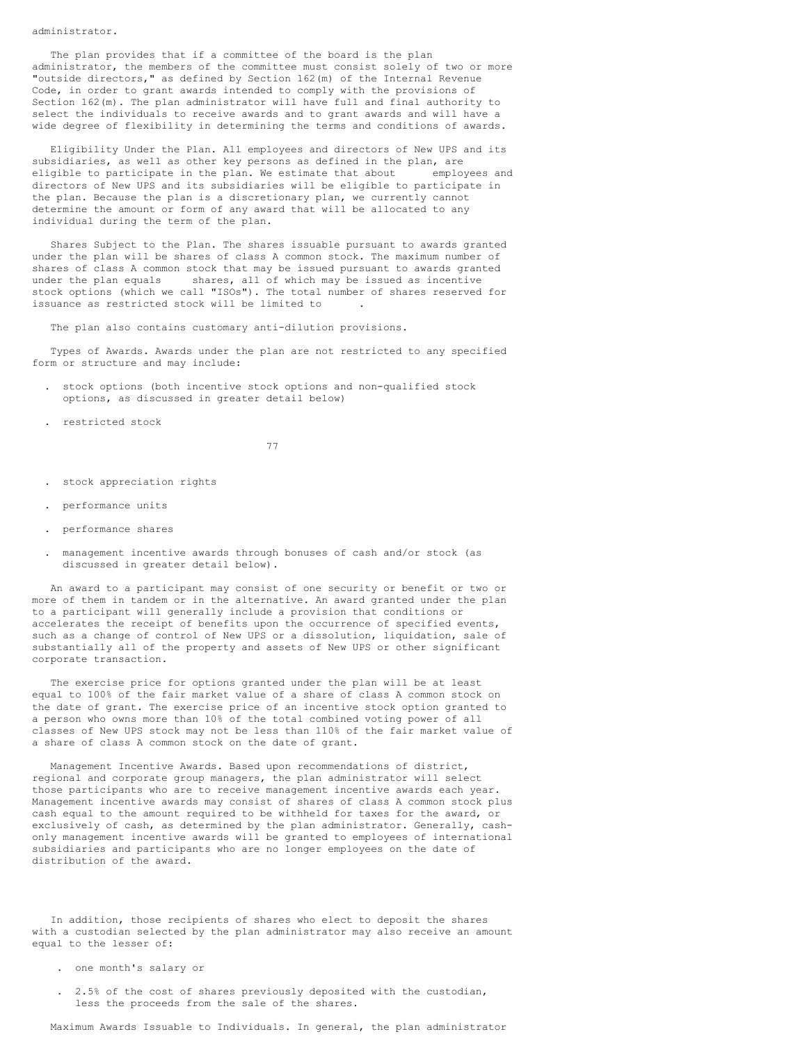The plan provides that if a committee of the board is the plan administrator, the members of the committee must consist solely of two or more "outside directors," as defined by Section 162(m) of the Internal Revenue Code, in order to grant awards intended to comply with the provisions of Section 162(m). The plan administrator will have full and final authority to select the individuals to receive awards and to grant awards and will have a wide degree of flexibility in determining the terms and conditions of awards.

Eligibility Under the Plan. All employees and directors of New UPS and its subsidiaries, as well as other key persons as defined in the plan, are eligible to participate in the plan. We estimate that about employees and directors of New UPS and its subsidiaries will be eligible to participate in the plan. Because the plan is a discretionary plan, we currently cannot determine the amount or form of any award that will be allocated to any individual during the term of the plan.

Shares Subject to the Plan. The shares issuable pursuant to awards granted under the plan will be shares of class A common stock. The maximum number of shares of class A common stock that may be issued pursuant to awards granted under the plan equals shares, all of which may be issued as incentive stock options (which we call "ISOs"). The total number of shares reserved for issuance as restricted stock will be limited to .

The plan also contains customary anti-dilution provisions.

Types of Awards. Awards under the plan are not restricted to any specified form or structure and may include:

- . stock options (both incentive stock options and non-qualified stock options, as discussed in greater detail below)
- . restricted stock

77

- . stock appreciation rights
- . performance units
- . performance shares
- . management incentive awards through bonuses of cash and/or stock (as discussed in greater detail below).

An award to a participant may consist of one security or benefit or two or more of them in tandem or in the alternative. An award granted under the plan to a participant will generally include a provision that conditions or accelerates the receipt of benefits upon the occurrence of specified events, such as a change of control of New UPS or a dissolution, liquidation, sale of substantially all of the property and assets of New UPS or other significant corporate transaction.

The exercise price for options granted under the plan will be at least equal to 100% of the fair market value of a share of class A common stock on the date of grant. The exercise price of an incentive stock option granted to a person who owns more than 10% of the total combined voting power of all classes of New UPS stock may not be less than 110% of the fair market value of a share of class A common stock on the date of grant.

Management Incentive Awards. Based upon recommendations of district, regional and corporate group managers, the plan administrator will select those participants who are to receive management incentive awards each year. Management incentive awards may consist of shares of class A common stock plus cash equal to the amount required to be withheld for taxes for the award, or exclusively of cash, as determined by the plan administrator. Generally, cashonly management incentive awards will be granted to employees of international subsidiaries and participants who are no longer employees on the date of distribution of the award.

In addition, those recipients of shares who elect to deposit the shares with a custodian selected by the plan administrator may also receive an amount equal to the lesser of:

- . one month's salary or
- . 2.5% of the cost of shares previously deposited with the custodian, less the proceeds from the sale of the shares.

Maximum Awards Issuable to Individuals. In general, the plan administrator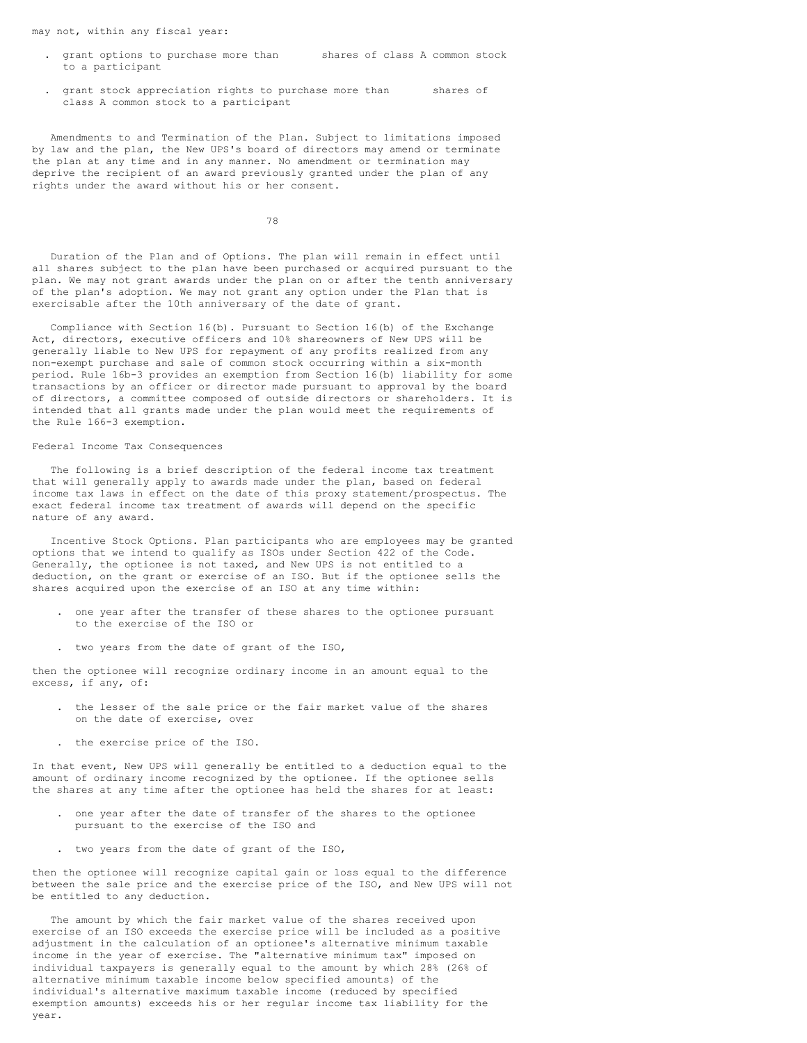may not, within any fiscal year:

- . grant options to purchase more than shares of class A common stock to a participant
- . grant stock appreciation rights to purchase more than shares of class A common stock to a participant

Amendments to and Termination of the Plan. Subject to limitations imposed by law and the plan, the New UPS's board of directors may amend or terminate the plan at any time and in any manner. No amendment or termination may deprive the recipient of an award previously granted under the plan of any rights under the award without his or her consent.

78

Duration of the Plan and of Options. The plan will remain in effect until all shares subject to the plan have been purchased or acquired pursuant to the plan. We may not grant awards under the plan on or after the tenth anniversary of the plan's adoption. We may not grant any option under the Plan that is exercisable after the 10th anniversary of the date of grant.

Compliance with Section 16(b). Pursuant to Section 16(b) of the Exchange Act, directors, executive officers and 10% shareowners of New UPS will be generally liable to New UPS for repayment of any profits realized from any non-exempt purchase and sale of common stock occurring within a six-month period. Rule 16b-3 provides an exemption from Section 16(b) liability for some transactions by an officer or director made pursuant to approval by the board of directors, a committee composed of outside directors or shareholders. It is intended that all grants made under the plan would meet the requirements of the Rule 166-3 exemption.

#### Federal Income Tax Consequences

The following is a brief description of the federal income tax treatment that will generally apply to awards made under the plan, based on federal income tax laws in effect on the date of this proxy statement/prospectus. The exact federal income tax treatment of awards will depend on the specific nature of any award.

Incentive Stock Options. Plan participants who are employees may be granted options that we intend to qualify as ISOs under Section 422 of the Code. Generally, the optionee is not taxed, and New UPS is not entitled to a deduction, on the grant or exercise of an ISO. But if the optionee sells the shares acquired upon the exercise of an ISO at any time within:

- . one year after the transfer of these shares to the optionee pursuant to the exercise of the ISO or
- . two years from the date of grant of the ISO,

then the optionee will recognize ordinary income in an amount equal to the excess, if any, of:

- . the lesser of the sale price or the fair market value of the shares on the date of exercise, over
- . the exercise price of the ISO.

In that event, New UPS will generally be entitled to a deduction equal to the amount of ordinary income recognized by the optionee. If the optionee sells the shares at any time after the optionee has held the shares for at least:

- . one year after the date of transfer of the shares to the optionee pursuant to the exercise of the ISO and
- . two years from the date of grant of the ISO,

then the optionee will recognize capital gain or loss equal to the difference between the sale price and the exercise price of the ISO, and New UPS will not be entitled to any deduction.

The amount by which the fair market value of the shares received upon exercise of an ISO exceeds the exercise price will be included as a positive adjustment in the calculation of an optionee's alternative minimum taxable income in the year of exercise. The "alternative minimum tax" imposed on individual taxpayers is generally equal to the amount by which 28% (26% of alternative minimum taxable income below specified amounts) of the individual's alternative maximum taxable income (reduced by specified exemption amounts) exceeds his or her regular income tax liability for the year.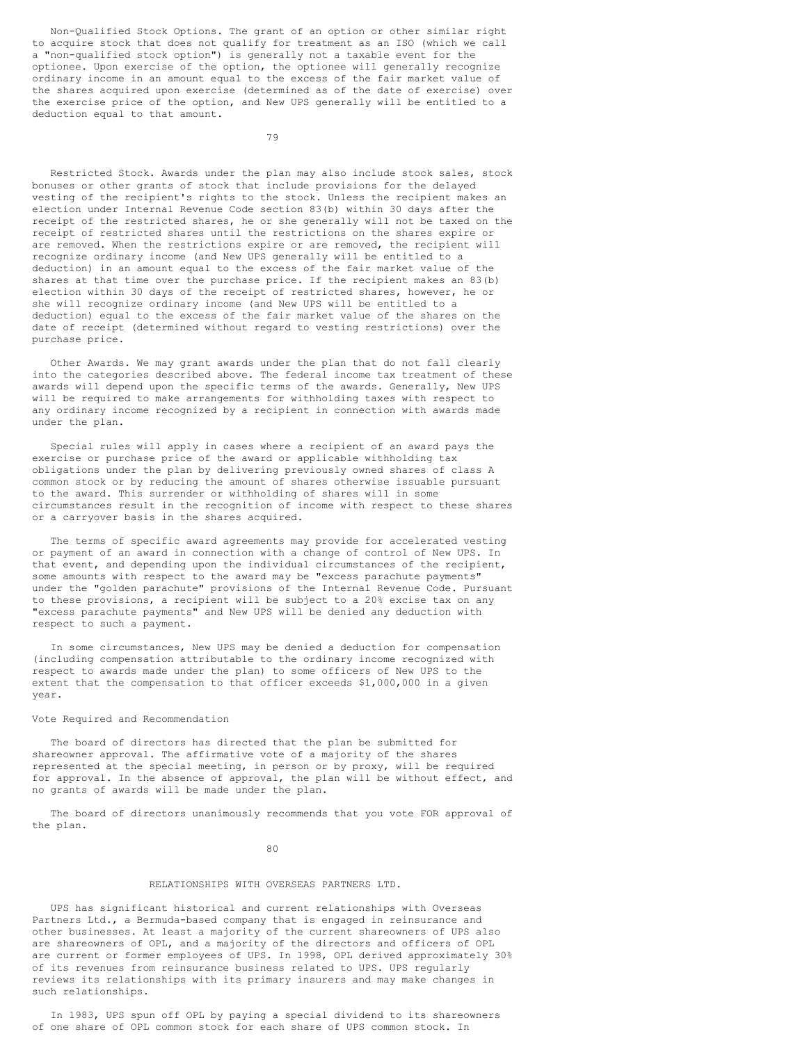Non-Qualified Stock Options. The grant of an option or other similar right to acquire stock that does not qualify for treatment as an ISO (which we call a "non-qualified stock option") is generally not a taxable event for the optionee. Upon exercise of the option, the optionee will generally recognize ordinary income in an amount equal to the excess of the fair market value of the shares acquired upon exercise (determined as of the date of exercise) over the exercise price of the option, and New UPS generally will be entitled to a deduction equal to that amount.

79

Restricted Stock. Awards under the plan may also include stock sales, stock bonuses or other grants of stock that include provisions for the delayed vesting of the recipient's rights to the stock. Unless the recipient makes an election under Internal Revenue Code section 83(b) within 30 days after the receipt of the restricted shares, he or she generally will not be taxed on the receipt of restricted shares until the restrictions on the shares expire or are removed. When the restrictions expire or are removed, the recipient will recognize ordinary income (and New UPS generally will be entitled to a deduction) in an amount equal to the excess of the fair market value of the shares at that time over the purchase price. If the recipient makes an 83(b) election within 30 days of the receipt of restricted shares, however, he or she will recognize ordinary income (and New UPS will be entitled to a deduction) equal to the excess of the fair market value of the shares on the date of receipt (determined without regard to vesting restrictions) over the purchase price.

Other Awards. We may grant awards under the plan that do not fall clearly into the categories described above. The federal income tax treatment of these awards will depend upon the specific terms of the awards. Generally, New UPS will be required to make arrangements for withholding taxes with respect to any ordinary income recognized by a recipient in connection with awards made under the plan.

Special rules will apply in cases where a recipient of an award pays the exercise or purchase price of the award or applicable withholding tax obligations under the plan by delivering previously owned shares of class A common stock or by reducing the amount of shares otherwise issuable pursuant to the award. This surrender or withholding of shares will in some circumstances result in the recognition of income with respect to these shares or a carryover basis in the shares acquired.

The terms of specific award agreements may provide for accelerated vesting or payment of an award in connection with a change of control of New UPS. In that event, and depending upon the individual circumstances of the recipient, some amounts with respect to the award may be "excess parachute payments" under the "golden parachute" provisions of the Internal Revenue Code. Pursuant to these provisions, a recipient will be subject to a 20% excise tax on any "excess parachute payments" and New UPS will be denied any deduction with respect to such a payment.

In some circumstances, New UPS may be denied a deduction for compensation (including compensation attributable to the ordinary income recognized with respect to awards made under the plan) to some officers of New UPS to the extent that the compensation to that officer exceeds \$1,000,000 in a given year.

# Vote Required and Recommendation

The board of directors has directed that the plan be submitted for shareowner approval. The affirmative vote of a majority of the shares represented at the special meeting, in person or by proxy, will be required for approval. In the absence of approval, the plan will be without effect, and no grants of awards will be made under the plan.

The board of directors unanimously recommends that you vote FOR approval of the plan.

80

#### RELATIONSHIPS WITH OVERSEAS PARTNERS LTD.

UPS has significant historical and current relationships with Overseas Partners Ltd., a Bermuda-based company that is engaged in reinsurance and other businesses. At least a majority of the current shareowners of UPS also are shareowners of OPL, and a majority of the directors and officers of OPL are current or former employees of UPS. In 1998, OPL derived approximately 30% of its revenues from reinsurance business related to UPS. UPS regularly reviews its relationships with its primary insurers and may make changes in such relationships.

In 1983, UPS spun off OPL by paying a special dividend to its shareowners of one share of OPL common stock for each share of UPS common stock. In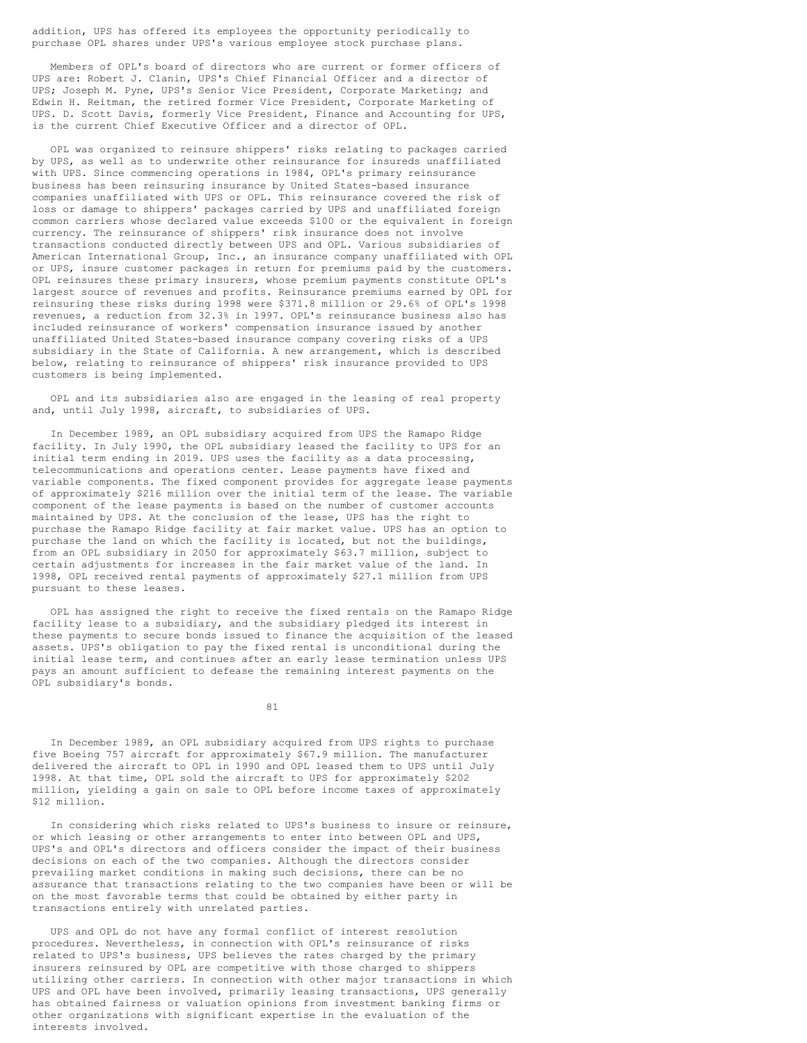addition, UPS has offered its employees the opportunity periodically to purchase OPL shares under UPS's various employee stock purchase plans.

Members of OPL's board of directors who are current or former officers of UPS are: Robert J. Clanin, UPS's Chief Financial Officer and a director of UPS; Joseph M. Pyne, UPS's Senior Vice President, Corporate Marketing; and Edwin H. Reitman, the retired former Vice President, Corporate Marketing of UPS. D. Scott Davis, formerly Vice President, Finance and Accounting for UPS, is the current Chief Executive Officer and a director of OPL.

OPL was organized to reinsure shippers' risks relating to packages carried by UPS, as well as to underwrite other reinsurance for insureds unaffiliated with UPS. Since commencing operations in 1984, OPL's primary reinsurance business has been reinsuring insurance by United States-based insurance companies unaffiliated with UPS or OPL. This reinsurance covered the risk of loss or damage to shippers' packages carried by UPS and unaffiliated foreign common carriers whose declared value exceeds \$100 or the equivalent in foreign currency. The reinsurance of shippers' risk insurance does not involve transactions conducted directly between UPS and OPL. Various subsidiaries of American International Group, Inc., an insurance company unaffiliated with OPL or UPS, insure customer packages in return for premiums paid by the customers. OPL reinsures these primary insurers, whose premium payments constitute OPL's largest source of revenues and profits. Reinsurance premiums earned by OPL for reinsuring these risks during 1998 were \$371.8 million or 29.6% of OPL's 1998 revenues, a reduction from 32.3% in 1997. OPL's reinsurance business also has included reinsurance of workers' compensation insurance issued by another unaffiliated United States-based insurance company covering risks of a UPS subsidiary in the State of California. A new arrangement, which is described below, relating to reinsurance of shippers' risk insurance provided to UPS customers is being implemented.

OPL and its subsidiaries also are engaged in the leasing of real property and, until July 1998, aircraft, to subsidiaries of UPS.

In December 1989, an OPL subsidiary acquired from UPS the Ramapo Ridge facility. In July 1990, the OPL subsidiary leased the facility to UPS for an initial term ending in 2019. UPS uses the facility as a data processing, telecommunications and operations center. Lease payments have fixed and variable components. The fixed component provides for aggregate lease payments of approximately \$216 million over the initial term of the lease. The variable component of the lease payments is based on the number of customer accounts maintained by UPS. At the conclusion of the lease, UPS has the right to purchase the Ramapo Ridge facility at fair market value. UPS has an option to purchase the land on which the facility is located, but not the buildings, from an OPL subsidiary in 2050 for approximately \$63.7 million, subject to certain adjustments for increases in the fair market value of the land. In 1998, OPL received rental payments of approximately \$27.1 million from UPS pursuant to these leases.

OPL has assigned the right to receive the fixed rentals on the Ramapo Ridge facility lease to a subsidiary, and the subsidiary pledged its interest in these payments to secure bonds issued to finance the acquisition of the leased assets. UPS's obligation to pay the fixed rental is unconditional during the initial lease term, and continues after an early lease termination unless UPS pays an amount sufficient to defease the remaining interest payments on the OPL subsidiary's bonds.

81

In December 1989, an OPL subsidiary acquired from UPS rights to purchase five Boeing 757 aircraft for approximately \$67.9 million. The manufacturer delivered the aircraft to OPL in 1990 and OPL leased them to UPS until July 1998. At that time, OPL sold the aircraft to UPS for approximately \$202 million, yielding a gain on sale to OPL before income taxes of approximately \$12 million.

In considering which risks related to UPS's business to insure or reinsure, or which leasing or other arrangements to enter into between OPL and UPS, UPS's and OPL's directors and officers consider the impact of their business decisions on each of the two companies. Although the directors consider prevailing market conditions in making such decisions, there can be no assurance that transactions relating to the two companies have been or will be on the most favorable terms that could be obtained by either party in transactions entirely with unrelated parties.

UPS and OPL do not have any formal conflict of interest resolution procedures. Nevertheless, in connection with OPL's reinsurance of risks related to UPS's business, UPS believes the rates charged by the primary insurers reinsured by OPL are competitive with those charged to shippers utilizing other carriers. In connection with other major transactions in which UPS and OPL have been involved, primarily leasing transactions, UPS generally has obtained fairness or valuation opinions from investment banking firms or other organizations with significant expertise in the evaluation of the interests involved.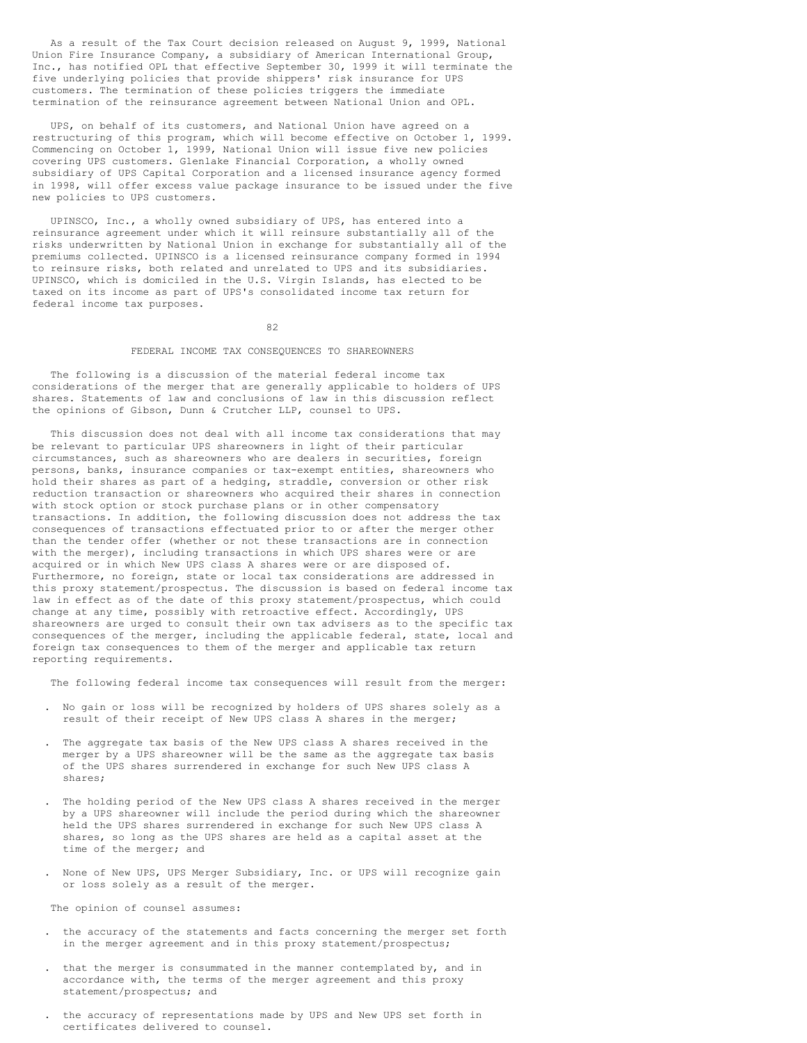As a result of the Tax Court decision released on August 9, 1999, National Union Fire Insurance Company, a subsidiary of American International Group, Inc., has notified OPL that effective September 30, 1999 it will terminate the five underlying policies that provide shippers' risk insurance for UPS customers. The termination of these policies triggers the immediate termination of the reinsurance agreement between National Union and OPL.

UPS, on behalf of its customers, and National Union have agreed on a restructuring of this program, which will become effective on October 1, 1999. Commencing on October 1, 1999, National Union will issue five new policies covering UPS customers. Glenlake Financial Corporation, a wholly owned subsidiary of UPS Capital Corporation and a licensed insurance agency formed in 1998, will offer excess value package insurance to be issued under the five new policies to UPS customers.

UPINSCO, Inc., a wholly owned subsidiary of UPS, has entered into a reinsurance agreement under which it will reinsure substantially all of the risks underwritten by National Union in exchange for substantially all of the premiums collected. UPINSCO is a licensed reinsurance company formed in 1994 to reinsure risks, both related and unrelated to UPS and its subsidiaries. UPINSCO, which is domiciled in the U.S. Virgin Islands, has elected to be taxed on its income as part of UPS's consolidated income tax return for federal income tax purposes.

82

# FEDERAL INCOME TAX CONSEQUENCES TO SHAREOWNERS

The following is a discussion of the material federal income tax considerations of the merger that are generally applicable to holders of UPS shares. Statements of law and conclusions of law in this discussion reflect the opinions of Gibson, Dunn & Crutcher LLP, counsel to UPS.

This discussion does not deal with all income tax considerations that may be relevant to particular UPS shareowners in light of their particular circumstances, such as shareowners who are dealers in securities, foreign persons, banks, insurance companies or tax-exempt entities, shareowners who hold their shares as part of a hedging, straddle, conversion or other risk reduction transaction or shareowners who acquired their shares in connection with stock option or stock purchase plans or in other compensatory transactions. In addition, the following discussion does not address the tax consequences of transactions effectuated prior to or after the merger other than the tender offer (whether or not these transactions are in connection with the merger), including transactions in which UPS shares were or are acquired or in which New UPS class A shares were or are disposed of. Furthermore, no foreign, state or local tax considerations are addressed in this proxy statement/prospectus. The discussion is based on federal income tax law in effect as of the date of this proxy statement/prospectus, which could change at any time, possibly with retroactive effect. Accordingly, UPS shareowners are urged to consult their own tax advisers as to the specific tax consequences of the merger, including the applicable federal, state, local and foreign tax consequences to them of the merger and applicable tax return reporting requirements.

The following federal income tax consequences will result from the merger:

- . No gain or loss will be recognized by holders of UPS shares solely as a result of their receipt of New UPS class A shares in the merger;
- . The aggregate tax basis of the New UPS class A shares received in the merger by a UPS shareowner will be the same as the aggregate tax basis of the UPS shares surrendered in exchange for such New UPS class A shares;
- . The holding period of the New UPS class A shares received in the merger by a UPS shareowner will include the period during which the shareowner held the UPS shares surrendered in exchange for such New UPS class A shares, so long as the UPS shares are held as a capital asset at the time of the merger; and
- . None of New UPS, UPS Merger Subsidiary, Inc. or UPS will recognize gain or loss solely as a result of the merger.

The opinion of counsel assumes:

- . the accuracy of the statements and facts concerning the merger set forth in the merger agreement and in this proxy statement/prospectus;
- that the merger is consummated in the manner contemplated by, and in accordance with, the terms of the merger agreement and this proxy statement/prospectus; and
- . the accuracy of representations made by UPS and New UPS set forth in certificates delivered to counsel.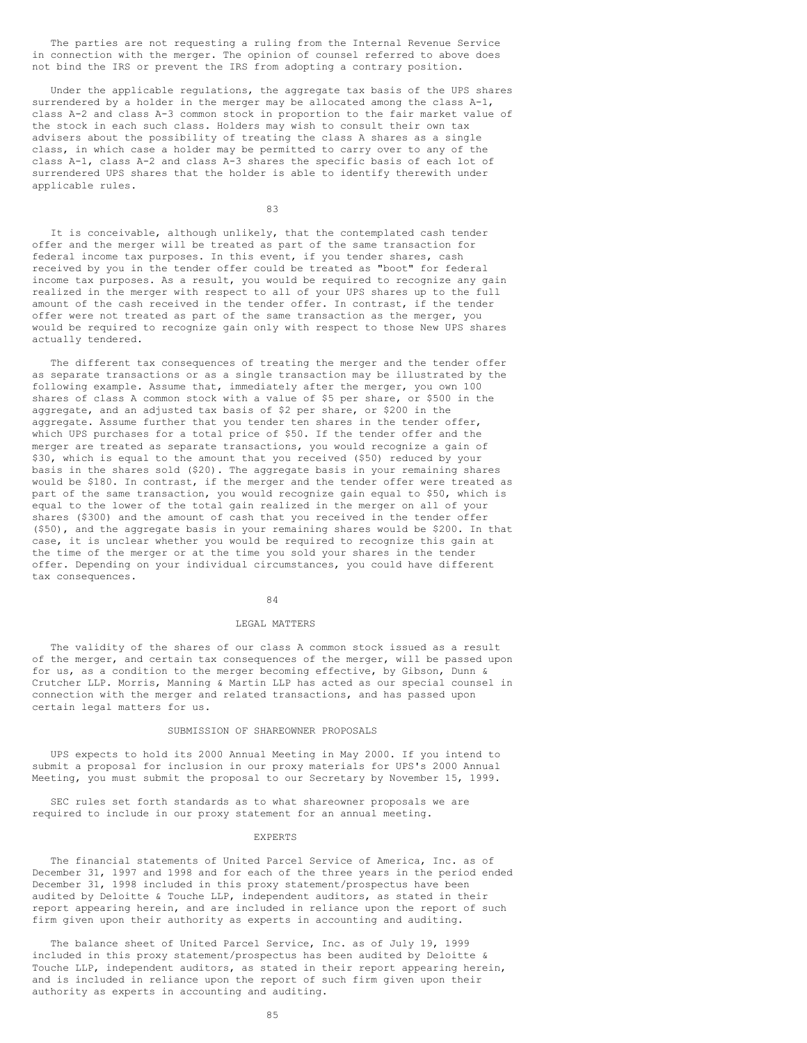The parties are not requesting a ruling from the Internal Revenue Service in connection with the merger. The opinion of counsel referred to above does not bind the IRS or prevent the IRS from adopting a contrary position.

Under the applicable regulations, the aggregate tax basis of the UPS shares surrendered by a holder in the merger may be allocated among the class A-1, class A-2 and class A-3 common stock in proportion to the fair market value of the stock in each such class. Holders may wish to consult their own tax advisers about the possibility of treating the class A shares as a single class, in which case a holder may be permitted to carry over to any of the class A-1, class A-2 and class A-3 shares the specific basis of each lot of surrendered UPS shares that the holder is able to identify therewith under applicable rules.

83

It is conceivable, although unlikely, that the contemplated cash tender offer and the merger will be treated as part of the same transaction for federal income tax purposes. In this event, if you tender shares, cash received by you in the tender offer could be treated as "boot" for federal income tax purposes. As a result, you would be required to recognize any gain realized in the merger with respect to all of your UPS shares up to the full amount of the cash received in the tender offer. In contrast, if the tender offer were not treated as part of the same transaction as the merger, you would be required to recognize gain only with respect to those New UPS shares actually tendered.

The different tax consequences of treating the merger and the tender offer as separate transactions or as a single transaction may be illustrated by the following example. Assume that, immediately after the merger, you own 100 shares of class A common stock with a value of \$5 per share, or \$500 in the aggregate, and an adjusted tax basis of \$2 per share, or \$200 in the aggregate. Assume further that you tender ten shares in the tender offer, which UPS purchases for a total price of \$50. If the tender offer and the merger are treated as separate transactions, you would recognize a gain of \$30, which is equal to the amount that you received (\$50) reduced by your basis in the shares sold (\$20). The aggregate basis in your remaining shares would be \$180. In contrast, if the merger and the tender offer were treated as part of the same transaction, you would recognize gain equal to \$50, which is .<br>equal to the lower of the total gain realized in the merger on all of your shares (\$300) and the amount of cash that you received in the tender offer (\$50), and the aggregate basis in your remaining shares would be \$200. In that case, it is unclear whether you would be required to recognize this gain at the time of the merger or at the time you sold your shares in the tender offer. Depending on your individual circumstances, you could have different tax consequences.

#### 84

# LEGAL MATTERS

The validity of the shares of our class A common stock issued as a result of the merger, and certain tax consequences of the merger, will be passed upon for us, as a condition to the merger becoming effective, by Gibson, Dunn & Crutcher LLP. Morris, Manning & Martin LLP has acted as our special counsel in connection with the merger and related transactions, and has passed upon certain legal matters for us.

# SUBMISSION OF SHAREOWNER PROPOSALS

UPS expects to hold its 2000 Annual Meeting in May 2000. If you intend to submit a proposal for inclusion in our proxy materials for UPS's 2000 Annual Meeting, you must submit the proposal to our Secretary by November 15, 1999.

SEC rules set forth standards as to what shareowner proposals we are required to include in our proxy statement for an annual meeting.

## EXPERTS

The financial statements of United Parcel Service of America, Inc. as of December 31, 1997 and 1998 and for each of the three years in the period ended December 31, 1998 included in this proxy statement/prospectus have been audited by Deloitte & Touche LLP, independent auditors, as stated in their report appearing herein, and are included in reliance upon the report of such firm given upon their authority as experts in accounting and auditing.

The balance sheet of United Parcel Service, Inc. as of July 19, 1999 included in this proxy statement/prospectus has been audited by Deloitte & Touche LLP, independent auditors, as stated in their report appearing herein, and is included in reliance upon the report of such firm given upon their authority as experts in accounting and auditing.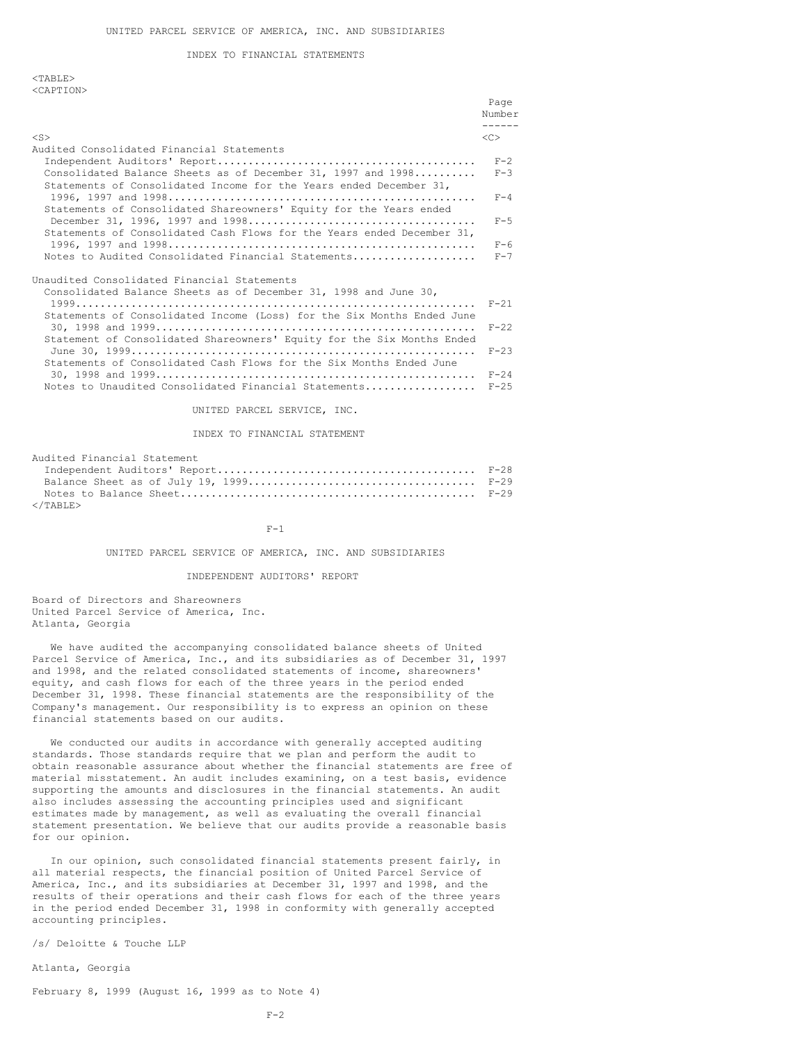#### INDEX TO FINANCIAL STATEMENTS

 $<$ TABLE> <CAPTION>

|                                                                                                                                                                                 | Page<br>Number<br>$- - - - - -$ |
|---------------------------------------------------------------------------------------------------------------------------------------------------------------------------------|---------------------------------|
| $<$ S $>$                                                                                                                                                                       | <<                              |
| Audited Consolidated Financial Statements<br>Consolidated Balance Sheets as of December 31, 1997 and 1998<br>Statements of Consolidated Income for the Years ended December 31, | $F - 2$<br>$F - 3$              |
| Statements of Consolidated Shareowners' Equity for the Years ended                                                                                                              | $F - 4$                         |
| Statements of Consolidated Cash Flows for the Years ended December 31,                                                                                                          | $F - 5$                         |
| Notes to Audited Consolidated Financial Statements                                                                                                                              | $F-6$<br>$F - 7$                |
| Unaudited Consolidated Financial Statements                                                                                                                                     |                                 |
| Consolidated Balance Sheets as of December 31, 1998 and June 30,<br>Statements of Consolidated Income (Loss) for the Six Months Ended June                                      | $F - 21$                        |
| Statement of Consolidated Shareowners' Equity for the Six Months Ended                                                                                                          | $F-22$                          |
| Statements of Consolidated Cash Flows for the Six Months Ended June                                                                                                             | $F - 2.3$                       |
| Notes to Unaudited Consolidated Financial Statements                                                                                                                            | $F-24$<br>$F - 2.5$             |

UNITED PARCEL SERVICE, INC.

### INDEX TO FINANCIAL STATEMENT

| Audited Financial Statement |  |
|-----------------------------|--|
|                             |  |
|                             |  |
|                             |  |
|                             |  |

  | $F-1$ 

UNITED PARCEL SERVICE OF AMERICA, INC. AND SUBSIDIARIES

#### INDEPENDENT AUDITORS' REPORT

Board of Directors and Shareowners United Parcel Service of America, Inc. Atlanta, Georgia

We have audited the accompanying consolidated balance sheets of United Parcel Service of America, Inc., and its subsidiaries as of December 31, 1997 and 1998, and the related consolidated statements of income, shareowners' equity, and cash flows for each of the three years in the period ended December 31, 1998. These financial statements are the responsibility of the Company's management. Our responsibility is to express an opinion on these financial statements based on our audits.

We conducted our audits in accordance with generally accepted auditing standards. Those standards require that we plan and perform the audit to obtain reasonable assurance about whether the financial statements are free of material misstatement. An audit includes examining, on a test basis, evidence supporting the amounts and disclosures in the financial statements. An audit also includes assessing the accounting principles used and significant estimates made by management, as well as evaluating the overall financial statement presentation. We believe that our audits provide a reasonable basis for our opinion.

In our opinion, such consolidated financial statements present fairly, in all material respects, the financial position of United Parcel Service of America, Inc., and its subsidiaries at December 31, 1997 and 1998, and the results of their operations and their cash flows for each of the three years in the period ended December 31, 1998 in conformity with generally accepted accounting principles.

/s/ Deloitte & Touche LLP

Atlanta, Georgia

February 8, 1999 (August 16, 1999 as to Note 4)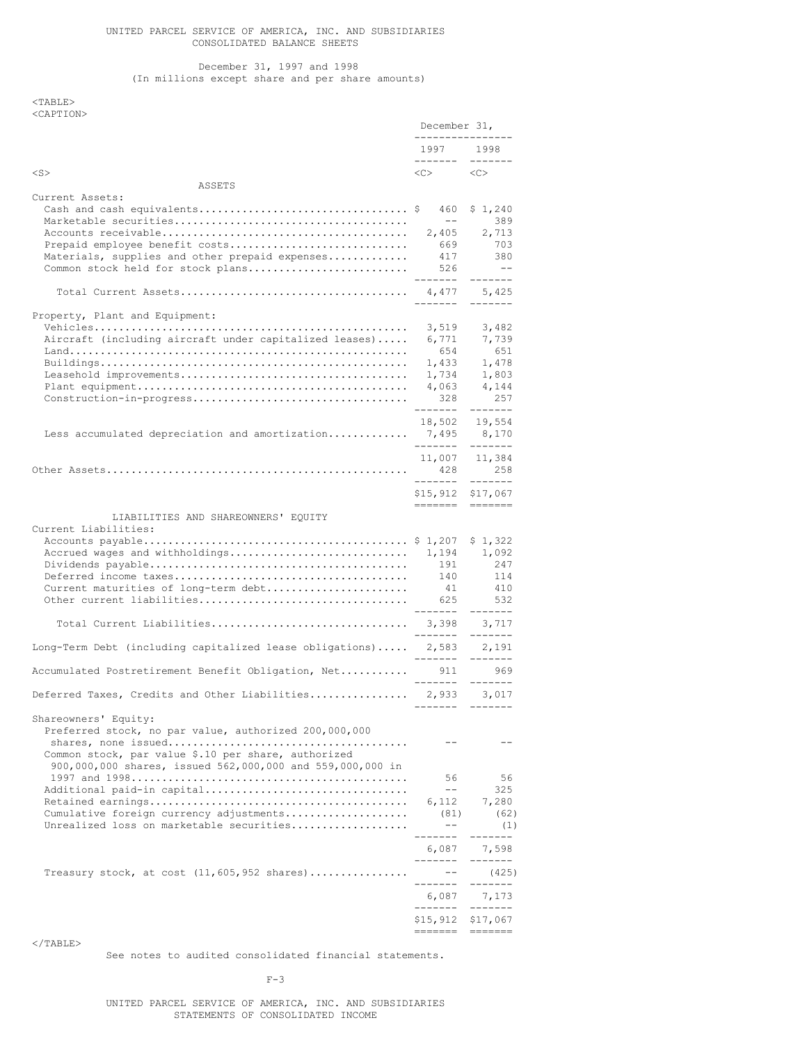### UNITED PARCEL SERVICE OF AMERICA, INC. AND SUBSIDIARIES CONSOLIDATED BALANCE SHEETS

## December 31, 1997 and 1998 (In millions except share and per share amounts)

<TABLE> <CAPTION>

|                                                                                                                  | December 31,                            |                                      |
|------------------------------------------------------------------------------------------------------------------|-----------------------------------------|--------------------------------------|
|                                                                                                                  | 1997<br>--------                        | ---------<br>1998<br>$- - - - - - -$ |
| $<$ S $>$                                                                                                        | $\langle C \rangle$ $\langle C \rangle$ |                                      |
| ASSETS                                                                                                           |                                         |                                      |
| Current Assets:                                                                                                  | 460<br>$- -$                            | \$1,240<br>389                       |
|                                                                                                                  | 2,405                                   | 2,713                                |
| Prepaid employee benefit costs<br>Materials, supplies and other prepaid expenses                                 | 669<br>417                              | 703<br>380                           |
| Common stock held for stock plans                                                                                | 526<br>--------                         | $- -$<br>-------                     |
|                                                                                                                  | 4,477<br>--------                       | 5,425<br>-------                     |
| Property, Plant and Equipment:                                                                                   |                                         |                                      |
| Aircraft (including aircraft under capitalized leases)                                                           | 3,519<br>6,771                          | 3,482<br>7,739                       |
|                                                                                                                  | 654                                     | 651                                  |
|                                                                                                                  | 1,433                                   | 1,478                                |
|                                                                                                                  | 1,734                                   | 1,803                                |
|                                                                                                                  | 4,063                                   | 4,144                                |
|                                                                                                                  | 328<br>--------                         | 257<br>-------                       |
| Less accumulated depreciation and amortization                                                                   | 7,495<br>--------                       | 18,502 19,554<br>8,170<br>-------    |
|                                                                                                                  | 11,007<br>428                           | 11,384<br>258                        |
|                                                                                                                  | --------                                | $- - - - - - -$<br>\$15,912 \$17,067 |
|                                                                                                                  | =======                                 | =======                              |
| LIABILITIES AND SHAREOWNERS' EQUITY<br>Current Liabilities:                                                      |                                         |                                      |
|                                                                                                                  |                                         | \$1,322                              |
| Accrued wages and withholdings                                                                                   | 1,194                                   | 1,092                                |
|                                                                                                                  | 191                                     | 247                                  |
|                                                                                                                  | 140                                     | 114                                  |
| Current maturities of long-term debt<br>Other current liabilities                                                | 41<br>625                               | 410<br>532                           |
|                                                                                                                  | . <u>.</u><br>-------                   | -------<br>3,717<br>$- - - - - - -$  |
| Long-Term Debt (including capitalized lease obligations) 2,583                                                   | --------                                | 2,191<br>-------                     |
| Accumulated Postretirement Benefit Obligation, Net                                                               | 911<br>--------                         | 969<br>-------                       |
| Deferred Taxes, Credits and Other Liabilities 2,933 3,017                                                        |                                         |                                      |
| Shareowners' Equity:                                                                                             |                                         |                                      |
| Preferred stock, no par value, authorized 200,000,000                                                            |                                         |                                      |
| Common stock, par value \$.10 per share, authorized<br>900,000,000 shares, issued 562,000,000 and 559,000,000 in |                                         |                                      |
| Additional paid-in capital                                                                                       | 56<br>$-$                               | 56<br>325                            |
|                                                                                                                  | 6,112                                   | 7,280                                |
| Cumulative foreign currency adjustments                                                                          | (81)                                    | (62)                                 |
| Unrealized loss on marketable securities                                                                         | $ -$<br>-------                         | (1)                                  |
|                                                                                                                  | 6,087<br>$- - - - - - -$                | 7,598<br>-------                     |
| Treasury stock, at cost $(11, 605, 952 \text{ shares}) \dots \dots \dots \dots$                                  | -------                                 | (425)<br>$- - - - - - -$             |
|                                                                                                                  | 6,087<br>-------                        | 7,173<br>-------                     |
|                                                                                                                  |                                         | \$15,912 \$17,067                    |

 $<$ /TABLE $>$ 

See notes to audited consolidated financial statements.

 $F-3$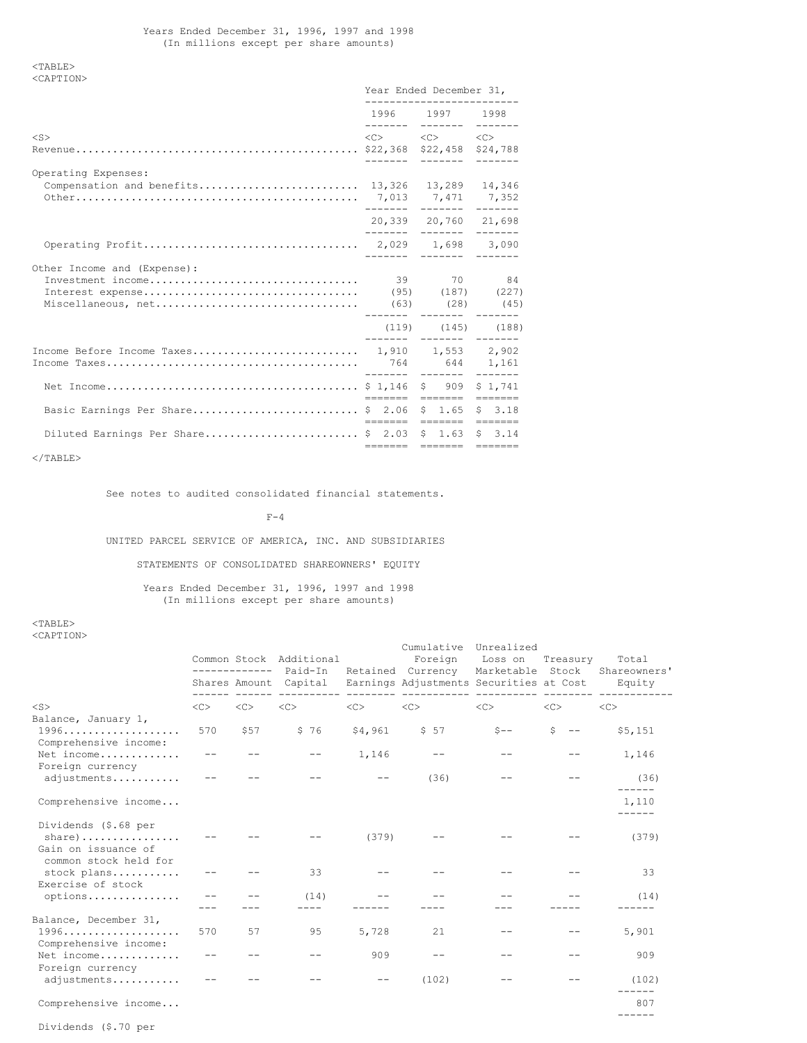<TABLE> <CAPTION>

|                                                    | Year Ended December 31, |                                                             |                 |  |  |  |
|----------------------------------------------------|-------------------------|-------------------------------------------------------------|-----------------|--|--|--|
|                                                    |                         | 1996 1997 1998<br>------- ------- ------                    |                 |  |  |  |
| $<$ S>                                             |                         | $\langle C \rangle$ $\langle C \rangle$ $\langle C \rangle$ |                 |  |  |  |
|                                                    |                         |                                                             |                 |  |  |  |
| Operating Expenses:                                |                         |                                                             |                 |  |  |  |
| Compensation and benefits 13,326  13,289  14,346   |                         |                                                             |                 |  |  |  |
|                                                    |                         | 20,339 20,760 21,698<br>_________________                   | $- - - - - - -$ |  |  |  |
|                                                    |                         |                                                             |                 |  |  |  |
| Other Income and (Expense):                        |                         |                                                             |                 |  |  |  |
|                                                    |                         | $(119)$ $(145)$ $(188)$                                     |                 |  |  |  |
|                                                    |                         |                                                             |                 |  |  |  |
|                                                    |                         | ------- ------- ------                                      |                 |  |  |  |
| Basic Earnings Per Share \$ 2.06 \$ 1.65 \$ 3.18   |                         | esesse essesse essesse                                      |                 |  |  |  |
| Diluted Earnings Per Share \$ 2.03 \$ 1.63 \$ 3.14 |                         | eesses eesses eesses                                        |                 |  |  |  |

 $<$ /TABLE $>$ 

See notes to audited consolidated financial statements.

 $F-4$ 

UNITED PARCEL SERVICE OF AMERICA, INC. AND SUBSIDIARIES

STATEMENTS OF CONSOLIDATED SHAREOWNERS' EQUITY

Years Ended December 31, 1996, 1997 and 1998 (In millions except per share amounts)

| NUZIL I LUIV                                                                                |                     |               |                                                             |         |                                                                                                  |                             |            |                                 |
|---------------------------------------------------------------------------------------------|---------------------|---------------|-------------------------------------------------------------|---------|--------------------------------------------------------------------------------------------------|-----------------------------|------------|---------------------------------|
|                                                                                             |                     | ------------- | Common Stock Additional<br>Paid-In<br>Shares Amount Capital |         | Cumulative Unrealized<br>Foreign<br>Retained Currency<br>Earnings Adjustments Securities at Cost | Loss on<br>Marketable Stock | Treasury   | Total<br>Shareowners'<br>Equity |
| $<$ S $>$                                                                                   | $\langle C \rangle$ | <<            | $\langle C \rangle$                                         | <<      | <<                                                                                               | <<                          | <<         | <<                              |
| Balance, January 1,                                                                         |                     |               |                                                             |         |                                                                                                  |                             |            |                                 |
| $1996 \ldots \ldots \ldots \ldots \ldots$<br>Comprehensive income:                          | 570                 | \$57          | \$76                                                        | \$4,961 | \$57                                                                                             | $S--$                       | \$<br>$ -$ | \$5,151                         |
| Net income<br>Foreign currency                                                              | $- -$               |               | $- -$                                                       | 1,146   | $- -$                                                                                            |                             |            | 1,146                           |
| adjustments                                                                                 |                     |               |                                                             |         | (36)                                                                                             |                             |            | (36)<br>------                  |
| Comprehensive income                                                                        |                     |               |                                                             |         |                                                                                                  |                             |            | 1,110                           |
| Dividends (\$.68 per<br>share)<br>Gain on issuance of<br>common stock held for              |                     |               |                                                             | (379)   |                                                                                                  |                             |            | (379)                           |
| stock plans<br>Exercise of stock                                                            |                     |               | 33                                                          |         |                                                                                                  |                             |            | 33                              |
| options                                                                                     |                     |               | (14)                                                        |         |                                                                                                  |                             |            | (14)                            |
|                                                                                             |                     |               |                                                             |         |                                                                                                  |                             |            |                                 |
| Balance, December 31,<br>$1996 \ldots \ldots \ldots \ldots \ldots$<br>Comprehensive income: | 570                 | 57            | 95                                                          | 5,728   | 21                                                                                               |                             |            | 5,901                           |
| Net income<br>Foreign currency                                                              | $- -$               |               |                                                             | 909     | $- -$                                                                                            |                             |            | 909                             |
| adjustments                                                                                 |                     |               |                                                             | $- -$   | (102)                                                                                            |                             |            | (102)<br>------                 |
| Comprehensive income                                                                        |                     |               |                                                             |         |                                                                                                  |                             |            | 807<br>------                   |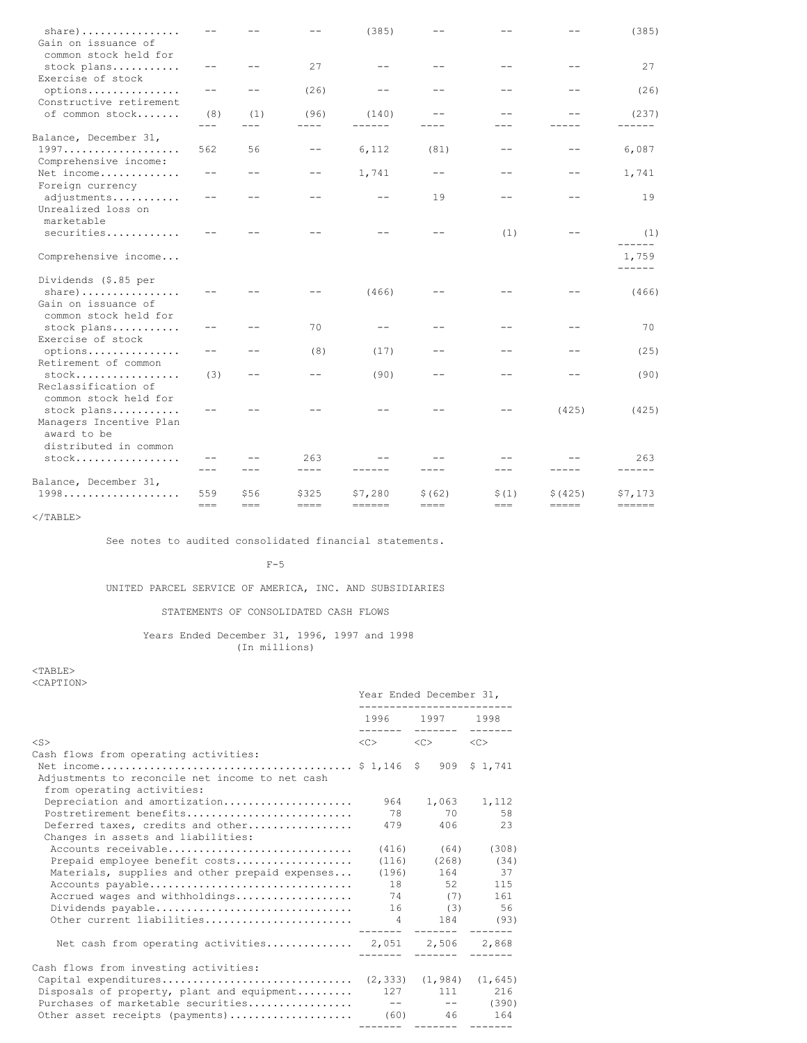| share)<br>Gain on issuance of<br>common stock held for                               |              |              |                     | (385)             |                      |                 |                   | (385)                  |
|--------------------------------------------------------------------------------------|--------------|--------------|---------------------|-------------------|----------------------|-----------------|-------------------|------------------------|
| stock plans<br>Exercise of stock                                                     |              |              | 27                  |                   | --                   | --              | --                | 27                     |
| options<br>Constructive retirement                                                   |              |              | (26)                |                   |                      | --              | --                | (26)                   |
| of common stock                                                                      | (8)<br>$---$ | (1)<br>$---$ | (96)<br>$- - - - -$ | (140)<br>------   |                      |                 |                   | (237)<br>-----         |
| Balance, December 31,                                                                |              |              |                     |                   |                      |                 |                   |                        |
| 1997<br>Comprehensive income:                                                        | 562          | 56           | $- -$               | 6,112             | (81)                 | --              | $-$               | 6,087                  |
| Net income<br>Foreign currency                                                       |              |              |                     | 1,741             | $- -$                |                 |                   | 1,741                  |
| adjustments<br>Unrealized loss on<br>marketable                                      |              |              |                     |                   | 19                   | --              |                   | 19                     |
| securities                                                                           |              |              |                     |                   |                      | (1)             |                   | (1)<br>------          |
| Comprehensive income                                                                 |              |              |                     |                   |                      |                 |                   | 1,759<br>$- - - - - -$ |
| Dividends (\$.85 per                                                                 |              |              |                     |                   |                      |                 |                   |                        |
| share) $\ldots \ldots \ldots \ldots$<br>Gain on issuance of<br>common stock held for |              |              |                     | (466)             |                      |                 |                   | (466)                  |
| stock plans<br>Exercise of stock                                                     |              |              | 70                  |                   |                      | --              | $-$               | 70                     |
| options<br>Retirement of common                                                      |              |              | (8)                 | (17)              |                      |                 |                   | (25)                   |
| $stock$<br>Reclassification of<br>common stock held for                              | (3)          |              |                     | (90)              |                      |                 |                   | (90)                   |
| stock plans<br>Managers Incentive Plan<br>award to be<br>distributed in common       |              |              |                     |                   |                      |                 | (425)             | (425)                  |
| $stock$                                                                              |              |              | 263<br>$- - - -$    |                   |                      |                 |                   | 263<br>------          |
| Balance, December 31,                                                                |              |              |                     |                   |                      |                 |                   |                        |
| 1998                                                                                 | 559<br>$==$  | \$56<br>$==$ | \$325<br>$====$     | \$7,280<br>====== | \$ (62)<br>$== == =$ | \$(1)<br>$== =$ | \$ (425)<br>===== | \$7,173<br>======      |
|                                                                                      |              |              |                     |                   |                      |                 |                   |                        |

 $<$ /TABLE>

See notes to audited consolidated financial statements.

 $F-5$ 

UNITED PARCEL SERVICE OF AMERICA, INC. AND SUBSIDIARIES

STATEMENTS OF CONSOLIDATED CASH FLOWS

Years Ended December 31, 1996, 1997 and 1998 (In millions)

|                                                                               | Year Ended December 31, |                                                             |                 |  |  |
|-------------------------------------------------------------------------------|-------------------------|-------------------------------------------------------------|-----------------|--|--|
|                                                                               |                         | 1996 1997 1998                                              |                 |  |  |
| $<$ S $>$                                                                     |                         | $\langle C \rangle$ $\langle C \rangle$ $\langle C \rangle$ |                 |  |  |
| Cash flows from operating activities:                                         |                         |                                                             |                 |  |  |
| Adjustments to reconcile net income to net cash<br>from operating activities: |                         |                                                             |                 |  |  |
| Depreciation and amortization                                                 | 964 —                   |                                                             | $1,063$ $1,112$ |  |  |
| Postretirement benefits                                                       | 78                      | 70                                                          | 58              |  |  |
| Deferred taxes, credits and other<br>Changes in assets and liabilities:       | 479                     | 406                                                         | 23              |  |  |
| Accounts receivable                                                           |                         | $(416)$ $(64)$ $(308)$                                      |                 |  |  |
| Prepaid employee benefit costs                                                |                         | $(116)$ $(268)$ $(34)$                                      |                 |  |  |
| Materials, supplies and other prepaid expenses                                |                         | $(196)$ 164 37                                              |                 |  |  |
| Accounts payable                                                              |                         | 18 52 115                                                   |                 |  |  |
| Accrued wages and withholdings                                                |                         | 74 (7) 161                                                  |                 |  |  |
| Dividends payable                                                             |                         | 16 (3) 56                                                   |                 |  |  |
|                                                                               |                         |                                                             | 184 (93)        |  |  |
| Net cash from operating activities 2,051 2,506 2,868                          |                         | _________________                                           |                 |  |  |
| Cash flows from investing activities:                                         |                         |                                                             |                 |  |  |
|                                                                               |                         |                                                             |                 |  |  |
| Disposals of property, plant and equipment                                    |                         | 127 111 216                                                 |                 |  |  |
| Purchases of marketable securities                                            |                         | $-- ---$ (390)                                              |                 |  |  |
| Other asset receipts (payments)                                               |                         | $(60)$ 46 164                                               |                 |  |  |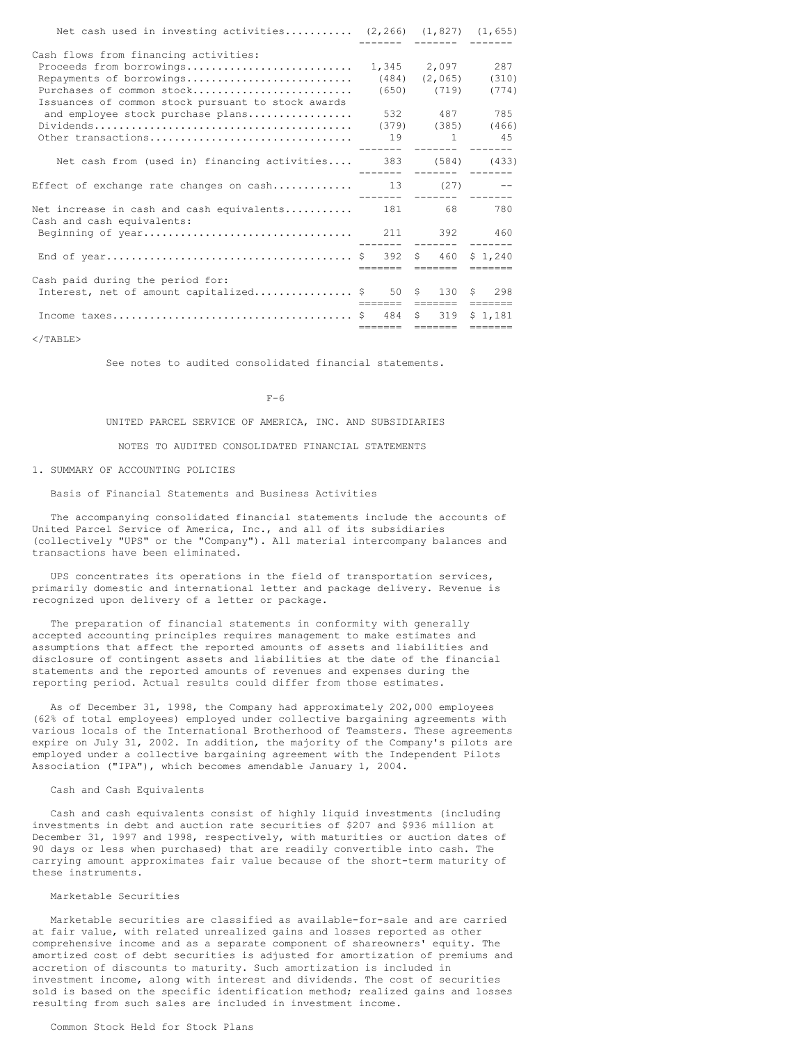| Net cash used in investing activities $(2,266)$ $(1,827)$ $(1,655)$                      |            | ------- ------- ----    |             |
|------------------------------------------------------------------------------------------|------------|-------------------------|-------------|
| Cash flows from financing activities:                                                    |            |                         |             |
| Proceeds from borrowings                                                                 |            | 1,345 2,097             | 287         |
| Repayments of borrowings                                                                 |            | $(484)$ $(2,065)$       | (310)       |
| Purchases of common stock                                                                |            | $(650)$ $(719)$         | (774)       |
| Issuances of common stock pursuant to stock awards                                       |            |                         |             |
| and employee stock purchase plans                                                        |            | 532 487 785             |             |
| $Dividends \ldots \ldots \ldots \ldots \ldots \ldots \ldots \ldots \ldots \ldots \ldots$ |            | $(379)$ $(385)$ $(466)$ |             |
| Other transactions                                                                       | 19         |                         | 1 45        |
|                                                                                          |            |                         |             |
| Net cash from (used in) financing activities                                             | . <u>.</u> | 383 (584) (433)         |             |
| Effect of exchange rate changes on cash 13 (27) $-$                                      |            |                         |             |
|                                                                                          |            |                         |             |
| Net increase in cash and cash equivalents                                                | 181        | 68 —                    | 780         |
| Cash and cash equivalents:                                                               |            |                         |             |
|                                                                                          |            |                         |             |
|                                                                                          |            |                         |             |
|                                                                                          |            |                         | $5 \t1.240$ |
|                                                                                          |            | eccese eccese eccese    |             |
| Cash paid during the period for:                                                         |            |                         |             |
| Interest, net of amount capitalized \$ 50 \$ 130 \$ 298                                  |            | eesses eesses eesses    |             |
|                                                                                          |            |                         |             |
|                                                                                          |            | eesses essess           | $=$ ======= |
|                                                                                          |            |                         |             |

 $\langle$ /TABLE>

See notes to audited consolidated financial statements.

 $F-6$ 

UNITED PARCEL SERVICE OF AMERICA, INC. AND SUBSIDIARIES

NOTES TO AUDITED CONSOLIDATED FINANCIAL STATEMENTS

### 1. SUMMARY OF ACCOUNTING POLICIES

Basis of Financial Statements and Business Activities

The accompanying consolidated financial statements include the accounts of United Parcel Service of America, Inc., and all of its subsidiaries (collectively "UPS" or the "Company"). All material intercompany balances and transactions have been eliminated.

UPS concentrates its operations in the field of transportation services, primarily domestic and international letter and package delivery. Revenue is recognized upon delivery of a letter or package.

The preparation of financial statements in conformity with generally accepted accounting principles requires management to make estimates and assumptions that affect the reported amounts of assets and liabilities and disclosure of contingent assets and liabilities at the date of the financial statements and the reported amounts of revenues and expenses during the reporting period. Actual results could differ from those estimates.

As of December 31, 1998, the Company had approximately 202,000 employees (62% of total employees) employed under collective bargaining agreements with various locals of the International Brotherhood of Teamsters. These agreements expire on July 31, 2002. In addition, the majority of the Company's pilots are employed under a collective bargaining agreement with the Independent Pilots Association ("IPA"), which becomes amendable January 1, 2004.

### Cash and Cash Equivalents

Cash and cash equivalents consist of highly liquid investments (including investments in debt and auction rate securities of \$207 and \$936 million at December 31, 1997 and 1998, respectively, with maturities or auction dates of 90 days or less when purchased) that are readily convertible into cash. The carrying amount approximates fair value because of the short-term maturity of these instruments.

## Marketable Securities

Marketable securities are classified as available-for-sale and are carried at fair value, with related unrealized gains and losses reported as other comprehensive income and as a separate component of shareowners' equity. The amortized cost of debt securities is adjusted for amortization of premiums and accretion of discounts to maturity. Such amortization is included in investment income, along with interest and dividends. The cost of securities sold is based on the specific identification method; realized gains and losses resulting from such sales are included in investment income.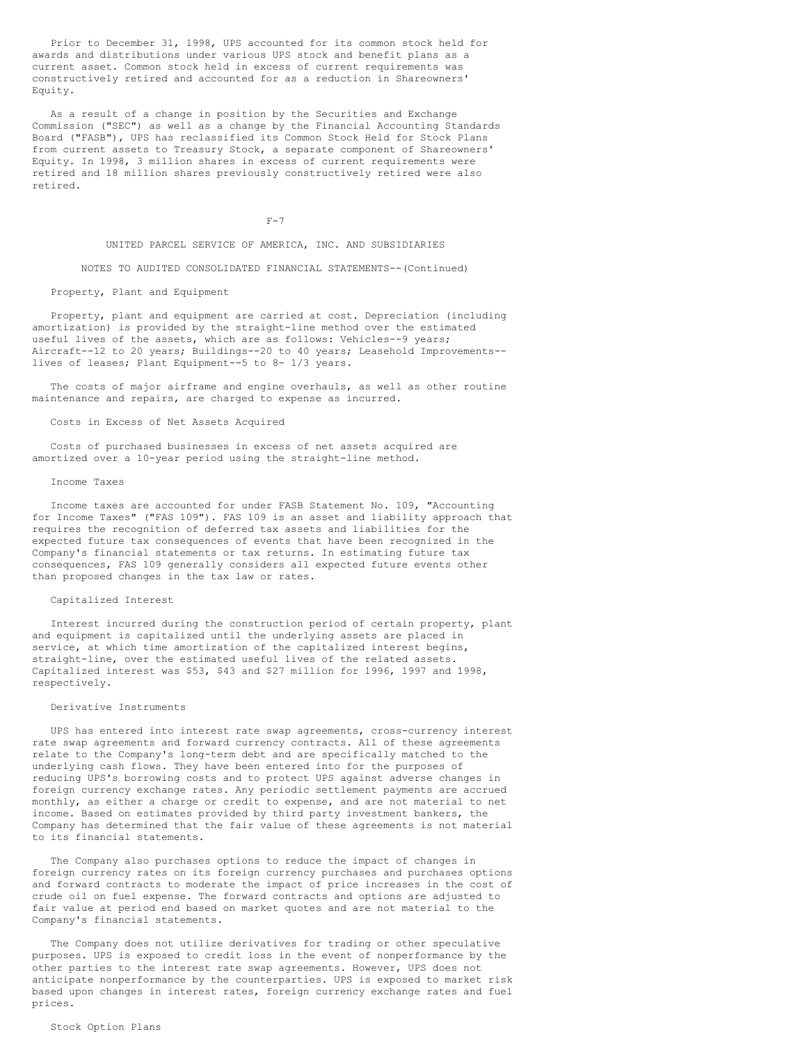Prior to December 31, 1998, UPS accounted for its common stock held for awards and distributions under various UPS stock and benefit plans as a current asset. Common stock held in excess of current requirements was constructively retired and accounted for as a reduction in Shareowners' Equity.

As a result of a change in position by the Securities and Exchange Commission ("SEC") as well as a change by the Financial Accounting Standards Board ("FASB"), UPS has reclassified its Common Stock Held for Stock Plans from current assets to Treasury Stock, a separate component of Shareowners' Equity. In 1998, 3 million shares in excess of current requirements were retired and 18 million shares previously constructively retired were also retired.

#### $F-7$

## UNITED PARCEL SERVICE OF AMERICA, INC. AND SUBSIDIARIES

NOTES TO AUDITED CONSOLIDATED FINANCIAL STATEMENTS--(Continued)

#### Property, Plant and Equipment

Property, plant and equipment are carried at cost. Depreciation (including amortization) is provided by the straight-line method over the estimated useful lives of the assets, which are as follows: Vehicles--9 years; Aircraft--12 to 20 years; Buildings--20 to 40 years; Leasehold Improvements- lives of leases; Plant Equipment--5 to 8- 1/3 years.

The costs of major airframe and engine overhauls, as well as other routine maintenance and repairs, are charged to expense as incurred.

#### Costs in Excess of Net Assets Acquired

Costs of purchased businesses in excess of net assets acquired are amortized over a 10-year period using the straight-line method.

#### Income Taxes

Income taxes are accounted for under FASB Statement No. 109, "Accounting for Income Taxes" ("FAS 109"). FAS 109 is an asset and liability approach that requires the recognition of deferred tax assets and liabilities for the expected future tax consequences of events that have been recognized in the Company's financial statements or tax returns. In estimating future tax consequences, FAS 109 generally considers all expected future events other than proposed changes in the tax law or rates.

#### Capitalized Interest

Interest incurred during the construction period of certain property, plant and equipment is capitalized until the underlying assets are placed in service, at which time amortization of the capitalized interest begins, straight-line, over the estimated useful lives of the related assets. Capitalized interest was \$53, \$43 and \$27 million for 1996, 1997 and 1998, respectively.

#### Derivative Instruments

UPS has entered into interest rate swap agreements, cross-currency interest rate swap agreements and forward currency contracts. All of these agreements relate to the Company's long-term debt and are specifically matched to the underlying cash flows. They have been entered into for the purposes of reducing UPS's borrowing costs and to protect UPS against adverse changes in foreign currency exchange rates. Any periodic settlement payments are accrued monthly, as either a charge or credit to expense, and are not material to net income. Based on estimates provided by third party investment bankers, the Company has determined that the fair value of these agreements is not material to its financial statements.

The Company also purchases options to reduce the impact of changes in foreign currency rates on its foreign currency purchases and purchases options and forward contracts to moderate the impact of price increases in the cost of crude oil on fuel expense. The forward contracts and options are adjusted to fair value at period end based on market quotes and are not material to the Company's financial statements.

The Company does not utilize derivatives for trading or other speculative purposes. UPS is exposed to credit loss in the event of nonperformance by the other parties to the interest rate swap agreements. However, UPS does not anticipate nonperformance by the counterparties. UPS is exposed to market risk based upon changes in interest rates, foreign currency exchange rates and fuel prices.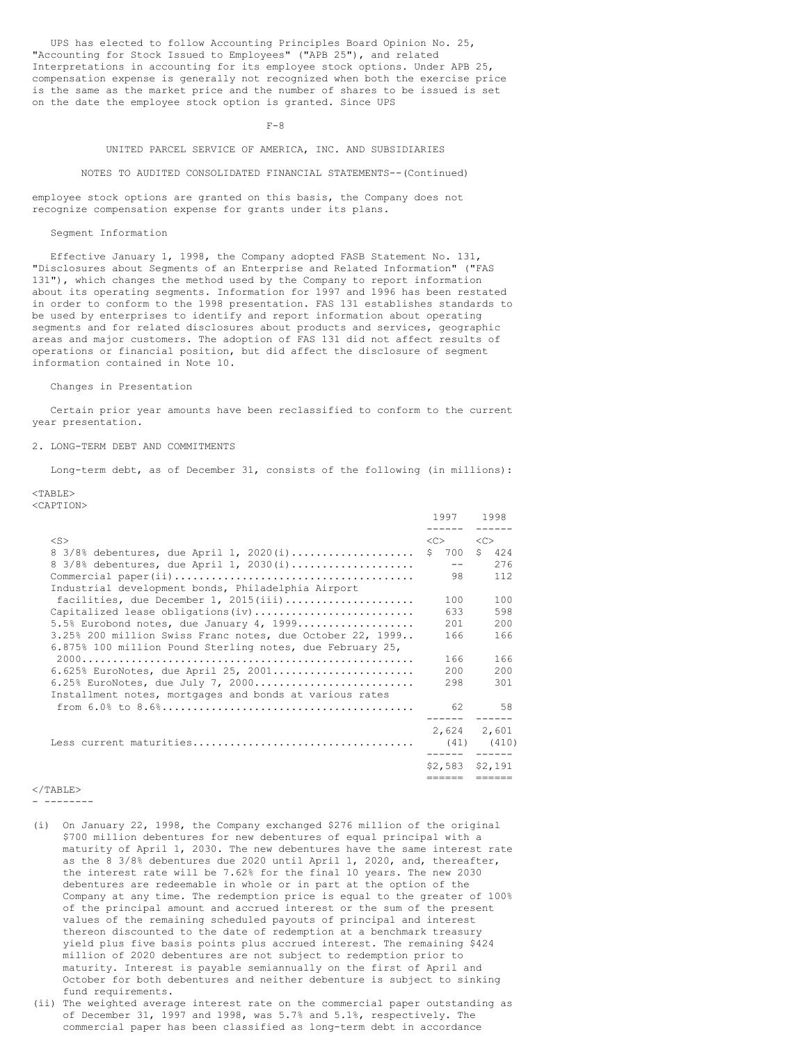UPS has elected to follow Accounting Principles Board Opinion No. 25, "Accounting for Stock Issued to Employees" ("APB 25"), and related Interpretations in accounting for its employee stock options. Under APB 25, compensation expense is generally not recognized when both the exercise price is the same as the market price and the number of shares to be issued is set on the date the employee stock option is granted. Since UPS

#### $F - 8$

### UNITED PARCEL SERVICE OF AMERICA, INC. AND SUBSIDIARIES

NOTES TO AUDITED CONSOLIDATED FINANCIAL STATEMENTS--(Continued)

employee stock options are granted on this basis, the Company does not recognize compensation expense for grants under its plans.

#### Segment Information

Effective January 1, 1998, the Company adopted FASB Statement No. 131, "Disclosures about Segments of an Enterprise and Related Information" ("FAS 131"), which changes the method used by the Company to report information about its operating segments. Information for 1997 and 1996 has been restated in order to conform to the 1998 presentation. FAS 131 establishes standards to be used by enterprises to identify and report information about operating segments and for related disclosures about products and services, geographic areas and major customers. The adoption of FAS 131 did not affect results of operations or financial position, but did affect the disclosure of segment information contained in Note 10.

Changes in Presentation

Certain prior year amounts have been reclassified to conform to the current year presentation.

#### 2. LONG-TERM DEBT AND COMMITMENTS

Long-term debt, as of December 31, consists of the following (in millions):

#### <TABLE> <CAPTION>

|                                                           |                     | 1997 1998         |
|-----------------------------------------------------------|---------------------|-------------------|
| $<$ S $>$                                                 | $\langle C \rangle$ | <<                |
| $8\,3/8\$ debentures, due April 1, 2020(i)                | \$ 700              | Ŝ.<br>424         |
| 8 3/8% debentures, due April 1, 2030(i)                   | $- -$               | 276               |
|                                                           | 98                  | 112               |
| Industrial development bonds, Philadelphia Airport        |                     |                   |
| facilities, due December 1, 2015(iii)                     | 100                 | 100               |
| Capitalized lease obligations (iv)                        | 633                 | 598               |
| $5.5\%$ Eurobond notes, due January 4, 1999               | 2.01                | 200               |
| 3.25% 200 million Swiss Franc notes, due October 22, 1999 | 166                 | 166               |
| 6.875% 100 million Pound Sterling notes, due February 25, |                     |                   |
|                                                           | 166                 | 166               |
| $6.625$ % EuroNotes, due April 25, 2001                   | 200                 | 200               |
| $6.25$ % EuroNotes, due July 7, 2000                      | 298                 | 301               |
| Installment notes, mortgages and bonds at various rates   |                     |                   |
|                                                           | 62                  | 58                |
|                                                           | 2,624               | 2,601             |
|                                                           |                     | $(41)$ $(410)$    |
|                                                           |                     | $$2,583$ $$2,191$ |
|                                                           | ======              | ======            |

 $<$ /TABLE> - --------

- (i) On January 22, 1998, the Company exchanged \$276 million of the original \$700 million debentures for new debentures of equal principal with a maturity of April 1, 2030. The new debentures have the same interest rate as the 8 3/8% debentures due 2020 until April 1, 2020, and, thereafter, the interest rate will be 7.62% for the final 10 years. The new 2030 debentures are redeemable in whole or in part at the option of the Company at any time. The redemption price is equal to the greater of 100% of the principal amount and accrued interest or the sum of the present values of the remaining scheduled payouts of principal and interest thereon discounted to the date of redemption at a benchmark treasury yield plus five basis points plus accrued interest. The remaining \$424 million of 2020 debentures are not subject to redemption prior to maturity. Interest is payable semiannually on the first of April and October for both debentures and neither debenture is subject to sinking fund requirements.
- (ii) The weighted average interest rate on the commercial paper outstanding as of December 31, 1997 and 1998, was 5.7% and 5.1%, respectively. The commercial paper has been classified as long-term debt in accordance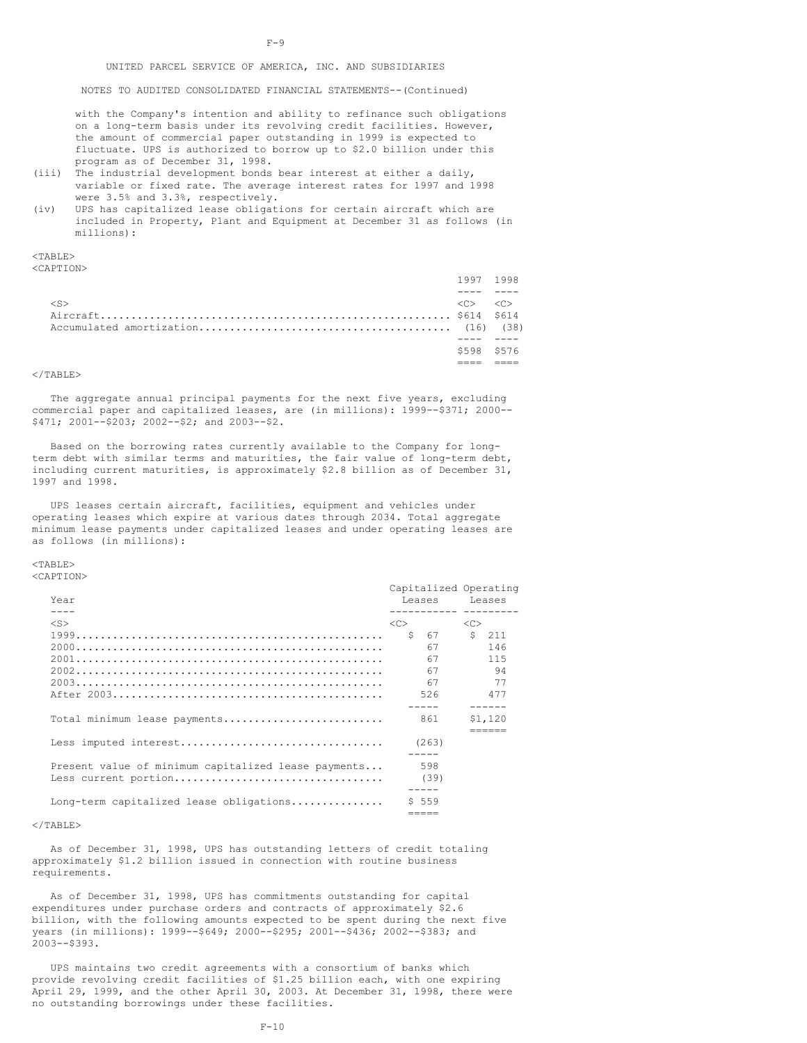$F-9$ 

UNITED PARCEL SERVICE OF AMERICA, INC. AND SUBSIDIARIES

NOTES TO AUDITED CONSOLIDATED FINANCIAL STATEMENTS--(Continued)

with the Company's intention and ability to refinance such obligations on a long-term basis under its revolving credit facilities. However, the amount of commercial paper outstanding in 1999 is expected to fluctuate. UPS is authorized to borrow up to \$2.0 billion under this program as of December 31, 1998.

- (iii) The industrial development bonds bear interest at either a daily, variable or fixed rate. The average interest rates for 1997 and 1998 were 3.5% and 3.3%, respectively.
- (iv) UPS has capitalized lease obligations for certain aircraft which are included in Property, Plant and Equipment at December 31 as follows (in millions):

<TABLE>

<CAPTION>

|                   | 1997 1998           |                     |
|-------------------|---------------------|---------------------|
|                   |                     |                     |
| $<$ S>            | $\langle C \rangle$ | $\langle C \rangle$ |
|                   |                     |                     |
|                   |                     |                     |
|                   |                     |                     |
|                   | \$598 \$576         |                     |
|                   |                     |                     |
| $\langle$ /TABLE> |                     |                     |

The aggregate annual principal payments for the next five years, excluding commercial paper and capitalized leases, are (in millions): 1999--\$371; 2000-- \$471; 2001--\$203; 2002--\$2; and 2003--\$2.

Based on the borrowing rates currently available to the Company for longterm debt with similar terms and maturities, the fair value of long-term debt, including current maturities, is approximately \$2.8 billion as of December 31, 1997 and 1998.

UPS leases certain aircraft, facilities, equipment and vehicles under operating leases which expire at various dates through 2034. Total aggregate minimum lease payments under capitalized leases and under operating leases are as follows (in millions):

#### $<$ TABLE> <CAPTION>

| Year                                                | Capitalized Operating<br>Leases Leases<br>.__________ ______ |         |
|-----------------------------------------------------|--------------------------------------------------------------|---------|
|                                                     |                                                              |         |
| $<$ S $>$                                           | <<>                                                          | <<      |
|                                                     | $S$ 67                                                       | $5$ 211 |
|                                                     | 67                                                           | 146     |
|                                                     | 67                                                           | 115     |
|                                                     | 67                                                           | 94      |
|                                                     | 67                                                           | 77      |
|                                                     | 526                                                          | 477     |
|                                                     |                                                              |         |
| Total minimum lease payments                        | 861 -                                                        | \$1,120 |
|                                                     |                                                              |         |
| Less imputed interest                               | (263)                                                        |         |
|                                                     |                                                              |         |
| Present value of minimum capitalized lease payments | 598                                                          |         |
| Less current portion                                | (39)                                                         |         |
|                                                     |                                                              |         |
| Long-term capitalized lease obligations             | \$5,59                                                       |         |

=====

#### $\langle$ /TABLE>

As of December 31, 1998, UPS has outstanding letters of credit totaling approximately \$1.2 billion issued in connection with routine business requirements.

As of December 31, 1998, UPS has commitments outstanding for capital expenditures under purchase orders and contracts of approximately \$2.6 billion, with the following amounts expected to be spent during the next five years (in millions): 1999--\$649; 2000--\$295; 2001--\$436; 2002--\$383; and 2003--\$393.

UPS maintains two credit agreements with a consortium of banks which provide revolving credit facilities of \$1.25 billion each, with one expiring April 29, 1999, and the other April 30, 2003. At December 31, 1998, there were no outstanding borrowings under these facilities.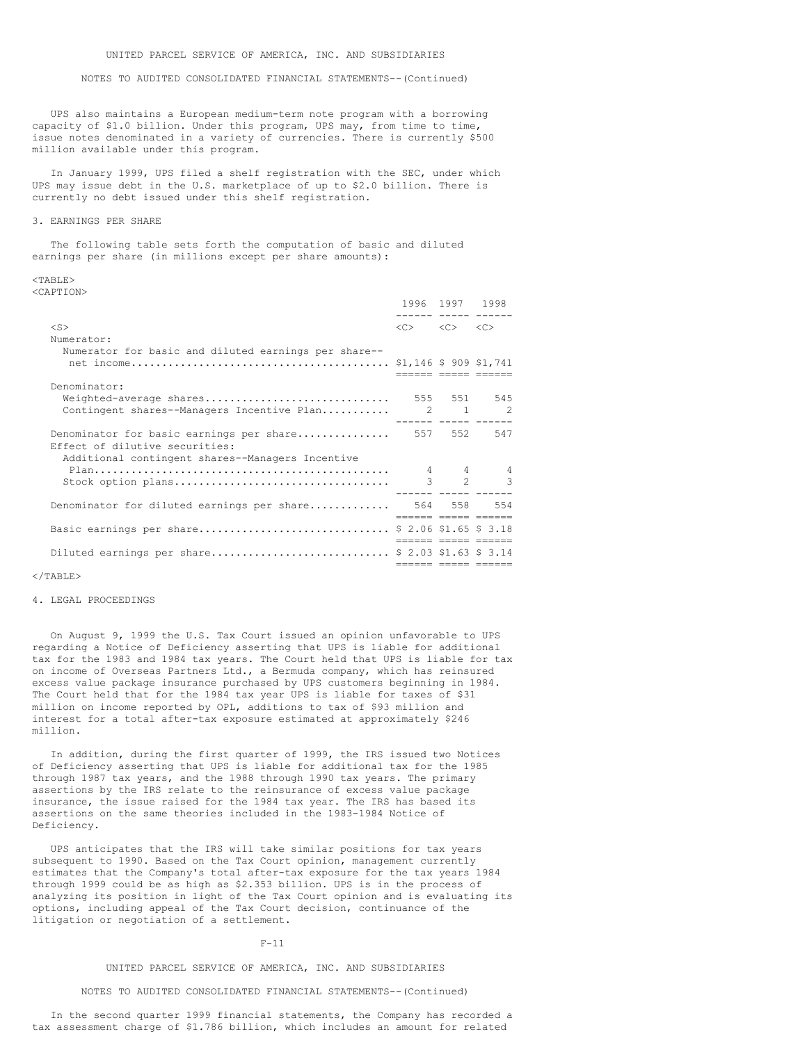NOTES TO AUDITED CONSOLIDATED FINANCIAL STATEMENTS--(Continued)

UPS also maintains a European medium-term note program with a borrowing capacity of \$1.0 billion. Under this program, UPS may, from time to time, issue notes denominated in a variety of currencies. There is currently \$500 million available under this program.

In January 1999, UPS filed a shelf registration with the SEC, under which UPS may issue debt in the U.S. marketplace of up to \$2.0 billion. There is currently no debt issued under this shelf registration.

#### 3. EARNINGS PER SHARE

The following table sets forth the computation of basic and diluted earnings per share (in millions except per share amounts):

# $<sub>TAPER></sub>$ </sub>

```
<CAPTION>
```

|                                                                                    |                                                             | 1996 1997 1998<br> |                          |
|------------------------------------------------------------------------------------|-------------------------------------------------------------|--------------------|--------------------------|
| $<$ S>                                                                             | $\langle C \rangle$ $\langle C \rangle$ $\langle C \rangle$ |                    |                          |
| Numerator:                                                                         |                                                             |                    |                          |
| Numerator for basic and diluted earnings per share--                               |                                                             |                    |                          |
|                                                                                    |                                                             |                    |                          |
| Denominator:                                                                       |                                                             |                    |                          |
| Weighted-average shares                                                            | 555 551 545                                                 |                    |                          |
| Contingent shares--Managers Incentive Plan 2 1 2                                   |                                                             |                    |                          |
|                                                                                    |                                                             |                    | 547                      |
| Denominator for basic earnings per share 557 552<br>Effect of dilutive securities: |                                                             |                    |                          |
| Additional contingent shares--Managers Incentive                                   |                                                             |                    |                          |
|                                                                                    |                                                             |                    |                          |
|                                                                                    |                                                             |                    | $3 \t 2 \t 3$            |
|                                                                                    |                                                             |                    |                          |
| Denominator for diluted earnings per share 564 558 554                             |                                                             |                    | .<br>2000 - Deces Berger |
| Basic earnings per share \$ 2.06 \$1.65 \$ 3.18                                    |                                                             |                    |                          |
|                                                                                    |                                                             |                    |                          |
| Diluted earnings per share \$ 2.03 \$1.63 \$ 3.14                                  |                                                             |                    |                          |
|                                                                                    | eesses eesse eesses                                         |                    |                          |

## $\langle$ /TABLE>

### 4. LEGAL PROCEEDINGS

On August 9, 1999 the U.S. Tax Court issued an opinion unfavorable to UPS regarding a Notice of Deficiency asserting that UPS is liable for additional tax for the 1983 and 1984 tax years. The Court held that UPS is liable for tax on income of Overseas Partners Ltd., a Bermuda company, which has reinsured excess value package insurance purchased by UPS customers beginning in 1984. The Court held that for the 1984 tax year UPS is liable for taxes of \$31 million on income reported by OPL, additions to tax of \$93 million and interest for a total after-tax exposure estimated at approximately \$246 million.

In addition, during the first quarter of 1999, the IRS issued two Notices of Deficiency asserting that UPS is liable for additional tax for the 1985 through 1987 tax years, and the 1988 through 1990 tax years. The primary assertions by the IRS relate to the reinsurance of excess value package insurance, the issue raised for the 1984 tax year. The IRS has based its assertions on the same theories included in the 1983-1984 Notice of Deficiency.

UPS anticipates that the IRS will take similar positions for tax years subsequent to 1990. Based on the Tax Court opinion, management currently estimates that the Company's total after-tax exposure for the tax years 1984 through 1999 could be as high as \$2.353 billion. UPS is in the process of analyzing its position in light of the Tax Court opinion and is evaluating its options, including appeal of the Tax Court decision, continuance of the litigation or negotiation of a settlement.

#### $F - 11$

## UNITED PARCEL SERVICE OF AMERICA, INC. AND SUBSIDIARIES

### NOTES TO AUDITED CONSOLIDATED FINANCIAL STATEMENTS--(Continued)

In the second quarter 1999 financial statements, the Company has recorded a tax assessment charge of \$1.786 billion, which includes an amount for related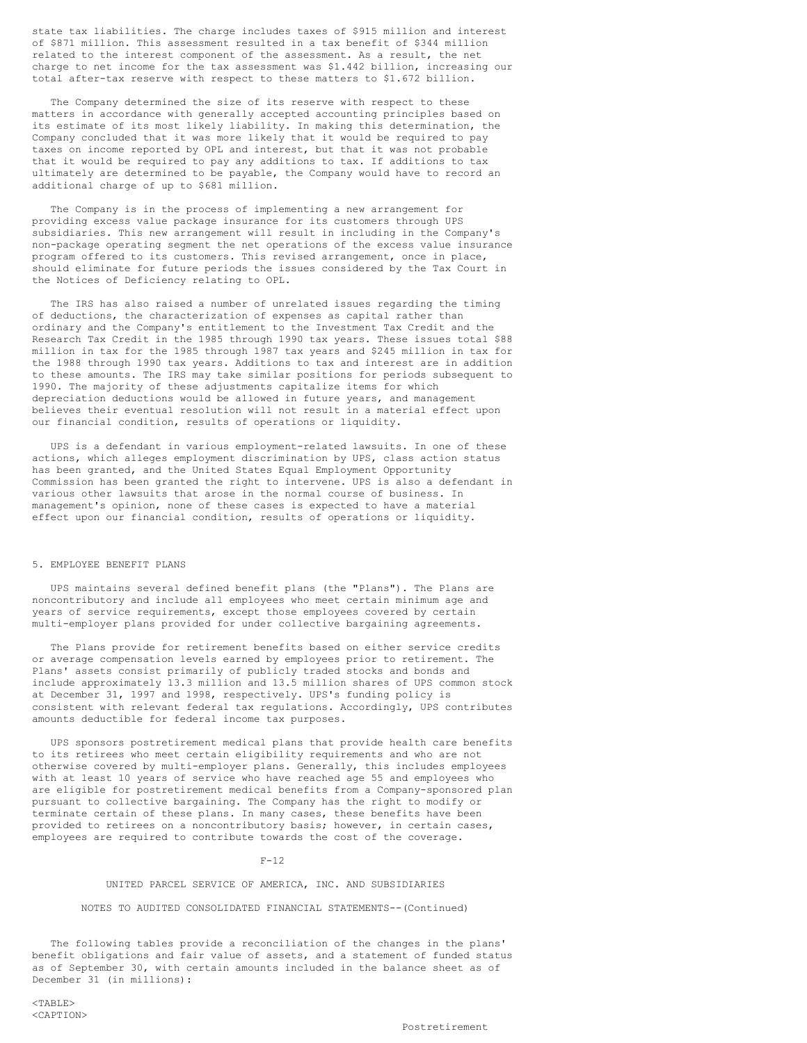state tax liabilities. The charge includes taxes of \$915 million and interest of \$871 million. This assessment resulted in a tax benefit of \$344 million related to the interest component of the assessment. As a result, the net charge to net income for the tax assessment was \$1.442 billion, increasing our total after-tax reserve with respect to these matters to \$1.672 billion.

The Company determined the size of its reserve with respect to these matters in accordance with generally accepted accounting principles based on its estimate of its most likely liability. In making this determination, the Company concluded that it was more likely that it would be required to pay taxes on income reported by OPL and interest, but that it was not probable that it would be required to pay any additions to tax. If additions to tax ultimately are determined to be payable, the Company would have to record an additional charge of up to \$681 million.

The Company is in the process of implementing a new arrangement for providing excess value package insurance for its customers through UPS subsidiaries. This new arrangement will result in including in the Company's non-package operating segment the net operations of the excess value insurance program offered to its customers. This revised arrangement, once in place, should eliminate for future periods the issues considered by the Tax Court in the Notices of Deficiency relating to OPL.

The IRS has also raised a number of unrelated issues regarding the timing of deductions, the characterization of expenses as capital rather than ordinary and the Company's entitlement to the Investment Tax Credit and the Research Tax Credit in the 1985 through 1990 tax years. These issues total \$88 million in tax for the 1985 through 1987 tax years and \$245 million in tax for the 1988 through 1990 tax years. Additions to tax and interest are in addition to these amounts. The IRS may take similar positions for periods subsequent to 1990. The majority of these adjustments capitalize items for which depreciation deductions would be allowed in future years, and management believes their eventual resolution will not result in a material effect upon our financial condition, results of operations or liquidity.

UPS is a defendant in various employment-related lawsuits. In one of these actions, which alleges employment discrimination by UPS, class action status has been granted, and the United States Equal Employment Opportunity Commission has been granted the right to intervene. UPS is also a defendant in various other lawsuits that arose in the normal course of business. In management's opinion, none of these cases is expected to have a material effect upon our financial condition, results of operations or liquidity.

## 5. EMPLOYEE BENEFIT PLANS

UPS maintains several defined benefit plans (the "Plans"). The Plans are noncontributory and include all employees who meet certain minimum age and years of service requirements, except those employees covered by certain multi-employer plans provided for under collective bargaining agreements.

The Plans provide for retirement benefits based on either service credits or average compensation levels earned by employees prior to retirement. The Plans' assets consist primarily of publicly traded stocks and bonds and include approximately 13.3 million and 13.5 million shares of UPS common stock at December 31, 1997 and 1998, respectively. UPS's funding policy is consistent with relevant federal tax regulations. Accordingly, UPS contributes amounts deductible for federal income tax purposes.

UPS sponsors postretirement medical plans that provide health care benefits to its retirees who meet certain eligibility requirements and who are not otherwise covered by multi-employer plans. Generally, this includes employees with at least 10 years of service who have reached age 55 and employees who are eligible for postretirement medical benefits from a Company-sponsored plan pursuant to collective bargaining. The Company has the right to modify or terminate certain of these plans. In many cases, these benefits have been provided to retirees on a noncontributory basis; however, in certain cases, employees are required to contribute towards the cost of the coverage.

#### $F-12$

#### UNITED PARCEL SERVICE OF AMERICA, INC. AND SUBSIDIARIES

### NOTES TO AUDITED CONSOLIDATED FINANCIAL STATEMENTS--(Continued)

The following tables provide a reconciliation of the changes in the plans' benefit obligations and fair value of assets, and a statement of funded status as of September 30, with certain amounts included in the balance sheet as of December 31 (in millions):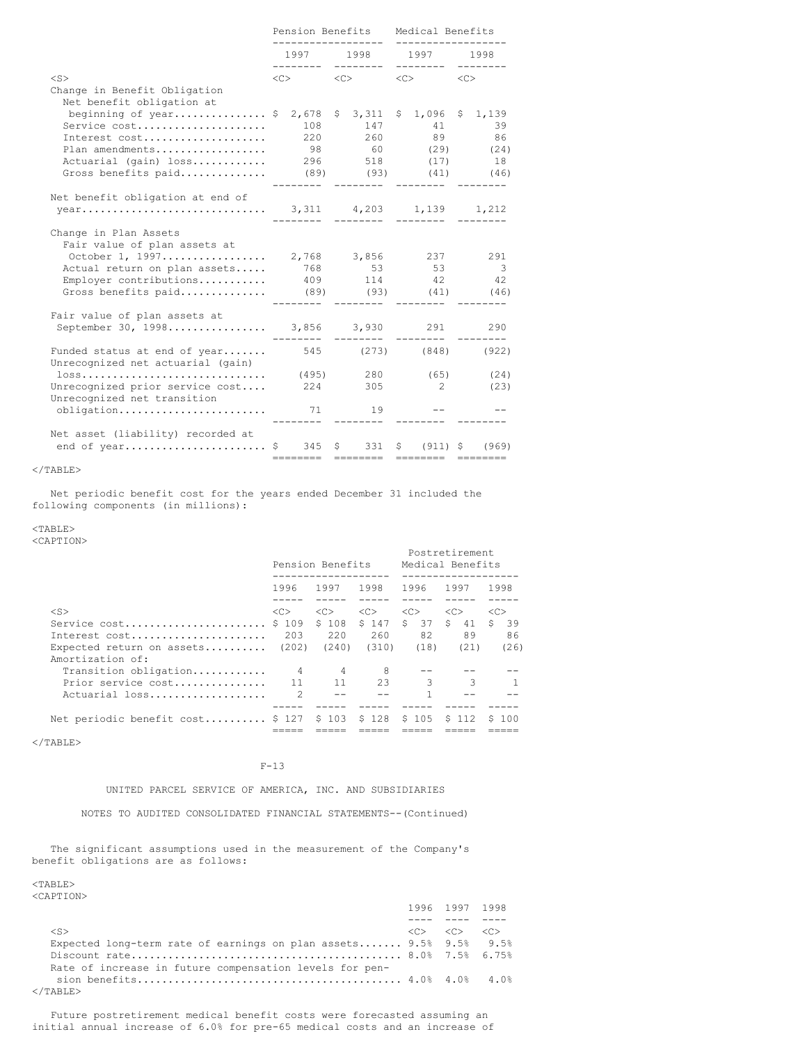|                                                                                                                                                                                                                                            | Pension Benefits<br>_____________ |                                               |  | Medical Benefits                                                                                                                |  |                 |  |           |
|--------------------------------------------------------------------------------------------------------------------------------------------------------------------------------------------------------------------------------------------|-----------------------------------|-----------------------------------------------|--|---------------------------------------------------------------------------------------------------------------------------------|--|-----------------|--|-----------|
|                                                                                                                                                                                                                                            |                                   | 1997 1998 1997 1998<br>---------<br>--------- |  | ---------                                                                                                                       |  |                 |  |           |
| $<$ S $>$                                                                                                                                                                                                                                  |                                   |                                               |  | $\begin{matrix} \langle C \rangle & \langle C \rangle & \langle C \rangle & \langle C \rangle & \langle C \rangle \end{matrix}$ |  |                 |  |           |
| Change in Benefit Obligation<br>Net benefit obligation at<br>beginning of year \$ 2,678 \$ 3,311 \$ 1,096 \$ 1,139<br>Service cost<br>Interest cost<br>Plan amendments<br>Actuarial (gain) loss<br>Gross benefits paid (89) (93) (41) (46) |                                   |                                               |  | 108 147 41<br>220 260<br>98 60 (29) (24)<br>296 518 (17) 18<br>---------                                                        |  | 89<br>--------- |  | 39<br>86  |
| Net benefit obligation at end of                                                                                                                                                                                                           |                                   |                                               |  |                                                                                                                                 |  |                 |  |           |
| Change in Plan Assets<br>Fair value of plan assets at<br>Actual return on plan assets<br>Employer contributions<br>Gross benefits paid (89) (93) (41) (46)                                                                                 |                                   | . <i>.</i>                                    |  | 768 53 53 3<br>409 114 42 42                                                                                                    |  |                 |  |           |
| Fair value of plan assets at<br>September 30, 1998 3,856 3,930 291 290                                                                                                                                                                     |                                   | ---------                                     |  | ---------                                                                                                                       |  | ---------       |  | --------- |
| Funded status at end of year 545 (273) (848) (922)<br>Unrecognized net actuarial (gain)                                                                                                                                                    |                                   |                                               |  |                                                                                                                                 |  |                 |  |           |
| loss<br>Unrecognized prior service cost<br>Unrecognized net transition                                                                                                                                                                     |                                   |                                               |  | $(495)$ 280 $(65)$ $(24)$<br>224 305                                                                                            |  | $\overline{2}$  |  | (23)      |
|                                                                                                                                                                                                                                            |                                   |                                               |  | ---------                                                                                                                       |  | ---------       |  |           |
| Net asset (liability) recorded at<br>end of year \$ 345 \$ 331 \$ (911) \$ (969)                                                                                                                                                           |                                   |                                               |  | ======== ======== ======== ========                                                                                             |  |                 |  |           |

## </TABLE>

Net periodic benefit cost for the years ended December 31 included the following components (in millions):

## <TABLE>

<CAPTION>

|                                   |               | Pension Benefits |               | Postretirement<br>Medical Benefits |               |               |  |
|-----------------------------------|---------------|------------------|---------------|------------------------------------|---------------|---------------|--|
|                                   | 1997<br>1996  |                  | 1998<br>1996  |                                    | 1997          | 1998          |  |
|                                   |               |                  |               |                                    |               |               |  |
| $<$ S>                            | < <sub></sub> | < <sub></sub>    | < <sub></sub> | < <sub></sub>                      | < <sub></sub> | < <sub></sub> |  |
| Service cost                      | \$109         | \$108            | \$147         | Ŝ.<br>37                           | S.<br>41      | Ŝ.<br>39      |  |
| Interest cost                     | 203           | 220              | 260           | 82                                 | 89            | 86            |  |
| Expected return on assets $(202)$ |               | (240)            | (310)         | (18)                               | (21)          | (26)          |  |
| Amortization of:                  |               |                  |               |                                    |               |               |  |
| Transition obligation             | 4             | 4                | 8             |                                    |               |               |  |
| Prior service cost                | 11            | 11               | 23            | 3                                  | 3             |               |  |
| Actuarial loss                    | $\mathcal{P}$ |                  |               |                                    |               |               |  |
|                                   |               |                  |               |                                    |               |               |  |
| Net periodic benefit cost \$ 127  |               | \$103            | \$128         | S 105                              | S 112         | 100<br>S.     |  |
|                                   |               |                  |               |                                    |               |               |  |

</TABLE>

F-13

UNITED PARCEL SERVICE OF AMERICA, INC. AND SUBSIDIARIES

NOTES TO AUDITED CONSOLIDATED FINANCIAL STATEMENTS--(Continued)

The significant assumptions used in the measurement of the Company's benefit obligations are as follows:

## <TABLE> <CAPTION>

|                                                                      | 1996 1997 1998                                              |  |
|----------------------------------------------------------------------|-------------------------------------------------------------|--|
|                                                                      |                                                             |  |
| $\langle S \rangle$                                                  | $\langle C \rangle$ $\langle C \rangle$ $\langle C \rangle$ |  |
| Expected long-term rate of earnings on plan assets $9.5\%$ 9.5% 9.5% |                                                             |  |
|                                                                      |                                                             |  |
| Rate of increase in future compensation levels for pen-              |                                                             |  |
|                                                                      |                                                             |  |
|                                                                      |                                                             |  |

  |  |Future postretirement medical benefit costs were forecasted assuming an initial annual increase of 6.0% for pre-65 medical costs and an increase of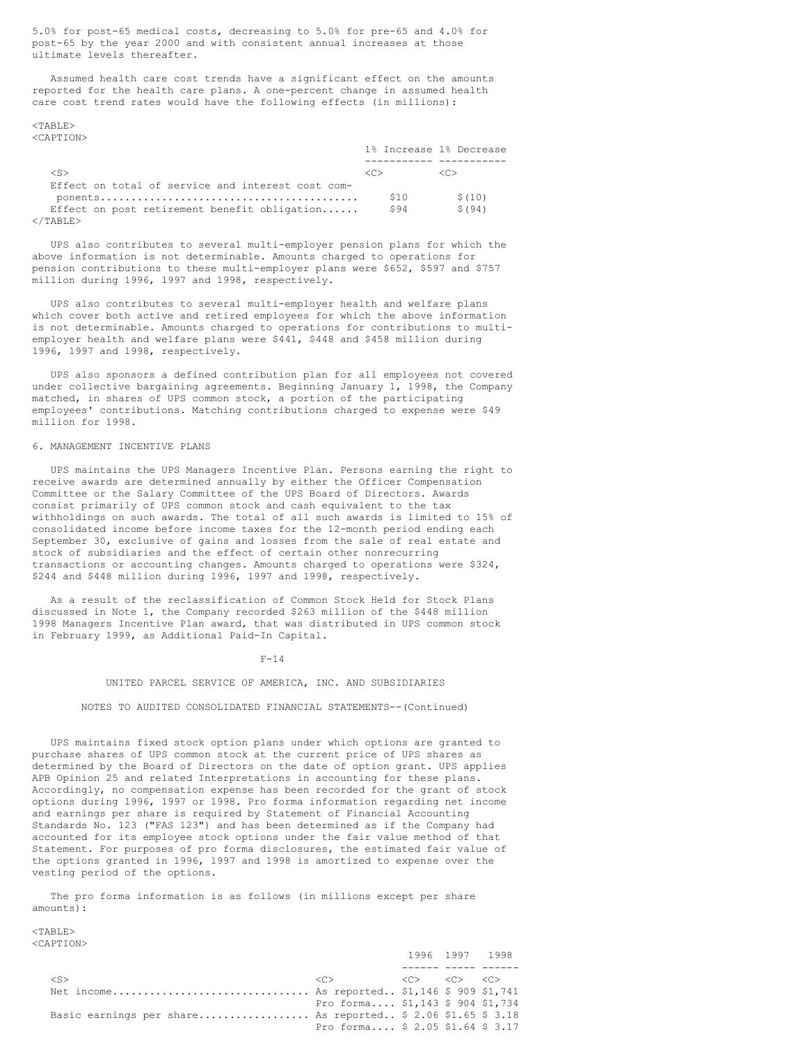5.0% for post-65 medical costs, decreasing to 5.0% for pre-65 and 4.0% for post-65 by the year 2000 and with consistent annual increases at those ultimate levels thereafter.

Assumed health care cost trends have a significant effect on the amounts reported for the health care plans. A one-percent change in assumed health care cost trend rates would have the following effects (in millions):

# $<$ TABLE>

<CAPTION>

|                                                   |      | 1% Increase 1% Decrease |
|---------------------------------------------------|------|-------------------------|
|                                                   |      |                         |
| $\langle S \rangle$                               |      | -10                     |
| Effect on total of service and interest cost com- |      |                         |
|                                                   | \$10 | \$(10)                  |
| Effect on post retirement benefit obligation      | S94  | S(94)                   |
|                                                   |      |                         |

  |  |UPS also contributes to several multi-employer pension plans for which the above information is not determinable. Amounts charged to operations for pension contributions to these multi-employer plans were \$652, \$597 and \$757 million during 1996, 1997 and 1998, respectively.

UPS also contributes to several multi-employer health and welfare plans which cover both active and retired employees for which the above information is not determinable. Amounts charged to operations for contributions to multiemployer health and welfare plans were \$441, \$448 and \$458 million during 1996, 1997 and 1998, respectively.

UPS also sponsors a defined contribution plan for all employees not covered under collective bargaining agreements. Beginning January 1, 1998, the Company matched, in shares of UPS common stock, a portion of the participating employees' contributions. Matching contributions charged to expense were \$49 million for 1998.

## 6. MANAGEMENT INCENTIVE PLANS

UPS maintains the UPS Managers Incentive Plan. Persons earning the right to receive awards are determined annually by either the Officer Compensation Committee or the Salary Committee of the UPS Board of Directors. Awards consist primarily of UPS common stock and cash equivalent to the tax withholdings on such awards. The total of all such awards is limited to 15% of consolidated income before income taxes for the 12-month period ending each September 30, exclusive of gains and losses from the sale of real estate and stock of subsidiaries and the effect of certain other nonrecurring transactions or accounting changes. Amounts charged to operations were \$324, \$244 and \$448 million during 1996, 1997 and 1998, respectively.

As a result of the reclassification of Common Stock Held for Stock Plans discussed in Note 1, the Company recorded \$263 million of the \$448 million 1998 Managers Incentive Plan award, that was distributed in UPS common stock in February 1999, as Additional Paid-In Capital.

 $F-14$ 

#### UNITED PARCEL SERVICE OF AMERICA, INC. AND SUBSIDIARIES

NOTES TO AUDITED CONSOLIDATED FINANCIAL STATEMENTS--(Continued)

UPS maintains fixed stock option plans under which options are granted to purchase shares of UPS common stock at the current price of UPS shares as determined by the Board of Directors on the date of option grant. UPS applies APB Opinion 25 and related Interpretations in accounting for these plans. Accordingly, no compensation expense has been recorded for the grant of stock options during 1996, 1997 or 1998. Pro forma information regarding net income and earnings per share is required by Statement of Financial Accounting Standards No. 123 ("FAS 123") and has been determined as if the Company had accounted for its employee stock options under the fair value method of that Statement. For purposes of pro forma disclosures, the estimated fair value of the options granted in 1996, 1997 and 1998 is amortized to expense over the vesting period of the options.

The pro forma information is as follows (in millions except per share amounts):

|                                                          |                                                                                                     | 1996 1997 1998 |  |
|----------------------------------------------------------|-----------------------------------------------------------------------------------------------------|----------------|--|
|                                                          |                                                                                                     |                |  |
| $\langle S \rangle$                                      | $\langle C \rangle$ $\langle C \rangle$ $\langle C \rangle$ $\langle C \rangle$ $\langle C \rangle$ |                |  |
| Net income As reported \$1,146 \$ 909 \$1,741            |                                                                                                     |                |  |
|                                                          | Pro forma \$1,143 \$ 904 \$1,734                                                                    |                |  |
| Basic earnings per share As reported $$2.06 $1.65 $3.18$ |                                                                                                     |                |  |
|                                                          | Pro forma $$2.05 $1.64 $3.17$                                                                       |                |  |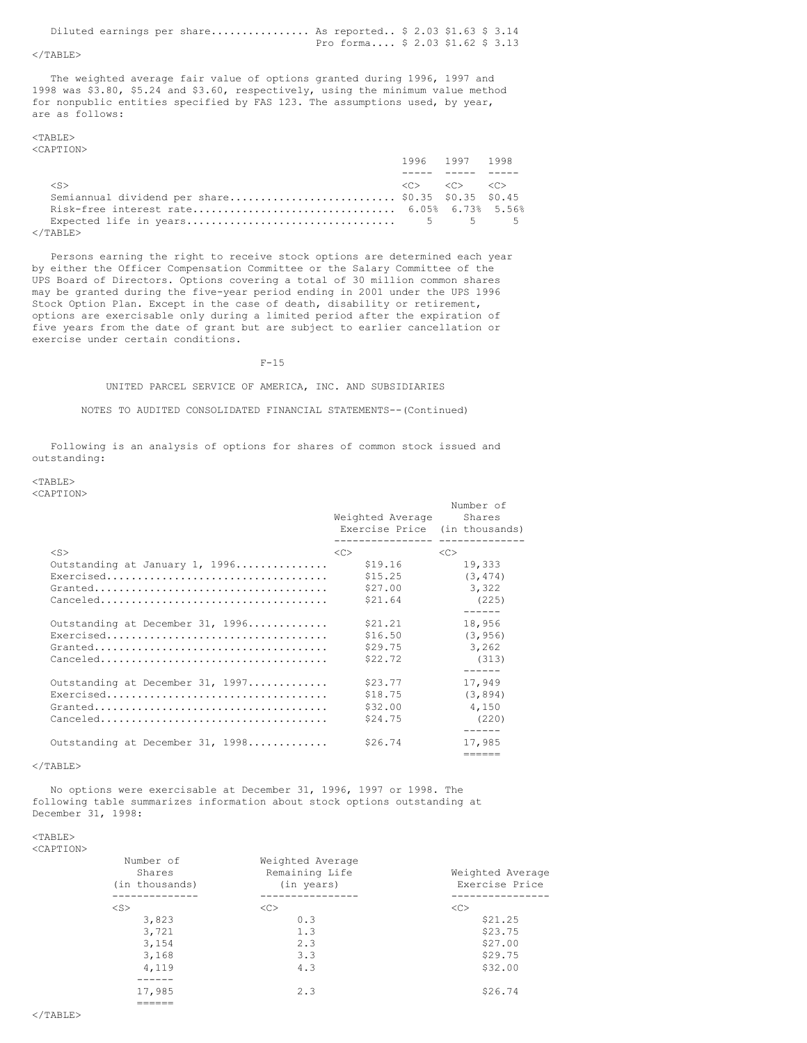|  | Diluted earnings per share As reported \$ 2.03 \$1.63 \$ 3.14 |                                  |  |  |  |
|--|---------------------------------------------------------------|----------------------------------|--|--|--|
|  |                                                               | Pro forma \$ 2.03 \$1.62 \$ 3.13 |  |  |  |

 $<$ /TABLE>

The weighted average fair value of options granted during 1996, 1997 and 1998 was \$3.80, \$5.24 and \$3.60, respectively, using the minimum value method for nonpublic entities specified by FAS 123. The assumptions used, by year, are as follows:

<TABLE> <CAPTION>

|                                                    | 1996 1997 1998                                              |  |
|----------------------------------------------------|-------------------------------------------------------------|--|
|                                                    |                                                             |  |
| $\langle S \rangle$                                | $\langle C \rangle$ $\langle C \rangle$ $\langle C \rangle$ |  |
| Semiannual dividend per share \$0.35 \$0.35 \$0.45 |                                                             |  |
|                                                    |                                                             |  |
|                                                    |                                                             |  |
|                                                    |                                                             |  |

  |  |Persons earning the right to receive stock options are determined each year by either the Officer Compensation Committee or the Salary Committee of the UPS Board of Directors. Options covering a total of 30 million common shares may be granted during the five-year period ending in 2001 under the UPS 1996 Stock Option Plan. Except in the case of death, disability or retirement, options are exercisable only during a limited period after the expiration of five years from the date of grant but are subject to earlier cancellation or exercise under certain conditions.

 $F-15$ 

UNITED PARCEL SERVICE OF AMERICA, INC. AND SUBSIDIARIES

NOTES TO AUDITED CONSOLIDATED FINANCIAL STATEMENTS--(Continued)

Following is an analysis of options for shares of common stock issued and outstanding:

 $<$ TABLE> <CAPTION>

|                                                                                  | Weighted Average<br>Exercise Price (in thousands)<br>--------------- | Number of<br>Shares |
|----------------------------------------------------------------------------------|----------------------------------------------------------------------|---------------------|
| $<$ S>                                                                           | < <sub></sub>                                                        | <<                  |
| Outstanding at January 1, 1996                                                   | \$19.16                                                              | 19.333              |
|                                                                                  | \$15.25                                                              | (3, 474)            |
|                                                                                  | \$27.00                                                              | 3,322               |
| $Canceled \ldots \ldots \ldots \ldots \ldots \ldots \ldots \ldots \ldots \ldots$ | \$21.64                                                              | (225)               |
|                                                                                  |                                                                      |                     |
| Outstanding at December 31, 1996                                                 | \$21.21                                                              | 18,956              |
| Exercised                                                                        | \$16.50                                                              | (3, 956)            |
|                                                                                  | \$29.75                                                              | 3,262               |
| $Canceled \ldots \ldots \ldots \ldots \ldots \ldots \ldots \ldots \ldots \ldots$ | \$22.72                                                              | (313)               |
|                                                                                  |                                                                      | ------              |
| Outstanding at December 31, 1997                                                 | \$23.77                                                              | 17,949              |
|                                                                                  | \$18.75                                                              | (3, 894)            |
|                                                                                  | \$32.00                                                              | 4,150               |
| $Canceled \ldots \ldots \ldots \ldots \ldots \ldots \ldots \ldots \ldots \ldots$ | \$24.75                                                              | (220)               |
|                                                                                  |                                                                      | $- - - - - -$       |
| Outstanding at December 31, 1998                                                 | \$26.74                                                              | 17,985              |
|                                                                                  |                                                                      | ======              |

 $\langle$ /TABLE>

No options were exercisable at December 31, 1996, 1997 or 1998. The following table summarizes information about stock options outstanding at December 31, 1998:

| Number of<br>Shares<br>(in thousands) | Weighted Average<br>Remaining Life<br>(in years) | Weighted Average<br>Exercise Price |
|---------------------------------------|--------------------------------------------------|------------------------------------|
| $<$ S $>$                             | < <sub></sub>                                    | <<                                 |
| 3,823                                 | 0.3                                              | \$21.25                            |
| 3,721                                 | 1.3                                              | \$23.75                            |
| 3,154                                 | 2.3                                              | \$27.00                            |
| 3,168                                 | 3.3                                              | \$29.75                            |
| 4,119                                 | 4.3                                              | \$32.00                            |
|                                       |                                                  |                                    |
| 17,985                                | 2.3                                              | \$26.74                            |
|                                       |                                                  |                                    |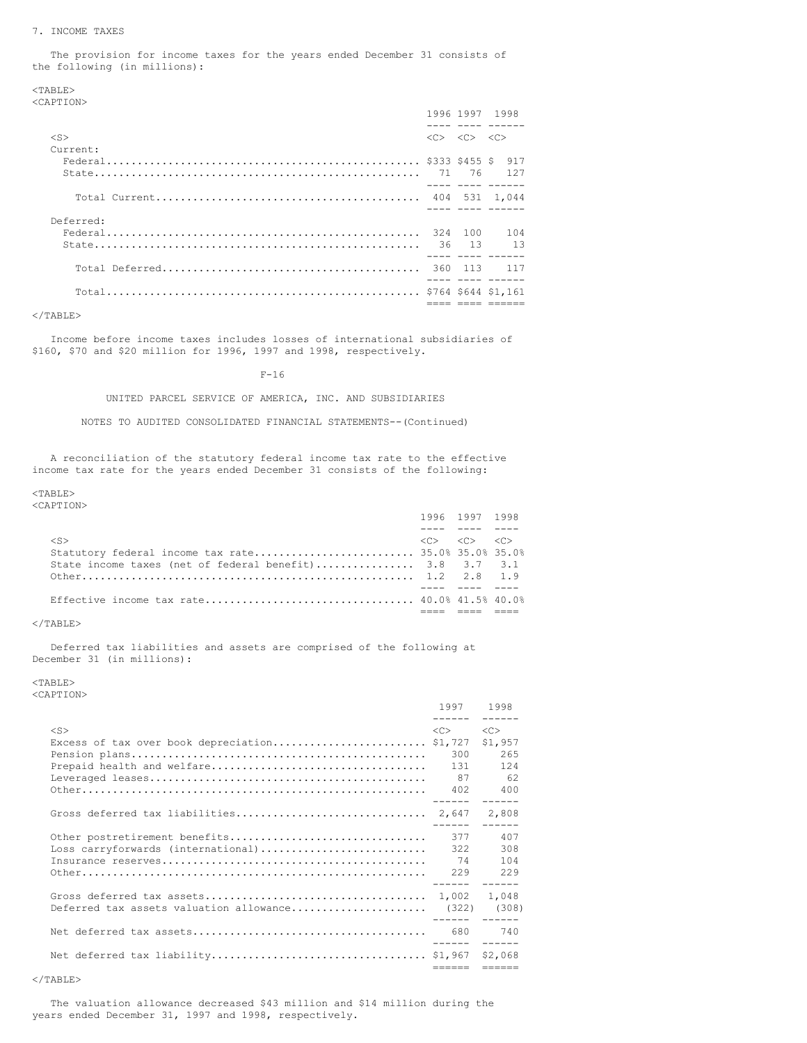### 7. INCOME TAXES

The provision for income taxes for the years ended December 31 consists of the following (in millions):

<TABLE> <CAPTION>

|           |                                                             | 1996 1997 1998                        |
|-----------|-------------------------------------------------------------|---------------------------------------|
| $<$ S>    | $\langle C \rangle$ $\langle C \rangle$ $\langle C \rangle$ |                                       |
| Current:  |                                                             |                                       |
|           |                                                             |                                       |
| Deferred: |                                                             | 324 100 104<br><u>aada aada aadad</u> |
|           |                                                             |                                       |
|           |                                                             |                                       |

#### $<$ /TABLE $>$

Income before income taxes includes losses of international subsidiaries of \$160, \$70 and \$20 million for 1996, 1997 and 1998, respectively.

F-16

UNITED PARCEL SERVICE OF AMERICA, INC. AND SUBSIDIARIES

NOTES TO AUDITED CONSOLIDATED FINANCIAL STATEMENTS--(Continued)

A reconciliation of the statutory federal income tax rate to the effective income tax rate for the years ended December 31 consists of the following:

 $<$ TABLE $>$ 

<CAPTION>

|                                                         | 1996 1997 1998                                              |  |
|---------------------------------------------------------|-------------------------------------------------------------|--|
|                                                         |                                                             |  |
| $\langle$ S>                                            | $\langle C \rangle$ $\langle C \rangle$ $\langle C \rangle$ |  |
|                                                         |                                                             |  |
| State income taxes (net of federal benefit) 3.8 3.7 3.1 |                                                             |  |
|                                                         |                                                             |  |
|                                                         |                                                             |  |
|                                                         |                                                             |  |
|                                                         |                                                             |  |

## $<$ /TABLE>

Deferred tax liabilities and assets are comprised of the following at December 31 (in millions):

 $<$ TABLE $>$ 

<CAPTION>

|                                                         | 1997 1998           |               |
|---------------------------------------------------------|---------------------|---------------|
|                                                         |                     |               |
| $<$ S>                                                  | $\langle$ C> $\sim$ | < <sub></sub> |
|                                                         |                     | \$1,957       |
|                                                         | 300                 | 265           |
|                                                         | 131                 | 124           |
|                                                         |                     | 62            |
|                                                         |                     | 400           |
|                                                         |                     |               |
|                                                         |                     | 2,808         |
|                                                         |                     |               |
|                                                         |                     | 407           |
|                                                         |                     | 308           |
|                                                         | 74                  | 104           |
|                                                         |                     | 229           |
|                                                         |                     |               |
|                                                         |                     |               |
| Deferred tax assets valuation allowance $(322)$ $(308)$ |                     |               |
|                                                         |                     | 740           |
|                                                         |                     |               |
|                                                         |                     |               |
|                                                         | ------              |               |

 $<$ /TABLE>

The valuation allowance decreased \$43 million and \$14 million during the years ended December 31, 1997 and 1998, respectively.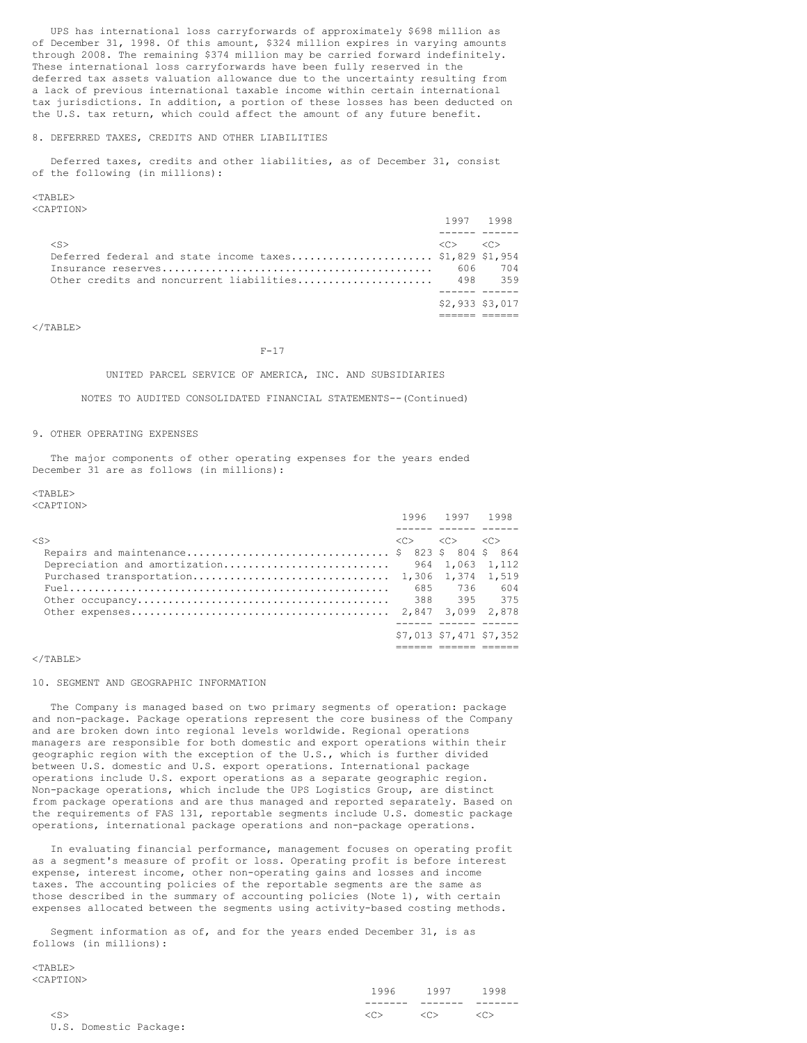UPS has international loss carryforwards of approximately \$698 million as of December 31, 1998. Of this amount, \$324 million expires in varying amounts through 2008. The remaining \$374 million may be carried forward indefinitely. These international loss carryforwards have been fully reserved in the deferred tax assets valuation allowance due to the uncertainty resulting from a lack of previous international taxable income within certain international tax jurisdictions. In addition, a portion of these losses has been deducted on the U.S. tax return, which could affect the amount of any future benefit.

#### 8. DEFERRED TAXES, CREDITS AND OTHER LIABILITIES

Deferred taxes, credits and other liabilities, as of December 31, consist of the following (in millions):

 $<$ TABLE> <CAPTION>

|                                                         | 1997 1998           |                 |
|---------------------------------------------------------|---------------------|-----------------|
|                                                         |                     |                 |
| $<$ S>                                                  | $\langle C \rangle$ | $<<$ C $>$      |
| Deferred federal and state income taxes \$1,829 \$1,954 |                     |                 |
|                                                         | 606                 | 704             |
| Other credits and noncurrent liabilities 498 359        |                     |                 |
|                                                         |                     |                 |
|                                                         |                     | \$2,933 \$3,017 |
|                                                         |                     |                 |

## $<$ /TABLE>

 $F-17$ 

## UNITED PARCEL SERVICE OF AMERICA, INC. AND SUBSIDIARIES

NOTES TO AUDITED CONSOLIDATED FINANCIAL STATEMENTS--(Continued)

## 9. OTHER OPERATING EXPENSES

The major components of other operating expenses for the years ended December 31 are as follows (in millions):

<TABLE> <CAPTION>

|                                              | -1996 - 1997 - 1998                                         |                         |
|----------------------------------------------|-------------------------------------------------------------|-------------------------|
|                                              |                                                             |                         |
| $<$ S $>$                                    | $\langle C \rangle$ $\langle C \rangle$ $\langle C \rangle$ |                         |
| Repairs and maintenance \$ 823 \$ 804 \$ 864 |                                                             |                         |
|                                              |                                                             |                         |
|                                              |                                                             |                         |
|                                              | 685 736                                                     | 604                     |
|                                              |                                                             |                         |
|                                              |                                                             |                         |
|                                              |                                                             |                         |
|                                              |                                                             | \$7,013 \$7,471 \$7,352 |
|                                              |                                                             |                         |

1996 1997 1998

### $\langle$ /TABLE>

#### 10. SEGMENT AND GEOGRAPHIC INFORMATION

The Company is managed based on two primary segments of operation: package and non-package. Package operations represent the core business of the Company and are broken down into regional levels worldwide. Regional operations managers are responsible for both domestic and export operations within their geographic region with the exception of the U.S., which is further divided between U.S. domestic and U.S. export operations. International package operations include U.S. export operations as a separate geographic region. Non-package operations, which include the UPS Logistics Group, are distinct from package operations and are thus managed and reported separately. Based on the requirements of FAS 131, reportable segments include U.S. domestic package operations, international package operations and non-package operations.

In evaluating financial performance, management focuses on operating profit as a segment's measure of profit or loss. Operating profit is before interest expense, interest income, other non-operating gains and losses and income taxes. The accounting policies of the reportable segments are the same as those described in the summary of accounting policies (Note 1), with certain expenses allocated between the segments using activity-based costing methods.

Segment information as of, and for the years ended December 31, is as follows (in millions):

|                        |                            | 1996 1997 | 1998 |
|------------------------|----------------------------|-----------|------|
|                        | ____                       |           |      |
|                        | $\langle$ $\cap$ $\rangle$ |           | <(∶> |
| U.S. Domestic Package: |                            |           |      |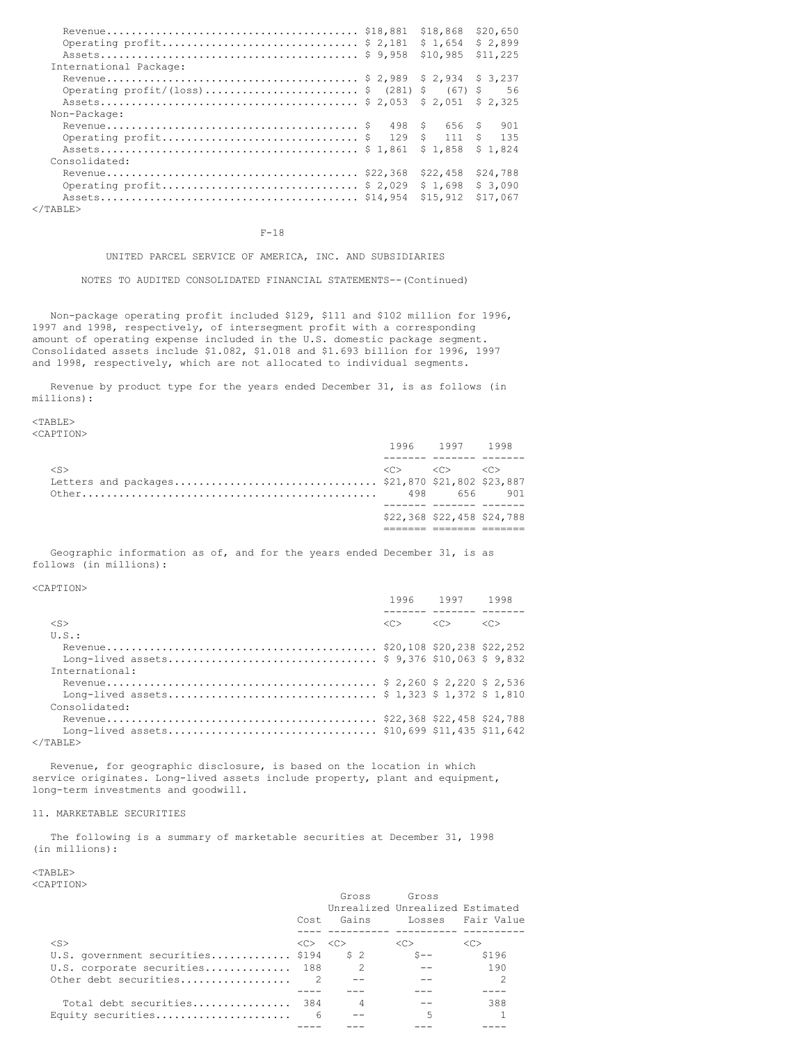|                                             | \$18,868<br>\$1.654<br>\$10,985 | \$20,650<br>\$2.899<br>\$11,225 |
|---------------------------------------------|---------------------------------|---------------------------------|
| International Package:                      |                                 |                                 |
|                                             |                                 |                                 |
| Operating profit/(loss) \$ (281) \$ (67) \$ |                                 | 56                              |
|                                             |                                 | \$2,325                         |
| Non-Package:                                |                                 |                                 |
|                                             |                                 | 901<br>- \$                     |
|                                             | 111                             | 135<br>S.                       |
|                                             | \$1.858                         | \$1.824                         |
| Consolidated:                               |                                 |                                 |
|                                             | \$22,458                        | \$24,788                        |
|                                             | \$1,698                         | \$3,090                         |
|                                             | \$15,912                        | \$17,067                        |
| $\langle$ /TABLE>                           |                                 |                                 |

F-18

UNITED PARCEL SERVICE OF AMERICA, INC. AND SUBSIDIARIES

NOTES TO AUDITED CONSOLIDATED FINANCIAL STATEMENTS--(Continued)

Non-package operating profit included \$129, \$111 and \$102 million for 1996, 1997 and 1998, respectively, of intersegment profit with a corresponding amount of operating expense included in the U.S. domestic package segment. Consolidated assets include \$1.082, \$1.018 and \$1.693 billion for 1996, 1997 and 1998, respectively, which are not allocated to individual segments.

Revenue by product type for the years ended December 31, is as follows (in millions):

 $<$ TABLE $>$ <CAPTION>

|                     | 1996 1997 1998                                              |                            |
|---------------------|-------------------------------------------------------------|----------------------------|
|                     |                                                             |                            |
| $\langle S \rangle$ | $\langle C \rangle$ $\langle C \rangle$ $\langle C \rangle$ |                            |
|                     |                                                             |                            |
|                     | 498 656 901                                                 |                            |
|                     |                                                             |                            |
|                     |                                                             | \$22,368 \$22,458 \$24,788 |
|                     |                                                             |                            |

Geographic information as of, and for the years ended December 31, is as follows (in millions):

<CAPTION>

|                                              |                                         | 1996 1997 1998 |               |
|----------------------------------------------|-----------------------------------------|----------------|---------------|
|                                              |                                         |                |               |
| $<$ S>                                       | $\langle C \rangle$ $\langle C \rangle$ |                | < <sub></sub> |
| $U.S.$ :                                     |                                         |                |               |
|                                              |                                         |                |               |
| Long-lived assets \$ 9,376 \$10,063 \$ 9,832 |                                         |                |               |
| International:                               |                                         |                |               |
|                                              |                                         |                |               |
|                                              |                                         |                |               |
| Consolidated:                                |                                         |                |               |
|                                              |                                         |                |               |
|                                              |                                         |                |               |
|                                              |                                         |                |               |

  |  |  |Revenue, for geographic disclosure, is based on the location in which service originates. Long-lived assets include property, plant and equipment, long-term investments and goodwill.

## 11. MARKETABLE SECURITIES

The following is a summary of marketable securities at December 31, 1998 (in millions):

|                                      | Cost | Gross                                   | Gross<br>Unrealized Unrealized Estimated<br>Gains Losses Fair Value |                |
|--------------------------------------|------|-----------------------------------------|---------------------------------------------------------------------|----------------|
|                                      |      |                                         |                                                                     |                |
| $<$ S>                               |      | $\langle C \rangle$ $\langle C \rangle$ | <c></c>                                                             | < <sub></sub>  |
| U.S. government securities \$194 \$2 |      |                                         | $S \rightarrow$                                                     | \$196          |
| U.S. corporate securities 188        |      | $\mathcal{L}$                           | $ -$                                                                | 190            |
|                                      |      |                                         |                                                                     | $\overline{2}$ |
|                                      |      |                                         |                                                                     |                |
| Total debt securities                | -384 | - 4                                     |                                                                     | 388            |
| Equity securities 6                  |      |                                         | 5                                                                   |                |
|                                      |      |                                         |                                                                     |                |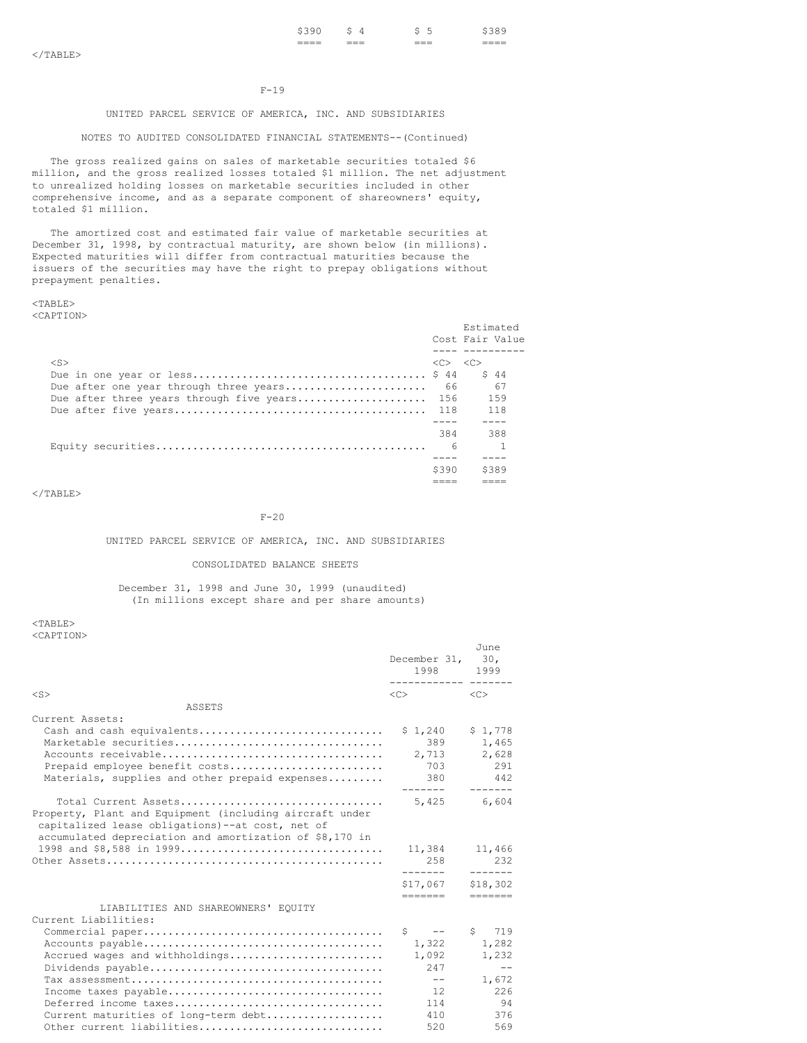| ____                | ___ | ___ | ____ |
|---------------------|-----|-----|------|
| ____                | ___ | ___ | ____ |
|                     |     |     |      |
| c<br>$\mathbf{r}$ . |     |     |      |

## F-19

## UNITED PARCEL SERVICE OF AMERICA, INC. AND SUBSIDIARIES

## NOTES TO AUDITED CONSOLIDATED FINANCIAL STATEMENTS--(Continued)

The gross realized gains on sales of marketable securities totaled \$6 million, and the gross realized losses totaled \$1 million. The net adjustment to unrealized holding losses on marketable securities included in other comprehensive income, and as a separate component of shareowners' equity, totaled \$1 million.

The amortized cost and estimated fair value of marketable securities at December 31, 1998, by contractual maturity, are shown below (in millions). Expected maturities will differ from contractual maturities because the issuers of the securities may have the right to prepay obligations without prepayment penalties.

#### $<$ TABLE>

<CAPTION>

|                                              |                                         | Estimated       |
|----------------------------------------------|-----------------------------------------|-----------------|
|                                              |                                         | Cost Fair Value |
|                                              |                                         |                 |
| $<$ S>                                       | $\langle C \rangle$ $\langle C \rangle$ |                 |
|                                              | $S$ 44                                  | \$44            |
| Due after one year through three years       | 66                                      | -67             |
| Due after three years through five years 156 |                                         | 1.59            |
|                                              | 118                                     | 118             |
|                                              |                                         |                 |
|                                              | 384                                     | 388             |
|                                              | - 6                                     |                 |
|                                              |                                         |                 |
|                                              | \$390                                   | \$389           |
|                                              |                                         |                 |

## $<$ /TABLE>

F-20

## UNITED PARCEL SERVICE OF AMERICA, INC. AND SUBSIDIARIES

## CONSOLIDATED BALANCE SHEETS

December 31, 1998 and June 30, 1999 (unaudited) (In millions except share and per share amounts)

|                                                                                                                                                                       | December 31, 30,<br>1998<br>_____________ | June<br>1999                                   |
|-----------------------------------------------------------------------------------------------------------------------------------------------------------------------|-------------------------------------------|------------------------------------------------|
| $<$ S>                                                                                                                                                                | $\langle C \rangle$                       | <<                                             |
| ASSETS                                                                                                                                                                |                                           |                                                |
| Current Assets:<br>Cash and cash equivalents<br>Marketable securities<br>Prepaid employee benefit costs                                                               | \$1,240<br>389<br>2,713<br>703            | \$1,778<br>1,465<br>2,628<br>291               |
| Materials, supplies and other prepaid expenses                                                                                                                        | 380                                       | 442                                            |
|                                                                                                                                                                       | --------                                  |                                                |
| Property, Plant and Equipment (including aircraft under<br>capitalized lease obligations)--at cost, net of<br>accumulated depreciation and amortization of \$8,170 in | 5,425                                     | 6,604                                          |
|                                                                                                                                                                       | 11,384 11,466                             |                                                |
|                                                                                                                                                                       | 258                                       | 232                                            |
|                                                                                                                                                                       | --------<br>\$17.067<br>=======           | -------<br>\$18,302<br>$=$ $=$ $=$ $=$ $=$ $=$ |
| LIABILITIES AND SHAREOWNERS' EQUITY                                                                                                                                   |                                           |                                                |
| Current Liabilities:                                                                                                                                                  |                                           |                                                |
|                                                                                                                                                                       | $S \t - -$                                | 5, 719                                         |
|                                                                                                                                                                       | 1,322                                     | 1,282                                          |
| Accrued wages and withholdings                                                                                                                                        | 1,092                                     | 1,232                                          |
|                                                                                                                                                                       | 247                                       | $- -$                                          |
|                                                                                                                                                                       | $--$                                      | 1,672                                          |
| Income taxes payable                                                                                                                                                  | 12                                        | 226                                            |
| Deferred income taxes                                                                                                                                                 | 114                                       | 94                                             |
| Current maturities of long-term debt                                                                                                                                  | 410                                       | 376                                            |
| Other current liabilities                                                                                                                                             | 520                                       | 569                                            |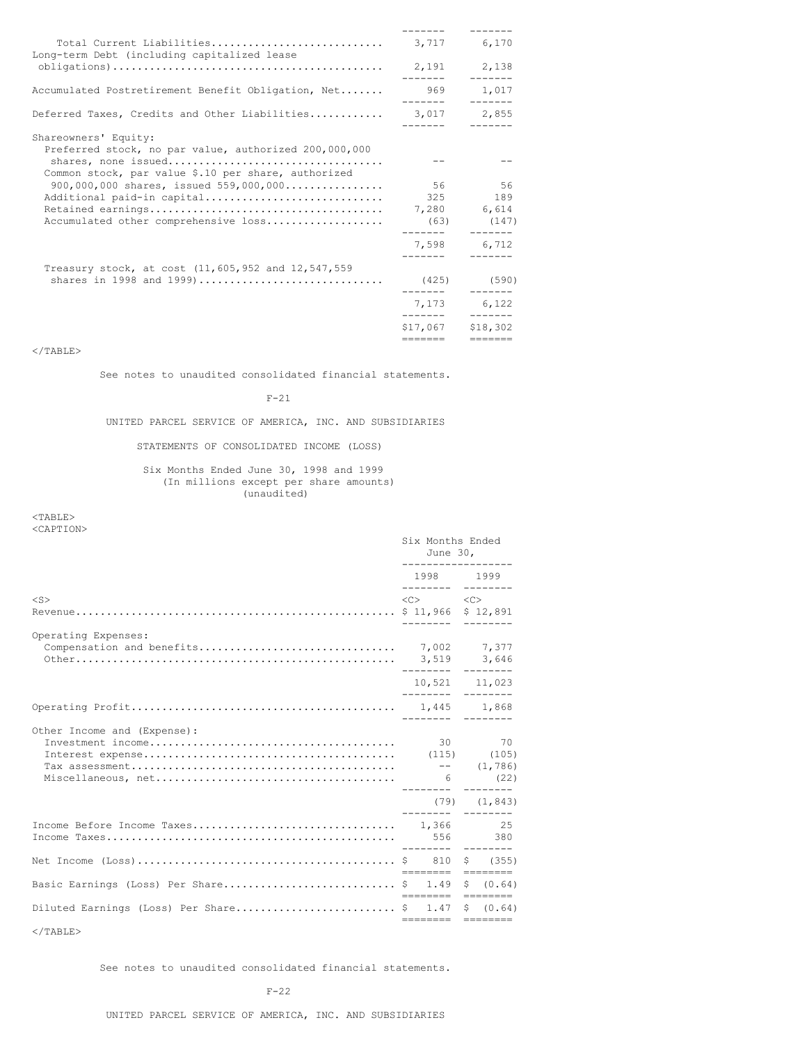| Total Current Liabilities<br>Long-term Debt (including capitalized lease      |               | 3,717 6,170         |
|-------------------------------------------------------------------------------|---------------|---------------------|
|                                                                               |               |                     |
| Accumulated Postretirement Benefit Obligation, Net                            | 969 1,017     |                     |
| Deferred Taxes, Credits and Other Liabilities                                 | 3,017 2,855   |                     |
| Shareowners' Equity:<br>Preferred stock, no par value, authorized 200,000,000 |               |                     |
| Common stock, par value \$.10 per share, authorized                           |               |                     |
| 900,000,000 shares, issued $559,000,000$                                      |               | 56 56               |
| Additional paid-in capital                                                    |               | 325 189             |
|                                                                               | 7,280 6,614   |                     |
| Accumulated other comprehensive loss                                          |               | $(63)$ $(147)$      |
|                                                                               |               | 7,598 6,712         |
| Treasury stock, at cost (11,605,952 and 12,547,559                            |               |                     |
| shares in 1998 and $1999)$                                                    | $(425)$ (590) |                     |
|                                                                               |               | 7,173 6,122         |
|                                                                               |               | $$17,067$ $$18,302$ |
|                                                                               | --------      |                     |

 $<$ /TABLE $>$ 

See notes to unaudited consolidated financial statements.

F-21

UNITED PARCEL SERVICE OF AMERICA, INC. AND SUBSIDIARIES

STATEMENTS OF CONSOLIDATED INCOME (LOSS)

Six Months Ended June 30, 1998 and 1999 (In millions except per share amounts) (unaudited)

 $<$ TABLE>

<CAPTION>

| SUAPTIUN2                                 | Six Months Ended<br>June 30,<br>------------------            |                             |
|-------------------------------------------|---------------------------------------------------------------|-----------------------------|
|                                           | 1998 1999                                                     |                             |
| $<$ S>                                    | $\langle C \rangle$ $\langle C \rangle$<br>--------- -------- |                             |
| Operating Expenses:                       |                                                               |                             |
|                                           | 10,521 11,023                                                 |                             |
|                                           |                                                               |                             |
| Other Income and (Expense):               |                                                               | 30 70                       |
|                                           |                                                               | $(79)$ $(1, 843)$           |
|                                           |                                                               |                             |
|                                           | ========                                                      | \$ (355)<br><b>EEEEEEEE</b> |
| Basic Earnings (Loss) Per Share \$ 1.49   |                                                               | \$ (0.64)                   |
| Diluted Earnings (Loss) Per Share \$ 1.47 | ==================                                            | \$ (0.64)                   |

 $<$ /TABLE>

See notes to unaudited consolidated financial statements.

F-22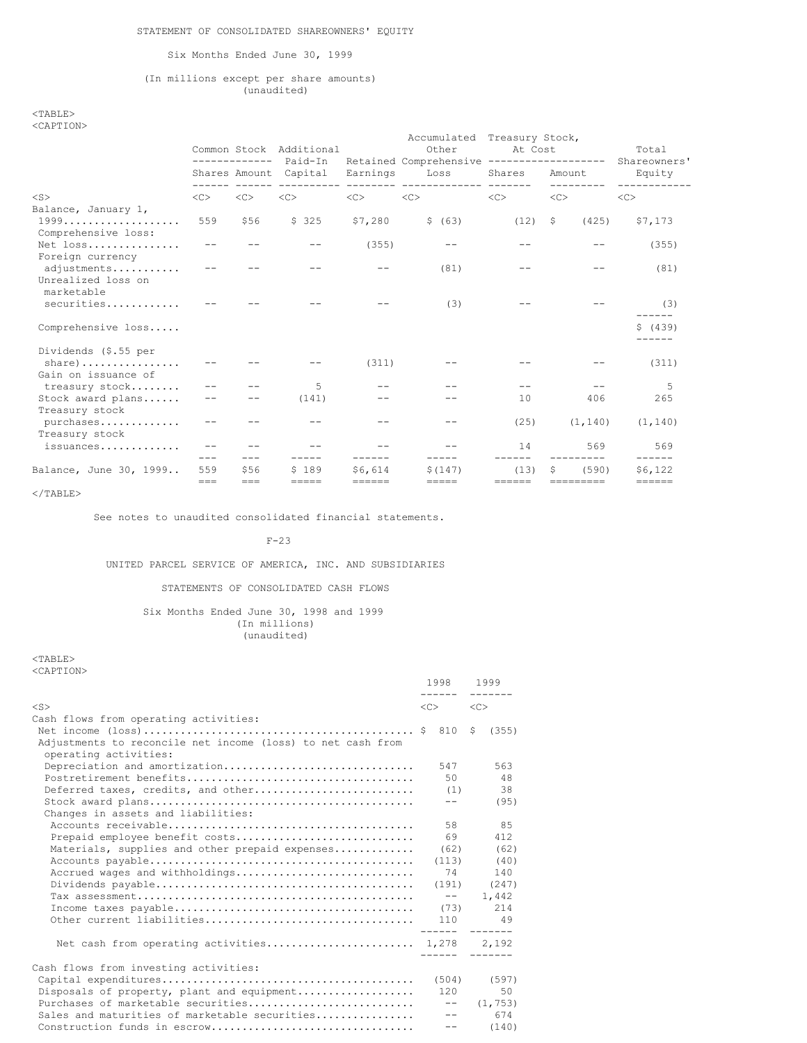## Six Months Ended June 30, 1999

## (In millions except per share amounts) (unaudited)

 $<$ TABLE>

<CAPTION>

| NUAE LIUNZ                                                                              |                    |                     |                                    |                                                                                                                                                                                                                                                                                                                                                                                                                                                                                                   |                                                                                                                                                                                                                                                                                                                                                                                                                                                                                                   |                                 |                          |                                                                                                                                                                                                                                                                                                                                                                                                                                                                                                   |
|-----------------------------------------------------------------------------------------|--------------------|---------------------|------------------------------------|---------------------------------------------------------------------------------------------------------------------------------------------------------------------------------------------------------------------------------------------------------------------------------------------------------------------------------------------------------------------------------------------------------------------------------------------------------------------------------------------------|---------------------------------------------------------------------------------------------------------------------------------------------------------------------------------------------------------------------------------------------------------------------------------------------------------------------------------------------------------------------------------------------------------------------------------------------------------------------------------------------------|---------------------------------|--------------------------|---------------------------------------------------------------------------------------------------------------------------------------------------------------------------------------------------------------------------------------------------------------------------------------------------------------------------------------------------------------------------------------------------------------------------------------------------------------------------------------------------|
|                                                                                         |                    | -------------       | Common Stock Additional<br>Paid-In |                                                                                                                                                                                                                                                                                                                                                                                                                                                                                                   | Accumulated Treasury Stock,<br>Other<br>Retained Comprehensive -------------------                                                                                                                                                                                                                                                                                                                                                                                                                | At Cost                         |                          | Total<br>Shareowners'                                                                                                                                                                                                                                                                                                                                                                                                                                                                             |
|                                                                                         |                    |                     | Shares Amount Capital              |                                                                                                                                                                                                                                                                                                                                                                                                                                                                                                   | Earnings Loss                                                                                                                                                                                                                                                                                                                                                                                                                                                                                     | Shares                          | Amount<br>---------      | Equity                                                                                                                                                                                                                                                                                                                                                                                                                                                                                            |
| $<$ S $>$                                                                               | <<>                | <<>                 | <<>                                | $\langle C \rangle$                                                                                                                                                                                                                                                                                                                                                                                                                                                                               | $<<$ $>>$                                                                                                                                                                                                                                                                                                                                                                                                                                                                                         | $<<$ $C>$                       | <<                       | <<                                                                                                                                                                                                                                                                                                                                                                                                                                                                                                |
| Balance, January 1,<br>$1999 \ldots \ldots \ldots \ldots \ldots$<br>Comprehensive loss: | 559                | \$56                | \$325                              | \$7,280                                                                                                                                                                                                                                                                                                                                                                                                                                                                                           | \$ (63)                                                                                                                                                                                                                                                                                                                                                                                                                                                                                           | $(12)$ \$                       | (425)                    | \$7,173                                                                                                                                                                                                                                                                                                                                                                                                                                                                                           |
| Net loss<br>Foreign currency                                                            |                    |                     |                                    | (355)                                                                                                                                                                                                                                                                                                                                                                                                                                                                                             |                                                                                                                                                                                                                                                                                                                                                                                                                                                                                                   |                                 |                          | (355)                                                                                                                                                                                                                                                                                                                                                                                                                                                                                             |
| adjustments<br>Unrealized loss on<br>marketable                                         |                    |                     |                                    |                                                                                                                                                                                                                                                                                                                                                                                                                                                                                                   | (81)                                                                                                                                                                                                                                                                                                                                                                                                                                                                                              |                                 |                          | (81)                                                                                                                                                                                                                                                                                                                                                                                                                                                                                              |
| securities                                                                              |                    |                     |                                    |                                                                                                                                                                                                                                                                                                                                                                                                                                                                                                   | (3)                                                                                                                                                                                                                                                                                                                                                                                                                                                                                               |                                 |                          | (3)                                                                                                                                                                                                                                                                                                                                                                                                                                                                                               |
| Comprehensive loss                                                                      |                    |                     |                                    |                                                                                                                                                                                                                                                                                                                                                                                                                                                                                                   |                                                                                                                                                                                                                                                                                                                                                                                                                                                                                                   |                                 |                          | \$ (439)                                                                                                                                                                                                                                                                                                                                                                                                                                                                                          |
| Dividends (\$.55 per                                                                    |                    |                     |                                    |                                                                                                                                                                                                                                                                                                                                                                                                                                                                                                   |                                                                                                                                                                                                                                                                                                                                                                                                                                                                                                   |                                 |                          |                                                                                                                                                                                                                                                                                                                                                                                                                                                                                                   |
| share)<br>Gain on issuance of                                                           |                    |                     |                                    | (311)                                                                                                                                                                                                                                                                                                                                                                                                                                                                                             |                                                                                                                                                                                                                                                                                                                                                                                                                                                                                                   |                                 |                          | (311)                                                                                                                                                                                                                                                                                                                                                                                                                                                                                             |
| treasury stock                                                                          |                    |                     | 5                                  |                                                                                                                                                                                                                                                                                                                                                                                                                                                                                                   |                                                                                                                                                                                                                                                                                                                                                                                                                                                                                                   |                                 |                          | 5                                                                                                                                                                                                                                                                                                                                                                                                                                                                                                 |
| Stock award plans<br>Treasury stock                                                     |                    |                     | (141)                              |                                                                                                                                                                                                                                                                                                                                                                                                                                                                                                   |                                                                                                                                                                                                                                                                                                                                                                                                                                                                                                   | 10                              | 406                      | 265                                                                                                                                                                                                                                                                                                                                                                                                                                                                                               |
| purchases<br>Treasury stock                                                             |                    |                     |                                    |                                                                                                                                                                                                                                                                                                                                                                                                                                                                                                   |                                                                                                                                                                                                                                                                                                                                                                                                                                                                                                   | (25)                            | (1, 140)                 | (1, 140)                                                                                                                                                                                                                                                                                                                                                                                                                                                                                          |
| issuances                                                                               |                    |                     |                                    |                                                                                                                                                                                                                                                                                                                                                                                                                                                                                                   |                                                                                                                                                                                                                                                                                                                                                                                                                                                                                                   | 14                              | 569                      | 569<br>------                                                                                                                                                                                                                                                                                                                                                                                                                                                                                     |
| Balance, June 30, 1999                                                                  | 559<br>$=$ $=$ $=$ | \$56<br>$=$ $=$ $=$ | \$189<br>-----                     | \$6.614<br>$\begin{array}{cccccccccc} \multicolumn{2}{c}{} & \multicolumn{2}{c}{} & \multicolumn{2}{c}{} & \multicolumn{2}{c}{} & \multicolumn{2}{c}{} & \multicolumn{2}{c}{} & \multicolumn{2}{c}{} & \multicolumn{2}{c}{} & \multicolumn{2}{c}{} & \multicolumn{2}{c}{} & \multicolumn{2}{c}{} & \multicolumn{2}{c}{} & \multicolumn{2}{c}{} & \multicolumn{2}{c}{} & \multicolumn{2}{c}{} & \multicolumn{2}{c}{} & \multicolumn{2}{c}{} & \multicolumn{2}{c}{} & \multicolumn{2}{c}{} & \mult$ | \$(147)<br>$\begin{array}{cccccccccc} \multicolumn{2}{c}{} & \multicolumn{2}{c}{} & \multicolumn{2}{c}{} & \multicolumn{2}{c}{} & \multicolumn{2}{c}{} & \multicolumn{2}{c}{} & \multicolumn{2}{c}{} & \multicolumn{2}{c}{} & \multicolumn{2}{c}{} & \multicolumn{2}{c}{} & \multicolumn{2}{c}{} & \multicolumn{2}{c}{} & \multicolumn{2}{c}{} & \multicolumn{2}{c}{} & \multicolumn{2}{c}{} & \multicolumn{2}{c}{} & \multicolumn{2}{c}{} & \multicolumn{2}{c}{} & \multicolumn{2}{c}{} & \mult$ | (13)<br>$=$ $=$ $=$ $=$ $=$ $=$ | Ŝ<br>(590)<br>---------- | \$6,122<br>$\begin{array}{cccccccccc} \multicolumn{2}{c}{} & \multicolumn{2}{c}{} & \multicolumn{2}{c}{} & \multicolumn{2}{c}{} & \multicolumn{2}{c}{} & \multicolumn{2}{c}{} & \multicolumn{2}{c}{} & \multicolumn{2}{c}{} & \multicolumn{2}{c}{} & \multicolumn{2}{c}{} & \multicolumn{2}{c}{} & \multicolumn{2}{c}{} & \multicolumn{2}{c}{} & \multicolumn{2}{c}{} & \multicolumn{2}{c}{} & \multicolumn{2}{c}{} & \multicolumn{2}{c}{} & \multicolumn{2}{c}{} & \multicolumn{2}{c}{} & \mult$ |

 $<$ /TABLE $>$ 

See notes to unaudited consolidated financial statements.

F-23

UNITED PARCEL SERVICE OF AMERICA, INC. AND SUBSIDIARIES

## STATEMENTS OF CONSOLIDATED CASH FLOWS

## Six Months Ended June 30, 1998 and 1999 (In millions) (unaudited)

|                                                             | 1998 1999<br>------- | -------             |
|-------------------------------------------------------------|----------------------|---------------------|
| $<$ S $>$                                                   | $\langle$ C> $\sim$  | $\langle C \rangle$ |
| Cash flows from operating activities:                       |                      |                     |
|                                                             |                      |                     |
| Adjustments to reconcile net income (loss) to net cash from |                      |                     |
| operating activities:                                       |                      |                     |
| Depreciation and amortization                               | 547                  | 563                 |
|                                                             | 50                   | 48                  |
| Deferred taxes, credits, and other                          | (1)                  | 38                  |
|                                                             | $- -$                | (95)                |
| Changes in assets and liabilities:                          |                      |                     |
|                                                             | 58                   | 85                  |
| Prepaid employee benefit costs                              | 69                   | 412                 |
| Materials, supplies and other prepaid expenses              | (62)                 | (62)                |
|                                                             | (113)                | (40)                |
| Accrued wages and withholdings                              |                      | 74 140              |
|                                                             |                      | $(191)$ $(247)$     |
|                                                             |                      | $-- 1,442$          |
|                                                             |                      | $(73)$ 214          |
|                                                             |                      | 110 49              |
|                                                             |                      | .                   |
| Net cash from operating activities 1,278 2.192              |                      |                     |
|                                                             | -------              |                     |
| Cash flows from investing activities:                       |                      |                     |
|                                                             |                      | $(504)$ $(597)$     |
| Disposals of property, plant and equipment                  |                      | 120<br>50           |
| Purchases of marketable securities                          |                      | $---(1, 753)$       |
| Sales and maturities of marketable securities               | $- -$                | 674                 |
| Construction funds in escrow                                | $- -$                | (140)               |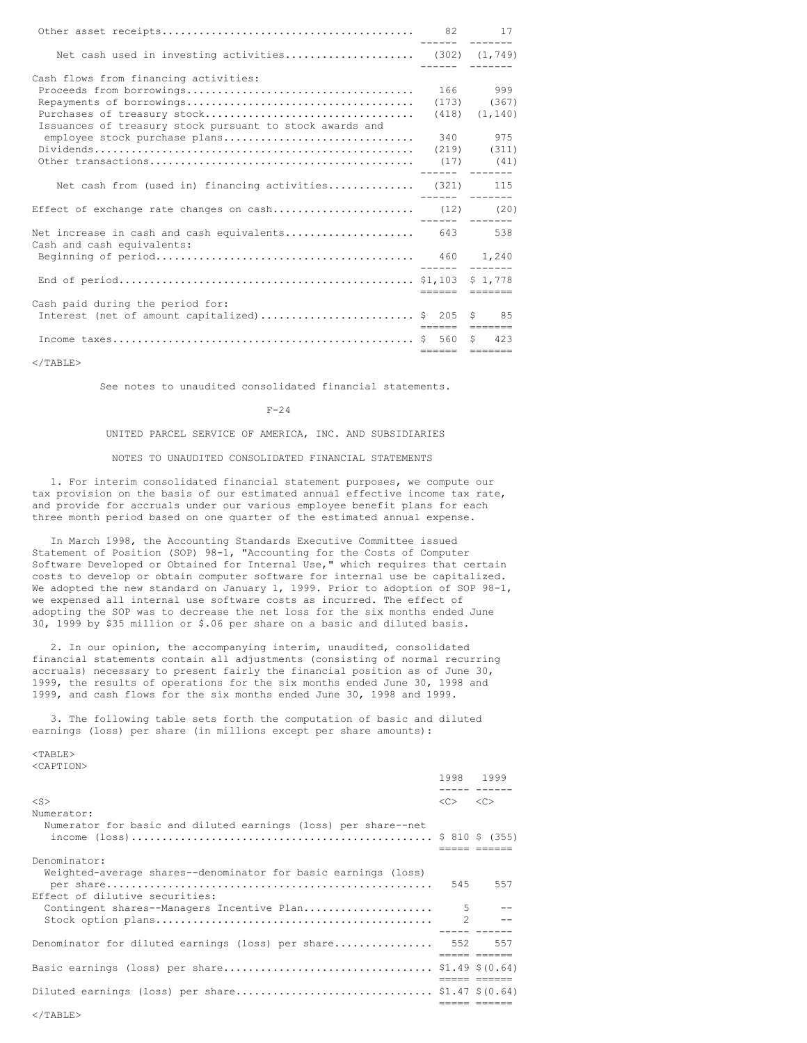| Net cash used in investing activities (302) $(1,749)$                                                                              | ------ -------                                                                 |
|------------------------------------------------------------------------------------------------------------------------------------|--------------------------------------------------------------------------------|
| Cash flows from financing activities:<br>Issuances of treasury stock pursuant to stock awards and<br>employee stock purchase plans | 166 999<br>$(173)$ $(367)$<br>$(418)$ $(1, 140)$<br>340 975<br>$(219)$ $(311)$ |
| Net cash from (used in) financing activities (321) 115                                                                             | _______ ______<br>------ -------                                               |
|                                                                                                                                    |                                                                                |
| Net increase in cash and cash equivalents 643<br>Cash and cash equivalents:                                                        | 538                                                                            |
|                                                                                                                                    |                                                                                |
|                                                                                                                                    | ====== =======                                                                 |
| Cash paid during the period for:<br>Interest (net of amount capitalized) \$ 205 \$ 85                                              | eeesse eessese                                                                 |
|                                                                                                                                    | eesse eesses                                                                   |
|                                                                                                                                    |                                                                                |

 $\langle$ /TABLE>

See notes to unaudited consolidated financial statements.

F-24

## UNITED PARCEL SERVICE OF AMERICA, INC. AND SUBSIDIARIES

## NOTES TO UNAUDITED CONSOLIDATED FINANCIAL STATEMENTS

1. For interim consolidated financial statement purposes, we compute our tax provision on the basis of our estimated annual effective income tax rate, and provide for accruals under our various employee benefit plans for each three month period based on one quarter of the estimated annual expense.

In March 1998, the Accounting Standards Executive Committee issued Statement of Position (SOP) 98-1, "Accounting for the Costs of Computer Software Developed or Obtained for Internal Use," which requires that certain costs to develop or obtain computer software for internal use be capitalized. We adopted the new standard on January 1, 1999. Prior to adoption of SOP 98-1, we expensed all internal use software costs as incurred. The effect of adopting the SOP was to decrease the net loss for the six months ended June 30, 1999 by \$35 million or \$.06 per share on a basic and diluted basis.

2. In our opinion, the accompanying interim, unaudited, consolidated financial statements contain all adjustments (consisting of normal recurring accruals) necessary to present fairly the financial position as of June 30, 1999, the results of operations for the six months ended June 30, 1998 and 1999, and cash flows for the six months ended June 30, 1998 and 1999.

3. The following table sets forth the computation of basic and diluted earnings (loss) per share (in millions except per share amounts):

<TABLE> <CAPTION>

|                                                                                                  | 1998 1999                               |              |
|--------------------------------------------------------------------------------------------------|-----------------------------------------|--------------|
| $<$ S $>$                                                                                        | $\langle C \rangle$ $\langle C \rangle$ |              |
| Numerator:                                                                                       |                                         |              |
| Numerator for basic and diluted earnings (loss) per share--net                                   |                                         |              |
| Denominator:                                                                                     |                                         |              |
| Weighted-average shares--denominator for basic earnings (loss)<br>Effect of dilutive securities: |                                         | 545 557      |
| Contingent shares--Managers Incentive Plan                                                       | 5                                       | $\sim$ $-$   |
|                                                                                                  |                                         |              |
|                                                                                                  |                                         |              |
| Denominator for diluted earnings (loss) per share 552 557                                        |                                         |              |
|                                                                                                  |                                         |              |
|                                                                                                  |                                         |              |
|                                                                                                  |                                         | seese eessee |
|                                                                                                  |                                         |              |
|                                                                                                  |                                         |              |

 $<$ /TABLE>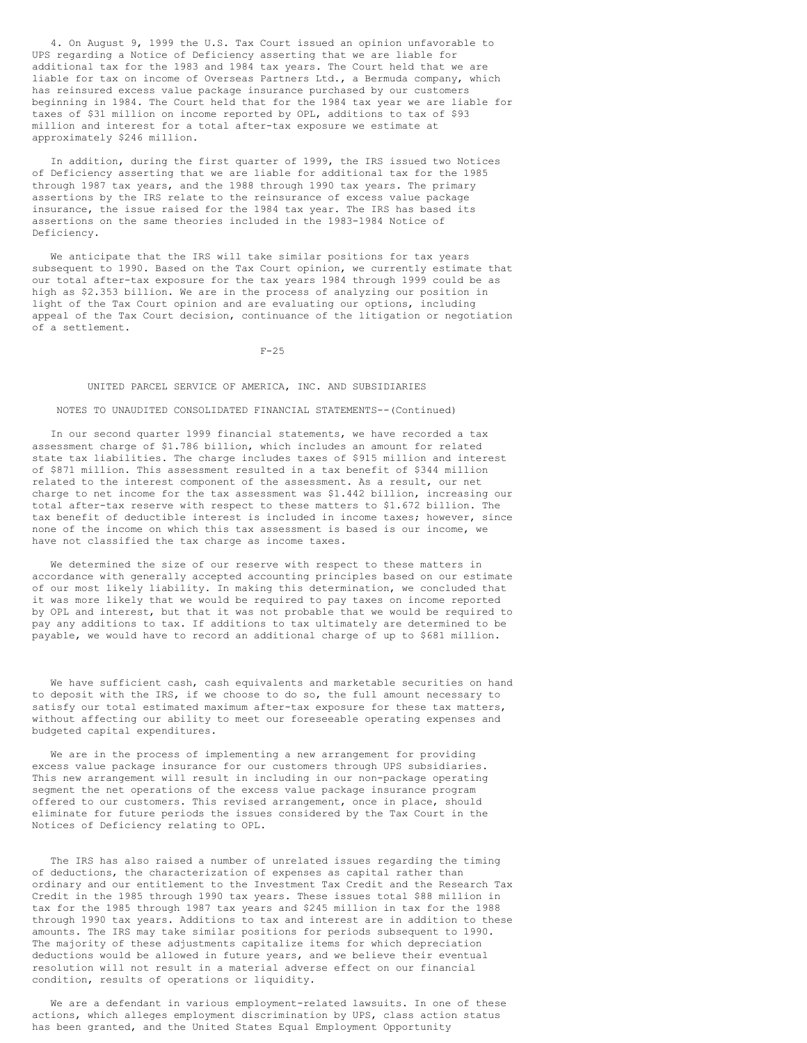4. On August 9, 1999 the U.S. Tax Court issued an opinion unfavorable to UPS regarding a Notice of Deficiency asserting that we are liable for additional tax for the 1983 and 1984 tax years. The Court held that we are liable for tax on income of Overseas Partners Ltd., a Bermuda company, which has reinsured excess value package insurance purchased by our customers beginning in 1984. The Court held that for the 1984 tax year we are liable for taxes of \$31 million on income reported by OPL, additions to tax of \$93 million and interest for a total after-tax exposure we estimate at approximately \$246 million.

In addition, during the first quarter of 1999, the IRS issued two Notices of Deficiency asserting that we are liable for additional tax for the 1985 through 1987 tax years, and the 1988 through 1990 tax years. The primary assertions by the IRS relate to the reinsurance of excess value package insurance, the issue raised for the 1984 tax year. The IRS has based its assertions on the same theories included in the 1983-1984 Notice of Deficiency.

We anticipate that the IRS will take similar positions for tax years subsequent to 1990. Based on the Tax Court opinion, we currently estimate that our total after-tax exposure for the tax years 1984 through 1999 could be as high as \$2.353 billion. We are in the process of analyzing our position in light of the Tax Court opinion and are evaluating our options, including appeal of the Tax Court decision, continuance of the litigation or negotiation of a settlement.

 $F-25$ 

### UNITED PARCEL SERVICE OF AMERICA, INC. AND SUBSIDIARIES

## NOTES TO UNAUDITED CONSOLIDATED FINANCIAL STATEMENTS--(Continued)

In our second quarter 1999 financial statements, we have recorded a tax assessment charge of \$1.786 billion, which includes an amount for related state tax liabilities. The charge includes taxes of \$915 million and interest of \$871 million. This assessment resulted in a tax benefit of \$344 million related to the interest component of the assessment. As a result, our net charge to net income for the tax assessment was \$1.442 billion, increasing our total after-tax reserve with respect to these matters to \$1.672 billion. The tax benefit of deductible interest is included in income taxes; however, since none of the income on which this tax assessment is based is our income, we have not classified the tax charge as income taxes.

We determined the size of our reserve with respect to these matters in accordance with generally accepted accounting principles based on our estimate of our most likely liability. In making this determination, we concluded that it was more likely that we would be required to pay taxes on income reported by OPL and interest, but that it was not probable that we would be required to pay any additions to tax. If additions to tax ultimately are determined to be payable, we would have to record an additional charge of up to \$681 million.

We have sufficient cash, cash equivalents and marketable securities on hand to deposit with the IRS, if we choose to do so, the full amount necessary to satisfy our total estimated maximum after-tax exposure for these tax matters, without affecting our ability to meet our foreseeable operating expenses and budgeted capital expenditures.

We are in the process of implementing a new arrangement for providing excess value package insurance for our customers through UPS subsidiaries. This new arrangement will result in including in our non-package operating segment the net operations of the excess value package insurance program offered to our customers. This revised arrangement, once in place, should eliminate for future periods the issues considered by the Tax Court in the Notices of Deficiency relating to OPL.

The IRS has also raised a number of unrelated issues regarding the timing of deductions, the characterization of expenses as capital rather than ordinary and our entitlement to the Investment Tax Credit and the Research Tax Credit in the 1985 through 1990 tax years. These issues total \$88 million in tax for the 1985 through 1987 tax years and \$245 million in tax for the 1988 through 1990 tax years. Additions to tax and interest are in addition to these amounts. The IRS may take similar positions for periods subsequent to 1990. The majority of these adjustments capitalize items for which depreciation deductions would be allowed in future years, and we believe their eventual resolution will not result in a material adverse effect on our financial condition, results of operations or liquidity.

We are a defendant in various employment-related lawsuits. In one of these actions, which alleges employment discrimination by UPS, class action status has been granted, and the United States Equal Employment Opportunity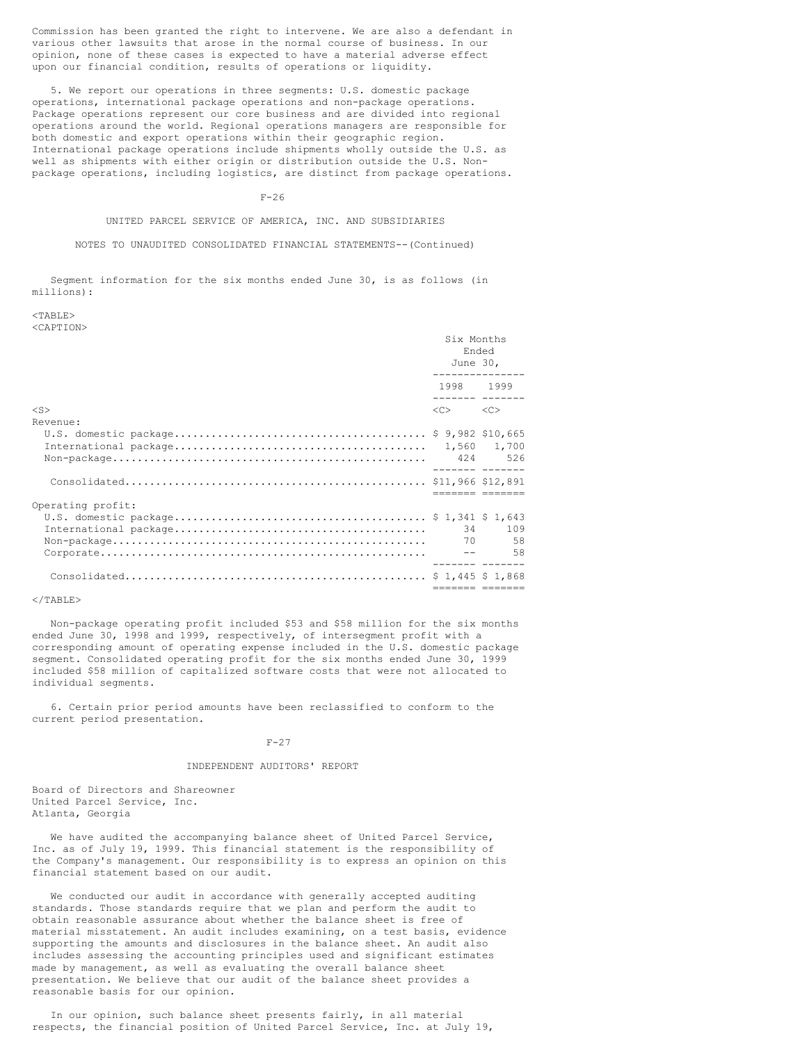Commission has been granted the right to intervene. We are also a defendant in various other lawsuits that arose in the normal course of business. In our opinion, none of these cases is expected to have a material adverse effect upon our financial condition, results of operations or liquidity.

5. We report our operations in three segments: U.S. domestic package operations, international package operations and non-package operations. Package operations represent our core business and are divided into regional operations around the world. Regional operations managers are responsible for both domestic and export operations within their geographic region. International package operations include shipments wholly outside the U.S. as well as shipments with either origin or distribution outside the U.S. Nonpackage operations, including logistics, are distinct from package operations.

### $F - 26$

#### UNITED PARCEL SERVICE OF AMERICA, INC. AND SUBSIDIARIES

#### NOTES TO UNAUDITED CONSOLIDATED FINANCIAL STATEMENTS--(Continued)

Segment information for the six months ended June 30, is as follows (in millions):

#### $<$ TABLE> <CAPTION>

Six Months Ended June 30, --------------- 1998 1999 ------- ------- <S> <C> <C> Revenue: U.S. domestic package......................................... \$ 9,982 \$10,665 International package......................................... 1,560 1,700 Non-package................................................... 424 526 ------- ------- Consolidated................................................. \$11,966 \$12,891 ======= ======= Operating profit: U.S. domestic package......................................... \$ 1,341 \$ 1,643 International package......................................... 34 109 Non-package................................................... 70 58 Corporate..................................................... -- 58 ------- ------- Consolidated................................................. \$ 1,445 \$ 1,868 ======= =======

#### $\langle$ /TABLE>

Non-package operating profit included \$53 and \$58 million for the six months ended June 30, 1998 and 1999, respectively, of intersegment profit with a corresponding amount of operating expense included in the U.S. domestic package segment. Consolidated operating profit for the six months ended June 30, 1999 included \$58 million of capitalized software costs that were not allocated to individual segments.

6. Certain prior period amounts have been reclassified to conform to the current period presentation.

#### F-27

## INDEPENDENT AUDITORS' REPORT

Board of Directors and Shareowner United Parcel Service, Inc. Atlanta, Georgia

We have audited the accompanying balance sheet of United Parcel Service, Inc. as of July 19, 1999. This financial statement is the responsibility of the Company's management. Our responsibility is to express an opinion on this financial statement based on our audit.

We conducted our audit in accordance with generally accepted auditing standards. Those standards require that we plan and perform the audit to obtain reasonable assurance about whether the balance sheet is free of material misstatement. An audit includes examining, on a test basis, evidence supporting the amounts and disclosures in the balance sheet. An audit also includes assessing the accounting principles used and significant estimates made by management, as well as evaluating the overall balance sheet presentation. We believe that our audit of the balance sheet provides a reasonable basis for our opinion.

In our opinion, such balance sheet presents fairly, in all material respects, the financial position of United Parcel Service, Inc. at July 19,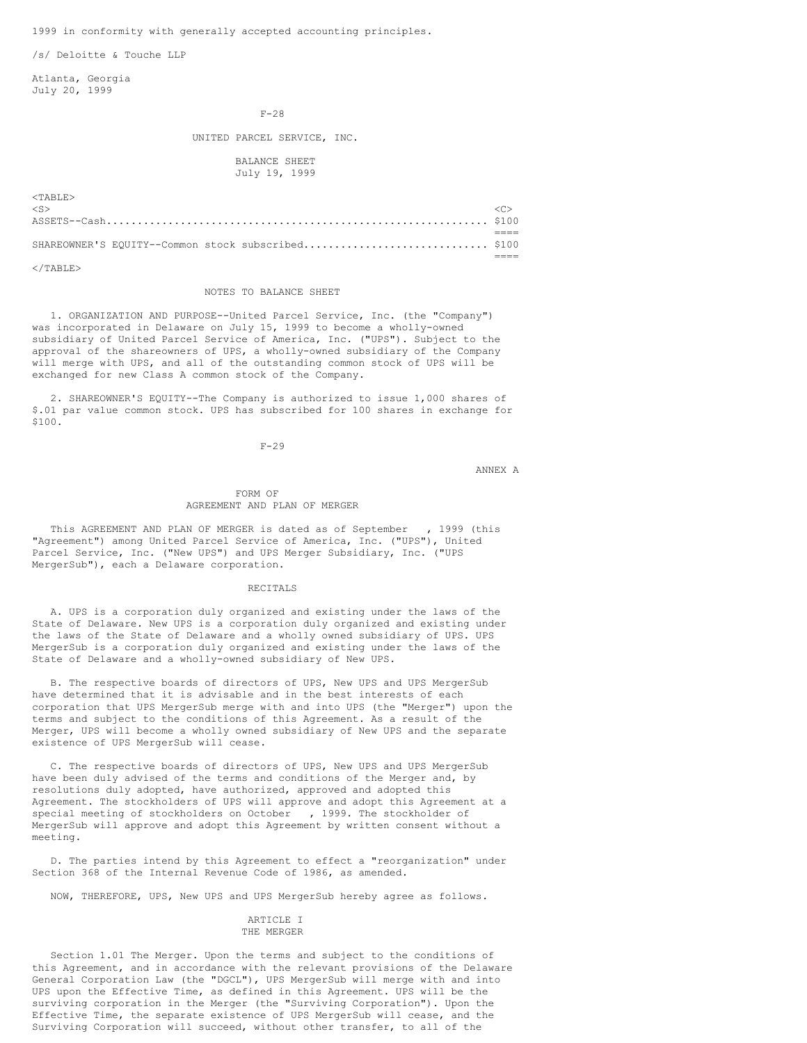1999 in conformity with generally accepted accounting principles.

/s/ Deloitte & Touche LLP

Atlanta, Georgia July 20, 1999

F-28

#### UNITED PARCEL SERVICE, INC.

#### BALANCE SHEET July 19, 1999

| $<$ TARLE $>$                                      |  |
|----------------------------------------------------|--|
| < S >                                              |  |
|                                                    |  |
|                                                    |  |
| SHAREOWNER'S EQUITY--Common stock subscribed \$100 |  |
|                                                    |  |

 $<$ /TABLE>

#### NOTES TO BALANCE SHEET

1. ORGANIZATION AND PURPOSE--United Parcel Service, Inc. (the "Company") was incorporated in Delaware on July 15, 1999 to become a wholly-owned subsidiary of United Parcel Service of America, Inc. ("UPS"). Subject to the approval of the shareowners of UPS, a wholly-owned subsidiary of the Company will merge with UPS, and all of the outstanding common stock of UPS will be exchanged for new Class A common stock of the Company.

2. SHAREOWNER'S EQUITY--The Company is authorized to issue 1,000 shares of \$.01 par value common stock. UPS has subscribed for 100 shares in exchange for \$100.

 $F - 29$ 

ANNEX A

### FORM OF AGREEMENT AND PLAN OF MERGER

This AGREEMENT AND PLAN OF MERGER is dated as of September , 1999 (this "Agreement") among United Parcel Service of America, Inc. ("UPS"), United Parcel Service, Inc. ("New UPS") and UPS Merger Subsidiary, Inc. ("UPS MergerSub"), each a Delaware corporation.

#### RECITALS

A. UPS is a corporation duly organized and existing under the laws of the State of Delaware. New UPS is a corporation duly organized and existing under the laws of the State of Delaware and a wholly owned subsidiary of UPS. UPS MergerSub is a corporation duly organized and existing under the laws of the State of Delaware and a wholly-owned subsidiary of New UPS.

B. The respective boards of directors of UPS, New UPS and UPS MergerSub have determined that it is advisable and in the best interests of each corporation that UPS MergerSub merge with and into UPS (the "Merger") upon the terms and subject to the conditions of this Agreement. As a result of the Merger, UPS will become a wholly owned subsidiary of New UPS and the separate existence of UPS MergerSub will cease.

C. The respective boards of directors of UPS, New UPS and UPS MergerSub have been duly advised of the terms and conditions of the Merger and, by resolutions duly adopted, have authorized, approved and adopted this Agreement. The stockholders of UPS will approve and adopt this Agreement at a special meeting of stockholders on October , 1999. The stockholder of MergerSub will approve and adopt this Agreement by written consent without a meeting.

D. The parties intend by this Agreement to effect a "reorganization" under Section 368 of the Internal Revenue Code of 1986, as amended.

NOW, THEREFORE, UPS, New UPS and UPS MergerSub hereby agree as follows.

#### ARTICLE I THE MERGER

Section 1.01 The Merger. Upon the terms and subject to the conditions of this Agreement, and in accordance with the relevant provisions of the Delaware General Corporation Law (the "DGCL"), UPS MergerSub will merge with and into UPS upon the Effective Time, as defined in this Agreement. UPS will be the surviving corporation in the Merger (the "Surviving Corporation"). Upon the Effective Time, the separate existence of UPS MergerSub will cease, and the Surviving Corporation will succeed, without other transfer, to all of the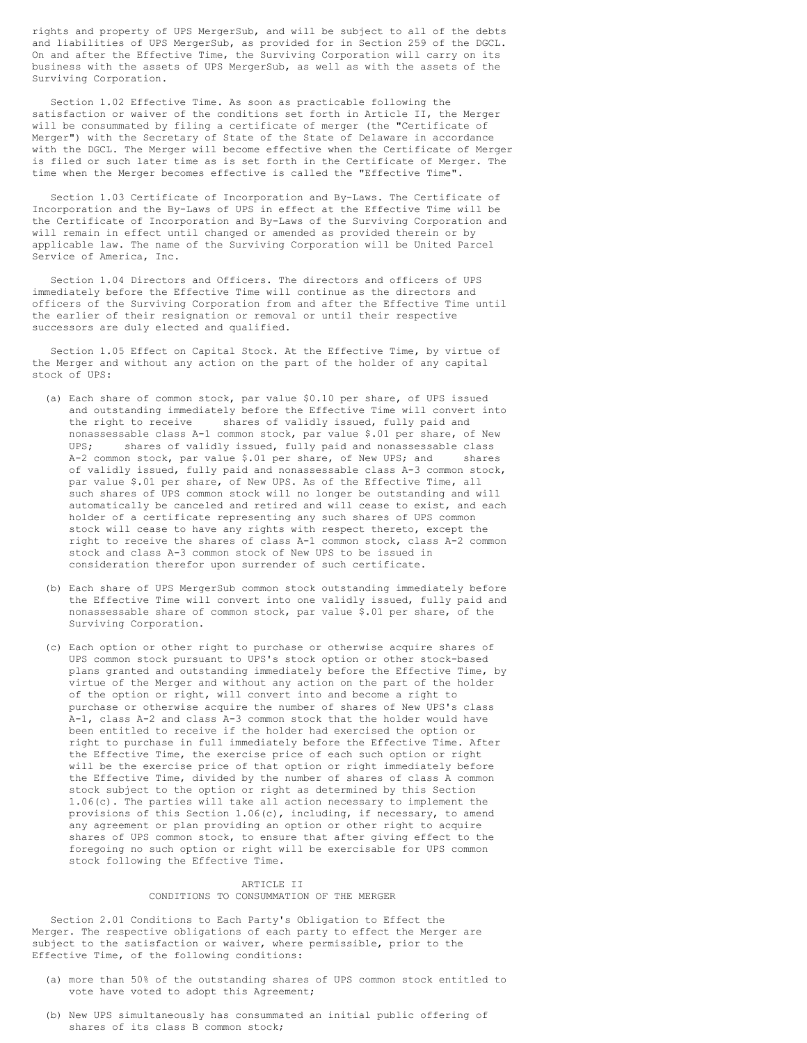rights and property of UPS MergerSub, and will be subject to all of the debts and liabilities of UPS MergerSub, as provided for in Section 259 of the DGCL. On and after the Effective Time, the Surviving Corporation will carry on its business with the assets of UPS MergerSub, as well as with the assets of the Surviving Corporation.

Section 1.02 Effective Time. As soon as practicable following the satisfaction or waiver of the conditions set forth in Article II, the Merger will be consummated by filing a certificate of merger (the "Certificate of Merger") with the Secretary of State of the State of Delaware in accordance with the DGCL. The Merger will become effective when the Certificate of Merger is filed or such later time as is set forth in the Certificate of Merger. The time when the Merger becomes effective is called the "Effective Time".

Section 1.03 Certificate of Incorporation and By-Laws. The Certificate of Incorporation and the By-Laws of UPS in effect at the Effective Time will be the Certificate of Incorporation and By-Laws of the Surviving Corporation and will remain in effect until changed or amended as provided therein or by applicable law. The name of the Surviving Corporation will be United Parcel Service of America, Inc.

Section 1.04 Directors and Officers. The directors and officers of UPS immediately before the Effective Time will continue as the directors and officers of the Surviving Corporation from and after the Effective Time until the earlier of their resignation or removal or until their respective successors are duly elected and qualified.

Section 1.05 Effect on Capital Stock. At the Effective Time, by virtue of the Merger and without any action on the part of the holder of any capital stock of UPS:

- (a) Each share of common stock, par value \$0.10 per share, of UPS issued and outstanding immediately before the Effective Time will convert into the right to receive shares of validly issued, fully paid and nonassessable class A-1 common stock, par value \$.01 per share, of New UPS; shares of validly issued, fully paid and nonassessable class A-2 common stock, par value \$.01 per share, of New UPS; and shares of validly issued, fully paid and nonassessable class A-3 common stock, par value \$.01 per share, of New UPS. As of the Effective Time, all such shares of UPS common stock will no longer be outstanding and will automatically be canceled and retired and will cease to exist, and each holder of a certificate representing any such shares of UPS common stock will cease to have any rights with respect thereto, except the right to receive the shares of class A-1 common stock, class A-2 common stock and class A-3 common stock of New UPS to be issued in consideration therefor upon surrender of such certificate.
- (b) Each share of UPS MergerSub common stock outstanding immediately before the Effective Time will convert into one validly issued, fully paid and nonassessable share of common stock, par value \$.01 per share, of the Surviving Corporation.
- (c) Each option or other right to purchase or otherwise acquire shares of UPS common stock pursuant to UPS's stock option or other stock-based plans granted and outstanding immediately before the Effective Time, by virtue of the Merger and without any action on the part of the holder of the option or right, will convert into and become a right to purchase or otherwise acquire the number of shares of New UPS's class A-1, class A-2 and class A-3 common stock that the holder would have been entitled to receive if the holder had exercised the option or right to purchase in full immediately before the Effective Time. After the Effective Time, the exercise price of each such option or right will be the exercise price of that option or right immediately before the Effective Time, divided by the number of shares of class A common stock subject to the option or right as determined by this Section 1.06(c). The parties will take all action necessary to implement the provisions of this Section  $1.06(c)$ , including, if necessary, to amend any agreement or plan providing an option or other right to acquire shares of UPS common stock, to ensure that after giving effect to the foregoing no such option or right will be exercisable for UPS common stock following the Effective Time.

## ARTICLE II CONDITIONS TO CONSUMMATION OF THE MERGER

Section 2.01 Conditions to Each Party's Obligation to Effect the Merger. The respective obligations of each party to effect the Merger are subject to the satisfaction or waiver, where permissible, prior to the Effective Time, of the following conditions:

- (a) more than 50% of the outstanding shares of UPS common stock entitled to vote have voted to adopt this Agreement;
- (b) New UPS simultaneously has consummated an initial public offering of shares of its class B common stock;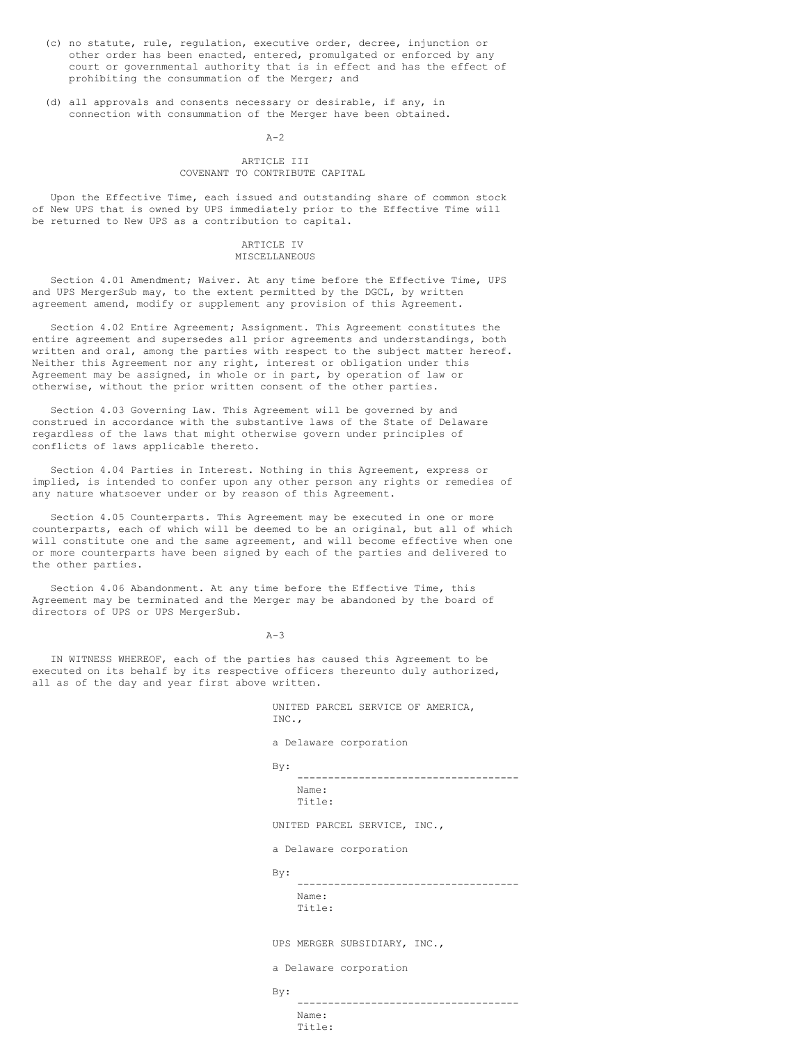- (c) no statute, rule, regulation, executive order, decree, injunction or other order has been enacted, entered, promulgated or enforced by any court or governmental authority that is in effect and has the effect of prohibiting the consummation of the Merger; and
- (d) all approvals and consents necessary or desirable, if any, in connection with consummation of the Merger have been obtained.

#### $A-2$

### ARTICLE III COVENANT TO CONTRIBUTE CAPITAL

Upon the Effective Time, each issued and outstanding share of common stock of New UPS that is owned by UPS immediately prior to the Effective Time will be returned to New UPS as a contribution to capital.

### ARTICLE IV MISCELLANEOUS

Section 4.01 Amendment; Waiver. At any time before the Effective Time, UPS and UPS MergerSub may, to the extent permitted by the DGCL, by written agreement amend, modify or supplement any provision of this Agreement.

Section 4.02 Entire Agreement; Assignment. This Agreement constitutes the entire agreement and supersedes all prior agreements and understandings, both written and oral, among the parties with respect to the subject matter hereof. Neither this Agreement nor any right, interest or obligation under this Agreement may be assigned, in whole or in part, by operation of law or otherwise, without the prior written consent of the other parties.

Section 4.03 Governing Law. This Agreement will be governed by and construed in accordance with the substantive laws of the State of Delaware regardless of the laws that might otherwise govern under principles of conflicts of laws applicable thereto.

Section 4.04 Parties in Interest. Nothing in this Agreement, express or implied, is intended to confer upon any other person any rights or remedies of any nature whatsoever under or by reason of this Agreement.

Section 4.05 Counterparts. This Agreement may be executed in one or more counterparts, each of which will be deemed to be an original, but all of which will constitute one and the same agreement, and will become effective when one or more counterparts have been signed by each of the parties and delivered to the other parties.

Section 4.06 Abandonment. At any time before the Effective Time, this Agreement may be terminated and the Merger may be abandoned by the board of directors of UPS or UPS MergerSub.

A-3

IN WITNESS WHEREOF, each of the parties has caused this Agreement to be executed on its behalf by its respective officers thereunto duly authorized, all as of the day and year first above written.

| UNITED PARCEL SERVICE OF AMERICA,<br>INC.    |
|----------------------------------------------|
| a Delaware corporation                       |
| By:<br>_______________                       |
| Name:<br>Title:                              |
| UNITED PARCEL SERVICE, INC.,                 |
| a Delaware corporation                       |
| By:<br>--------------                        |
| Name:<br>Title:                              |
| UPS MERGER SUBSIDIARY, INC.,                 |
| a Delaware corporation                       |
| By:<br>_____________________________________ |
| Name:<br>Title:                              |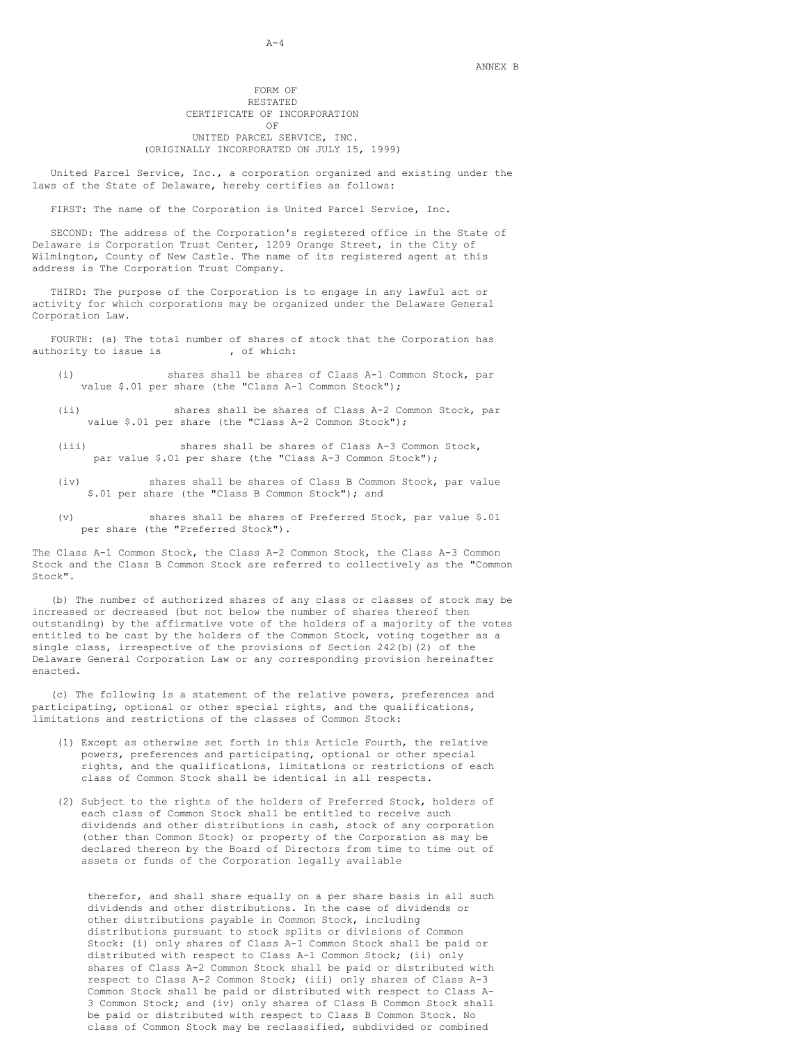ANNEX B

### FORM OF RESTATED CERTIFICATE OF INCORPORATION OF UNITED PARCEL SERVICE, INC. (ORIGINALLY INCORPORATED ON JULY 15, 1999)

 $A - 4$ 

United Parcel Service, Inc., a corporation organized and existing under the laws of the State of Delaware, hereby certifies as follows:

FIRST: The name of the Corporation is United Parcel Service, Inc.

SECOND: The address of the Corporation's registered office in the State of Delaware is Corporation Trust Center, 1209 Orange Street, in the City of Wilmington, County of New Castle. The name of its registered agent at this address is The Corporation Trust Company.

THIRD: The purpose of the Corporation is to engage in any lawful act or activity for which corporations may be organized under the Delaware General Corporation Law.

FOURTH: (a) The total number of shares of stock that the Corporation has authority to issue is  $\qquad \qquad$ , of which:

- (i) shares shall be shares of Class A-1 Common Stock, par value \$.01 per share (the "Class A-1 Common Stock");
- (ii) shares shall be shares of Class A-2 Common Stock, par value \$.01 per share (the "Class A-2 Common Stock");
- (iii) shares shall be shares of Class A-3 Common Stock, par value \$.01 per share (the "Class A-3 Common Stock");
- (iv) shares shall be shares of Class B Common Stock, par value \$.01 per share (the "Class B Common Stock"); and
- (v) shares shall be shares of Preferred Stock, par value \$.01 per share (the "Preferred Stock").

The Class A-1 Common Stock, the Class A-2 Common Stock, the Class A-3 Common Stock and the Class B Common Stock are referred to collectively as the "Common Stock".

(b) The number of authorized shares of any class or classes of stock may be increased or decreased (but not below the number of shares thereof then outstanding) by the affirmative vote of the holders of a majority of the votes entitled to be cast by the holders of the Common Stock, voting together as a single class, irrespective of the provisions of Section 242(b)(2) of the Delaware General Corporation Law or any corresponding provision hereinafter enacted.

(c) The following is a statement of the relative powers, preferences and participating, optional or other special rights, and the qualifications, limitations and restrictions of the classes of Common Stock:

- (1) Except as otherwise set forth in this Article Fourth, the relative powers, preferences and participating, optional or other special rights, and the qualifications, limitations or restrictions of each class of Common Stock shall be identical in all respects.
- (2) Subject to the rights of the holders of Preferred Stock, holders of each class of Common Stock shall be entitled to receive such dividends and other distributions in cash, stock of any corporation (other than Common Stock) or property of the Corporation as may be declared thereon by the Board of Directors from time to time out of assets or funds of the Corporation legally available

therefor, and shall share equally on a per share basis in all such dividends and other distributions. In the case of dividends or other distributions payable in Common Stock, including distributions pursuant to stock splits or divisions of Common Stock: (i) only shares of Class A-1 Common Stock shall be paid or distributed with respect to Class A-1 Common Stock; (ii) only shares of Class A-2 Common Stock shall be paid or distributed with respect to Class A-2 Common Stock; (iii) only shares of Class A-3 Common Stock shall be paid or distributed with respect to Class A-3 Common Stock; and (iv) only shares of Class B Common Stock shall be paid or distributed with respect to Class B Common Stock. No class of Common Stock may be reclassified, subdivided or combined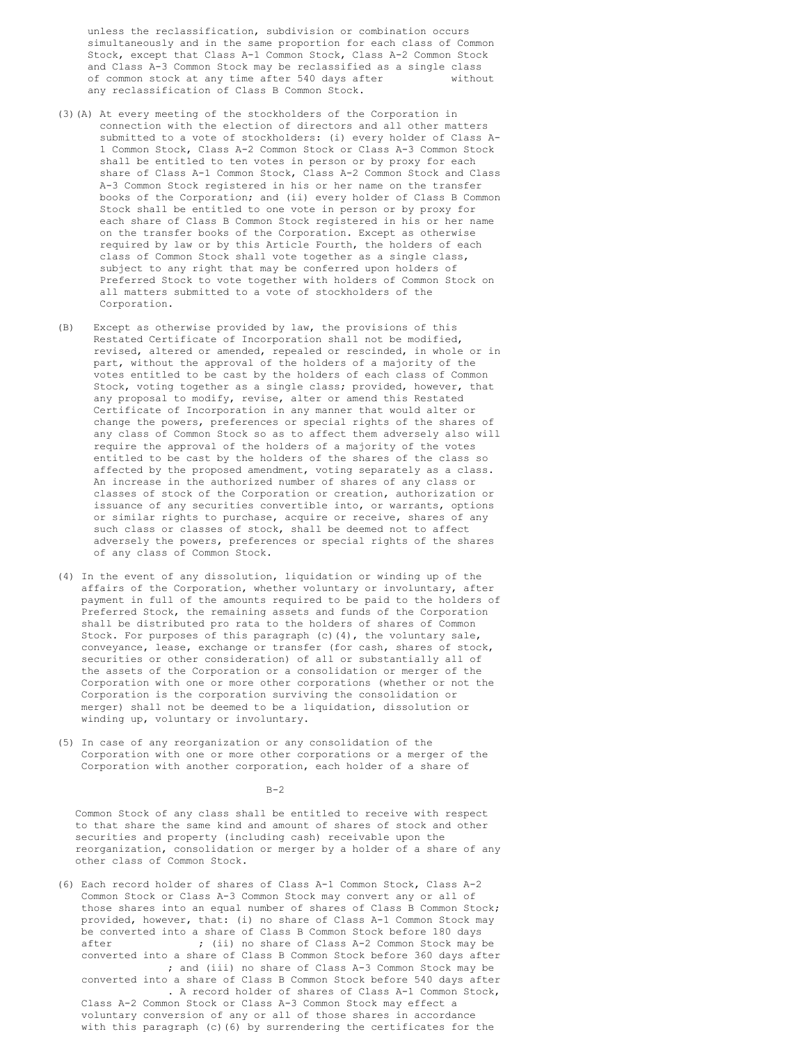unless the reclassification, subdivision or combination occurs simultaneously and in the same proportion for each class of Common Stock, except that Class A-1 Common Stock, Class A-2 Common Stock and Class A-3 Common Stock may be reclassified as a single class of common stock at any time after 540 days after without any reclassification of Class B Common Stock.

- (3)(A) At every meeting of the stockholders of the Corporation in connection with the election of directors and all other matters submitted to a vote of stockholders: (i) every holder of Class A-1 Common Stock, Class A-2 Common Stock or Class A-3 Common Stock shall be entitled to ten votes in person or by proxy for each share of Class A-1 Common Stock, Class A-2 Common Stock and Class A-3 Common Stock registered in his or her name on the transfer books of the Corporation; and (ii) every holder of Class B Common Stock shall be entitled to one vote in person or by proxy for each share of Class B Common Stock registered in his or her name on the transfer books of the Corporation. Except as otherwise required by law or by this Article Fourth, the holders of each class of Common Stock shall vote together as a single class, subject to any right that may be conferred upon holders of Preferred Stock to vote together with holders of Common Stock on all matters submitted to a vote of stockholders of the Corporation.
- (B) Except as otherwise provided by law, the provisions of this Restated Certificate of Incorporation shall not be modified, revised, altered or amended, repealed or rescinded, in whole or in part, without the approval of the holders of a majority of the votes entitled to be cast by the holders of each class of Common Stock, voting together as a single class; provided, however, that any proposal to modify, revise, alter or amend this Restated Certificate of Incorporation in any manner that would alter or change the powers, preferences or special rights of the shares of any class of Common Stock so as to affect them adversely also will require the approval of the holders of a majority of the votes entitled to be cast by the holders of the shares of the class so affected by the proposed amendment, voting separately as a class. An increase in the authorized number of shares of any class or classes of stock of the Corporation or creation, authorization or issuance of any securities convertible into, or warrants, options or similar rights to purchase, acquire or receive, shares of any such class or classes of stock, shall be deemed not to affect adversely the powers, preferences or special rights of the shares of any class of Common Stock.
- (4) In the event of any dissolution, liquidation or winding up of the affairs of the Corporation, whether voluntary or involuntary, after payment in full of the amounts required to be paid to the holders of Preferred Stock, the remaining assets and funds of the Corporation shall be distributed pro rata to the holders of shares of Common Stock. For purposes of this paragraph (c)(4), the voluntary sale, conveyance, lease, exchange or transfer (for cash, shares of stock, securities or other consideration) of all or substantially all of the assets of the Corporation or a consolidation or merger of the Corporation with one or more other corporations (whether or not the Corporation is the corporation surviving the consolidation or merger) shall not be deemed to be a liquidation, dissolution or winding up, voluntary or involuntary.
- (5) In case of any reorganization or any consolidation of the Corporation with one or more other corporations or a merger of the Corporation with another corporation, each holder of a share of

 $B-2$ 

Common Stock of any class shall be entitled to receive with respect to that share the same kind and amount of shares of stock and other securities and property (including cash) receivable upon the reorganization, consolidation or merger by a holder of a share of any other class of Common Stock.

(6) Each record holder of shares of Class A-1 Common Stock, Class A-2 Common Stock or Class A-3 Common Stock may convert any or all of those shares into an equal number of shares of Class B Common Stock; provided, however, that: (i) no share of Class A-1 Common Stock may be converted into a share of Class B Common Stock before 180 days after  $\qquad$  ; (ii) no share of Class A-2 Common Stock may be converted into a share of Class B Common Stock before 360 days after ; and (iii) no share of Class A-3 Common Stock may be converted into a share of Class B Common Stock before 540 days after . A record holder of shares of Class A-1 Common Stock, Class A-2 Common Stock or Class A-3 Common Stock may effect a voluntary conversion of any or all of those shares in accordance with this paragraph (c)(6) by surrendering the certificates for the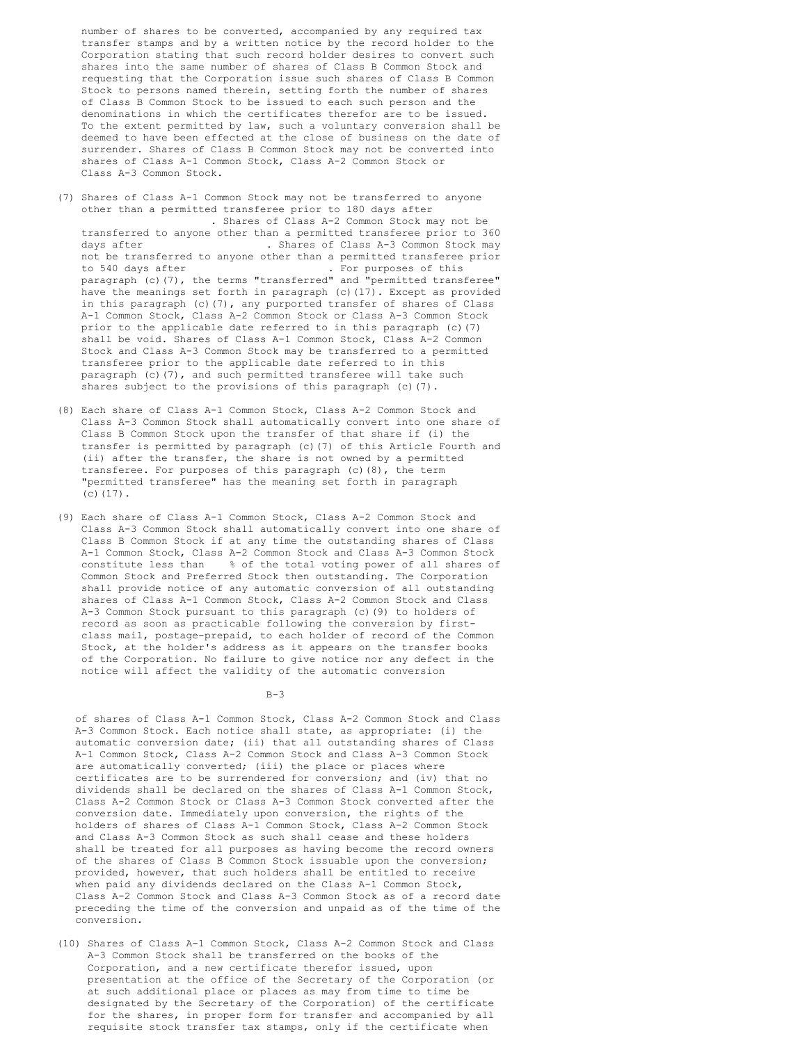number of shares to be converted, accompanied by any required tax transfer stamps and by a written notice by the record holder to the Corporation stating that such record holder desires to convert such shares into the same number of shares of Class B Common Stock and requesting that the Corporation issue such shares of Class B Common Stock to persons named therein, setting forth the number of shares of Class B Common Stock to be issued to each such person and the denominations in which the certificates therefor are to be issued. To the extent permitted by law, such a voluntary conversion shall be deemed to have been effected at the close of business on the date of surrender. Shares of Class B Common Stock may not be converted into shares of Class A-1 Common Stock, Class A-2 Common Stock or Class A-3 Common Stock.

- (7) Shares of Class A-1 Common Stock may not be transferred to anyone other than a permitted transferee prior to 180 days after . Shares of Class A-2 Common Stock may not be transferred to anyone other than a permitted transferee prior to 360 days after . Shares of Class A-3 Common Stock may not be transferred to anyone other than a permitted transferee prior<br>to 540 days after . For purposes of this . For purposes of this paragraph (c)(7), the terms "transferred" and "permitted transferee" have the meanings set forth in paragraph (c)(17). Except as provided in this paragraph (c)(7), any purported transfer of shares of Class A-1 Common Stock, Class A-2 Common Stock or Class A-3 Common Stock prior to the applicable date referred to in this paragraph (c)(7) shall be void. Shares of Class A-1 Common Stock, Class A-2 Common Stock and Class A-3 Common Stock may be transferred to a permitted transferee prior to the applicable date referred to in this paragraph (c)(7), and such permitted transferee will take such shares subject to the provisions of this paragraph (c)(7).
- (8) Each share of Class A-1 Common Stock, Class A-2 Common Stock and Class A-3 Common Stock shall automatically convert into one share of Class B Common Stock upon the transfer of that share if (i) the transfer is permitted by paragraph (c)(7) of this Article Fourth and (ii) after the transfer, the share is not owned by a permitted transferee. For purposes of this paragraph (c)(8), the term "permitted transferee" has the meaning set forth in paragraph  $(c)$   $(17)$ .
- (9) Each share of Class A-1 Common Stock, Class A-2 Common Stock and Class A-3 Common Stock shall automatically convert into one share of Class B Common Stock if at any time the outstanding shares of Class A-1 Common Stock, Class A-2 Common Stock and Class A-3 Common Stock constitute less than % of the total voting power of all shares of Common Stock and Preferred Stock then outstanding. The Corporation shall provide notice of any automatic conversion of all outstanding shares of Class A-1 Common Stock, Class A-2 Common Stock and Class A-3 Common Stock pursuant to this paragraph (c)(9) to holders of record as soon as practicable following the conversion by firstclass mail, postage-prepaid, to each holder of record of the Common Stock, at the holder's address as it appears on the transfer books of the Corporation. No failure to give notice nor any defect in the notice will affect the validity of the automatic conversion

B-3

of shares of Class A-1 Common Stock, Class A-2 Common Stock and Class A-3 Common Stock. Each notice shall state, as appropriate: (i) the automatic conversion date; (ii) that all outstanding shares of Class A-1 Common Stock, Class A-2 Common Stock and Class A-3 Common Stock are automatically converted; (iii) the place or places where certificates are to be surrendered for conversion; and (iv) that no dividends shall be declared on the shares of Class A-1 Common Stock, Class A-2 Common Stock or Class A-3 Common Stock converted after the conversion date. Immediately upon conversion, the rights of the holders of shares of Class A-1 Common Stock, Class A-2 Common Stock and Class A-3 Common Stock as such shall cease and these holders shall be treated for all purposes as having become the record owners of the shares of Class B Common Stock issuable upon the conversion; provided, however, that such holders shall be entitled to receive when paid any dividends declared on the Class A-1 Common Stock, Class A-2 Common Stock and Class A-3 Common Stock as of a record date preceding the time of the conversion and unpaid as of the time of the conversion.

(10) Shares of Class A-1 Common Stock, Class A-2 Common Stock and Class A-3 Common Stock shall be transferred on the books of the Corporation, and a new certificate therefor issued, upon presentation at the office of the Secretary of the Corporation (or at such additional place or places as may from time to time be designated by the Secretary of the Corporation) of the certificate for the shares, in proper form for transfer and accompanied by all requisite stock transfer tax stamps, only if the certificate when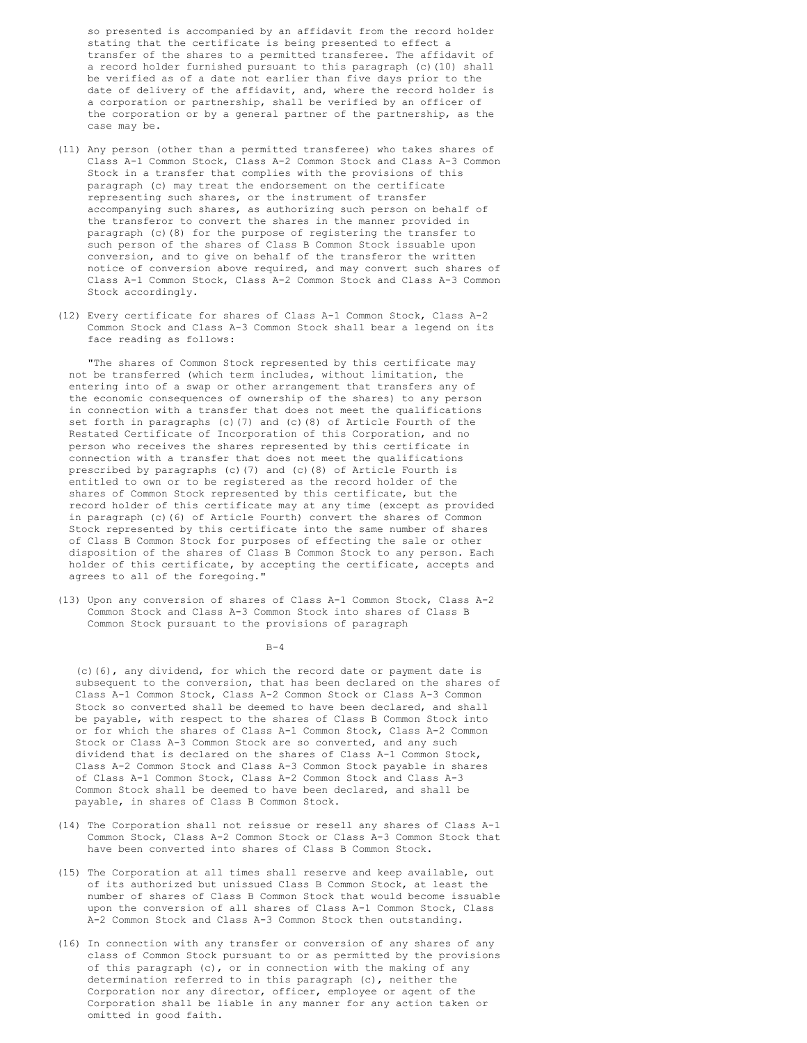so presented is accompanied by an affidavit from the record holder stating that the certificate is being presented to effect a transfer of the shares to a permitted transferee. The affidavit of a record holder furnished pursuant to this paragraph (c)(10) shall be verified as of a date not earlier than five days prior to the date of delivery of the affidavit, and, where the record holder is a corporation or partnership, shall be verified by an officer of the corporation or by a general partner of the partnership, as the case may be.

- (11) Any person (other than a permitted transferee) who takes shares of Class A-1 Common Stock, Class A-2 Common Stock and Class A-3 Common Stock in a transfer that complies with the provisions of this paragraph (c) may treat the endorsement on the certificate representing such shares, or the instrument of transfer accompanying such shares, as authorizing such person on behalf of the transferor to convert the shares in the manner provided in paragraph (c)(8) for the purpose of registering the transfer to such person of the shares of Class B Common Stock issuable upon conversion, and to give on behalf of the transferor the written notice of conversion above required, and may convert such shares of Class A-1 Common Stock, Class A-2 Common Stock and Class A-3 Common Stock accordingly.
- (12) Every certificate for shares of Class A-1 Common Stock, Class A-2 Common Stock and Class A-3 Common Stock shall bear a legend on its face reading as follows:

"The shares of Common Stock represented by this certificate may not be transferred (which term includes, without limitation, the entering into of a swap or other arrangement that transfers any of the economic consequences of ownership of the shares) to any person in connection with a transfer that does not meet the qualifications set forth in paragraphs (c)(7) and (c)(8) of Article Fourth of the Restated Certificate of Incorporation of this Corporation, and no person who receives the shares represented by this certificate in connection with a transfer that does not meet the qualifications prescribed by paragraphs (c)(7) and (c)(8) of Article Fourth is entitled to own or to be registered as the record holder of the shares of Common Stock represented by this certificate, but the record holder of this certificate may at any time (except as provided in paragraph (c)(6) of Article Fourth) convert the shares of Common Stock represented by this certificate into the same number of shares of Class B Common Stock for purposes of effecting the sale or other disposition of the shares of Class B Common Stock to any person. Each holder of this certificate, by accepting the certificate, accepts and agrees to all of the foregoing."

(13) Upon any conversion of shares of Class A-1 Common Stock, Class A-2 Common Stock and Class A-3 Common Stock into shares of Class B Common Stock pursuant to the provisions of paragraph

 $B-4$ 

(c)(6), any dividend, for which the record date or payment date is subsequent to the conversion, that has been declared on the shares of Class A-1 Common Stock, Class A-2 Common Stock or Class A-3 Common Stock so converted shall be deemed to have been declared, and shall be payable, with respect to the shares of Class B Common Stock into or for which the shares of Class A-1 Common Stock, Class A-2 Common Stock or Class A-3 Common Stock are so converted, and any such dividend that is declared on the shares of Class A-1 Common Stock, Class A-2 Common Stock and Class A-3 Common Stock payable in shares of Class A-1 Common Stock, Class A-2 Common Stock and Class A-3 Common Stock shall be deemed to have been declared, and shall be payable, in shares of Class B Common Stock.

- (14) The Corporation shall not reissue or resell any shares of Class A-1 Common Stock, Class A-2 Common Stock or Class A-3 Common Stock that have been converted into shares of Class B Common Stock.
- (15) The Corporation at all times shall reserve and keep available, out of its authorized but unissued Class B Common Stock, at least the number of shares of Class B Common Stock that would become issuable upon the conversion of all shares of Class A-1 Common Stock, Class A-2 Common Stock and Class A-3 Common Stock then outstanding.
- (16) In connection with any transfer or conversion of any shares of any class of Common Stock pursuant to or as permitted by the provisions of this paragraph (c), or in connection with the making of any determination referred to in this paragraph (c), neither the Corporation nor any director, officer, employee or agent of the Corporation shall be liable in any manner for any action taken or omitted in good faith.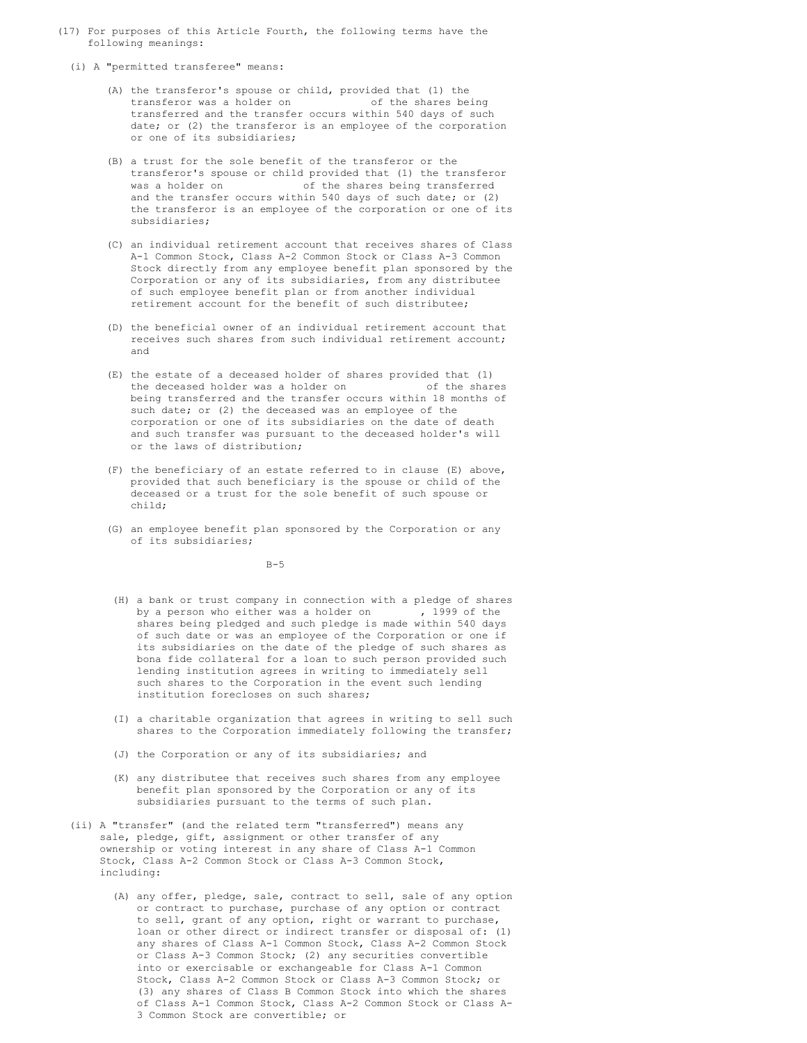- (17) For purposes of this Article Fourth, the following terms have the following meanings:
	- (i) A "permitted transferee" means:
		- (A) the transferor's spouse or child, provided that (1) the transferor was a holder on of the shares being transferred and the transfer occurs within 540 days of such date; or (2) the transferor is an employee of the corporation or one of its subsidiaries;
		- (B) a trust for the sole benefit of the transferor or the transferor's spouse or child provided that (1) the transferor was a holder on of the shares being transferred and the transfer occurs within 540 days of such date; or (2) the transferor is an employee of the corporation or one of its subsidiaries;
		- (C) an individual retirement account that receives shares of Class A-1 Common Stock, Class A-2 Common Stock or Class A-3 Common Stock directly from any employee benefit plan sponsored by the Corporation or any of its subsidiaries, from any distributee of such employee benefit plan or from another individual retirement account for the benefit of such distributee;
		- (D) the beneficial owner of an individual retirement account that receives such shares from such individual retirement account; and
		- (E) the estate of a deceased holder of shares provided that (1) the deceased holder was a holder on of the shares being transferred and the transfer occurs within 18 months of such date; or (2) the deceased was an employee of the corporation or one of its subsidiaries on the date of death and such transfer was pursuant to the deceased holder's will or the laws of distribution;
		- (F) the beneficiary of an estate referred to in clause (E) above, provided that such beneficiary is the spouse or child of the deceased or a trust for the sole benefit of such spouse or child;
		- (G) an employee benefit plan sponsored by the Corporation or any of its subsidiaries;

 $B-5$ 

- (H) a bank or trust company in connection with a pledge of shares by a person who either was a holder on , 1999 of the shares being pledged and such pledge is made within 540 days of such date or was an employee of the Corporation or one if its subsidiaries on the date of the pledge of such shares as bona fide collateral for a loan to such person provided such lending institution agrees in writing to immediately sell such shares to the Corporation in the event such lending institution forecloses on such shares;
- (I) a charitable organization that agrees in writing to sell such shares to the Corporation immediately following the transfer;
- (J) the Corporation or any of its subsidiaries; and
- (K) any distributee that receives such shares from any employee benefit plan sponsored by the Corporation or any of its subsidiaries pursuant to the terms of such plan.
- (ii) A "transfer" (and the related term "transferred") means any sale, pledge, gift, assignment or other transfer of any ownership or voting interest in any share of Class A-1 Common Stock, Class A-2 Common Stock or Class A-3 Common Stock, including:
	- (A) any offer, pledge, sale, contract to sell, sale of any option or contract to purchase, purchase of any option or contract to sell, grant of any option, right or warrant to purchase, loan or other direct or indirect transfer or disposal of: (1) any shares of Class A-1 Common Stock, Class A-2 Common Stock or Class A-3 Common Stock; (2) any securities convertible into or exercisable or exchangeable for Class A-1 Common Stock, Class A-2 Common Stock or Class A-3 Common Stock; or (3) any shares of Class B Common Stock into which the shares of Class A-1 Common Stock, Class A-2 Common Stock or Class A-3 Common Stock are convertible; or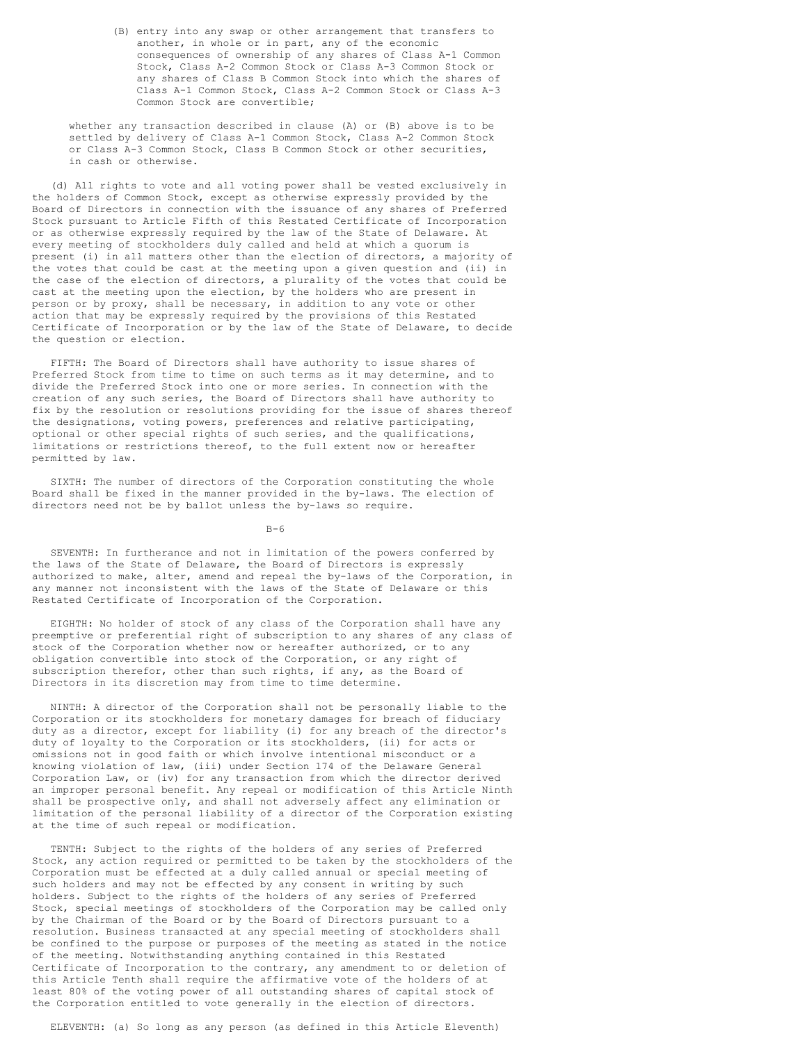(B) entry into any swap or other arrangement that transfers to another, in whole or in part, any of the economic consequences of ownership of any shares of Class A-1 Common Stock, Class A-2 Common Stock or Class A-3 Common Stock or any shares of Class B Common Stock into which the shares of Class A-1 Common Stock, Class A-2 Common Stock or Class A-3 Common Stock are convertible;

whether any transaction described in clause (A) or (B) above is to be settled by delivery of Class A-1 Common Stock, Class A-2 Common Stock or Class A-3 Common Stock, Class B Common Stock or other securities, in cash or otherwise.

(d) All rights to vote and all voting power shall be vested exclusively in the holders of Common Stock, except as otherwise expressly provided by the Board of Directors in connection with the issuance of any shares of Preferred Stock pursuant to Article Fifth of this Restated Certificate of Incorporation or as otherwise expressly required by the law of the State of Delaware. At every meeting of stockholders duly called and held at which a quorum is present (i) in all matters other than the election of directors, a majority of the votes that could be cast at the meeting upon a given question and (ii) in the case of the election of directors, a plurality of the votes that could be cast at the meeting upon the election, by the holders who are present in person or by proxy, shall be necessary, in addition to any vote or other action that may be expressly required by the provisions of this Restated Certificate of Incorporation or by the law of the State of Delaware, to decide the question or election.

FIFTH: The Board of Directors shall have authority to issue shares of Preferred Stock from time to time on such terms as it may determine, and to divide the Preferred Stock into one or more series. In connection with the creation of any such series, the Board of Directors shall have authority to fix by the resolution or resolutions providing for the issue of shares thereof the designations, voting powers, preferences and relative participating, optional or other special rights of such series, and the qualifications, limitations or restrictions thereof, to the full extent now or hereafter permitted by law.

SIXTH: The number of directors of the Corporation constituting the whole Board shall be fixed in the manner provided in the by-laws. The election of directors need not be by ballot unless the by-laws so require.

 $B-6$ 

SEVENTH: In furtherance and not in limitation of the powers conferred by the laws of the State of Delaware, the Board of Directors is expressly authorized to make, alter, amend and repeal the by-laws of the Corporation, in any manner not inconsistent with the laws of the State of Delaware or this Restated Certificate of Incorporation of the Corporation.

EIGHTH: No holder of stock of any class of the Corporation shall have any preemptive or preferential right of subscription to any shares of any class of stock of the Corporation whether now or hereafter authorized, or to any obligation convertible into stock of the Corporation, or any right of subscription therefor, other than such rights, if any, as the Board of Directors in its discretion may from time to time determine.

NINTH: A director of the Corporation shall not be personally liable to the Corporation or its stockholders for monetary damages for breach of fiduciary duty as a director, except for liability (i) for any breach of the director's duty of loyalty to the Corporation or its stockholders, (ii) for acts or omissions not in good faith or which involve intentional misconduct or a knowing violation of law, (iii) under Section 174 of the Delaware General Corporation Law, or (iv) for any transaction from which the director derived an improper personal benefit. Any repeal or modification of this Article Ninth shall be prospective only, and shall not adversely affect any elimination or limitation of the personal liability of a director of the Corporation existing at the time of such repeal or modification.

TENTH: Subject to the rights of the holders of any series of Preferred Stock, any action required or permitted to be taken by the stockholders of the Corporation must be effected at a duly called annual or special meeting of such holders and may not be effected by any consent in writing by such holders. Subject to the rights of the holders of any series of Preferred Stock, special meetings of stockholders of the Corporation may be called only by the Chairman of the Board or by the Board of Directors pursuant to a resolution. Business transacted at any special meeting of stockholders shall be confined to the purpose or purposes of the meeting as stated in the notice of the meeting. Notwithstanding anything contained in this Restated Certificate of Incorporation to the contrary, any amendment to or deletion of this Article Tenth shall require the affirmative vote of the holders of at least 80% of the voting power of all outstanding shares of capital stock of the Corporation entitled to vote generally in the election of directors.

ELEVENTH: (a) So long as any person (as defined in this Article Eleventh)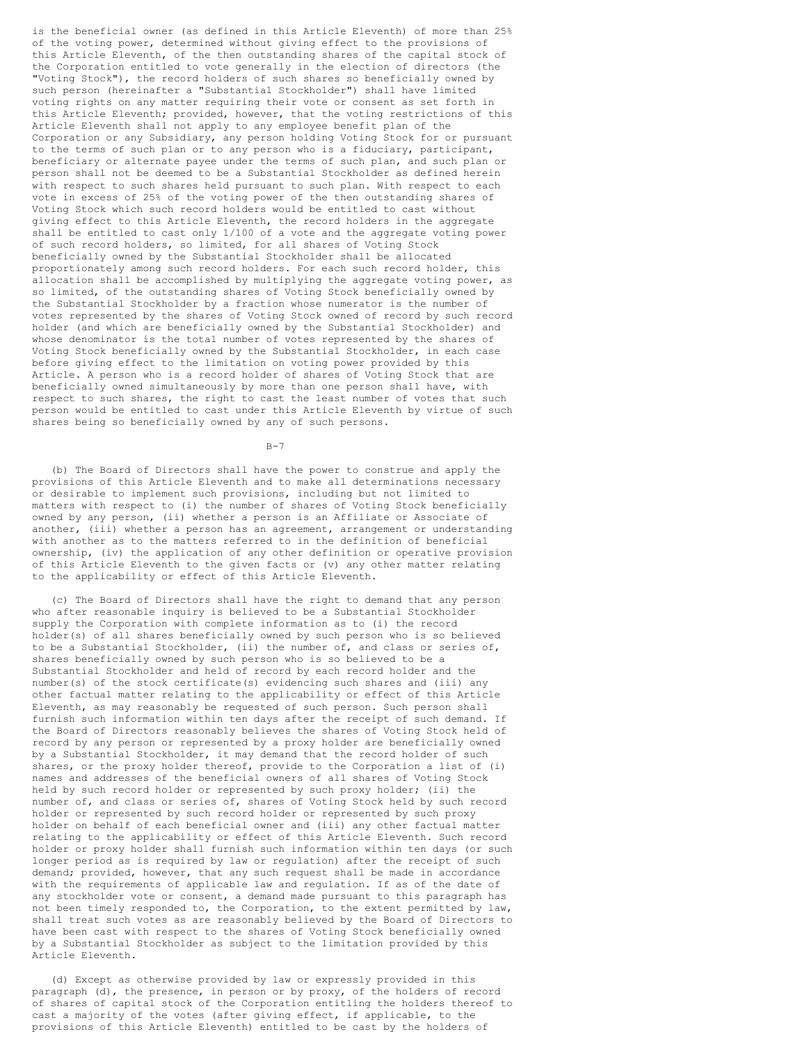is the beneficial owner (as defined in this Article Eleventh) of more than 25% of the voting power, determined without giving effect to the provisions of this Article Eleventh, of the then outstanding shares of the capital stock of the Corporation entitled to vote generally in the election of directors (the "Voting Stock"), the record holders of such shares so beneficially owned by such person (hereinafter a "Substantial Stockholder") shall have limited voting rights on any matter requiring their vote or consent as set forth in this Article Eleventh; provided, however, that the voting restrictions of this Article Eleventh shall not apply to any employee benefit plan of the Corporation or any Subsidiary, any person holding Voting Stock for or pursuant to the terms of such plan or to any person who is a fiduciary, participant, beneficiary or alternate payee under the terms of such plan, and such plan or person shall not be deemed to be a Substantial Stockholder as defined herein with respect to such shares held pursuant to such plan. With respect to each vote in excess of 25% of the voting power of the then outstanding shares of Voting Stock which such record holders would be entitled to cast without giving effect to this Article Eleventh, the record holders in the aggregate shall be entitled to cast only 1/100 of a vote and the aggregate voting power of such record holders, so limited, for all shares of Voting Stock beneficially owned by the Substantial Stockholder shall be allocated proportionately among such record holders. For each such record holder, this allocation shall be accomplished by multiplying the aggregate voting power, as so limited, of the outstanding shares of Voting Stock beneficially owned by the Substantial Stockholder by a fraction whose numerator is the number of votes represented by the shares of Voting Stock owned of record by such record holder (and which are beneficially owned by the Substantial Stockholder) and whose denominator is the total number of votes represented by the shares of Voting Stock beneficially owned by the Substantial Stockholder, in each case before giving effect to the limitation on voting power provided by this Article. A person who is a record holder of shares of Voting Stock that are beneficially owned simultaneously by more than one person shall have, with respect to such shares, the right to cast the least number of votes that such person would be entitled to cast under this Article Eleventh by virtue of such shares being so beneficially owned by any of such persons.

 $B-7$ 

(b) The Board of Directors shall have the power to construe and apply the provisions of this Article Eleventh and to make all determinations necessary or desirable to implement such provisions, including but not limited to matters with respect to (i) the number of shares of Voting Stock beneficially owned by any person, (ii) whether a person is an Affiliate or Associate of another, (iii) whether a person has an agreement, arrangement or understanding with another as to the matters referred to in the definition of beneficial ownership, (iv) the application of any other definition or operative provision of this Article Eleventh to the given facts or (v) any other matter relating to the applicability or effect of this Article Eleventh.

(c) The Board of Directors shall have the right to demand that any person who after reasonable inquiry is believed to be a Substantial Stockholder supply the Corporation with complete information as to (i) the record holder(s) of all shares beneficially owned by such person who is so believed to be a Substantial Stockholder, (ii) the number of, and class or series of, shares beneficially owned by such person who is so believed to be a Substantial Stockholder and held of record by each record holder and the number(s) of the stock certificate(s) evidencing such shares and (iii) any other factual matter relating to the applicability or effect of this Article Eleventh, as may reasonably be requested of such person. Such person shall furnish such information within ten days after the receipt of such demand. If the Board of Directors reasonably believes the shares of Voting Stock held of record by any person or represented by a proxy holder are beneficially owned by a Substantial Stockholder, it may demand that the record holder of such shares, or the proxy holder thereof, provide to the Corporation a list of (i) names and addresses of the beneficial owners of all shares of Voting Stock held by such record holder or represented by such proxy holder; (ii) the number of, and class or series of, shares of Voting Stock held by such record holder or represented by such record holder or represented by such proxy holder on behalf of each beneficial owner and (iii) any other factual matter relating to the applicability or effect of this Article Eleventh. Such record holder or proxy holder shall furnish such information within ten days (or such longer period as is required by law or regulation) after the receipt of such demand; provided, however, that any such request shall be made in accordance with the requirements of applicable law and regulation. If as of the date of any stockholder vote or consent, a demand made pursuant to this paragraph has not been timely responded to, the Corporation, to the extent permitted by law, shall treat such votes as are reasonably believed by the Board of Directors to have been cast with respect to the shares of Voting Stock beneficially owned by a Substantial Stockholder as subject to the limitation provided by this Article Eleventh.

(d) Except as otherwise provided by law or expressly provided in this paragraph (d), the presence, in person or by proxy, of the holders of record of shares of capital stock of the Corporation entitling the holders thereof to cast a majority of the votes (after giving effect, if applicable, to the provisions of this Article Eleventh) entitled to be cast by the holders of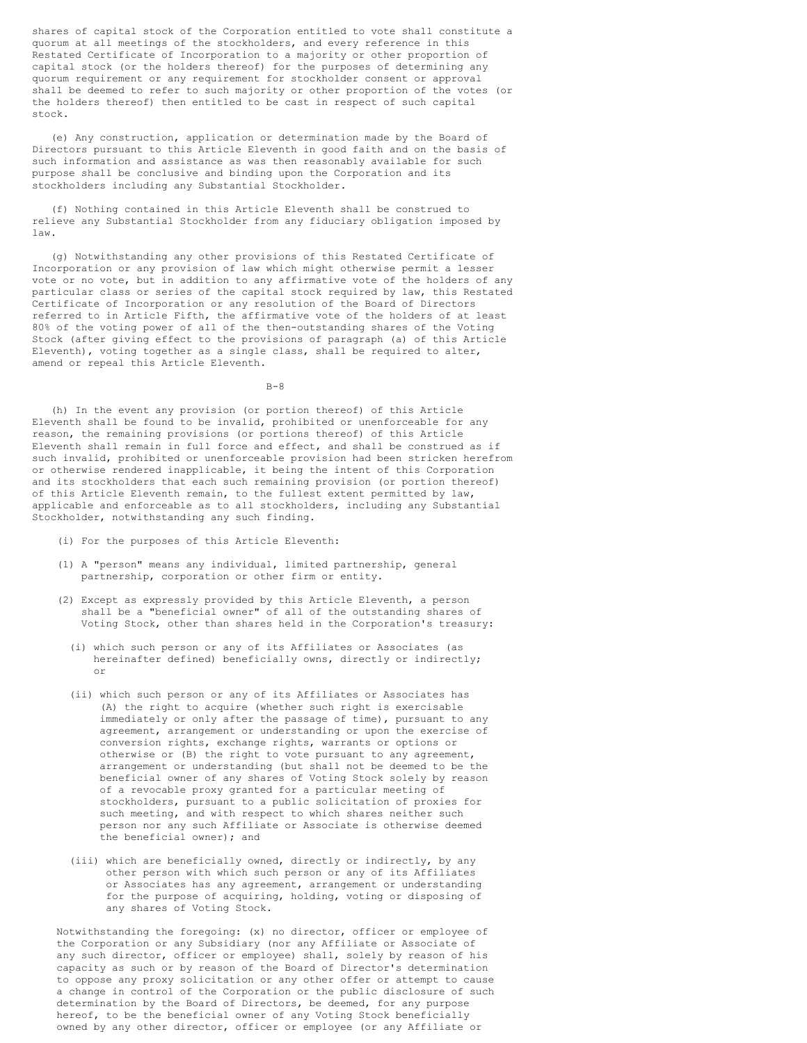shares of capital stock of the Corporation entitled to vote shall constitute a quorum at all meetings of the stockholders, and every reference in this Restated Certificate of Incorporation to a majority or other proportion of capital stock (or the holders thereof) for the purposes of determining any quorum requirement or any requirement for stockholder consent or approval shall be deemed to refer to such majority or other proportion of the votes (or the holders thereof) then entitled to be cast in respect of such capital stock.

(e) Any construction, application or determination made by the Board of Directors pursuant to this Article Eleventh in good faith and on the basis of such information and assistance as was then reasonably available for such purpose shall be conclusive and binding upon the Corporation and its stockholders including any Substantial Stockholder.

(f) Nothing contained in this Article Eleventh shall be construed to relieve any Substantial Stockholder from any fiduciary obligation imposed by law.

(g) Notwithstanding any other provisions of this Restated Certificate of Incorporation or any provision of law which might otherwise permit a lesser vote or no vote, but in addition to any affirmative vote of the holders of any particular class or series of the capital stock required by law, this Restated Certificate of Incorporation or any resolution of the Board of Directors referred to in Article Fifth, the affirmative vote of the holders of at least 80% of the voting power of all of the then-outstanding shares of the Voting Stock (after giving effect to the provisions of paragraph (a) of this Article Eleventh), voting together as a single class, shall be required to alter, amend or repeal this Article Eleventh.

 $B - 8$ 

(h) In the event any provision (or portion thereof) of this Article Eleventh shall be found to be invalid, prohibited or unenforceable for any reason, the remaining provisions (or portions thereof) of this Article Eleventh shall remain in full force and effect, and shall be construed as if such invalid, prohibited or unenforceable provision had been stricken herefrom or otherwise rendered inapplicable, it being the intent of this Corporation and its stockholders that each such remaining provision (or portion thereof) of this Article Eleventh remain, to the fullest extent permitted by law, applicable and enforceable as to all stockholders, including any Substantial Stockholder, notwithstanding any such finding.

- (i) For the purposes of this Article Eleventh:
- (1) A "person" means any individual, limited partnership, general partnership, corporation or other firm or entity.
- (2) Except as expressly provided by this Article Eleventh, a person shall be a "beneficial owner" of all of the outstanding shares of Voting Stock, other than shares held in the Corporation's treasury:
	- (i) which such person or any of its Affiliates or Associates (as hereinafter defined) beneficially owns, directly or indirectly; or
	- (ii) which such person or any of its Affiliates or Associates has (A) the right to acquire (whether such right is exercisable immediately or only after the passage of time), pursuant to any agreement, arrangement or understanding or upon the exercise of conversion rights, exchange rights, warrants or options or otherwise or (B) the right to vote pursuant to any agreement, arrangement or understanding (but shall not be deemed to be the beneficial owner of any shares of Voting Stock solely by reason of a revocable proxy granted for a particular meeting of stockholders, pursuant to a public solicitation of proxies for such meeting, and with respect to which shares neither such person nor any such Affiliate or Associate is otherwise deemed the beneficial owner); and
	- (iii) which are beneficially owned, directly or indirectly, by any other person with which such person or any of its Affiliates or Associates has any agreement, arrangement or understanding for the purpose of acquiring, holding, voting or disposing of any shares of Voting Stock.

Notwithstanding the foregoing: (x) no director, officer or employee of the Corporation or any Subsidiary (nor any Affiliate or Associate of any such director, officer or employee) shall, solely by reason of his capacity as such or by reason of the Board of Director's determination to oppose any proxy solicitation or any other offer or attempt to cause a change in control of the Corporation or the public disclosure of such determination by the Board of Directors, be deemed, for any purpose hereof, to be the beneficial owner of any Voting Stock beneficially owned by any other director, officer or employee (or any Affiliate or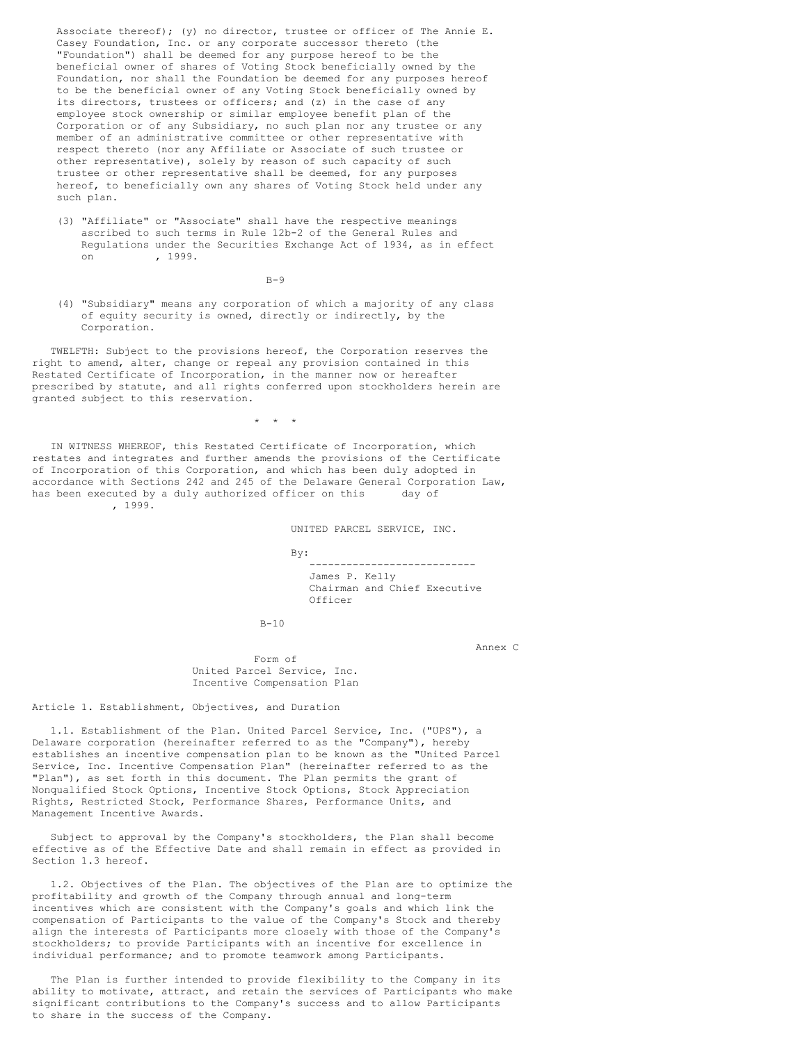Associate thereof); (y) no director, trustee or officer of The Annie E. Casey Foundation, Inc. or any corporate successor thereto (the "Foundation") shall be deemed for any purpose hereof to be the beneficial owner of shares of Voting Stock beneficially owned by the Foundation, nor shall the Foundation be deemed for any purposes hereof to be the beneficial owner of any Voting Stock beneficially owned by its directors, trustees or officers; and (z) in the case of any employee stock ownership or similar employee benefit plan of the Corporation or of any Subsidiary, no such plan nor any trustee or any member of an administrative committee or other representative with respect thereto (nor any Affiliate or Associate of such trustee or other representative), solely by reason of such capacity of such trustee or other representative shall be deemed, for any purposes hereof, to beneficially own any shares of Voting Stock held under any such plan.

(3) "Affiliate" or "Associate" shall have the respective meanings ascribed to such terms in Rule 12b-2 of the General Rules and Regulations under the Securities Exchange Act of 1934, as in effect on , 1999.

 $B-9$ 

(4) "Subsidiary" means any corporation of which a majority of any class of equity security is owned, directly or indirectly, by the Corporation.

TWELFTH: Subject to the provisions hereof, the Corporation reserves the right to amend, alter, change or repeal any provision contained in this Restated Certificate of Incorporation, in the manner now or hereafter prescribed by statute, and all rights conferred upon stockholders herein are granted subject to this reservation.

 $\star$   $\star$   $\star$ 

IN WITNESS WHEREOF, this Restated Certificate of Incorporation, which restates and integrates and further amends the provisions of the Certificate of Incorporation of this Corporation, and which has been duly adopted in accordance with Sections 242 and 245 of the Delaware General Corporation Law, has been executed by a duly authorized officer on this day of , 1999.

UNITED PARCEL SERVICE, INC.

By:

--------------------------- James P. Kelly Chairman and Chief Executive Officer

 $B-10$ 

Annex C

Form of United Parcel Service, Inc. Incentive Compensation Plan

Article 1. Establishment, Objectives, and Duration

1.1. Establishment of the Plan. United Parcel Service, Inc. ("UPS"), a Delaware corporation (hereinafter referred to as the "Company"), hereby establishes an incentive compensation plan to be known as the "United Parcel Service, Inc. Incentive Compensation Plan" (hereinafter referred to as the "Plan"), as set forth in this document. The Plan permits the grant of Nonqualified Stock Options, Incentive Stock Options, Stock Appreciation Rights, Restricted Stock, Performance Shares, Performance Units, and Management Incentive Awards.

Subject to approval by the Company's stockholders, the Plan shall become effective as of the Effective Date and shall remain in effect as provided in Section 1.3 hereof.

1.2. Objectives of the Plan. The objectives of the Plan are to optimize the profitability and growth of the Company through annual and long-term incentives which are consistent with the Company's goals and which link the compensation of Participants to the value of the Company's Stock and thereby align the interests of Participants more closely with those of the Company's stockholders; to provide Participants with an incentive for excellence in individual performance; and to promote teamwork among Participants.

The Plan is further intended to provide flexibility to the Company in its ability to motivate, attract, and retain the services of Participants who make significant contributions to the Company's success and to allow Participants to share in the success of the Company.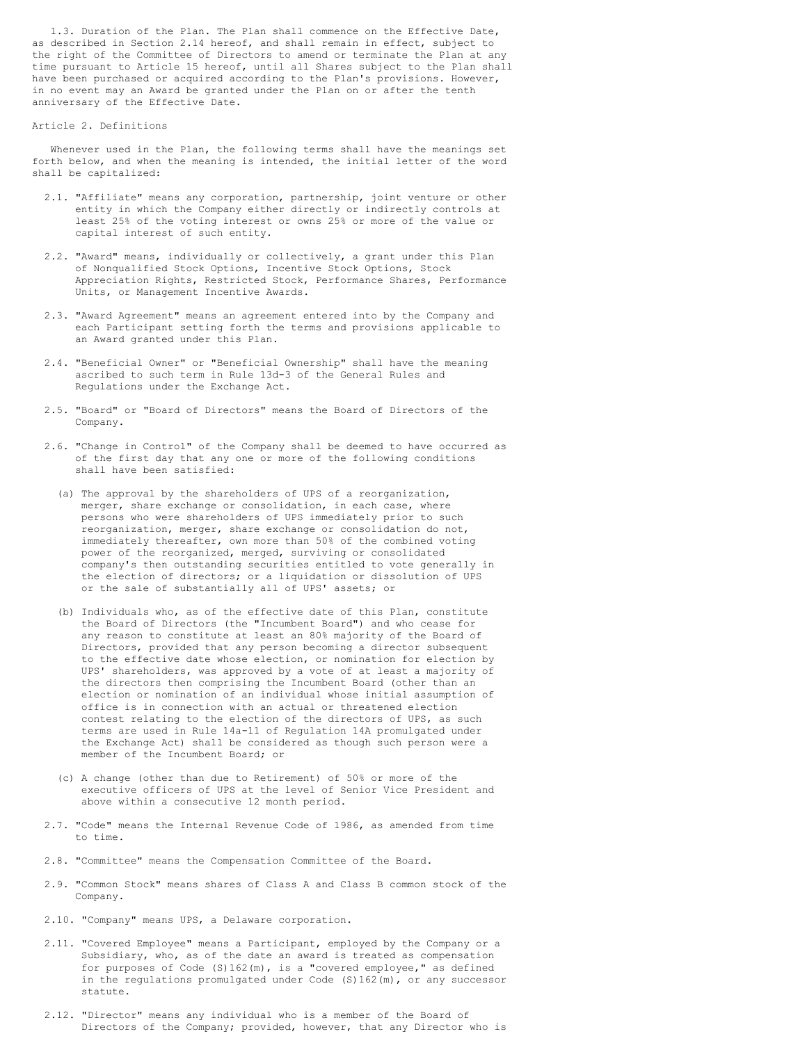1.3. Duration of the Plan. The Plan shall commence on the Effective Date, as described in Section 2.14 hereof, and shall remain in effect, subject to the right of the Committee of Directors to amend or terminate the Plan at any time pursuant to Article 15 hereof, until all Shares subject to the Plan shall have been purchased or acquired according to the Plan's provisions. However, in no event may an Award be granted under the Plan on or after the tenth anniversary of the Effective Date.

### Article 2. Definitions

Whenever used in the Plan, the following terms shall have the meanings set forth below, and when the meaning is intended, the initial letter of the word shall be capitalized:

- 2.1. "Affiliate" means any corporation, partnership, joint venture or other entity in which the Company either directly or indirectly controls at least 25% of the voting interest or owns 25% or more of the value or capital interest of such entity.
- 2.2. "Award" means, individually or collectively, a grant under this Plan of Nonqualified Stock Options, Incentive Stock Options, Stock Appreciation Rights, Restricted Stock, Performance Shares, Performance Units, or Management Incentive Awards.
- 2.3. "Award Agreement" means an agreement entered into by the Company and each Participant setting forth the terms and provisions applicable to an Award granted under this Plan.
- 2.4. "Beneficial Owner" or "Beneficial Ownership" shall have the meaning ascribed to such term in Rule 13d-3 of the General Rules and Regulations under the Exchange Act.
- 2.5. "Board" or "Board of Directors" means the Board of Directors of the Company.
- 2.6. "Change in Control" of the Company shall be deemed to have occurred as of the first day that any one or more of the following conditions shall have been satisfied:
	- (a) The approval by the shareholders of UPS of a reorganization, merger, share exchange or consolidation, in each case, where persons who were shareholders of UPS immediately prior to such reorganization, merger, share exchange or consolidation do not, immediately thereafter, own more than 50% of the combined voting power of the reorganized, merged, surviving or consolidated company's then outstanding securities entitled to vote generally in the election of directors; or a liquidation or dissolution of UPS or the sale of substantially all of UPS' assets; or
	- (b) Individuals who, as of the effective date of this Plan, constitute the Board of Directors (the "Incumbent Board") and who cease for any reason to constitute at least an 80% majority of the Board of Directors, provided that any person becoming a director subsequent to the effective date whose election, or nomination for election by UPS' shareholders, was approved by a vote of at least a majority of the directors then comprising the Incumbent Board (other than an election or nomination of an individual whose initial assumption of office is in connection with an actual or threatened election contest relating to the election of the directors of UPS, as such terms are used in Rule 14a-11 of Regulation 14A promulgated under the Exchange Act) shall be considered as though such person were a member of the Incumbent Board; or
	- (c) A change (other than due to Retirement) of 50% or more of the executive officers of UPS at the level of Senior Vice President and above within a consecutive 12 month period.
- 2.7. "Code" means the Internal Revenue Code of 1986, as amended from time to time.
- 2.8. "Committee" means the Compensation Committee of the Board.
- 2.9. "Common Stock" means shares of Class A and Class B common stock of the Company.
- 2.10. "Company" means UPS, a Delaware corporation.
- 2.11. "Covered Employee" means a Participant, employed by the Company or a Subsidiary, who, as of the date an award is treated as compensation for purposes of Code (S)162(m), is a "covered employee," as defined in the regulations promulgated under Code (S)162(m), or any successor statute.
- 2.12. "Director" means any individual who is a member of the Board of Directors of the Company; provided, however, that any Director who is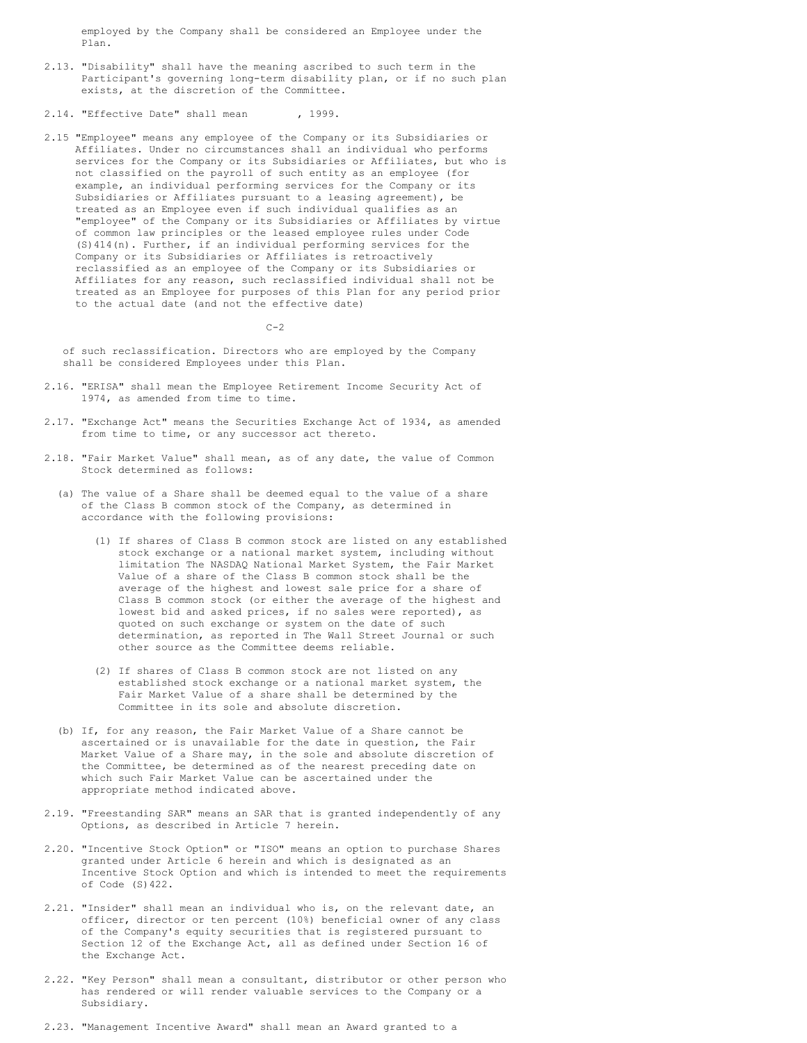employed by the Company shall be considered an Employee under the Plan.

- 2.13. "Disability" shall have the meaning ascribed to such term in the Participant's governing long-term disability plan, or if no such plan exists, at the discretion of the Committee.
- 2.14. "Effective Date" shall mean , 1999.
- 2.15 "Employee" means any employee of the Company or its Subsidiaries or Affiliates. Under no circumstances shall an individual who performs services for the Company or its Subsidiaries or Affiliates, but who is not classified on the payroll of such entity as an employee (for example, an individual performing services for the Company or its Subsidiaries or Affiliates pursuant to a leasing agreement), be treated as an Employee even if such individual qualifies as an "employee" of the Company or its Subsidiaries or Affiliates by virtue of common law principles or the leased employee rules under Code (S)414(n). Further, if an individual performing services for the Company or its Subsidiaries or Affiliates is retroactively reclassified as an employee of the Company or its Subsidiaries or Affiliates for any reason, such reclassified individual shall not be treated as an Employee for purposes of this Plan for any period prior to the actual date (and not the effective date)

 $C-2$ 

of such reclassification. Directors who are employed by the Company shall be considered Employees under this Plan.

- 2.16. "ERISA" shall mean the Employee Retirement Income Security Act of 1974, as amended from time to time.
- 2.17. "Exchange Act" means the Securities Exchange Act of 1934, as amended from time to time, or any successor act thereto.
- 2.18. "Fair Market Value" shall mean, as of any date, the value of Common Stock determined as follows:
	- (a) The value of a Share shall be deemed equal to the value of a share of the Class B common stock of the Company, as determined in accordance with the following provisions:
		- (1) If shares of Class B common stock are listed on any established stock exchange or a national market system, including without limitation The NASDAQ National Market System, the Fair Market Value of a share of the Class B common stock shall be the average of the highest and lowest sale price for a share of Class B common stock (or either the average of the highest and lowest bid and asked prices, if no sales were reported), as quoted on such exchange or system on the date of such determination, as reported in The Wall Street Journal or such other source as the Committee deems reliable.
		- (2) If shares of Class B common stock are not listed on any established stock exchange or a national market system, the Fair Market Value of a share shall be determined by the Committee in its sole and absolute discretion.
	- (b) If, for any reason, the Fair Market Value of a Share cannot be ascertained or is unavailable for the date in question, the Fair Market Value of a Share may, in the sole and absolute discretion of the Committee, be determined as of the nearest preceding date on which such Fair Market Value can be ascertained under the appropriate method indicated above.
- 2.19. "Freestanding SAR" means an SAR that is granted independently of any Options, as described in Article 7 herein.
- 2.20. "Incentive Stock Option" or "ISO" means an option to purchase Shares granted under Article 6 herein and which is designated as an Incentive Stock Option and which is intended to meet the requirements of Code (S)422.
- 2.21. "Insider" shall mean an individual who is, on the relevant date, an officer, director or ten percent (10%) beneficial owner of any class of the Company's equity securities that is registered pursuant to Section 12 of the Exchange Act, all as defined under Section 16 of the Exchange Act.
- 2.22. "Key Person" shall mean a consultant, distributor or other person who has rendered or will render valuable services to the Company or a Subsidiary.
- 2.23. "Management Incentive Award" shall mean an Award granted to a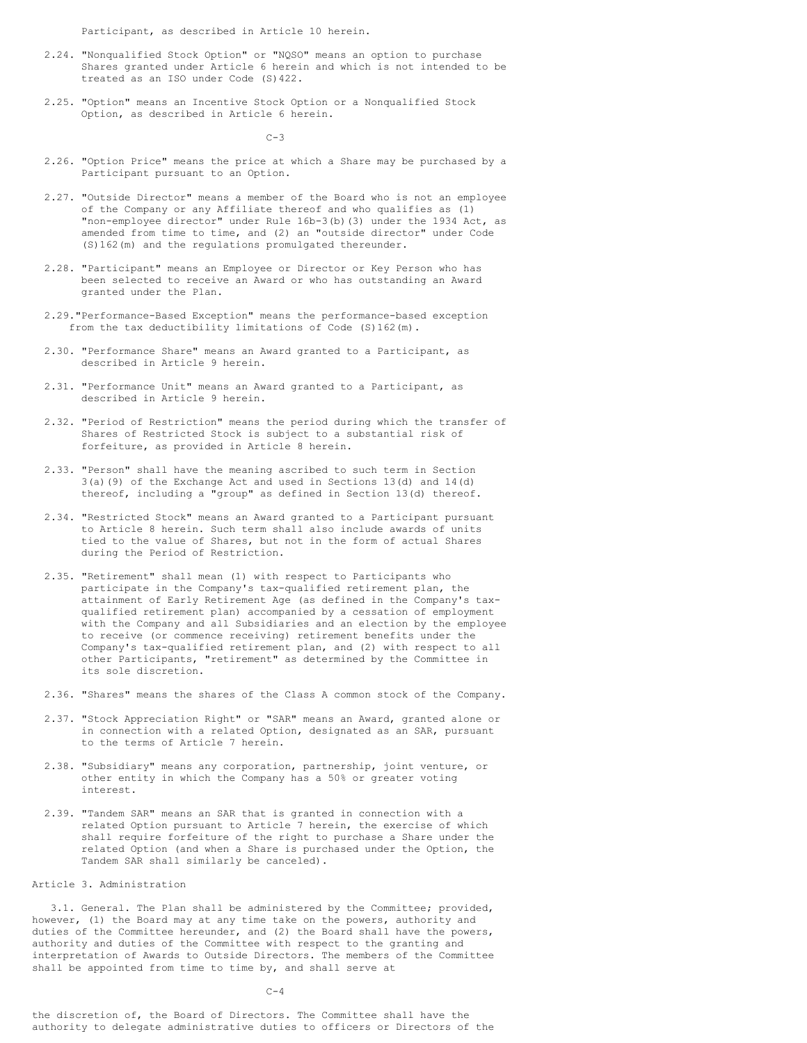Participant, as described in Article 10 herein.

- 2.24. "Nonqualified Stock Option" or "NQSO" means an option to purchase Shares granted under Article 6 herein and which is not intended to be treated as an ISO under Code (S)422.
- 2.25. "Option" means an Incentive Stock Option or a Nonqualified Stock Option, as described in Article 6 herein.

 $C-3$ 

- 2.26. "Option Price" means the price at which a Share may be purchased by a Participant pursuant to an Option.
- 2.27. "Outside Director" means a member of the Board who is not an employee of the Company or any Affiliate thereof and who qualifies as (1) "non-employee director" under Rule 16b-3(b)(3) under the 1934 Act, as amended from time to time, and (2) an "outside director" under Code (S)162(m) and the regulations promulgated thereunder.
- 2.28. "Participant" means an Employee or Director or Key Person who has been selected to receive an Award or who has outstanding an Award granted under the Plan.
- 2.29."Performance-Based Exception" means the performance-based exception from the tax deductibility limitations of Code (S)162(m).
- 2.30. "Performance Share" means an Award granted to a Participant, as described in Article 9 herein.
- 2.31. "Performance Unit" means an Award granted to a Participant, as described in Article 9 herein.
- 2.32. "Period of Restriction" means the period during which the transfer of Shares of Restricted Stock is subject to a substantial risk of forfeiture, as provided in Article 8 herein.
- 2.33. "Person" shall have the meaning ascribed to such term in Section 3(a)(9) of the Exchange Act and used in Sections 13(d) and 14(d) thereof, including a "group" as defined in Section 13(d) thereof.
- 2.34. "Restricted Stock" means an Award granted to a Participant pursuant to Article 8 herein. Such term shall also include awards of units tied to the value of Shares, but not in the form of actual Shares during the Period of Restriction.
- 2.35. "Retirement" shall mean (1) with respect to Participants who participate in the Company's tax-qualified retirement plan, the attainment of Early Retirement Age (as defined in the Company's taxqualified retirement plan) accompanied by a cessation of employment with the Company and all Subsidiaries and an election by the employee to receive (or commence receiving) retirement benefits under the Company's tax-qualified retirement plan, and (2) with respect to all other Participants, "retirement" as determined by the Committee in its sole discretion.
- 2.36. "Shares" means the shares of the Class A common stock of the Company.
- 2.37. "Stock Appreciation Right" or "SAR" means an Award, granted alone or in connection with a related Option, designated as an SAR, pursuant to the terms of Article 7 herein.
- 2.38. "Subsidiary" means any corporation, partnership, joint venture, or other entity in which the Company has a 50% or greater voting interest.
- 2.39. "Tandem SAR" means an SAR that is granted in connection with a related Option pursuant to Article 7 herein, the exercise of which shall require forfeiture of the right to purchase a Share under the related Option (and when a Share is purchased under the Option, the Tandem SAR shall similarly be canceled).

### Article 3. Administration

3.1. General. The Plan shall be administered by the Committee; provided, however, (1) the Board may at any time take on the powers, authority and duties of the Committee hereunder, and (2) the Board shall have the powers, authority and duties of the Committee with respect to the granting and interpretation of Awards to Outside Directors. The members of the Committee shall be appointed from time to time by, and shall serve at

 $C-4$ 

the discretion of, the Board of Directors. The Committee shall have the authority to delegate administrative duties to officers or Directors of the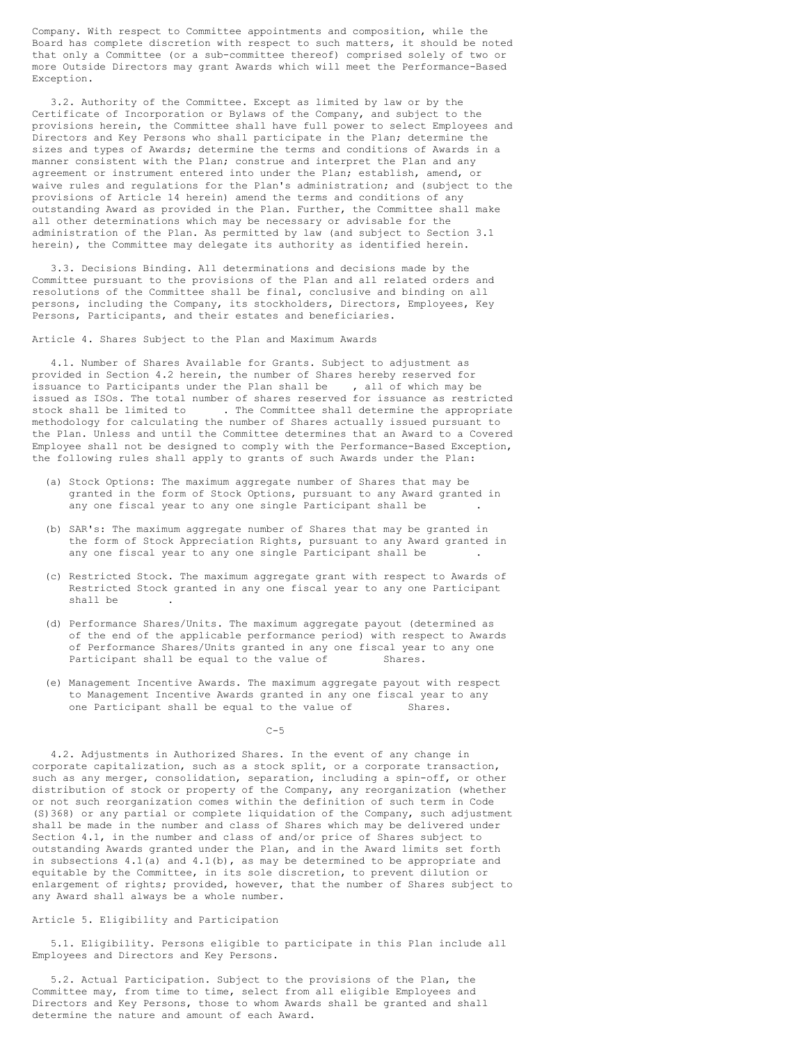Company. With respect to Committee appointments and composition, while the Board has complete discretion with respect to such matters, it should be noted that only a Committee (or a sub-committee thereof) comprised solely of two or more Outside Directors may grant Awards which will meet the Performance-Based Exception.

3.2. Authority of the Committee. Except as limited by law or by the Certificate of Incorporation or Bylaws of the Company, and subject to the provisions herein, the Committee shall have full power to select Employees and Directors and Key Persons who shall participate in the Plan; determine the sizes and types of Awards; determine the terms and conditions of Awards in a manner consistent with the Plan; construe and interpret the Plan and any agreement or instrument entered into under the Plan; establish, amend, or waive rules and regulations for the Plan's administration: and (subject to the provisions of Article 14 herein) amend the terms and conditions of any outstanding Award as provided in the Plan. Further, the Committee shall make all other determinations which may be necessary or advisable for the administration of the Plan. As permitted by law (and subject to Section 3.1 herein), the Committee may delegate its authority as identified herein.

3.3. Decisions Binding. All determinations and decisions made by the Committee pursuant to the provisions of the Plan and all related orders and resolutions of the Committee shall be final, conclusive and binding on all persons, including the Company, its stockholders, Directors, Employees, Key Persons, Participants, and their estates and beneficiaries.

Article 4. Shares Subject to the Plan and Maximum Awards

4.1. Number of Shares Available for Grants. Subject to adjustment as provided in Section 4.2 herein, the number of Shares hereby reserved for issuance to Participants under the Plan shall be , all of which may be issued as ISOs. The total number of shares reserved for issuance as restricted stock shall be limited to . The Committee shall determine the appropriate methodology for calculating the number of Shares actually issued pursuant to the Plan. Unless and until the Committee determines that an Award to a Covered Employee shall not be designed to comply with the Performance-Based Exception, the following rules shall apply to grants of such Awards under the Plan:

- (a) Stock Options: The maximum aggregate number of Shares that may be granted in the form of Stock Options, pursuant to any Award granted in any one fiscal year to any one single Participant shall be
- (b) SAR's: The maximum aggregate number of Shares that may be granted in the form of Stock Appreciation Rights, pursuant to any Award granted in any one fiscal year to any one single Participant shall be
- (c) Restricted Stock. The maximum aggregate grant with respect to Awards of Restricted Stock granted in any one fiscal year to any one Participant shall be .
- (d) Performance Shares/Units. The maximum aggregate payout (determined as of the end of the applicable performance period) with respect to Awards of Performance Shares/Units granted in any one fiscal year to any one Participant shall be equal to the value of Shares.
- (e) Management Incentive Awards. The maximum aggregate payout with respect to Management Incentive Awards granted in any one fiscal year to any one Participant shall be equal to the value of Shares.

### $C-5$

4.2. Adjustments in Authorized Shares. In the event of any change in corporate capitalization, such as a stock split, or a corporate transaction, such as any merger, consolidation, separation, including a spin-off, or other distribution of stock or property of the Company, any reorganization (whether or not such reorganization comes within the definition of such term in Code (S)368) or any partial or complete liquidation of the Company, such adjustment shall be made in the number and class of Shares which may be delivered under Section 4.1, in the number and class of and/or price of Shares subject to outstanding Awards granted under the Plan, and in the Award limits set forth in subsections  $4.1(a)$  and  $4.1(b)$ , as may be determined to be appropriate and equitable by the Committee, in its sole discretion, to prevent dilution or enlargement of rights; provided, however, that the number of Shares subject to any Award shall always be a whole number.

## Article 5. Eligibility and Participation

5.1. Eligibility. Persons eligible to participate in this Plan include all Employees and Directors and Key Persons.

5.2. Actual Participation. Subject to the provisions of the Plan, the Committee may, from time to time, select from all eligible Employees and Directors and Key Persons, those to whom Awards shall be granted and shall determine the nature and amount of each Award.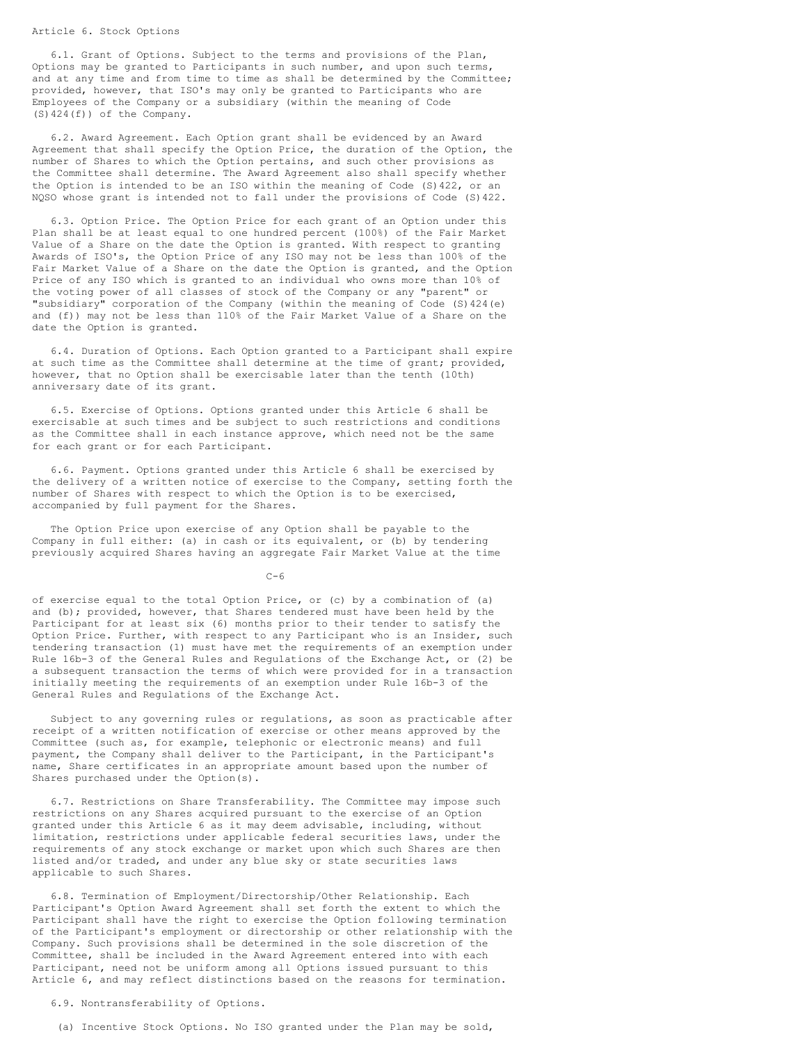### Article 6. Stock Options

6.1. Grant of Options. Subject to the terms and provisions of the Plan, Options may be granted to Participants in such number, and upon such terms, and at any time and from time to time as shall be determined by the Committee; provided, however, that ISO's may only be granted to Participants who are Employees of the Company or a subsidiary (within the meaning of Code (S)424(f)) of the Company.

6.2. Award Agreement. Each Option grant shall be evidenced by an Award Agreement that shall specify the Option Price, the duration of the Option, the number of Shares to which the Option pertains, and such other provisions as the Committee shall determine. The Award Agreement also shall specify whether the Option is intended to be an ISO within the meaning of Code (S)422, or an NQSO whose grant is intended not to fall under the provisions of Code (S)422.

6.3. Option Price. The Option Price for each grant of an Option under this Plan shall be at least equal to one hundred percent (100%) of the Fair Market Value of a Share on the date the Option is granted. With respect to granting Awards of ISO's, the Option Price of any ISO may not be less than 100% of the Fair Market Value of a Share on the date the Option is granted, and the Option Price of any ISO which is granted to an individual who owns more than 10% of the voting power of all classes of stock of the Company or any "parent" or "subsidiary" corporation of the Company (within the meaning of Code (S)424(e) and (f)) may not be less than 110% of the Fair Market Value of a Share on the date the Option is granted.

6.4. Duration of Options. Each Option granted to a Participant shall expire at such time as the Committee shall determine at the time of grant; provided, however, that no Option shall be exercisable later than the tenth (10th) anniversary date of its grant.

6.5. Exercise of Options. Options granted under this Article 6 shall be exercisable at such times and be subject to such restrictions and conditions as the Committee shall in each instance approve, which need not be the same for each grant or for each Participant.

6.6. Payment. Options granted under this Article 6 shall be exercised by the delivery of a written notice of exercise to the Company, setting forth the number of Shares with respect to which the Option is to be exercised, accompanied by full payment for the Shares.

The Option Price upon exercise of any Option shall be payable to the Company in full either: (a) in cash or its equivalent, or (b) by tendering previously acquired Shares having an aggregate Fair Market Value at the time

 $C-6$ 

of exercise equal to the total Option Price, or (c) by a combination of (a) and (b); provided, however, that Shares tendered must have been held by the Participant for at least six (6) months prior to their tender to satisfy the Option Price. Further, with respect to any Participant who is an Insider, such tendering transaction (1) must have met the requirements of an exemption under Rule 16b-3 of the General Rules and Regulations of the Exchange Act, or (2) be a subsequent transaction the terms of which were provided for in a transaction initially meeting the requirements of an exemption under Rule 16b-3 of the General Rules and Regulations of the Exchange Act.

Subject to any governing rules or regulations, as soon as practicable after receipt of a written notification of exercise or other means approved by the Committee (such as, for example, telephonic or electronic means) and full payment, the Company shall deliver to the Participant, in the Participant's name, Share certificates in an appropriate amount based upon the number of Shares purchased under the Option(s).

6.7. Restrictions on Share Transferability. The Committee may impose such restrictions on any Shares acquired pursuant to the exercise of an Option granted under this Article 6 as it may deem advisable, including, without limitation, restrictions under applicable federal securities laws, under the requirements of any stock exchange or market upon which such Shares are then listed and/or traded, and under any blue sky or state securities laws applicable to such Shares.

6.8. Termination of Employment/Directorship/Other Relationship. Each Participant's Option Award Agreement shall set forth the extent to which the Participant shall have the right to exercise the Option following termination of the Participant's employment or directorship or other relationship with the Company. Such provisions shall be determined in the sole discretion of the Committee, shall be included in the Award Agreement entered into with each Participant, need not be uniform among all Options issued pursuant to this Article 6, and may reflect distinctions based on the reasons for termination.

# 6.9. Nontransferability of Options.

(a) Incentive Stock Options. No ISO granted under the Plan may be sold,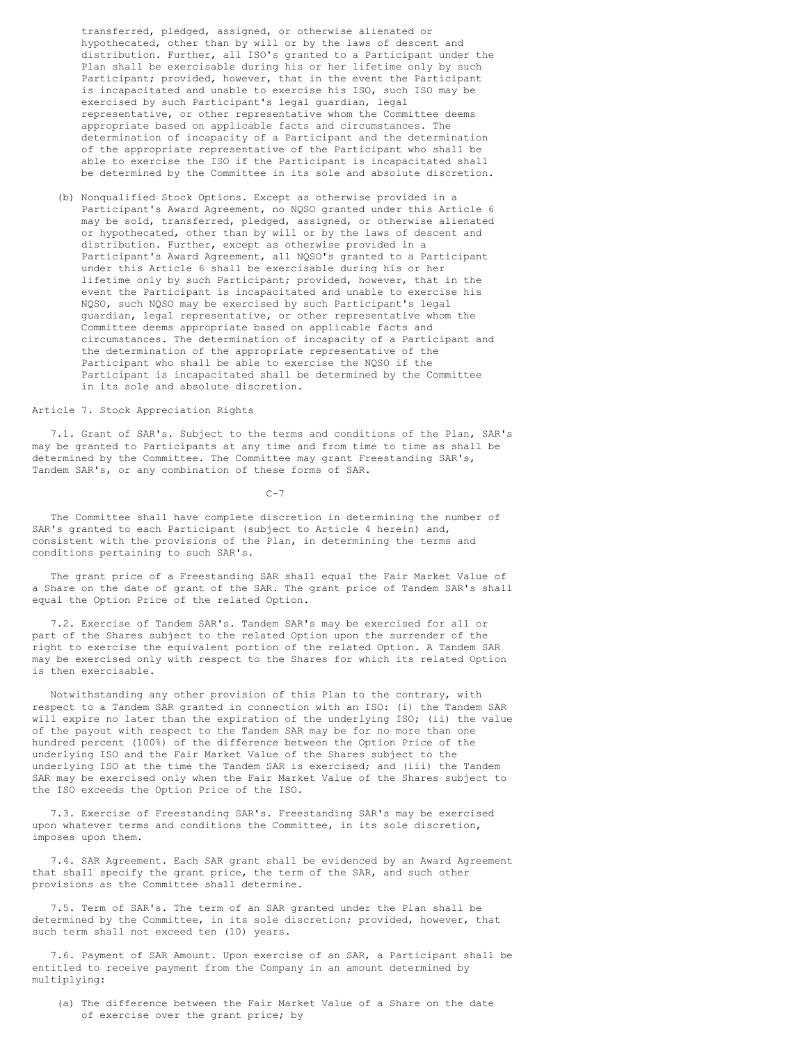transferred, pledged, assigned, or otherwise alienated or hypothecated, other than by will or by the laws of descent and distribution. Further, all ISO's granted to a Participant under the Plan shall be exercisable during his or her lifetime only by such Participant; provided, however, that in the event the Participant is incapacitated and unable to exercise his ISO, such ISO may be exercised by such Participant's legal guardian, legal representative, or other representative whom the Committee deems appropriate based on applicable facts and circumstances. The determination of incapacity of a Participant and the determination of the appropriate representative of the Participant who shall be able to exercise the ISO if the Participant is incapacitated shall be determined by the Committee in its sole and absolute discretion.

(b) Nonqualified Stock Options. Except as otherwise provided in a Participant's Award Agreement, no NQSO granted under this Article 6 may be sold, transferred, pledged, assigned, or otherwise alienated or hypothecated, other than by will or by the laws of descent and distribution. Further, except as otherwise provided in a Participant's Award Agreement, all NQSO's granted to a Participant under this Article 6 shall be exercisable during his or her lifetime only by such Participant; provided, however, that in the event the Participant is incapacitated and unable to exercise his NQSO, such NQSO may be exercised by such Participant's legal guardian, legal representative, or other representative whom the Committee deems appropriate based on applicable facts and circumstances. The determination of incapacity of a Participant and the determination of the appropriate representative of the Participant who shall be able to exercise the NQSO if the Participant is incapacitated shall be determined by the Committee in its sole and absolute discretion.

# Article 7. Stock Appreciation Rights

7.1. Grant of SAR's. Subject to the terms and conditions of the Plan, SAR's may be granted to Participants at any time and from time to time as shall be determined by the Committee. The Committee may grant Freestanding SAR's, Tandem SAR's, or any combination of these forms of SAR.

 $C-7$ 

The Committee shall have complete discretion in determining the number of SAR's granted to each Participant (subject to Article 4 herein) and, consistent with the provisions of the Plan, in determining the terms and conditions pertaining to such SAR's.

The grant price of a Freestanding SAR shall equal the Fair Market Value of a Share on the date of grant of the SAR. The grant price of Tandem SAR's shall equal the Option Price of the related Option.

7.2. Exercise of Tandem SAR's. Tandem SAR's may be exercised for all or part of the Shares subject to the related Option upon the surrender of the right to exercise the equivalent portion of the related Option. A Tandem SAR may be exercised only with respect to the Shares for which its related Option is then exercisable.

Notwithstanding any other provision of this Plan to the contrary, with respect to a Tandem SAR granted in connection with an ISO: (i) the Tandem SAR will expire no later than the expiration of the underlying ISO; (ii) the value of the payout with respect to the Tandem SAR may be for no more than one hundred percent (100%) of the difference between the Option Price of the underlying ISO and the Fair Market Value of the Shares subject to the underlying ISO at the time the Tandem SAR is exercised; and (iii) the Tandem SAR may be exercised only when the Fair Market Value of the Shares subject to the ISO exceeds the Option Price of the ISO.

7.3. Exercise of Freestanding SAR's. Freestanding SAR's may be exercised upon whatever terms and conditions the Committee, in its sole discretion, imposes upon them.

7.4. SAR Agreement. Each SAR grant shall be evidenced by an Award Agreement that shall specify the grant price, the term of the SAR, and such other provisions as the Committee shall determine.

7.5. Term of SAR's. The term of an SAR granted under the Plan shall be determined by the Committee, in its sole discretion; provided, however, that such term shall not exceed ten (10) years.

7.6. Payment of SAR Amount. Upon exercise of an SAR, a Participant shall be entitled to receive payment from the Company in an amount determined by multiplying:

(a) The difference between the Fair Market Value of a Share on the date of exercise over the grant price; by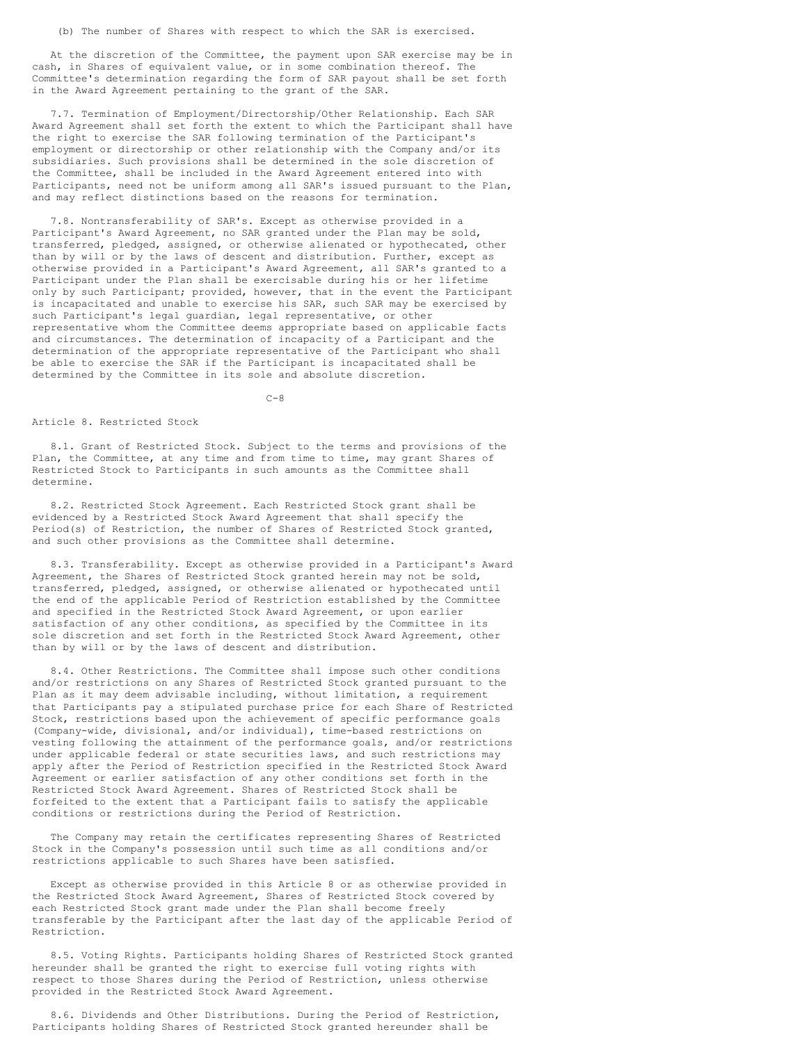(b) The number of Shares with respect to which the SAR is exercised.

At the discretion of the Committee, the payment upon SAR exercise may be in cash, in Shares of equivalent value, or in some combination thereof. The Committee's determination regarding the form of SAR payout shall be set forth in the Award Agreement pertaining to the grant of the SAR.

7.7. Termination of Employment/Directorship/Other Relationship. Each SAR Award Agreement shall set forth the extent to which the Participant shall have the right to exercise the SAR following termination of the Participant's employment or directorship or other relationship with the Company and/or its subsidiaries. Such provisions shall be determined in the sole discretion of the Committee, shall be included in the Award Agreement entered into with Participants, need not be uniform among all SAR's issued pursuant to the Plan, and may reflect distinctions based on the reasons for termination.

7.8. Nontransferability of SAR's. Except as otherwise provided in a Participant's Award Agreement, no SAR granted under the Plan may be sold, transferred, pledged, assigned, or otherwise alienated or hypothecated, other than by will or by the laws of descent and distribution. Further, except as otherwise provided in a Participant's Award Agreement, all SAR's granted to a Participant under the Plan shall be exercisable during his or her lifetime only by such Participant; provided, however, that in the event the Participant is incapacitated and unable to exercise his SAR, such SAR may be exercised by such Participant's legal guardian, legal representative, or other representative whom the Committee deems appropriate based on applicable facts and circumstances. The determination of incapacity of a Participant and the determination of the appropriate representative of the Participant who shall be able to exercise the SAR if the Participant is incapacitated shall be determined by the Committee in its sole and absolute discretion.

 $C - 8$ 

### Article 8. Restricted Stock

8.1. Grant of Restricted Stock. Subject to the terms and provisions of the Plan, the Committee, at any time and from time to time, may grant Shares of Restricted Stock to Participants in such amounts as the Committee shall determine.

8.2. Restricted Stock Agreement. Each Restricted Stock grant shall be evidenced by a Restricted Stock Award Agreement that shall specify the Period(s) of Restriction, the number of Shares of Restricted Stock granted, and such other provisions as the Committee shall determine.

8.3. Transferability. Except as otherwise provided in a Participant's Award Agreement, the Shares of Restricted Stock granted herein may not be sold, transferred, pledged, assigned, or otherwise alienated or hypothecated until the end of the applicable Period of Restriction established by the Committee and specified in the Restricted Stock Award Agreement, or upon earlier satisfaction of any other conditions, as specified by the Committee in its sole discretion and set forth in the Restricted Stock Award Agreement, other than by will or by the laws of descent and distribution.

8.4. Other Restrictions. The Committee shall impose such other conditions and/or restrictions on any Shares of Restricted Stock granted pursuant to the Plan as it may deem advisable including, without limitation, a requirement that Participants pay a stipulated purchase price for each Share of Restricted Stock, restrictions based upon the achievement of specific performance goals (Company-wide, divisional, and/or individual), time-based restrictions on vesting following the attainment of the performance goals, and/or restrictions under applicable federal or state securities laws, and such restrictions may apply after the Period of Restriction specified in the Restricted Stock Award Agreement or earlier satisfaction of any other conditions set forth in the Restricted Stock Award Agreement. Shares of Restricted Stock shall be forfeited to the extent that a Participant fails to satisfy the applicable conditions or restrictions during the Period of Restriction.

The Company may retain the certificates representing Shares of Restricted Stock in the Company's possession until such time as all conditions and/or restrictions applicable to such Shares have been satisfied.

Except as otherwise provided in this Article 8 or as otherwise provided in the Restricted Stock Award Agreement, Shares of Restricted Stock covered by each Restricted Stock grant made under the Plan shall become freely transferable by the Participant after the last day of the applicable Period of Restriction.

8.5. Voting Rights. Participants holding Shares of Restricted Stock granted hereunder shall be granted the right to exercise full voting rights with respect to those Shares during the Period of Restriction, unless otherwise provided in the Restricted Stock Award Agreement.

8.6. Dividends and Other Distributions. During the Period of Restriction, Participants holding Shares of Restricted Stock granted hereunder shall be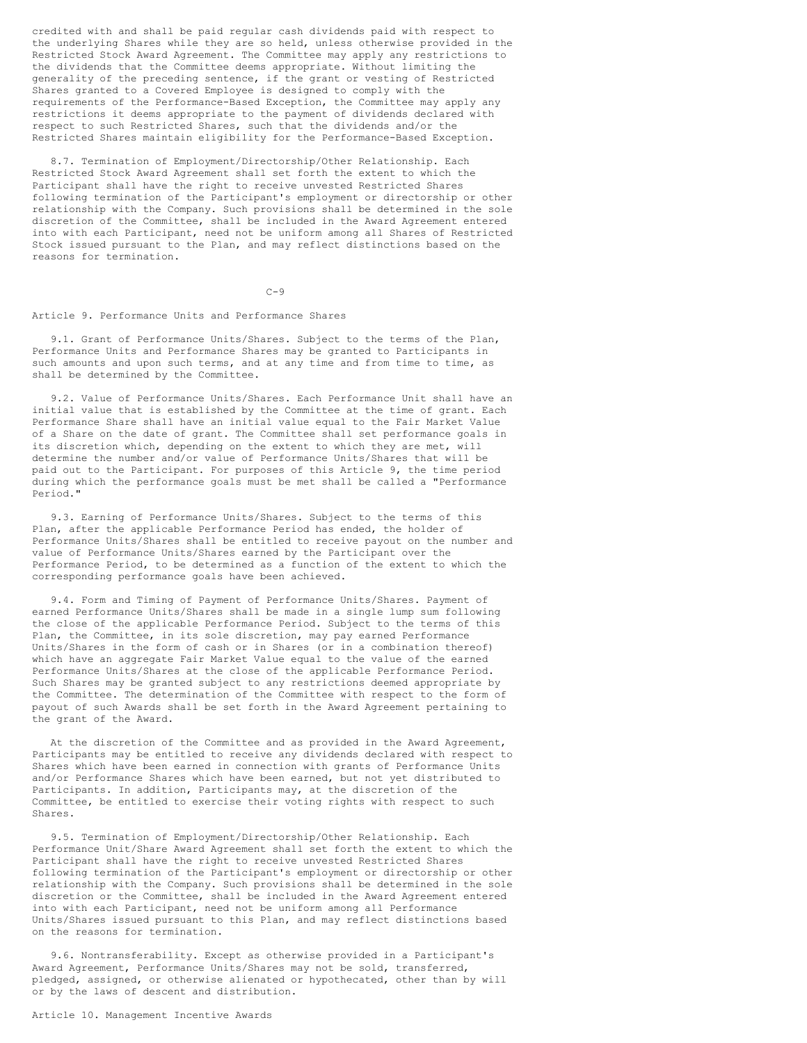credited with and shall be paid regular cash dividends paid with respect to the underlying Shares while they are so held, unless otherwise provided in the Restricted Stock Award Agreement. The Committee may apply any restrictions to the dividends that the Committee deems appropriate. Without limiting the generality of the preceding sentence, if the grant or vesting of Restricted Shares granted to a Covered Employee is designed to comply with the requirements of the Performance-Based Exception, the Committee may apply any restrictions it deems appropriate to the payment of dividends declared with respect to such Restricted Shares, such that the dividends and/or the Restricted Shares maintain eligibility for the Performance-Based Exception.

8.7. Termination of Employment/Directorship/Other Relationship. Each Restricted Stock Award Agreement shall set forth the extent to which the Participant shall have the right to receive unvested Restricted Shares following termination of the Participant's employment or directorship or other relationship with the Company. Such provisions shall be determined in the sole discretion of the Committee, shall be included in the Award Agreement entered into with each Participant, need not be uniform among all Shares of Restricted Stock issued pursuant to the Plan, and may reflect distinctions based on the reasons for termination.

 $C-9$ 

### Article 9. Performance Units and Performance Shares

9.1. Grant of Performance Units/Shares. Subject to the terms of the Plan, Performance Units and Performance Shares may be granted to Participants in such amounts and upon such terms, and at any time and from time to time, as shall be determined by the Committee.

9.2. Value of Performance Units/Shares. Each Performance Unit shall have an initial value that is established by the Committee at the time of grant. Each Performance Share shall have an initial value equal to the Fair Market Value of a Share on the date of grant. The Committee shall set performance goals in its discretion which, depending on the extent to which they are met, will determine the number and/or value of Performance Units/Shares that will be paid out to the Participant. For purposes of this Article 9, the time period during which the performance goals must be met shall be called a "Performance Period."

9.3. Earning of Performance Units/Shares. Subject to the terms of this Plan, after the applicable Performance Period has ended, the holder of Performance Units/Shares shall be entitled to receive payout on the number and value of Performance Units/Shares earned by the Participant over the Performance Period, to be determined as a function of the extent to which the corresponding performance goals have been achieved.

9.4. Form and Timing of Payment of Performance Units/Shares. Payment of earned Performance Units/Shares shall be made in a single lump sum following the close of the applicable Performance Period. Subject to the terms of this Plan, the Committee, in its sole discretion, may pay earned Performance Units/Shares in the form of cash or in Shares (or in a combination thereof) which have an aggregate Fair Market Value equal to the value of the earned Performance Units/Shares at the close of the applicable Performance Period. Such Shares may be granted subject to any restrictions deemed appropriate by the Committee. The determination of the Committee with respect to the form of payout of such Awards shall be set forth in the Award Agreement pertaining to the grant of the Award.

At the discretion of the Committee and as provided in the Award Agreement, Participants may be entitled to receive any dividends declared with respect to Shares which have been earned in connection with grants of Performance Units and/or Performance Shares which have been earned, but not yet distributed to Participants. In addition, Participants may, at the discretion of the Committee, be entitled to exercise their voting rights with respect to such Shares.

9.5. Termination of Employment/Directorship/Other Relationship. Each Performance Unit/Share Award Agreement shall set forth the extent to which the Participant shall have the right to receive unvested Restricted Shares following termination of the Participant's employment or directorship or other relationship with the Company. Such provisions shall be determined in the sole discretion or the Committee, shall be included in the Award Agreement entered into with each Participant, need not be uniform among all Performance Units/Shares issued pursuant to this Plan, and may reflect distinctions based on the reasons for termination.

9.6. Nontransferability. Except as otherwise provided in a Participant's Award Agreement, Performance Units/Shares may not be sold, transferred, pledged, assigned, or otherwise alienated or hypothecated, other than by will or by the laws of descent and distribution.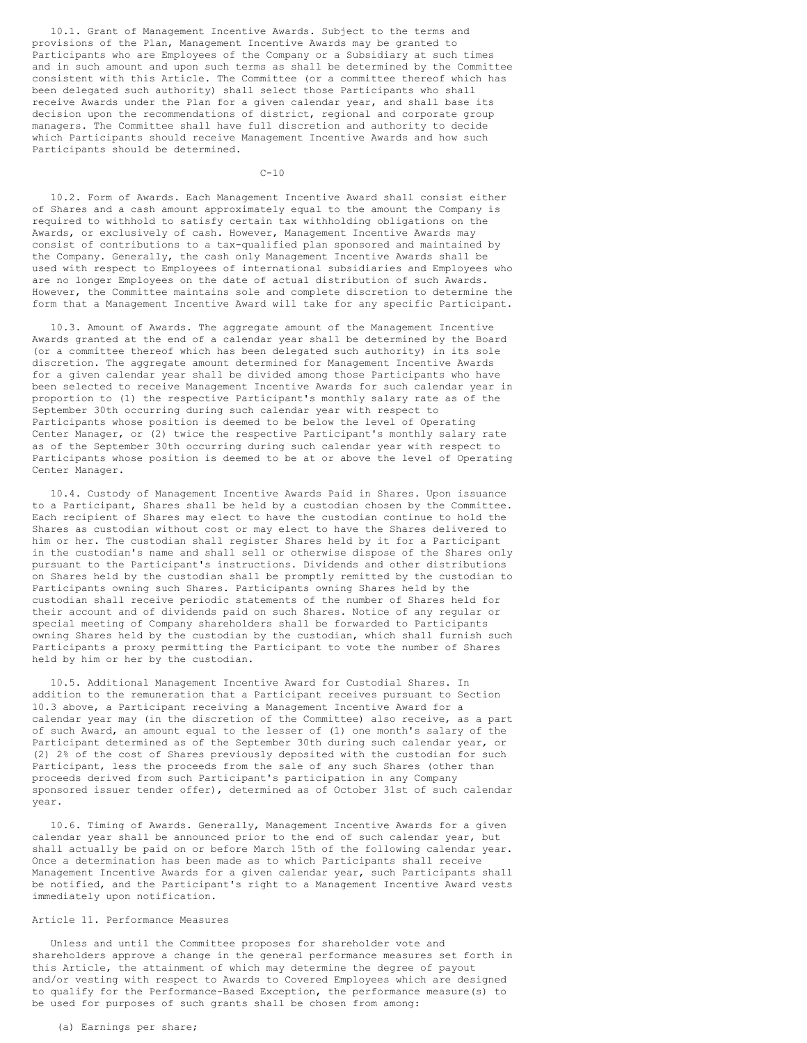10.1. Grant of Management Incentive Awards. Subject to the terms and provisions of the Plan, Management Incentive Awards may be granted to Participants who are Employees of the Company or a Subsidiary at such times and in such amount and upon such terms as shall be determined by the Committee consistent with this Article. The Committee (or a committee thereof which has been delegated such authority) shall select those Participants who shall receive Awards under the Plan for a given calendar year, and shall base its decision upon the recommendations of district, regional and corporate group managers. The Committee shall have full discretion and authority to decide which Participants should receive Management Incentive Awards and how such Participants should be determined.

 $C - 10$ 

10.2. Form of Awards. Each Management Incentive Award shall consist either of Shares and a cash amount approximately equal to the amount the Company is required to withhold to satisfy certain tax withholding obligations on the Awards, or exclusively of cash. However, Management Incentive Awards may consist of contributions to a tax-qualified plan sponsored and maintained by the Company. Generally, the cash only Management Incentive Awards shall be used with respect to Employees of international subsidiaries and Employees who are no longer Employees on the date of actual distribution of such Awards. However, the Committee maintains sole and complete discretion to determine the form that a Management Incentive Award will take for any specific Participant.

10.3. Amount of Awards. The aggregate amount of the Management Incentive Awards granted at the end of a calendar year shall be determined by the Board (or a committee thereof which has been delegated such authority) in its sole discretion. The aggregate amount determined for Management Incentive Awards for a given calendar year shall be divided among those Participants who have been selected to receive Management Incentive Awards for such calendar year in proportion to (1) the respective Participant's monthly salary rate as of the September 30th occurring during such calendar year with respect to Participants whose position is deemed to be below the level of Operating Center Manager, or (2) twice the respective Participant's monthly salary rate as of the September 30th occurring during such calendar year with respect to Participants whose position is deemed to be at or above the level of Operating Center Manager.

10.4. Custody of Management Incentive Awards Paid in Shares. Upon issuance to a Participant, Shares shall be held by a custodian chosen by the Committee. Each recipient of Shares may elect to have the custodian continue to hold the Shares as custodian without cost or may elect to have the Shares delivered to him or her. The custodian shall register Shares held by it for a Participant in the custodian's name and shall sell or otherwise dispose of the Shares only pursuant to the Participant's instructions. Dividends and other distributions on Shares held by the custodian shall be promptly remitted by the custodian to Participants owning such Shares. Participants owning Shares held by the custodian shall receive periodic statements of the number of Shares held for their account and of dividends paid on such Shares. Notice of any regular or special meeting of Company shareholders shall be forwarded to Participants owning Shares held by the custodian by the custodian, which shall furnish such Participants a proxy permitting the Participant to vote the number of Shares held by him or her by the custodian.

10.5. Additional Management Incentive Award for Custodial Shares. In addition to the remuneration that a Participant receives pursuant to Section 10.3 above, a Participant receiving a Management Incentive Award for a calendar year may (in the discretion of the Committee) also receive, as a part of such Award, an amount equal to the lesser of (1) one month's salary of the Participant determined as of the September 30th during such calendar year, or (2) 2% of the cost of Shares previously deposited with the custodian for such Participant, less the proceeds from the sale of any such Shares (other than proceeds derived from such Participant's participation in any Company sponsored issuer tender offer), determined as of October 31st of such calendar year.

10.6. Timing of Awards. Generally, Management Incentive Awards for a given calendar year shall be announced prior to the end of such calendar year, but shall actually be paid on or before March 15th of the following calendar year. Once a determination has been made as to which Participants shall receive Management Incentive Awards for a given calendar year, such Participants shall be notified, and the Participant's right to a Management Incentive Award vests immediately upon notification.

### Article 11. Performance Measures

Unless and until the Committee proposes for shareholder vote and shareholders approve a change in the general performance measures set forth in this Article, the attainment of which may determine the degree of payout and/or vesting with respect to Awards to Covered Employees which are designed to qualify for the Performance-Based Exception, the performance measure(s) to be used for purposes of such grants shall be chosen from among: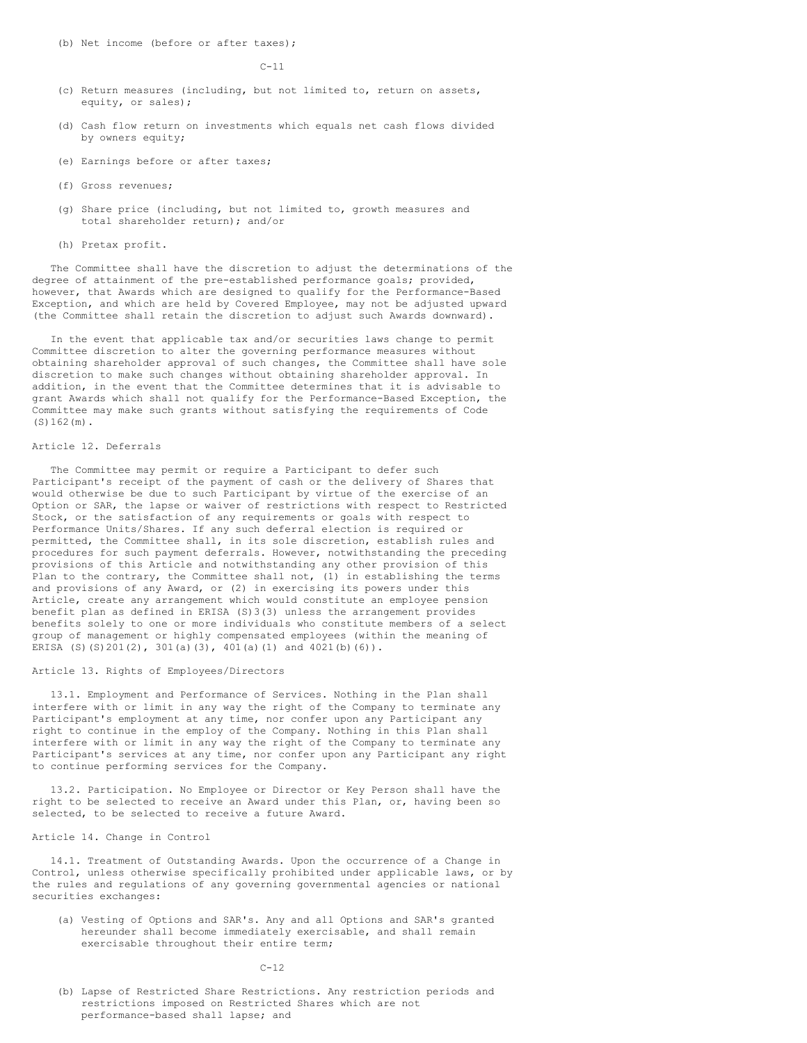(b) Net income (before or after taxes):

 $C - 11$ 

- (c) Return measures (including, but not limited to, return on assets, equity, or sales);
- (d) Cash flow return on investments which equals net cash flows divided by owners equity;
- (e) Earnings before or after taxes;
- (f) Gross revenues;
- (g) Share price (including, but not limited to, growth measures and total shareholder return); and/or
- (h) Pretax profit.

The Committee shall have the discretion to adjust the determinations of the degree of attainment of the pre-established performance goals; provided, however, that Awards which are designed to qualify for the Performance-Based Exception, and which are held by Covered Employee, may not be adjusted upward (the Committee shall retain the discretion to adjust such Awards downward).

In the event that applicable tax and/or securities laws change to permit Committee discretion to alter the governing performance measures without obtaining shareholder approval of such changes, the Committee shall have sole discretion to make such changes without obtaining shareholder approval. In addition, in the event that the Committee determines that it is advisable to grant Awards which shall not qualify for the Performance-Based Exception, the Committee may make such grants without satisfying the requirements of Code (S)162(m).

### Article 12. Deferrals

The Committee may permit or require a Participant to defer such Participant's receipt of the payment of cash or the delivery of Shares that would otherwise be due to such Participant by virtue of the exercise of an Option or SAR, the lapse or waiver of restrictions with respect to Restricted Stock, or the satisfaction of any requirements or goals with respect to Performance Units/Shares. If any such deferral election is required or permitted, the Committee shall, in its sole discretion, establish rules and procedures for such payment deferrals. However, notwithstanding the preceding provisions of this Article and notwithstanding any other provision of this Plan to the contrary, the Committee shall not, (1) in establishing the terms and provisions of any Award, or (2) in exercising its powers under this Article, create any arrangement which would constitute an employee pension benefit plan as defined in ERISA (S)3(3) unless the arrangement provides benefits solely to one or more individuals who constitute members of a select group of management or highly compensated employees (within the meaning of ERISA (S)(S)201(2), 301(a)(3), 401(a)(1) and 4021(b)(6)).

## Article 13. Rights of Employees/Directors

13.1. Employment and Performance of Services. Nothing in the Plan shall interfere with or limit in any way the right of the Company to terminate any Participant's employment at any time, nor confer upon any Participant any right to continue in the employ of the Company. Nothing in this Plan shall interfere with or limit in any way the right of the Company to terminate any Participant's services at any time, nor confer upon any Participant any right to continue performing services for the Company.

13.2. Participation. No Employee or Director or Key Person shall have the right to be selected to receive an Award under this Plan, or, having been so selected, to be selected to receive a future Award.

## Article 14. Change in Control

14.1. Treatment of Outstanding Awards. Upon the occurrence of a Change in Control, unless otherwise specifically prohibited under applicable laws, or by the rules and regulations of any governing governmental agencies or national securities exchanges:

(a) Vesting of Options and SAR's. Any and all Options and SAR's granted hereunder shall become immediately exercisable, and shall remain exercisable throughout their entire term;

 $C-12$ 

(b) Lapse of Restricted Share Restrictions. Any restriction periods and restrictions imposed on Restricted Shares which are not performance-based shall lapse; and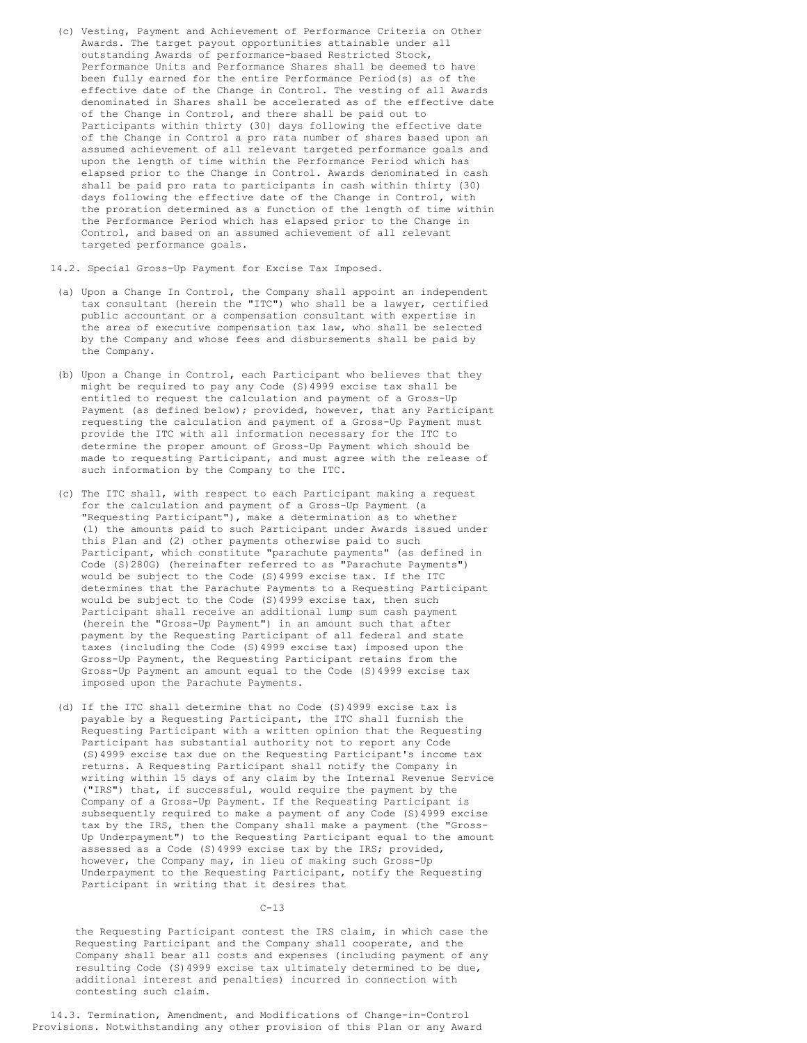(c) Vesting, Payment and Achievement of Performance Criteria on Other Awards. The target payout opportunities attainable under all outstanding Awards of performance-based Restricted Stock, Performance Units and Performance Shares shall be deemed to have been fully earned for the entire Performance Period(s) as of the effective date of the Change in Control. The vesting of all Awards denominated in Shares shall be accelerated as of the effective date of the Change in Control, and there shall be paid out to Participants within thirty (30) days following the effective date of the Change in Control a pro rata number of shares based upon an assumed achievement of all relevant targeted performance goals and upon the length of time within the Performance Period which has elapsed prior to the Change in Control. Awards denominated in cash shall be paid pro rata to participants in cash within thirty (30) days following the effective date of the Change in Control, with the proration determined as a function of the length of time within the Performance Period which has elapsed prior to the Change in Control, and based on an assumed achievement of all relevant targeted performance goals.

14.2. Special Gross-Up Payment for Excise Tax Imposed.

- (a) Upon a Change In Control, the Company shall appoint an independent tax consultant (herein the "ITC") who shall be a lawyer, certified public accountant or a compensation consultant with expertise in the area of executive compensation tax law, who shall be selected by the Company and whose fees and disbursements shall be paid by the Company.
- (b) Upon a Change in Control, each Participant who believes that they might be required to pay any Code (S)4999 excise tax shall be entitled to request the calculation and payment of a Gross-Up Payment (as defined below); provided, however, that any Participant requesting the calculation and payment of a Gross-Up Payment must provide the ITC with all information necessary for the ITC to determine the proper amount of Gross-Up Payment which should be made to requesting Participant, and must agree with the release of such information by the Company to the ITC.
- (c) The ITC shall, with respect to each Participant making a request for the calculation and payment of a Gross-Up Payment (a "Requesting Participant"), make a determination as to whether (1) the amounts paid to such Participant under Awards issued under this Plan and (2) other payments otherwise paid to such Participant, which constitute "parachute payments" (as defined in Code (S)280G) (hereinafter referred to as "Parachute Payments") would be subject to the Code (S)4999 excise tax. If the ITC determines that the Parachute Payments to a Requesting Participant would be subject to the Code (S)4999 excise tax, then such Participant shall receive an additional lump sum cash payment (herein the "Gross-Up Payment") in an amount such that after payment by the Requesting Participant of all federal and state taxes (including the Code (S)4999 excise tax) imposed upon the Gross-Up Payment, the Requesting Participant retains from the Gross-Up Payment an amount equal to the Code (S)4999 excise tax imposed upon the Parachute Payments.
- (d) If the ITC shall determine that no Code (S)4999 excise tax is payable by a Requesting Participant, the ITC shall furnish the Requesting Participant with a written opinion that the Requesting Participant has substantial authority not to report any Code (S)4999 excise tax due on the Requesting Participant's income tax returns. A Requesting Participant shall notify the Company in writing within 15 days of any claim by the Internal Revenue Service ("IRS") that, if successful, would require the payment by the Company of a Gross-Up Payment. If the Requesting Participant is subsequently required to make a payment of any Code (S)4999 excise tax by the IRS, then the Company shall make a payment (the "Gross-Up Underpayment") to the Requesting Participant equal to the amount assessed as a Code (S)4999 excise tax by the IRS; provided, however, the Company may, in lieu of making such Gross-Up Underpayment to the Requesting Participant, notify the Requesting Participant in writing that it desires that

 $C-13$ 

the Requesting Participant contest the IRS claim, in which case the Requesting Participant and the Company shall cooperate, and the Company shall bear all costs and expenses (including payment of any resulting Code (S)4999 excise tax ultimately determined to be due, additional interest and penalties) incurred in connection with contesting such claim.

14.3. Termination, Amendment, and Modifications of Change-in-Control Provisions. Notwithstanding any other provision of this Plan or any Award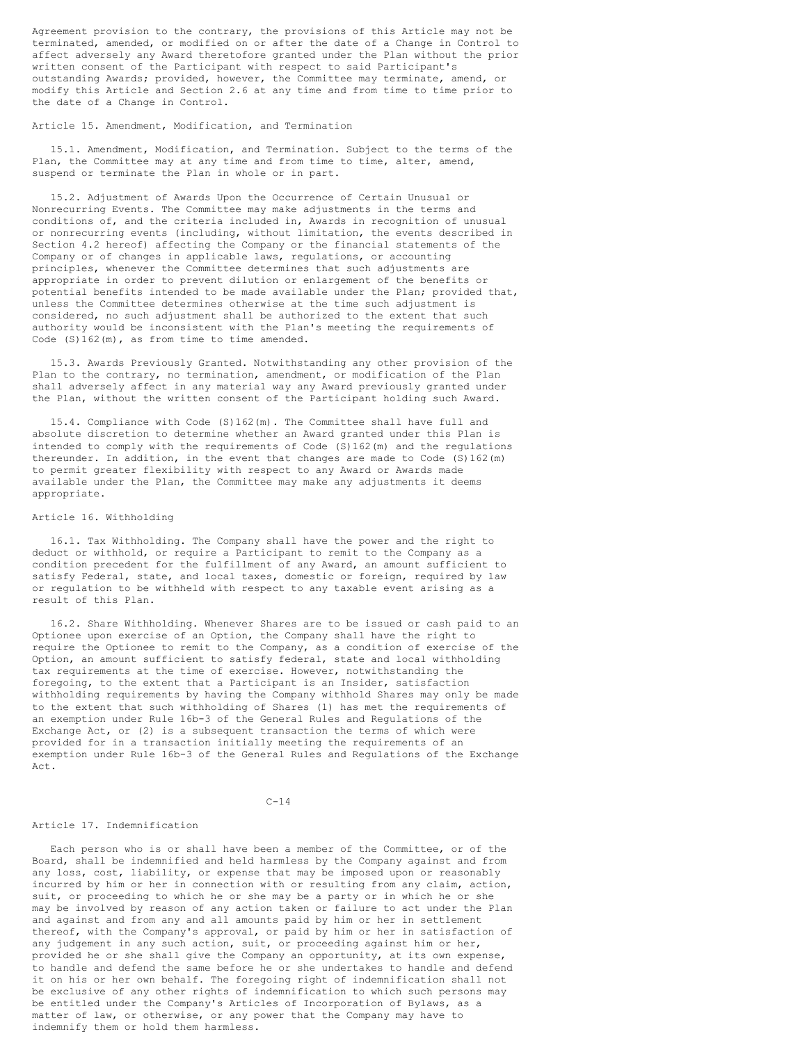Agreement provision to the contrary, the provisions of this Article may not be terminated, amended, or modified on or after the date of a Change in Control to affect adversely any Award theretofore granted under the Plan without the prior written consent of the Participant with respect to said Participant's outstanding Awards; provided, however, the Committee may terminate, amend, or modify this Article and Section 2.6 at any time and from time to time prior to the date of a Change in Control.

## Article 15. Amendment, Modification, and Termination

15.1. Amendment, Modification, and Termination. Subject to the terms of the Plan, the Committee may at any time and from time to time, alter, amend, suspend or terminate the Plan in whole or in part.

15.2. Adjustment of Awards Upon the Occurrence of Certain Unusual or Nonrecurring Events. The Committee may make adjustments in the terms and conditions of, and the criteria included in, Awards in recognition of unusual or nonrecurring events (including, without limitation, the events described in Section 4.2 hereof) affecting the Company or the financial statements of the Company or of changes in applicable laws, regulations, or accounting principles, whenever the Committee determines that such adjustments are appropriate in order to prevent dilution or enlargement of the benefits or potential benefits intended to be made available under the Plan; provided that, unless the Committee determines otherwise at the time such adjustment is considered, no such adjustment shall be authorized to the extent that such authority would be inconsistent with the Plan's meeting the requirements of Code (S)162(m), as from time to time amended.

15.3. Awards Previously Granted. Notwithstanding any other provision of the Plan to the contrary, no termination, amendment, or modification of the Plan shall adversely affect in any material way any Award previously granted under the Plan, without the written consent of the Participant holding such Award.

15.4. Compliance with Code (S)162(m). The Committee shall have full and absolute discretion to determine whether an Award granted under this Plan is intended to comply with the requirements of Code (S)162(m) and the regulations thereunder. In addition, in the event that changes are made to Code (S)162(m) to permit greater flexibility with respect to any Award or Awards made available under the Plan, the Committee may make any adjustments it deems appropriate.

### Article 16. Withholding

16.1. Tax Withholding. The Company shall have the power and the right to deduct or withhold, or require a Participant to remit to the Company as a condition precedent for the fulfillment of any Award, an amount sufficient to satisfy Federal, state, and local taxes, domestic or foreign, required by law or regulation to be withheld with respect to any taxable event arising as a result of this Plan.

16.2. Share Withholding. Whenever Shares are to be issued or cash paid to an Optionee upon exercise of an Option, the Company shall have the right to require the Optionee to remit to the Company, as a condition of exercise of the Option, an amount sufficient to satisfy federal, state and local withholding tax requirements at the time of exercise. However, notwithstanding the foregoing, to the extent that a Participant is an Insider, satisfaction withholding requirements by having the Company withhold Shares may only be made to the extent that such withholding of Shares (1) has met the requirements of an exemption under Rule 16b-3 of the General Rules and Regulations of the Exchange Act, or (2) is a subsequent transaction the terms of which were provided for in a transaction initially meeting the requirements of an exemption under Rule 16b-3 of the General Rules and Regulations of the Exchange Act.

# $C - 14$

# Article 17. Indemnification

Each person who is or shall have been a member of the Committee, or of the Board, shall be indemnified and held harmless by the Company against and from any loss, cost, liability, or expense that may be imposed upon or reasonably incurred by him or her in connection with or resulting from any claim, action, suit, or proceeding to which he or she may be a party or in which he or she may be involved by reason of any action taken or failure to act under the Plan and against and from any and all amounts paid by him or her in settlement thereof, with the Company's approval, or paid by him or her in satisfaction of any judgement in any such action, suit, or proceeding against him or her, provided he or she shall give the Company an opportunity, at its own expense, to handle and defend the same before he or she undertakes to handle and defend it on his or her own behalf. The foregoing right of indemnification shall not be exclusive of any other rights of indemnification to which such persons may be entitled under the Company's Articles of Incorporation of Bylaws, as a matter of law, or otherwise, or any power that the Company may have to indemnify them or hold them harmless.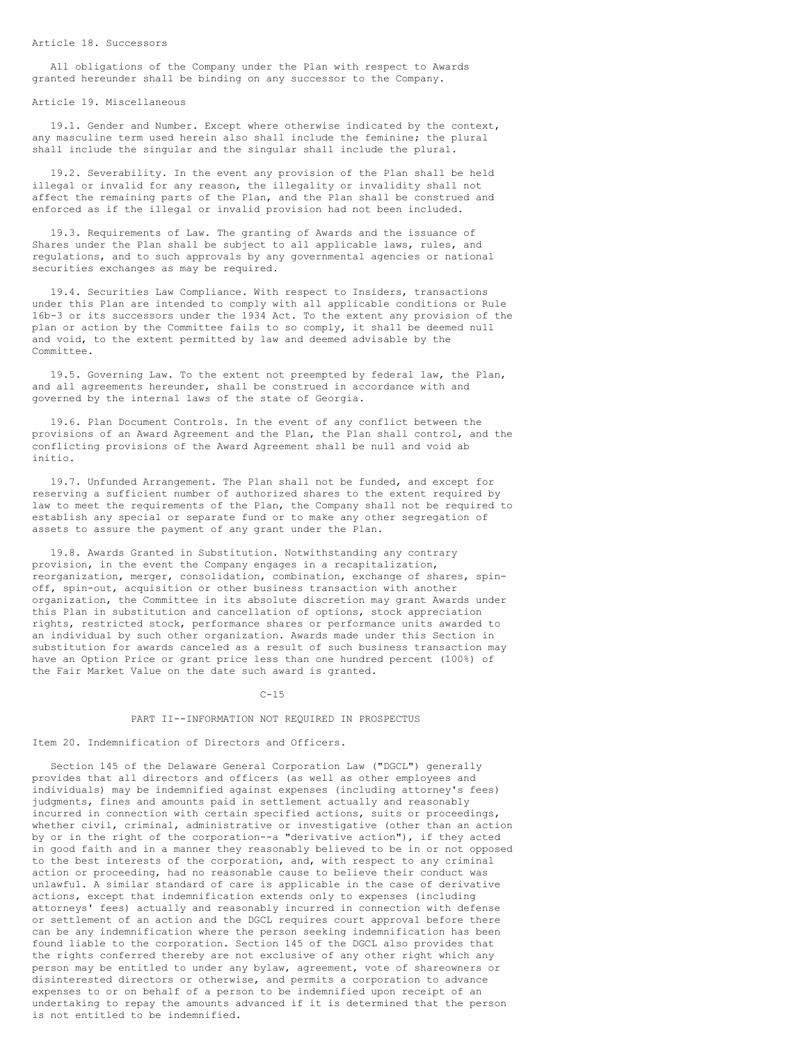### Article 18. Successors

All obligations of the Company under the Plan with respect to Awards granted hereunder shall be binding on any successor to the Company.

Article 19. Miscellaneous

19.1. Gender and Number. Except where otherwise indicated by the context, any masculine term used herein also shall include the feminine; the plural shall include the singular and the singular shall include the plural.

19.2. Severability. In the event any provision of the Plan shall be held illegal or invalid for any reason, the illegality or invalidity shall not affect the remaining parts of the Plan, and the Plan shall be construed and enforced as if the illegal or invalid provision had not been included.

19.3. Requirements of Law. The granting of Awards and the issuance of Shares under the Plan shall be subject to all applicable laws, rules, and regulations, and to such approvals by any governmental agencies or national securities exchanges as may be required.

19.4. Securities Law Compliance. With respect to Insiders, transactions under this Plan are intended to comply with all applicable conditions or Rule 16b-3 or its successors under the 1934 Act. To the extent any provision of the plan or action by the Committee fails to so comply, it shall be deemed null and void, to the extent permitted by law and deemed advisable by the Committee.

19.5. Governing Law. To the extent not preempted by federal law, the Plan, and all agreements hereunder, shall be construed in accordance with and governed by the internal laws of the state of Georgia.

19.6. Plan Document Controls. In the event of any conflict between the provisions of an Award Agreement and the Plan, the Plan shall control, and the conflicting provisions of the Award Agreement shall be null and void ab initio.

19.7. Unfunded Arrangement. The Plan shall not be funded, and except for reserving a sufficient number of authorized shares to the extent required by law to meet the requirements of the Plan, the Company shall not be required to establish any special or separate fund or to make any other segregation of assets to assure the payment of any grant under the Plan.

19.8. Awards Granted in Substitution. Notwithstanding any contrary provision, in the event the Company engages in a recapitalization, reorganization, merger, consolidation, combination, exchange of shares, spinoff, spin-out, acquisition or other business transaction with another organization, the Committee in its absolute discretion may grant Awards under this Plan in substitution and cancellation of options, stock appreciation rights, restricted stock, performance shares or performance units awarded to an individual by such other organization. Awards made under this Section in substitution for awards canceled as a result of such business transaction may have an Option Price or grant price less than one hundred percent (100%) of the Fair Market Value on the date such award is granted.

### $C-15$

### PART II--INFORMATION NOT REQUIRED IN PROSPECTUS

Item 20. Indemnification of Directors and Officers.

Section 145 of the Delaware General Corporation Law ("DGCL") generally provides that all directors and officers (as well as other employees and individuals) may be indemnified against expenses (including attorney's fees) judgments, fines and amounts paid in settlement actually and reasonably incurred in connection with certain specified actions, suits or proceedings, whether civil, criminal, administrative or investigative (other than an action by or in the right of the corporation--a "derivative action"), if they acted in good faith and in a manner they reasonably believed to be in or not opposed to the best interests of the corporation, and, with respect to any criminal action or proceeding, had no reasonable cause to believe their conduct was unlawful. A similar standard of care is applicable in the case of derivative actions, except that indemnification extends only to expenses (including attorneys' fees) actually and reasonably incurred in connection with defense or settlement of an action and the DGCL requires court approval before there can be any indemnification where the person seeking indemnification has been found liable to the corporation. Section 145 of the DGCL also provides that the rights conferred thereby are not exclusive of any other right which any person may be entitled to under any bylaw, agreement, vote of shareowners or disinterested directors or otherwise, and permits a corporation to advance expenses to or on behalf of a person to be indemnified upon receipt of an undertaking to repay the amounts advanced if it is determined that the person is not entitled to be indemnified.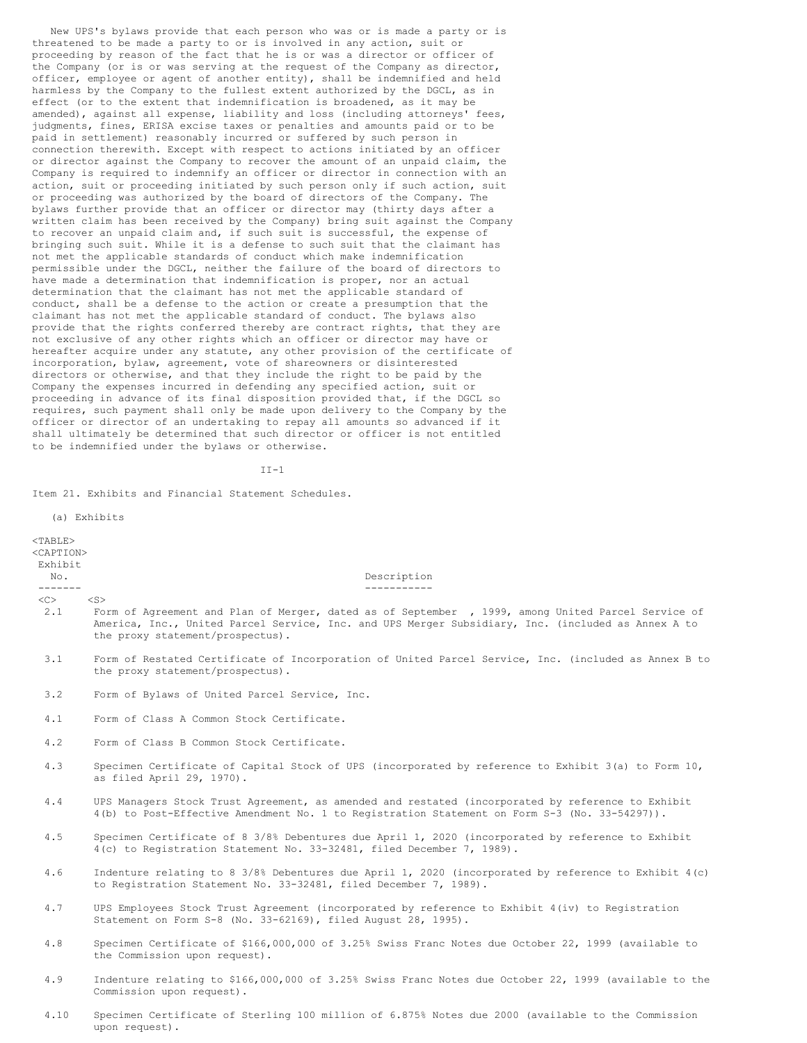New UPS's bylaws provide that each person who was or is made a party or is threatened to be made a party to or is involved in any action, suit or proceeding by reason of the fact that he is or was a director or officer of the Company (or is or was serving at the request of the Company as director, officer, employee or agent of another entity), shall be indemnified and held harmless by the Company to the fullest extent authorized by the DGCL, as in effect (or to the extent that indemnification is broadened, as it may be amended), against all expense, liability and loss (including attorneys' fees, judgments, fines, ERISA excise taxes or penalties and amounts paid or to be paid in settlement) reasonably incurred or suffered by such person in connection therewith. Except with respect to actions initiated by an officer or director against the Company to recover the amount of an unpaid claim, the Company is required to indemnify an officer or director in connection with an action, suit or proceeding initiated by such person only if such action, suit or proceeding was authorized by the board of directors of the Company. The bylaws further provide that an officer or director may (thirty days after a written claim has been received by the Company) bring suit against the Company to recover an unpaid claim and, if such suit is successful, the expense of bringing such suit. While it is a defense to such suit that the claimant has not met the applicable standards of conduct which make indemnification permissible under the DGCL, neither the failure of the board of directors to have made a determination that indemnification is proper, nor an actual determination that the claimant has not met the applicable standard of conduct, shall be a defense to the action or create a presumption that the claimant has not met the applicable standard of conduct. The bylaws also provide that the rights conferred thereby are contract rights, that they are not exclusive of any other rights which an officer or director may have or hereafter acquire under any statute, any other provision of the certificate of incorporation, bylaw, agreement, vote of shareowners or disinterested directors or otherwise, and that they include the right to be paid by the Company the expenses incurred in defending any specified action, suit or proceeding in advance of its final disposition provided that, if the DGCL so requires, such payment shall only be made upon delivery to the Company by the officer or director of an undertaking to repay all amounts so advanced if it shall ultimately be determined that such director or officer is not entitled to be indemnified under the bylaws or otherwise.

 $TT-1$ 

Item 21. Exhibits and Financial Statement Schedules.

(a) Exhibits

 $<$ TABLE $>$ <CAPTION> Exhibit No. Description ------- -----------  $\langle$ C>  $\langle$ S> 2.1 Form of Agreement and Plan of Merger, dated as of September , 1999, among United Parcel Service of America, Inc., United Parcel Service, Inc. and UPS Merger Subsidiary, Inc. (included as Annex A to the proxy statement/prospectus). 3.1 Form of Restated Certificate of Incorporation of United Parcel Service, Inc. (included as Annex B to the proxy statement/prospectus). 3.2 Form of Bylaws of United Parcel Service, Inc. 4.1 Form of Class A Common Stock Certificate. 4.2 Form of Class B Common Stock Certificate. 4.3 Specimen Certificate of Capital Stock of UPS (incorporated by reference to Exhibit 3(a) to Form 10, as filed April 29, 1970). 4.4 UPS Managers Stock Trust Agreement, as amended and restated (incorporated by reference to Exhibit 4(b) to Post-Effective Amendment No. 1 to Registration Statement on Form S-3 (No. 33-54297)). 4.5 Specimen Certificate of 8 3/8% Debentures due April 1, 2020 (incorporated by reference to Exhibit 4(c) to Registration Statement No. 33-32481, filed December 7, 1989). 4.6 Indenture relating to 8 3/8% Debentures due April 1, 2020 (incorporated by reference to Exhibit 4(c) to Registration Statement No. 33-32481, filed December 7, 1989). 4.7 UPS Employees Stock Trust Agreement (incorporated by reference to Exhibit 4(iv) to Registration Statement on Form S-8 (No. 33-62169), filed August 28, 1995). 4.8 Specimen Certificate of \$166,000,000 of 3.25% Swiss Franc Notes due October 22, 1999 (available to the Commission upon request). 4.9 Indenture relating to \$166,000,000 of 3.25% Swiss Franc Notes due October 22, 1999 (available to the Commission upon request).

4.10 Specimen Certificate of Sterling 100 million of 6.875% Notes due 2000 (available to the Commission upon request).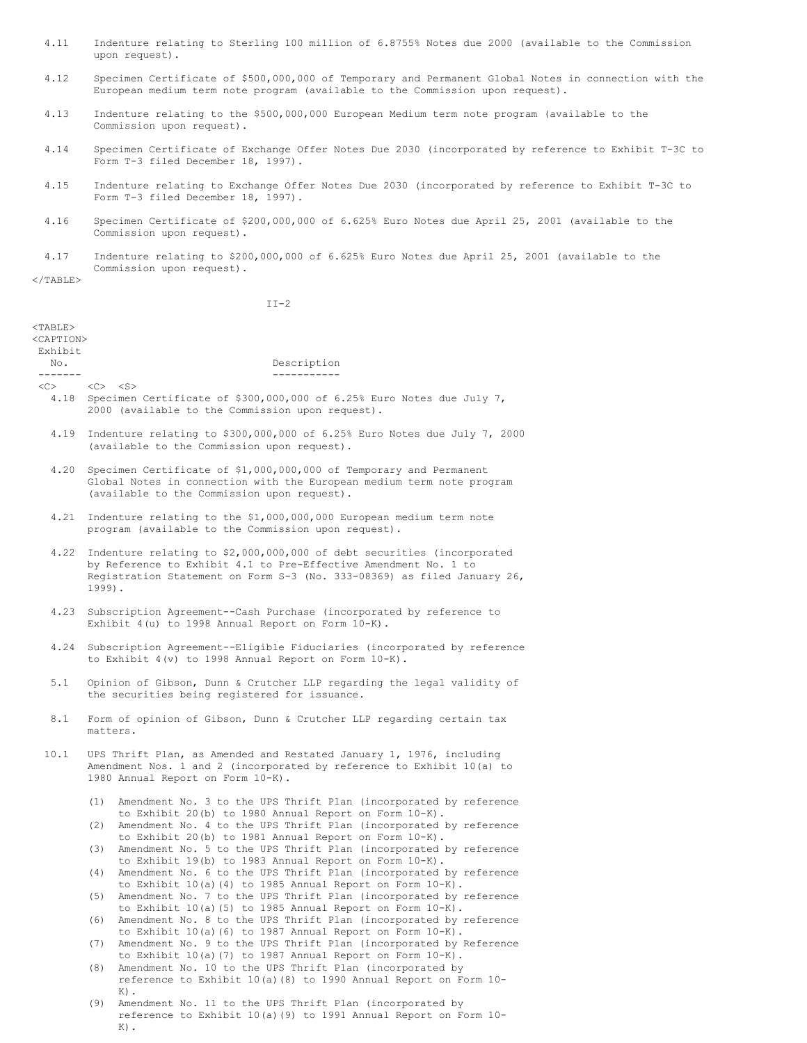- 4.11 Indenture relating to Sterling 100 million of 6.8755% Notes due 2000 (available to the Commission upon request).
- 4.12 Specimen Certificate of \$500,000,000 of Temporary and Permanent Global Notes in connection with the European medium term note program (available to the Commission upon request).
- 4.13 Indenture relating to the \$500,000,000 European Medium term note program (available to the Commission upon request).
- 4.14 Specimen Certificate of Exchange Offer Notes Due 2030 (incorporated by reference to Exhibit T-3C to Form T-3 filed December 18, 1997).
- 4.15 Indenture relating to Exchange Offer Notes Due 2030 (incorporated by reference to Exhibit T-3C to Form T-3 filed December 18, 1997).
- 4.16 Specimen Certificate of \$200,000,000 of 6.625% Euro Notes due April 25, 2001 (available to the Commission upon request).
- 4.17 Indenture relating to \$200,000,000 of 6.625% Euro Notes due April 25, 2001 (available to the Commission upon request).

 $\langle$ /TABLE>

 $K$ ).

| <table><br/><caption><br/>Exhibit</caption></table> |                                                                                                                                                                                                                                   |  |  |  |  |  |  |
|-----------------------------------------------------|-----------------------------------------------------------------------------------------------------------------------------------------------------------------------------------------------------------------------------------|--|--|--|--|--|--|
| No.<br>$- - - - - - -$                              | Description                                                                                                                                                                                                                       |  |  |  |  |  |  |
| $<<$ $>$                                            | $<\heartsuit$ < $<\heartsuit$<br>4.18 Specimen Certificate of \$300,000,000 of 6.25% Euro Notes due July 7,<br>2000 (available to the Commission upon request).                                                                   |  |  |  |  |  |  |
| 4.19                                                | Indenture relating to \$300,000,000 of 6.25% Euro Notes due July 7, 2000<br>(available to the Commission upon request).                                                                                                           |  |  |  |  |  |  |
| 4.20                                                | Specimen Certificate of \$1,000,000,000 of Temporary and Permanent<br>Global Notes in connection with the European medium term note program<br>(available to the Commission upon request).                                        |  |  |  |  |  |  |
| 4.21                                                | Indenture relating to the \$1,000,000,000 European medium term note<br>program (available to the Commission upon request).                                                                                                        |  |  |  |  |  |  |
| 4.22                                                | Indenture relating to \$2,000,000,000 of debt securities (incorporated<br>by Reference to Exhibit 4.1 to Pre-Effective Amendment No. 1 to<br>Registration Statement on Form S-3 (No. 333-08369) as filed January 26,<br>$1999$ ). |  |  |  |  |  |  |
| 4.23                                                | Subscription Agreement--Cash Purchase (incorporated by reference to<br>Exhibit 4(u) to 1998 Annual Report on Form 10-K).                                                                                                          |  |  |  |  |  |  |
| 4.24                                                | Subscription Agreement--Eligible Fiduciaries (incorporated by reference<br>to Exhibit 4(v) to 1998 Annual Report on Form 10-K).                                                                                                   |  |  |  |  |  |  |
| 5.1                                                 | Opinion of Gibson, Dunn & Crutcher LLP regarding the legal validity of<br>the securities being registered for issuance.                                                                                                           |  |  |  |  |  |  |
| 8.1                                                 | Form of opinion of Gibson, Dunn & Crutcher LLP regarding certain tax<br>matters.                                                                                                                                                  |  |  |  |  |  |  |
| 10.1                                                | UPS Thrift Plan, as Amended and Restated January 1, 1976, including<br>Amendment Nos. 1 and 2 (incorporated by reference to Exhibit 10(a) to<br>1980 Annual Report on Form 10-K).                                                 |  |  |  |  |  |  |
|                                                     | Amendment No. 3 to the UPS Thrift Plan (incorporated by reference<br>(1)<br>to Exhibit 20(b) to 1980 Annual Report on Form $10-K$ ).                                                                                              |  |  |  |  |  |  |
|                                                     | Amendment No. 4 to the UPS Thrift Plan (incorporated by reference<br>(2)<br>to Exhibit 20(b) to 1981 Annual Report on Form $10-K$ ).                                                                                              |  |  |  |  |  |  |
|                                                     | Amendment No. 5 to the UPS Thrift Plan (incorporated by reference<br>(3)<br>to Exhibit $19(b)$ to 1983 Annual Report on Form $10-K$ ).                                                                                            |  |  |  |  |  |  |
|                                                     | Amendment No. 6 to the UPS Thrift Plan (incorporated by reference<br>(4)<br>to Exhibit $10(a)$ (4) to 1985 Annual Report on Form $10-K$ ).                                                                                        |  |  |  |  |  |  |
|                                                     | Amendment No. 7 to the UPS Thrift Plan (incorporated by reference<br>(5)<br>to Exhibit $10(a)$ (5) to 1985 Annual Report on Form $10-K$ ).                                                                                        |  |  |  |  |  |  |
|                                                     | Amendment No. 8 to the UPS Thrift Plan (incorporated by reference<br>(6)<br>to Exhibit $10(a)$ (6) to 1987 Annual Report on Form $10-K$ ).                                                                                        |  |  |  |  |  |  |
|                                                     | Amendment No. 9 to the UPS Thrift Plan (incorporated by Reference<br>(7)<br>to Exhibit $10(a)$ (7) to 1987 Annual Report on Form $10-K$ ).                                                                                        |  |  |  |  |  |  |
|                                                     | Amendment No. 10 to the UPS Thrift Plan (incorporated by<br>(8)<br>reference to Exhibit 10(a) (8) to 1990 Annual Report on Form 10-<br>$K)$ .                                                                                     |  |  |  |  |  |  |
|                                                     | Amendment No. 11 to the UPS Thrift Plan (incorporated by<br>(9)<br>reference to Exhibit 10(a) (9) to 1991 Annual Report on Form 10-                                                                                               |  |  |  |  |  |  |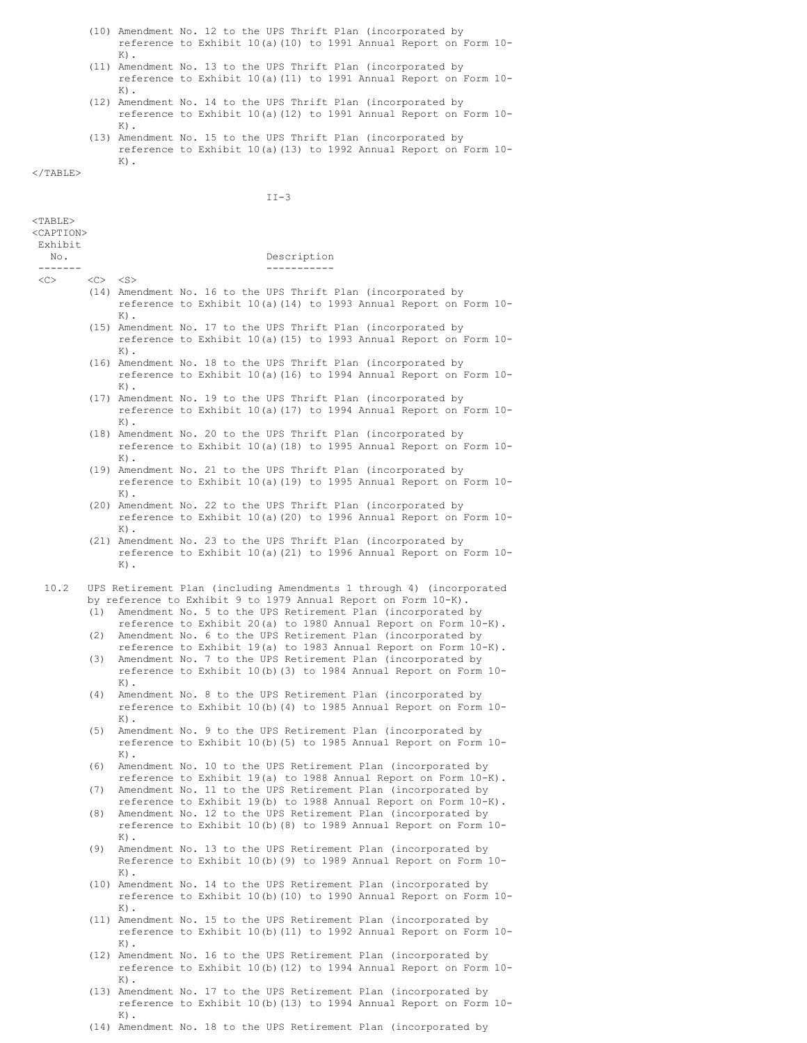- (10) Amendment No. 12 to the UPS Thrift Plan (incorporated by reference to Exhibit 10(a)(10) to 1991 Annual Report on Form 10- K).
- (11) Amendment No. 13 to the UPS Thrift Plan (incorporated by reference to Exhibit 10(a)(11) to 1991 Annual Report on Form 10-  $K$ ).
- (12) Amendment No. 14 to the UPS Thrift Plan (incorporated by reference to Exhibit 10(a)(12) to 1991 Annual Report on Form 10- K).
- (13) Amendment No. 15 to the UPS Thrift Plan (incorporated by reference to Exhibit 10(a)(13) to 1992 Annual Report on Form 10-  $K)$ .

 $<$ /TABLE>

| $TABLE>$<br><caption><br/>Exhibit</caption> |                                         |        |                                                                                                                                                                                                     |
|---------------------------------------------|-----------------------------------------|--------|-----------------------------------------------------------------------------------------------------------------------------------------------------------------------------------------------------|
| No.                                         |                                         |        | Description                                                                                                                                                                                         |
| -------                                     |                                         |        | -----------                                                                                                                                                                                         |
| <<>                                         | $\langle C \rangle$ $\langle S \rangle$ | $K)$ . | (14) Amendment No. 16 to the UPS Thrift Plan (incorporated by<br>reference to Exhibit 10(a) (14) to 1993 Annual Report on Form 10-                                                                  |
|                                             |                                         | $K)$ . | (15) Amendment No. 17 to the UPS Thrift Plan (incorporated by<br>reference to Exhibit 10(a) (15) to 1993 Annual Report on Form 10-                                                                  |
|                                             |                                         | $K)$ . | (16) Amendment No. 18 to the UPS Thrift Plan (incorporated by<br>reference to Exhibit 10(a) (16) to 1994 Annual Report on Form 10-                                                                  |
|                                             |                                         | $K)$ . | (17) Amendment No. 19 to the UPS Thrift Plan (incorporated by<br>reference to Exhibit 10(a) (17) to 1994 Annual Report on Form 10-                                                                  |
|                                             |                                         | $K$ ). | (18) Amendment No. 20 to the UPS Thrift Plan (incorporated by<br>reference to Exhibit 10(a) (18) to 1995 Annual Report on Form 10-                                                                  |
|                                             |                                         | $K)$ . | (19) Amendment No. 21 to the UPS Thrift Plan (incorporated by<br>reference to Exhibit 10(a) (19) to 1995 Annual Report on Form 10-                                                                  |
|                                             |                                         | $K)$ . | (20) Amendment No. 22 to the UPS Thrift Plan (incorporated by<br>reference to Exhibit 10(a) (20) to 1996 Annual Report on Form 10-                                                                  |
|                                             |                                         | $K)$ . | (21) Amendment No. 23 to the UPS Thrift Plan (incorporated by<br>reference to Exhibit 10(a) (21) to 1996 Annual Report on Form 10-                                                                  |
| 10.2                                        |                                         |        | UPS Retirement Plan (including Amendments 1 through 4) (incorporated                                                                                                                                |
|                                             |                                         |        | by reference to Exhibit 9 to 1979 Annual Report on Form 10-K).                                                                                                                                      |
|                                             |                                         |        | (1) Amendment No. 5 to the UPS Retirement Plan (incorporated by<br>reference to Exhibit 20(a) to 1980 Annual Report on Form 10-K).                                                                  |
|                                             | (2)                                     |        | Amendment No. 6 to the UPS Retirement Plan (incorporated by<br>reference to Exhibit 19(a) to 1983 Annual Report on Form 10-K).                                                                      |
|                                             | (3)                                     | $K)$ . | Amendment No. 7 to the UPS Retirement Plan (incorporated by<br>reference to Exhibit 10(b) (3) to 1984 Annual Report on Form 10-                                                                     |
|                                             | (4)                                     | $K)$ . | Amendment No. 8 to the UPS Retirement Plan (incorporated by<br>reference to Exhibit 10(b) (4) to 1985 Annual Report on Form 10-                                                                     |
|                                             | (5)                                     | $K)$ . | Amendment No. 9 to the UPS Retirement Plan (incorporated by<br>reference to Exhibit 10(b) (5) to 1985 Annual Report on Form 10-                                                                     |
|                                             | (6)                                     |        | Amendment No. 10 to the UPS Retirement Plan (incorporated by<br>reference to Exhibit 19(a) to 1988 Annual Report on Form $10-K$ ).                                                                  |
|                                             | (7)                                     |        | Amendment No. 11 to the UPS Retirement Plan (incorporated by                                                                                                                                        |
|                                             | (8)                                     | $K)$ . | reference to Exhibit 19(b) to 1988 Annual Report on Form 10-K).<br>Amendment No. 12 to the UPS Retirement Plan (incorporated by<br>reference to Exhibit 10(b) (8) to 1989 Annual Report on Form 10- |
|                                             | (9)                                     | $K)$ . | Amendment No. 13 to the UPS Retirement Plan (incorporated by<br>Reference to Exhibit 10(b) (9) to 1989 Annual Report on Form 10-                                                                    |
|                                             |                                         | $K)$ . | (10) Amendment No. 14 to the UPS Retirement Plan (incorporated by<br>reference to Exhibit 10(b) (10) to 1990 Annual Report on Form 10-                                                              |
|                                             |                                         | $K)$ . | (11) Amendment No. 15 to the UPS Retirement Plan (incorporated by<br>reference to Exhibit $10(b)$ (11) to 1992 Annual Report on Form $10-$                                                          |
|                                             |                                         | $K)$ . | (12) Amendment No. 16 to the UPS Retirement Plan (incorporated by<br>reference to Exhibit 10(b) (12) to 1994 Annual Report on Form 10-                                                              |
|                                             |                                         | $K$ ). | (13) Amendment No. 17 to the UPS Retirement Plan (incorporated by<br>reference to Exhibit 10(b) (13) to 1994 Annual Report on Form 10-                                                              |
|                                             |                                         |        | (14) Amendment No. 18 to the UPS Retirement Plan (incorporated by                                                                                                                                   |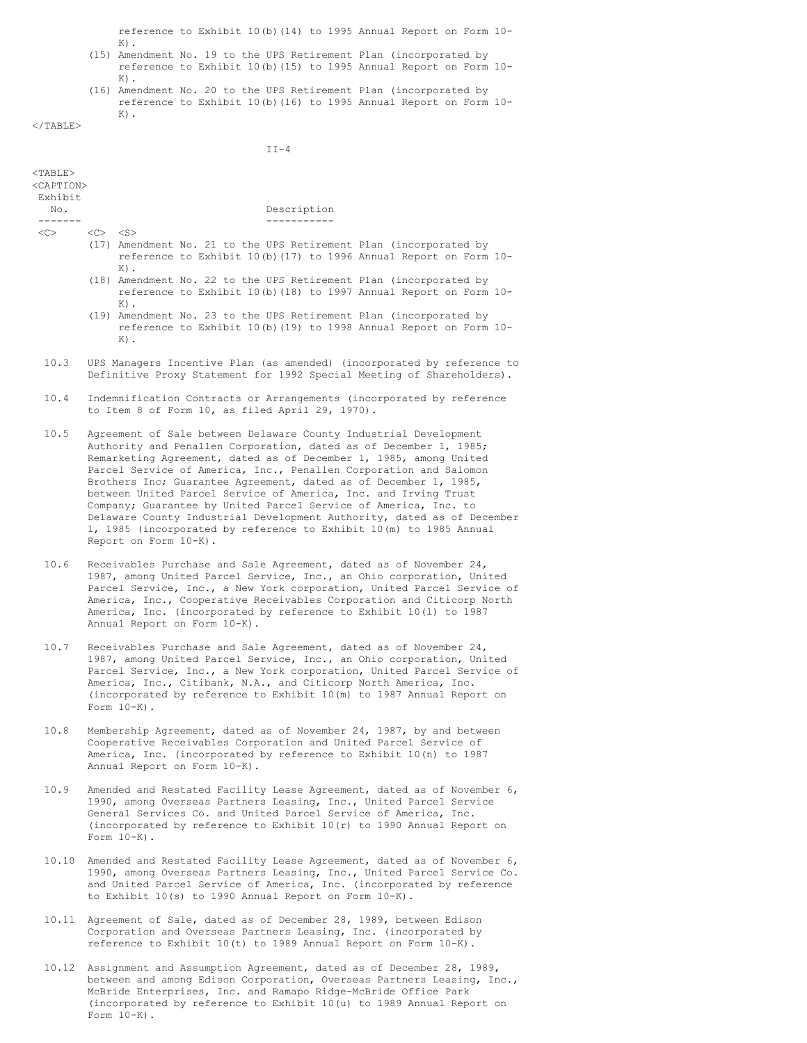reference to Exhibit 10(b)(14) to 1995 Annual Report on Form 10-  $K$ ).

- (15) Amendment No. 19 to the UPS Retirement Plan (incorporated by reference to Exhibit 10(b)(15) to 1995 Annual Report on Form 10- K).
- (16) Amendment No. 20 to the UPS Retirement Plan (incorporated by reference to Exhibit 10(b)(16) to 1995 Annual Report on Form 10-  $K)$ .

 $<$ /TABLE>

| $<$ TABLE $>$                   |                                                                                                                                                                                                                                                                                                                                                                                                                                                                                                                                                                                                                                                                    |  |  |  |  |  |  |  |
|---------------------------------|--------------------------------------------------------------------------------------------------------------------------------------------------------------------------------------------------------------------------------------------------------------------------------------------------------------------------------------------------------------------------------------------------------------------------------------------------------------------------------------------------------------------------------------------------------------------------------------------------------------------------------------------------------------------|--|--|--|--|--|--|--|
| <caption><br/>Exhibit</caption> |                                                                                                                                                                                                                                                                                                                                                                                                                                                                                                                                                                                                                                                                    |  |  |  |  |  |  |  |
| No.                             | Description                                                                                                                                                                                                                                                                                                                                                                                                                                                                                                                                                                                                                                                        |  |  |  |  |  |  |  |
| -------<br><<>                  | -----------<br>$<\heartsuit$ < $<\heartsuit$                                                                                                                                                                                                                                                                                                                                                                                                                                                                                                                                                                                                                       |  |  |  |  |  |  |  |
|                                 | (17) Amendment No. 21 to the UPS Retirement Plan (incorporated by<br>reference to Exhibit 10(b) (17) to 1996 Annual Report on Form 10-<br>$K)$ .                                                                                                                                                                                                                                                                                                                                                                                                                                                                                                                   |  |  |  |  |  |  |  |
|                                 | (18) Amendment No. 22 to the UPS Retirement Plan (incorporated by<br>reference to Exhibit 10(b) (18) to 1997 Annual Report on Form 10-<br>$K)$ .                                                                                                                                                                                                                                                                                                                                                                                                                                                                                                                   |  |  |  |  |  |  |  |
|                                 | (19) Amendment No. 23 to the UPS Retirement Plan (incorporated by<br>reference to Exhibit 10(b) (19) to 1998 Annual Report on Form 10-<br>$K)$ .                                                                                                                                                                                                                                                                                                                                                                                                                                                                                                                   |  |  |  |  |  |  |  |
| 10.3                            | UPS Managers Incentive Plan (as amended) (incorporated by reference to<br>Definitive Proxy Statement for 1992 Special Meeting of Shareholders).                                                                                                                                                                                                                                                                                                                                                                                                                                                                                                                    |  |  |  |  |  |  |  |
| 10.4                            | Indemnification Contracts or Arrangements (incorporated by reference<br>to Item 8 of Form 10, as filed April 29, 1970).                                                                                                                                                                                                                                                                                                                                                                                                                                                                                                                                            |  |  |  |  |  |  |  |
| 10.5                            | Agreement of Sale between Delaware County Industrial Development<br>Authority and Penallen Corporation, dated as of December 1, 1985;<br>Remarketing Agreement, dated as of December 1, 1985, among United<br>Parcel Service of America, Inc., Penallen Corporation and Salomon<br>Brothers Inc; Guarantee Agreement, dated as of December 1, 1985,<br>between United Parcel Service of America, Inc. and Irving Trust<br>Company; Guarantee by United Parcel Service of America, Inc. to<br>Delaware County Industrial Development Authority, dated as of December<br>1, 1985 (incorporated by reference to Exhibit 10(m) to 1985 Annual<br>Report on Form 10-K). |  |  |  |  |  |  |  |
| 10.6                            | Receivables Purchase and Sale Agreement, dated as of November 24,<br>1987, among United Parcel Service, Inc., an Ohio corporation, United<br>Parcel Service, Inc., a New York corporation, United Parcel Service of<br>America, Inc., Cooperative Receivables Corporation and Citicorp North<br>America, Inc. (incorporated by reference to Exhibit 10(1) to 1987<br>Annual Report on Form 10-K).                                                                                                                                                                                                                                                                  |  |  |  |  |  |  |  |
| 10.7                            | Receivables Purchase and Sale Agreement, dated as of November 24,<br>1987, among United Parcel Service, Inc., an Ohio corporation, United<br>Parcel Service, Inc., a New York corporation, United Parcel Service of<br>America, Inc., Citibank, N.A., and Citicorp North America, Inc.<br>(incorporated by reference to Exhibit 10(m) to 1987 Annual Report on<br>Form $10-K$ ).                                                                                                                                                                                                                                                                                   |  |  |  |  |  |  |  |
| 10.8                            | Membership Agreement, dated as of November 24, 1987, by and between<br>Cooperative Receivables Corporation and United Parcel Service of<br>America, Inc. (incorporated by reference to Exhibit 10(n) to 1987<br>Annual Report on Form 10-K).                                                                                                                                                                                                                                                                                                                                                                                                                       |  |  |  |  |  |  |  |
| 10.9                            | Amended and Restated Facility Lease Agreement, dated as of November 6,<br>1990, among Overseas Partners Leasing, Inc., United Parcel Service<br>General Services Co. and United Parcel Service of America, Inc.<br>(incorporated by reference to Exhibit 10(r) to 1990 Annual Report on<br>Form $10-K$ ).                                                                                                                                                                                                                                                                                                                                                          |  |  |  |  |  |  |  |
| 10.10                           | Amended and Restated Facility Lease Agreement, dated as of November 6,<br>1990, among Overseas Partners Leasing, Inc., United Parcel Service Co.<br>and United Parcel Service of America, Inc. (incorporated by reference<br>to Exhibit $10(s)$ to 1990 Annual Report on Form $10-K$ ).                                                                                                                                                                                                                                                                                                                                                                            |  |  |  |  |  |  |  |

- 10.11 Agreement of Sale, dated as of December 28, 1989, between Edison Corporation and Overseas Partners Leasing, Inc. (incorporated by reference to Exhibit 10(t) to 1989 Annual Report on Form 10-K).
- 10.12 Assignment and Assumption Agreement, dated as of December 28, 1989, between and among Edison Corporation, Overseas Partners Leasing, Inc., McBride Enterprises, Inc. and Ramapo Ridge-McBride Office Park (incorporated by reference to Exhibit 10(u) to 1989 Annual Report on Form 10-K).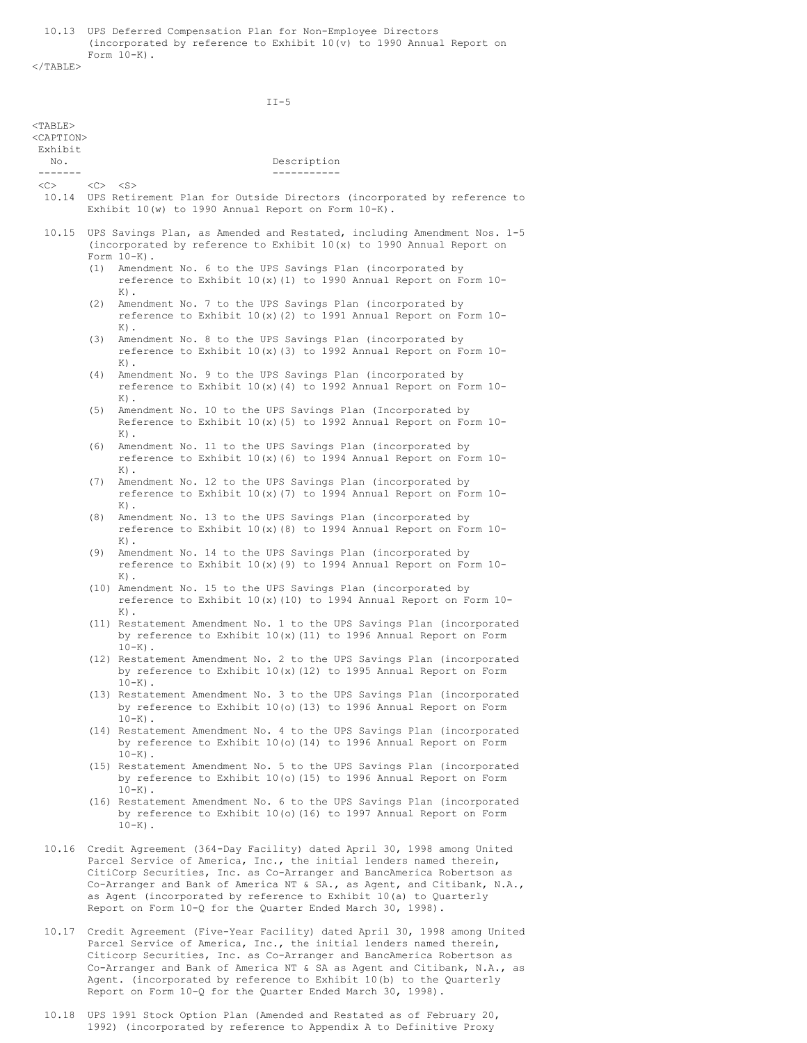10.13 UPS Deferred Compensation Plan for Non-Employee Directors (incorporated by reference to Exhibit 10(v) to 1990 Annual Report on Form 10-K).

 $<$ /TABLE>

 $II-5$ 

| <table><br/><caption><br/>Exhibit<br/>No.</caption></table> | Description                                                                                                                                                                                                                                                                                                                                                                                                                               |
|-------------------------------------------------------------|-------------------------------------------------------------------------------------------------------------------------------------------------------------------------------------------------------------------------------------------------------------------------------------------------------------------------------------------------------------------------------------------------------------------------------------------|
| -------                                                     | -----------                                                                                                                                                                                                                                                                                                                                                                                                                               |
| $<<$ $>$                                                    | $\langle$ C> $\langle$ S><br>10.14 UPS Retirement Plan for Outside Directors (incorporated by reference to<br>Exhibit $10(w)$ to 1990 Annual Report on Form $10-K$ ).                                                                                                                                                                                                                                                                     |
|                                                             | 10.15 UPS Savings Plan, as Amended and Restated, including Amendment Nos. 1-5<br>(incorporated by reference to Exhibit 10(x) to 1990 Annual Report on<br>Form $10-K$ ).                                                                                                                                                                                                                                                                   |
|                                                             | (1) Amendment No. 6 to the UPS Savings Plan (incorporated by<br>reference to Exhibit 10(x)(1) to 1990 Annual Report on Form 10-<br>$K)$ .                                                                                                                                                                                                                                                                                                 |
|                                                             | Amendment No. 7 to the UPS Savings Plan (incorporated by<br>(2)<br>reference to Exhibit $10(x)(2)$ to 1991 Annual Report on Form $10-$<br>$K$ ).                                                                                                                                                                                                                                                                                          |
|                                                             | (3)<br>Amendment No. 8 to the UPS Savings Plan (incorporated by<br>reference to Exhibit $10(x)(3)$ to 1992 Annual Report on Form $10-$<br>$K)$ .                                                                                                                                                                                                                                                                                          |
|                                                             | Amendment No. 9 to the UPS Savings Plan (incorporated by<br>(4)<br>reference to Exhibit $10(x)$ (4) to 1992 Annual Report on Form $10-$<br>$K$ ).                                                                                                                                                                                                                                                                                         |
|                                                             | (5) Amendment No. 10 to the UPS Savings Plan (Incorporated by<br>Reference to Exhibit 10(x) (5) to 1992 Annual Report on Form 10-<br>$K)$ .                                                                                                                                                                                                                                                                                               |
|                                                             | Amendment No. 11 to the UPS Savings Plan (incorporated by<br>(6)<br>reference to Exhibit $10(x)$ (6) to 1994 Annual Report on Form $10-$<br>$K$ ).                                                                                                                                                                                                                                                                                        |
|                                                             | (7)<br>Amendment No. 12 to the UPS Savings Plan (incorporated by<br>reference to Exhibit $10(x)$ (7) to 1994 Annual Report on Form $10-$<br>$K)$ .                                                                                                                                                                                                                                                                                        |
|                                                             | Amendment No. 13 to the UPS Savings Plan (incorporated by<br>(8)<br>reference to Exhibit 10(x) (8) to 1994 Annual Report on Form 10-<br>$K$ ).                                                                                                                                                                                                                                                                                            |
|                                                             | Amendment No. 14 to the UPS Savings Plan (incorporated by<br>(9)<br>reference to Exhibit 10(x) (9) to 1994 Annual Report on Form 10-<br>$K)$ .                                                                                                                                                                                                                                                                                            |
|                                                             | (10) Amendment No. 15 to the UPS Savings Plan (incorporated by<br>reference to Exhibit $10(x)$ (10) to 1994 Annual Report on Form $10-$<br>$K$ ).                                                                                                                                                                                                                                                                                         |
|                                                             | (11) Restatement Amendment No. 1 to the UPS Savings Plan (incorporated<br>by reference to Exhibit $10(x)$ (11) to 1996 Annual Report on Form<br>$10-K$ ).                                                                                                                                                                                                                                                                                 |
|                                                             | (12) Restatement Amendment No. 2 to the UPS Savings Plan (incorporated<br>by reference to Exhibit $10(x)$ (12) to 1995 Annual Report on Form<br>$10-K$ ).                                                                                                                                                                                                                                                                                 |
|                                                             | (13) Restatement Amendment No. 3 to the UPS Savings Plan (incorporated<br>by reference to Exhibit 10(o) (13) to 1996 Annual Report on Form<br>$10-K$ ).                                                                                                                                                                                                                                                                                   |
|                                                             | (14) Restatement Amendment No. 4 to the UPS Savings Plan (incorporated<br>by reference to Exhibit 10(o) (14) to 1996 Annual Report on Form<br>$10-K$ ).                                                                                                                                                                                                                                                                                   |
|                                                             | (15) Restatement Amendment No. 5 to the UPS Savings Plan (incorporated<br>by reference to Exhibit 10(o) (15) to 1996 Annual Report on Form<br>$10-K$ ).                                                                                                                                                                                                                                                                                   |
|                                                             | (16) Restatement Amendment No. 6 to the UPS Savings Plan (incorporated<br>by reference to Exhibit 10(o) (16) to 1997 Annual Report on Form<br>$10-K$ ).                                                                                                                                                                                                                                                                                   |
|                                                             | 10.16 Credit Agreement (364-Day Facility) dated April 30, 1998 among United<br>Parcel Service of America, Inc., the initial lenders named therein,<br>CitiCorp Securities, Inc. as Co-Arranger and BancAmerica Robertson as<br>Co-Arranger and Bank of America NT & SA., as Agent, and Citibank, N.A.,<br>as Agent (incorporated by reference to Exhibit 10(a) to Quarterly<br>Report on Form 10-Q for the Quarter Ended March 30, 1998). |
|                                                             | 10.17 Credit Agreement (Five-Year Facility) dated April 30, 1998 among United<br>Parcel Service of America, Inc., the initial lenders named therein,<br>Citicorp Securities, Inc. as Co-Arranger and BancAmerica Robertson as                                                                                                                                                                                                             |

10.18 UPS 1991 Stock Option Plan (Amended and Restated as of February 20, 1992) (incorporated by reference to Appendix A to Definitive Proxy

Report on Form 10-Q for the Quarter Ended March 30, 1998).

Co-Arranger and Bank of America NT & SA as Agent and Citibank, N.A., as Agent. (incorporated by reference to Exhibit 10(b) to the Quarterly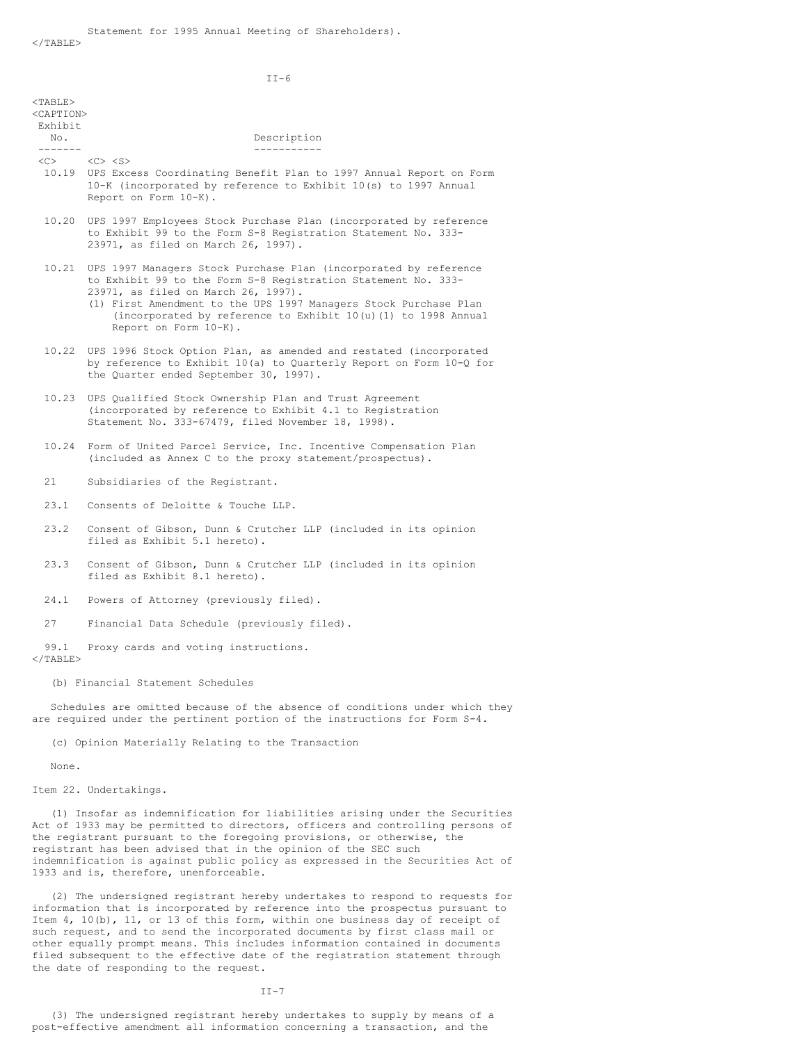II-6

| $<$ TABLE $>$<br><caption><br/>Exhibit</caption> |                                                                                                                                                                                                                                                                                                                                        |  |  |  |  |
|--------------------------------------------------|----------------------------------------------------------------------------------------------------------------------------------------------------------------------------------------------------------------------------------------------------------------------------------------------------------------------------------------|--|--|--|--|
| No.<br>-------                                   | Description<br>-----------                                                                                                                                                                                                                                                                                                             |  |  |  |  |
| <<>                                              | $\langle$ C> $\langle$ S><br>10.19 UPS Excess Coordinating Benefit Plan to 1997 Annual Report on Form<br>10-K (incorporated by reference to Exhibit 10(s) to 1997 Annual<br>Report on Form 10-K).                                                                                                                                      |  |  |  |  |
| 10.20                                            | UPS 1997 Employees Stock Purchase Plan (incorporated by reference<br>to Exhibit 99 to the Form S-8 Registration Statement No. 333-<br>23971, as filed on March 26, 1997).                                                                                                                                                              |  |  |  |  |
| 10.21                                            | UPS 1997 Managers Stock Purchase Plan (incorporated by reference<br>to Exhibit 99 to the Form S-8 Registration Statement No. 333-<br>23971, as filed on March 26, 1997).<br>(1) First Amendment to the UPS 1997 Managers Stock Purchase Plan<br>(incorporated by reference to Exhibit 10(u)(1) to 1998 Annual<br>Report on Form 10-K). |  |  |  |  |
| 10.22                                            | UPS 1996 Stock Option Plan, as amended and restated (incorporated<br>by reference to Exhibit 10(a) to Quarterly Report on Form 10-Q for<br>the Quarter ended September 30, 1997).                                                                                                                                                      |  |  |  |  |
| 10.23                                            | UPS Qualified Stock Ownership Plan and Trust Agreement<br>(incorporated by reference to Exhibit 4.1 to Registration<br>Statement No. 333-67479, filed November 18, 1998).                                                                                                                                                              |  |  |  |  |
|                                                  | 10.24 Form of United Parcel Service, Inc. Incentive Compensation Plan<br>(included as Annex C to the proxy statement/prospectus).                                                                                                                                                                                                      |  |  |  |  |
| 21                                               | Subsidiaries of the Registrant.                                                                                                                                                                                                                                                                                                        |  |  |  |  |
| 23.1                                             | Consents of Deloitte & Touche LLP.                                                                                                                                                                                                                                                                                                     |  |  |  |  |
| 23.2                                             | Consent of Gibson, Dunn & Crutcher LLP (included in its opinion<br>filed as Exhibit 5.1 hereto).                                                                                                                                                                                                                                       |  |  |  |  |
| 23.3                                             | Consent of Gibson, Dunn & Crutcher LLP (included in its opinion<br>filed as Exhibit 8.1 hereto).                                                                                                                                                                                                                                       |  |  |  |  |
| 24.1                                             | Powers of Attorney (previously filed).                                                                                                                                                                                                                                                                                                 |  |  |  |  |
| 27                                               | Financial Data Schedule (previously filed).                                                                                                                                                                                                                                                                                            |  |  |  |  |
| 99.1<br>$<$ /TABLE>                              | Proxy cards and voting instructions.                                                                                                                                                                                                                                                                                                   |  |  |  |  |
|                                                  | (b) Financial Statement Schedules                                                                                                                                                                                                                                                                                                      |  |  |  |  |
|                                                  | Schedules are omitted because of the absence of conditions under which they<br>are required under the pertinent portion of the instructions for Form S-4.                                                                                                                                                                              |  |  |  |  |
|                                                  | (c) Opinion Materially Relating to the Transaction                                                                                                                                                                                                                                                                                     |  |  |  |  |
| None.                                            |                                                                                                                                                                                                                                                                                                                                        |  |  |  |  |
|                                                  | Item 22. Undertakings.                                                                                                                                                                                                                                                                                                                 |  |  |  |  |
|                                                  | (1) Insofar as indemnification for liabilities arising under the Securities<br>Act of 1933 may be permitted to directors, officers and controlling persons of<br>the registrant pursuant to the foregoing provisions, or otherwise, the                                                                                                |  |  |  |  |

the registrant pursuant to the foregoing provisions, or otherwise, the registrant has been advised that in the opinion of the SEC such indemnification is against public policy as expressed in the Securities Act of 1933 and is, therefore, unenforceable.

(2) The undersigned registrant hereby undertakes to respond to requests for information that is incorporated by reference into the prospectus pursuant to Item 4, 10(b), 11, or 13 of this form, within one business day of receipt of such request, and to send the incorporated documents by first class mail or other equally prompt means. This includes information contained in documents filed subsequent to the effective date of the registration statement through the date of responding to the request.

II-7

(3) The undersigned registrant hereby undertakes to supply by means of a post-effective amendment all information concerning a transaction, and the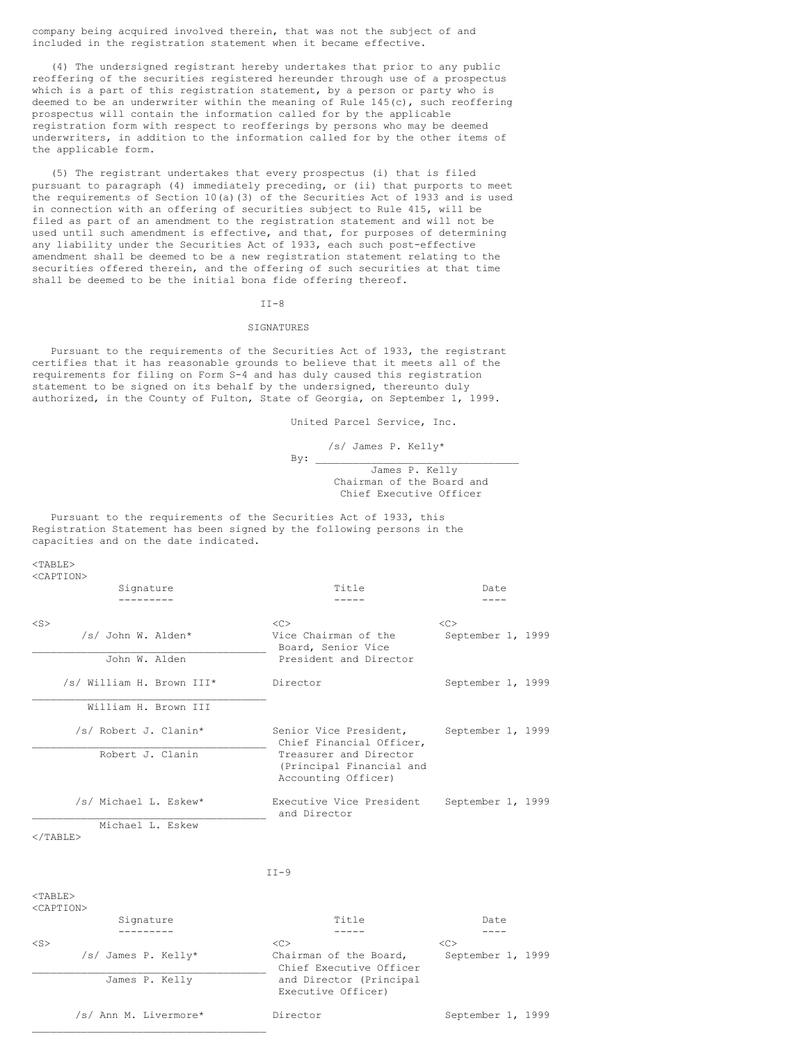company being acquired involved therein, that was not the subject of and included in the registration statement when it became effective.

(4) The undersigned registrant hereby undertakes that prior to any public reoffering of the securities registered hereunder through use of a prospectus which is a part of this registration statement, by a person or party who is deemed to be an underwriter within the meaning of Rule 145(c), such reoffering prospectus will contain the information called for by the applicable registration form with respect to reofferings by persons who may be deemed underwriters, in addition to the information called for by the other items of the applicable form.

(5) The registrant undertakes that every prospectus (i) that is filed pursuant to paragraph (4) immediately preceding, or (ii) that purports to meet the requirements of Section 10(a)(3) of the Securities Act of 1933 and is used in connection with an offering of securities subject to Rule 415, will be filed as part of an amendment to the registration statement and will not be used until such amendment is effective, and that, for purposes of determining any liability under the Securities Act of 1933, each such post-effective amendment shall be deemed to be a new registration statement relating to the securities offered therein, and the offering of such securities at that time shall be deemed to be the initial bona fide offering thereof.

### $TT - 8$

# SIGNATURES

Pursuant to the requirements of the Securities Act of 1933, the registrant certifies that it has reasonable grounds to believe that it meets all of the requirements for filing on Form S-4 and has duly caused this registration statement to be signed on its behalf by the undersigned, thereunto duly authorized, in the County of Fulton, State of Georgia, on September 1, 1999.

United Parcel Service, Inc.

/s/ James P. Kelly\*

 $By:$ James P. Kelly Chairman of the Board and Chief Executive Officer

Pursuant to the requirements of the Securities Act of 1933, this Registration Statement has been signed by the following persons in the capacities and on the date indicated.

 $<$ TABLE> <CAPTION> Signature Date Date Date Date Date --------- ----- ---- <S> <C> <C> /s/ John W. Alden\* Vice Chairman of the September 1, 1999 Board, Senior Vice John W. Alden President and Director /s/ William H. Brown III\* Director September 1, 1999 \_\_\_\_\_\_\_\_\_\_\_\_\_\_\_\_\_\_\_\_\_\_\_\_\_\_\_\_\_\_\_\_\_\_\_\_\_\_ William H. Brown III /s/ Robert J. Clanin\* Senior Vice President, September 1, 1999 Chief Financial Officer, Robert J. Clanin Treasurer and Director (Principal Financial and Accounting Officer) /s/ Michael L. Eskew\* Executive Vice President September 1, 1999 \_\_\_\_\_\_\_\_\_\_\_\_\_\_\_\_\_\_\_\_\_\_\_\_\_\_\_\_\_\_\_\_\_\_\_\_\_\_ and Director Michael L. Eskew  $<$ /TABLE>

<TABLE> <CAPTION> Signature Title Date --------- ----- ---- <S> <C> <C> /s/ James P. Kelly\* Chairman of the Board, September 1, 1999 Chief Executive Officer James P. Kelly **and Director (Principal** Executive Officer) /s/ Ann M. Livermore\* Director September 1, 1999

\_\_\_\_\_\_\_\_\_\_\_\_\_\_\_\_\_\_\_\_\_\_\_\_\_\_\_\_\_\_\_\_\_\_\_\_\_\_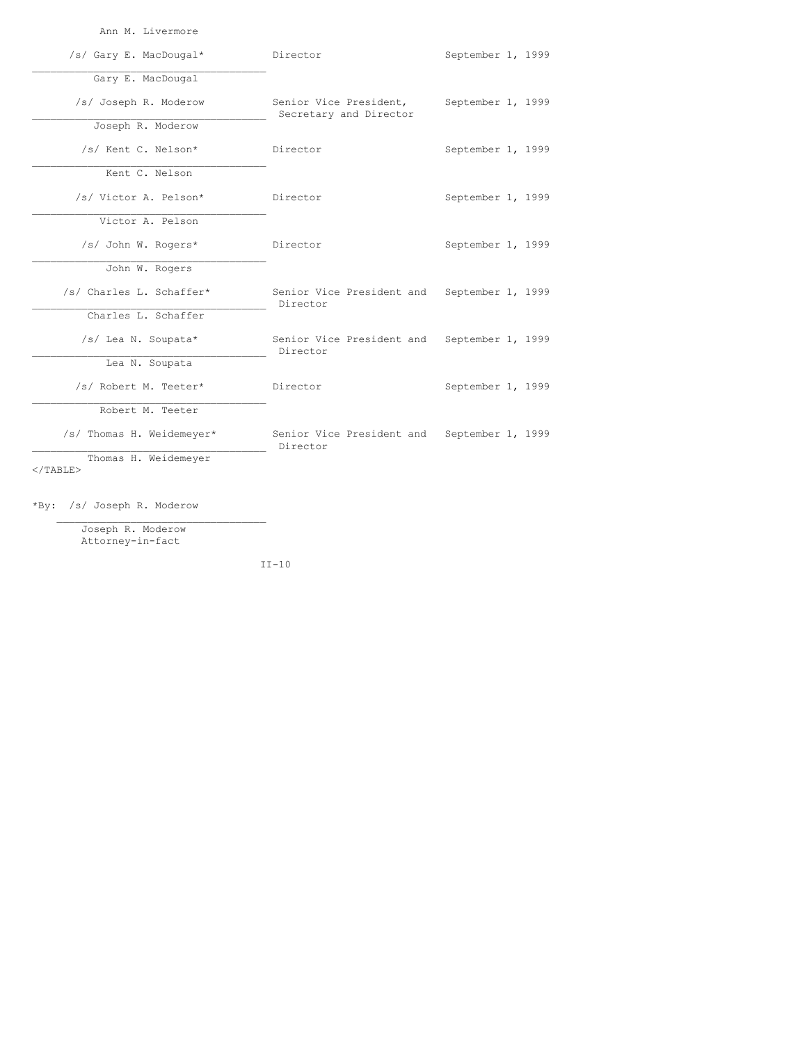Ann M. Livermore

| /s/ Gary E. MacDougal*    | Director                                         | September 1, 1999 |
|---------------------------|--------------------------------------------------|-------------------|
| Gary E. MacDougal         |                                                  |                   |
| /s/ Joseph R. Moderow     | Senior Vice President,<br>Secretary and Director | September 1, 1999 |
| Joseph R. Moderow         |                                                  |                   |
| /s/ Kent C. Nelson*       | Director                                         | September 1, 1999 |
| Kent C. Nelson            |                                                  |                   |
| /s/ Victor A. Pelson*     | Director                                         | September 1, 1999 |
| Victor A. Pelson          |                                                  |                   |
| /s/ John W. Rogers*       | Director                                         | September 1, 1999 |
| John W. Rogers            |                                                  |                   |
| /s/ Charles L. Schaffer*  | Senior Vice President and<br>Director            | September 1, 1999 |
| Charles L. Schaffer       |                                                  |                   |
| /s/ Lea N. Soupata*       | Senior Vice President and<br>Director            | September 1, 1999 |
| Lea N. Soupata            |                                                  |                   |
| /s/ Robert M. Teeter*     | Director                                         | September 1, 1999 |
| Robert M. Teeter          |                                                  |                   |
| /s/ Thomas H. Weidemeyer* | Senior Vice President and<br>Director            | September 1, 1999 |
| Thomas H. Weidemeyer      |                                                  |                   |

 $<$ /TABLE>

\*By: /s/ Joseph R. Moderow

Joseph R. Moderow Attorney-in-fact

\_\_\_\_\_\_\_\_\_\_\_\_\_\_\_\_\_\_\_\_\_\_\_\_\_\_\_\_\_\_\_\_\_\_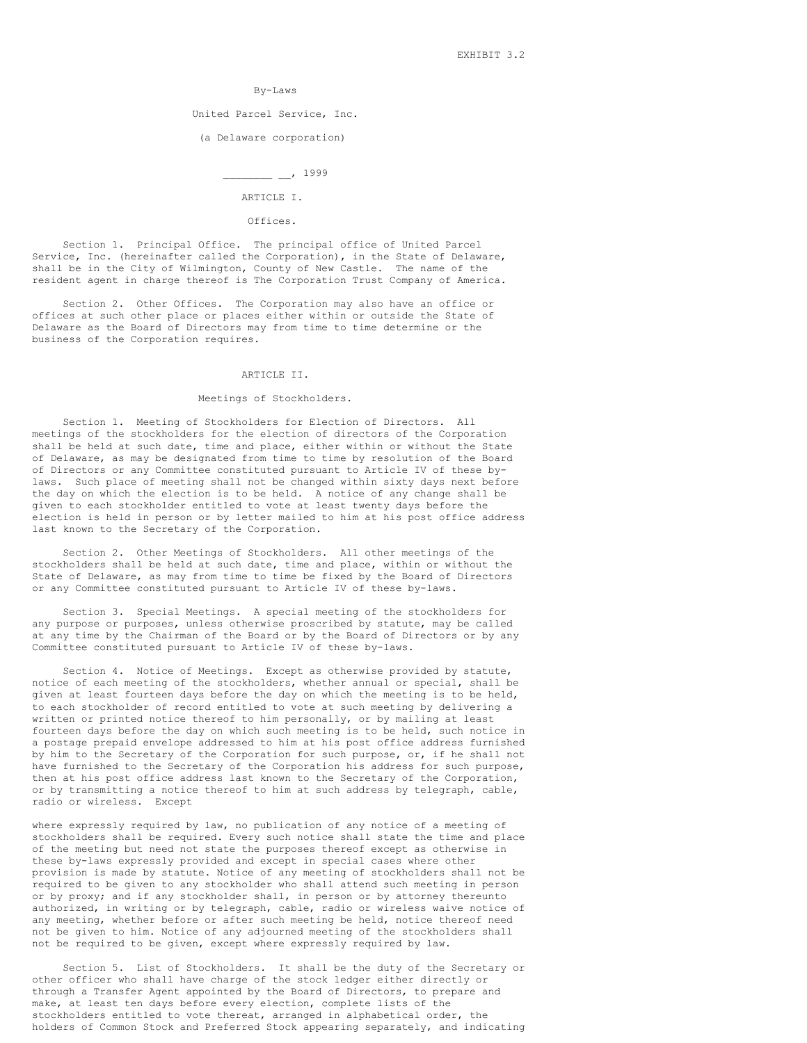### By-Laws

# United Parcel Service, Inc.

### (a Delaware corporation)

 $\frac{1999}{2}$ 

### ARTICLE I.

### Offices.

Section 1. Principal Office. The principal office of United Parcel Service, Inc. (hereinafter called the Corporation), in the State of Delaware, shall be in the City of Wilmington, County of New Castle. The name of the resident agent in charge thereof is The Corporation Trust Company of America.

Section 2. Other Offices. The Corporation may also have an office or offices at such other place or places either within or outside the State of Delaware as the Board of Directors may from time to time determine or the business of the Corporation requires.

# ARTICLE II.

# Meetings of Stockholders.

Section 1. Meeting of Stockholders for Election of Directors. All meetings of the stockholders for the election of directors of the Corporation shall be held at such date, time and place, either within or without the State of Delaware, as may be designated from time to time by resolution of the Board of Directors or any Committee constituted pursuant to Article IV of these bylaws. Such place of meeting shall not be changed within sixty days next before the day on which the election is to be held. A notice of any change shall be given to each stockholder entitled to vote at least twenty days before the election is held in person or by letter mailed to him at his post office address last known to the Secretary of the Corporation.

Section 2. Other Meetings of Stockholders. All other meetings of the stockholders shall be held at such date, time and place, within or without the State of Delaware, as may from time to time be fixed by the Board of Directors or any Committee constituted pursuant to Article IV of these by-laws.

Section 3. Special Meetings. A special meeting of the stockholders for any purpose or purposes, unless otherwise proscribed by statute, may be called at any time by the Chairman of the Board or by the Board of Directors or by any Committee constituted pursuant to Article IV of these by-laws.

Section 4. Notice of Meetings. Except as otherwise provided by statute, notice of each meeting of the stockholders, whether annual or special, shall be given at least fourteen days before the day on which the meeting is to be held, to each stockholder of record entitled to vote at such meeting by delivering a written or printed notice thereof to him personally, or by mailing at least fourteen days before the day on which such meeting is to be held, such notice in a postage prepaid envelope addressed to him at his post office address furnished by him to the Secretary of the Corporation for such purpose, or, if he shall not have furnished to the Secretary of the Corporation his address for such purpose, then at his post office address last known to the Secretary of the Corporation, or by transmitting a notice thereof to him at such address by telegraph, cable, radio or wireless. Except

where expressly required by law, no publication of any notice of a meeting of stockholders shall be required. Every such notice shall state the time and place of the meeting but need not state the purposes thereof except as otherwise in these by-laws expressly provided and except in special cases where other provision is made by statute. Notice of any meeting of stockholders shall not be required to be given to any stockholder who shall attend such meeting in person or by proxy; and if any stockholder shall, in person or by attorney thereunto authorized, in writing or by telegraph, cable, radio or wireless waive notice of any meeting, whether before or after such meeting be held, notice thereof need not be given to him. Notice of any adjourned meeting of the stockholders shall not be required to be given, except where expressly required by law.

Section 5. List of Stockholders. It shall be the duty of the Secretary or other officer who shall have charge of the stock ledger either directly or through a Transfer Agent appointed by the Board of Directors, to prepare and make, at least ten days before every election, complete lists of the stockholders entitled to vote thereat, arranged in alphabetical order, the holders of Common Stock and Preferred Stock appearing separately, and indicating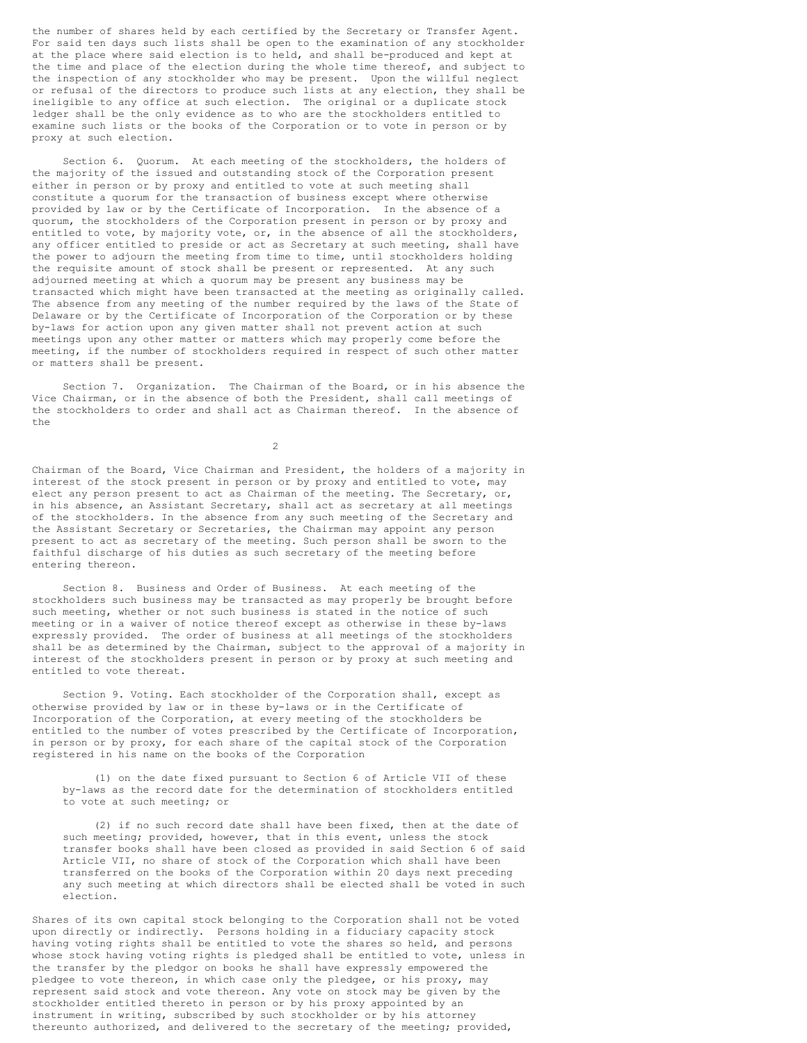the number of shares held by each certified by the Secretary or Transfer Agent. For said ten days such lists shall be open to the examination of any stockholder at the place where said election is to held, and shall be-produced and kept at the time and place of the election during the whole time thereof, and subject to the inspection of any stockholder who may be present. Upon the willful neglect or refusal of the directors to produce such lists at any election, they shall be ineligible to any office at such election. The original or a duplicate stock ledger shall be the only evidence as to who are the stockholders entitled to examine such lists or the books of the Corporation or to vote in person or by proxy at such election.

Section 6. Quorum. At each meeting of the stockholders, the holders of the majority of the issued and outstanding stock of the Corporation present either in person or by proxy and entitled to vote at such meeting shall constitute a quorum for the transaction of business except where otherwise provided by law or by the Certificate of Incorporation. In the absence of a quorum, the stockholders of the Corporation present in person or by proxy and entitled to vote, by majority vote, or, in the absence of all the stockholders, any officer entitled to preside or act as Secretary at such meeting, shall have the power to adjourn the meeting from time to time, until stockholders holding the requisite amount of stock shall be present or represented. At any such adjourned meeting at which a quorum may be present any business may be transacted which might have been transacted at the meeting as originally called. The absence from any meeting of the number required by the laws of the State of Delaware or by the Certificate of Incorporation of the Corporation or by these by-laws for action upon any given matter shall not prevent action at such meetings upon any other matter or matters which may properly come before the meeting, if the number of stockholders required in respect of such other matter or matters shall be present.

Section 7. Organization. The Chairman of the Board, or in his absence the Vice Chairman, or in the absence of both the President, shall call meetings of the stockholders to order and shall act as Chairman thereof. In the absence of the

 $\overline{2}$ 

Chairman of the Board, Vice Chairman and President, the holders of a majority in interest of the stock present in person or by proxy and entitled to vote, may elect any person present to act as Chairman of the meeting. The Secretary, or, in his absence, an Assistant Secretary, shall act as secretary at all meetings of the stockholders. In the absence from any such meeting of the Secretary and the Assistant Secretary or Secretaries, the Chairman may appoint any person present to act as secretary of the meeting. Such person shall be sworn to the faithful discharge of his duties as such secretary of the meeting before entering thereon.

Section 8. Business and Order of Business. At each meeting of the stockholders such business may be transacted as may properly be brought before such meeting, whether or not such business is stated in the notice of such meeting or in a waiver of notice thereof except as otherwise in these by-laws expressly provided. The order of business at all meetings of the stockholders shall be as determined by the Chairman, subject to the approval of a majority in interest of the stockholders present in person or by proxy at such meeting and entitled to vote thereat.

Section 9. Voting. Each stockholder of the Corporation shall, except as otherwise provided by law or in these by-laws or in the Certificate of Incorporation of the Corporation, at every meeting of the stockholders be entitled to the number of votes prescribed by the Certificate of Incorporation, in person or by proxy, for each share of the capital stock of the Corporation registered in his name on the books of the Corporation

(1) on the date fixed pursuant to Section 6 of Article VII of these by-laws as the record date for the determination of stockholders entitled to vote at such meeting; or

(2) if no such record date shall have been fixed, then at the date of such meeting; provided, however, that in this event, unless the stock transfer books shall have been closed as provided in said Section 6 of said Article VII, no share of stock of the Corporation which shall have been transferred on the books of the Corporation within 20 days next preceding any such meeting at which directors shall be elected shall be voted in such election.

Shares of its own capital stock belonging to the Corporation shall not be voted upon directly or indirectly. Persons holding in a fiduciary capacity stock having voting rights shall be entitled to vote the shares so held, and persons whose stock having voting rights is pledged shall be entitled to vote, unless in the transfer by the pledgor on books he shall have expressly empowered the pledgee to vote thereon, in which case only the pledgee, or his proxy, may represent said stock and vote thereon. Any vote on stock may be given by the stockholder entitled thereto in person or by his proxy appointed by an instrument in writing, subscribed by such stockholder or by his attorney thereunto authorized, and delivered to the secretary of the meeting; provided,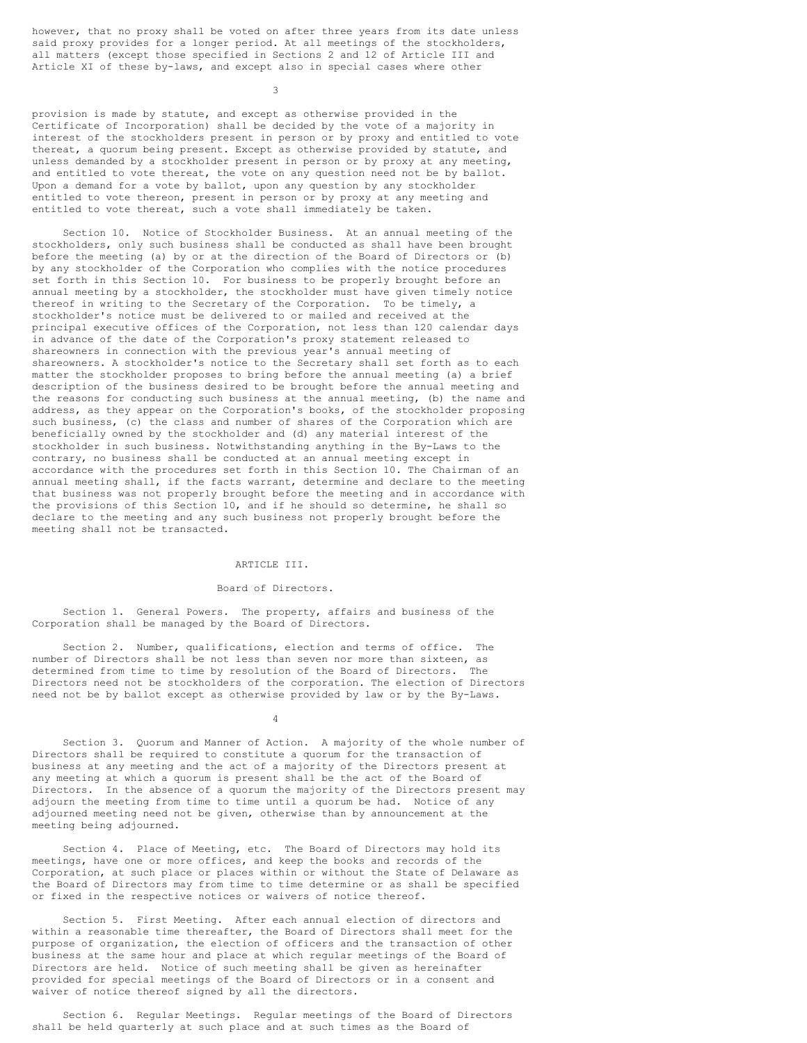however, that no proxy shall be voted on after three years from its date unless said proxy provides for a longer period. At all meetings of the stockholders, all matters (except those specified in Sections 2 and 12 of Article III and Article XI of these by-laws, and except also in special cases where other

3

provision is made by statute, and except as otherwise provided in the Certificate of Incorporation) shall be decided by the vote of a majority in interest of the stockholders present in person or by proxy and entitled to vote thereat, a quorum being present. Except as otherwise provided by statute, and unless demanded by a stockholder present in person or by proxy at any meeting, and entitled to vote thereat, the vote on any question need not be by ballot. Upon a demand for a vote by ballot, upon any question by any stockholder entitled to vote thereon, present in person or by proxy at any meeting and entitled to vote thereat, such a vote shall immediately be taken.

Section 10. Notice of Stockholder Business. At an annual meeting of the stockholders, only such business shall be conducted as shall have been brought before the meeting (a) by or at the direction of the Board of Directors or (b) by any stockholder of the Corporation who complies with the notice procedures set forth in this Section 10. For business to be properly brought before an annual meeting by a stockholder, the stockholder must have given timely notice thereof in writing to the Secretary of the Corporation. To be timely, a stockholder's notice must be delivered to or mailed and received at the principal executive offices of the Corporation, not less than 120 calendar days in advance of the date of the Corporation's proxy statement released to shareowners in connection with the previous year's annual meeting of shareowners. A stockholder's notice to the Secretary shall set forth as to each matter the stockholder proposes to bring before the annual meeting (a) a brief description of the business desired to be brought before the annual meeting and the reasons for conducting such business at the annual meeting, (b) the name and address, as they appear on the Corporation's books, of the stockholder proposing such business, (c) the class and number of shares of the Corporation which are beneficially owned by the stockholder and (d) any material interest of the stockholder in such business. Notwithstanding anything in the By-Laws to the contrary, no business shall be conducted at an annual meeting except in accordance with the procedures set forth in this Section 10. The Chairman of an annual meeting shall, if the facts warrant, determine and declare to the meeting that business was not properly brought before the meeting and in accordance with the provisions of this Section 10, and if he should so determine, he shall so declare to the meeting and any such business not properly brought before the meeting shall not be transacted.

### ARTICLE III.

# Board of Directors.

Section 1. General Powers. The property, affairs and business of the Corporation shall be managed by the Board of Directors.

Section 2. Number, qualifications, election and terms of office. The number of Directors shall be not less than seven nor more than sixteen, as determined from time to time by resolution of the Board of Directors. The Directors need not be stockholders of the corporation. The election of Directors need not be by ballot except as otherwise provided by law or by the By-Laws.

4

Section 3. Quorum and Manner of Action. A majority of the whole number of Directors shall be required to constitute a quorum for the transaction of business at any meeting and the act of a majority of the Directors present at any meeting at which a quorum is present shall be the act of the Board of Directors. In the absence of a quorum the majority of the Directors present may adjourn the meeting from time to time until a quorum be had. Notice of any adjourned meeting need not be given, otherwise than by announcement at the meeting being adjourned.

Section 4. Place of Meeting, etc. The Board of Directors may hold its meetings, have one or more offices, and keep the books and records of the Corporation, at such place or places within or without the State of Delaware as the Board of Directors may from time to time determine or as shall be specified or fixed in the respective notices or waivers of notice thereof.

Section 5. First Meeting. After each annual election of directors and within a reasonable time thereafter, the Board of Directors shall meet for the purpose of organization, the election of officers and the transaction of other business at the same hour and place at which regular meetings of the Board of Directors are held. Notice of such meeting shall be given as hereinafter provided for special meetings of the Board of Directors or in a consent and waiver of notice thereof signed by all the directors.

Section 6. Regular Meetings. Regular meetings of the Board of Directors shall be held quarterly at such place and at such times as the Board of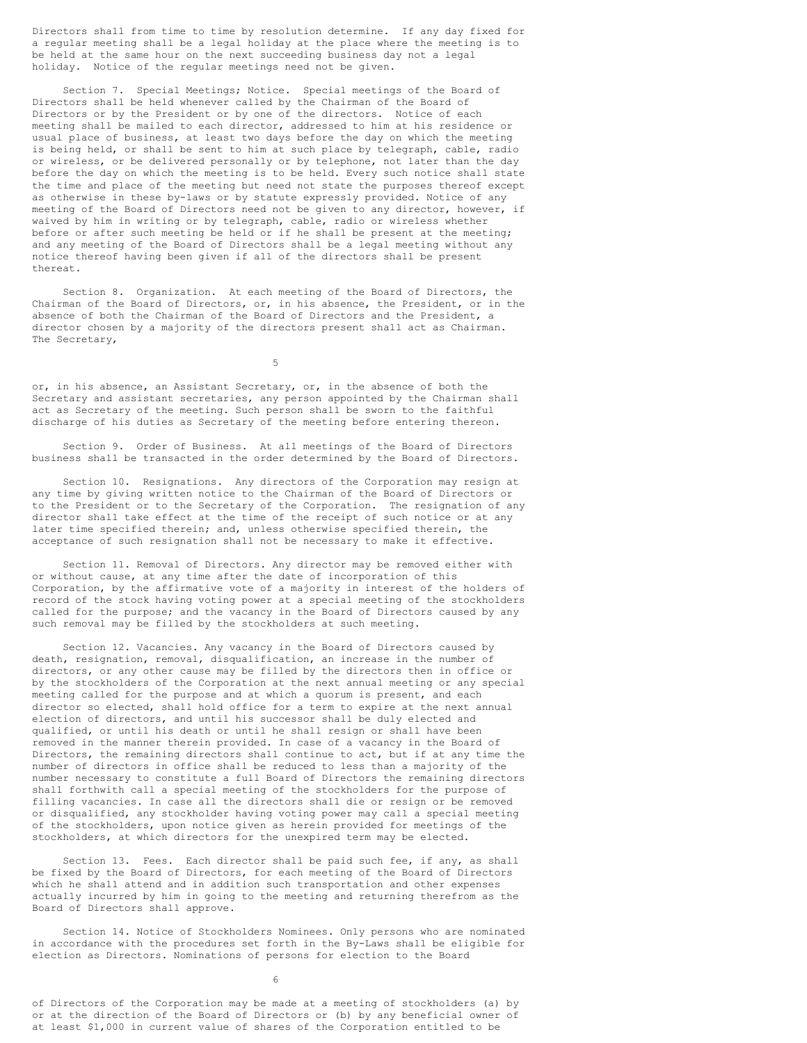Directors shall from time to time by resolution determine. If any day fixed for a regular meeting shall be a legal holiday at the place where the meeting is to be held at the same hour on the next succeeding business day not a legal holiday. Notice of the regular meetings need not be given.

Section 7. Special Meetings; Notice. Special meetings of the Board of Directors shall be held whenever called by the Chairman of the Board of Directors or by the President or by one of the directors. Notice of each meeting shall be mailed to each director, addressed to him at his residence or usual place of business, at least two days before the day on which the meeting is being held, or shall be sent to him at such place by telegraph, cable, radio or wireless, or be delivered personally or by telephone, not later than the day before the day on which the meeting is to be held. Every such notice shall state the time and place of the meeting but need not state the purposes thereof except as otherwise in these by-laws or by statute expressly provided. Notice of any meeting of the Board of Directors need not be given to any director, however, if waived by him in writing or by telegraph, cable, radio or wireless whether before or after such meeting be held or if he shall be present at the meeting; and any meeting of the Board of Directors shall be a legal meeting without any notice thereof having been given if all of the directors shall be present thereat.

Section 8. Organization. At each meeting of the Board of Directors, the Chairman of the Board of Directors, or, in his absence, the President, or in the absence of both the Chairman of the Board of Directors and the President, a director chosen by a majority of the directors present shall act as Chairman. The Secretary,

5

or, in his absence, an Assistant Secretary, or, in the absence of both the Secretary and assistant secretaries, any person appointed by the Chairman shall act as Secretary of the meeting. Such person shall be sworn to the faithful discharge of his duties as Secretary of the meeting before entering thereon.

Section 9. Order of Business. At all meetings of the Board of Directors business shall be transacted in the order determined by the Board of Directors.

Section 10. Resignations. Any directors of the Corporation may resign at any time by giving written notice to the Chairman of the Board of Directors or to the President or to the Secretary of the Corporation. The resignation of any director shall take effect at the time of the receipt of such notice or at any later time specified therein; and, unless otherwise specified therein, the acceptance of such resignation shall not be necessary to make it effective.

Section 11. Removal of Directors. Any director may be removed either with or without cause, at any time after the date of incorporation of this Corporation, by the affirmative vote of a majority in interest of the holders of record of the stock having voting power at a special meeting of the stockholders called for the purpose; and the vacancy in the Board of Directors caused by any such removal may be filled by the stockholders at such meeting.

Section 12. Vacancies. Any vacancy in the Board of Directors caused by death, resignation, removal, disqualification, an increase in the number of directors, or any other cause may be filled by the directors then in office or by the stockholders of the Corporation at the next annual meeting or any special meeting called for the purpose and at which a quorum is present, and each director so elected, shall hold office for a term to expire at the next annual election of directors, and until his successor shall be duly elected and qualified, or until his death or until he shall resign or shall have been removed in the manner therein provided. In case of a vacancy in the Board of Directors, the remaining directors shall continue to act, but if at any time the number of directors in office shall be reduced to less than a majority of the number necessary to constitute a full Board of Directors the remaining directors shall forthwith call a special meeting of the stockholders for the purpose of filling vacancies. In case all the directors shall die or resign or be removed or disqualified, any stockholder having voting power may call a special meeting of the stockholders, upon notice given as herein provided for meetings of the stockholders, at which directors for the unexpired term may be elected.

Section 13. Fees. Each director shall be paid such fee, if any, as shall be fixed by the Board of Directors, for each meeting of the Board of Directors which he shall attend and in addition such transportation and other expenses actually incurred by him in going to the meeting and returning therefrom as the Board of Directors shall approve.

Section 14. Notice of Stockholders Nominees. Only persons who are nominated in accordance with the procedures set forth in the By-Laws shall be eligible for election as Directors. Nominations of persons for election to the Board

6

of Directors of the Corporation may be made at a meeting of stockholders (a) by or at the direction of the Board of Directors or (b) by any beneficial owner of at least \$1,000 in current value of shares of the Corporation entitled to be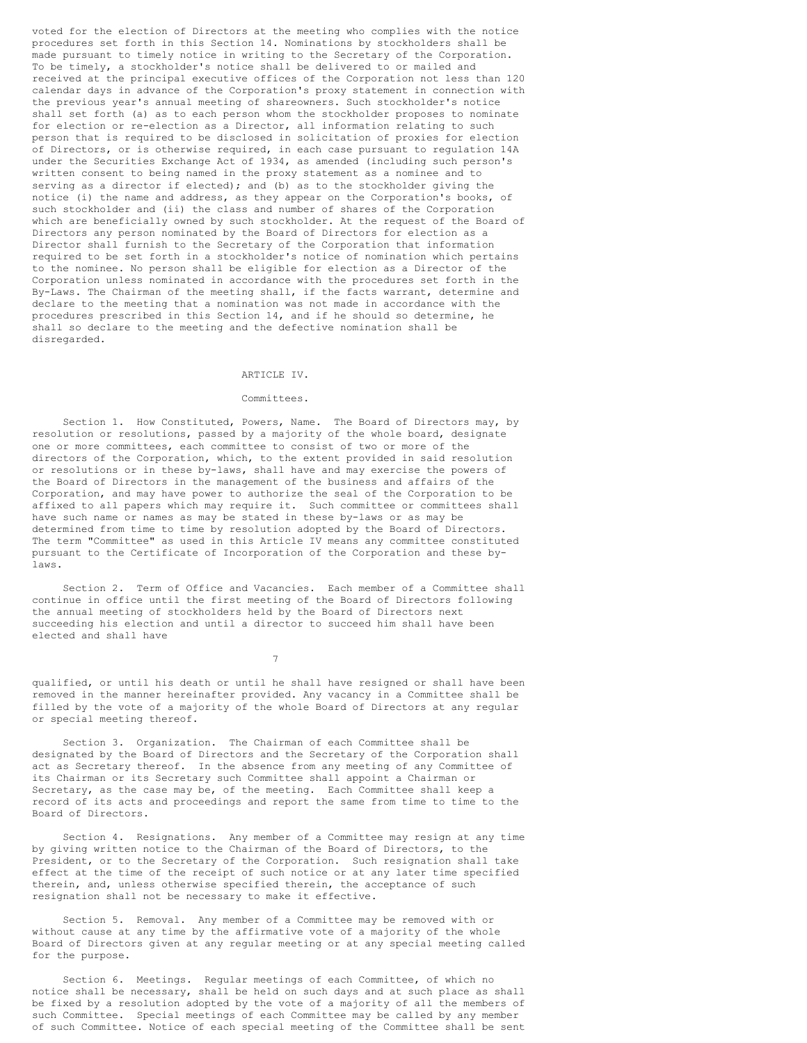voted for the election of Directors at the meeting who complies with the notice procedures set forth in this Section 14. Nominations by stockholders shall be made pursuant to timely notice in writing to the Secretary of the Corporation. To be timely, a stockholder's notice shall be delivered to or mailed and received at the principal executive offices of the Corporation not less than 120 calendar days in advance of the Corporation's proxy statement in connection with the previous year's annual meeting of shareowners. Such stockholder's notice shall set forth (a) as to each person whom the stockholder proposes to nominate for election or re-election as a Director, all information relating to such person that is required to be disclosed in solicitation of proxies for election of Directors, or is otherwise required, in each case pursuant to regulation 14A under the Securities Exchange Act of 1934, as amended (including such person's written consent to being named in the proxy statement as a nominee and to serving as a director if elected); and (b) as to the stockholder giving the notice (i) the name and address, as they appear on the Corporation's books, of such stockholder and (ii) the class and number of shares of the Corporation which are beneficially owned by such stockholder. At the request of the Board of Directors any person nominated by the Board of Directors for election as a Director shall furnish to the Secretary of the Corporation that information required to be set forth in a stockholder's notice of nomination which pertains to the nominee. No person shall be eligible for election as a Director of the Corporation unless nominated in accordance with the procedures set forth in the By-Laws. The Chairman of the meeting shall, if the facts warrant, determine and declare to the meeting that a nomination was not made in accordance with the procedures prescribed in this Section 14, and if he should so determine, he shall so declare to the meeting and the defective nomination shall be disregarded.

## ARTICLE IV.

#### Committees.

Section 1. How Constituted, Powers, Name. The Board of Directors may, by resolution or resolutions, passed by a majority of the whole board, designate one or more committees, each committee to consist of two or more of the directors of the Corporation, which, to the extent provided in said resolution or resolutions or in these by-laws, shall have and may exercise the powers of the Board of Directors in the management of the business and affairs of the Corporation, and may have power to authorize the seal of the Corporation to be affixed to all papers which may require it. Such committee or committees shall have such name or names as may be stated in these by-laws or as may be determined from time to time by resolution adopted by the Board of Directors. The term "Committee" as used in this Article IV means any committee constituted pursuant to the Certificate of Incorporation of the Corporation and these bylaws.

Section 2. Term of Office and Vacancies. Each member of a Committee shall continue in office until the first meeting of the Board of Directors following the annual meeting of stockholders held by the Board of Directors next succeeding his election and until a director to succeed him shall have been elected and shall have

7

qualified, or until his death or until he shall have resigned or shall have been removed in the manner hereinafter provided. Any vacancy in a Committee shall be filled by the vote of a majority of the whole Board of Directors at any regular or special meeting thereof.

Section 3. Organization. The Chairman of each Committee shall be designated by the Board of Directors and the Secretary of the Corporation shall act as Secretary thereof. In the absence from any meeting of any Committee of its Chairman or its Secretary such Committee shall appoint a Chairman or Secretary, as the case may be, of the meeting. Each Committee shall keep a record of its acts and proceedings and report the same from time to time to the Board of Directors.

Section 4. Resignations. Any member of a Committee may resign at any time by giving written notice to the Chairman of the Board of Directors, to the President, or to the Secretary of the Corporation. Such resignation shall take effect at the time of the receipt of such notice or at any later time specified therein, and, unless otherwise specified therein, the acceptance of such resignation shall not be necessary to make it effective.

Section 5. Removal. Any member of a Committee may be removed with or without cause at any time by the affirmative vote of a majority of the whole Board of Directors given at any regular meeting or at any special meeting called for the purpose.

Section 6. Meetings. Regular meetings of each Committee, of which no notice shall be necessary, shall be held on such days and at such place as shall be fixed by a resolution adopted by the vote of a majority of all the members of such Committee. Special meetings of each Committee may be called by any member of such Committee. Notice of each special meeting of the Committee shall be sent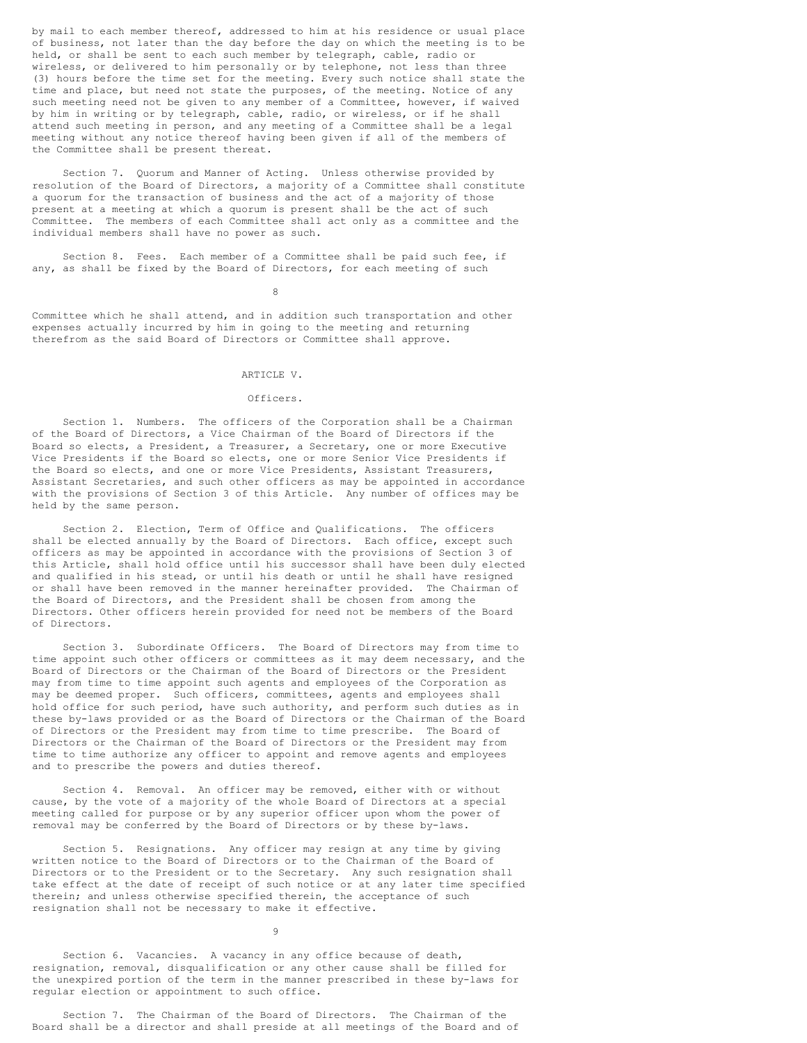by mail to each member thereof, addressed to him at his residence or usual place of business, not later than the day before the day on which the meeting is to be held, or shall be sent to each such member by telegraph, cable, radio or wireless, or delivered to him personally or by telephone, not less than three (3) hours before the time set for the meeting. Every such notice shall state the time and place, but need not state the purposes, of the meeting. Notice of any such meeting need not be given to any member of a Committee, however, if waived by him in writing or by telegraph, cable, radio, or wireless, or if he shall attend such meeting in person, and any meeting of a Committee shall be a legal meeting without any notice thereof having been given if all of the members of the Committee shall be present thereat.

Section 7. Quorum and Manner of Acting. Unless otherwise provided by resolution of the Board of Directors, a majority of a Committee shall constitute a quorum for the transaction of business and the act of a majority of those present at a meeting at which a quorum is present shall be the act of such Committee. The members of each Committee shall act only as a committee and the individual members shall have no power as such.

Section 8. Fees. Each member of a Committee shall be paid such fee, if any, as shall be fixed by the Board of Directors, for each meeting of such

8

Committee which he shall attend, and in addition such transportation and other expenses actually incurred by him in going to the meeting and returning therefrom as the said Board of Directors or Committee shall approve.

## ARTICLE V.

### Officers.

Section 1. Numbers. The officers of the Corporation shall be a Chairman of the Board of Directors, a Vice Chairman of the Board of Directors if the Board so elects, a President, a Treasurer, a Secretary, one or more Executive Vice Presidents if the Board so elects, one or more Senior Vice Presidents if the Board so elects, and one or more Vice Presidents, Assistant Treasurers, Assistant Secretaries, and such other officers as may be appointed in accordance with the provisions of Section 3 of this Article. Any number of offices may be held by the same person.

Section 2. Election, Term of Office and Qualifications. The officers shall be elected annually by the Board of Directors. Each office, except such officers as may be appointed in accordance with the provisions of Section 3 of this Article, shall hold office until his successor shall have been duly elected and qualified in his stead, or until his death or until he shall have resigned or shall have been removed in the manner hereinafter provided. The Chairman of the Board of Directors, and the President shall be chosen from among the Directors. Other officers herein provided for need not be members of the Board of Directors.

Section 3. Subordinate Officers. The Board of Directors may from time to time appoint such other officers or committees as it may deem necessary, and the Board of Directors or the Chairman of the Board of Directors or the President may from time to time appoint such agents and employees of the Corporation as may be deemed proper. Such officers, committees, agents and employees shall hold office for such period, have such authority, and perform such duties as in these by-laws provided or as the Board of Directors or the Chairman of the Board of Directors or the President may from time to time prescribe. The Board of Directors or the Chairman of the Board of Directors or the President may from time to time authorize any officer to appoint and remove agents and employees and to prescribe the powers and duties thereof.

Section 4. Removal. An officer may be removed, either with or without cause, by the vote of a majority of the whole Board of Directors at a special meeting called for purpose or by any superior officer upon whom the power of removal may be conferred by the Board of Directors or by these by-laws.

Section 5. Resignations. Any officer may resign at any time by giving written notice to the Board of Directors or to the Chairman of the Board of Directors or to the President or to the Secretary. Any such resignation shall take effect at the date of receipt of such notice or at any later time specified therein; and unless otherwise specified therein, the acceptance of such resignation shall not be necessary to make it effective.

9

Section 6. Vacancies. A vacancy in any office because of death, resignation, removal, disqualification or any other cause shall be filled for the unexpired portion of the term in the manner prescribed in these by-laws for regular election or appointment to such office.

Section 7. The Chairman of the Board of Directors. The Chairman of the Board shall be a director and shall preside at all meetings of the Board and of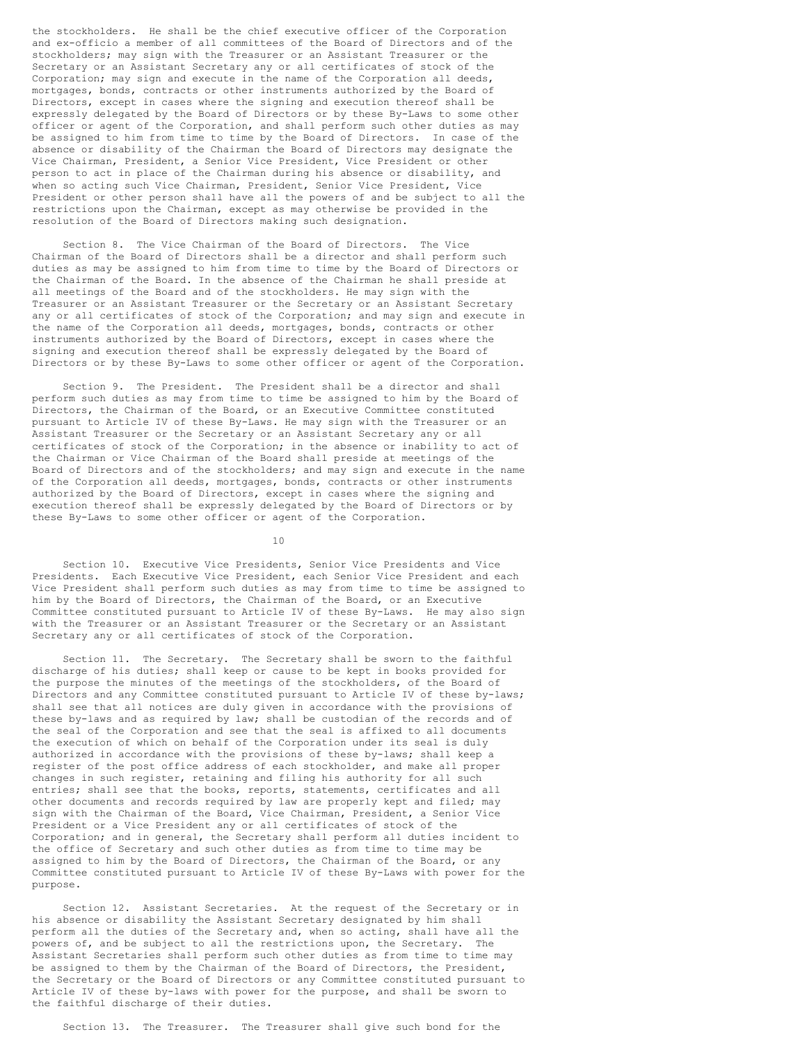the stockholders. He shall be the chief executive officer of the Corporation and ex-officio a member of all committees of the Board of Directors and of the stockholders; may sign with the Treasurer or an Assistant Treasurer or the Secretary or an Assistant Secretary any or all certificates of stock of the Corporation; may sign and execute in the name of the Corporation all deeds, mortgages, bonds, contracts or other instruments authorized by the Board of Directors, except in cases where the signing and execution thereof shall be expressly delegated by the Board of Directors or by these By-Laws to some other officer or agent of the Corporation, and shall perform such other duties as may be assigned to him from time to time by the Board of Directors. In case of the absence or disability of the Chairman the Board of Directors may designate the Vice Chairman, President, a Senior Vice President, Vice President or other person to act in place of the Chairman during his absence or disability, and when so acting such Vice Chairman, President, Senior Vice President, Vice President or other person shall have all the powers of and be subject to all the restrictions upon the Chairman, except as may otherwise be provided in the resolution of the Board of Directors making such designation.

Section 8. The Vice Chairman of the Board of Directors. The Vice Chairman of the Board of Directors shall be a director and shall perform such duties as may be assigned to him from time to time by the Board of Directors or the Chairman of the Board. In the absence of the Chairman he shall preside at all meetings of the Board and of the stockholders. He may sign with the Treasurer or an Assistant Treasurer or the Secretary or an Assistant Secretary any or all certificates of stock of the Corporation; and may sign and execute in the name of the Corporation all deeds, mortgages, bonds, contracts or other instruments authorized by the Board of Directors, except in cases where the signing and execution thereof shall be expressly delegated by the Board of Directors or by these By-Laws to some other officer or agent of the Corporation.

Section 9. The President. The President shall be a director and shall perform such duties as may from time to time be assigned to him by the Board of Directors, the Chairman of the Board, or an Executive Committee constituted pursuant to Article IV of these By-Laws. He may sign with the Treasurer or an Assistant Treasurer or the Secretary or an Assistant Secretary any or all certificates of stock of the Corporation; in the absence or inability to act of the Chairman or Vice Chairman of the Board shall preside at meetings of the Board of Directors and of the stockholders; and may sign and execute in the name of the Corporation all deeds, mortgages, bonds, contracts or other instruments authorized by the Board of Directors, except in cases where the signing and execution thereof shall be expressly delegated by the Board of Directors or by these By-Laws to some other officer or agent of the Corporation.

10

Section 10. Executive Vice Presidents, Senior Vice Presidents and Vice Presidents. Each Executive Vice President, each Senior Vice President and each Vice President shall perform such duties as may from time to time be assigned to him by the Board of Directors, the Chairman of the Board, or an Executive Committee constituted pursuant to Article IV of these By-Laws. He may also sign with the Treasurer or an Assistant Treasurer or the Secretary or an Assistant Secretary any or all certificates of stock of the Corporation.

Section 11. The Secretary. The Secretary shall be sworn to the faithful discharge of his duties; shall keep or cause to be kept in books provided for the purpose the minutes of the meetings of the stockholders, of the Board of Directors and any Committee constituted pursuant to Article IV of these by-laws; shall see that all notices are duly given in accordance with the provisions of these by-laws and as required by law; shall be custodian of the records and of the seal of the Corporation and see that the seal is affixed to all documents the execution of which on behalf of the Corporation under its seal is duly authorized in accordance with the provisions of these by-laws; shall keep a register of the post office address of each stockholder, and make all proper changes in such register, retaining and filing his authority for all such entries; shall see that the books, reports, statements, certificates and all other documents and records required by law are properly kept and filed; may sign with the Chairman of the Board, Vice Chairman, President, a Senior Vice President or a Vice President any or all certificates of stock of the Corporation; and in general, the Secretary shall perform all duties incident to the office of Secretary and such other duties as from time to time may be assigned to him by the Board of Directors, the Chairman of the Board, or any Committee constituted pursuant to Article IV of these By-Laws with power for the purpose.

Section 12. Assistant Secretaries. At the request of the Secretary or in his absence or disability the Assistant Secretary designated by him shall perform all the duties of the Secretary and, when so acting, shall have all the powers of, and be subject to all the restrictions upon, the Secretary. The Assistant Secretaries shall perform such other duties as from time to time may be assigned to them by the Chairman of the Board of Directors, the President, the Secretary or the Board of Directors or any Committee constituted pursuant to Article IV of these by-laws with power for the purpose, and shall be sworn to the faithful discharge of their duties.

Section 13. The Treasurer. The Treasurer shall give such bond for the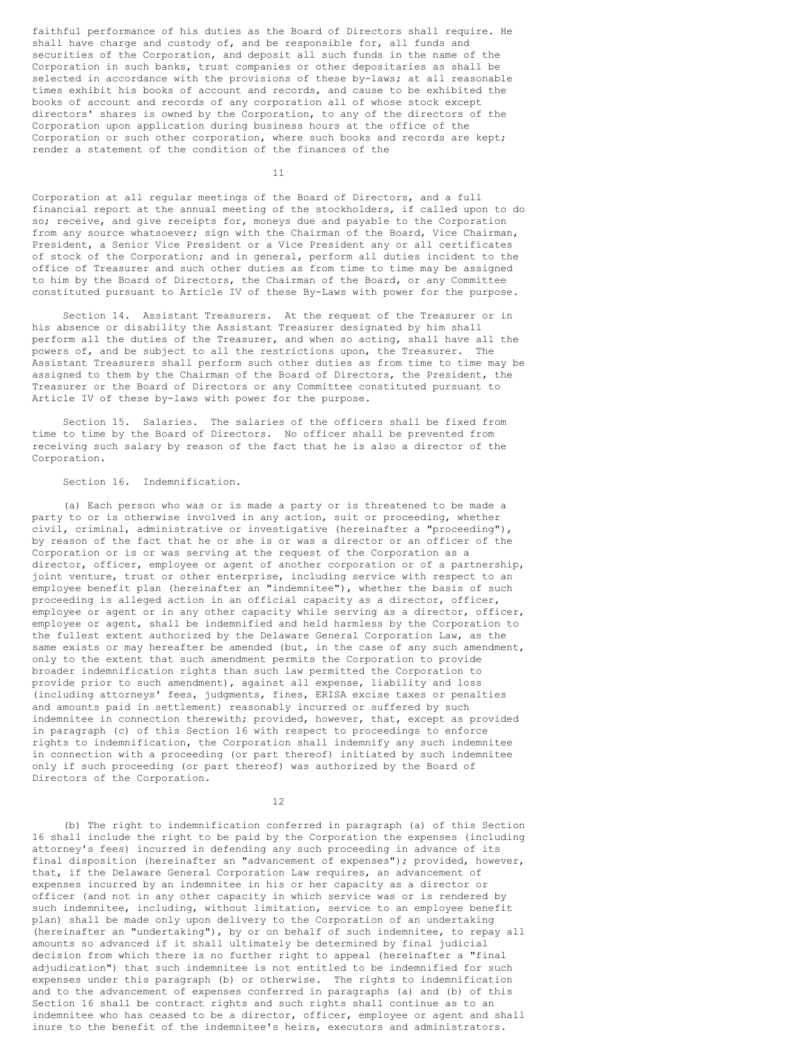faithful performance of his duties as the Board of Directors shall require. He shall have charge and custody of, and be responsible for, all funds and securities of the Corporation, and deposit all such funds in the name of the Corporation in such banks, trust companies or other depositaries as shall be selected in accordance with the provisions of these by-laws; at all reasonable times exhibit his books of account and records, and cause to be exhibited the books of account and records of any corporation all of whose stock except directors' shares is owned by the Corporation, to any of the directors of the Corporation upon application during business hours at the office of the Corporation or such other corporation, where such books and records are kept; render a statement of the condition of the finances of the

11

Corporation at all regular meetings of the Board of Directors, and a full financial report at the annual meeting of the stockholders, if called upon to do so; receive, and give receipts for, moneys due and payable to the Corporation from any source whatsoever; sign with the Chairman of the Board, Vice Chairman, President, a Senior Vice President or a Vice President any or all certificates of stock of the Corporation; and in general, perform all duties incident to the office of Treasurer and such other duties as from time to time may be assigned to him by the Board of Directors, the Chairman of the Board, or any Committee constituted pursuant to Article IV of these By-Laws with power for the purpose.

Section 14. Assistant Treasurers. At the request of the Treasurer or in his absence or disability the Assistant Treasurer designated by him shall perform all the duties of the Treasurer, and when so acting, shall have all the powers of, and be subject to all the restrictions upon, the Treasurer. The Assistant Treasurers shall perform such other duties as from time to time may be assigned to them by the Chairman of the Board of Directors, the President, the Treasurer or the Board of Directors or any Committee constituted pursuant to Article IV of these by-laws with power for the purpose.

Section 15. Salaries. The salaries of the officers shall be fixed from time to time by the Board of Directors. No officer shall be prevented from receiving such salary by reason of the fact that he is also a director of the Corporation.

## Section 16. Indemnification.

(a) Each person who was or is made a party or is threatened to be made a party to or is otherwise involved in any action, suit or proceeding, whether civil, criminal, administrative or investigative (hereinafter a "proceeding"), by reason of the fact that he or she is or was a director or an officer of the Corporation or is or was serving at the request of the Corporation as a director, officer, employee or agent of another corporation or of a partnership, joint venture, trust or other enterprise, including service with respect to an employee benefit plan (hereinafter an "indemnitee"), whether the basis of such proceeding is alleged action in an official capacity as a director, officer, employee or agent or in any other capacity while serving as a director, officer, employee or agent, shall be indemnified and held harmless by the Corporation to the fullest extent authorized by the Delaware General Corporation Law, as the same exists or may hereafter be amended (but, in the case of any such amendment, only to the extent that such amendment permits the Corporation to provide broader indemnification rights than such law permitted the Corporation to provide prior to such amendment), against all expense, liability and loss (including attorneys' fees, judgments, fines, ERISA excise taxes or penalties and amounts paid in settlement) reasonably incurred or suffered by such indemnitee in connection therewith; provided, however, that, except as provided in paragraph (c) of this Section 16 with respect to proceedings to enforce rights to indemnification, the Corporation shall indemnify any such indemnitee in connection with a proceeding (or part thereof) initiated by such indemnitee only if such proceeding (or part thereof) was authorized by the Board of Directors of the Corporation.

12

(b) The right to indemnification conferred in paragraph (a) of this Section 16 shall include the right to be paid by the Corporation the expenses (including attorney's fees) incurred in defending any such proceeding in advance of its final disposition (hereinafter an "advancement of expenses"); provided, however, that, if the Delaware General Corporation Law requires, an advancement of expenses incurred by an indemnitee in his or her capacity as a director or officer (and not in any other capacity in which service was or is rendered by such indemnitee, including, without limitation, service to an employee benefit plan) shall be made only upon delivery to the Corporation of an undertaking (hereinafter an "undertaking"), by or on behalf of such indemnitee, to repay all amounts so advanced if it shall ultimately be determined by final judicial decision from which there is no further right to appeal (hereinafter a "final adjudication") that such indemnitee is not entitled to be indemnified for such expenses under this paragraph (b) or otherwise. The rights to indemnification and to the advancement of expenses conferred in paragraphs (a) and (b) of this Section 16 shall be contract rights and such rights shall continue as to an indemnitee who has ceased to be a director, officer, employee or agent and shall inure to the benefit of the indemnitee's heirs, executors and administrators.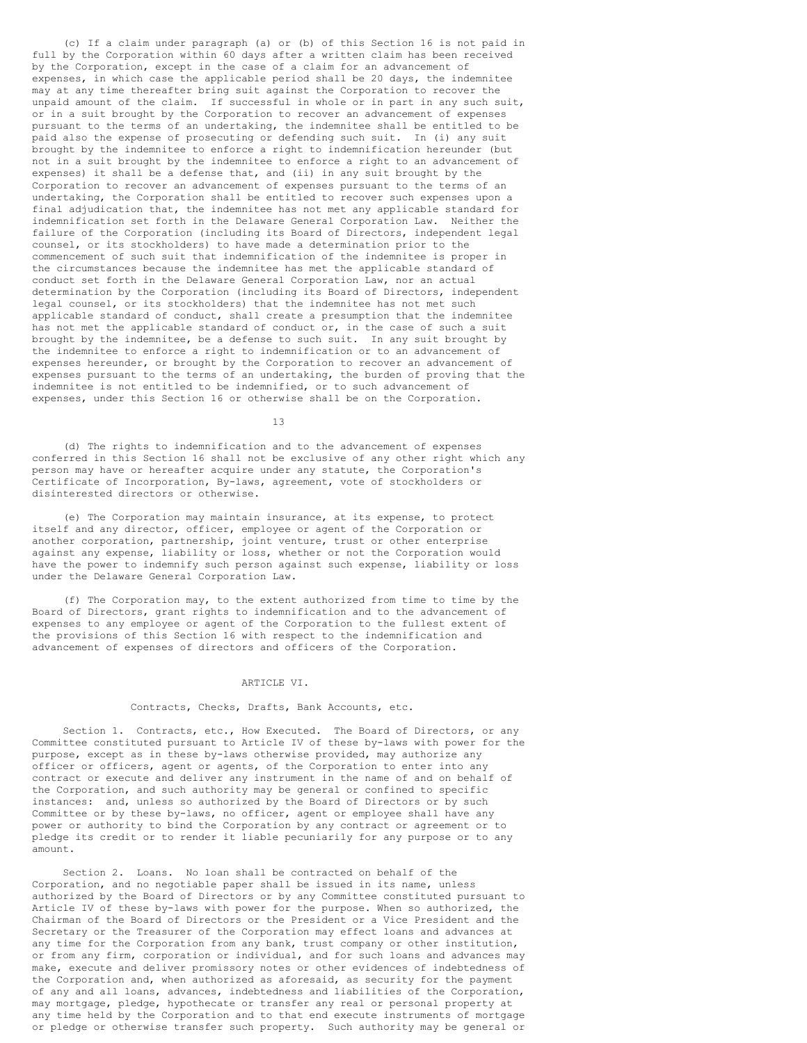(c) If a claim under paragraph (a) or (b) of this Section 16 is not paid in full by the Corporation within 60 days after a written claim has been received by the Corporation, except in the case of a claim for an advancement of expenses, in which case the applicable period shall be 20 days, the indemnitee may at any time thereafter bring suit against the Corporation to recover the unpaid amount of the claim. If successful in whole or in part in any such suit, or in a suit brought by the Corporation to recover an advancement of expenses pursuant to the terms of an undertaking, the indemnitee shall be entitled to be paid also the expense of prosecuting or defending such suit. In (i) any suit brought by the indemnitee to enforce a right to indemnification hereunder (but not in a suit brought by the indemnitee to enforce a right to an advancement of expenses) it shall be a defense that, and (ii) in any suit brought by the Corporation to recover an advancement of expenses pursuant to the terms of an undertaking, the Corporation shall be entitled to recover such expenses upon a final adjudication that, the indemnitee has not met any applicable standard for indemnification set forth in the Delaware General Corporation Law. Neither the failure of the Corporation (including its Board of Directors, independent legal counsel, or its stockholders) to have made a determination prior to the commencement of such suit that indemnification of the indemnitee is proper in the circumstances because the indemnitee has met the applicable standard of conduct set forth in the Delaware General Corporation Law, nor an actual determination by the Corporation (including its Board of Directors, independent legal counsel, or its stockholders) that the indemnitee has not met such applicable standard of conduct, shall create a presumption that the indemnitee has not met the applicable standard of conduct or, in the case of such a suit brought by the indemnitee, be a defense to such suit. In any suit brought by the indemnitee to enforce a right to indemnification or to an advancement of expenses hereunder, or brought by the Corporation to recover an advancement of expenses pursuant to the terms of an undertaking, the burden of proving that the indemnitee is not entitled to be indemnified, or to such advancement of expenses, under this Section 16 or otherwise shall be on the Corporation.

13

(d) The rights to indemnification and to the advancement of expenses conferred in this Section 16 shall not be exclusive of any other right which any person may have or hereafter acquire under any statute, the Corporation's Certificate of Incorporation, By-laws, agreement, vote of stockholders or disinterested directors or otherwise.

(e) The Corporation may maintain insurance, at its expense, to protect itself and any director, officer, employee or agent of the Corporation or another corporation, partnership, joint venture, trust or other enterprise against any expense, liability or loss, whether or not the Corporation would have the power to indemnify such person against such expense, liability or loss under the Delaware General Corporation Law.

(f) The Corporation may, to the extent authorized from time to time by the Board of Directors, grant rights to indemnification and to the advancement of expenses to any employee or agent of the Corporation to the fullest extent of the provisions of this Section 16 with respect to the indemnification and advancement of expenses of directors and officers of the Corporation.

### ARTICLE VI.

### Contracts, Checks, Drafts, Bank Accounts, etc.

Section 1. Contracts, etc., How Executed. The Board of Directors, or any Committee constituted pursuant to Article IV of these by-laws with power for the purpose, except as in these by-laws otherwise provided, may authorize any officer or officers, agent or agents, of the Corporation to enter into any contract or execute and deliver any instrument in the name of and on behalf of the Corporation, and such authority may be general or confined to specific instances: and, unless so authorized by the Board of Directors or by such Committee or by these by-laws, no officer, agent or employee shall have any power or authority to bind the Corporation by any contract or agreement or to pledge its credit or to render it liable pecuniarily for any purpose or to any amount.

Section 2. Loans. No loan shall be contracted on behalf of the Corporation, and no negotiable paper shall be issued in its name, unless authorized by the Board of Directors or by any Committee constituted pursuant to Article IV of these by-laws with power for the purpose. When so authorized, the Chairman of the Board of Directors or the President or a Vice President and the Secretary or the Treasurer of the Corporation may effect loans and advances at any time for the Corporation from any bank, trust company or other institution, or from any firm, corporation or individual, and for such loans and advances may make, execute and deliver promissory notes or other evidences of indebtedness of the Corporation and, when authorized as aforesaid, as security for the payment of any and all loans, advances, indebtedness and liabilities of the Corporation, may mortgage, pledge, hypothecate or transfer any real or personal property at any time held by the Corporation and to that end execute instruments of mortgage or pledge or otherwise transfer such property. Such authority may be general or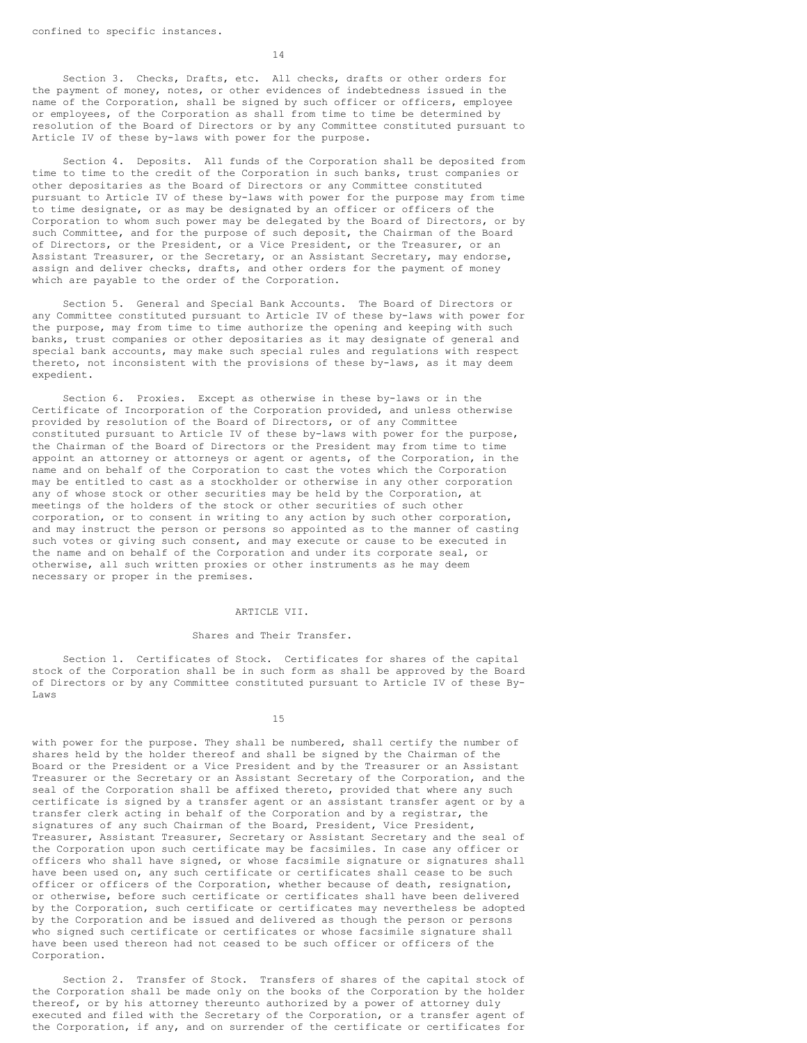Section 3. Checks, Drafts, etc. All checks, drafts or other orders for the payment of money, notes, or other evidences of indebtedness issued in the name of the Corporation, shall be signed by such officer or officers, employee or employees, of the Corporation as shall from time to time be determined by resolution of the Board of Directors or by any Committee constituted pursuant to Article IV of these by-laws with power for the purpose.

Section 4. Deposits. All funds of the Corporation shall be deposited from time to time to the credit of the Corporation in such banks, trust companies or other depositaries as the Board of Directors or any Committee constituted pursuant to Article IV of these by-laws with power for the purpose may from time to time designate, or as may be designated by an officer or officers of the Corporation to whom such power may be delegated by the Board of Directors, or by such Committee, and for the purpose of such deposit, the Chairman of the Board of Directors, or the President, or a Vice President, or the Treasurer, or an Assistant Treasurer, or the Secretary, or an Assistant Secretary, may endorse, assign and deliver checks, drafts, and other orders for the payment of money which are payable to the order of the Corporation.

Section 5. General and Special Bank Accounts. The Board of Directors or any Committee constituted pursuant to Article IV of these by-laws with power for the purpose, may from time to time authorize the opening and keeping with such banks, trust companies or other depositaries as it may designate of general and special bank accounts, may make such special rules and regulations with respect thereto, not inconsistent with the provisions of these by-laws, as it may deem expedient.

Section 6. Proxies. Except as otherwise in these by-laws or in the Certificate of Incorporation of the Corporation provided, and unless otherwise provided by resolution of the Board of Directors, or of any Committee constituted pursuant to Article IV of these by-laws with power for the purpose, the Chairman of the Board of Directors or the President may from time to time appoint an attorney or attorneys or agent or agents, of the Corporation, in the name and on behalf of the Corporation to cast the votes which the Corporation may be entitled to cast as a stockholder or otherwise in any other corporation any of whose stock or other securities may be held by the Corporation, at meetings of the holders of the stock or other securities of such other corporation, or to consent in writing to any action by such other corporation, and may instruct the person or persons so appointed as to the manner of casting such votes or giving such consent, and may execute or cause to be executed in the name and on behalf of the Corporation and under its corporate seal, or otherwise, all such written proxies or other instruments as he may deem necessary or proper in the premises.

## ARTICLE VII.

# Shares and Their Transfer.

Section 1. Certificates of Stock. Certificates for shares of the capital stock of the Corporation shall be in such form as shall be approved by the Board of Directors or by any Committee constituted pursuant to Article IV of these By-Laws

15

with power for the purpose. They shall be numbered, shall certify the number of shares held by the holder thereof and shall be signed by the Chairman of the Board or the President or a Vice President and by the Treasurer or an Assistant Treasurer or the Secretary or an Assistant Secretary of the Corporation, and the seal of the Corporation shall be affixed thereto, provided that where any such certificate is signed by a transfer agent or an assistant transfer agent or by a transfer clerk acting in behalf of the Corporation and by a registrar, the signatures of any such Chairman of the Board, President, Vice President, Treasurer, Assistant Treasurer, Secretary or Assistant Secretary and the seal of the Corporation upon such certificate may be facsimiles. In case any officer or officers who shall have signed, or whose facsimile signature or signatures shall have been used on, any such certificate or certificates shall cease to be such officer or officers of the Corporation, whether because of death, resignation, or otherwise, before such certificate or certificates shall have been delivered by the Corporation, such certificate or certificates may nevertheless be adopted by the Corporation and be issued and delivered as though the person or persons who signed such certificate or certificates or whose facsimile signature shall have been used thereon had not ceased to be such officer or officers of the Corporation.

Section 2. Transfer of Stock. Transfers of shares of the capital stock of the Corporation shall be made only on the books of the Corporation by the holder thereof, or by his attorney thereunto authorized by a power of attorney duly executed and filed with the Secretary of the Corporation, or a transfer agent of the Corporation, if any, and on surrender of the certificate or certificates for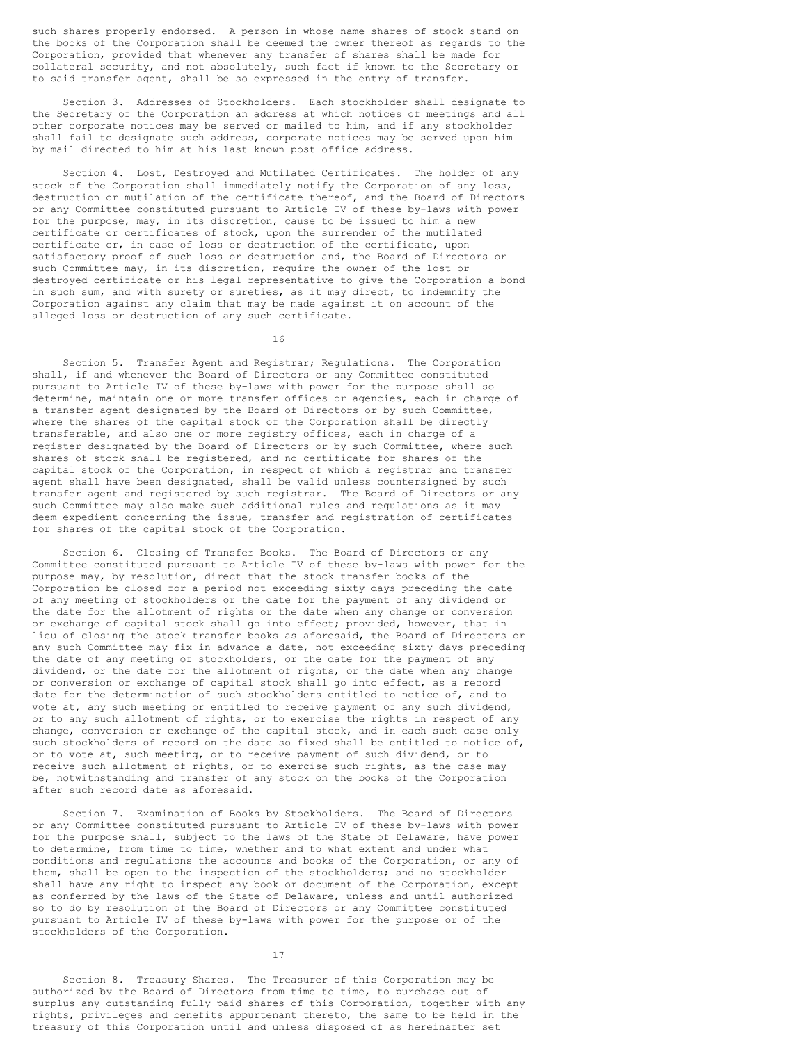such shares properly endorsed. A person in whose name shares of stock stand on the books of the Corporation shall be deemed the owner thereof as regards to the Corporation, provided that whenever any transfer of shares shall be made for collateral security, and not absolutely, such fact if known to the Secretary or to said transfer agent, shall be so expressed in the entry of transfer.

Section 3. Addresses of Stockholders. Each stockholder shall designate to the Secretary of the Corporation an address at which notices of meetings and all other corporate notices may be served or mailed to him, and if any stockholder shall fail to designate such address, corporate notices may be served upon him by mail directed to him at his last known post office address.

Section 4. Lost, Destroyed and Mutilated Certificates. The holder of any stock of the Corporation shall immediately notify the Corporation of any loss, destruction or mutilation of the certificate thereof, and the Board of Directors or any Committee constituted pursuant to Article IV of these by-laws with power for the purpose, may, in its discretion, cause to be issued to him a new certificate or certificates of stock, upon the surrender of the mutilated certificate or, in case of loss or destruction of the certificate, upon satisfactory proof of such loss or destruction and, the Board of Directors or such Committee may, in its discretion, require the owner of the lost or destroyed certificate or his legal representative to give the Corporation a bond in such sum, and with surety or sureties, as it may direct, to indemnify the Corporation against any claim that may be made against it on account of the alleged loss or destruction of any such certificate.

16

Section 5. Transfer Agent and Registrar; Regulations. The Corporation shall, if and whenever the Board of Directors or any Committee constituted pursuant to Article IV of these by-laws with power for the purpose shall so determine, maintain one or more transfer offices or agencies, each in charge of a transfer agent designated by the Board of Directors or by such Committee, where the shares of the capital stock of the Corporation shall be directly transferable, and also one or more registry offices, each in charge of a register designated by the Board of Directors or by such Committee, where such shares of stock shall be registered, and no certificate for shares of the capital stock of the Corporation, in respect of which a registrar and transfer agent shall have been designated, shall be valid unless countersigned by such transfer agent and registered by such registrar. The Board of Directors or any such Committee may also make such additional rules and regulations as it may deem expedient concerning the issue, transfer and registration of certificates for shares of the capital stock of the Corporation.

Section 6. Closing of Transfer Books. The Board of Directors or any Committee constituted pursuant to Article IV of these by-laws with power for the purpose may, by resolution, direct that the stock transfer books of the Corporation be closed for a period not exceeding sixty days preceding the date of any meeting of stockholders or the date for the payment of any dividend or the date for the allotment of rights or the date when any change or conversion or exchange of capital stock shall go into effect; provided, however, that in lieu of closing the stock transfer books as aforesaid, the Board of Directors or any such Committee may fix in advance a date, not exceeding sixty days preceding the date of any meeting of stockholders, or the date for the payment of any dividend, or the date for the allotment of rights, or the date when any change or conversion or exchange of capital stock shall go into effect, as a record date for the determination of such stockholders entitled to notice of, and to vote at, any such meeting or entitled to receive payment of any such dividend, or to any such allotment of rights, or to exercise the rights in respect of any change, conversion or exchange of the capital stock, and in each such case only such stockholders of record on the date so fixed shall be entitled to notice of, or to vote at, such meeting, or to receive payment of such dividend, or to receive such allotment of rights, or to exercise such rights, as the case may be, notwithstanding and transfer of any stock on the books of the Corporation after such record date as aforesaid.

Section 7. Examination of Books by Stockholders. The Board of Directors or any Committee constituted pursuant to Article IV of these by-laws with power for the purpose shall, subject to the laws of the State of Delaware, have power to determine, from time to time, whether and to what extent and under what conditions and regulations the accounts and books of the Corporation, or any of them, shall be open to the inspection of the stockholders; and no stockholder shall have any right to inspect any book or document of the Corporation, except as conferred by the laws of the State of Delaware, unless and until authorized so to do by resolution of the Board of Directors or any Committee constituted pursuant to Article IV of these by-laws with power for the purpose or of the stockholders of the Corporation.

17

Section 8. Treasury Shares. The Treasurer of this Corporation may be authorized by the Board of Directors from time to time, to purchase out of surplus any outstanding fully paid shares of this Corporation, together with any rights, privileges and benefits appurtenant thereto, the same to be held in the treasury of this Corporation until and unless disposed of as hereinafter set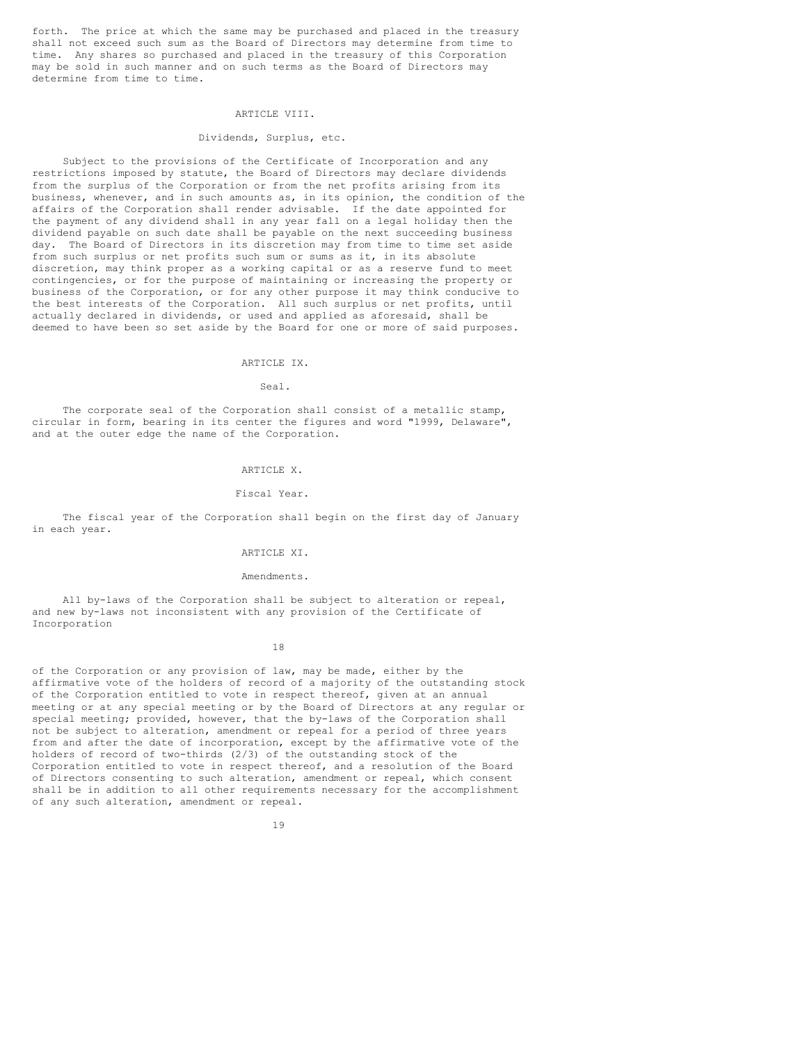forth. The price at which the same may be purchased and placed in the treasury shall not exceed such sum as the Board of Directors may determine from time to time. Any shares so purchased and placed in the treasury of this Corporation may be sold in such manner and on such terms as the Board of Directors may determine from time to time.

# ARTICLE VIII.

### Dividends, Surplus, etc.

Subject to the provisions of the Certificate of Incorporation and any restrictions imposed by statute, the Board of Directors may declare dividends from the surplus of the Corporation or from the net profits arising from its business, whenever, and in such amounts as, in its opinion, the condition of the affairs of the Corporation shall render advisable. If the date appointed for the payment of any dividend shall in any year fall on a legal holiday then the dividend payable on such date shall be payable on the next succeeding business day. The Board of Directors in its discretion may from time to time set aside from such surplus or net profits such sum or sums as it, in its absolute discretion, may think proper as a working capital or as a reserve fund to meet contingencies, or for the purpose of maintaining or increasing the property or business of the Corporation, or for any other purpose it may think conducive to the best interests of the Corporation. All such surplus or net profits, until actually declared in dividends, or used and applied as aforesaid, shall be deemed to have been so set aside by the Board for one or more of said purposes.

#### ARTICLE IX.

### Seal.

The corporate seal of the Corporation shall consist of a metallic stamp, circular in form, bearing in its center the figures and word "1999, Delaware", and at the outer edge the name of the Corporation.

## ARTICLE X.

### Fiscal Year.

The fiscal year of the Corporation shall begin on the first day of January in each year.

# ARTICLE XI.

#### Amendments.

All by-laws of the Corporation shall be subject to alteration or repeal, and new by-laws not inconsistent with any provision of the Certificate of Incorporation

### 18

of the Corporation or any provision of law, may be made, either by the affirmative vote of the holders of record of a majority of the outstanding stock of the Corporation entitled to vote in respect thereof, given at an annual meeting or at any special meeting or by the Board of Directors at any regular or special meeting; provided, however, that the by-laws of the Corporation shall not be subject to alteration, amendment or repeal for a period of three years from and after the date of incorporation, except by the affirmative vote of the holders of record of two-thirds (2/3) of the outstanding stock of the Corporation entitled to vote in respect thereof, and a resolution of the Board of Directors consenting to such alteration, amendment or repeal, which consent shall be in addition to all other requirements necessary for the accomplishment of any such alteration, amendment or repeal.

19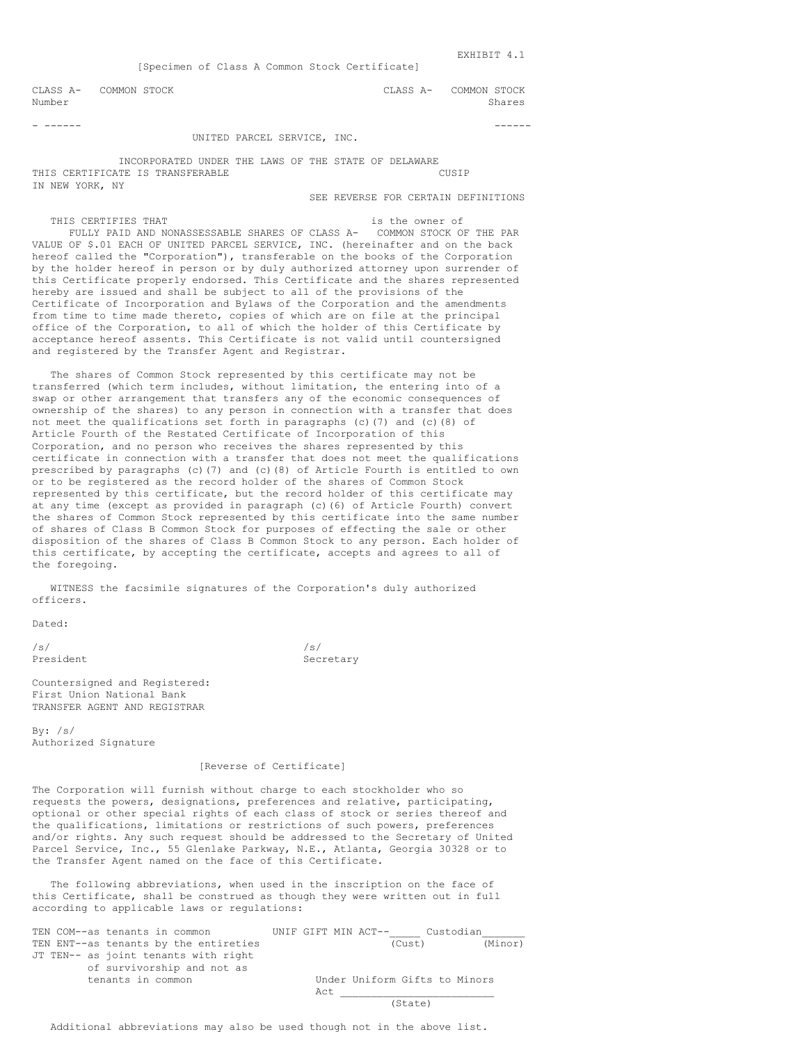CLASS A- COMMON STOCK CLASS A- COMMON STOCK Number Shares

- ------ ------

### UNITED PARCEL SERVICE, INC.

INCORPORATED UNDER THE LAWS OF THE STATE OF DELAWARE THIS CERTIFICATE IS TRANSFERABLE **CUSIP** IN NEW YORK, NY

SEE REVERSE FOR CERTAIN DEFINITIONS

THIS CERTIFIES THAT **is the owner of** FULLY PAID AND NONASSESSABLE SHARES OF CLASS A- COMMON STOCK OF THE PAR VALUE OF \$.01 EACH OF UNITED PARCEL SERVICE, INC. (hereinafter and on the back hereof called the "Corporation"), transferable on the books of the Corporation by the holder hereof in person or by duly authorized attorney upon surrender of this Certificate properly endorsed. This Certificate and the shares represented hereby are issued and shall be subject to all of the provisions of the Certificate of Incorporation and Bylaws of the Corporation and the amendments from time to time made thereto, copies of which are on file at the principal office of the Corporation, to all of which the holder of this Certificate by acceptance hereof assents. This Certificate is not valid until countersigned and registered by the Transfer Agent and Registrar.

The shares of Common Stock represented by this certificate may not be transferred (which term includes, without limitation, the entering into of a swap or other arrangement that transfers any of the economic consequences of ownership of the shares) to any person in connection with a transfer that does not meet the qualifications set forth in paragraphs (c)(7) and (c)(8) of Article Fourth of the Restated Certificate of Incorporation of this Corporation, and no person who receives the shares represented by this certificate in connection with a transfer that does not meet the qualifications prescribed by paragraphs (c)(7) and (c)(8) of Article Fourth is entitled to own or to be registered as the record holder of the shares of Common Stock represented by this certificate, but the record holder of this certificate may at any time (except as provided in paragraph (c)(6) of Article Fourth) convert the shares of Common Stock represented by this certificate into the same number of shares of Class B Common Stock for purposes of effecting the sale or other disposition of the shares of Class B Common Stock to any person. Each holder of this certificate, by accepting the certificate, accepts and agrees to all of the foregoing.

WITNESS the facsimile signatures of the Corporation's duly authorized officers.

Dated:

/s/ /s/

President Secretary

Countersigned and Registered: First Union National Bank TRANSFER AGENT AND REGISTRAR

 $Bv: /s/$ Authorized Signature

# [Reverse of Certificate]

The Corporation will furnish without charge to each stockholder who so requests the powers, designations, preferences and relative, participating, optional or other special rights of each class of stock or series thereof and the qualifications, limitations or restrictions of such powers, preferences and/or rights. Any such request should be addressed to the Secretary of United Parcel Service, Inc., 55 Glenlake Parkway, N.E., Atlanta, Georgia 30328 or to the Transfer Agent named on the face of this Certificate.

The following abbreviations, when used in the inscription on the face of this Certificate, shall be construed as though they were written out in full according to applicable laws or regulations:

| TEN COM--as tenants in common         |  |     |        |                                                                |
|---------------------------------------|--|-----|--------|----------------------------------------------------------------|
| TEN ENT--as tenants by the entireties |  |     |        | (Minor)                                                        |
| JT TEN-- as joint tenants with right  |  |     |        |                                                                |
| of survivorship and not as            |  |     |        |                                                                |
| tenants in common                     |  |     |        |                                                                |
|                                       |  |     |        |                                                                |
|                                       |  | Act | (Cust) | UNIF GIFT MIN ACT-- Custodian<br>Under Uniform Gifts to Minors |

(State)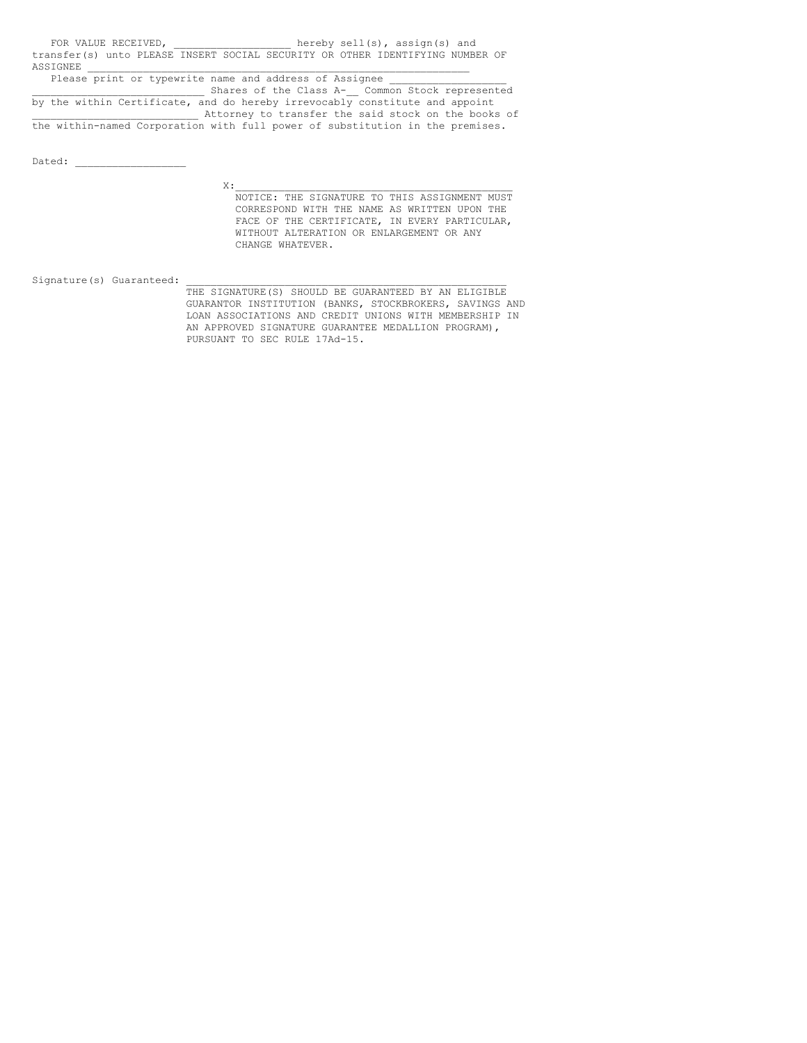FOR VALUE RECEIVED, \_\_\_\_\_\_\_\_\_\_\_\_\_\_\_\_\_\_ hereby sell(s), assign(s) and transfer(s) unto PLEASE INSERT SOCIAL SECURITY OR OTHER IDENTIFYING NUMBER OF ASSIGNEE \_\_\_\_\_\_\_\_\_\_\_\_\_\_\_\_\_\_\_\_\_\_\_\_\_\_\_\_\_\_\_\_\_\_\_\_\_\_\_\_\_\_\_\_\_\_\_\_\_\_\_\_\_\_\_\_\_\_\_\_\_\_

Please print or typewrite name and address of Assignee \_ \_\_\_\_\_\_\_\_\_\_\_\_\_\_\_\_\_\_\_\_\_\_\_\_\_\_\_\_ Shares of the Class A-\_\_ Common Stock represented by the within Certificate, and do hereby irrevocably constitute and appoint **Example 20** Attorney to transfer the said stock on the books of the within-named Corporation with full power of substitution in the premises.

```
Dated:
```
 $X:$ NOTICE: THE SIGNATURE TO THIS ASSIGNMENT MUST CORRESPOND WITH THE NAME AS WRITTEN UPON THE FACE OF THE CERTIFICATE, IN EVERY PARTICULAR, WITHOUT ALTERATION OR ENLARGEMENT OR ANY CHANGE WHATEVER.

# Signature(s) Guaranteed:

THE SIGNATURE(S) SHOULD BE GUARANTEED BY AN ELIGIBLE GUARANTOR INSTITUTION (BANKS, STOCKBROKERS, SAVINGS AND LOAN ASSOCIATIONS AND CREDIT UNIONS WITH MEMBERSHIP IN AN APPROVED SIGNATURE GUARANTEE MEDALLION PROGRAM), PURSUANT TO SEC RULE 17Ad-15.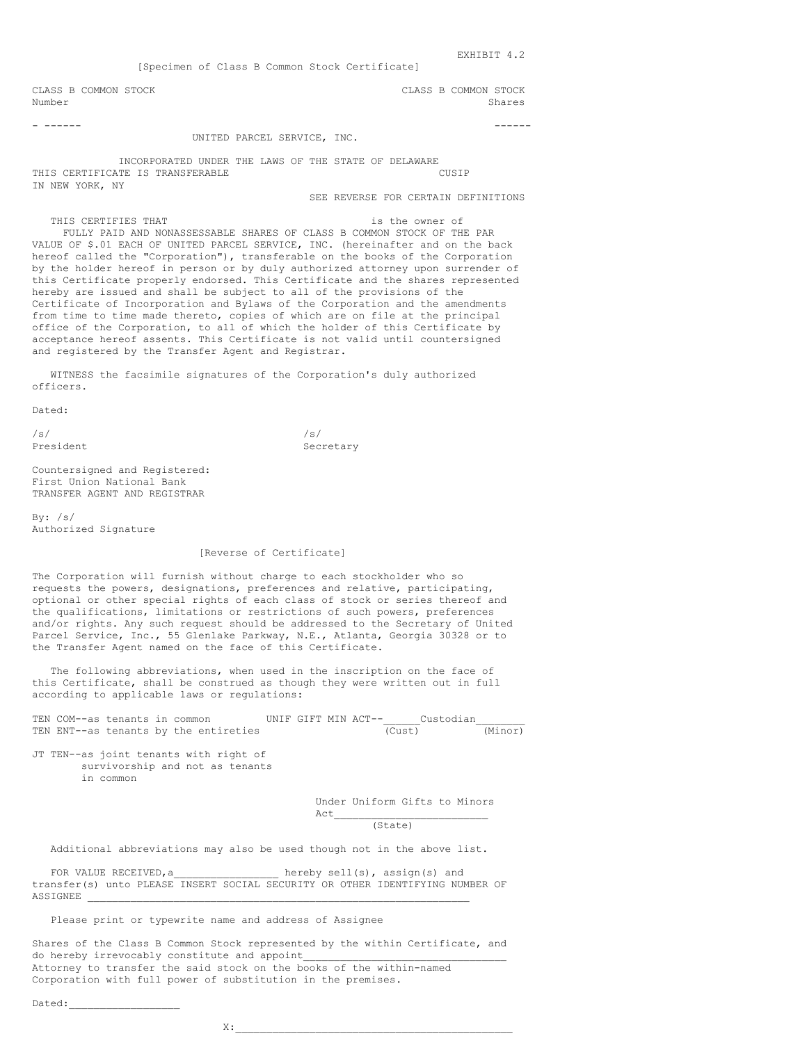CLASS B COMMON STOCK CLASS B COMMON STOCK Number Shares

- ------ ------

### UNITED PARCEL SERVICE, INC.

INCORPORATED UNDER THE LAWS OF THE STATE OF DELAWARE THIS CERTIFICATE IS TRANSFERABLE **CUSIP** IN NEW YORK, NY

SEE REVERSE FOR CERTAIN DEFINITIONS

THIS CERTIFIES THAT **is the owner** of FULLY PAID AND NONASSESSABLE SHARES OF CLASS B COMMON STOCK OF THE PAR VALUE OF \$.01 EACH OF UNITED PARCEL SERVICE, INC. (hereinafter and on the back hereof called the "Corporation"), transferable on the books of the Corporation by the holder hereof in person or by duly authorized attorney upon surrender of this Certificate properly endorsed. This Certificate and the shares represented hereby are issued and shall be subject to all of the provisions of the Certificate of Incorporation and Bylaws of the Corporation and the amendments from time to time made thereto, copies of which are on file at the principal office of the Corporation, to all of which the holder of this Certificate by acceptance hereof assents. This Certificate is not valid until countersigned and registered by the Transfer Agent and Registrar.

WITNESS the facsimile signatures of the Corporation's duly authorized officers.

Dated:

/s/ /s/

President Secretary Secretary

Countersigned and Registered: First Union National Bank TRANSFER AGENT AND REGISTRAR

By:  $/s/$ Authorized Signature

### [Reverse of Certificate]

The Corporation will furnish without charge to each stockholder who so requests the powers, designations, preferences and relative, participating, optional or other special rights of each class of stock or series thereof and the qualifications, limitations or restrictions of such powers, preferences and/or rights. Any such request should be addressed to the Secretary of United Parcel Service, Inc., 55 Glenlake Parkway, N.E., Atlanta, Georgia 30328 or to the Transfer Agent named on the face of this Certificate.

The following abbreviations, when used in the inscription on the face of this Certificate, shall be construed as though they were written out in full according to applicable laws or regulations:

TEN COM--as tenants in common UNIF GIFT MIN ACT--<br>TEN ENT--as tenants by the entireties (Cust) (Cust) (Minor) TEN ENT--as tenants by the entireties

JT TEN--as joint tenants with right of survivorship and not as tenants in common

> Under Uniform Gifts to Minors  $\mathsf{Act}\_\_$

(State)

Additional abbreviations may also be used though not in the above list.

FOR VALUE RECEIVED, a metallies between the hereby sell(s), assign(s) and transfer(s) unto PLEASE INSERT SOCIAL SECURITY OR OTHER IDENTIFYING NUMBER OF  ${\tt ASSIGNEE}$ 

Please print or typewrite name and address of Assignee

Shares of the Class B Common Stock represented by the within Certificate, and do hereby irrevocably constitute and appoint Attorney to transfer the said stock on the books of the within-named Corporation with full power of substitution in the premises.

Dated:

 $X:$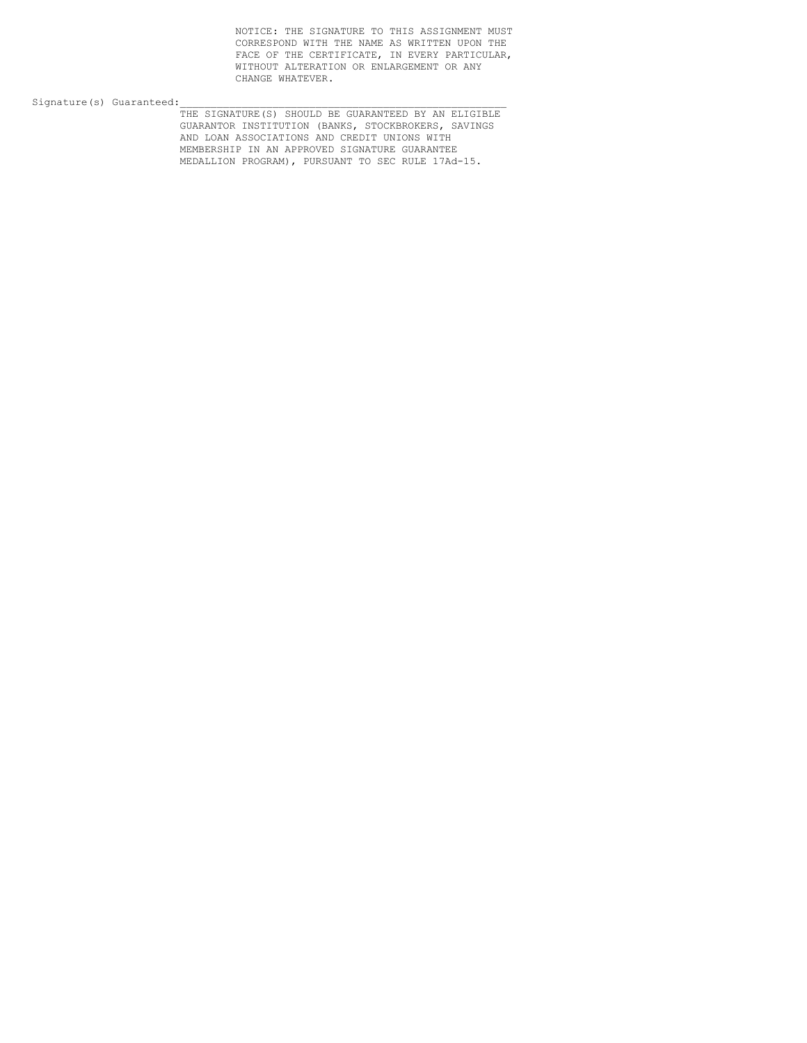NOTICE: THE SIGNATURE TO THIS ASSIGNMENT MUST CORRESPOND WITH THE NAME AS WRITTEN UPON THE FACE OF THE CERTIFICATE, IN EVERY PARTICULAR, WITHOUT ALTERATION OR ENLARGEMENT OR ANY CHANGE WHATEVER.

Signature(s) Guaranteed:

THE SIGNATURE(S) SHOULD BE GUARANTEED BY AN ELIGIBLE GUARANTOR INSTITUTION (BANKS, STOCKBROKERS, SAVINGS AND LOAN ASSOCIATIONS AND CREDIT UNIONS WITH MEMBERSHIP IN AN APPROVED SIGNATURE GUARANTEE MEDALLION PROGRAM), PURSUANT TO SEC RULE 17Ad-15.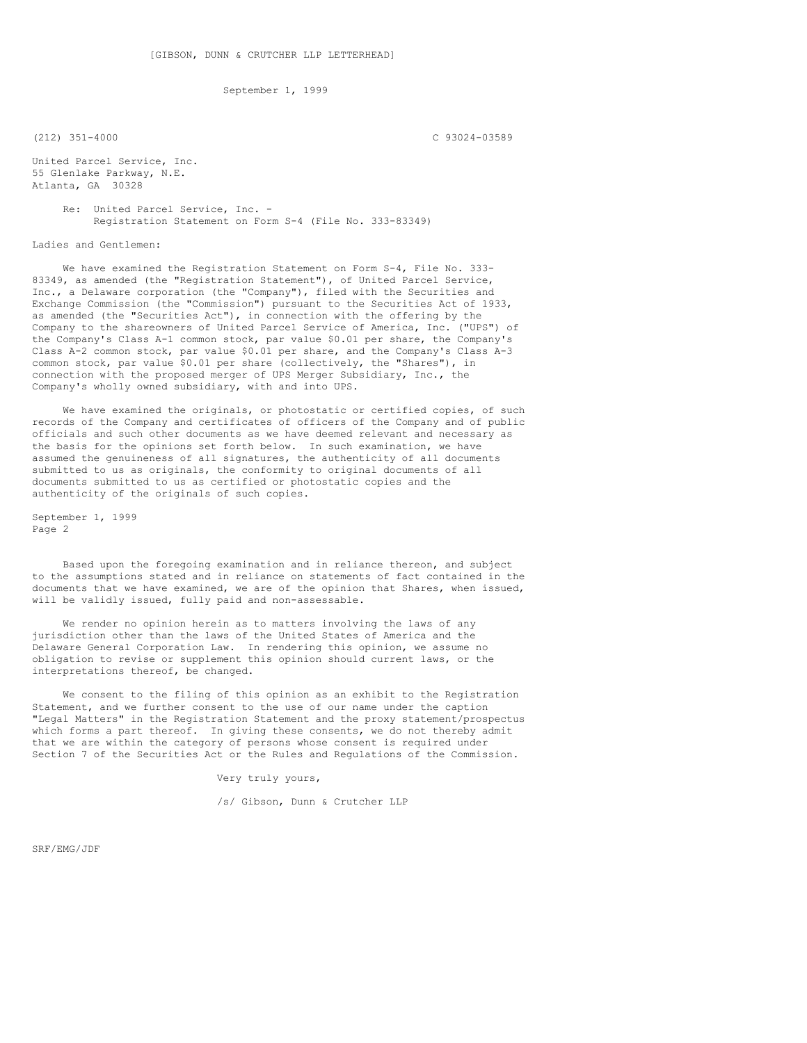September 1, 1999

(212) 351-4000 C 93024-03589

United Parcel Service, Inc. 55 Glenlake Parkway, N.E. Atlanta, GA 30328

> Re: United Parcel Service, Inc. - Registration Statement on Form S-4 (File No. 333-83349)

Ladies and Gentlemen:

We have examined the Registration Statement on Form S-4, File No. 333-83349, as amended (the "Registration Statement"), of United Parcel Service, Inc., a Delaware corporation (the "Company"), filed with the Securities and Exchange Commission (the "Commission") pursuant to the Securities Act of 1933, as amended (the "Securities Act"), in connection with the offering by the Company to the shareowners of United Parcel Service of America, Inc. ("UPS") of the Company's Class A-1 common stock, par value \$0.01 per share, the Company's Class A-2 common stock, par value \$0.01 per share, and the Company's Class A-3 common stock, par value \$0.01 per share (collectively, the "Shares"), in connection with the proposed merger of UPS Merger Subsidiary, Inc., the Company's wholly owned subsidiary, with and into UPS.

We have examined the originals, or photostatic or certified copies, of such records of the Company and certificates of officers of the Company and of public officials and such other documents as we have deemed relevant and necessary as the basis for the opinions set forth below. In such examination, we have assumed the genuineness of all signatures, the authenticity of all documents submitted to us as originals, the conformity to original documents of all documents submitted to us as certified or photostatic copies and the authenticity of the originals of such copies.

September 1, 1999 Page 2

Based upon the foregoing examination and in reliance thereon, and subject to the assumptions stated and in reliance on statements of fact contained in the documents that we have examined, we are of the opinion that Shares, when issued, will be validly issued, fully paid and non-assessable.

We render no opinion herein as to matters involving the laws of any jurisdiction other than the laws of the United States of America and the Delaware General Corporation Law. In rendering this opinion, we assume no obligation to revise or supplement this opinion should current laws, or the interpretations thereof, be changed.

We consent to the filing of this opinion as an exhibit to the Registration Statement, and we further consent to the use of our name under the caption "Legal Matters" in the Registration Statement and the proxy statement/prospectus which forms a part thereof. In giving these consents, we do not thereby admit that we are within the category of persons whose consent is required under Section 7 of the Securities Act or the Rules and Regulations of the Commission.

Very truly yours,

/s/ Gibson, Dunn & Crutcher LLP

SRF/EMG/JDF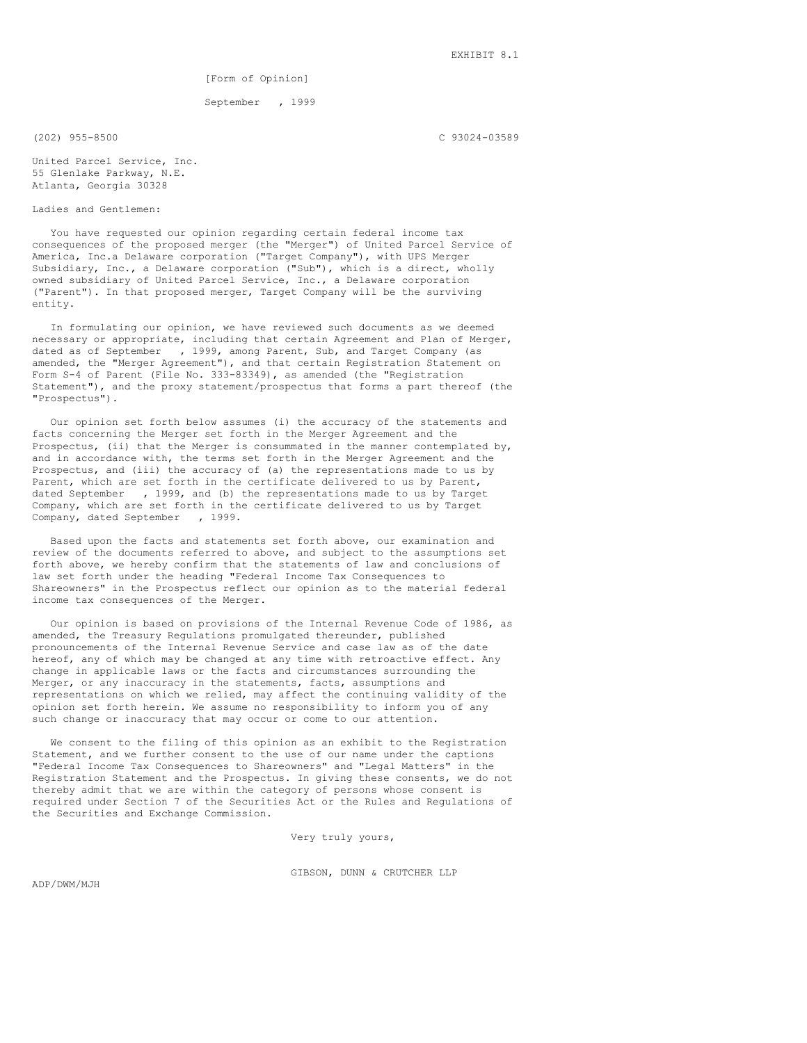EXHIBIT 8.1

[Form of Opinion]

September , 1999

(202) 955-8500 C 93024-03589

United Parcel Service, Inc. 55 Glenlake Parkway, N.E. Atlanta, Georgia 30328

Ladies and Gentlemen:

You have requested our opinion regarding certain federal income tax consequences of the proposed merger (the "Merger") of United Parcel Service of America, Inc.a Delaware corporation ("Target Company"), with UPS Merger Subsidiary, Inc., a Delaware corporation ("Sub"), which is a direct, wholly owned subsidiary of United Parcel Service, Inc., a Delaware corporation ("Parent"). In that proposed merger, Target Company will be the surviving entity.

In formulating our opinion, we have reviewed such documents as we deemed necessary or appropriate, including that certain Agreement and Plan of Merger, dated as of September , 1999, among Parent, Sub, and Target Company (as amended, the "Merger Agreement"), and that certain Registration Statement on Form S-4 of Parent (File No. 333-83349), as amended (the "Registration Statement"), and the proxy statement/prospectus that forms a part thereof (the "Prospectus").

Our opinion set forth below assumes (i) the accuracy of the statements and facts concerning the Merger set forth in the Merger Agreement and the Prospectus, (ii) that the Merger is consummated in the manner contemplated by, and in accordance with, the terms set forth in the Merger Agreement and the Prospectus, and (iii) the accuracy of (a) the representations made to us by Parent, which are set forth in the certificate delivered to us by Parent, dated September , 1999, and (b) the representations made to us by Target Company, which are set forth in the certificate delivered to us by Target Company, dated September , 1999.

Based upon the facts and statements set forth above, our examination and review of the documents referred to above, and subject to the assumptions set forth above, we hereby confirm that the statements of law and conclusions of law set forth under the heading "Federal Income Tax Consequences to Shareowners" in the Prospectus reflect our opinion as to the material federal income tax consequences of the Merger.

Our opinion is based on provisions of the Internal Revenue Code of 1986, as amended, the Treasury Regulations promulgated thereunder, published pronouncements of the Internal Revenue Service and case law as of the date hereof, any of which may be changed at any time with retroactive effect. Any change in applicable laws or the facts and circumstances surrounding the Merger, or any inaccuracy in the statements, facts, assumptions and representations on which we relied, may affect the continuing validity of the opinion set forth herein. We assume no responsibility to inform you of any such change or inaccuracy that may occur or come to our attention.

We consent to the filing of this opinion as an exhibit to the Registration Statement, and we further consent to the use of our name under the captions "Federal Income Tax Consequences to Shareowners" and "Legal Matters" in the Registration Statement and the Prospectus. In giving these consents, we do not thereby admit that we are within the category of persons whose consent is required under Section 7 of the Securities Act or the Rules and Regulations of the Securities and Exchange Commission.

Very truly yours,

GIBSON, DUNN & CRUTCHER LLP

ADP/DWM/MJH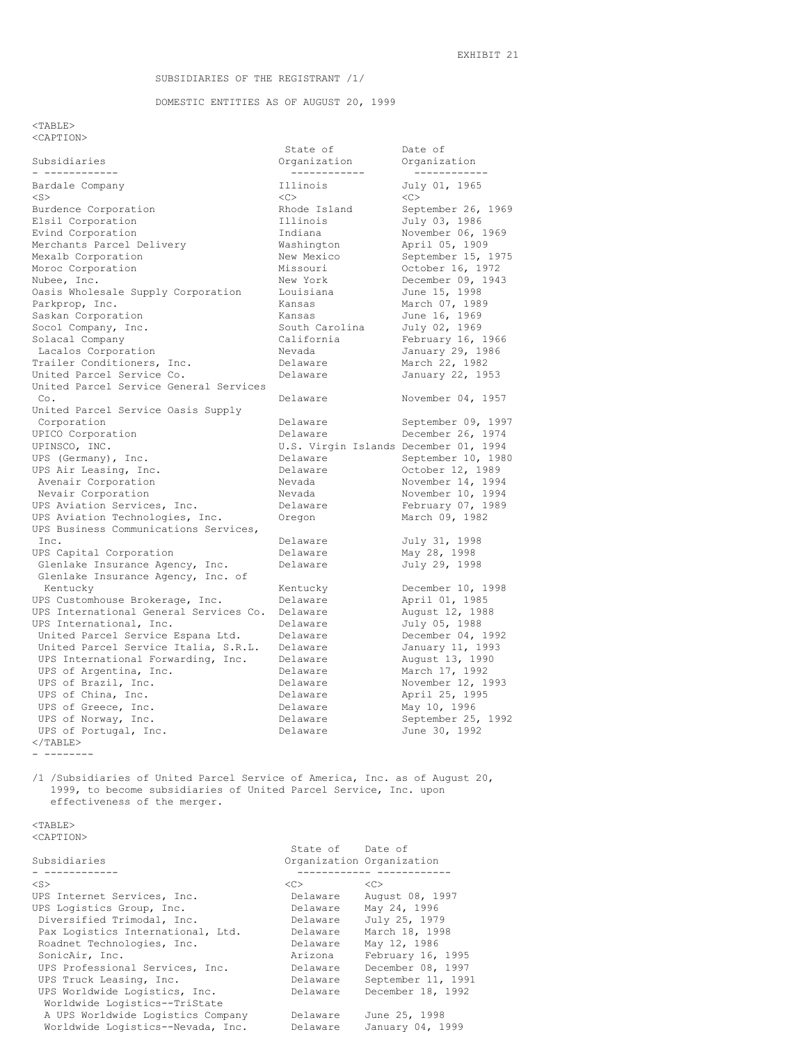# DOMESTIC ENTITIES AS OF AUGUST 20, 1999

### <TABLE> <CAPTION>

| <b>SUAPIIUNA</b>                       |                                       |                              |
|----------------------------------------|---------------------------------------|------------------------------|
|                                        | State of                              | Date of                      |
| Subsidiaries<br>- ------------         | Organization<br>------------          | Organization<br>------------ |
| Bardale Company                        | Illinois                              | July 01, 1965                |
| $<$ S>                                 | <<>                                   | <<                           |
| Burdence Corporation                   | Rhode Island                          | September 26, 1969           |
| Elsil Corporation                      | Illinois                              | July 03, 1986                |
| Evind Corporation                      | Indiana                               | November 06, 1969            |
| Merchants Parcel Delivery              | Washington                            | April 05, 1909               |
| Mexalb Corporation                     | New Mexico                            | September 15, 1975           |
| Moroc Corporation                      | Missouri                              | October 16, 1972             |
| Nubee, Inc.                            | New York                              | December 09, 1943            |
| Oasis Wholesale Supply Corporation     | Louisiana                             | June 15, 1998                |
| Parkprop, Inc.                         | Kansas                                | March 07, 1989               |
| Saskan Corporation                     | Kansas                                | June 16, 1969                |
| Socol Company, Inc.                    | South Carolina                        | July 02, 1969                |
| Solacal Company                        | California                            | February 16, 1966            |
| Lacalos Corporation                    | Nevada                                | January 29, 1986             |
| Trailer Conditioners, Inc.             | Delaware                              | March 22, 1982               |
| United Parcel Service Co.              | Delaware                              | January 22, 1953             |
| United Parcel Service General Services |                                       |                              |
| Co.                                    | Delaware                              | November 04, 1957            |
| United Parcel Service Oasis Supply     |                                       |                              |
| Corporation                            | Delaware                              | September 09, 1997           |
| UPICO Corporation                      | Delaware                              | December 26, 1974            |
| UPINSCO, INC.                          | U.S. Virgin Islands December 01, 1994 |                              |
| UPS (Germany), Inc.                    | Delaware                              | September 10, 1980           |
| UPS Air Leasing, Inc.                  | Delaware                              | October 12, 1989             |
| Avenair Corporation                    | Nevada                                | November 14, 1994            |
| Nevair Corporation                     | Nevada                                | November 10, 1994            |
| UPS Aviation Services, Inc.            | Delaware                              | February 07, 1989            |
| UPS Aviation Technologies, Inc.        | Oregon                                | March 09, 1982               |
| UPS Business Communications Services,  |                                       |                              |
| Inc.                                   | Delaware                              | July 31, 1998                |
| UPS Capital Corporation                | Delaware                              | May 28, 1998                 |
| Glenlake Insurance Agency, Inc.        | Delaware                              | July 29, 1998                |
| Glenlake Insurance Agency, Inc. of     |                                       |                              |
| Kentucky                               | Kentucky                              | December 10, 1998            |
| UPS Customhouse Brokerage, Inc.        | Delaware                              | April 01, 1985               |
| UPS International General Services Co. | Delaware                              | August 12, 1988              |
| UPS International, Inc.                | Delaware                              | July 05, 1988                |
| United Parcel Service Espana Ltd.      | Delaware                              | December 04, 1992            |
| United Parcel Service Italia, S.R.L.   | Delaware                              | January 11, 1993             |
| UPS International Forwarding, Inc.     | Delaware                              | August 13, 1990              |
| UPS of Argentina, Inc.                 | Delaware                              | March 17, 1992               |
| UPS of Brazil, Inc.                    | Delaware                              | November 12, 1993            |
| UPS of China, Inc.                     | Delaware                              | April 25, 1995               |
| UPS of Greece, Inc.                    | Delaware                              | May 10, 1996                 |
| UPS of Norway, Inc.                    | Delaware                              | September 25, 1992           |
| UPS of Portugal, Inc.                  | Delaware                              | June 30, 1992                |
|                                        |                                       |                              |

  |  || - -------- |  |  |
|  |  |  |
/1 /Subsidiaries of United Parcel Service of America, Inc. as of August 20, 1999, to become subsidiaries of United Parcel Service, Inc. upon effectiveness of the merger.

<TABLE>

<CAPTION>

|                                   | State of Date of |                           |
|-----------------------------------|------------------|---------------------------|
| Subsidiaries                      |                  | Organization Organization |
|                                   |                  |                           |
| $<$ S $>$                         | < <sub></sub>    | < <sub></sub>             |
| UPS Internet Services, Inc.       | Delaware         | August 08, 1997           |
| UPS Logistics Group, Inc.         | Delaware         | May 24, 1996              |
| Diversified Trimodal, Inc.        | Delaware         | July 25, 1979             |
| Pax Logistics International, Ltd. | Delaware         | March 18, 1998            |
| Roadnet Technologies, Inc.        | Delaware         | May 12, 1986              |
| SonicAir, Inc.                    | Arizona          | February 16, 1995         |
| UPS Professional Services, Inc.   | Delaware         | December 08, 1997         |
| UPS Truck Leasing, Inc.           | Delaware         | September 11, 1991        |
| UPS Worldwide Logistics, Inc.     | Delaware         | December 18, 1992         |
| Worldwide Logistics--TriState     |                  |                           |
| A UPS Worldwide Logistics Company | Delaware         | June 25, 1998             |
| Worldwide Logistics--Nevada, Inc. | Delaware         | January 04, 1999          |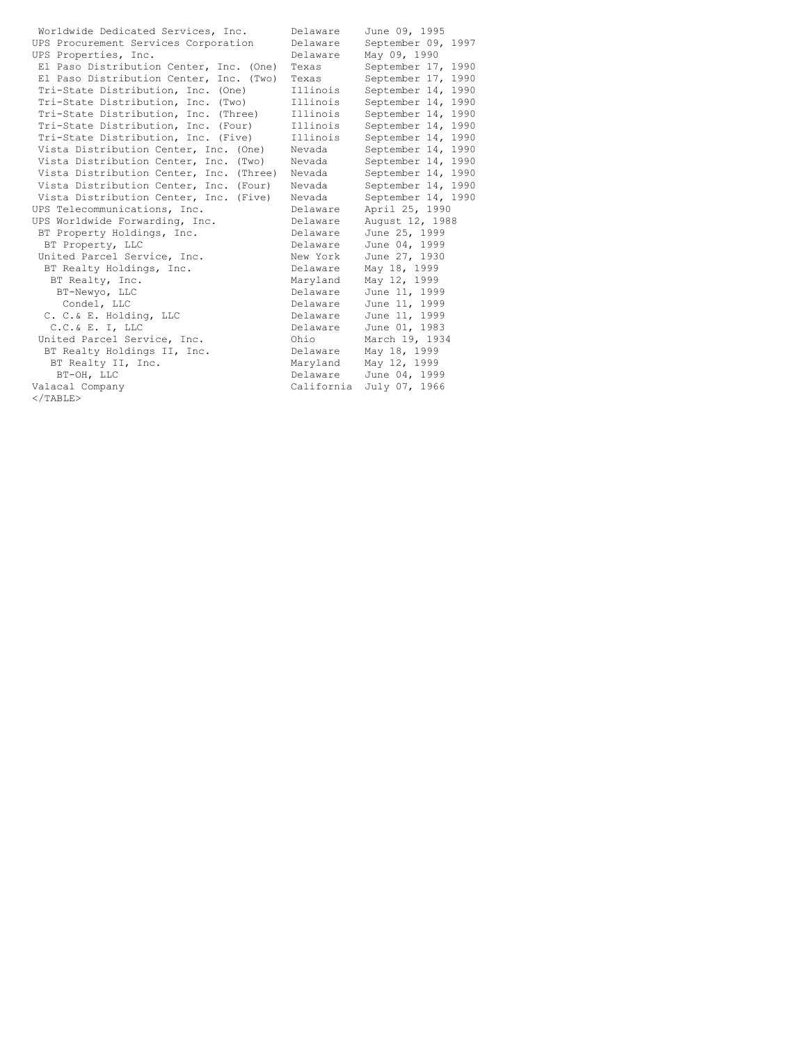| Worldwide Dedicated Services, Inc.      | Delaware   | June 09, 1995      |
|-----------------------------------------|------------|--------------------|
| UPS Procurement Services Corporation    | Delaware   | September 09, 1997 |
| UPS Properties, Inc.                    | Delaware   | May 09, 1990       |
| El Paso Distribution Center, Inc. (One) | Texas      | September 17, 1990 |
| El Paso Distribution Center, Inc. (Two) | Texas      | September 17, 1990 |
| Tri-State Distribution, Inc. (One)      | Illinois   | September 14, 1990 |
| Tri-State Distribution, Inc. (Two)      | Illinois   | September 14, 1990 |
| Tri-State Distribution, Inc. (Three)    | Illinois   | September 14, 1990 |
| Tri-State Distribution, Inc. (Four)     | Illinois   | September 14, 1990 |
| Tri-State Distribution, Inc. (Five)     | Illinois   | September 14, 1990 |
| Vista Distribution Center, Inc. (One)   | Nevada     | September 14, 1990 |
| Vista Distribution Center, Inc. (Two)   | Nevada     | September 14, 1990 |
| Vista Distribution Center, Inc. (Three) | Nevada     | September 14, 1990 |
| Vista Distribution Center, Inc. (Four)  | Nevada     | September 14, 1990 |
| Vista Distribution Center, Inc. (Five)  | Nevada     | September 14, 1990 |
| UPS Telecommunications, Inc.            | Delaware   | April 25, 1990     |
| UPS Worldwide Forwarding, Inc.          | Delaware   | August 12, 1988    |
| BT Property Holdings, Inc.              | Delaware   | June 25, 1999      |
| BT Property, LLC                        | Delaware   | June 04, 1999      |
| United Parcel Service, Inc.             | New York   | June 27, 1930      |
| BT Realty Holdings, Inc.                | Delaware   | May 18, 1999       |
| BT Realty, Inc.                         | Maryland   | May 12, 1999       |
| BT-Newyo, LLC                           | Delaware   | June 11, 1999      |
| Condel, LLC                             | Delaware   | June 11, 1999      |
| C. C.& E. Holding, LLC                  | Delaware   | June 11, 1999      |
| C.C. & E. I, LLC                        | Delaware   | June 01, 1983      |
| United Parcel Service, Inc.             | Ohio       | March 19, 1934     |
| BT Realty Holdings II, Inc.             | Delaware   | May 18, 1999       |
| BT Realty II, Inc.                      | Maryland   | May 12, 1999       |
| BT-OH, LLC                              | Delaware   | June 04, 1999      |
| Valacal Company                         | California | July 07, 1966      |
| $<$ /TABLE>                             |            |                    |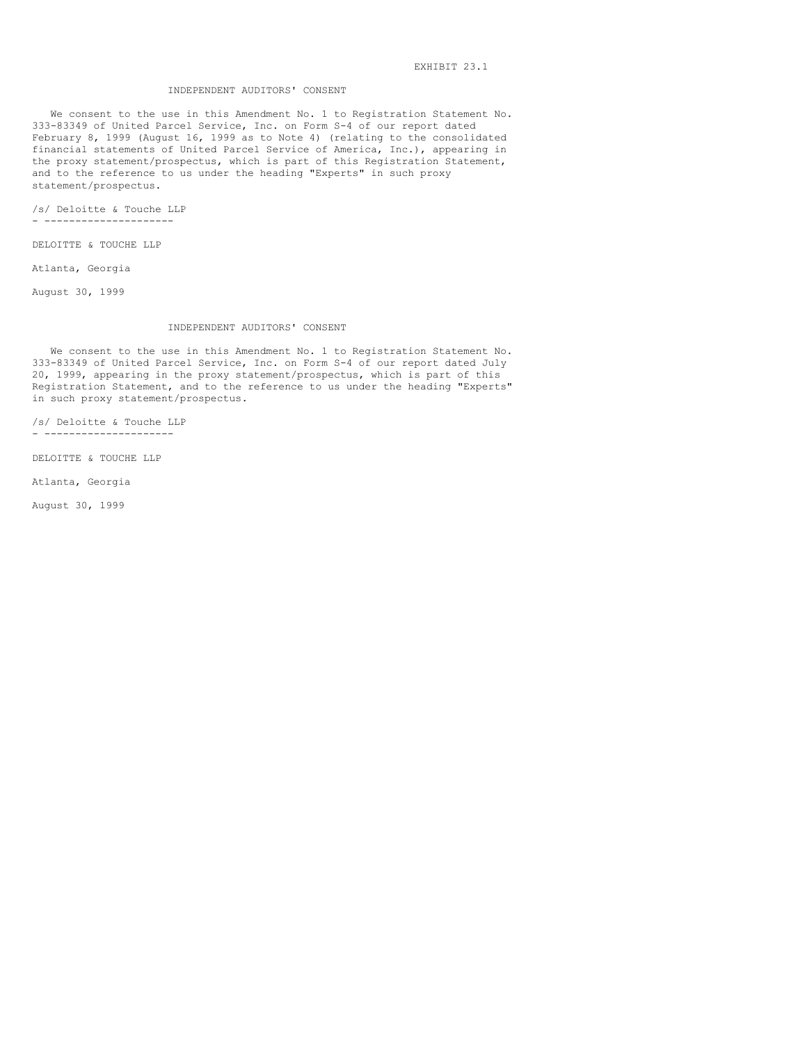## INDEPENDENT AUDITORS' CONSENT

We consent to the use in this Amendment No. 1 to Registration Statement No. 333-83349 of United Parcel Service, Inc. on Form S-4 of our report dated February 8, 1999 (August 16, 1999 as to Note 4) (relating to the consolidated financial statements of United Parcel Service of America, Inc.), appearing in the proxy statement/prospectus, which is part of this Registration Statement, and to the reference to us under the heading "Experts" in such proxy statement/prospectus.

/s/ Deloitte & Touche LLP - ---------------------

DELOITTE & TOUCHE LLP

Atlanta, Georgia

August 30, 1999

# INDEPENDENT AUDITORS' CONSENT

We consent to the use in this Amendment No. 1 to Registration Statement No. 333-83349 of United Parcel Service, Inc. on Form S-4 of our report dated July 20, 1999, appearing in the proxy statement/prospectus, which is part of this Registration Statement, and to the reference to us under the heading "Experts" in such proxy statement/prospectus.

/s/ Deloitte & Touche LLP - ---------------------

DELOITTE & TOUCHE LLP

Atlanta, Georgia

August 30, 1999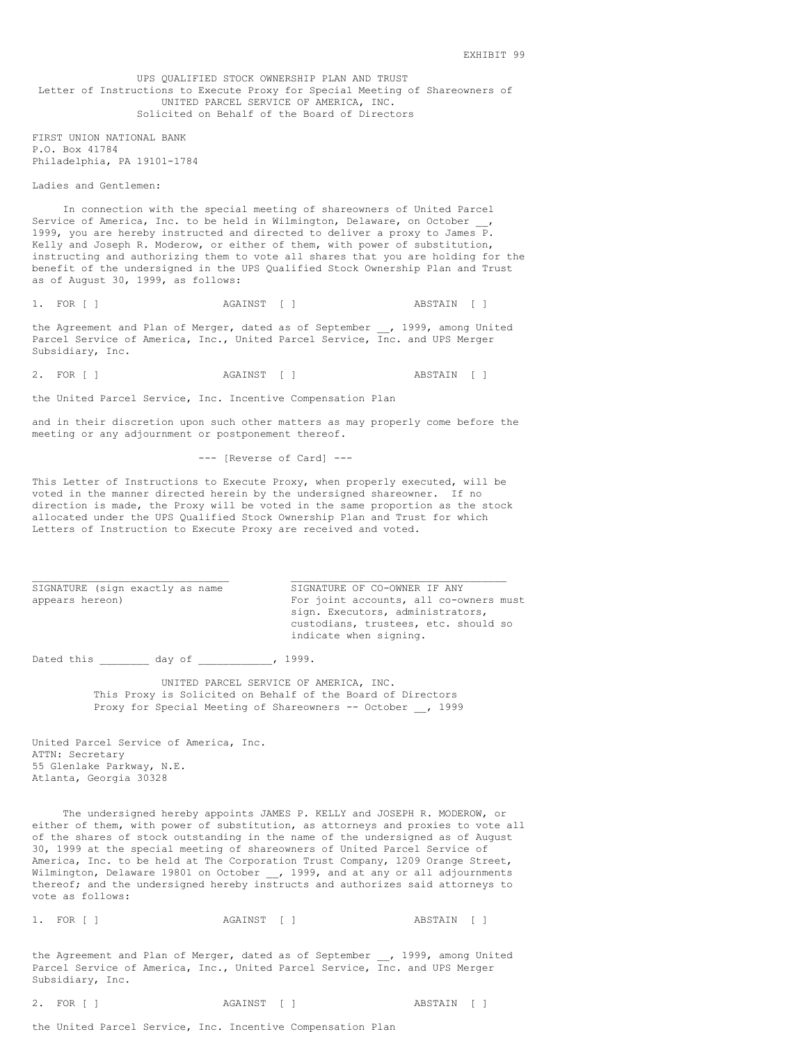UPS QUALIFIED STOCK OWNERSHIP PLAN AND TRUST Letter of Instructions to Execute Proxy for Special Meeting of Shareowners of UNITED PARCEL SERVICE OF AMERICA, INC. Solicited on Behalf of the Board of Directors

FIRST UNION NATIONAL BANK P.O. Box 41784 Philadelphia, PA 19101-1784

#### Ladies and Gentlemen:

In connection with the special meeting of shareowners of United Parcel Service of America, Inc. to be held in Wilmington, Delaware, on October 1999, you are hereby instructed and directed to deliver a proxy to James  $\overline{P}$ . Kelly and Joseph R. Moderow, or either of them, with power of substitution, instructing and authorizing them to vote all shares that you are holding for the benefit of the undersigned in the UPS Qualified Stock Ownership Plan and Trust as of August 30, 1999, as follows:

1. FOR [ ] AGAINST [ ] ABSTAIN [ ]

the Agreement and Plan of Merger, dated as of September \_, 1999, among United Parcel Service of America, Inc., United Parcel Service, Inc. and UPS Merger Subsidiary, Inc.

2. FOR [ ]  $AGAINST$  [ ]  $ABSTAIN$  [ ]

the United Parcel Service, Inc. Incentive Compensation Plan

and in their discretion upon such other matters as may properly come before the meeting or any adjournment or postponement thereof.

--- [Reverse of Card] ---

This Letter of Instructions to Execute Proxy, when properly executed, will be voted in the manner directed herein by the undersigned shareowner. If no direction is made, the Proxy will be voted in the same proportion as the stock allocated under the UPS Qualified Stock Ownership Plan and Trust for which Letters of Instruction to Execute Proxy are received and voted.

 $\mathcal{L}_\mathcal{L}$  , and the set of the set of the set of the set of the set of the set of the set of the set of the set of the set of the set of the set of the set of the set of the set of the set of the set of the set of th

SIGNATURE (sign exactly as name SIGNATURE OF CO-OWNER IF ANY

appears hereon) and in the Form of Form of Form of the secounts, all co-owners must sign. Executors, administrators, custodians, trustees, etc. should so indicate when signing.

Dated this \_\_\_\_\_\_\_\_\_ day of \_\_\_\_\_\_\_\_\_\_\_, 1999.

UNITED PARCEL SERVICE OF AMERICA, INC. This Proxy is Solicited on Behalf of the Board of Directors Proxy for Special Meeting of Shareowners -- October , 1999

United Parcel Service of America, Inc. ATTN: Secretary 55 Glenlake Parkway, N.E. Atlanta, Georgia 30328

The undersigned hereby appoints JAMES P. KELLY and JOSEPH R. MODEROW, or either of them, with power of substitution, as attorneys and proxies to vote all of the shares of stock outstanding in the name of the undersigned as of August 30, 1999 at the special meeting of shareowners of United Parcel Service of America, Inc. to be held at The Corporation Trust Company, 1209 Orange Street, Wilmington, Delaware 19801 on October \_\_, 1999, and at any or all adjournments thereof; and the undersigned hereby instructs and authorizes said attorneys to vote as follows:

1. FOR [ ] AGAINST [ ] ABSTAIN [ ]

the Agreement and Plan of Merger, dated as of September \_, 1999, among United Parcel Service of America, Inc., United Parcel Service, Inc. and UPS Merger Subsidiary, Inc.

2. FOR [ ] AGAINST [ ] ABSTAIN [ ]

the United Parcel Service, Inc. Incentive Compensation Plan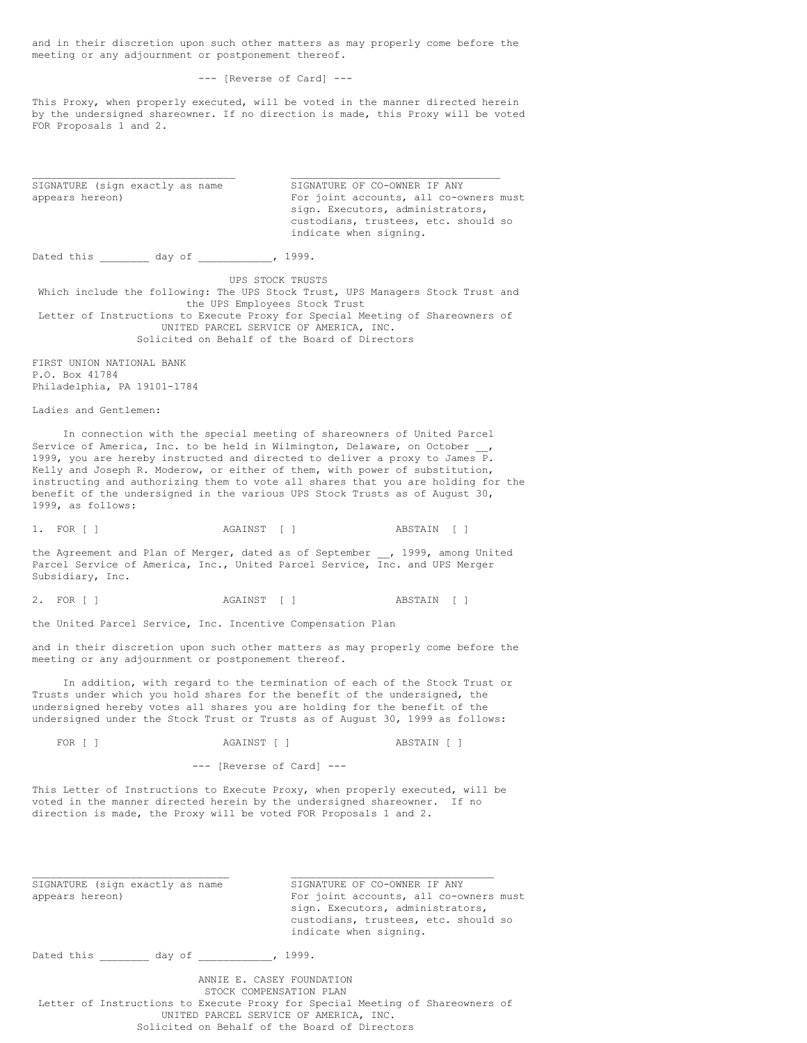and in their discretion upon such other matters as may properly come before the meeting or any adjournment or postponement thereof.

--- [Reverse of Card] ---

This Proxy, when properly executed, will be voted in the manner directed herein by the undersigned shareowner. If no direction is made, this Proxy will be voted FOR Proposals 1 and 2.

SIGNATURE (sign exactly as name SIGNATURE OF CO-OWNER IF ANY appears hereon) For joint accounts, all co-owners must sign. Executors, administrators, custodians, trustees, etc. should so indicate when signing. Dated this \_\_\_\_\_\_\_\_ day of \_\_\_\_\_\_\_\_\_\_\_, 1999.

 $\mathcal{L}_\mathcal{L} = \mathcal{L}_\mathcal{L} = \mathcal{L}_\mathcal{L} = \mathcal{L}_\mathcal{L} = \mathcal{L}_\mathcal{L} = \mathcal{L}_\mathcal{L} = \mathcal{L}_\mathcal{L} = \mathcal{L}_\mathcal{L} = \mathcal{L}_\mathcal{L} = \mathcal{L}_\mathcal{L} = \mathcal{L}_\mathcal{L} = \mathcal{L}_\mathcal{L} = \mathcal{L}_\mathcal{L} = \mathcal{L}_\mathcal{L} = \mathcal{L}_\mathcal{L} = \mathcal{L}_\mathcal{L} = \mathcal{L}_\mathcal{L}$ 

UPS STOCK TRUSTS Which include the following: The UPS Stock Trust, UPS Managers Stock Trust and the UPS Employees Stock Trust Letter of Instructions to Execute Proxy for Special Meeting of Shareowners of UNITED PARCEL SERVICE OF AMERICA, INC. Solicited on Behalf of the Board of Directors

FIRST UNION NATIONAL BANK P.O. Box 41784 Philadelphia, PA 19101-1784

Ladies and Gentlemen:

In connection with the special meeting of shareowners of United Parcel Service of America, Inc. to be held in Wilmington, Delaware, on October \_ 1999, you are hereby instructed and directed to deliver a proxy to James P. Kelly and Joseph R. Moderow, or either of them, with power of substitution, instructing and authorizing them to vote all shares that you are holding for the benefit of the undersigned in the various UPS Stock Trusts as of August 30, 1999, as follows:

1. FOR [ ] AGAINST [ ] ABSTAIN [ ]

the Agreement and Plan of Merger, dated as of September \_, 1999, among United Parcel Service of America, Inc., United Parcel Service, Inc. and UPS Merger Subsidiary, Inc.

2. FOR [ ] AGAINST [ ] ABSTAIN [ ]

the United Parcel Service, Inc. Incentive Compensation Plan

and in their discretion upon such other matters as may properly come before the meeting or any adjournment or postponement thereof.

In addition, with regard to the termination of each of the Stock Trust or Trusts under which you hold shares for the benefit of the undersigned, the undersigned hereby votes all shares you are holding for the benefit of the undersigned under the Stock Trust or Trusts as of August 30, 1999 as follows:

FOR [ ] AGAINST [ ] ABSTAIN [ ]

--- [Reverse of Card] ---

This Letter of Instructions to Execute Proxy, when properly executed, will be voted in the manner directed herein by the undersigned shareowner. If no direction is made, the Proxy will be voted FOR Proposals 1 and 2.

 $\mathcal{L}_\mathcal{L}$  , and the contribution of the contribution of the contribution of the contribution of the contribution of the contribution of the contribution of the contribution of the contribution of the contribution of

SIGNATURE (sign exactly as name  $\overline{S}$  SIGNATURE OF CO-OWNER IF ANY appears hereon)  $\overline{S}$  For joint accounts, all co-ou

For joint accounts, all co-owners must sign. Executors, administrators, custodians, trustees, etc. should so indicate when signing.

Dated this \_\_\_\_\_\_\_\_\_ day of \_\_\_\_\_\_\_\_\_\_\_, 1999.

ANNIE E. CASEY FOUNDATION STOCK COMPENSATION PLAN Letter of Instructions to Execute Proxy for Special Meeting of Shareowners of UNITED PARCEL SERVICE OF AMERICA, INC. Solicited on Behalf of the Board of Directors